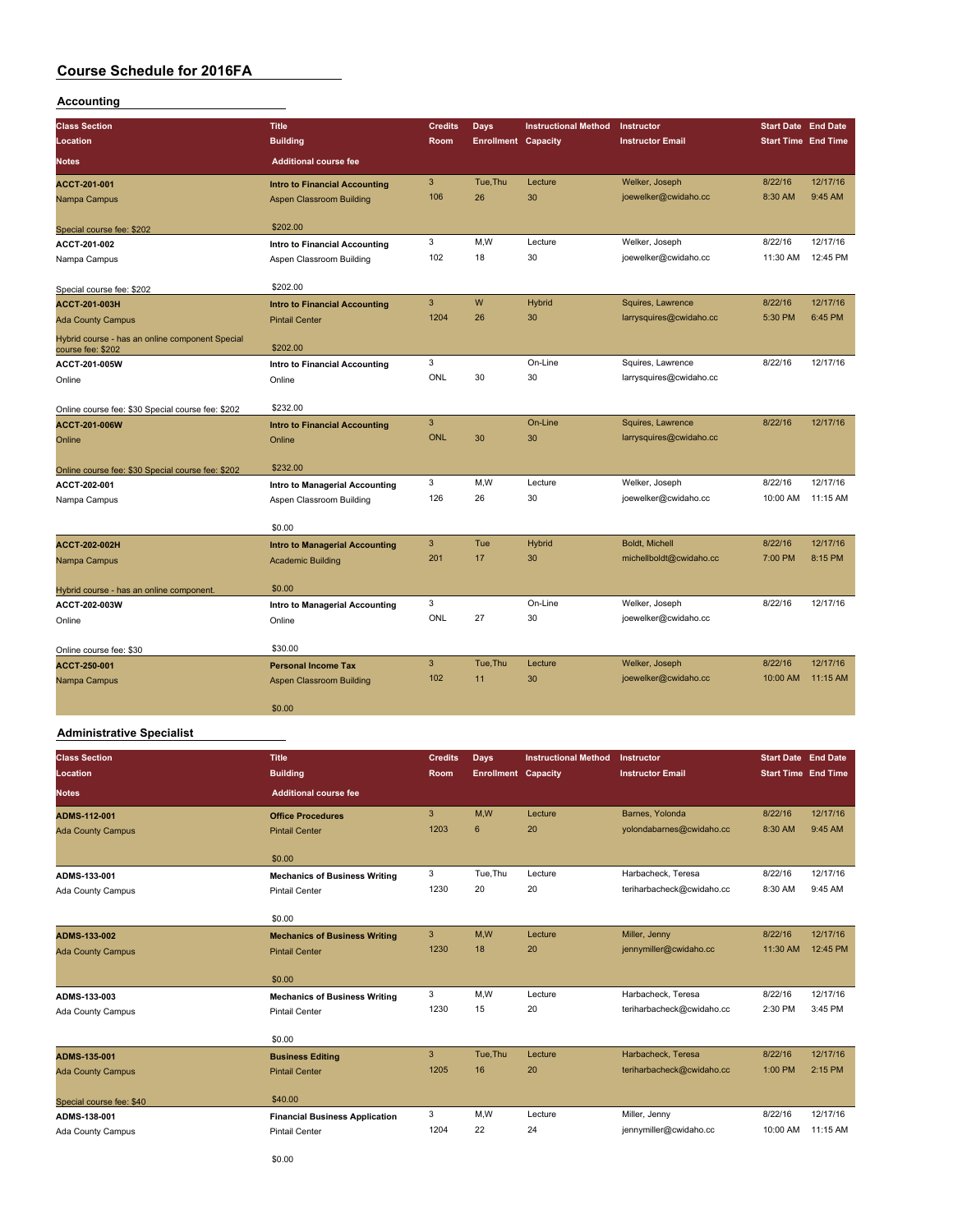#### **Accounting**

| <b>Class Section</b>                                                 | <b>Title</b>                          | <b>Credits</b> | Days                       | <b>Instructional Method</b> | Instructor              | <b>Start Date End Date</b> |          |
|----------------------------------------------------------------------|---------------------------------------|----------------|----------------------------|-----------------------------|-------------------------|----------------------------|----------|
| Location                                                             | <b>Building</b>                       | Room           | <b>Enrollment Capacity</b> |                             | <b>Instructor Email</b> | <b>Start Time End Time</b> |          |
| <b>Notes</b>                                                         | <b>Additional course fee</b>          |                |                            |                             |                         |                            |          |
| ACCT-201-001                                                         | <b>Intro to Financial Accounting</b>  | 3              | Tue, Thu                   | Lecture                     | Welker, Joseph          | 8/22/16                    | 12/17/16 |
| Nampa Campus                                                         | <b>Aspen Classroom Building</b>       | 106            | 26                         | 30                          | joewelker@cwidaho.cc    | 8:30 AM                    | 9:45 AM  |
| Special course fee: \$202                                            | \$202.00                              |                |                            |                             |                         |                            |          |
| ACCT-201-002                                                         | Intro to Financial Accounting         | 3              | M,W                        | Lecture                     | Welker, Joseph          | 8/22/16                    | 12/17/16 |
| Nampa Campus                                                         | Aspen Classroom Building              | 102            | 18                         | 30                          | joewelker@cwidaho.cc    | 11:30 AM                   | 12:45 PM |
| Special course fee: \$202                                            | \$202.00                              |                |                            |                             |                         |                            |          |
| <b>ACCT-201-003H</b>                                                 | <b>Intro to Financial Accounting</b>  | 3              | W                          | Hybrid                      | Squires, Lawrence       | 8/22/16                    | 12/17/16 |
| <b>Ada County Campus</b>                                             | <b>Pintail Center</b>                 | 1204           | 26                         | 30                          | larrysquires@cwidaho.cc | 5:30 PM                    | 6:45 PM  |
| Hybrid course - has an online component Special<br>course fee: \$202 | \$202.00                              |                |                            |                             |                         |                            |          |
| ACCT-201-005W                                                        | <b>Intro to Financial Accounting</b>  | 3              |                            | On-Line                     | Squires, Lawrence       | 8/22/16                    | 12/17/16 |
| Online                                                               | Online                                | ONL            | 30                         | 30                          | larrysquires@cwidaho.cc |                            |          |
| Online course fee: \$30 Special course fee: \$202                    | \$232.00                              |                |                            |                             |                         |                            |          |
| <b>ACCT-201-006W</b>                                                 | <b>Intro to Financial Accounting</b>  | 3              |                            | On-Line                     | Squires, Lawrence       | 8/22/16                    | 12/17/16 |
| Online                                                               | Online                                | <b>ONL</b>     | 30                         | 30                          | larrysquires@cwidaho.cc |                            |          |
| Online course fee: \$30 Special course fee: \$202                    | \$232.00                              |                |                            |                             |                         |                            |          |
| ACCT-202-001                                                         | Intro to Managerial Accounting        | 3              | M,W                        | Lecture                     | Welker, Joseph          | 8/22/16                    | 12/17/16 |
| Nampa Campus                                                         | Aspen Classroom Building              | 126            | 26                         | 30                          | joewelker@cwidaho.cc    | 10:00 AM                   | 11:15 AM |
|                                                                      | \$0.00                                |                |                            |                             |                         |                            |          |
| ACCT-202-002H                                                        | <b>Intro to Managerial Accounting</b> | 3              | Tue                        | Hybrid                      | Boldt, Michell          | 8/22/16                    | 12/17/16 |
| Nampa Campus                                                         | <b>Academic Building</b>              | 201            | 17                         | 30                          | michellboldt@cwidaho.cc | 7:00 PM                    | 8:15 PM  |
| Hybrid course - has an online component.                             | \$0.00                                |                |                            |                             |                         |                            |          |
| ACCT-202-003W                                                        | Intro to Managerial Accounting        | 3              |                            | On-Line                     | Welker, Joseph          | 8/22/16                    | 12/17/16 |
| Online                                                               | Online                                | ONL            | 27                         | 30                          | joewelker@cwidaho.cc    |                            |          |
| Online course fee: \$30                                              | \$30.00                               |                |                            |                             |                         |                            |          |
| ACCT-250-001                                                         | <b>Personal Income Tax</b>            | 3              | Tue.Thu                    | Lecture                     | Welker, Joseph          | 8/22/16                    | 12/17/16 |
| Nampa Campus                                                         | Aspen Classroom Building              | 102            | 11                         | 30                          | joewelker@cwidaho.cc    | 10:00 AM                   | 11:15 AM |
|                                                                      | \$0.00                                |                |                            |                             |                         |                            |          |

#### **Administrative Specialist**

| <b>Class Section</b><br>Location | <b>Title</b><br><b>Building</b>       | <b>Credits</b><br>Room | Days<br><b>Enrollment Capacity</b> | <b>Instructional Method</b> | Instructor<br><b>Instructor Email</b> | <b>Start Date End Date</b><br><b>Start Time End Time</b> |          |
|----------------------------------|---------------------------------------|------------------------|------------------------------------|-----------------------------|---------------------------------------|----------------------------------------------------------|----------|
| <b>Notes</b>                     | <b>Additional course fee</b>          |                        |                                    |                             |                                       |                                                          |          |
| ADMS-112-001                     | <b>Office Procedures</b>              | 3                      | M,W                                | Lecture                     | Barnes, Yolonda                       | 8/22/16                                                  | 12/17/16 |
| <b>Ada County Campus</b>         | <b>Pintail Center</b>                 | 1203                   | $6\phantom{1}$                     | 20                          | yolondabarnes@cwidaho.cc              | 8:30 AM                                                  | 9:45 AM  |
|                                  | \$0.00                                |                        |                                    |                             |                                       |                                                          |          |
| ADMS-133-001                     | <b>Mechanics of Business Writing</b>  | 3                      | Tue, Thu                           | Lecture                     | Harbacheck, Teresa                    | 8/22/16                                                  | 12/17/16 |
| Ada County Campus                | <b>Pintail Center</b>                 | 1230                   | 20                                 | 20                          | teriharbacheck@cwidaho.cc             | 8:30 AM                                                  | 9:45 AM  |
|                                  | \$0.00                                |                        |                                    |                             |                                       |                                                          |          |
| ADMS-133-002                     | <b>Mechanics of Business Writing</b>  | 3                      | M.W                                | Lecture                     | Miller, Jenny                         | 8/22/16                                                  | 12/17/16 |
| <b>Ada County Campus</b>         | <b>Pintail Center</b>                 | 1230                   | 18                                 | 20                          | jennymiller@cwidaho.cc                | 11:30 AM                                                 | 12:45 PM |
|                                  | \$0.00                                |                        |                                    |                             |                                       |                                                          |          |
| ADMS-133-003                     | <b>Mechanics of Business Writing</b>  | 3                      | M, W                               | Lecture                     | Harbacheck, Teresa                    | 8/22/16                                                  | 12/17/16 |
| Ada County Campus                | <b>Pintail Center</b>                 | 1230                   | 15                                 | 20                          | teriharbacheck@cwidaho.cc             | 2:30 PM                                                  | 3:45 PM  |
|                                  | \$0.00                                |                        |                                    |                             |                                       |                                                          |          |
| ADMS-135-001                     | <b>Business Editing</b>               | 3                      | Tue.Thu                            | Lecture                     | Harbacheck, Teresa                    | 8/22/16                                                  | 12/17/16 |
| <b>Ada County Campus</b>         | <b>Pintail Center</b>                 | 1205                   | 16                                 | 20                          | teriharbacheck@cwidaho.cc             | 1:00 PM                                                  | 2:15 PM  |
| Special course fee: \$40         | \$40.00                               |                        |                                    |                             |                                       |                                                          |          |
| ADMS-138-001                     | <b>Financial Business Application</b> | 3                      | M,W                                | Lecture                     | Miller, Jenny                         | 8/22/16                                                  | 12/17/16 |
| Ada County Campus                | <b>Pintail Center</b>                 | 1204                   | 22                                 | 24                          | jennymiller@cwidaho.cc                | 10:00 AM                                                 | 11:15 AM |
|                                  |                                       |                        |                                    |                             |                                       |                                                          |          |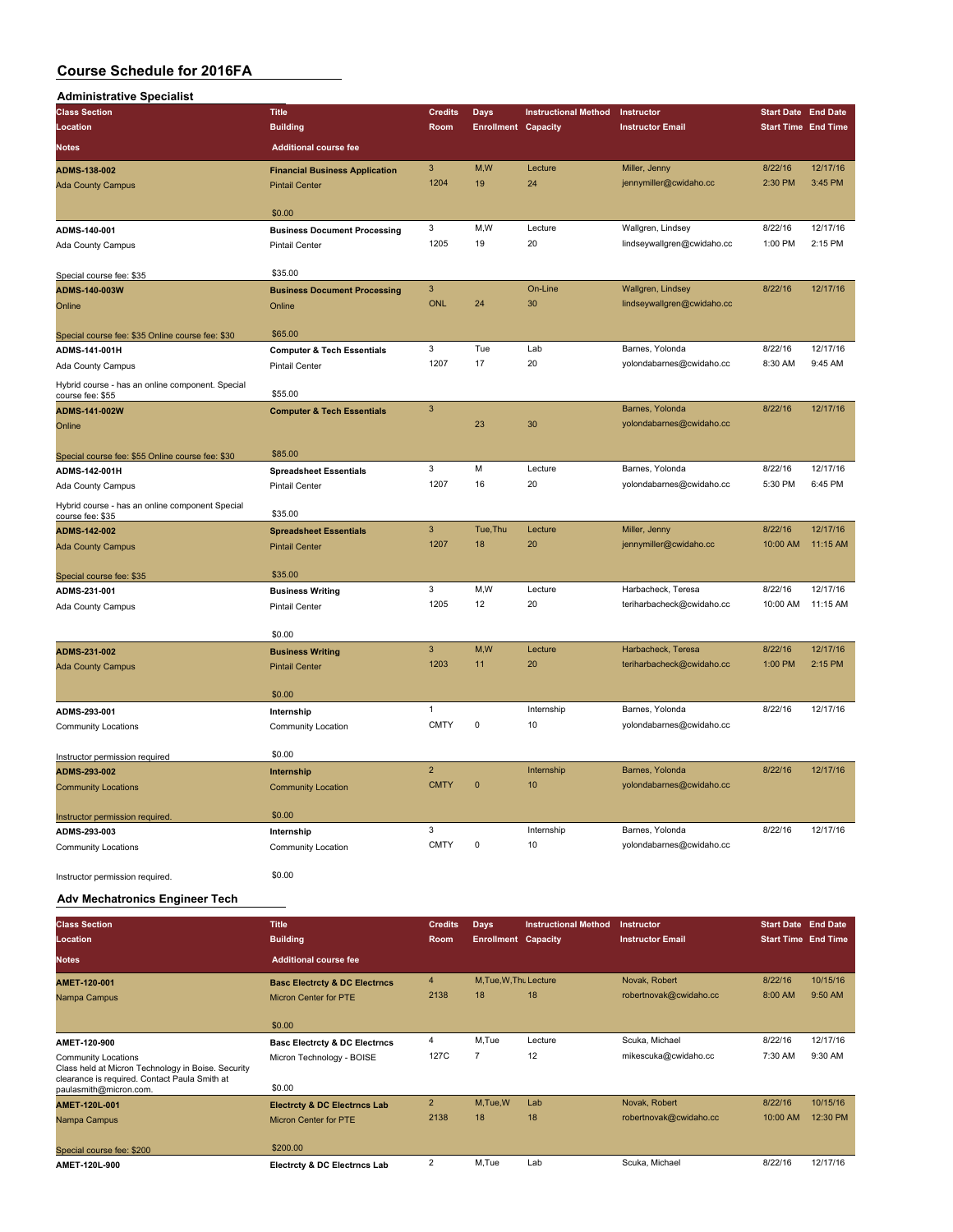| Administrative Specialist                                            |                                       |                           |                            |                             |                            |                            |          |
|----------------------------------------------------------------------|---------------------------------------|---------------------------|----------------------------|-----------------------------|----------------------------|----------------------------|----------|
| <b>Class Section</b>                                                 | <b>Title</b>                          | <b>Credits</b>            | <b>Days</b>                | <b>Instructional Method</b> | Instructor                 | <b>Start Date End Date</b> |          |
| Location                                                             | <b>Building</b>                       | Room                      | <b>Enrollment Capacity</b> |                             | <b>Instructor Email</b>    | <b>Start Time End Time</b> |          |
| <b>Notes</b>                                                         | <b>Additional course fee</b>          |                           |                            |                             |                            |                            |          |
| <b>ADMS-138-002</b>                                                  | <b>Financial Business Application</b> | $\ensuremath{\mathsf{3}}$ | M,W                        | Lecture                     | Miller, Jenny              | 8/22/16                    | 12/17/16 |
| <b>Ada County Campus</b>                                             | <b>Pintail Center</b>                 | 1204                      | 19                         | 24                          | jennymiller@cwidaho.cc     | 2:30 PM                    | 3:45 PM  |
|                                                                      | \$0.00                                |                           |                            |                             |                            |                            |          |
| ADMS-140-001                                                         | <b>Business Document Processing</b>   | 3                         | M,W                        | Lecture                     | Wallgren, Lindsey          | 8/22/16                    | 12/17/16 |
| Ada County Campus                                                    | <b>Pintail Center</b>                 | 1205                      | 19                         | 20                          | lindseywallgren@cwidaho.cc | 1:00 PM                    | 2:15 PM  |
| Special course fee: \$35                                             | \$35.00                               |                           |                            |                             |                            |                            |          |
| ADMS-140-003W                                                        | <b>Business Document Processing</b>   | $\ensuremath{\mathsf{3}}$ |                            | On-Line                     | Wallgren, Lindsey          | 8/22/16                    | 12/17/16 |
| Online                                                               | Online                                | <b>ONL</b>                | 24                         | 30                          | lindseywallgren@cwidaho.cc |                            |          |
| Special course fee: \$35 Online course fee: \$30                     | \$65.00                               |                           |                            |                             |                            |                            |          |
| ADMS-141-001H                                                        | <b>Computer &amp; Tech Essentials</b> | 3                         | Tue                        | Lab                         | Barnes, Yolonda            | 8/22/16                    | 12/17/16 |
| Ada County Campus                                                    | <b>Pintail Center</b>                 | 1207                      | 17                         | 20                          | yolondabarnes@cwidaho.cc   | 8:30 AM                    | 9:45 AM  |
| Hybrid course - has an online component. Special<br>course fee: \$55 | \$55.00                               |                           |                            |                             |                            |                            |          |
| ADMS-141-002W                                                        | <b>Computer &amp; Tech Essentials</b> | 3                         |                            |                             | Barnes, Yolonda            | 8/22/16                    | 12/17/16 |
| Online                                                               |                                       |                           | 23                         | 30                          | yolondabarnes@cwidaho.cc   |                            |          |
|                                                                      |                                       |                           |                            |                             |                            |                            |          |
| Special course fee: \$55 Online course fee: \$30                     | \$85.00                               |                           |                            |                             |                            |                            |          |
| ADMS-142-001H                                                        | <b>Spreadsheet Essentials</b>         | 3                         | M                          | Lecture                     | Barnes, Yolonda            | 8/22/16                    | 12/17/16 |
| Ada County Campus                                                    | <b>Pintail Center</b>                 | 1207                      | 16                         | 20                          | yolondabarnes@cwidaho.cc   | 5:30 PM                    | 6:45 PM  |
| Hybrid course - has an online component Special<br>course fee: \$35  | \$35.00                               |                           |                            |                             |                            |                            |          |
| ADMS-142-002                                                         | <b>Spreadsheet Essentials</b>         | 3                         | Tue, Thu                   | Lecture                     | Miller, Jenny              | 8/22/16                    | 12/17/16 |
| <b>Ada County Campus</b>                                             | <b>Pintail Center</b>                 | 1207                      | 18                         | 20                          | jennymiller@cwidaho.cc     | 10:00 AM                   | 11:15 AM |
| Special course fee: \$35                                             | \$35.00                               |                           |                            |                             |                            |                            |          |
| ADMS-231-001                                                         | <b>Business Writing</b>               | 3                         | M,W                        | Lecture                     | Harbacheck, Teresa         | 8/22/16                    | 12/17/16 |
| Ada County Campus                                                    | <b>Pintail Center</b>                 | 1205                      | 12                         | 20                          | teriharbacheck@cwidaho.cc  | 10:00 AM                   | 11:15 AM |
|                                                                      |                                       |                           |                            |                             |                            |                            |          |
|                                                                      | \$0.00                                |                           |                            |                             |                            |                            |          |
| ADMS-231-002                                                         | <b>Business Writing</b>               | $\overline{3}$            | M,W                        | Lecture                     | Harbacheck, Teresa         | 8/22/16                    | 12/17/16 |
| <b>Ada County Campus</b>                                             | <b>Pintail Center</b>                 | 1203                      | 11                         | 20                          | teriharbacheck@cwidaho.cc  | 1:00 PM                    | 2:15 PM  |
|                                                                      | \$0.00                                |                           |                            |                             |                            |                            |          |
| ADMS-293-001                                                         | Internship                            | $\mathbf{1}$              |                            | Internship                  | Barnes, Yolonda            | 8/22/16                    | 12/17/16 |
| <b>Community Locations</b>                                           | Community Location                    | <b>CMTY</b>               | $\mathsf 0$                | 10                          | yolondabarnes@cwidaho.cc   |                            |          |
|                                                                      |                                       |                           |                            |                             |                            |                            |          |
| Instructor permission required                                       | \$0.00                                | $\overline{2}$            |                            | Internship                  | Barnes, Yolonda            | 8/22/16                    | 12/17/16 |
| ADMS-293-002                                                         | Internship                            | <b>CMTY</b>               | $\mathbf 0$                | 10                          | yolondabarnes@cwidaho.cc   |                            |          |
| <b>Community Locations</b>                                           | <b>Community Location</b>             |                           |                            |                             |                            |                            |          |
| Instructor permission required                                       | \$0.00                                |                           |                            |                             |                            |                            |          |
| ADMS-293-003                                                         | Internship                            | 3                         |                            | Internship                  | Barnes, Yolonda            | 8/22/16                    | 12/17/16 |
| <b>Community Locations</b>                                           | Community Location                    | <b>CMTY</b>               | $\mathsf 0$                | 10                          | yolondabarnes@cwidaho.cc   |                            |          |
|                                                                      | \$0.00                                |                           |                            |                             |                            |                            |          |
| Instructor permission required.                                      |                                       |                           |                            |                             |                            |                            |          |

#### **Adv Mechatronics Engineer Tech**

| <b>Class Section</b>                                                             | <b>Title</b>                             | <b>Credits</b> | Days                       | <b>Instructional Method</b> | <b>Instructor</b>       | <b>Start Date End Date</b> |          |
|----------------------------------------------------------------------------------|------------------------------------------|----------------|----------------------------|-----------------------------|-------------------------|----------------------------|----------|
| Location                                                                         | <b>Building</b>                          | <b>Room</b>    | <b>Enrollment Capacity</b> |                             | <b>Instructor Email</b> | <b>Start Time End Time</b> |          |
| <b>Notes</b>                                                                     | <b>Additional course fee</b>             |                |                            |                             |                         |                            |          |
| AMET-120-001                                                                     | <b>Basc Electrcty &amp; DC Electrncs</b> | $\overline{4}$ | M.Tue.W.Thu Lecture        |                             | Novak, Robert           | 8/22/16                    | 10/15/16 |
| Nampa Campus                                                                     | <b>Micron Center for PTE</b>             | 2138           | 18                         | 18                          | robertnovak@cwidaho.cc  | 8:00 AM                    | 9:50 AM  |
|                                                                                  |                                          |                |                            |                             |                         |                            |          |
|                                                                                  | \$0.00                                   |                |                            |                             |                         |                            |          |
| AMET-120-900                                                                     | <b>Basc Electrcty &amp; DC Electrncs</b> | 4              | M,Tue                      | Lecture                     | Scuka, Michael          | 8/22/16                    | 12/17/16 |
| <b>Community Locations</b><br>Class held at Micron Technology in Boise. Security | Micron Technology - BOISE                | 127C           |                            | 12                          | mikescuka@cwidaho.cc    | 7:30 AM                    | 9:30 AM  |
| clearance is required. Contact Paula Smith at<br>paulasmith@micron.com.          | \$0.00                                   |                |                            |                             |                         |                            |          |
| AMET-120L-001                                                                    | <b>Electrcty &amp; DC Electrncs Lab</b>  | $\overline{2}$ | M,Tue,W                    | Lab                         | Novak, Robert           | 8/22/16                    | 10/15/16 |
| Nampa Campus                                                                     | <b>Micron Center for PTE</b>             | 2138           | 18                         | 18                          | robertnovak@cwidaho.cc  | 10:00 AM                   | 12:30 PM |
|                                                                                  |                                          |                |                            |                             |                         |                            |          |
| Special course fee: \$200                                                        | \$200.00                                 |                |                            |                             |                         |                            |          |
| AMET-120L-900                                                                    | Electrcty & DC Electrncs Lab             | $\overline{2}$ | M,Tue                      | Lab                         | Scuka, Michael          | 8/22/16                    | 12/17/16 |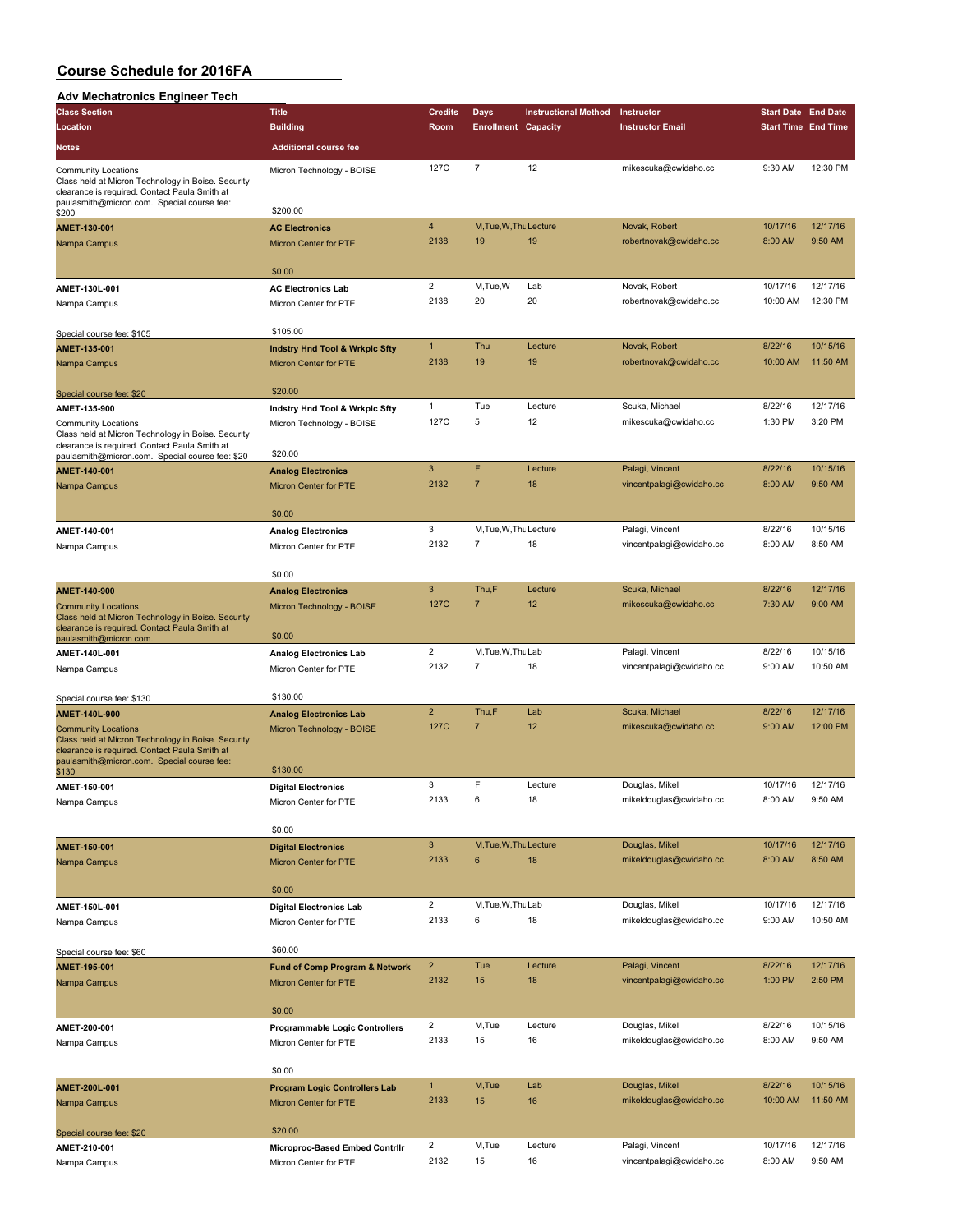#### **Adv Mechatronics Engineer Tech**

| Adv Mechatronics Engineer Tech                                                                                                                                                                   |                                                                |                         |                            |                             |                                             |                            |                      |
|--------------------------------------------------------------------------------------------------------------------------------------------------------------------------------------------------|----------------------------------------------------------------|-------------------------|----------------------------|-----------------------------|---------------------------------------------|----------------------------|----------------------|
| <b>Class Section</b>                                                                                                                                                                             | <b>Title</b>                                                   | Credits                 | Days                       | <b>Instructional Method</b> | Instructor                                  | <b>Start Date End Date</b> |                      |
| Location                                                                                                                                                                                         | <b>Building</b>                                                | Room                    | <b>Enrollment Capacity</b> |                             | <b>Instructor Email</b>                     | <b>Start Time End Time</b> |                      |
| Notes                                                                                                                                                                                            | <b>Additional course fee</b>                                   |                         |                            |                             |                                             |                            |                      |
| <b>Community Locations</b><br>Class held at Micron Technology in Boise. Security                                                                                                                 | Micron Technology - BOISE                                      | 127C                    | $\overline{7}$             | 12                          | mikescuka@cwidaho.cc                        | 9:30 AM                    | 12:30 PM             |
| clearance is required. Contact Paula Smith at<br>paulasmith@micron.com. Special course fee:                                                                                                      | \$200.00                                                       |                         |                            |                             |                                             |                            |                      |
| \$200<br>AMET-130-001                                                                                                                                                                            | <b>AC Electronics</b>                                          | 4                       | M, Tue, W, Thu Lecture     |                             | Novak, Robert                               | 10/17/16                   | 12/17/16             |
| Nampa Campus                                                                                                                                                                                     | Micron Center for PTE                                          | 2138                    | 19                         | 19                          | robertnovak@cwidaho.cc                      | 8:00 AM                    | 9:50 AM              |
|                                                                                                                                                                                                  | \$0.00                                                         |                         |                            |                             |                                             |                            |                      |
| AMET-130L-001                                                                                                                                                                                    | <b>AC Electronics Lab</b>                                      | $\overline{\mathbf{c}}$ | M,Tue,W                    | Lab                         | Novak, Robert                               | 10/17/16                   | 12/17/16             |
| Nampa Campus                                                                                                                                                                                     | Micron Center for PTE                                          | 2138                    | 20                         | 20                          | robertnovak@cwidaho.cc                      | 10:00 AM                   | 12:30 PM             |
| Special course fee: \$105                                                                                                                                                                        | \$105.00                                                       |                         |                            |                             |                                             |                            |                      |
| AMET-135-001                                                                                                                                                                                     | <b>Indstry Hnd Tool &amp; Wrkplc Sfty</b>                      | 1                       | Thu                        | Lecture                     | Novak, Robert                               | 8/22/16                    | 10/15/16             |
| Nampa Campus                                                                                                                                                                                     | <b>Micron Center for PTE</b>                                   | 2138                    | 19                         | 19                          | robertnovak@cwidaho.cc                      | 10:00 AM                   | 11:50 AM             |
| Special course fee: \$20                                                                                                                                                                         | \$20.00                                                        |                         |                            |                             |                                             |                            |                      |
| AMET-135-900                                                                                                                                                                                     | Indstry Hnd Tool & Wrkplc Sfty                                 | 1                       | Tue                        | Lecture                     | Scuka, Michael                              | 8/22/16                    | 12/17/16             |
| <b>Community Locations</b>                                                                                                                                                                       | Micron Technology - BOISE                                      | 127C                    | 5                          | 12                          | mikescuka@cwidaho.cc                        | 1:30 PM                    | 3:20 PM              |
| Class held at Micron Technology in Boise. Security<br>clearance is required. Contact Paula Smith at<br>paulasmith@micron.com. Special course fee: \$20                                           | \$20.00                                                        |                         |                            |                             |                                             |                            |                      |
| AMET-140-001                                                                                                                                                                                     | <b>Analog Electronics</b>                                      | 3                       | F                          | Lecture                     | Palagi, Vincent                             | 8/22/16                    | 10/15/16             |
| Nampa Campus                                                                                                                                                                                     | Micron Center for PTE                                          | 2132                    | $\overline{7}$             | 18                          | vincentpalagi@cwidaho.cc                    | 8:00 AM                    | 9:50 AM              |
|                                                                                                                                                                                                  | \$0.00                                                         |                         |                            |                             |                                             |                            |                      |
| AMET-140-001                                                                                                                                                                                     | <b>Analog Electronics</b>                                      | 3                       | M, Tue, W, Thu Lecture     |                             | Palagi, Vincent                             | 8/22/16                    | 10/15/16             |
| Nampa Campus                                                                                                                                                                                     | Micron Center for PTE                                          | 2132                    | $\overline{7}$             | 18                          | vincentpalagi@cwidaho.cc                    | 8:00 AM                    | 8:50 AM              |
|                                                                                                                                                                                                  | \$0.00                                                         |                         |                            |                             |                                             |                            |                      |
| AMET-140-900                                                                                                                                                                                     | <b>Analog Electronics</b>                                      | 3                       | Thu,F                      | Lecture                     | Scuka, Michael                              | 8/22/16                    | 12/17/16             |
| <b>Community Locations</b><br>Class held at Micron Technology in Boise. Security<br>clearance is required. Contact Paula Smith at<br>paulasmith@micron.com                                       | Micron Technology - BOISE<br>\$0.00                            | 127C                    | $\overline{7}$             | 12                          | mikescuka@cwidaho.cc                        | 7:30 AM                    | 9:00 AM              |
| AMET-140L-001                                                                                                                                                                                    | <b>Analog Electronics Lab</b>                                  | 2                       | M, Tue, W, Thu Lab         |                             | Palagi, Vincent                             | 8/22/16                    | 10/15/16             |
| Nampa Campus                                                                                                                                                                                     | Micron Center for PTE                                          | 2132                    | 7                          | 18                          | vincentpalagi@cwidaho.cc                    | 9:00 AM                    | 10:50 AM             |
|                                                                                                                                                                                                  | \$130.00                                                       |                         |                            |                             |                                             |                            |                      |
| Special course fee: \$130                                                                                                                                                                        | <b>Analog Electronics Lab</b>                                  | $\overline{2}$          | Thu,F                      | Lab                         | Scuka, Michael                              | 8/22/16                    | 12/17/16             |
| AMET-140L-900<br><b>Community Locations</b><br>Class held at Micron Technology in Boise. Security<br>clearance is required. Contact Paula Smith at<br>paulasmith@micron.com. Special course fee: | Micron Technology - BOISE                                      | 127C                    | $\overline{7}$             | 12                          | mikescuka@cwidaho.cc                        | 9:00 AM                    | 12:00 PM             |
| \$130                                                                                                                                                                                            | \$130.00                                                       |                         |                            |                             |                                             |                            |                      |
| AMET-150-001                                                                                                                                                                                     | <b>Digital Electronics</b>                                     | 3                       | F                          | Lecture                     | Douglas, Mikel                              | 10/17/16<br>8:00 AM        | 12/17/16             |
| Nampa Campus                                                                                                                                                                                     | Micron Center for PTE                                          | 2133                    | 6                          | 18                          | mikeldouglas@cwidaho.cc                     |                            | 9:50 AM              |
|                                                                                                                                                                                                  | \$0.00                                                         |                         |                            |                             |                                             |                            |                      |
| AMET-150-001                                                                                                                                                                                     | <b>Digital Electronics</b>                                     | $\overline{3}$          | M, Tue, W, Thu Lecture     |                             | Douglas, Mikel                              | 10/17/16                   | 12/17/16             |
| Nampa Campus                                                                                                                                                                                     | Micron Center for PTE                                          | 2133                    | $\boldsymbol{6}$           | 18                          | mikeldouglas@cwidaho.cc                     | 8:00 AM                    | 8:50 AM              |
|                                                                                                                                                                                                  | \$0.00                                                         |                         |                            |                             |                                             |                            |                      |
| AMET-150L-001                                                                                                                                                                                    | <b>Digital Electronics Lab</b>                                 | $\overline{2}$<br>2133  | M.Tue.W.Thu Lab<br>6       | 18                          | Douglas, Mikel<br>mikeldouglas@cwidaho.cc   | 10/17/16<br>9:00 AM        | 12/17/16<br>10:50 AM |
| Nampa Campus                                                                                                                                                                                     | Micron Center for PTE                                          |                         |                            |                             |                                             |                            |                      |
| Special course fee: \$60                                                                                                                                                                         | \$60.00                                                        |                         |                            |                             |                                             |                            |                      |
| AMET-195-001                                                                                                                                                                                     | Fund of Comp Program & Network                                 | $\overline{2}$<br>2132  | Tue<br>15                  | Lecture<br>18               | Palagi, Vincent<br>vincentpalagi@cwidaho.cc | 8/22/16                    | 12/17/16<br>2:50 PM  |
| Nampa Campus                                                                                                                                                                                     | Micron Center for PTE                                          |                         |                            |                             |                                             | 1:00 PM                    |                      |
|                                                                                                                                                                                                  | \$0.00                                                         |                         |                            |                             |                                             |                            |                      |
| AMET-200-001<br>Nampa Campus                                                                                                                                                                     | <b>Programmable Logic Controllers</b><br>Micron Center for PTE | $\overline{2}$<br>2133  | M,Tue<br>15                | Lecture<br>16               | Douglas, Mikel<br>mikeldouglas@cwidaho.cc   | 8/22/16<br>8:00 AM         | 10/15/16<br>9:50 AM  |
|                                                                                                                                                                                                  | \$0.00                                                         |                         |                            |                             |                                             |                            |                      |
|                                                                                                                                                                                                  |                                                                | $\mathbf{1}$            | M,Tue                      | Lab                         | Douglas, Mikel                              | 8/22/16                    | 10/15/16             |
| AMET-200L-001<br>Nampa Campus                                                                                                                                                                    | <b>Program Logic Controllers Lab</b><br>Micron Center for PTE  | 2133                    | 15                         | 16                          | mikeldouglas@cwidaho.cc                     | 10:00 AM                   | 11:50 AM             |
|                                                                                                                                                                                                  |                                                                |                         |                            |                             |                                             |                            |                      |
| Special course fee: \$20                                                                                                                                                                         | \$20.00                                                        |                         |                            |                             |                                             |                            |                      |
| AMET-210-001                                                                                                                                                                                     | Microproc-Based Embed Contrilr                                 | $\overline{\mathbf{c}}$ | M,Tue                      | Lecture                     | Palagi, Vincent                             | 10/17/16                   | 12/17/16             |
| Nampa Campus                                                                                                                                                                                     | Micron Center for PTE                                          | 2132                    | 15                         | 16                          | vincentpalagi@cwidaho.cc                    | 8:00 AM                    | 9:50 AM              |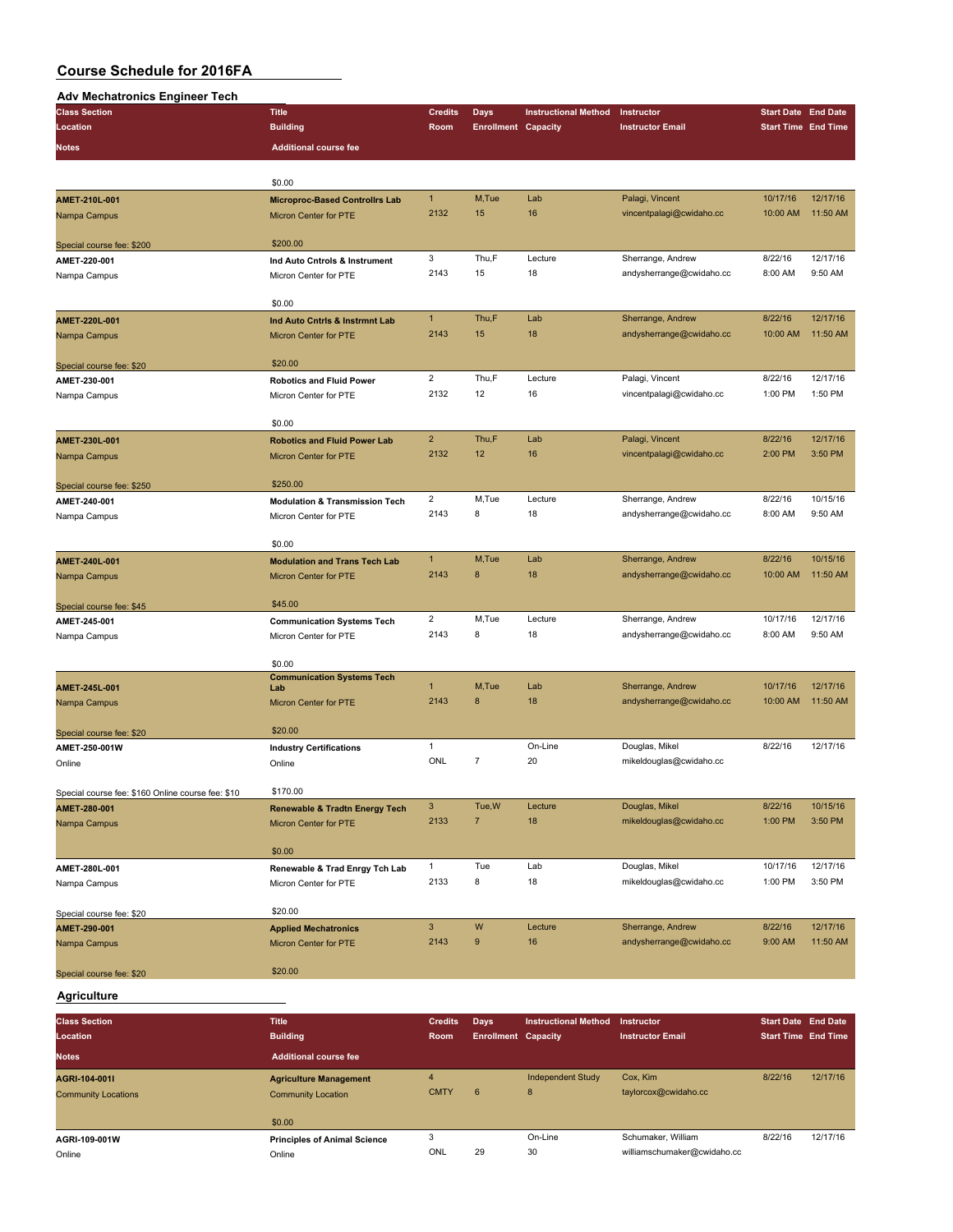#### **Adv Mechatronics Engineer Tech**

| Auv Mechauonics Engineer Tech                     |                                                          |                      |                            |                             |                                               |                            |          |
|---------------------------------------------------|----------------------------------------------------------|----------------------|----------------------------|-----------------------------|-----------------------------------------------|----------------------------|----------|
| <b>Class Section</b>                              | <b>Title</b>                                             | <b>Credits</b>       | Days                       | <b>Instructional Method</b> | Instructor                                    | <b>Start Date End Date</b> |          |
| Location                                          | <b>Building</b>                                          | Room                 | <b>Enrollment Capacity</b> |                             | <b>Instructor Email</b>                       | <b>Start Time End Time</b> |          |
| <b>Notes</b>                                      | <b>Additional course fee</b>                             |                      |                            |                             |                                               |                            |          |
|                                                   |                                                          |                      |                            |                             |                                               |                            |          |
|                                                   | \$0.00                                                   |                      |                            |                             |                                               |                            |          |
| AMET-210L-001                                     | <b>Microproc-Based Controllrs Lab</b>                    | $\mathbf{1}$         | M,Tue                      | Lab                         | Palagi, Vincent                               | 10/17/16                   | 12/17/16 |
| Nampa Campus                                      | <b>Micron Center for PTE</b>                             | 2132                 | 15                         | 16                          | vincentpalagi@cwidaho.cc                      | 10:00 AM                   | 11:50 AM |
|                                                   |                                                          |                      |                            |                             |                                               |                            |          |
| Special course fee: \$200                         | \$200.00                                                 |                      |                            |                             |                                               |                            |          |
| AMET-220-001                                      | Ind Auto Cntrols & Instrument                            | 3                    | Thu,F                      | Lecture                     | Sherrange, Andrew                             | 8/22/16                    | 12/17/16 |
| Nampa Campus                                      | Micron Center for PTE                                    | 2143                 | 15                         | 18                          | andysherrange@cwidaho.cc                      | 8:00 AM                    | 9:50 AM  |
|                                                   |                                                          |                      |                            |                             |                                               |                            |          |
|                                                   | \$0.00                                                   |                      |                            |                             |                                               |                            |          |
| AMET-220L-001                                     | Ind Auto Cntrls & Instrmnt Lab                           | $\mathbf{1}$         | Thu,F                      | Lab                         | Sherrange, Andrew                             | 8/22/16                    | 12/17/16 |
| Nampa Campus                                      | Micron Center for PTE                                    | 2143                 | 15                         | 18                          | andysherrange@cwidaho.cc                      | 10:00 AM                   | 11:50 AM |
|                                                   | \$20.00                                                  |                      |                            |                             |                                               |                            |          |
| Special course fee: \$20                          |                                                          | $\overline{c}$       | Thu,F                      | Lecture                     | Palagi, Vincent                               | 8/22/16                    | 12/17/16 |
| AMET-230-001                                      | <b>Robotics and Fluid Power</b><br>Micron Center for PTE | 2132                 | 12                         | 16                          | vincentpalagi@cwidaho.cc                      | 1:00 PM                    | 1:50 PM  |
| Nampa Campus                                      |                                                          |                      |                            |                             |                                               |                            |          |
|                                                   | \$0.00                                                   |                      |                            |                             |                                               |                            |          |
| AMET-230L-001                                     | <b>Robotics and Fluid Power Lab</b>                      | $\overline{2}$       | Thu,F                      | Lab                         | Palagi, Vincent                               | 8/22/16                    | 12/17/16 |
| Nampa Campus                                      | <b>Micron Center for PTE</b>                             | 2132                 | 12                         | 16                          | vincentpalagi@cwidaho.cc                      | 2:00 PM                    | 3:50 PM  |
|                                                   |                                                          |                      |                            |                             |                                               |                            |          |
| Special course fee: \$250                         | \$250.00                                                 |                      |                            |                             |                                               |                            |          |
| AMET-240-001                                      | <b>Modulation &amp; Transmission Tech</b>                | $\overline{2}$       | M,Tue                      | Lecture                     | Sherrange, Andrew                             | 8/22/16                    | 10/15/16 |
| Nampa Campus                                      | Micron Center for PTE                                    | 2143                 | 8                          | 18                          | andysherrange@cwidaho.cc                      | 8:00 AM                    | 9:50 AM  |
|                                                   |                                                          |                      |                            |                             |                                               |                            |          |
|                                                   | \$0.00                                                   |                      |                            |                             |                                               |                            |          |
| AMET-240L-001                                     | <b>Modulation and Trans Tech Lab</b>                     | $\mathbf{1}$         | M,Tue                      | Lab                         | Sherrange, Andrew                             | 8/22/16                    | 10/15/16 |
| Nampa Campus                                      | Micron Center for PTE                                    | 2143                 | 8                          | 18                          | andysherrange@cwidaho.cc                      | 10:00 AM                   | 11:50 AM |
|                                                   | \$45.00                                                  |                      |                            |                             |                                               |                            |          |
| Special course fee: \$45<br>AMET-245-001          | <b>Communication Systems Tech</b>                        | $\mathbf 2$          | M,Tue                      | Lecture                     | Sherrange, Andrew                             | 10/17/16                   | 12/17/16 |
| Nampa Campus                                      | Micron Center for PTE                                    | 2143                 | 8                          | 18                          | andysherrange@cwidaho.cc                      | 8:00 AM                    | 9:50 AM  |
|                                                   |                                                          |                      |                            |                             |                                               |                            |          |
|                                                   | \$0.00                                                   |                      |                            |                             |                                               |                            |          |
|                                                   | <b>Communication Systems Tech</b>                        |                      |                            |                             |                                               |                            | 12/17/16 |
| AMET-245L-001                                     | Lab                                                      | $\mathbf{1}$<br>2143 | M,Tue<br>8                 | Lab<br>18                   | Sherrange, Andrew<br>andysherrange@cwidaho.cc | 10/17/16<br>10:00 AM       | 11:50 AM |
| Nampa Campus                                      | Micron Center for PTE                                    |                      |                            |                             |                                               |                            |          |
| Special course fee: \$20                          | \$20.00                                                  |                      |                            |                             |                                               |                            |          |
| AMET-250-001W                                     | <b>Industry Certifications</b>                           | $\mathbf{1}$         |                            | On-Line                     | Douglas, Mikel                                | 8/22/16                    | 12/17/16 |
| Online                                            | Online                                                   | ONL                  | $\overline{7}$             | 20                          | mikeldouglas@cwidaho.cc                       |                            |          |
|                                                   |                                                          |                      |                            |                             |                                               |                            |          |
| Special course fee: \$160 Online course fee: \$10 | \$170.00                                                 |                      |                            |                             |                                               |                            |          |
| AMET-280-001                                      | <b>Renewable &amp; Tradtn Energy Tech</b>                | 3                    | Tue, W                     | Lecture                     | Douglas, Mikel                                | 8/22/16                    | 10/15/16 |
| Nampa Campus                                      | Micron Center for PTE                                    | 2133                 | $\overline{7}$             | 18                          | mikeldouglas@cwidaho.cc                       | 1:00 PM                    | 3:50 PM  |
|                                                   |                                                          |                      |                            |                             |                                               |                            |          |
|                                                   | \$0.00                                                   |                      |                            |                             |                                               |                            |          |
| AMET-280L-001                                     | Renewable & Trad Enrgy Tch Lab                           | $\mathbf{1}$         | Tue                        | Lab                         | Douglas, Mikel                                | 10/17/16                   | 12/17/16 |
| Nampa Campus                                      | Micron Center for PTE                                    | 2133                 | 8                          | 18                          | mikeldouglas@cwidaho.cc                       | 1:00 PM                    | 3:50 PM  |
|                                                   |                                                          |                      |                            |                             |                                               |                            |          |
| Special course fee: \$20                          | \$20.00                                                  |                      | W                          |                             |                                               |                            | 12/17/16 |
| AMET-290-001                                      | <b>Applied Mechatronics</b>                              | 3<br>2143            | 9                          | Lecture<br>16               | Sherrange, Andrew<br>andysherrange@cwidaho.cc | 8/22/16<br>9:00 AM         | 11:50 AM |
| Nampa Campus                                      | Micron Center for PTE                                    |                      |                            |                             |                                               |                            |          |
| Special course fee: \$20                          | \$20.00                                                  |                      |                            |                             |                                               |                            |          |
|                                                   |                                                          |                      |                            |                             |                                               |                            |          |

**Agriculture**

| <b>Class Section</b><br>Location            | <b>Title</b><br><b>Building</b>                            | <b>Credits</b><br>Room        | Days<br><b>Enrollment Capacity</b> | <b>Instructional Method</b>   | Instructor<br><b>Instructor Email</b>             | <b>Start Date End Date</b><br><b>Start Time End Time</b> |          |
|---------------------------------------------|------------------------------------------------------------|-------------------------------|------------------------------------|-------------------------------|---------------------------------------------------|----------------------------------------------------------|----------|
| <b>Notes</b>                                | <b>Additional course fee</b>                               |                               |                                    |                               |                                                   |                                                          |          |
| AGRI-104-001I<br><b>Community Locations</b> | <b>Agriculture Management</b><br><b>Community Location</b> | $\overline{a}$<br><b>CMTY</b> | 6                                  | <b>Independent Study</b><br>8 | Cox. Kim<br>taylorcox@cwidaho.cc                  | 8/22/16                                                  | 12/17/16 |
|                                             | \$0.00                                                     |                               |                                    |                               |                                                   |                                                          |          |
| AGRI-109-001W<br>Online                     | <b>Principles of Animal Science</b><br>Online              | 3<br>ONL                      | 29                                 | On-Line<br>30                 | Schumaker, William<br>williamschumaker@cwidaho.cc | 8/22/16                                                  | 12/17/16 |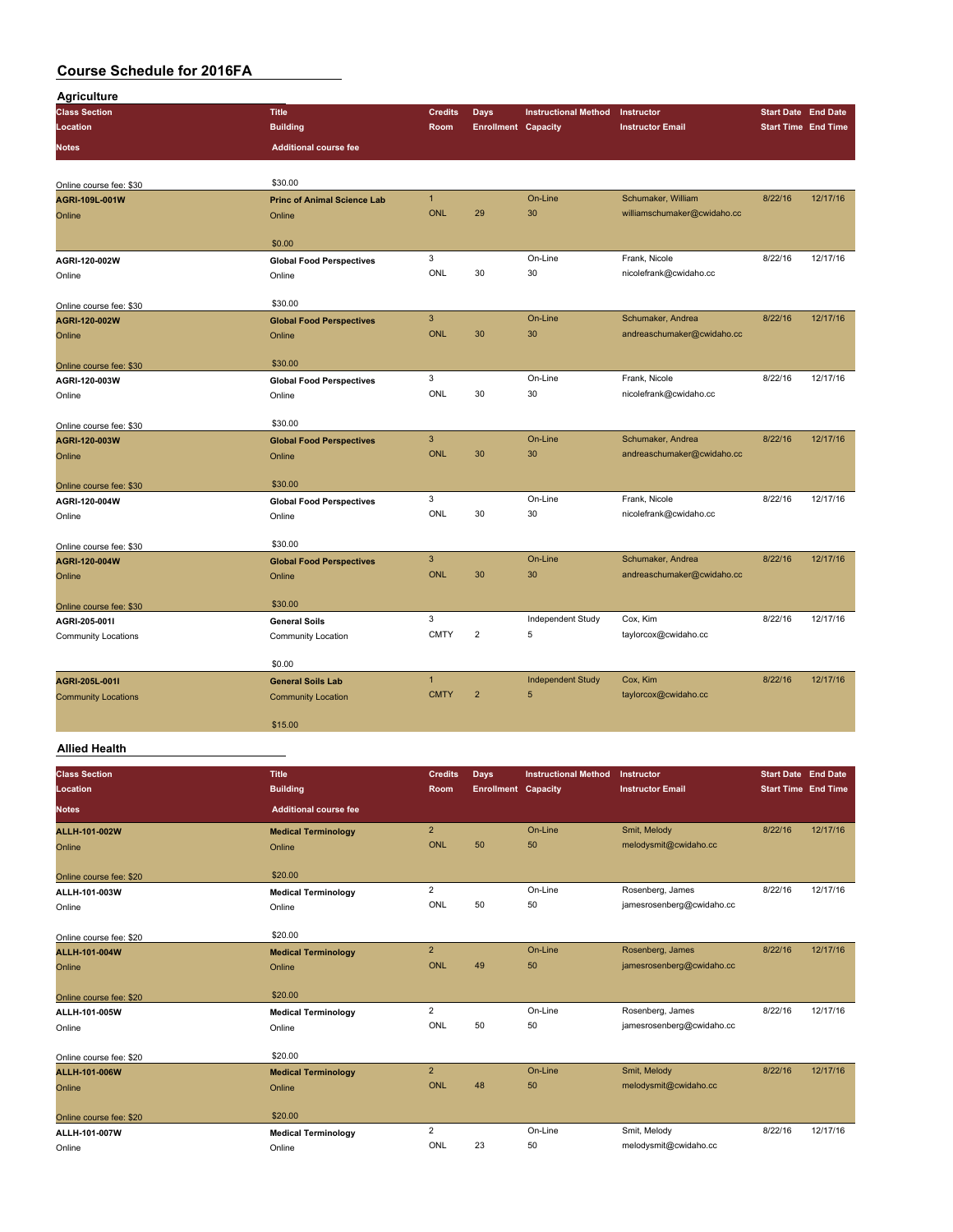| <b>Agriculture</b>         |                                    |                |                            |                             |                             |                            |          |
|----------------------------|------------------------------------|----------------|----------------------------|-----------------------------|-----------------------------|----------------------------|----------|
| <b>Class Section</b>       | <b>Title</b>                       | <b>Credits</b> | <b>Days</b>                | <b>Instructional Method</b> | Instructor                  | <b>Start Date End Date</b> |          |
| Location                   | <b>Building</b>                    | Room           | <b>Enrollment Capacity</b> |                             | <b>Instructor Email</b>     | <b>Start Time End Time</b> |          |
| <b>Notes</b>               | <b>Additional course fee</b>       |                |                            |                             |                             |                            |          |
| Online course fee: \$30    | \$30.00                            |                |                            |                             |                             |                            |          |
| AGRI-109L-001W             | <b>Princ of Animal Science Lab</b> | $\mathbf{1}$   |                            | On-Line                     | Schumaker, William          | 8/22/16                    | 12/17/16 |
| Online                     | Online                             | ONL            | 29                         | 30                          | williamschumaker@cwidaho.cc |                            |          |
|                            | \$0.00                             |                |                            |                             |                             |                            |          |
| AGRI-120-002W              | <b>Global Food Perspectives</b>    | 3              |                            | On-Line                     | Frank, Nicole               | 8/22/16                    | 12/17/16 |
| Online                     | Online                             | ONL            | 30                         | 30                          | nicolefrank@cwidaho.cc      |                            |          |
| Online course fee: \$30    | \$30.00                            |                |                            |                             |                             |                            |          |
| AGRI-120-002W              | <b>Global Food Perspectives</b>    | $\mathbf{3}$   |                            | On-Line                     | Schumaker, Andrea           | 8/22/16                    | 12/17/16 |
| Online                     | Online                             | <b>ONL</b>     | 30                         | 30                          | andreaschumaker@cwidaho.cc  |                            |          |
| Online course fee: \$30    | \$30.00                            |                |                            |                             |                             |                            |          |
| AGRI-120-003W              | <b>Global Food Perspectives</b>    | 3              |                            | On-Line                     | Frank, Nicole               | 8/22/16                    | 12/17/16 |
| Online                     | Online                             | ONL            | 30                         | 30                          | nicolefrank@cwidaho.cc      |                            |          |
| Online course fee: \$30    | \$30.00                            |                |                            |                             |                             |                            |          |
| AGRI-120-003W              | <b>Global Food Perspectives</b>    | $\mathbf{3}$   |                            | On-Line                     | Schumaker, Andrea           | 8/22/16                    | 12/17/16 |
| Online                     | Online                             | <b>ONL</b>     | 30                         | 30                          | andreaschumaker@cwidaho.cc  |                            |          |
| Online course fee: \$30    | \$30.00                            |                |                            |                             |                             |                            |          |
| AGRI-120-004W              | <b>Global Food Perspectives</b>    | 3              |                            | On-Line                     | Frank, Nicole               | 8/22/16                    | 12/17/16 |
| Online                     | Online                             | ONL            | 30                         | 30                          | nicolefrank@cwidaho.cc      |                            |          |
| Online course fee: \$30    | \$30.00                            |                |                            |                             |                             |                            |          |
| AGRI-120-004W              | <b>Global Food Perspectives</b>    | $\mathbf{3}$   |                            | On-Line                     | Schumaker, Andrea           | 8/22/16                    | 12/17/16 |
| Online                     | Online                             | <b>ONL</b>     | 30                         | 30                          | andreaschumaker@cwidaho.cc  |                            |          |
| Online course fee: \$30    | \$30.00                            |                |                            |                             |                             |                            |          |
| AGRI-205-001I              | <b>General Soils</b>               | 3              |                            | Independent Study           | Cox, Kim                    | 8/22/16                    | 12/17/16 |
| <b>Community Locations</b> | Community Location                 | <b>CMTY</b>    | $\overline{2}$             | 5                           | taylorcox@cwidaho.cc        |                            |          |
|                            | \$0.00                             |                |                            |                             |                             |                            |          |
| AGRI-205L-001I             | <b>General Soils Lab</b>           | $\mathbf{1}$   |                            | <b>Independent Study</b>    | Cox, Kim                    | 8/22/16                    | 12/17/16 |
| <b>Community Locations</b> | <b>Community Location</b>          | <b>CMTY</b>    | $\overline{2}$             | 5                           | taylorcox@cwidaho.cc        |                            |          |
|                            | \$15.00                            |                |                            |                             |                             |                            |          |

#### **Allied Health**

| <b>Class Section</b><br>Location | <b>Title</b><br><b>Building</b> | <b>Credits</b><br>Room | <b>Days</b><br><b>Enrollment Capacity</b> | <b>Instructional Method</b> | Instructor<br><b>Instructor Email</b> | <b>Start Date End Date</b><br><b>Start Time End Time</b> |          |
|----------------------------------|---------------------------------|------------------------|-------------------------------------------|-----------------------------|---------------------------------------|----------------------------------------------------------|----------|
| <b>Notes</b>                     | <b>Additional course fee</b>    |                        |                                           |                             |                                       |                                                          |          |
| ALLH-101-002W                    | <b>Medical Terminology</b>      | $\overline{2}$         |                                           | On-Line                     | Smit, Melody                          | 8/22/16                                                  | 12/17/16 |
| Online                           | Online                          | ONL                    | 50                                        | 50                          | melodysmit@cwidaho.cc                 |                                                          |          |
| Online course fee: \$20          | \$20.00                         |                        |                                           |                             |                                       |                                                          |          |
| ALLH-101-003W                    | <b>Medical Terminology</b>      | $\overline{2}$         |                                           | On-Line                     | Rosenberg, James                      | 8/22/16                                                  | 12/17/16 |
| Online                           | Online                          | ONL                    | 50                                        | 50                          | jamesrosenberg@cwidaho.cc             |                                                          |          |
| Online course fee: \$20          | \$20.00                         |                        |                                           |                             |                                       |                                                          |          |
| ALLH-101-004W                    | <b>Medical Terminology</b>      | $\overline{2}$         |                                           | On-Line                     | Rosenberg, James                      | 8/22/16                                                  | 12/17/16 |
| Online                           | Online                          | ONL                    | 49                                        | 50                          | jamesrosenberg@cwidaho.cc             |                                                          |          |
| Online course fee: \$20          | \$20.00                         |                        |                                           |                             |                                       |                                                          |          |
| ALLH-101-005W                    | <b>Medical Terminology</b>      | $\overline{2}$         |                                           | On-Line                     | Rosenberg, James                      | 8/22/16                                                  | 12/17/16 |
| Online                           | Online                          | ONL                    | 50                                        | 50                          | jamesrosenberg@cwidaho.cc             |                                                          |          |
| Online course fee: \$20          | \$20.00                         |                        |                                           |                             |                                       |                                                          |          |
| <b>ALLH-101-006W</b>             | <b>Medical Terminology</b>      | $\overline{2}$         |                                           | On-Line                     | Smit, Melody                          | 8/22/16                                                  | 12/17/16 |
| Online                           | Online                          | ONL                    | 48                                        | 50                          | melodysmit@cwidaho.cc                 |                                                          |          |
| Online course fee: \$20          | \$20.00                         |                        |                                           |                             |                                       |                                                          |          |
| ALLH-101-007W                    | <b>Medical Terminology</b>      | $\overline{2}$         |                                           | On-Line                     | Smit, Melody                          | 8/22/16                                                  | 12/17/16 |
| Online                           | Online                          | ONL                    | 23                                        | 50                          | melodysmit@cwidaho.cc                 |                                                          |          |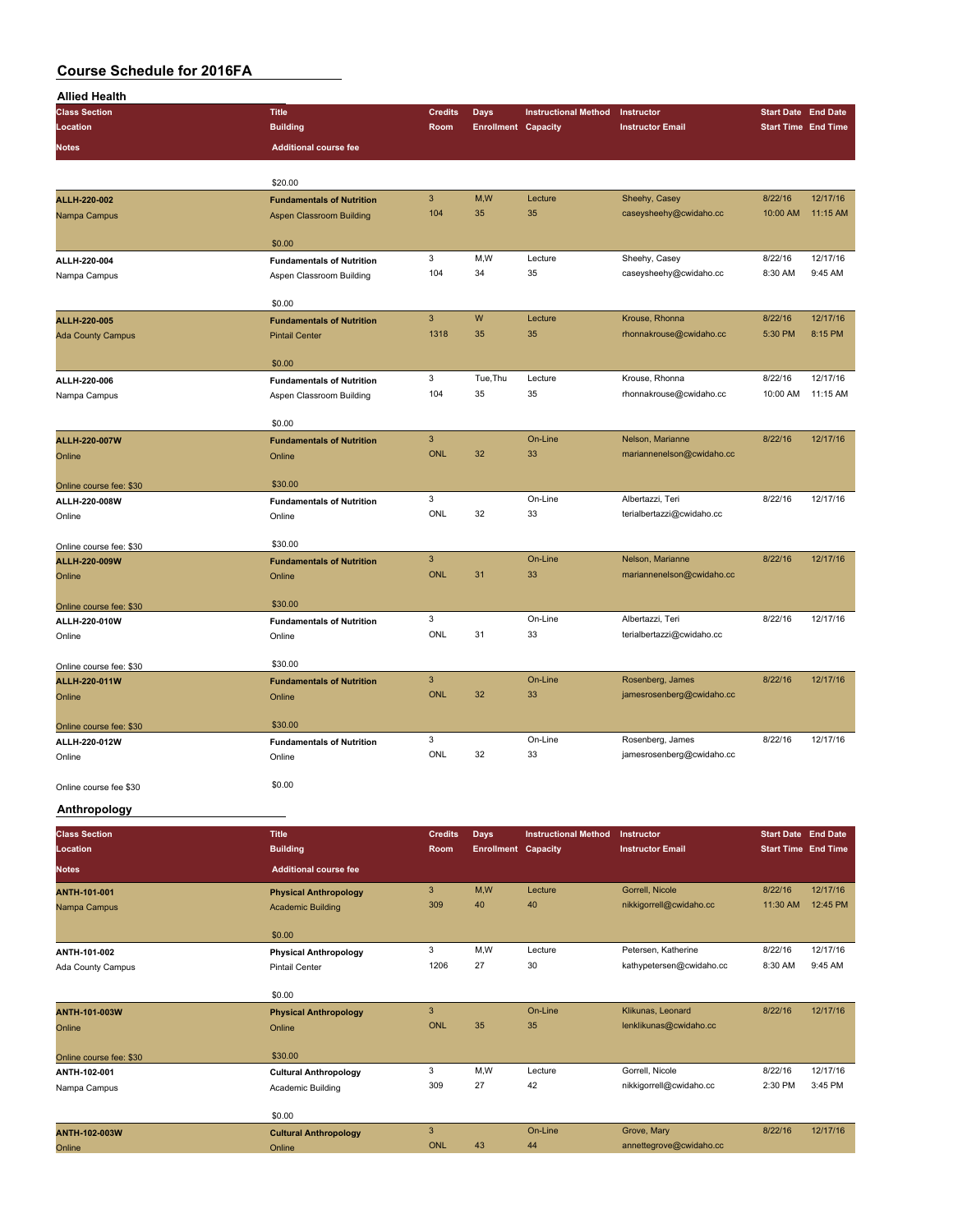| <b>Allied Health</b>                     |                                  |                |                            |                             |                                               |                            |          |
|------------------------------------------|----------------------------------|----------------|----------------------------|-----------------------------|-----------------------------------------------|----------------------------|----------|
| <b>Class Section</b>                     | <b>Title</b>                     | <b>Credits</b> | <b>Days</b>                | <b>Instructional Method</b> | Instructor                                    | <b>Start Date End Date</b> |          |
| Location                                 | <b>Building</b>                  | Room           | <b>Enrollment Capacity</b> |                             | <b>Instructor Email</b>                       | <b>Start Time End Time</b> |          |
| <b>Notes</b>                             | <b>Additional course fee</b>     |                |                            |                             |                                               |                            |          |
|                                          |                                  |                |                            |                             |                                               |                            |          |
|                                          | \$20.00                          |                |                            |                             |                                               |                            |          |
| ALLH-220-002                             | <b>Fundamentals of Nutrition</b> | 3              | M,W                        | Lecture                     | Sheehy, Casey                                 | 8/22/16                    | 12/17/16 |
| Nampa Campus                             | Aspen Classroom Building         | 104            | 35                         | 35                          | caseysheehy@cwidaho.cc                        | 10:00 AM                   | 11:15 AM |
|                                          |                                  |                |                            |                             |                                               |                            |          |
|                                          | \$0.00                           |                |                            |                             |                                               |                            |          |
| ALLH-220-004                             | <b>Fundamentals of Nutrition</b> | 3              | M,W                        | Lecture                     | Sheehy, Casey                                 | 8/22/16                    | 12/17/16 |
| Nampa Campus                             | Aspen Classroom Building         | 104            | 34                         | 35                          | caseysheehy@cwidaho.cc                        | 8:30 AM                    | 9:45 AM  |
|                                          |                                  |                |                            |                             |                                               |                            |          |
|                                          | \$0.00                           | 3              | W                          | Lecture                     | Krouse, Rhonna                                | 8/22/16                    | 12/17/16 |
| ALLH-220-005                             | <b>Fundamentals of Nutrition</b> | 1318           | 35                         | 35                          | rhonnakrouse@cwidaho.cc                       | 5:30 PM                    | 8:15 PM  |
| <b>Ada County Campus</b>                 | <b>Pintail Center</b>            |                |                            |                             |                                               |                            |          |
|                                          | \$0.00                           |                |                            |                             |                                               |                            |          |
| ALLH-220-006                             | <b>Fundamentals of Nutrition</b> | 3              | Tue, Thu                   | Lecture                     | Krouse, Rhonna                                | 8/22/16                    | 12/17/16 |
| Nampa Campus                             | Aspen Classroom Building         | 104            | 35                         | 35                          | rhonnakrouse@cwidaho.cc                       | 10:00 AM                   | 11:15 AM |
|                                          |                                  |                |                            |                             |                                               |                            |          |
|                                          | \$0.00                           |                |                            |                             |                                               |                            |          |
| ALLH-220-007W                            | <b>Fundamentals of Nutrition</b> | 3              |                            | On-Line                     | Nelson, Marianne                              | 8/22/16                    | 12/17/16 |
| Online                                   | Online                           | <b>ONL</b>     | 32                         | 33                          | mariannenelson@cwidaho.cc                     |                            |          |
|                                          |                                  |                |                            |                             |                                               |                            |          |
| Online course fee: \$30                  | \$30.00                          |                |                            |                             |                                               |                            |          |
| ALLH-220-008W                            | <b>Fundamentals of Nutrition</b> | 3              |                            | On-Line                     | Albertazzi, Teri                              | 8/22/16                    | 12/17/16 |
| Online                                   | Online                           | ONL            | 32                         | 33                          | terialbertazzi@cwidaho.cc                     |                            |          |
|                                          | \$30.00                          |                |                            |                             |                                               |                            |          |
| Online course fee: \$30<br>ALLH-220-009W | <b>Fundamentals of Nutrition</b> | 3              |                            | On-Line                     | Nelson, Marianne                              | 8/22/16                    | 12/17/16 |
| Online                                   | Online                           | <b>ONL</b>     | 31                         | 33                          | mariannenelson@cwidaho.cc                     |                            |          |
|                                          |                                  |                |                            |                             |                                               |                            |          |
| Online course fee: \$30                  | \$30.00                          |                |                            |                             |                                               |                            |          |
| ALLH-220-010W                            | <b>Fundamentals of Nutrition</b> | 3              |                            | On-Line                     | Albertazzi, Teri                              | 8/22/16                    | 12/17/16 |
| Online                                   | Online                           | ONL            | 31                         | 33                          | terialbertazzi@cwidaho.cc                     |                            |          |
|                                          |                                  |                |                            |                             |                                               |                            |          |
| Online course fee: \$30                  | \$30.00                          |                |                            |                             |                                               |                            |          |
| <b>ALLH-220-011W</b>                     | <b>Fundamentals of Nutrition</b> | 3              |                            | On-Line                     | Rosenberg, James                              | 8/22/16                    | 12/17/16 |
| Online                                   | Online                           | <b>ONL</b>     | 32                         | 33                          | jamesrosenberg@cwidaho.cc                     |                            |          |
|                                          |                                  |                |                            |                             |                                               |                            |          |
| Online course fee: \$30                  | \$30.00                          |                |                            | On-Line                     |                                               | 8/22/16                    | 12/17/16 |
| ALLH-220-012W                            | <b>Fundamentals of Nutrition</b> | 3<br>ONL       | 32                         | 33                          | Rosenberg, James<br>jamesrosenberg@cwidaho.cc |                            |          |
| Online                                   | Online                           |                |                            |                             |                                               |                            |          |
| Online course fee \$30                   | \$0.00                           |                |                            |                             |                                               |                            |          |
|                                          |                                  |                |                            |                             |                                               |                            |          |
| Anthropology                             |                                  |                |                            |                             |                                               |                            |          |
| <b>Class Section</b>                     | <b>Title</b>                     | <b>Credits</b> | <b>Days</b>                | <b>Instructional Method</b> | Instructor                                    | <b>Start Date End Date</b> |          |
| Location                                 | <b>Building</b>                  | Room           | <b>Enrollment Capacity</b> |                             | <b>Instructor Email</b>                       | <b>Start Time</b> End Time |          |
|                                          |                                  |                |                            |                             |                                               |                            |          |
| <b>Notes</b>                             | <b>Additional course fee</b>     |                |                            |                             |                                               |                            |          |
| ANTH-101-001                             | <b>Physical Anthropology</b>     | $\mathbf{3}$   | M,W                        | Lecture                     | Gorrell, Nicole                               | 8/22/16                    | 12/17/16 |
| Nampa Campus                             | <b>Academic Building</b>         | 309            | 40                         | 40                          | nikkigorrell@cwidaho.cc                       | 11:30 AM                   | 12:45 PM |
|                                          |                                  |                |                            |                             |                                               |                            |          |
|                                          | \$0.00                           |                |                            |                             |                                               |                            |          |
| ANTH-101-002                             | <b>Physical Anthropology</b>     | 3              | M,W                        | Lecture                     | Petersen, Katherine                           | 8/22/16                    | 12/17/16 |
| Ada County Campus                        | Pintail Center                   | 1206           | 27                         | 30                          | kathypetersen@cwidaho.cc                      | 8:30 AM                    | 9:45 AM  |
|                                          | \$0.00                           |                |                            |                             |                                               |                            |          |
| ANTH-101-003W                            | <b>Physical Anthropology</b>     | $\mathbf{3}$   |                            | On-Line                     | Klikunas, Leonard                             | 8/22/16                    | 12/17/16 |
| Online                                   | Online                           | <b>ONL</b>     | 35                         | 35                          | lenklikunas@cwidaho.cc                        |                            |          |
|                                          |                                  |                |                            |                             |                                               |                            |          |
| Online course fee: \$30                  | \$30.00                          |                |                            |                             |                                               |                            |          |
| ANTH-102-001                             | <b>Cultural Anthropology</b>     | 3              | M,W                        | Lecture                     | Gorrell, Nicole                               | 8/22/16                    | 12/17/16 |
| Nampa Campus                             | Academic Building                | 309            | 27                         | 42                          | nikkigorrell@cwidaho.cc                       | 2:30 PM                    | 3:45 PM  |
|                                          |                                  |                |                            |                             |                                               |                            |          |
|                                          | \$0.00                           |                |                            |                             |                                               |                            |          |

|                      | <b>JU.UU</b>                 |            |         |                         |         |          |
|----------------------|------------------------------|------------|---------|-------------------------|---------|----------|
| <b>ANTH-102-003W</b> | <b>Cultural Anthropology</b> |            | On-Line | Grove, Mary             | 8/22/16 | 12/17/16 |
| Online               | Online                       | <b>ONL</b> | 44      | annettegrove@cwidaho.cc |         |          |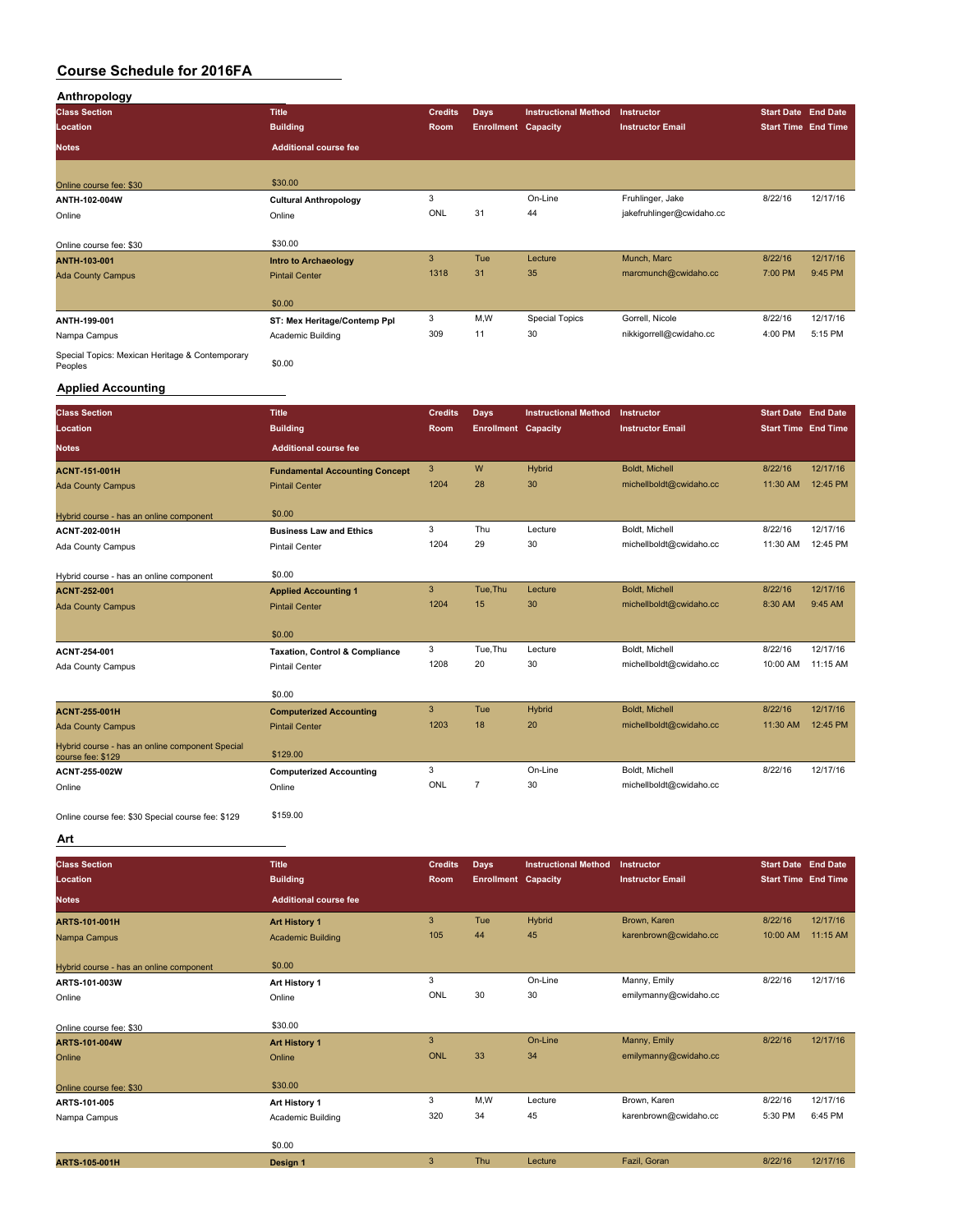| Anthropology                                               |                              |                |                            |                             |                           |                            |          |
|------------------------------------------------------------|------------------------------|----------------|----------------------------|-----------------------------|---------------------------|----------------------------|----------|
| <b>Class Section</b>                                       | <b>Title</b>                 | <b>Credits</b> | <b>Days</b>                | <b>Instructional Method</b> | Instructor                | <b>Start Date End Date</b> |          |
| Location                                                   | <b>Building</b>              | Room           | <b>Enrollment Capacity</b> |                             | <b>Instructor Email</b>   | <b>Start Time End Time</b> |          |
| <b>Notes</b>                                               | <b>Additional course fee</b> |                |                            |                             |                           |                            |          |
| Online course fee: \$30                                    | \$30.00                      |                |                            |                             |                           |                            |          |
| ANTH-102-004W                                              | <b>Cultural Anthropology</b> | 3              |                            | On-Line                     | Fruhlinger, Jake          | 8/22/16                    | 12/17/16 |
| Online                                                     | Online                       | ONL            | 31                         | 44                          | jakefruhlinger@cwidaho.cc |                            |          |
| Online course fee: \$30                                    | \$30.00                      |                |                            |                             |                           |                            |          |
| <b>ANTH-103-001</b>                                        | <b>Intro to Archaeology</b>  | 3              | Tue                        | Lecture                     | Munch, Marc               | 8/22/16                    | 12/17/16 |
| <b>Ada County Campus</b>                                   | <b>Pintail Center</b>        | 1318           | 31                         | 35                          | marcmunch@cwidaho.cc      | 7:00 PM                    | 9:45 PM  |
|                                                            | \$0.00                       |                |                            |                             |                           |                            |          |
| ANTH-199-001                                               | ST: Mex Heritage/Contemp Ppl | 3              | M,W                        | <b>Special Topics</b>       | Gorrell, Nicole           | 8/22/16                    | 12/17/16 |
| Nampa Campus                                               | Academic Building            | 309            | 11                         | 30                          | nikkigorrell@cwidaho.cc   | 4:00 PM                    | 5:15 PM  |
| Special Topics: Mexican Heritage & Contemporary<br>Peoples | \$0.00                       |                |                            |                             |                           |                            |          |
| <b>Applied Accounting</b>                                  |                              |                |                            |                             |                           |                            |          |

#### **Class Section Title Credits Days Instructional Method Instructor Start Date End Date Location Building Room Enrollment Capacity Instructor Email Start Time End Time Notes Additional course fee ACNT-151-001H Fundamental Accounting Concept** 3 W Hybrid Boldt, Michell 8/22/16 12/17/16 Ada County Campus Pintail Center 1204 28 30 michellboldt@cwidaho.cc 11:30 AM 12:45 PM Hybrid course - has an online component \$0.00 **ACNT-202-001H Business Law and Ethics** 3 Thu Lecture Boldt, Michell 8/22/16 12/17/16<br> **Ada County Campus** 20 Pintail Center 1204 29 30 michellboldt@owidaho.cc 11:30 AM 12:45 PM Ada County Campus **Ada County Campus** Pintail Center 1204 1204 29 30 michellboldt@cwidaho.cc Hybrid course - has an online component \$0.00 **ACNT-252-001 Applied Accounting 1** 3 Tue,Thu Lecture Boldt, Michell 8/22/16 12/17/16 Ada County Campus **Pintail Center 1204** 15 30 michellboldt@cwidaho.cc 8:30 michellboldt@cwidaho.cc \$0.00 **ACNT-254-001 Taxation, Control & Compliance** 3 Tue,Thu Lecture Boldt, Michell 8/22/16 12/17/16<br>
Ada County Campus Pintail Center 1208 20 30 michellboldt@cwidaho.cc 10:00 AM 11:15 AM Ada County Campus **Ada County Campus** Pintail Center 1208 1208 20 30 michellboldt@cwidaho.cc

|                                                                      | \$0.00                         |      |     |         |                         |          |          |
|----------------------------------------------------------------------|--------------------------------|------|-----|---------|-------------------------|----------|----------|
| <b>ACNT-255-001H</b>                                                 | <b>Computerized Accounting</b> |      | Tue | Hybrid  | Boldt, Michell          | 8/22/16  | 12/17/16 |
| <b>Ada County Campus</b>                                             | <b>Pintail Center</b>          | 1203 | 18  | 20      | michellboldt@cwidaho.cc | 11:30 AM | 12:45 PM |
| Hybrid course - has an online component Special<br>course fee: \$129 | \$129.00                       |      |     |         |                         |          |          |
| ACNT-255-002W                                                        | <b>Computerized Accounting</b> |      |     | On-Line | Boldt, Michell          | 8/22/16  | 12/17/16 |
| Online                                                               | Online                         | ONL  |     | 30      | michellboldt@cwidaho.cc |          |          |

Online course fee: \$30 Special course fee: \$129 \$159.00

**Art**

| <b>Class Section</b>                    | <b>Title</b>                 | <b>Credits</b> | <b>Days</b>                | <b>Instructional Method</b> | Instructor              | <b>Start Date End Date</b> |          |
|-----------------------------------------|------------------------------|----------------|----------------------------|-----------------------------|-------------------------|----------------------------|----------|
| Location                                | <b>Building</b>              | Room           | <b>Enrollment Capacity</b> |                             | <b>Instructor Email</b> | <b>Start Time End Time</b> |          |
| Notes,                                  | <b>Additional course fee</b> |                |                            |                             |                         |                            |          |
| <b>ARTS-101-001H</b>                    | <b>Art History 1</b>         | 3              | Tue                        | Hybrid                      | Brown, Karen            | 8/22/16                    | 12/17/16 |
| Nampa Campus                            | <b>Academic Building</b>     | 105            | 44                         | 45                          | karenbrown@cwidaho.cc   | 10:00 AM                   | 11:15 AM |
| Hybrid course - has an online component | \$0.00                       |                |                            |                             |                         |                            |          |
| ARTS-101-003W                           | Art History 1                | 3              |                            | On-Line                     | Manny, Emily            | 8/22/16                    | 12/17/16 |
| Online                                  | Online                       | ONL            | 30                         | 30                          | emilymanny@cwidaho.cc   |                            |          |
| Online course fee: \$30                 | \$30.00                      |                |                            |                             |                         |                            |          |
| <b>ARTS-101-004W</b>                    | <b>Art History 1</b>         | $\mathbf{3}$   |                            | On-Line                     | Manny, Emily            | 8/22/16                    | 12/17/16 |
| Online                                  | Online                       | <b>ONL</b>     | 33                         | 34                          | emilymanny@cwidaho.cc   |                            |          |
| Online course fee: \$30                 | \$30.00                      |                |                            |                             |                         |                            |          |
| ARTS-101-005                            | Art History 1                | 3              | M,W                        | Lecture                     | Brown, Karen            | 8/22/16                    | 12/17/16 |
| Nampa Campus                            | Academic Building            | 320            | 34                         | 45                          | karenbrown@cwidaho.cc   | 5:30 PM                    | 6:45 PM  |
|                                         | \$0.00                       |                |                            |                             |                         |                            |          |
| <b>ARTS-105-001H</b>                    | Design 1                     | 3              | Thu                        | Lecture                     | Fazil, Goran            | 8/22/16                    | 12/17/16 |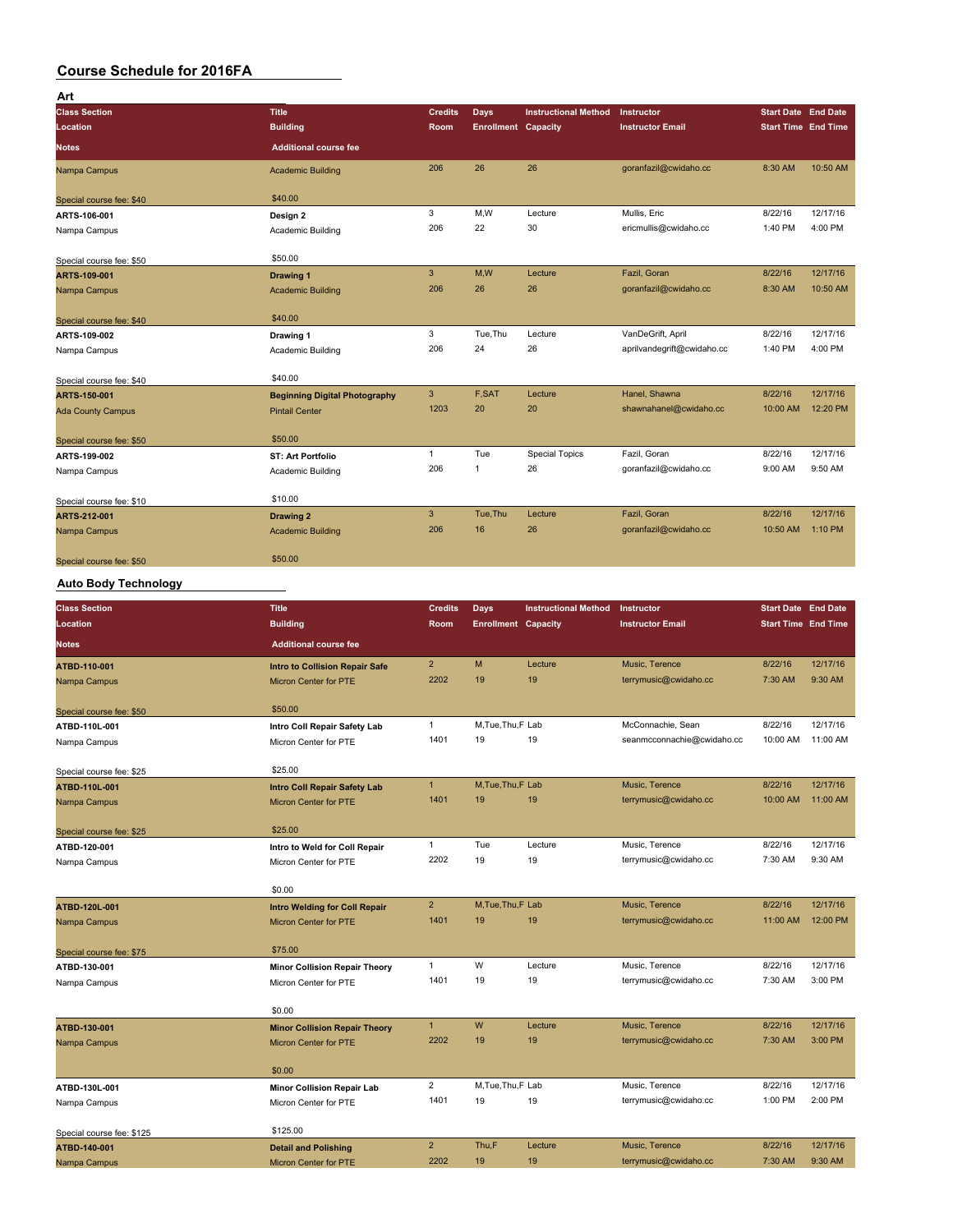| Art                      |                                      |                |                            |                             |                            |                            |          |
|--------------------------|--------------------------------------|----------------|----------------------------|-----------------------------|----------------------------|----------------------------|----------|
| <b>Class Section</b>     | <b>Title</b>                         | <b>Credits</b> | Days                       | <b>Instructional Method</b> | Instructor                 | <b>Start Date End Date</b> |          |
| Location                 | <b>Building</b>                      | Room           | <b>Enrollment Capacity</b> |                             | <b>Instructor Email</b>    | <b>Start Time End Time</b> |          |
| <b>Notes</b>             | <b>Additional course fee</b>         |                |                            |                             |                            |                            |          |
| Nampa Campus             | <b>Academic Building</b>             | 206            | 26                         | 26                          | goranfazil@cwidaho.cc      | 8:30 AM                    | 10:50 AM |
| Special course fee: \$40 | \$40.00                              |                |                            |                             |                            |                            |          |
| ARTS-106-001             | Design 2                             | 3              | M,W                        | Lecture                     | Mullis, Eric               | 8/22/16                    | 12/17/16 |
| Nampa Campus             | Academic Building                    | 206            | 22                         | 30                          | ericmullis@cwidaho.cc      | 1:40 PM                    | 4:00 PM  |
| Special course fee: \$50 | \$50.00                              |                |                            |                             |                            |                            |          |
| ARTS-109-001             | <b>Drawing 1</b>                     | 3              | M,W                        | Lecture                     | Fazil, Goran               | 8/22/16                    | 12/17/16 |
| Nampa Campus             | <b>Academic Building</b>             | 206            | 26                         | 26                          | qoranfazil@cwidaho.cc      | 8:30 AM                    | 10:50 AM |
| Special course fee: \$40 | \$40.00                              |                |                            |                             |                            |                            |          |
| ARTS-109-002             | Drawing 1                            | 3              | Tue, Thu                   | Lecture                     | VanDeGrift, April          | 8/22/16                    | 12/17/16 |
| Nampa Campus             | Academic Building                    | 206            | 24                         | 26                          | aprilvandegrift@cwidaho.cc | 1:40 PM                    | 4:00 PM  |
| Special course fee: \$40 | \$40.00                              |                |                            |                             |                            |                            |          |
| ARTS-150-001             | <b>Beginning Digital Photography</b> | 3              | F,SAT                      | Lecture                     | Hanel, Shawna              | 8/22/16                    | 12/17/16 |
| <b>Ada County Campus</b> | <b>Pintail Center</b>                | 1203           | 20                         | 20                          | shawnahanel@cwidaho.cc     | 10:00 AM                   | 12:20 PM |
| Special course fee: \$50 | \$50.00                              |                |                            |                             |                            |                            |          |
| ARTS-199-002             | <b>ST: Art Portfolio</b>             | $\mathbf{1}$   | Tue                        | <b>Special Topics</b>       | Fazil, Goran               | 8/22/16                    | 12/17/16 |
| Nampa Campus             | Academic Building                    | 206            | $\mathbf{1}$               | 26                          | goranfazil@cwidaho.cc      | 9:00 AM                    | 9:50 AM  |
| Special course fee: \$10 | \$10.00                              |                |                            |                             |                            |                            |          |
| ARTS-212-001             | Drawing 2                            | 3              | Tue, Thu                   | Lecture                     | Fazil, Goran               | 8/22/16                    | 12/17/16 |
| Nampa Campus             | <b>Academic Building</b>             | 206            | 16                         | 26                          | goranfazil@cwidaho.cc      | 10:50 AM                   | 1:10 PM  |
| Special course fee: \$50 | \$50.00                              |                |                            |                             |                            |                            |          |

#### **Auto Body Technology**

| <b>Class Section</b>      | <b>Title</b>                          | <b>Credits</b> | <b>Days</b>                | <b>Instructional Method</b> | Instructor                 | <b>Start Date End Date</b> |          |
|---------------------------|---------------------------------------|----------------|----------------------------|-----------------------------|----------------------------|----------------------------|----------|
| Location                  | <b>Building</b>                       | Room           | <b>Enrollment Capacity</b> |                             | <b>Instructor Email</b>    | <b>Start Time End Time</b> |          |
| <b>Notes</b>              | <b>Additional course fee</b>          |                |                            |                             |                            |                            |          |
| ATBD-110-001              | <b>Intro to Collision Repair Safe</b> | $\overline{2}$ | M                          | Lecture                     | Music, Terence             | 8/22/16                    | 12/17/16 |
| Nampa Campus              | <b>Micron Center for PTE</b>          | 2202           | 19                         | 19                          | terrymusic@cwidaho.cc      | 7:30 AM                    | 9:30 AM  |
| Special course fee: \$50  | \$50.00                               |                |                            |                             |                            |                            |          |
| ATBD-110L-001             | Intro Coll Repair Safety Lab          | $\mathbf{1}$   | M.Tue.Thu.F Lab            |                             | McConnachie, Sean          | 8/22/16                    | 12/17/16 |
| Nampa Campus              | Micron Center for PTE                 | 1401           | 19                         | 19                          | seanmcconnachie@cwidaho.cc | 10:00 AM                   | 11:00 AM |
| Special course fee: \$25  | \$25.00                               |                |                            |                             |                            |                            |          |
| ATBD-110L-001             | <b>Intro Coll Repair Safety Lab</b>   | $\mathbf{1}$   | M.Tue.Thu.F Lab            |                             | Music, Terence             | 8/22/16                    | 12/17/16 |
| Nampa Campus              | Micron Center for PTE                 | 1401           | 19                         | 19                          | terrymusic@cwidaho.cc      | 10:00 AM                   | 11:00 AM |
| Special course fee: \$25  | \$25.00                               |                |                            |                             |                            |                            |          |
| ATBD-120-001              | Intro to Weld for Coll Repair         | $\mathbf{1}$   | Tue                        | Lecture                     | Music, Terence             | 8/22/16                    | 12/17/16 |
| Nampa Campus              | Micron Center for PTE                 | 2202           | 19                         | 19                          | terrymusic@cwidaho.cc      | 7:30 AM                    | 9:30 AM  |
|                           | \$0.00                                |                |                            |                             |                            |                            |          |
| ATBD-120L-001             | <b>Intro Welding for Coll Repair</b>  | $\overline{2}$ | M.Tue.Thu.F Lab            |                             | Music, Terence             | 8/22/16                    | 12/17/16 |
| Nampa Campus              | <b>Micron Center for PTE</b>          | 1401           | 19                         | 19                          | terrymusic@cwidaho.cc      | 11:00 AM                   | 12:00 PM |
| Special course fee: \$75  | \$75.00                               |                |                            |                             |                            |                            |          |
| ATBD-130-001              | <b>Minor Collision Repair Theory</b>  | $\mathbf{1}$   | W                          | Lecture                     | Music, Terence             | 8/22/16                    | 12/17/16 |
| Nampa Campus              | Micron Center for PTE                 | 1401           | 19                         | 19                          | terrymusic@cwidaho.cc      | 7:30 AM                    | 3:00 PM  |
|                           | \$0.00                                |                |                            |                             |                            |                            |          |
| ATBD-130-001              | <b>Minor Collision Repair Theory</b>  | $\mathbf{1}$   | W                          | Lecture                     | Music, Terence             | 8/22/16                    | 12/17/16 |
| Nampa Campus              | <b>Micron Center for PTE</b>          | 2202           | 19                         | 19                          | terrymusic@cwidaho.cc      | 7:30 AM                    | 3:00 PM  |
|                           | \$0.00                                |                |                            |                             |                            |                            |          |
| ATBD-130L-001             | <b>Minor Collision Repair Lab</b>     | $\overline{2}$ | M.Tue.Thu.F Lab            |                             | Music, Terence             | 8/22/16                    | 12/17/16 |
| Nampa Campus              | Micron Center for PTE                 | 1401           | 19                         | 19                          | terrymusic@cwidaho.cc      | 1:00 PM                    | 2:00 PM  |
| Special course fee: \$125 | \$125.00                              |                |                            |                             |                            |                            |          |
| ATBD-140-001              | <b>Detail and Polishing</b>           | $\overline{2}$ | Thu,F                      | Lecture                     | Music, Terence             | 8/22/16                    | 12/17/16 |
| Nampa Campus              | Micron Center for PTE                 | 2202           | 19                         | 19                          | terrymusic@cwidaho.cc      | 7:30 AM                    | 9:30 AM  |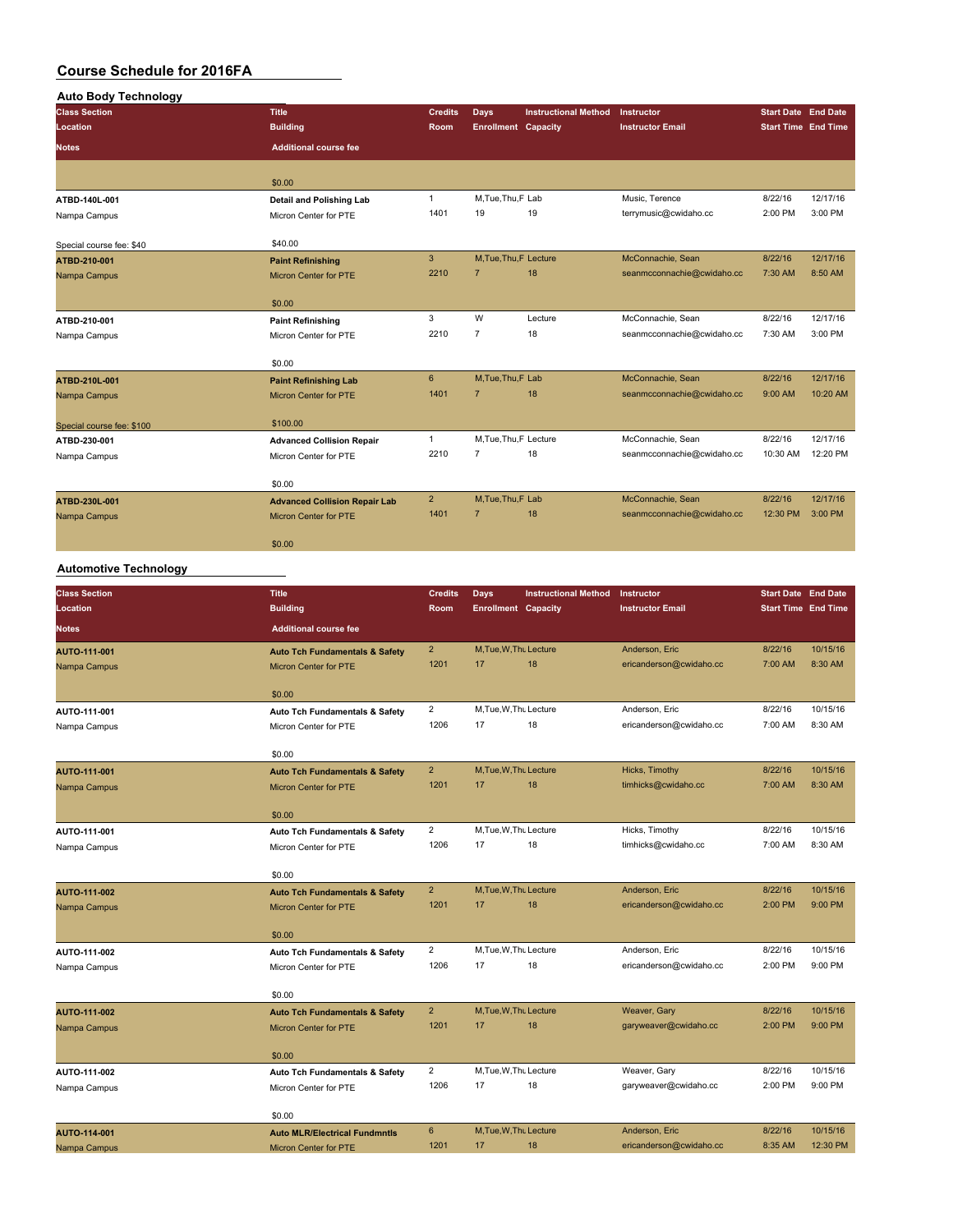| <b>Auto Body Technology</b> |                                      |                |                            |                             |                            |                            |          |
|-----------------------------|--------------------------------------|----------------|----------------------------|-----------------------------|----------------------------|----------------------------|----------|
| <b>Class Section</b>        | <b>Title</b>                         | <b>Credits</b> | Days                       | <b>Instructional Method</b> | Instructor                 | <b>Start Date End Date</b> |          |
| Location                    | <b>Building</b>                      | Room           | <b>Enrollment Capacity</b> |                             | <b>Instructor Email</b>    | <b>Start Time End Time</b> |          |
| <b>Notes</b>                | <b>Additional course fee</b>         |                |                            |                             |                            |                            |          |
|                             | \$0.00                               |                |                            |                             |                            |                            |          |
| ATBD-140L-001               | Detail and Polishing Lab             | $\mathbf{1}$   | M, Tue, Thu, F Lab         |                             | Music, Terence             | 8/22/16                    | 12/17/16 |
| Nampa Campus                | Micron Center for PTE                | 1401           | 19                         | 19                          | terrymusic@cwidaho.cc      | 2:00 PM                    | 3:00 PM  |
| Special course fee: \$40    | \$40.00                              |                |                            |                             |                            |                            |          |
| ATBD-210-001                | <b>Paint Refinishing</b>             | 3              | M.Tue.Thu.F Lecture        |                             | McConnachie, Sean          | 8/22/16                    | 12/17/16 |
| Nampa Campus                | <b>Micron Center for PTE</b>         | 2210           | $\overline{7}$             | 18                          | seanmcconnachie@cwidaho.cc | 7:30 AM                    | 8:50 AM  |
|                             | \$0.00                               |                |                            |                             |                            |                            |          |
| ATBD-210-001                | <b>Paint Refinishing</b>             | 3              | W                          | Lecture                     | McConnachie, Sean          | 8/22/16                    | 12/17/16 |
| Nampa Campus                | Micron Center for PTE                | 2210           | $\overline{7}$             | 18                          | seanmcconnachie@cwidaho.cc | 7:30 AM                    | 3:00 PM  |
|                             | \$0.00                               |                |                            |                             |                            |                            |          |
| ATBD-210L-001               | <b>Paint Refinishing Lab</b>         | $6\phantom{1}$ | M, Tue, Thu, F Lab         |                             | McConnachie, Sean          | 8/22/16                    | 12/17/16 |
| Nampa Campus                | <b>Micron Center for PTE</b>         | 1401           | $\overline{7}$             | 18                          | seanmcconnachie@cwidaho.cc | 9:00 AM                    | 10:20 AM |
| Special course fee: \$100   | \$100.00                             |                |                            |                             |                            |                            |          |
| ATBD-230-001                | <b>Advanced Collision Repair</b>     | $\mathbf{1}$   | M, Tue, Thu, F Lecture     |                             | McConnachie, Sean          | 8/22/16                    | 12/17/16 |
| Nampa Campus                | Micron Center for PTE                | 2210           | $\overline{7}$             | 18                          | seanmcconnachie@cwidaho.cc | 10:30 AM                   | 12:20 PM |
|                             | \$0.00                               |                |                            |                             |                            |                            |          |
| ATBD-230L-001               | <b>Advanced Collision Repair Lab</b> | $\overline{2}$ | M, Tue, Thu, F Lab         |                             | McConnachie, Sean          | 8/22/16                    | 12/17/16 |
| Nampa Campus                | <b>Micron Center for PTE</b>         | 1401           | $\overline{7}$             | 18                          | seanmcconnachie@cwidaho.cc | 12:30 PM                   | 3:00 PM  |
|                             | \$0.00                               |                |                            |                             |                            |                            |          |

#### **Automotive Technology**

| <b>Class Section</b> | <b>Title</b>                                        | <b>Credits</b> | <b>Days</b>                | <b>Instructional Method</b> | Instructor                            | <b>Start Date End Date</b> |          |
|----------------------|-----------------------------------------------------|----------------|----------------------------|-----------------------------|---------------------------------------|----------------------------|----------|
| Location             | <b>Building</b>                                     | Room           | <b>Enrollment Capacity</b> |                             | <b>Instructor Email</b>               | <b>Start Time End Time</b> |          |
| Notes                | <b>Additional course fee</b>                        |                |                            |                             |                                       |                            |          |
| AUTO-111-001         | <b>Auto Tch Fundamentals &amp; Safety</b>           | $\overline{2}$ | M.Tue.W.Thu Lecture        |                             | Anderson, Eric                        | 8/22/16                    | 10/15/16 |
| Nampa Campus         | Micron Center for PTE                               | 1201           | 17                         | 18                          | ericanderson@cwidaho.cc               | 7:00 AM                    | 8:30 AM  |
|                      | \$0.00                                              |                |                            |                             |                                       |                            |          |
| AUTO-111-001         | Auto Tch Fundamentals & Safety                      | $\overline{2}$ | M.Tue, W.Thu Lecture       |                             | Anderson, Eric                        | 8/22/16                    | 10/15/16 |
| Nampa Campus         | Micron Center for PTE                               | 1206           | 17                         | 18                          | ericanderson@cwidaho.cc               | 7:00 AM                    | 8:30 AM  |
|                      |                                                     |                |                            |                             |                                       |                            |          |
|                      | \$0.00                                              | $\overline{2}$ |                            |                             |                                       |                            | 10/15/16 |
| AUTO-111-001         | <b>Auto Tch Fundamentals &amp; Safety</b>           | 1201           | M.Tue.W.Thu Lecture<br>17  | 18                          | Hicks, Timothy<br>timhicks@cwidaho.cc | 8/22/16<br>7:00 AM         | 8:30 AM  |
| Nampa Campus         | <b>Micron Center for PTE</b>                        |                |                            |                             |                                       |                            |          |
|                      | \$0.00                                              |                |                            |                             |                                       |                            |          |
| AUTO-111-001         | Auto Tch Fundamentals & Safety                      | $\overline{2}$ | M.Tue, W.Thu Lecture       |                             | Hicks, Timothy                        | 8/22/16                    | 10/15/16 |
| Nampa Campus         | Micron Center for PTE                               | 1206           | 17                         | 18                          | timhicks@cwidaho.cc                   | 7:00 AM                    | 8:30 AM  |
|                      |                                                     |                |                            |                             |                                       |                            |          |
|                      | \$0.00                                              | $\overline{2}$ | M, Tue, W, Thu Lecture     |                             | Anderson, Eric                        | 8/22/16                    | 10/15/16 |
| AUTO-111-002         | <b>Auto Tch Fundamentals &amp; Safety</b>           | 1201           | 17                         | 18                          | ericanderson@cwidaho.cc               | 2:00 PM                    | 9:00 PM  |
| Nampa Campus         | <b>Micron Center for PTE</b>                        |                |                            |                             |                                       |                            |          |
|                      | \$0.00                                              |                |                            |                             |                                       |                            |          |
| AUTO-111-002         | <b>Auto Tch Fundamentals &amp; Safety</b>           | $\overline{2}$ | M.Tue.W.Tht Lecture        |                             | Anderson, Eric                        | 8/22/16                    | 10/15/16 |
| Nampa Campus         | Micron Center for PTE                               | 1206           | 17                         | 18                          | ericanderson@cwidaho.cc               | 2:00 PM                    | 9:00 PM  |
|                      |                                                     |                |                            |                             |                                       |                            |          |
| AUTO-111-002         | \$0.00<br><b>Auto Tch Fundamentals &amp; Safety</b> | $\overline{2}$ | M, Tue, W, Thu Lecture     |                             | Weaver, Gary                          | 8/22/16                    | 10/15/16 |
| Nampa Campus         | Micron Center for PTE                               | 1201           | 17                         | 18                          | garyweaver@cwidaho.cc                 | 2:00 PM                    | 9:00 PM  |
|                      |                                                     |                |                            |                             |                                       |                            |          |
|                      | \$0.00                                              |                |                            |                             |                                       |                            |          |
| AUTO-111-002         | Auto Tch Fundamentals & Safety                      | $\overline{2}$ | M.Tue, W.Thu Lecture       |                             | Weaver, Gary                          | 8/22/16                    | 10/15/16 |
| Nampa Campus         | Micron Center for PTE                               | 1206           | 17                         | 18                          | garyweaver@cwidaho.cc                 | 2:00 PM                    | 9:00 PM  |
|                      | \$0.00                                              |                |                            |                             |                                       |                            |          |
| AUTO-114-001         | <b>Auto MLR/Electrical Fundmntls</b>                | 6              | M, Tue, W, Thu Lecture     |                             | Anderson, Eric                        | 8/22/16                    | 10/15/16 |
| Nampa Campus         | <b>Micron Center for PTE</b>                        | 1201           | 17                         | 18                          | ericanderson@cwidaho.cc               | 8:35 AM                    | 12:30 PM |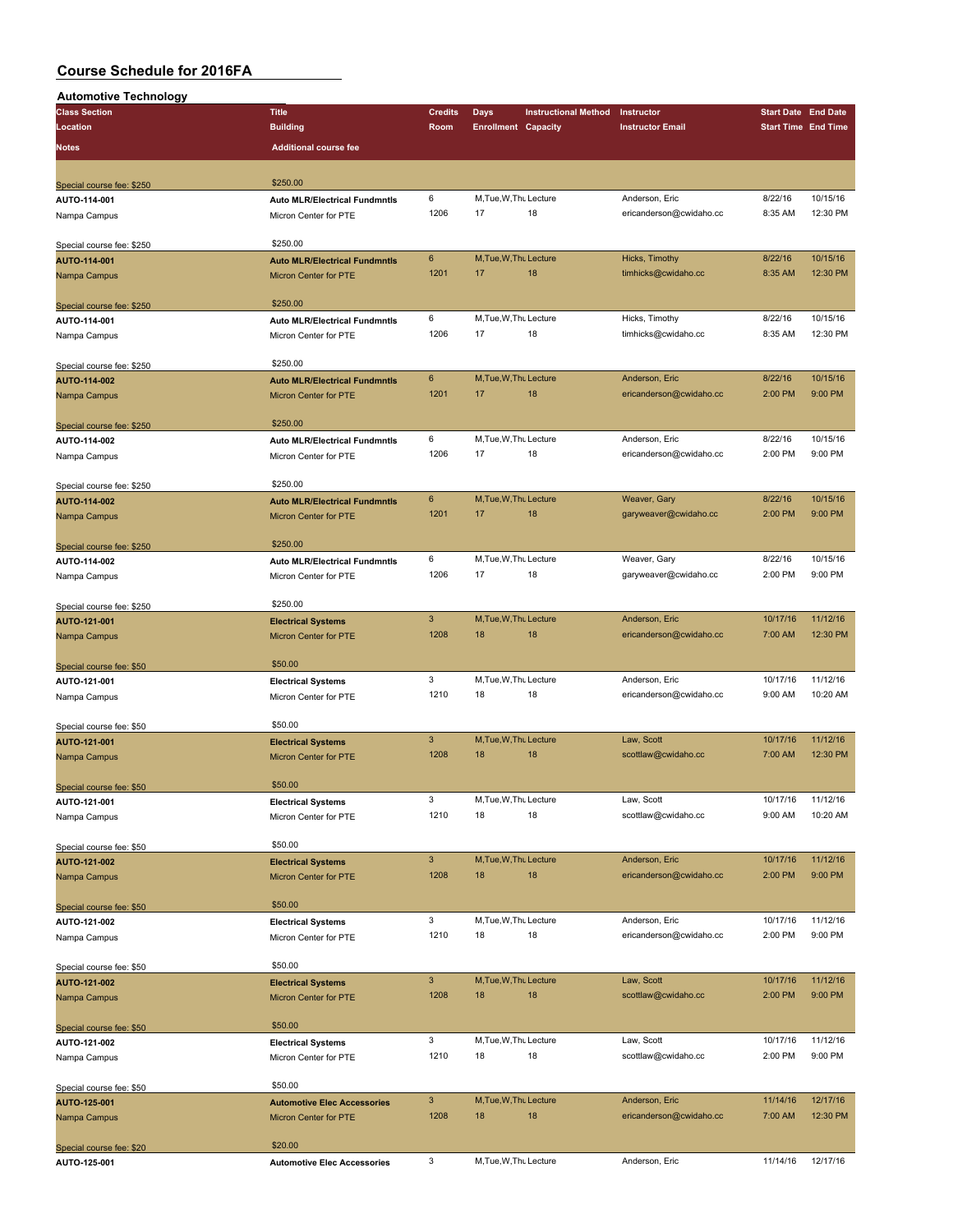| <b>Automotive Technology</b> |                                      |                |                            |                             |                         |          |                            |
|------------------------------|--------------------------------------|----------------|----------------------------|-----------------------------|-------------------------|----------|----------------------------|
| <b>Class Section</b>         | <b>Title</b>                         | <b>Credits</b> | Days                       | <b>Instructional Method</b> | Instructor              |          | <b>Start Date End Date</b> |
| Location                     | <b>Building</b>                      | Room           | <b>Enrollment Capacity</b> |                             | <b>Instructor Email</b> |          | <b>Start Time End Time</b> |
| <b>Notes</b>                 | <b>Additional course fee</b>         |                |                            |                             |                         |          |                            |
|                              |                                      |                |                            |                             |                         |          |                            |
| Special course fee: \$250    | \$250.00                             |                |                            |                             |                         |          |                            |
| AUTO-114-001                 | <b>Auto MLR/Electrical Fundmntls</b> | 6              | M, Tue, W, Thu Lecture     |                             | Anderson, Eric          | 8/22/16  | 10/15/16                   |
| Nampa Campus                 | Micron Center for PTE                | 1206           | 17                         | 18                          | ericanderson@cwidaho.cc | 8:35 AM  | 12:30 PM                   |
|                              |                                      |                |                            |                             |                         |          |                            |
| Special course fee: \$250    | \$250.00                             |                |                            |                             |                         |          |                            |
| AUTO-114-001                 | <b>Auto MLR/Electrical Fundmntls</b> | 6              | M, Tue, W, Thu Lecture     |                             | Hicks, Timothy          | 8/22/16  | 10/15/16                   |
| Nampa Campus                 | Micron Center for PTE                | 1201           | 17                         | 18                          | timhicks@cwidaho.cc     | 8:35 AM  | 12:30 PM                   |
|                              |                                      |                |                            |                             |                         |          |                            |
| Special course fee: \$250    | \$250.00                             |                |                            |                             |                         |          |                            |
| AUTO-114-001                 | <b>Auto MLR/Electrical Fundmntls</b> | 6              | M, Tue, W, Thu Lecture     |                             | Hicks, Timothy          | 8/22/16  | 10/15/16                   |
| Nampa Campus                 | Micron Center for PTE                | 1206           | 17                         | 18                          | timhicks@cwidaho.cc     | 8:35 AM  | 12:30 PM                   |
|                              |                                      |                |                            |                             |                         |          |                            |
| Special course fee: \$250    | \$250.00                             |                |                            |                             |                         |          |                            |
| AUTO-114-002                 | <b>Auto MLR/Electrical Fundmntls</b> | 6              | M, Tue, W, Thu Lecture     |                             | Anderson, Eric          | 8/22/16  | 10/15/16                   |
| Nampa Campus                 | <b>Micron Center for PTE</b>         | 1201           | 17                         | 18                          | ericanderson@cwidaho.cc | 2:00 PM  | 9:00 PM                    |
|                              |                                      |                |                            |                             |                         |          |                            |
| Special course fee: \$250    | \$250.00                             |                |                            |                             |                         |          |                            |
| AUTO-114-002                 | <b>Auto MLR/Electrical Fundmntls</b> | 6              | M, Tue, W, Thu Lecture     |                             | Anderson, Eric          | 8/22/16  | 10/15/16                   |
| Nampa Campus                 | Micron Center for PTE                | 1206           | 17                         | 18                          | ericanderson@cwidaho.cc | 2:00 PM  | 9:00 PM                    |
|                              |                                      |                |                            |                             |                         |          |                            |
| Special course fee: \$250    | \$250.00                             |                |                            |                             |                         |          |                            |
| AUTO-114-002                 | <b>Auto MLR/Electrical Fundmntls</b> | 6              | M, Tue, W, Thu Lecture     |                             | Weaver, Gary            | 8/22/16  | 10/15/16                   |
| Nampa Campus                 | Micron Center for PTE                | 1201           | 17                         | 18                          | garyweaver@cwidaho.cc   | 2:00 PM  | 9:00 PM                    |
|                              |                                      |                |                            |                             |                         |          |                            |
| Special course fee: \$250    | \$250.00                             |                |                            |                             |                         |          |                            |
| AUTO-114-002                 | <b>Auto MLR/Electrical Fundmntls</b> | 6              | M, Tue, W, Thu Lecture     |                             | Weaver, Gary            | 8/22/16  | 10/15/16                   |
| Nampa Campus                 | Micron Center for PTE                | 1206           | 17                         | 18                          | garyweaver@cwidaho.cc   | 2:00 PM  | 9:00 PM                    |
|                              |                                      |                |                            |                             |                         |          |                            |
| Special course fee: \$250    | \$250.00                             |                |                            |                             |                         |          |                            |
| AUTO-121-001                 | <b>Electrical Systems</b>            | $\mathbf{3}$   | M, Tue, W, Thu Lecture     |                             | Anderson, Eric          | 10/17/16 | 11/12/16                   |
| Nampa Campus                 | Micron Center for PTE                | 1208           | 18                         | 18                          | ericanderson@cwidaho.cc | 7:00 AM  | 12:30 PM                   |
|                              |                                      |                |                            |                             |                         |          |                            |
| Special course fee: \$50     | \$50.00                              |                |                            |                             |                         |          |                            |
| AUTO-121-001                 | <b>Electrical Systems</b>            | 3              | M, Tue, W, Thu Lecture     |                             | Anderson, Eric          | 10/17/16 | 11/12/16                   |
| Nampa Campus                 | Micron Center for PTE                | 1210           | 18                         | 18                          | ericanderson@cwidaho.cc | 9:00 AM  | 10:20 AM                   |
|                              |                                      |                |                            |                             |                         |          |                            |
| Special course fee: \$50     | \$50.00                              |                |                            |                             |                         |          |                            |
| AUTO-121-001                 | <b>Electrical Systems</b>            | $\mathbf{3}$   | M, Tue, W, Thu Lecture     |                             | Law, Scott              | 10/17/16 | 11/12/16                   |
| Nampa Campus                 | Micron Center for PTE                | 1208           | 18                         | 18                          | scottlaw@cwidaho.cc     | 7:00 AM  | 12:30 PM                   |
|                              |                                      |                |                            |                             |                         |          |                            |
| Special course fee: \$50     | \$50.00                              |                |                            |                             |                         |          |                            |
| AUTO-121-001                 | <b>Electrical Systems</b>            | 3              | M, Tue, W, Thu Lecture     |                             | Law, Scott              | 10/17/16 | 11/12/16                   |
| Nampa Campus                 | Micron Center for PTE                | 1210           | 18                         | 18                          | scottlaw@cwidaho.cc     | 9:00 AM  | 10:20 AM                   |
|                              |                                      |                |                            |                             |                         |          |                            |
| Special course fee: \$50     | \$50.00                              |                |                            |                             |                         |          |                            |
| AUTO-121-002                 | <b>Electrical Systems</b>            | $\mathbf{3}$   | M, Tue, W, Thu Lecture     |                             | Anderson, Eric          | 10/17/16 | 11/12/16                   |
| Nampa Campus                 | Micron Center for PTE                | 1208           | 18                         | 18                          | ericanderson@cwidaho.cc | 2:00 PM  | 9:00 PM                    |
|                              |                                      |                |                            |                             |                         |          |                            |
| Special course fee: \$50     | \$50.00                              |                |                            |                             |                         |          |                            |
| AUTO-121-002                 | <b>Electrical Systems</b>            | 3              | M, Tue, W, Thu Lecture     |                             | Anderson, Eric          | 10/17/16 | 11/12/16                   |
| Nampa Campus                 | Micron Center for PTE                | 1210           | 18                         | 18                          | ericanderson@cwidaho.cc | 2:00 PM  | 9:00 PM                    |
|                              |                                      |                |                            |                             |                         |          |                            |
| Special course fee: \$50     | \$50.00                              |                |                            |                             |                         |          |                            |
| AUTO-121-002                 | <b>Electrical Systems</b>            | $\mathbf{3}$   | M, Tue, W, Thu Lecture     |                             | Law, Scott              | 10/17/16 | 11/12/16                   |
| Nampa Campus                 | Micron Center for PTE                | 1208           | 18                         | 18                          | scottlaw@cwidaho.cc     | 2:00 PM  | 9:00 PM                    |
|                              |                                      |                |                            |                             |                         |          |                            |
| Special course fee: \$50     | \$50.00                              |                |                            |                             |                         |          |                            |
| AUTO-121-002                 | <b>Electrical Systems</b>            | 3              | M, Tue, W, Thu Lecture     |                             | Law, Scott              | 10/17/16 | 11/12/16                   |
| Nampa Campus                 | Micron Center for PTE                | 1210           | 18                         | 18                          | scottlaw@cwidaho.cc     | 2:00 PM  | 9:00 PM                    |
|                              |                                      |                |                            |                             |                         |          |                            |
| Special course fee: \$50     | \$50.00                              |                |                            |                             |                         |          |                            |
| AUTO-125-001                 | <b>Automotive Elec Accessories</b>   | $\mathbf{3}$   | M, Tue, W, Thu Lecture     |                             | Anderson, Eric          | 11/14/16 | 12/17/16                   |
| Nampa Campus                 | Micron Center for PTE                | 1208           | 18                         | 18                          | ericanderson@cwidaho.cc | 7:00 AM  | 12:30 PM                   |
|                              |                                      |                |                            |                             |                         |          |                            |
| Special course fee: \$20     | \$20.00                              |                |                            |                             |                         |          |                            |
| AUTO-125-001                 | <b>Automotive Elec Accessories</b>   | 3              | M, Tue, W, Thu Lecture     |                             | Anderson, Eric          | 11/14/16 | 12/17/16                   |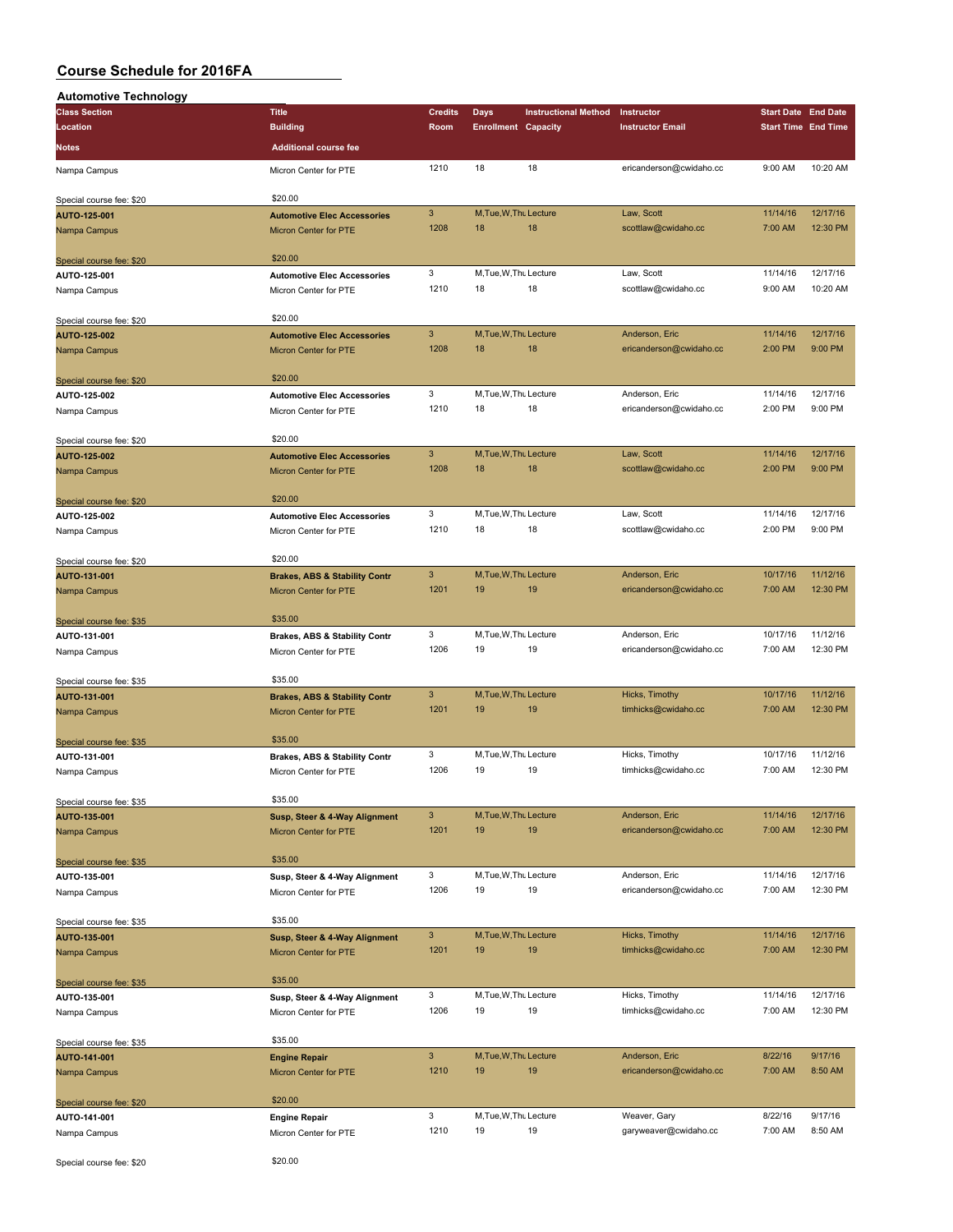| <b>Automotive Technology</b> |                                          |                           |                            |                             |                         |                            |          |
|------------------------------|------------------------------------------|---------------------------|----------------------------|-----------------------------|-------------------------|----------------------------|----------|
| <b>Class Section</b>         | <b>Title</b>                             | <b>Credits</b>            | <b>Days</b>                | <b>Instructional Method</b> | Instructor              | <b>Start Date End Date</b> |          |
| Location                     | <b>Building</b>                          | Room                      | <b>Enrollment Capacity</b> |                             | <b>Instructor Email</b> | <b>Start Time End Time</b> |          |
| Notes                        | <b>Additional course fee</b>             |                           |                            |                             |                         |                            |          |
|                              |                                          |                           |                            |                             |                         |                            |          |
| Nampa Campus                 | Micron Center for PTE                    | 1210                      | 18                         | 18                          | ericanderson@cwidaho.cc | 9:00 AM                    | 10:20 AM |
|                              | \$20.00                                  |                           |                            |                             |                         |                            |          |
| Special course fee: \$20     |                                          | $\mathbf{3}$              | M, Tue, W, Thu Lecture     |                             | Law, Scott              | 11/14/16                   | 12/17/16 |
| AUTO-125-001                 | <b>Automotive Elec Accessories</b>       | 1208                      | 18                         | 18                          |                         |                            | 12:30 PM |
| Nampa Campus                 | <b>Micron Center for PTE</b>             |                           |                            |                             | scottlaw@cwidaho.cc     | 7:00 AM                    |          |
|                              | \$20.00                                  |                           |                            |                             |                         |                            |          |
| Special course fee: \$20     |                                          | 3                         | M, Tue, W, Thu Lecture     |                             | Law, Scott              | 11/14/16                   | 12/17/16 |
| AUTO-125-001                 | <b>Automotive Elec Accessories</b>       | 1210                      | 18                         | 18                          |                         | 9:00 AM                    | 10:20 AM |
| Nampa Campus                 | Micron Center for PTE                    |                           |                            |                             | scottlaw@cwidaho.cc     |                            |          |
|                              | \$20.00                                  |                           |                            |                             |                         |                            |          |
| Special course fee: \$20     |                                          | $\mathbf{3}$              | M, Tue, W, Thu Lecture     |                             | Anderson, Eric          | 11/14/16                   | 12/17/16 |
| AUTO-125-002                 | <b>Automotive Elec Accessories</b>       | 1208                      |                            | 18                          |                         |                            |          |
| Nampa Campus                 | <b>Micron Center for PTE</b>             |                           | 18                         |                             | ericanderson@cwidaho.cc | 2:00 PM                    | 9:00 PM  |
|                              | \$20.00                                  |                           |                            |                             |                         |                            |          |
| Special course fee: \$20     |                                          | 3                         |                            |                             |                         |                            | 12/17/16 |
| AUTO-125-002                 | <b>Automotive Elec Accessories</b>       |                           | M, Tue, W, Thu Lecture     |                             | Anderson, Eric          | 11/14/16                   |          |
| Nampa Campus                 | Micron Center for PTE                    | 1210                      | 18                         | 18                          | ericanderson@cwidaho.cc | 2:00 PM                    | 9:00 PM  |
|                              | \$20.00                                  |                           |                            |                             |                         |                            |          |
| Special course fee: \$20     |                                          | $\mathbf{3}$              | M, Tue, W, Thu Lecture     |                             | Law, Scott              | 11/14/16                   | 12/17/16 |
| AUTO-125-002                 | <b>Automotive Elec Accessories</b>       |                           |                            |                             |                         |                            |          |
| Nampa Campus                 | <b>Micron Center for PTE</b>             | 1208                      | 18                         | 18                          | scottlaw@cwidaho.cc     | 2:00 PM                    | 9:00 PM  |
|                              |                                          |                           |                            |                             |                         |                            |          |
| Special course fee: \$20     | \$20.00                                  |                           |                            |                             |                         |                            |          |
| AUTO-125-002                 | <b>Automotive Elec Accessories</b>       | 3                         | M, Tue, W, Thu Lecture     |                             | Law, Scott              | 11/14/16                   | 12/17/16 |
| Nampa Campus                 | Micron Center for PTE                    | 1210                      | 18                         | 18                          | scottlaw@cwidaho.cc     | 2:00 PM                    | 9:00 PM  |
|                              |                                          |                           |                            |                             |                         |                            |          |
| Special course fee: \$20     | \$20.00                                  |                           |                            |                             |                         |                            |          |
| AUTO-131-001                 | <b>Brakes, ABS &amp; Stability Contr</b> | $\mathbf{3}$              | M, Tue, W, Thu Lecture     |                             | Anderson, Eric          | 10/17/16                   | 11/12/16 |
| Nampa Campus                 | <b>Micron Center for PTE</b>             | 1201                      | 19                         | 19                          | ericanderson@cwidaho.cc | 7:00 AM                    | 12:30 PM |
|                              |                                          |                           |                            |                             |                         |                            |          |
| Special course fee: \$35     | \$35.00                                  |                           |                            |                             |                         |                            |          |
| AUTO-131-001                 | Brakes, ABS & Stability Contr            | 3                         | M, Tue, W, Thu Lecture     |                             | Anderson, Eric          | 10/17/16                   | 11/12/16 |
| Nampa Campus                 | Micron Center for PTE                    | 1206                      | 19                         | 19                          | ericanderson@cwidaho.cc | 7:00 AM                    | 12:30 PM |
|                              |                                          |                           |                            |                             |                         |                            |          |
| Special course fee: \$35     | \$35.00                                  |                           |                            |                             |                         |                            |          |
| AUTO-131-001                 | <b>Brakes, ABS &amp; Stability Contr</b> | 3                         | M, Tue, W, Thu Lecture     |                             | Hicks, Timothy          | 10/17/16                   | 11/12/16 |
| Nampa Campus                 | <b>Micron Center for PTE</b>             | 1201                      | 19                         | 19                          | timhicks@cwidaho.cc     | 7:00 AM                    | 12:30 PM |
|                              |                                          |                           |                            |                             |                         |                            |          |
| Special course fee: \$35     | \$35.00                                  |                           |                            |                             |                         |                            |          |
| AUTO-131-001                 | Brakes, ABS & Stability Contr            | 3                         | M, Tue, W, Thu Lecture     |                             | Hicks, Timothy          | 10/17/16                   | 11/12/16 |
| Nampa Campus                 | Micron Center for PTE                    | 1206                      | 19                         | 19                          | timhicks@cwidaho.cc     | 7:00 AM                    | 12:30 PM |
|                              |                                          |                           |                            |                             |                         |                            |          |
| Special course fee: \$35     | \$35.00                                  |                           |                            |                             |                         |                            |          |
| AUTO-135-001                 | Susp, Steer & 4-Way Alignment            | $\mathbf{3}$              | M, Tue, W, Thu Lecture     |                             | Anderson, Eric          | 11/14/16                   | 12/17/16 |
| Nampa Campus                 | Micron Center for PTE                    | 1201                      | 19                         | 19                          | ericanderson@cwidaho.cc | 7:00 AM                    | 12:30 PM |
|                              |                                          |                           |                            |                             |                         |                            |          |
| Special course fee: \$35     | \$35.00                                  |                           |                            |                             |                         |                            |          |
| AUTO-135-001                 | Susp, Steer & 4-Way Alignment            | 3                         | M, Tue, W, Thu Lecture     |                             | Anderson, Eric          | 11/14/16                   | 12/17/16 |
| Nampa Campus                 | Micron Center for PTE                    | 1206                      | 19                         | 19                          | ericanderson@cwidaho.cc | 7:00 AM                    | 12:30 PM |
|                              |                                          |                           |                            |                             |                         |                            |          |
| Special course fee: \$35     | \$35.00                                  |                           |                            |                             |                         |                            |          |
| AUTO-135-001                 | Susp, Steer & 4-Way Alignment            | $\ensuremath{\mathsf{3}}$ | M, Tue, W, Thu Lecture     |                             | Hicks, Timothy          | 11/14/16                   | 12/17/16 |
| Nampa Campus                 | Micron Center for PTE                    | 1201                      | 19                         | 19                          | timhicks@cwidaho.cc     | 7:00 AM                    | 12:30 PM |
|                              |                                          |                           |                            |                             |                         |                            |          |
| Special course fee: \$35     | \$35.00                                  |                           |                            |                             |                         |                            |          |
| AUTO-135-001                 | Susp, Steer & 4-Way Alignment            | 3                         | M, Tue, W, Thu Lecture     |                             | Hicks, Timothy          | 11/14/16                   | 12/17/16 |
| Nampa Campus                 | Micron Center for PTE                    | 1206                      | 19                         | 19                          | timhicks@cwidaho.cc     | 7:00 AM                    | 12:30 PM |
|                              |                                          |                           |                            |                             |                         |                            |          |
| Special course fee: \$35     | \$35.00                                  |                           |                            |                             |                         |                            |          |
| AUTO-141-001                 | <b>Engine Repair</b>                     | $\mathbf{3}$              | M, Tue, W, Thu Lecture     |                             | Anderson, Eric          | 8/22/16                    | 9/17/16  |
| Nampa Campus                 | <b>Micron Center for PTE</b>             | 1210                      | 19                         | 19                          | ericanderson@cwidaho.cc | 7:00 AM                    | 8:50 AM  |
|                              |                                          |                           |                            |                             |                         |                            |          |
| Special course fee: \$20     | \$20.00                                  |                           |                            |                             |                         |                            |          |
| AUTO-141-001                 | <b>Engine Repair</b>                     | 3                         | M, Tue, W, Thu Lecture     |                             | Weaver, Gary            | 8/22/16                    | 9/17/16  |
| Nampa Campus                 | Micron Center for PTE                    | 1210                      | 19                         | 19                          | garyweaver@cwidaho.cc   | 7:00 AM                    | 8:50 AM  |
|                              |                                          |                           |                            |                             |                         |                            |          |
| Special course fee: \$20     | \$20.00                                  |                           |                            |                             |                         |                            |          |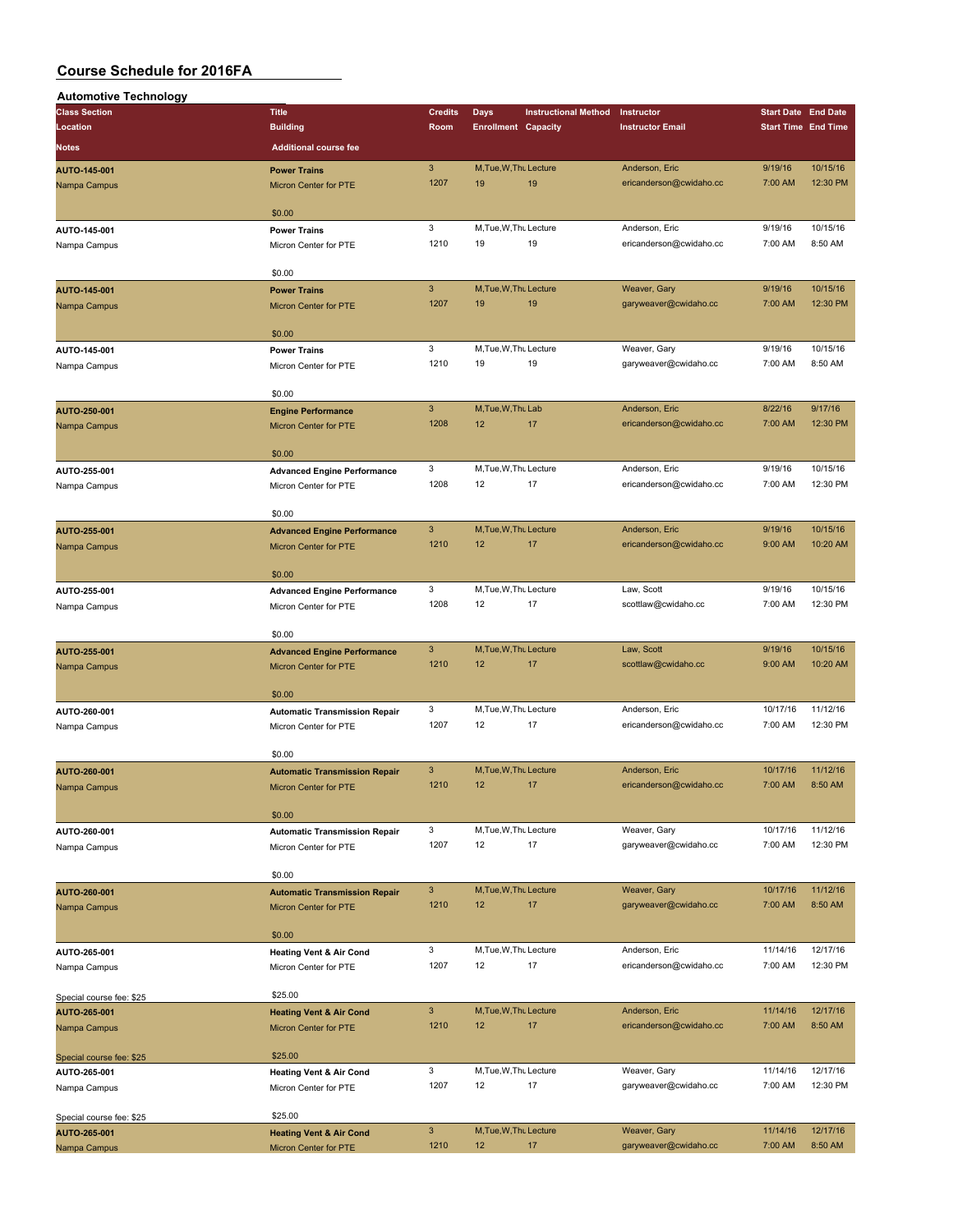| <b>Automotive Technology</b> |                                                             |                           |                            |                             |                         |                            |          |
|------------------------------|-------------------------------------------------------------|---------------------------|----------------------------|-----------------------------|-------------------------|----------------------------|----------|
| <b>Class Section</b>         | <b>Title</b>                                                | <b>Credits</b>            | Days                       | <b>Instructional Method</b> | Instructor              | <b>Start Date End Date</b> |          |
| Location                     | <b>Building</b>                                             | Room                      | <b>Enrollment Capacity</b> |                             | <b>Instructor Email</b> | <b>Start Time End Time</b> |          |
| Notes                        | <b>Additional course fee</b>                                |                           |                            |                             |                         |                            |          |
|                              |                                                             |                           |                            |                             |                         |                            |          |
| AUTO-145-001                 | <b>Power Trains</b>                                         | $\mathbf{3}$              | M, Tue, W, Thu Lecture     |                             | Anderson, Eric          | 9/19/16                    | 10/15/16 |
| Nampa Campus                 | Micron Center for PTE                                       | 1207                      | 19                         | 19                          | ericanderson@cwidaho.cc | 7:00 AM                    | 12:30 PM |
|                              |                                                             |                           |                            |                             |                         |                            |          |
|                              | \$0.00                                                      |                           |                            |                             |                         |                            |          |
| AUTO-145-001                 | <b>Power Trains</b>                                         | 3                         | M, Tue, W, Thu Lecture     |                             | Anderson, Eric          | 9/19/16                    | 10/15/16 |
| Nampa Campus                 | Micron Center for PTE                                       | 1210                      | 19                         | 19                          | ericanderson@cwidaho.cc | 7:00 AM                    | 8:50 AM  |
|                              |                                                             |                           |                            |                             |                         |                            |          |
|                              | \$0.00                                                      |                           |                            |                             |                         |                            |          |
| AUTO-145-001                 | <b>Power Trains</b>                                         | $\ensuremath{\mathsf{3}}$ | M, Tue, W, Thu Lecture     |                             | Weaver, Gary            | 9/19/16                    | 10/15/16 |
| Nampa Campus                 | Micron Center for PTE                                       | 1207                      | 19                         | 19                          | garyweaver@cwidaho.cc   | 7:00 AM                    | 12:30 PM |
|                              |                                                             |                           |                            |                             |                         |                            |          |
|                              | \$0.00                                                      |                           |                            |                             |                         |                            |          |
| AUTO-145-001                 | <b>Power Trains</b>                                         | 3                         | M, Tue, W, Thu Lecture     |                             | Weaver, Gary            | 9/19/16                    | 10/15/16 |
| Nampa Campus                 | Micron Center for PTE                                       | 1210                      | 19                         | 19                          | garyweaver@cwidaho.cc   | 7:00 AM                    | 8:50 AM  |
|                              |                                                             |                           |                            |                             |                         |                            |          |
|                              | \$0.00                                                      |                           |                            |                             |                         |                            |          |
| AUTO-250-001                 | <b>Engine Performance</b>                                   | $\mathbf{3}$              | M, Tue, W, Thu Lab         |                             | Anderson, Eric          | 8/22/16                    | 9/17/16  |
| Nampa Campus                 | Micron Center for PTE                                       | 1208                      | 12                         | 17                          | ericanderson@cwidaho.cc | 7:00 AM                    | 12:30 PM |
|                              |                                                             |                           |                            |                             |                         |                            |          |
|                              | \$0.00                                                      |                           |                            |                             |                         |                            |          |
| AUTO-255-001                 | <b>Advanced Engine Performance</b>                          | 3                         | M, Tue, W, Thu Lecture     |                             | Anderson, Eric          | 9/19/16                    | 10/15/16 |
| Nampa Campus                 | Micron Center for PTE                                       | 1208                      | 12                         | 17                          | ericanderson@cwidaho.cc | 7:00 AM                    | 12:30 PM |
|                              |                                                             |                           |                            |                             |                         |                            |          |
|                              | \$0.00                                                      |                           |                            |                             |                         |                            |          |
| AUTO-255-001                 | <b>Advanced Engine Performance</b>                          | $\mathbf{3}$              | M, Tue, W, Thu Lecture     |                             | Anderson, Eric          | 9/19/16                    | 10/15/16 |
| Nampa Campus                 | Micron Center for PTE                                       | 1210                      | 12                         | 17                          | ericanderson@cwidaho.cc | 9:00 AM                    | 10:20 AM |
|                              |                                                             |                           |                            |                             |                         |                            |          |
|                              | \$0.00                                                      |                           |                            |                             |                         |                            |          |
| AUTO-255-001                 | <b>Advanced Engine Performance</b>                          | 3                         | M, Tue, W, Thu Lecture     |                             | Law, Scott              | 9/19/16                    | 10/15/16 |
| Nampa Campus                 | Micron Center for PTE                                       | 1208                      | 12                         | 17                          | scottlaw@cwidaho.cc     | 7:00 AM                    | 12:30 PM |
|                              |                                                             |                           |                            |                             |                         |                            |          |
|                              | \$0.00                                                      |                           |                            |                             |                         |                            |          |
| AUTO-255-001                 | <b>Advanced Engine Performance</b>                          | $\mathbf{3}$              | M, Tue, W, Thu Lecture     |                             | Law, Scott              | 9/19/16                    | 10/15/16 |
| Nampa Campus                 | Micron Center for PTE                                       | 1210                      | 12                         | 17                          | scottlaw@cwidaho.cc     | 9:00 AM                    | 10:20 AM |
|                              |                                                             |                           |                            |                             |                         |                            |          |
|                              | \$0.00                                                      |                           |                            |                             |                         |                            |          |
| AUTO-260-001                 | <b>Automatic Transmission Repair</b>                        | 3                         | M, Tue, W, Thu Lecture     |                             | Anderson, Eric          | 10/17/16                   | 11/12/16 |
| Nampa Campus                 | Micron Center for PTE                                       | 1207                      | 12                         | 17                          | ericanderson@cwidaho.cc | 7:00 AM                    | 12:30 PM |
|                              |                                                             |                           |                            |                             |                         |                            |          |
|                              | \$0.00                                                      |                           |                            |                             |                         |                            |          |
| AUTO-260-001                 | <b>Automatic Transmission Repair</b>                        | $\mathbf{3}$              | M, Tue, W, Thu Lecture     |                             | Anderson, Eric          | 10/17/16                   | 11/12/16 |
| Nampa Campus                 | Micron Center for PTE                                       | 1210                      | 12                         | 17                          | ericanderson@cwidaho.cc | 7:00 AM                    | 8:50 AM  |
|                              |                                                             |                           |                            |                             |                         |                            |          |
|                              | \$0.00                                                      |                           |                            |                             |                         |                            |          |
| AUTO-260-001                 | <b>Automatic Transmission Repair</b>                        | 3                         | M, Tue, W, Thu Lecture     |                             | Weaver, Gary            | 10/17/16                   | 11/12/16 |
| Nampa Campus                 | Micron Center for PTE                                       | 1207                      | 12                         | 17                          | garyweaver@cwidaho.cc   | 7:00 AM                    | 12:30 PM |
|                              |                                                             |                           |                            |                             |                         |                            |          |
|                              | \$0.00                                                      |                           |                            |                             |                         |                            |          |
| AUTO-260-001                 | <b>Automatic Transmission Repair</b>                        | $\mathbf{3}$              | M, Tue, W, Thu Lecture     |                             | Weaver, Gary            | 10/17/16                   | 11/12/16 |
| Nampa Campus                 | Micron Center for PTE                                       | 1210                      | 12 <sup>2</sup>            | 17                          | garyweaver@cwidaho.cc   | 7:00 AM                    | 8:50 AM  |
|                              |                                                             |                           |                            |                             |                         |                            |          |
|                              | \$0.00                                                      |                           |                            |                             |                         |                            |          |
| AUTO-265-001                 | <b>Heating Vent &amp; Air Cond</b>                          | 3                         | M, Tue, W, Thu Lecture     |                             | Anderson, Eric          | 11/14/16                   | 12/17/16 |
| Nampa Campus                 | Micron Center for PTE                                       | 1207                      | 12                         | 17                          | ericanderson@cwidaho.cc | 7:00 AM                    | 12:30 PM |
|                              |                                                             |                           |                            |                             |                         |                            |          |
| Special course fee: \$25     | \$25.00                                                     |                           |                            |                             |                         |                            |          |
| <b>AUTO-265-001</b>          | <b>Heating Vent &amp; Air Cond</b>                          | $\mathbf{3}$              | M, Tue, W, Thu Lecture     |                             | Anderson, Eric          | 11/14/16                   | 12/17/16 |
| Nampa Campus                 | Micron Center for PTE                                       | 1210                      | 12                         | 17                          | ericanderson@cwidaho.cc | 7:00 AM                    | 8:50 AM  |
|                              |                                                             |                           |                            |                             |                         |                            |          |
|                              | \$25.00                                                     |                           |                            |                             |                         |                            |          |
| Special course fee: \$25     |                                                             | 3                         | M, Tue, W, Thu Lecture     |                             | Weaver, Gary            | 11/14/16                   | 12/17/16 |
| AUTO-265-001                 | <b>Heating Vent &amp; Air Cond</b><br>Micron Center for PTE | 1207                      | 12                         | 17                          | garyweaver@cwidaho.cc   | 7:00 AM                    | 12:30 PM |
| Nampa Campus                 |                                                             |                           |                            |                             |                         |                            |          |
|                              | \$25.00                                                     |                           |                            |                             |                         |                            |          |
| Special course fee: \$25     |                                                             | $\ensuremath{\mathsf{3}}$ | M, Tue, W, Thu Lecture     |                             | Weaver, Gary            | 11/14/16                   | 12/17/16 |
| AUTO-265-001                 | <b>Heating Vent &amp; Air Cond</b>                          | 1210                      | 12                         | 17                          | garyweaver@cwidaho.cc   | 7:00 AM                    | 8:50 AM  |
| Nampa Campus                 | Micron Center for PTE                                       |                           |                            |                             |                         |                            |          |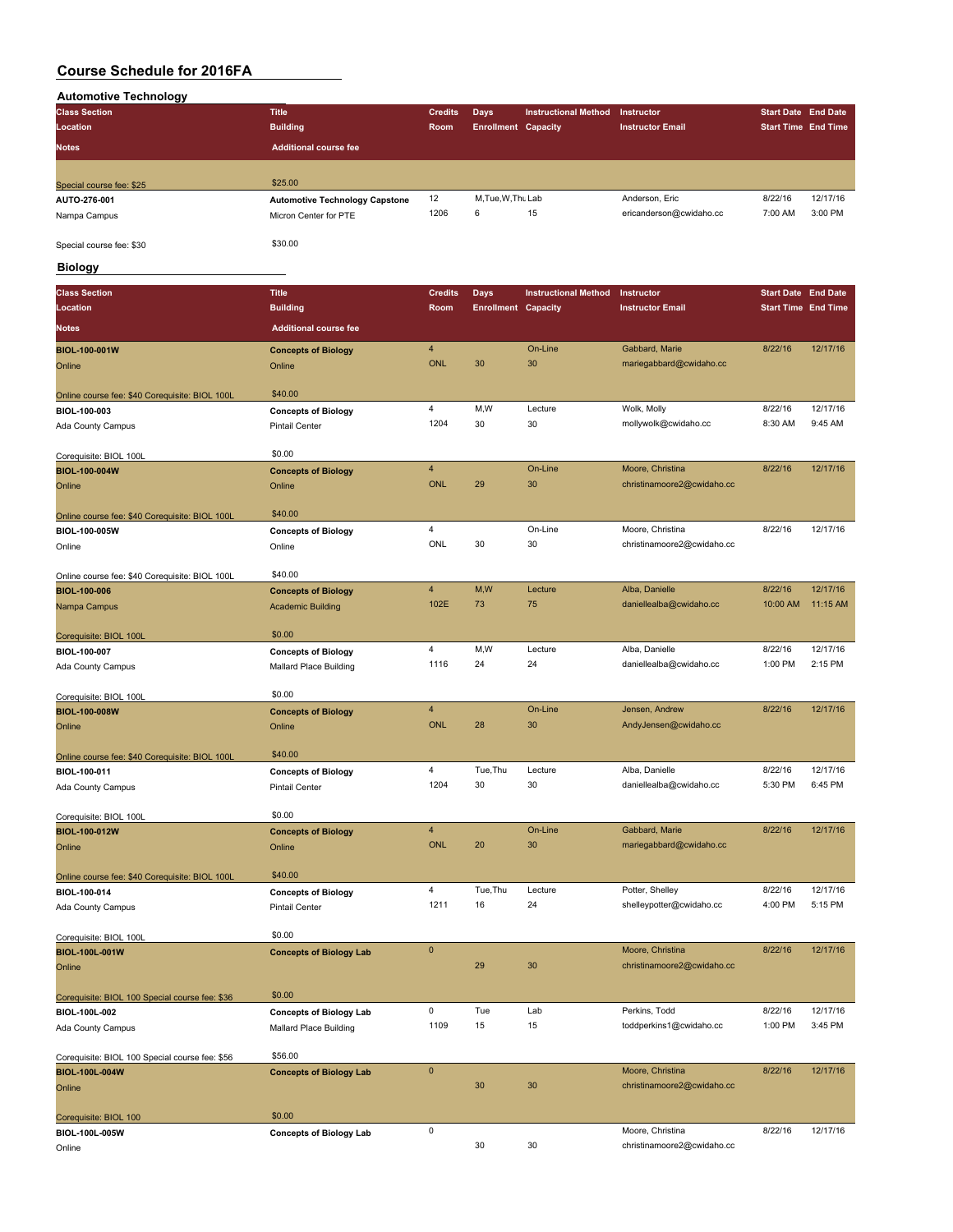#### **Automotive Technology**

| <b>Class Section</b>     | <b>Title</b>                          | <b>Credits</b> | Days                       | <b>Instructional Method</b> | Instructor              | <b>Start Date End Date</b> |          |
|--------------------------|---------------------------------------|----------------|----------------------------|-----------------------------|-------------------------|----------------------------|----------|
| Location                 | <b>Building</b>                       | Room           | <b>Enrollment Capacity</b> |                             | <b>Instructor Email</b> | <b>Start Time End Time</b> |          |
| <b>Notes</b>             | Additional course fee                 |                |                            |                             |                         |                            |          |
|                          |                                       |                |                            |                             |                         |                            |          |
| Special course fee: \$25 | \$25.00                               |                |                            |                             |                         |                            |          |
| AUTO-276-001             | <b>Automotive Technology Capstone</b> | 12             | M, Tue, W, Thu Lab         |                             | Anderson, Eric          | 8/22/16                    | 12/17/16 |
| Nampa Campus             | Micron Center for PTE                 | 1206           | 6                          | 15                          | ericanderson@cwidaho.cc | 7:00 AM                    | 3:00 PM  |

Special course fee: \$30 \$30.00

**Biology**

| <b>Class Section</b>                                            | <b>Title</b>                   | <b>Credits</b>          | <b>Days</b>                | <b>Instructional Method</b> | Instructor                 | <b>Start Date End Date</b> |          |
|-----------------------------------------------------------------|--------------------------------|-------------------------|----------------------------|-----------------------------|----------------------------|----------------------------|----------|
| Location                                                        | <b>Building</b>                | Room                    | <b>Enrollment Capacity</b> |                             | <b>Instructor Email</b>    | <b>Start Time End Time</b> |          |
| Notes                                                           | <b>Additional course fee</b>   |                         |                            |                             |                            |                            |          |
| BIOL-100-001W                                                   | <b>Concepts of Biology</b>     | $\overline{\mathbf{4}}$ |                            | On-Line                     | Gabbard, Marie             | 8/22/16                    | 12/17/16 |
| Online                                                          | Online                         | <b>ONL</b>              | 30                         | 30                          | mariegabbard@cwidaho.cc    |                            |          |
|                                                                 | \$40.00                        |                         |                            |                             |                            |                            |          |
| Online course fee: \$40 Corequisite: BIOL 100L<br>BIOL-100-003  | <b>Concepts of Biology</b>     | $\overline{4}$          | M,W                        | Lecture                     | Wolk, Molly                | 8/22/16                    | 12/17/16 |
| Ada County Campus                                               | <b>Pintail Center</b>          | 1204                    | 30                         | 30                          | mollywolk@cwidaho.cc       | 8:30 AM                    | 9:45 AM  |
|                                                                 |                                |                         |                            |                             |                            |                            |          |
| Corequisite: BIOL 100L                                          | \$0.00                         |                         |                            |                             |                            |                            |          |
| BIOL-100-004W                                                   | <b>Concepts of Biology</b>     | $\overline{4}$          |                            | On-Line                     | Moore, Christina           | 8/22/16                    | 12/17/16 |
| Online                                                          | Online                         | <b>ONL</b>              | 29                         | 30                          | christinamoore2@cwidaho.cc |                            |          |
|                                                                 | \$40.00                        |                         |                            |                             |                            |                            |          |
| Online course fee: \$40 Corequisite: BIOL 100L<br>BIOL-100-005W | <b>Concepts of Biology</b>     | $\overline{4}$          |                            | On-Line                     | Moore, Christina           | 8/22/16                    | 12/17/16 |
| Online                                                          | Online                         | ONL                     | 30                         | 30                          | christinamoore2@cwidaho.cc |                            |          |
|                                                                 |                                |                         |                            |                             |                            |                            |          |
| Online course fee: \$40 Corequisite: BIOL 100L                  | \$40.00                        |                         |                            |                             |                            |                            |          |
| <b>BIOL-100-006</b>                                             | <b>Concepts of Biology</b>     | $\overline{4}$          | M,W                        | Lecture                     | Alba, Danielle             | 8/22/16                    | 12/17/16 |
| Nampa Campus                                                    | <b>Academic Building</b>       | 102E                    | 73                         | 75                          | daniellealba@cwidaho.cc    | 10:00 AM                   | 11:15 AM |
|                                                                 | \$0.00                         |                         |                            |                             |                            |                            |          |
| Corequisite: BIOL 100L<br>BIOL-100-007                          | <b>Concepts of Biology</b>     | 4                       | M,W                        | Lecture                     | Alba, Danielle             | 8/22/16                    | 12/17/16 |
| Ada County Campus                                               | Mallard Place Building         | 1116                    | 24                         | 24                          | daniellealba@cwidaho.cc    | 1:00 PM                    | 2:15 PM  |
|                                                                 |                                |                         |                            |                             |                            |                            |          |
| Corequisite: BIOL 100L                                          | \$0.00                         |                         |                            |                             |                            |                            |          |
| <b>BIOL-100-008W</b>                                            | <b>Concepts of Biology</b>     | $\overline{4}$          |                            | On-Line                     | Jensen, Andrew             | 8/22/16                    | 12/17/16 |
| Online                                                          | Online                         | <b>ONL</b>              | 28                         | 30                          | AndyJensen@cwidaho.cc      |                            |          |
| Online course fee: \$40 Corequisite: BIOL 100L                  | \$40.00                        |                         |                            |                             |                            |                            |          |
| BIOL-100-011                                                    | <b>Concepts of Biology</b>     | $\overline{4}$          | Tue, Thu                   | Lecture                     | Alba, Danielle             | 8/22/16                    | 12/17/16 |
| Ada County Campus                                               | <b>Pintail Center</b>          | 1204                    | 30                         | 30                          | daniellealba@cwidaho.cc    | 5:30 PM                    | 6:45 PM  |
|                                                                 |                                |                         |                            |                             |                            |                            |          |
| Corequisite: BIOL 100L                                          | \$0.00                         |                         |                            |                             |                            |                            |          |
| BIOL-100-012W                                                   | <b>Concepts of Biology</b>     | $\overline{4}$          |                            | On-Line                     | Gabbard, Marie             | 8/22/16                    | 12/17/16 |
| Online                                                          | Online                         | <b>ONL</b>              | 20                         | 30                          | mariegabbard@cwidaho.cc    |                            |          |
|                                                                 | \$40.00                        |                         |                            |                             |                            |                            |          |
| Online course fee: \$40 Corequisite: BIOL 100L<br>BIOL-100-014  | <b>Concepts of Biology</b>     | $\overline{4}$          | Tue, Thu                   | Lecture                     | Potter, Shelley            | 8/22/16                    | 12/17/16 |
| Ada County Campus                                               | <b>Pintail Center</b>          | 1211                    | 16                         | 24                          | shelleypotter@cwidaho.cc   | 4:00 PM                    | 5:15 PM  |
|                                                                 |                                |                         |                            |                             |                            |                            |          |
| Corequisite: BIOL 100L                                          | \$0.00                         |                         |                            |                             |                            |                            |          |
| <b>BIOL-100L-001W</b>                                           | <b>Concepts of Biology Lab</b> | $\mathbf 0$             |                            |                             | Moore, Christina           | 8/22/16                    | 12/17/16 |
| Online                                                          |                                |                         | 29                         | 30                          | christinamoore2@cwidaho.cc |                            |          |
|                                                                 | \$0.00                         |                         |                            |                             |                            |                            |          |
| Corequisite: BIOL 100 Special course fee: \$36<br>BIOL-100L-002 | <b>Concepts of Biology Lab</b> | 0                       | Tue                        | Lab                         | Perkins, Todd              | 8/22/16                    | 12/17/16 |
| Ada County Campus                                               | Mallard Place Building         | 1109                    | 15                         | 15                          | toddperkins1@cwidaho.cc    | 1:00 PM                    | 3:45 PM  |
|                                                                 |                                |                         |                            |                             |                            |                            |          |
| Corequisite: BIOL 100 Special course fee: \$56                  | \$56.00                        |                         |                            |                             |                            |                            |          |
| BIOL-100L-004W                                                  | <b>Concepts of Biology Lab</b> | $\mathbf 0$             |                            |                             | Moore, Christina           | 8/22/16                    | 12/17/16 |
| Online                                                          |                                |                         | 30                         | 30                          | christinamoore2@cwidaho.cc |                            |          |
|                                                                 |                                |                         |                            |                             |                            |                            |          |
| Corequisite: BIOL 100                                           | \$0.00                         | 0                       |                            |                             | Moore, Christina           | 8/22/16                    | 12/17/16 |
| BIOL-100L-005W<br>Online                                        | <b>Concepts of Biology Lab</b> |                         | 30                         | 30                          | christinamoore2@cwidaho.cc |                            |          |
|                                                                 |                                |                         |                            |                             |                            |                            |          |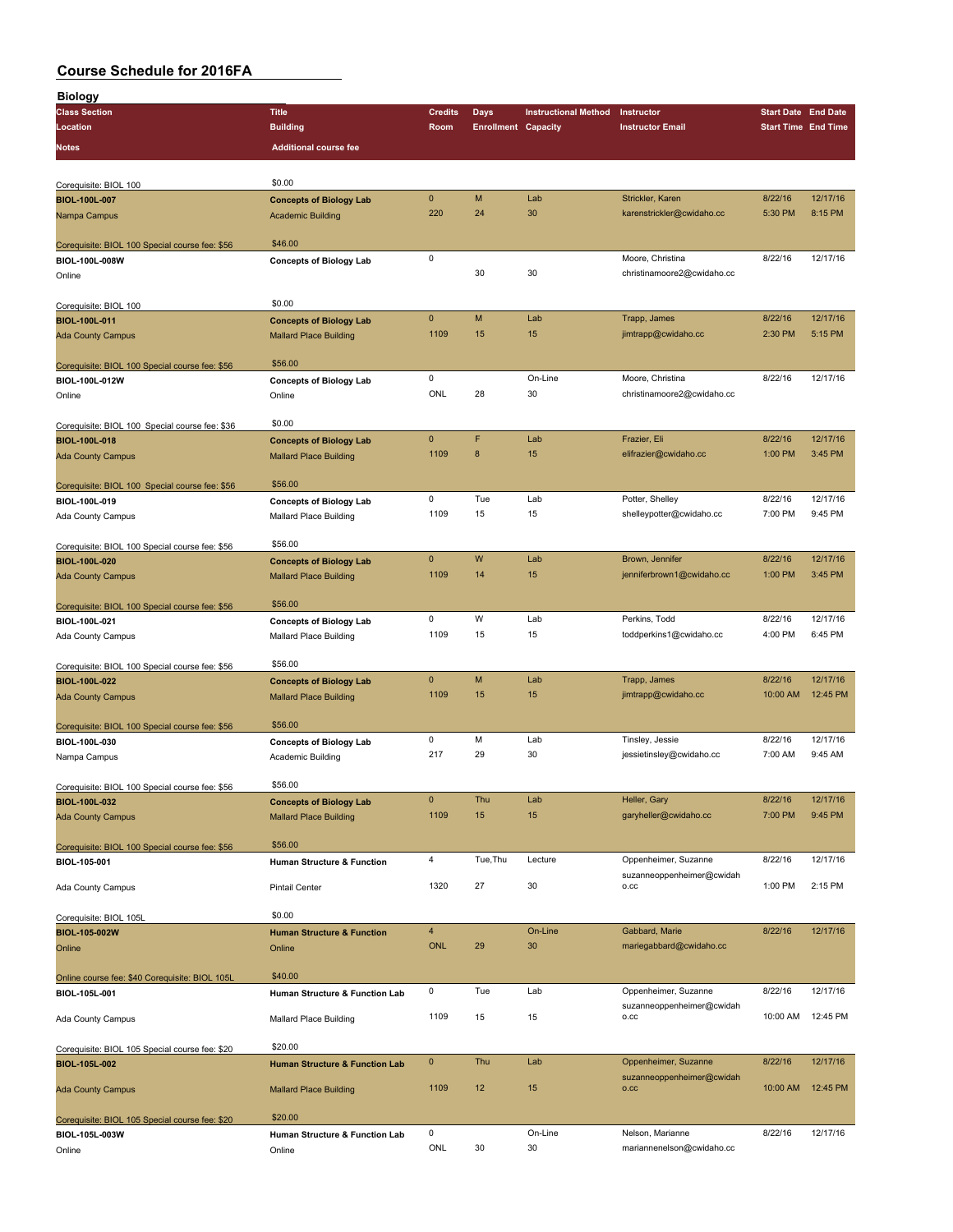| <b>Biology</b>                                 |                                           |                |                            |                             |                            |                            |          |
|------------------------------------------------|-------------------------------------------|----------------|----------------------------|-----------------------------|----------------------------|----------------------------|----------|
| <b>Class Section</b>                           | <b>Title</b>                              | <b>Credits</b> | Days                       | <b>Instructional Method</b> | Instructor                 | <b>Start Date End Date</b> |          |
| Location                                       | <b>Building</b>                           | Room           | <b>Enrollment Capacity</b> |                             | <b>Instructor Email</b>    | <b>Start Time End Time</b> |          |
| <b>Notes</b>                                   | <b>Additional course fee</b>              |                |                            |                             |                            |                            |          |
|                                                |                                           |                |                            |                             |                            |                            |          |
|                                                |                                           |                |                            |                             |                            |                            |          |
| Corequisite: BIOL 100                          | \$0.00                                    | $\pmb{0}$      | M                          |                             |                            |                            | 12/17/16 |
| BIOL-100L-007                                  | <b>Concepts of Biology Lab</b>            |                |                            | Lab                         | Strickler, Karen           | 8/22/16                    |          |
| Nampa Campus                                   | <b>Academic Building</b>                  | 220            | 24                         | 30                          | karenstrickler@cwidaho.cc  | 5:30 PM                    | 8:15 PM  |
|                                                | \$46.00                                   |                |                            |                             |                            |                            |          |
| Corequisite: BIOL 100 Special course fee: \$56 |                                           | 0              |                            |                             |                            | 8/22/16                    | 12/17/16 |
| BIOL-100L-008W                                 | <b>Concepts of Biology Lab</b>            |                |                            |                             | Moore, Christina           |                            |          |
| Online                                         |                                           |                | 30                         | $30\,$                      | christinamoore2@cwidaho.cc |                            |          |
|                                                | \$0.00                                    |                |                            |                             |                            |                            |          |
| Corequisite: BIOL 100                          |                                           | $\mathbf 0$    | M                          | Lab                         |                            | 8/22/16                    | 12/17/16 |
| <b>BIOL-100L-011</b>                           | <b>Concepts of Biology Lab</b>            |                | 15                         |                             | Trapp, James               |                            |          |
| <b>Ada County Campus</b>                       | <b>Mallard Place Building</b>             | 1109           |                            | 15                          | jimtrapp@cwidaho.cc        | 2:30 PM                    | 5:15 PM  |
|                                                |                                           |                |                            |                             |                            |                            |          |
| Corequisite: BIOL 100 Special course fee: \$56 | \$56.00                                   | $\mathsf 0$    |                            |                             |                            |                            |          |
| BIOL-100L-012W                                 | <b>Concepts of Biology Lab</b>            |                |                            | On-Line                     | Moore, Christina           | 8/22/16                    | 12/17/16 |
| Online                                         | Online                                    | ONL            | 28                         | 30                          | christinamoore2@cwidaho.cc |                            |          |
|                                                |                                           |                |                            |                             |                            |                            |          |
| Corequisite: BIOL 100 Special course fee: \$36 | \$0.00                                    |                |                            |                             |                            |                            |          |
| BIOL-100L-018                                  | <b>Concepts of Biology Lab</b>            | $\mathbf 0$    | F                          | Lab                         | Frazier, Eli               | 8/22/16                    | 12/17/16 |
| <b>Ada County Campus</b>                       | <b>Mallard Place Building</b>             | 1109           | 8                          | 15                          | elifrazier@cwidaho.cc      | 1:00 PM                    | 3:45 PM  |
|                                                |                                           |                |                            |                             |                            |                            |          |
| Corequisite: BIOL 100 Special course fee: \$56 | \$56.00                                   |                |                            |                             |                            |                            |          |
| BIOL-100L-019                                  | <b>Concepts of Biology Lab</b>            | 0              | Tue                        | Lab                         | Potter, Shelley            | 8/22/16                    | 12/17/16 |
| Ada County Campus                              | Mallard Place Building                    | 1109           | 15                         | 15                          | shelleypotter@cwidaho.cc   | 7:00 PM                    | 9:45 PM  |
|                                                |                                           |                |                            |                             |                            |                            |          |
| Corequisite: BIOL 100 Special course fee: \$56 | \$56.00                                   |                |                            |                             |                            |                            |          |
| <b>BIOL-100L-020</b>                           | <b>Concepts of Biology Lab</b>            | $\pmb{0}$      | W                          | Lab                         | Brown, Jennifer            | 8/22/16                    | 12/17/16 |
| <b>Ada County Campus</b>                       | <b>Mallard Place Building</b>             | 1109           | 14                         | 15                          | jenniferbrown1@cwidaho.cc  | 1:00 PM                    | 3:45 PM  |
|                                                |                                           |                |                            |                             |                            |                            |          |
| Corequisite: BIOL 100 Special course fee: \$56 | \$56.00                                   |                |                            |                             |                            |                            |          |
| BIOL-100L-021                                  | <b>Concepts of Biology Lab</b>            | 0              | W                          | Lab                         | Perkins, Todd              | 8/22/16                    | 12/17/16 |
| Ada County Campus                              | Mallard Place Building                    | 1109           | 15                         | 15                          | toddperkins1@cwidaho.cc    | 4:00 PM                    | 6:45 PM  |
|                                                |                                           |                |                            |                             |                            |                            |          |
| Corequisite: BIOL 100 Special course fee: \$56 | \$56.00                                   |                |                            |                             |                            |                            |          |
| BIOL-100L-022                                  | <b>Concepts of Biology Lab</b>            | $\pmb{0}$      | M                          | Lab                         | Trapp, James               | 8/22/16                    | 12/17/16 |
| <b>Ada County Campus</b>                       | <b>Mallard Place Building</b>             | 1109           | 15                         | 15                          | jimtrapp@cwidaho.cc        | 10:00 AM                   | 12:45 PM |
|                                                |                                           |                |                            |                             |                            |                            |          |
| Corequisite: BIOL 100 Special course fee: \$56 | \$56.00                                   |                |                            |                             |                            |                            |          |
| BIOL-100L-030                                  | <b>Concepts of Biology Lab</b>            | 0              | М                          | Lab                         | Tinsley, Jessie            | 8/22/16                    | 12/17/16 |
| Nampa Campus                                   | Academic Building                         | 217            | 29                         | 30                          | jessietinsley@cwidaho.cc   | 7:00 AM                    | 9:45 AM  |
|                                                |                                           |                |                            |                             |                            |                            |          |
| Corequisite: BIOL 100 Special course fee: \$56 | \$56.00                                   |                |                            |                             |                            |                            |          |
| <b>BIOL-100L-032</b>                           | <b>Concepts of Biology Lab</b>            | $\pmb{0}$      | Thu                        | Lab                         | Heller, Gary               | 8/22/16                    | 12/17/16 |
| <b>Ada County Campus</b>                       | <b>Mallard Place Building</b>             | 1109           | 15                         | 15                          | garyheller@cwidaho.cc      | 7:00 PM                    | 9:45 PM  |
|                                                |                                           |                |                            |                             |                            |                            |          |
| Corequisite: BIOL 100 Special course fee: \$56 | \$56.00                                   |                |                            |                             |                            |                            |          |
| BIOL-105-001                                   | Human Structure & Function                | 4              | Tue, Thu                   | Lecture                     | Oppenheimer, Suzanne       | 8/22/16                    | 12/17/16 |
|                                                |                                           |                |                            |                             | suzanneoppenheimer@cwidah  |                            |          |
| Ada County Campus                              | <b>Pintail Center</b>                     | 1320           | 27                         | 30                          | 0.CC                       | 1:00 PM                    | 2:15 PM  |
|                                                |                                           |                |                            |                             |                            |                            |          |
| Corequisite: BIOL 105L                         | \$0.00                                    |                |                            |                             |                            |                            |          |
| BIOL-105-002W                                  | <b>Human Structure &amp; Function</b>     | $\overline{4}$ |                            | On-Line                     | Gabbard, Marie             | 8/22/16                    | 12/17/16 |
| Online                                         | Online                                    | <b>ONL</b>     | 29                         | 30                          | mariegabbard@cwidaho.cc    |                            |          |
|                                                |                                           |                |                            |                             |                            |                            |          |
| Online course fee: \$40 Corequisite: BIOL 105L | \$40.00                                   |                |                            |                             |                            |                            |          |
| BIOL-105L-001                                  | Human Structure & Function Lab            | 0              | Tue                        | Lab                         | Oppenheimer, Suzanne       | 8/22/16                    | 12/17/16 |
|                                                |                                           |                |                            |                             | suzanneoppenheimer@cwidah  |                            |          |
| Ada County Campus                              | Mallard Place Building                    | 1109           | 15                         | 15                          | 0.CC                       | 10:00 AM                   | 12:45 PM |
|                                                |                                           |                |                            |                             |                            |                            |          |
| Corequisite: BIOL 105 Special course fee: \$20 | \$20.00                                   |                |                            |                             |                            |                            |          |
| BIOL-105L-002                                  | <b>Human Structure &amp; Function Lab</b> | $\mathbf 0$    | Thu                        | Lab                         | Oppenheimer, Suzanne       | 8/22/16                    | 12/17/16 |
|                                                |                                           |                |                            |                             | suzanneoppenheimer@cwidah  |                            |          |
| <b>Ada County Campus</b>                       | <b>Mallard Place Building</b>             | 1109           | 12                         | 15                          | 0.CC                       | 10:00 AM                   | 12:45 PM |
|                                                |                                           |                |                            |                             |                            |                            |          |
| Corequisite: BIOL 105 Special course fee: \$20 | \$20.00                                   |                |                            |                             |                            |                            |          |
| BIOL-105L-003W                                 | Human Structure & Function Lab            | 0              |                            | On-Line                     | Nelson, Marianne           | 8/22/16                    | 12/17/16 |
| Online                                         | Online                                    | ONL            | 30                         | 30                          | mariannenelson@cwidaho.cc  |                            |          |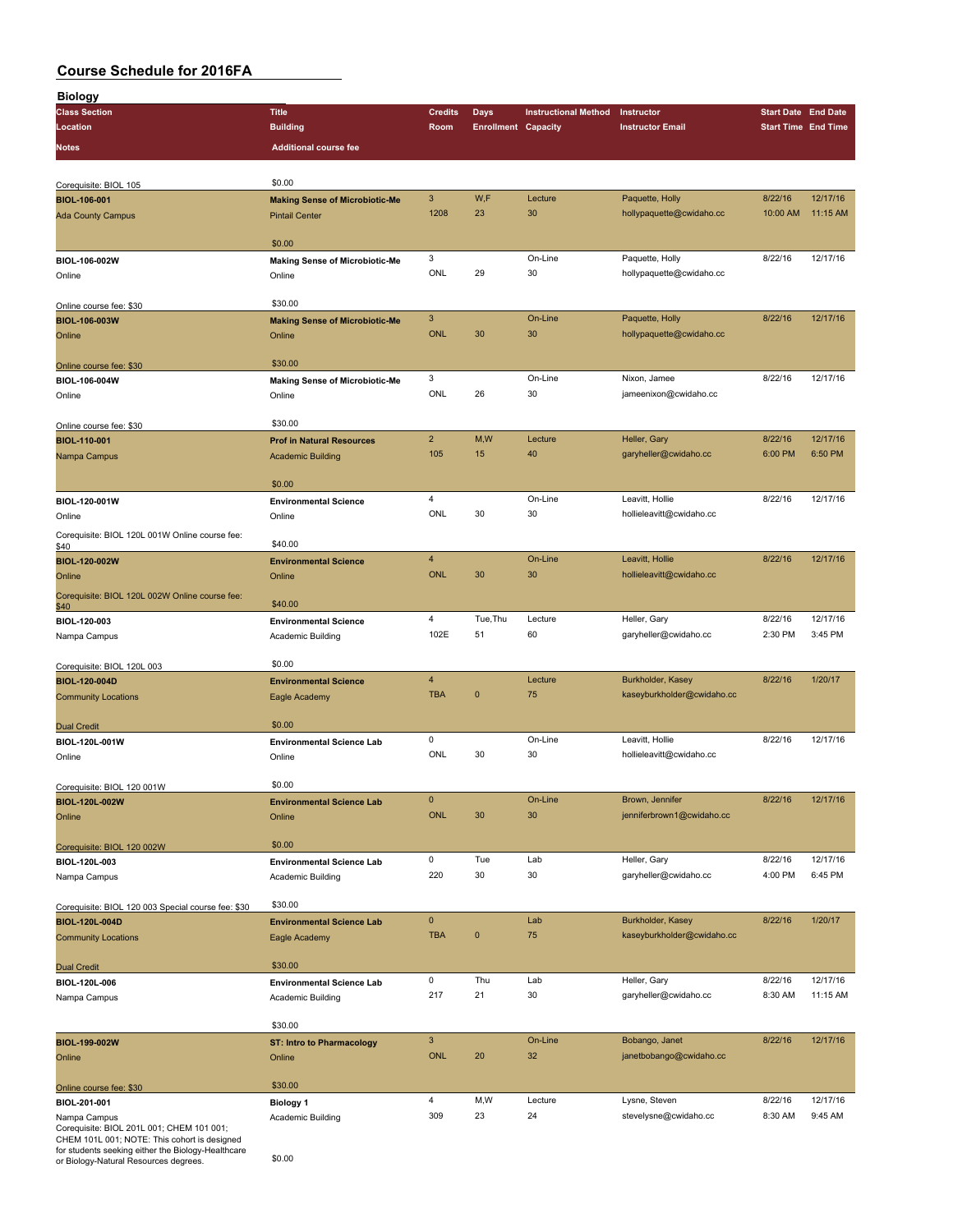| <b>Biology</b>                                                                                                                                  |                                       |                           |                            |                             |                                              |                            |          |
|-------------------------------------------------------------------------------------------------------------------------------------------------|---------------------------------------|---------------------------|----------------------------|-----------------------------|----------------------------------------------|----------------------------|----------|
| <b>Class Section</b>                                                                                                                            | <b>Title</b>                          | <b>Credits</b>            | Days                       | <b>Instructional Method</b> | Instructor                                   | <b>Start Date End Date</b> |          |
| Location                                                                                                                                        | <b>Building</b>                       | Room                      | <b>Enrollment Capacity</b> |                             | <b>Instructor Email</b>                      | <b>Start Time End Time</b> |          |
| Notes                                                                                                                                           | <b>Additional course fee</b>          |                           |                            |                             |                                              |                            |          |
|                                                                                                                                                 |                                       |                           |                            |                             |                                              |                            |          |
| Corequisite: BIOL 105                                                                                                                           | \$0.00                                |                           |                            |                             |                                              |                            |          |
| <b>BIOL-106-001</b>                                                                                                                             | <b>Making Sense of Microbiotic-Me</b> | $\ensuremath{\mathsf{3}}$ | W,F                        | Lecture                     | Paquette, Holly                              | 8/22/16                    | 12/17/16 |
| <b>Ada County Campus</b>                                                                                                                        | <b>Pintail Center</b>                 | 1208                      | 23                         | 30                          | hollypaquette@cwidaho.cc                     | 10:00 AM                   | 11:15 AM |
|                                                                                                                                                 |                                       |                           |                            |                             |                                              |                            |          |
|                                                                                                                                                 | \$0.00                                |                           |                            |                             |                                              |                            |          |
| BIOL-106-002W                                                                                                                                   | <b>Making Sense of Microbiotic-Me</b> | 3                         |                            | On-Line                     | Paquette, Holly                              | 8/22/16                    | 12/17/16 |
| Online                                                                                                                                          | Online                                | ONL                       | 29                         | 30                          | hollypaquette@cwidaho.cc                     |                            |          |
|                                                                                                                                                 |                                       |                           |                            |                             |                                              |                            |          |
| Online course fee: \$30                                                                                                                         | \$30.00                               |                           |                            |                             |                                              |                            |          |
| BIOL-106-003W                                                                                                                                   | <b>Making Sense of Microbiotic-Me</b> | 3                         |                            | On-Line                     | Paquette, Holly                              | 8/22/16                    | 12/17/16 |
| Online                                                                                                                                          | Online                                | <b>ONL</b>                | 30                         | 30                          | hollypaquette@cwidaho.cc                     |                            |          |
|                                                                                                                                                 | \$30.00                               |                           |                            |                             |                                              |                            |          |
| Online course fee: \$30                                                                                                                         | <b>Making Sense of Microbiotic-Me</b> | 3                         |                            | On-Line                     | Nixon, Jamee                                 | 8/22/16                    | 12/17/16 |
| BIOL-106-004W<br>Online                                                                                                                         | Online                                | ONL                       | 26                         | 30                          | jameenixon@cwidaho.cc                        |                            |          |
|                                                                                                                                                 |                                       |                           |                            |                             |                                              |                            |          |
| Online course fee: \$30                                                                                                                         | \$30.00                               |                           |                            |                             |                                              |                            |          |
| <b>BIOL-110-001</b>                                                                                                                             | <b>Prof in Natural Resources</b>      | $\overline{2}$            | M,W                        | Lecture                     | Heller, Gary                                 | 8/22/16                    | 12/17/16 |
| Nampa Campus                                                                                                                                    | <b>Academic Building</b>              | 105                       | 15                         | 40                          | garyheller@cwidaho.cc                        | 6:00 PM                    | 6:50 PM  |
|                                                                                                                                                 |                                       |                           |                            |                             |                                              |                            |          |
|                                                                                                                                                 | \$0.00                                |                           |                            |                             |                                              |                            |          |
| BIOL-120-001W                                                                                                                                   | <b>Environmental Science</b>          | 4                         |                            | On-Line                     | Leavitt, Hollie                              | 8/22/16                    | 12/17/16 |
| Online                                                                                                                                          | Online                                | ONL                       | 30                         | 30                          | hollieleavitt@cwidaho.cc                     |                            |          |
| Corequisite: BIOL 120L 001W Online course fee:                                                                                                  |                                       |                           |                            |                             |                                              |                            |          |
| \$40                                                                                                                                            | \$40.00                               |                           |                            |                             |                                              |                            |          |
| BIOL-120-002W                                                                                                                                   | <b>Environmental Science</b>          | 4                         |                            | On-Line                     | Leavitt, Hollie                              | 8/22/16                    | 12/17/16 |
| Online                                                                                                                                          | Online                                | <b>ONL</b>                | 30                         | 30                          | hollieleavitt@cwidaho.cc                     |                            |          |
| Corequisite: BIOL 120L 002W Online course fee:                                                                                                  | \$40.00                               |                           |                            |                             |                                              |                            |          |
| \$40<br>BIOL-120-003                                                                                                                            | <b>Environmental Science</b>          | 4                         | Tue, Thu                   | Lecture                     | Heller, Gary                                 | 8/22/16                    | 12/17/16 |
| Nampa Campus                                                                                                                                    | Academic Building                     | 102E                      | 51                         | 60                          | garyheller@cwidaho.cc                        | 2:30 PM                    | 3:45 PM  |
|                                                                                                                                                 |                                       |                           |                            |                             |                                              |                            |          |
| Corequisite: BIOL 120L 003                                                                                                                      | \$0.00                                |                           |                            |                             |                                              |                            |          |
| <b>BIOL-120-004D</b>                                                                                                                            | <b>Environmental Science</b>          | 4                         |                            | Lecture                     | Burkholder, Kasey                            | 8/22/16                    | 1/20/17  |
| <b>Community Locations</b>                                                                                                                      | Eagle Academy                         | <b>TBA</b>                | $\mathbf 0$                | 75                          | kaseyburkholder@cwidaho.cc                   |                            |          |
|                                                                                                                                                 |                                       |                           |                            |                             |                                              |                            |          |
| <b>Dual Credit</b>                                                                                                                              | \$0.00                                |                           |                            |                             |                                              |                            |          |
| BIOL-120L-001W                                                                                                                                  | <b>Environmental Science Lab</b>      | 0                         |                            | On-Line                     | Leavitt, Hollie                              | 8/22/16                    | 12/17/16 |
| Online                                                                                                                                          | Online                                | ONL                       | 30                         | 30                          | hollieleavitt@cwidaho.cc                     |                            |          |
|                                                                                                                                                 |                                       |                           |                            |                             |                                              |                            |          |
| Corequisite: BIOL 120 001W                                                                                                                      | \$0.00                                |                           |                            |                             |                                              |                            |          |
| BIOL-120L-002W                                                                                                                                  | <b>Environmental Science Lab</b>      | $\pmb{0}$<br><b>ONL</b>   | 30                         | On-Line<br>30               | Brown, Jennifer<br>jenniferbrown1@cwidaho.cc | 8/22/16                    | 12/17/16 |
| Online                                                                                                                                          | Online                                |                           |                            |                             |                                              |                            |          |
|                                                                                                                                                 | \$0.00                                |                           |                            |                             |                                              |                            |          |
| Corequisite: BIOL 120 002W<br>BIOL-120L-003                                                                                                     | <b>Environmental Science Lab</b>      | 0                         | Tue                        | Lab                         | Heller, Gary                                 | 8/22/16                    | 12/17/16 |
| Nampa Campus                                                                                                                                    | Academic Building                     | 220                       | 30                         | 30                          | garyheller@cwidaho.cc                        | 4:00 PM                    | 6:45 PM  |
|                                                                                                                                                 |                                       |                           |                            |                             |                                              |                            |          |
| Corequisite: BIOL 120 003 Special course fee: \$30                                                                                              | \$30.00                               |                           |                            |                             |                                              |                            |          |
| <b>BIOL-120L-004D</b>                                                                                                                           | <b>Environmental Science Lab</b>      | $\mathbf 0$               |                            | Lab                         | Burkholder, Kasey                            | 8/22/16                    | 1/20/17  |
| <b>Community Locations</b>                                                                                                                      | Eagle Academy                         | <b>TBA</b>                | $\pmb{0}$                  | 75                          | kaseyburkholder@cwidaho.cc                   |                            |          |
|                                                                                                                                                 |                                       |                           |                            |                             |                                              |                            |          |
| <b>Dual Credit</b>                                                                                                                              | \$30.00                               |                           |                            |                             |                                              |                            |          |
| BIOL-120L-006                                                                                                                                   | <b>Environmental Science Lab</b>      | 0                         | Thu                        | Lab                         | Heller, Gary                                 | 8/22/16                    | 12/17/16 |
| Nampa Campus                                                                                                                                    | Academic Building                     | 217                       | 21                         | 30                          | garyheller@cwidaho.cc                        | 8:30 AM                    | 11:15 AM |
|                                                                                                                                                 |                                       |                           |                            |                             |                                              |                            |          |
|                                                                                                                                                 | \$30.00                               |                           |                            |                             |                                              |                            |          |
| BIOL-199-002W                                                                                                                                   | <b>ST: Intro to Pharmacology</b>      | $\mathbf{3}$              | 20                         | On-Line                     | Bobango, Janet                               | 8/22/16                    | 12/17/16 |
| Online                                                                                                                                          | Online                                | <b>ONL</b>                |                            | 32                          | janetbobango@cwidaho.cc                      |                            |          |
|                                                                                                                                                 | \$30.00                               |                           |                            |                             |                                              |                            |          |
| Online course fee: \$30<br>BIOL-201-001                                                                                                         | <b>Biology 1</b>                      | 4                         | M, W                       | Lecture                     | Lysne, Steven                                | 8/22/16                    | 12/17/16 |
| Nampa Campus                                                                                                                                    | Academic Building                     | 309                       | 23                         | 24                          | stevelysne@cwidaho.cc                        | 8:30 AM                    | 9:45 AM  |
| Corequisite: BIOL 201L 001; CHEM 101 001;<br>CHEM 101L 001; NOTE: This cohort is designed<br>for students seeking either the Biology-Healthcare |                                       |                           |                            |                             |                                              |                            |          |

for students seeking either the Biology-Healthcare or Biology-Natural Resources degrees. \$0.00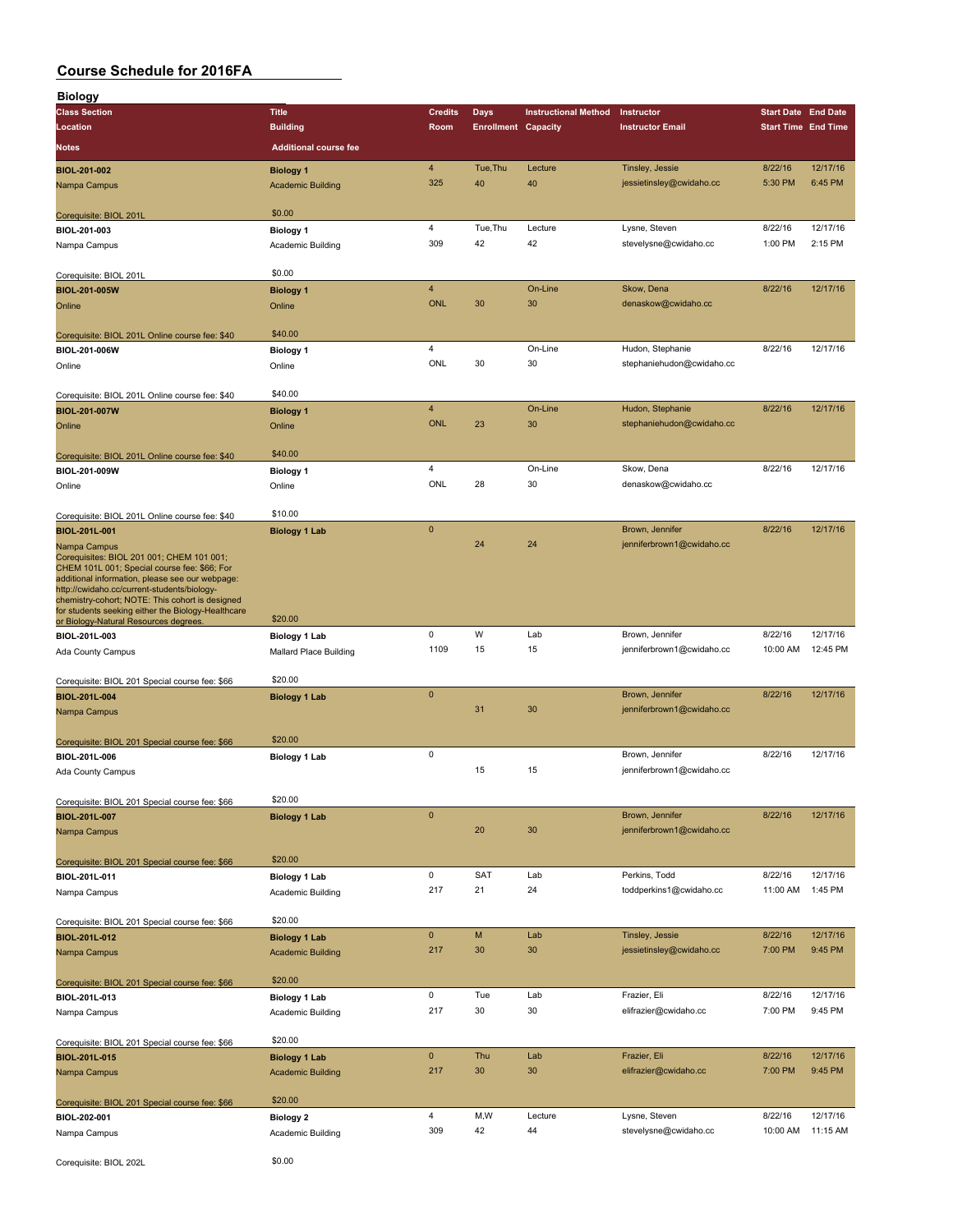| Biology                                                                                               |                              |                         |                            |                             |                                               |                            |          |
|-------------------------------------------------------------------------------------------------------|------------------------------|-------------------------|----------------------------|-----------------------------|-----------------------------------------------|----------------------------|----------|
| <b>Class Section</b>                                                                                  | <b>Title</b>                 | <b>Credits</b>          | Days                       | <b>Instructional Method</b> | Instructor                                    | <b>Start Date End Date</b> |          |
| Location                                                                                              | <b>Building</b>              | Room                    | <b>Enrollment Capacity</b> |                             | <b>Instructor Email</b>                       | <b>Start Time End Time</b> |          |
| <b>Notes</b>                                                                                          | <b>Additional course fee</b> |                         |                            |                             |                                               |                            |          |
| BIOL-201-002                                                                                          | <b>Biology 1</b>             | $\overline{4}$          | Tue, Thu                   | Lecture                     | Tinsley, Jessie                               | 8/22/16                    | 12/17/16 |
| Nampa Campus                                                                                          | <b>Academic Building</b>     | 325                     | 40                         | 40                          | jessietinsley@cwidaho.cc                      | 5:30 PM                    | 6:45 PM  |
|                                                                                                       |                              |                         |                            |                             |                                               |                            |          |
| Corequisite: BIOL 201L                                                                                | \$0.00                       |                         |                            |                             |                                               |                            |          |
| BIOL-201-003                                                                                          | <b>Biology 1</b>             | $\overline{4}$          | Tue, Thu                   | Lecture                     | Lysne, Steven                                 | 8/22/16                    | 12/17/16 |
| Nampa Campus                                                                                          | Academic Building            | 309                     | 42                         | 42                          | stevelysne@cwidaho.cc                         | 1:00 PM                    | 2:15 PM  |
| Corequisite: BIOL 201L                                                                                | \$0.00                       |                         |                            |                             |                                               |                            |          |
| BIOL-201-005W                                                                                         | <b>Biology 1</b>             | $\overline{4}$          |                            | On-Line                     | Skow, Dena                                    | 8/22/16                    | 12/17/16 |
| Online                                                                                                | Online                       | <b>ONL</b>              | 30                         | 30                          | denaskow@cwidaho.cc                           |                            |          |
|                                                                                                       |                              |                         |                            |                             |                                               |                            |          |
| Corequisite: BIOL 201L Online course fee: \$40                                                        | \$40.00                      | $\overline{\mathbf{4}}$ |                            | On-Line                     |                                               | 8/22/16                    | 12/17/16 |
| BIOL-201-006W                                                                                         | <b>Biology 1</b><br>Online   | ONL                     | 30                         | 30                          | Hudon, Stephanie<br>stephaniehudon@cwidaho.cc |                            |          |
| Online                                                                                                |                              |                         |                            |                             |                                               |                            |          |
| Corequisite: BIOL 201L Online course fee: \$40                                                        | \$40.00                      |                         |                            |                             |                                               |                            |          |
| <b>BIOL-201-007W</b>                                                                                  | <b>Biology 1</b>             | $\overline{4}$          |                            | On-Line                     | Hudon, Stephanie                              | 8/22/16                    | 12/17/16 |
| Online                                                                                                | Online                       | <b>ONL</b>              | 23                         | 30                          | stephaniehudon@cwidaho.cc                     |                            |          |
|                                                                                                       | \$40.00                      |                         |                            |                             |                                               |                            |          |
| Corequisite: BIOL 201L Online course fee: \$40<br>BIOL-201-009W                                       | <b>Biology 1</b>             | 4                       |                            | On-Line                     | Skow, Dena                                    | 8/22/16                    | 12/17/16 |
| Online                                                                                                | Online                       | ONL                     | 28                         | 30                          | denaskow@cwidaho.cc                           |                            |          |
|                                                                                                       |                              |                         |                            |                             |                                               |                            |          |
| Corequisite: BIOL 201L Online course fee: \$40                                                        | \$10.00                      |                         |                            |                             |                                               |                            |          |
| BIOL-201L-001                                                                                         | <b>Biology 1 Lab</b>         | $\pmb{0}$               |                            |                             | Brown, Jennifer                               | 8/22/16                    | 12/17/16 |
| Nampa Campus<br>Corequisites: BIOL 201 001; CHEM 101 001;                                             |                              |                         | 24                         | 24                          | jenniferbrown1@cwidaho.cc                     |                            |          |
| CHEM 101L 001; Special course fee: \$66; For                                                          |                              |                         |                            |                             |                                               |                            |          |
| additional information, please see our webpage:<br>http://cwidaho.cc/current-students/biology-        |                              |                         |                            |                             |                                               |                            |          |
| chemistry-cohort; NOTE: This cohort is designed<br>for students seeking either the Biology-Healthcare |                              |                         |                            |                             |                                               |                            |          |
| or Biology-Natural Resources degrees.                                                                 | \$20.00                      |                         |                            |                             |                                               |                            |          |
| BIOL-201L-003                                                                                         | <b>Biology 1 Lab</b>         | $\pmb{0}$               | W                          | Lab                         | Brown, Jennifer                               | 8/22/16                    | 12/17/16 |
| Ada County Campus                                                                                     | Mallard Place Building       | 1109                    | 15                         | 15                          | jenniferbrown1@cwidaho.cc                     | 10:00 AM                   | 12:45 PM |
| Corequisite: BIOL 201 Special course fee: \$66                                                        | \$20.00                      |                         |                            |                             |                                               |                            |          |
| BIOL-201L-004                                                                                         | <b>Biology 1 Lab</b>         | $\mathbf{0}$            |                            |                             | Brown, Jennifer                               | 8/22/16                    | 12/17/16 |
| Nampa Campus                                                                                          |                              |                         | 31                         | 30                          | jenniferbrown1@cwidaho.cc                     |                            |          |
|                                                                                                       |                              |                         |                            |                             |                                               |                            |          |
| Corequisite: BIOL 201 Special course fee: \$66                                                        | \$20.00                      |                         |                            |                             |                                               |                            |          |
| BIOL-201L-006                                                                                         | <b>Biology 1 Lab</b>         | 0                       | 15                         | 15                          | Brown, Jennifer<br>jenniferbrown1@cwidaho.cc  | 8/22/16                    | 12/17/16 |
| Ada County Campus                                                                                     |                              |                         |                            |                             |                                               |                            |          |
| Corequisite: BIOL 201 Special course fee: \$66                                                        | \$20.00                      |                         |                            |                             |                                               |                            |          |
| BIOL-201L-007                                                                                         | <b>Biology 1 Lab</b>         | $\pmb{0}$               |                            |                             | Brown, Jennifer                               | 8/22/16                    | 12/17/16 |
| Nampa Campus                                                                                          |                              |                         | 20                         | 30                          | jenniferbrown1@cwidaho.cc                     |                            |          |
|                                                                                                       | \$20.00                      |                         |                            |                             |                                               |                            |          |
| Corequisite: BIOL 201 Special course fee: \$66<br>BIOL-201L-011                                       | Biology 1 Lab                | $\mathsf 0$             | SAT                        | Lab                         | Perkins, Todd                                 | 8/22/16                    | 12/17/16 |
| Nampa Campus                                                                                          | Academic Building            | 217                     | 21                         | 24                          | toddperkins1@cwidaho.cc                       | 11:00 AM                   | 1:45 PM  |
|                                                                                                       |                              |                         |                            |                             |                                               |                            |          |
| Corequisite: BIOL 201 Special course fee: \$66                                                        | \$20.00                      |                         |                            |                             |                                               |                            |          |
| BIOL-201L-012                                                                                         | <b>Biology 1 Lab</b>         | $\pmb{0}$               | M                          | Lab                         | Tinsley, Jessie                               | 8/22/16                    | 12/17/16 |
| Nampa Campus                                                                                          | <b>Academic Building</b>     | 217                     | 30                         | 30                          | jessietinsley@cwidaho.cc                      | 7:00 PM                    | 9:45 PM  |
| Corequisite: BIOL 201 Special course fee: \$66                                                        | \$20.00                      |                         |                            |                             |                                               |                            |          |
| BIOL-201L-013                                                                                         | <b>Biology 1 Lab</b>         | 0                       | Tue                        | Lab                         | Frazier, Eli                                  | 8/22/16                    | 12/17/16 |
| Nampa Campus                                                                                          | Academic Building            | 217                     | 30                         | 30                          | elifrazier@cwidaho.cc                         | 7:00 PM                    | 9:45 PM  |
|                                                                                                       |                              |                         |                            |                             |                                               |                            |          |
| Corequisite: BIOL 201 Special course fee: \$66                                                        | \$20.00                      | $\pmb{0}$               | Thu                        | Lab                         | Frazier, Eli                                  |                            | 12/17/16 |
| BIOL-201L-015                                                                                         | <b>Biology 1 Lab</b>         | 217                     | 30                         | 30                          | elifrazier@cwidaho.cc                         | 8/22/16<br>7:00 PM         | 9:45 PM  |
| Nampa Campus                                                                                          | <b>Academic Building</b>     |                         |                            |                             |                                               |                            |          |
| Corequisite: BIOL 201 Special course fee: \$66                                                        | \$20.00                      |                         |                            |                             |                                               |                            |          |
| BIOL-202-001                                                                                          | <b>Biology 2</b>             | $\overline{4}$          | M,W                        | Lecture                     | Lysne, Steven                                 | 8/22/16                    | 12/17/16 |
| Nampa Campus                                                                                          | Academic Building            | 309                     | 42                         | 44                          | stevelysne@cwidaho.cc                         | 10:00 AM                   | 11:15 AM |
|                                                                                                       | \$0.00                       |                         |                            |                             |                                               |                            |          |
| Corequisite: BIOL 202L                                                                                |                              |                         |                            |                             |                                               |                            |          |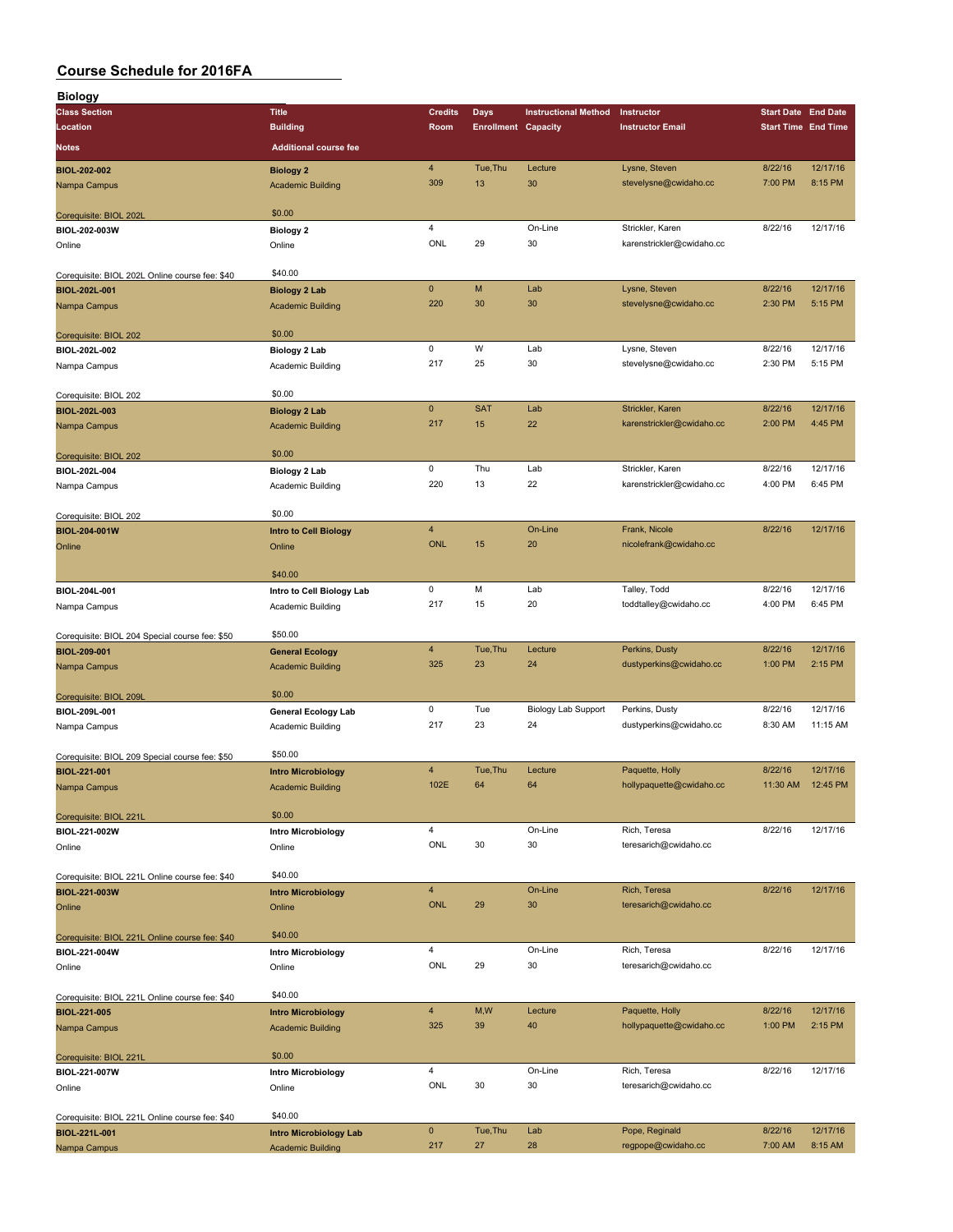| <b>Biology</b>                                 |                               |                         |                            |                             |                           |                            |          |
|------------------------------------------------|-------------------------------|-------------------------|----------------------------|-----------------------------|---------------------------|----------------------------|----------|
| <b>Class Section</b>                           | <b>Title</b>                  | <b>Credits</b>          | Days                       | <b>Instructional Method</b> | Instructor                | <b>Start Date End Date</b> |          |
| Location                                       | <b>Building</b>               | Room                    | <b>Enrollment Capacity</b> |                             | <b>Instructor Email</b>   | <b>Start Time End Time</b> |          |
| Notes                                          | <b>Additional course fee</b>  |                         |                            |                             |                           |                            |          |
|                                                |                               |                         |                            |                             |                           |                            |          |
| BIOL-202-002                                   | <b>Biology 2</b>              | $\overline{4}$          | Tue, Thu                   | Lecture                     | Lysne, Steven             | 8/22/16                    | 12/17/16 |
| Nampa Campus                                   | <b>Academic Building</b>      | 309                     | 13                         | 30                          | stevelysne@cwidaho.cc     | 7:00 PM                    | 8:15 PM  |
|                                                |                               |                         |                            |                             |                           |                            |          |
| Corequisite: BIOL 202L                         | \$0.00                        |                         |                            |                             |                           |                            |          |
| BIOL-202-003W                                  | <b>Biology 2</b>              | $\overline{\mathbf{4}}$ |                            | On-Line                     | Strickler, Karen          | 8/22/16                    | 12/17/16 |
| Online                                         | Online                        | ONL                     | 29                         | 30                          | karenstrickler@cwidaho.cc |                            |          |
|                                                |                               |                         |                            |                             |                           |                            |          |
| Corequisite: BIOL 202L Online course fee: \$40 | \$40.00                       |                         |                            |                             |                           |                            |          |
| BIOL-202L-001                                  | <b>Biology 2 Lab</b>          | $\mathbf 0$             | M                          | Lab                         | Lysne, Steven             | 8/22/16                    | 12/17/16 |
| Nampa Campus                                   | <b>Academic Building</b>      | 220                     | 30                         | 30                          | stevelysne@cwidaho.cc     | 2:30 PM                    | 5:15 PM  |
|                                                |                               |                         |                            |                             |                           |                            |          |
| Corequisite: BIOL 202                          | \$0.00                        |                         |                            |                             |                           |                            |          |
| BIOL-202L-002                                  | <b>Biology 2 Lab</b>          | $\mathsf 0$             | W                          | Lab                         | Lysne, Steven             | 8/22/16                    | 12/17/16 |
| Nampa Campus                                   | Academic Building             | 217                     | 25                         | 30                          | stevelysne@cwidaho.cc     | 2:30 PM                    | 5:15 PM  |
|                                                |                               |                         |                            |                             |                           |                            |          |
| Corequisite: BIOL 202                          | \$0.00                        |                         |                            |                             |                           |                            |          |
| BIOL-202L-003                                  | <b>Biology 2 Lab</b>          | $\pmb{0}$               | <b>SAT</b>                 | Lab                         | Strickler, Karen          | 8/22/16                    | 12/17/16 |
| Nampa Campus                                   | <b>Academic Building</b>      | 217                     | 15                         | 22                          | karenstrickler@cwidaho.cc | 2:00 PM                    | 4:45 PM  |
|                                                |                               |                         |                            |                             |                           |                            |          |
| Corequisite: BIOL 202                          | \$0.00                        |                         |                            |                             |                           |                            |          |
| BIOL-202L-004                                  | <b>Biology 2 Lab</b>          | 0                       | Thu                        | Lab                         | Strickler, Karen          | 8/22/16                    | 12/17/16 |
| Nampa Campus                                   | Academic Building             | 220                     | 13                         | 22                          | karenstrickler@cwidaho.cc | 4:00 PM                    | 6:45 PM  |
|                                                |                               |                         |                            |                             |                           |                            |          |
| Corequisite: BIOL 202                          | \$0.00                        |                         |                            |                             |                           |                            |          |
| BIOL-204-001W                                  | <b>Intro to Cell Biology</b>  | $\overline{4}$          |                            | On-Line                     | Frank, Nicole             | 8/22/16                    | 12/17/16 |
| Online                                         | Online                        | <b>ONL</b>              | 15                         | 20                          | nicolefrank@cwidaho.cc    |                            |          |
|                                                |                               |                         |                            |                             |                           |                            |          |
|                                                | \$40.00                       |                         |                            |                             |                           |                            |          |
| BIOL-204L-001                                  |                               | 0                       | M                          | Lab                         | Talley, Todd              | 8/22/16                    | 12/17/16 |
|                                                | Intro to Cell Biology Lab     | 217                     | 15                         | 20                          | toddtalley@cwidaho.cc     | 4:00 PM                    | 6:45 PM  |
| Nampa Campus                                   | Academic Building             |                         |                            |                             |                           |                            |          |
|                                                | \$50.00                       |                         |                            |                             |                           |                            |          |
| Corequisite: BIOL 204 Special course fee: \$50 |                               | $\overline{4}$          | Tue, Thu                   | Lecture                     |                           | 8/22/16                    | 12/17/16 |
| BIOL-209-001                                   | <b>General Ecology</b>        | 325                     | 23                         | 24                          | Perkins, Dusty            |                            | 2:15 PM  |
| Nampa Campus                                   | <b>Academic Building</b>      |                         |                            |                             | dustyperkins@cwidaho.cc   | 1:00 PM                    |          |
|                                                |                               |                         |                            |                             |                           |                            |          |
| Corequisite: BIOL 209L                         | \$0.00                        |                         |                            |                             |                           |                            |          |
| BIOL-209L-001                                  | <b>General Ecology Lab</b>    | 0                       | Tue                        | <b>Biology Lab Support</b>  | Perkins, Dusty            | 8/22/16                    | 12/17/16 |
| Nampa Campus                                   | Academic Building             | 217                     | 23                         | 24                          | dustyperkins@cwidaho.cc   | 8:30 AM                    | 11:15 AM |
|                                                |                               |                         |                            |                             |                           |                            |          |
| Corequisite: BIOL 209 Special course fee: \$50 | \$50.00                       |                         |                            |                             |                           |                            |          |
| BIOL-221-001                                   | <b>Intro Microbiology</b>     | $\overline{4}$          | Tue, Thu                   | Lecture                     | Paquette, Holly           | 8/22/16                    | 12/17/16 |
| Nampa Campus                                   | <b>Academic Building</b>      | 102E                    | 64                         | 64                          | hollypaquette@cwidaho.cc  | 11:30 AM                   | 12:45 PM |
|                                                |                               |                         |                            |                             |                           |                            |          |
| Corequisite: BIOL 221L                         | \$0.00                        |                         |                            |                             |                           |                            |          |
| BIOL-221-002W                                  | <b>Intro Microbiology</b>     | $\overline{4}$          |                            | On-Line                     | Rich, Teresa              | 8/22/16                    | 12/17/16 |
| Online                                         | Online                        | ONL                     | 30                         | 30                          | teresarich@cwidaho.cc     |                            |          |
|                                                |                               |                         |                            |                             |                           |                            |          |
| Corequisite: BIOL 221L Online course fee: \$40 | \$40.00                       |                         |                            |                             |                           |                            |          |
| BIOL-221-003W                                  | <b>Intro Microbiology</b>     | $\overline{4}$          |                            | On-Line                     | Rich, Teresa              | 8/22/16                    | 12/17/16 |
| Online                                         | Online                        | <b>ONL</b>              | 29                         | 30                          | teresarich@cwidaho.cc     |                            |          |
|                                                |                               |                         |                            |                             |                           |                            |          |
| Corequisite: BIOL 221L Online course fee: \$40 | \$40.00                       |                         |                            |                             |                           |                            |          |
| BIOL-221-004W                                  | <b>Intro Microbiology</b>     | $\overline{4}$          |                            | On-Line                     | Rich, Teresa              | 8/22/16                    | 12/17/16 |
| Online                                         | Online                        | ONL                     | 29                         | 30                          | teresarich@cwidaho.cc     |                            |          |
|                                                |                               |                         |                            |                             |                           |                            |          |
| Corequisite: BIOL 221L Online course fee: \$40 | \$40.00                       |                         |                            |                             |                           |                            |          |
| <b>BIOL-221-005</b>                            | <b>Intro Microbiology</b>     | $\overline{4}$          | M,W                        | Lecture                     | Paquette, Holly           | 8/22/16                    | 12/17/16 |
| Nampa Campus                                   | <b>Academic Building</b>      | 325                     | 39                         | 40                          | hollypaquette@cwidaho.cc  | 1:00 PM                    | 2:15 PM  |
|                                                |                               |                         |                            |                             |                           |                            |          |
|                                                | \$0.00                        |                         |                            |                             |                           |                            |          |
| Corequisite: BIOL 221L                         |                               | $\overline{4}$          |                            | On-Line                     | Rich, Teresa              | 8/22/16                    | 12/17/16 |
| BIOL-221-007W                                  | <b>Intro Microbiology</b>     | <b>ONL</b>              | 30                         | 30                          |                           |                            |          |
| Online                                         | Online                        |                         |                            |                             | teresarich@cwidaho.cc     |                            |          |
|                                                |                               |                         |                            |                             |                           |                            |          |
| Corequisite: BIOL 221L Online course fee: \$40 | \$40.00                       |                         |                            |                             |                           |                            |          |
| BIOL-221L-001                                  | <b>Intro Microbiology Lab</b> | $\pmb{0}$               | Tue, Thu                   | Lab                         | Pope, Reginald            | 8/22/16                    | 12/17/16 |
| Nampa Campus                                   | <b>Academic Building</b>      | 217                     | 27                         | 28                          | regpope@cwidaho.cc        | 7:00 AM                    | 8:15 AM  |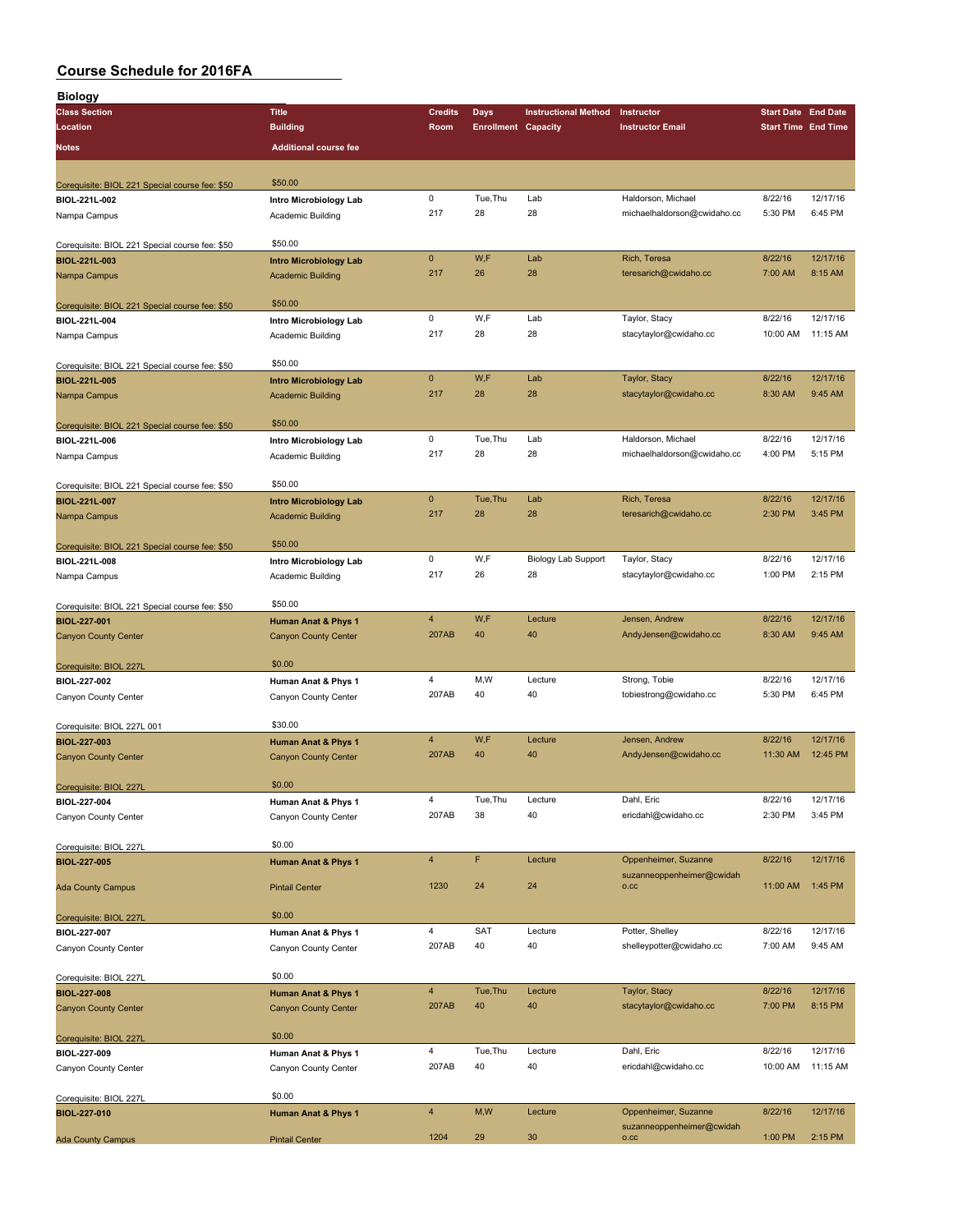| <b>Biology</b>                                 |                                |                |                            |                             |                                   |                            |          |
|------------------------------------------------|--------------------------------|----------------|----------------------------|-----------------------------|-----------------------------------|----------------------------|----------|
| <b>Class Section</b>                           | <b>Title</b>                   | <b>Credits</b> | Days                       | <b>Instructional Method</b> | Instructor                        | <b>Start Date End Date</b> |          |
| Location                                       | <b>Building</b>                | Room           | <b>Enrollment Capacity</b> |                             | <b>Instructor Email</b>           | <b>Start Time End Time</b> |          |
|                                                |                                |                |                            |                             |                                   |                            |          |
| <b>Notes</b>                                   | <b>Additional course fee</b>   |                |                            |                             |                                   |                            |          |
|                                                |                                |                |                            |                             |                                   |                            |          |
|                                                |                                |                |                            |                             |                                   |                            |          |
| Corequisite: BIOL 221 Special course fee: \$50 | \$50.00                        |                |                            |                             |                                   |                            |          |
| BIOL-221L-002                                  | Intro Microbiology Lab         | 0              | Tue, Thu                   | Lab                         | Haldorson, Michael                | 8/22/16                    | 12/17/16 |
| Nampa Campus                                   | Academic Building              | 217            | 28                         | 28                          | michaelhaldorson@cwidaho.cc       | 5:30 PM                    | 6:45 PM  |
|                                                |                                |                |                            |                             |                                   |                            |          |
|                                                | \$50.00                        |                |                            |                             |                                   |                            |          |
| Corequisite: BIOL 221 Special course fee: \$50 |                                |                |                            |                             |                                   |                            |          |
| BIOL-221L-003                                  | <b>Intro Microbiology Lab</b>  | $\mathbf{0}$   | W,F                        | Lab                         | Rich, Teresa                      | 8/22/16                    | 12/17/16 |
| Nampa Campus                                   | <b>Academic Building</b>       | 217            | 26                         | 28                          | teresarich@cwidaho.cc             | 7:00 AM                    | 8:15 AM  |
|                                                |                                |                |                            |                             |                                   |                            |          |
| Corequisite: BIOL 221 Special course fee: \$50 | \$50.00                        |                |                            |                             |                                   |                            |          |
|                                                |                                | 0              | W,F                        | Lab                         | Taylor, Stacy                     | 8/22/16                    | 12/17/16 |
| BIOL-221L-004                                  | Intro Microbiology Lab         |                |                            |                             |                                   |                            |          |
| Nampa Campus                                   | Academic Building              | 217            | 28                         | 28                          | stacytaylor@cwidaho.cc            | 10:00 AM                   | 11:15 AM |
|                                                |                                |                |                            |                             |                                   |                            |          |
| Corequisite: BIOL 221 Special course fee: \$50 | \$50.00                        |                |                            |                             |                                   |                            |          |
| BIOL-221L-005                                  | <b>Intro Microbiology Lab</b>  | $\mathbf{0}$   | W,F                        | Lab                         | Taylor, Stacy                     | 8/22/16                    | 12/17/16 |
|                                                |                                | 217            | 28                         | 28                          |                                   | 8:30 AM                    | 9:45 AM  |
| Nampa Campus                                   | <b>Academic Building</b>       |                |                            |                             | stacytaylor@cwidaho.cc            |                            |          |
|                                                |                                |                |                            |                             |                                   |                            |          |
| Corequisite: BIOL 221 Special course fee: \$50 | \$50.00                        |                |                            |                             |                                   |                            |          |
| BIOL-221L-006                                  | Intro Microbiology Lab         | $\mathsf 0$    | Tue, Thu                   | Lab                         | Haldorson, Michael                | 8/22/16                    | 12/17/16 |
|                                                |                                | 217            | 28                         | 28                          | michaelhaldorson@cwidaho.cc       | 4:00 PM                    | 5:15 PM  |
| Nampa Campus                                   | Academic Building              |                |                            |                             |                                   |                            |          |
|                                                |                                |                |                            |                             |                                   |                            |          |
| Corequisite: BIOL 221 Special course fee: \$50 | \$50.00                        |                |                            |                             |                                   |                            |          |
| BIOL-221L-007                                  | <b>Intro Microbiology Lab</b>  | $\mathbf 0$    | Tue, Thu                   | Lab                         | Rich, Teresa                      | 8/22/16                    | 12/17/16 |
| Nampa Campus                                   | <b>Academic Building</b>       | 217            | 28                         | 28                          | teresarich@cwidaho.cc             | 2:30 PM                    | 3:45 PM  |
|                                                |                                |                |                            |                             |                                   |                            |          |
|                                                |                                |                |                            |                             |                                   |                            |          |
| Corequisite: BIOL 221 Special course fee: \$50 | \$50.00                        |                |                            |                             |                                   |                            |          |
| BIOL-221L-008                                  | Intro Microbiology Lab         | $\mathsf 0$    | W,F                        | <b>Biology Lab Support</b>  | Taylor, Stacy                     | 8/22/16                    | 12/17/16 |
| Nampa Campus                                   | Academic Building              | 217            | 26                         | 28                          | stacytaylor@cwidaho.cc            | 1:00 PM                    | 2:15 PM  |
|                                                |                                |                |                            |                             |                                   |                            |          |
|                                                | \$50.00                        |                |                            |                             |                                   |                            |          |
| Corequisite: BIOL 221 Special course fee: \$50 |                                |                |                            |                             |                                   |                            |          |
| BIOL-227-001                                   | <b>Human Anat &amp; Phys 1</b> | $\overline{4}$ | W,F                        | Lecture                     | Jensen, Andrew                    | 8/22/16                    | 12/17/16 |
| <b>Canyon County Center</b>                    | <b>Canyon County Center</b>    | 207AB          | 40                         | 40                          | AndyJensen@cwidaho.cc             | 8:30 AM                    | 9:45 AM  |
|                                                |                                |                |                            |                             |                                   |                            |          |
| Corequisite: BIOL 227L                         | \$0.00                         |                |                            |                             |                                   |                            |          |
|                                                |                                | $\overline{4}$ | M,W                        | Lecture                     | Strong, Tobie                     | 8/22/16                    | 12/17/16 |
| BIOL-227-002                                   | Human Anat & Phys 1            |                |                            |                             |                                   |                            |          |
| Canyon County Center                           | Canyon County Center           | 207AB          | 40                         | 40                          | tobiestrong@cwidaho.cc            | 5:30 PM                    | 6:45 PM  |
|                                                |                                |                |                            |                             |                                   |                            |          |
| Corequisite: BIOL 227L 001                     | \$30.00                        |                |                            |                             |                                   |                            |          |
| BIOL-227-003                                   | <b>Human Anat &amp; Phys 1</b> | $\overline{4}$ | W,F                        | Lecture                     | Jensen, Andrew                    | 8/22/16                    | 12/17/16 |
|                                                |                                |                |                            |                             |                                   |                            |          |
| <b>Canyon County Center</b>                    | <b>Canyon County Center</b>    | 207AB          | 40                         | 40                          | AndyJensen@cwidaho.cc             | 11:30 AM                   | 12:45 PM |
|                                                |                                |                |                            |                             |                                   |                            |          |
| Corequisite: BIOL 227L                         | \$0.00                         |                |                            |                             |                                   |                            |          |
| BIOL-227-004                                   | Human Anat & Phys 1            | 4              | Tue, Thu                   | Lecture                     | Dahl, Eric                        | 8/22/16                    | 12/17/16 |
| Canyon County Center                           | Canyon County Center           | 207AB          | 38                         | 40                          | ericdahl@cwidaho.cc               | 2:30 PM                    | 3:45 PM  |
|                                                |                                |                |                            |                             |                                   |                            |          |
|                                                |                                |                |                            |                             |                                   |                            |          |
| Corequisite: BIOL 227L                         | \$0.00                         |                |                            |                             |                                   |                            |          |
| BIOL-227-005                                   | Human Anat & Phys 1            | $\overline{4}$ | F                          | Lecture                     | Oppenheimer, Suzanne              | 8/22/16                    | 12/17/16 |
|                                                |                                |                |                            |                             | suzanneoppenheimer@cwidah         |                            |          |
| <b>Ada County Campus</b>                       | <b>Pintail Center</b>          | 1230           | 24                         | 24                          | O.CC                              | 11:00 AM                   | 1:45 PM  |
|                                                |                                |                |                            |                             |                                   |                            |          |
|                                                |                                |                |                            |                             |                                   |                            |          |
| Corequisite: BIOL 227L                         | \$0.00                         |                |                            |                             |                                   |                            |          |
| BIOL-227-007                                   | Human Anat & Phys 1            | $\sqrt{4}$     | <b>SAT</b>                 | Lecture                     | Potter, Shelley                   | 8/22/16                    | 12/17/16 |
| Canyon County Center                           | Canyon County Center           | 207AB          | 40                         | 40                          | shelleypotter@cwidaho.cc          | 7:00 AM                    | 9:45 AM  |
|                                                |                                |                |                            |                             |                                   |                            |          |
|                                                | \$0.00                         |                |                            |                             |                                   |                            |          |
| Corequisite: BIOL 227L                         |                                |                |                            |                             |                                   |                            |          |
| <b>BIOL-227-008</b>                            | Human Anat & Phys 1            | $\overline{4}$ | Tue, Thu                   | Lecture                     | Taylor, Stacy                     | 8/22/16                    | 12/17/16 |
| <b>Canyon County Center</b>                    | <b>Canyon County Center</b>    | 207AB          | 40                         | 40                          | stacytaylor@cwidaho.cc            | 7:00 PM                    | 8:15 PM  |
|                                                |                                |                |                            |                             |                                   |                            |          |
| Corequisite: BIOL 227L                         | \$0.00                         |                |                            |                             |                                   |                            |          |
|                                                |                                | $\sqrt{4}$     | Tue, Thu                   | Lecture                     | Dahl, Eric                        | 8/22/16                    | 12/17/16 |
| BIOL-227-009                                   | Human Anat & Phys 1            |                |                            |                             |                                   |                            |          |
| Canyon County Center                           | Canyon County Center           | 207AB          | 40                         | 40                          | ericdahl@cwidaho.cc               | 10:00 AM                   | 11:15 AM |
|                                                |                                |                |                            |                             |                                   |                            |          |
| Corequisite: BIOL 227L                         | \$0.00                         |                |                            |                             |                                   |                            |          |
| BIOL-227-010                                   | <b>Human Anat &amp; Phys 1</b> | $\overline{4}$ | M,W                        | Lecture                     | Oppenheimer, Suzanne              | 8/22/16                    | 12/17/16 |
|                                                |                                |                |                            |                             |                                   |                            |          |
|                                                |                                | 1204           | 29                         | 30                          | suzanneoppenheimer@cwidah<br>O.CC | 1:00 PM                    | 2:15 PM  |
| <b>Ada County Campus</b>                       | <b>Pintail Center</b>          |                |                            |                             |                                   |                            |          |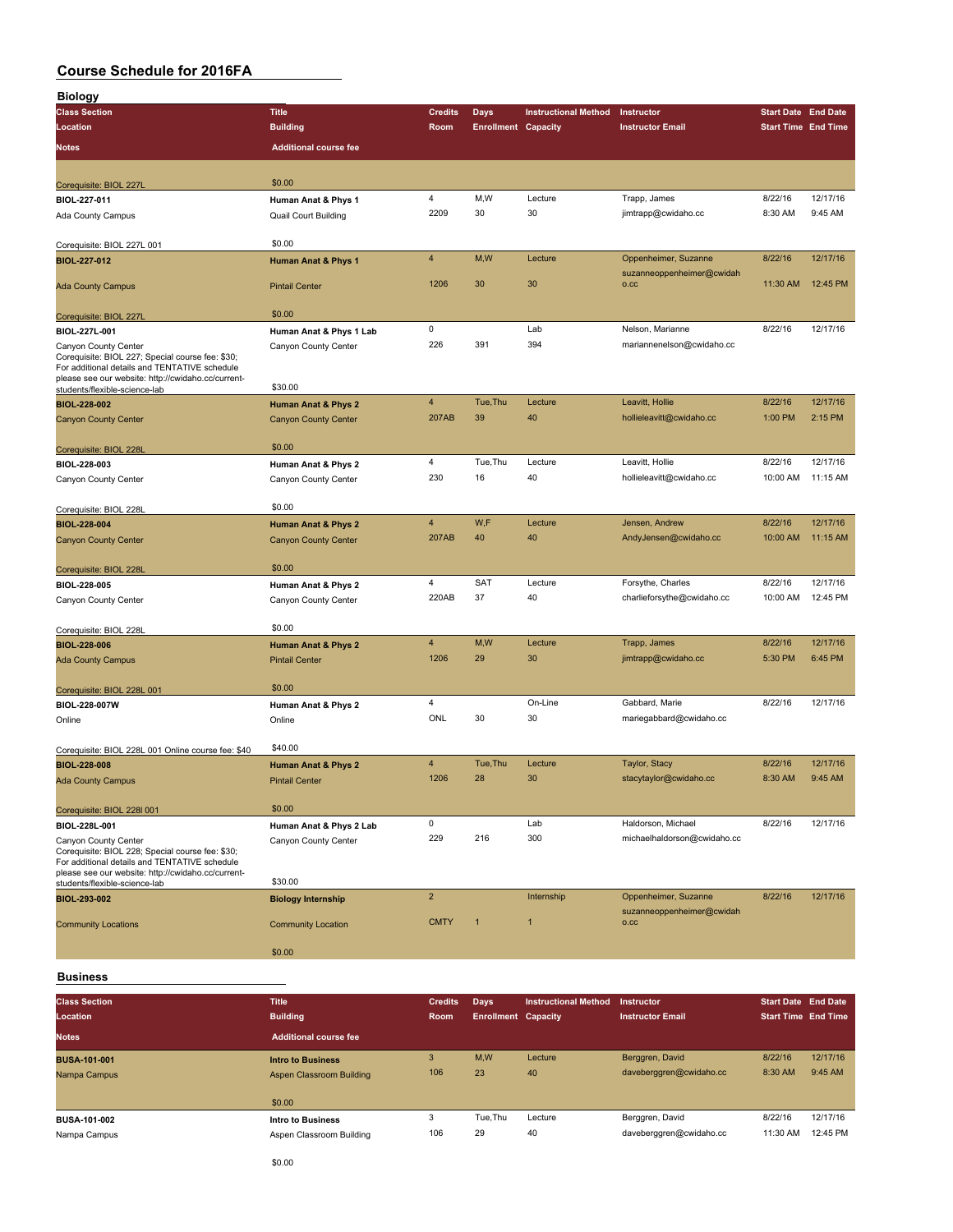| <b>Biology</b>                                                           |                                |                |                            |                             |                                   |                            |          |
|--------------------------------------------------------------------------|--------------------------------|----------------|----------------------------|-----------------------------|-----------------------------------|----------------------------|----------|
| <b>Class Section</b>                                                     | <b>Title</b>                   | <b>Credits</b> | <b>Days</b>                | <b>Instructional Method</b> | Instructor                        | <b>Start Date End Date</b> |          |
| Location                                                                 | <b>Building</b>                | Room           | <b>Enrollment Capacity</b> |                             | <b>Instructor Email</b>           | <b>Start Time End Time</b> |          |
|                                                                          |                                |                |                            |                             |                                   |                            |          |
| <b>Notes</b>                                                             | <b>Additional course fee</b>   |                |                            |                             |                                   |                            |          |
|                                                                          |                                |                |                            |                             |                                   |                            |          |
| Corequisite: BIOL 227L                                                   | \$0.00                         |                |                            |                             |                                   |                            |          |
| BIOL-227-011                                                             | Human Anat & Phys 1            | $\overline{4}$ | M, W                       | Lecture                     | Trapp, James                      | 8/22/16                    | 12/17/16 |
| Ada County Campus                                                        | <b>Quail Court Building</b>    | 2209           | 30                         | 30                          | jimtrapp@cwidaho.cc               | 8:30 AM                    | 9:45 AM  |
|                                                                          |                                |                |                            |                             |                                   |                            |          |
| Corequisite: BIOL 227L 001                                               | \$0.00                         |                |                            |                             |                                   |                            |          |
| BIOL-227-012                                                             | <b>Human Anat &amp; Phys 1</b> | $\overline{4}$ | M, W                       | Lecture                     | Oppenheimer, Suzanne              | 8/22/16                    | 12/17/16 |
|                                                                          |                                | 1206           | 30                         | 30                          | suzanneoppenheimer@cwidah<br>O.CC | 11:30 AM                   | 12:45 PM |
| <b>Ada County Campus</b>                                                 | <b>Pintail Center</b>          |                |                            |                             |                                   |                            |          |
| Corequisite: BIOL 227L                                                   | \$0.00                         |                |                            |                             |                                   |                            |          |
| BIOL-227L-001                                                            |                                | $\mathsf 0$    |                            | Lab                         | Nelson, Marianne                  | 8/22/16                    | 12/17/16 |
|                                                                          | Human Anat & Phys 1 Lab        | 226            | 391                        | 394                         | mariannenelson@cwidaho.cc         |                            |          |
| Canyon County Center<br>Corequisite: BIOL 227; Special course fee: \$30; | Canyon County Center           |                |                            |                             |                                   |                            |          |
| For additional details and TENTATIVE schedule                            |                                |                |                            |                             |                                   |                            |          |
| please see our website: http://cwidaho.cc/current-                       |                                |                |                            |                             |                                   |                            |          |
| students/flexible-science-lab                                            | \$30.00                        |                |                            |                             |                                   |                            |          |
| BIOL-228-002                                                             | <b>Human Anat &amp; Phys 2</b> | $\overline{4}$ | Tue.Thu                    | Lecture                     | Leavitt, Hollie                   | 8/22/16                    | 12/17/16 |
| <b>Canyon County Center</b>                                              | <b>Canyon County Center</b>    | 207AB          | 39                         | 40                          | hollieleavitt@cwidaho.cc          | 1:00 PM                    | 2:15 PM  |
|                                                                          |                                |                |                            |                             |                                   |                            |          |
| Corequisite: BIOL 228L                                                   | \$0.00                         |                |                            |                             |                                   |                            |          |
| BIOL-228-003                                                             | Human Anat & Phys 2            | $\overline{4}$ | Tue, Thu                   | Lecture                     | Leavitt, Hollie                   | 8/22/16                    | 12/17/16 |
| Canyon County Center                                                     | Canyon County Center           | 230            | 16                         | 40                          | hollieleavitt@cwidaho.cc          | 10:00 AM                   | 11:15 AM |
|                                                                          |                                |                |                            |                             |                                   |                            |          |
| Corequisite: BIOL 228L                                                   | \$0.00                         |                |                            |                             |                                   |                            |          |
| BIOL-228-004                                                             | Human Anat & Phys 2            | $\overline{4}$ | W,F                        | Lecture                     | Jensen, Andrew                    | 8/22/16                    | 12/17/16 |
| <b>Canyon County Center</b>                                              | <b>Canyon County Center</b>    | 207AB          | 40                         | 40                          | AndyJensen@cwidaho.cc             | 10:00 AM                   | 11:15 AM |
|                                                                          |                                |                |                            |                             |                                   |                            |          |
| Corequisite: BIOL 228L                                                   | \$0.00                         |                |                            |                             |                                   |                            |          |
| BIOL-228-005                                                             | Human Anat & Phys 2            | $\overline{4}$ | SAT                        | Lecture                     | Forsythe, Charles                 | 8/22/16                    | 12/17/16 |
| Canyon County Center                                                     | Canyon County Center           | 220AB          | 37                         | 40                          | charlieforsythe@cwidaho.cc        | 10:00 AM                   | 12:45 PM |
|                                                                          |                                |                |                            |                             |                                   |                            |          |
| Corequisite: BIOL 228L                                                   | \$0.00                         |                |                            |                             |                                   |                            |          |
| BIOL-228-006                                                             | <b>Human Anat &amp; Phys 2</b> | $\overline{4}$ | M,W                        | Lecture                     | Trapp, James                      | 8/22/16                    | 12/17/16 |
| <b>Ada County Campus</b>                                                 | <b>Pintail Center</b>          | 1206           | 29                         | 30                          | jimtrapp@cwidaho.cc               | 5:30 PM                    | 6:45 PM  |
|                                                                          |                                |                |                            |                             |                                   |                            |          |
| Corequisite: BIOL 228L 001                                               | \$0.00                         |                |                            |                             |                                   |                            |          |
| BIOL-228-007W                                                            | Human Anat & Phys 2            | $\overline{4}$ |                            | On-Line                     | Gabbard, Marie                    | 8/22/16                    | 12/17/16 |
| Online                                                                   | Online                         | ONL            | 30                         | 30                          | mariegabbard@cwidaho.cc           |                            |          |
|                                                                          |                                |                |                            |                             |                                   |                            |          |
| Corequisite: BIOL 228L 001 Online course fee: \$40                       | \$40.00                        |                |                            |                             |                                   |                            |          |
| <b>BIOL-228-008</b>                                                      |                                | $\overline{4}$ | Tue, Thu                   | Lecture                     | Taylor, Stacy                     | 8/22/16                    | 12/17/16 |
|                                                                          | <b>Human Anat &amp; Phys 2</b> | 1206           | 28                         | 30                          | stacytaylor@cwidaho.cc            | 8:30 AM                    | 9:45 AM  |
| <b>Ada County Campus</b>                                                 | <b>Pintail Center</b>          |                |                            |                             |                                   |                            |          |
| Corequisite: BIOL 228I 001                                               | \$0.00                         |                |                            |                             |                                   |                            |          |
|                                                                          |                                | 0              |                            | Lab                         | Haldorson, Michael                | 8/22/16                    | 12/17/16 |
| BIOL-228L-001                                                            | Human Anat & Phys 2 Lab        | 229            | 216                        | 300                         | michaelhaldorson@cwidaho.cc       |                            |          |
| Canyon County Center<br>Corequisite: BIOL 228; Special course fee: \$30; | Canyon County Center           |                |                            |                             |                                   |                            |          |
| For additional details and TENTATIVE schedule                            |                                |                |                            |                             |                                   |                            |          |
| please see our website: http://cwidaho.cc/current-                       |                                |                |                            |                             |                                   |                            |          |
| students/flexible-science-lab                                            | \$30.00                        |                |                            |                             |                                   |                            |          |
| BIOL-293-002                                                             | <b>Biology Internship</b>      | $\overline{2}$ |                            | Internship                  | Oppenheimer, Suzanne              | 8/22/16                    | 12/17/16 |
|                                                                          |                                | <b>CMTY</b>    | 1                          | $\overline{1}$              | suzanneoppenheimer@cwidah<br>O.CC |                            |          |
| <b>Community Locations</b>                                               | <b>Community Location</b>      |                |                            |                             |                                   |                            |          |
|                                                                          | \$0.00                         |                |                            |                             |                                   |                            |          |
|                                                                          |                                |                |                            |                             |                                   |                            |          |

#### **Business**

| <b>Class Section</b><br>Location    | <b>Title</b><br><b>Building</b>                      | <b>Credits</b><br><b>Room</b> | Days<br><b>Enrollment Capacity</b> | <b>Instructional Method</b> | Instructor<br><b>Instructor Email</b>      | <b>Start Date End Date</b><br><b>Start Time End Time</b> |                       |
|-------------------------------------|------------------------------------------------------|-------------------------------|------------------------------------|-----------------------------|--------------------------------------------|----------------------------------------------------------|-----------------------|
| <b>Notes</b>                        | Additional course fee                                |                               |                                    |                             |                                            |                                                          |                       |
| <b>BUSA-101-001</b><br>Nampa Campus | <b>Intro to Business</b><br>Aspen Classroom Building | 3<br>106                      | M,W<br>23                          | Lecture<br>40               | Berggren, David<br>daveberggren@cwidaho.cc | 8/22/16<br>8:30 AM                                       | 12/17/16<br>$9:45$ AM |
|                                     | \$0.00                                               |                               |                                    |                             |                                            |                                                          |                       |
| <b>BUSA-101-002</b><br>Nampa Campus | Intro to Business<br>Aspen Classroom Building        | 3<br>106                      | Tue, Thu<br>29                     | Lecture<br>40               | Berggren, David<br>daveberggren@cwidaho.cc | 8/22/16<br>11:30 AM                                      | 12/17/16<br>12:45 PM  |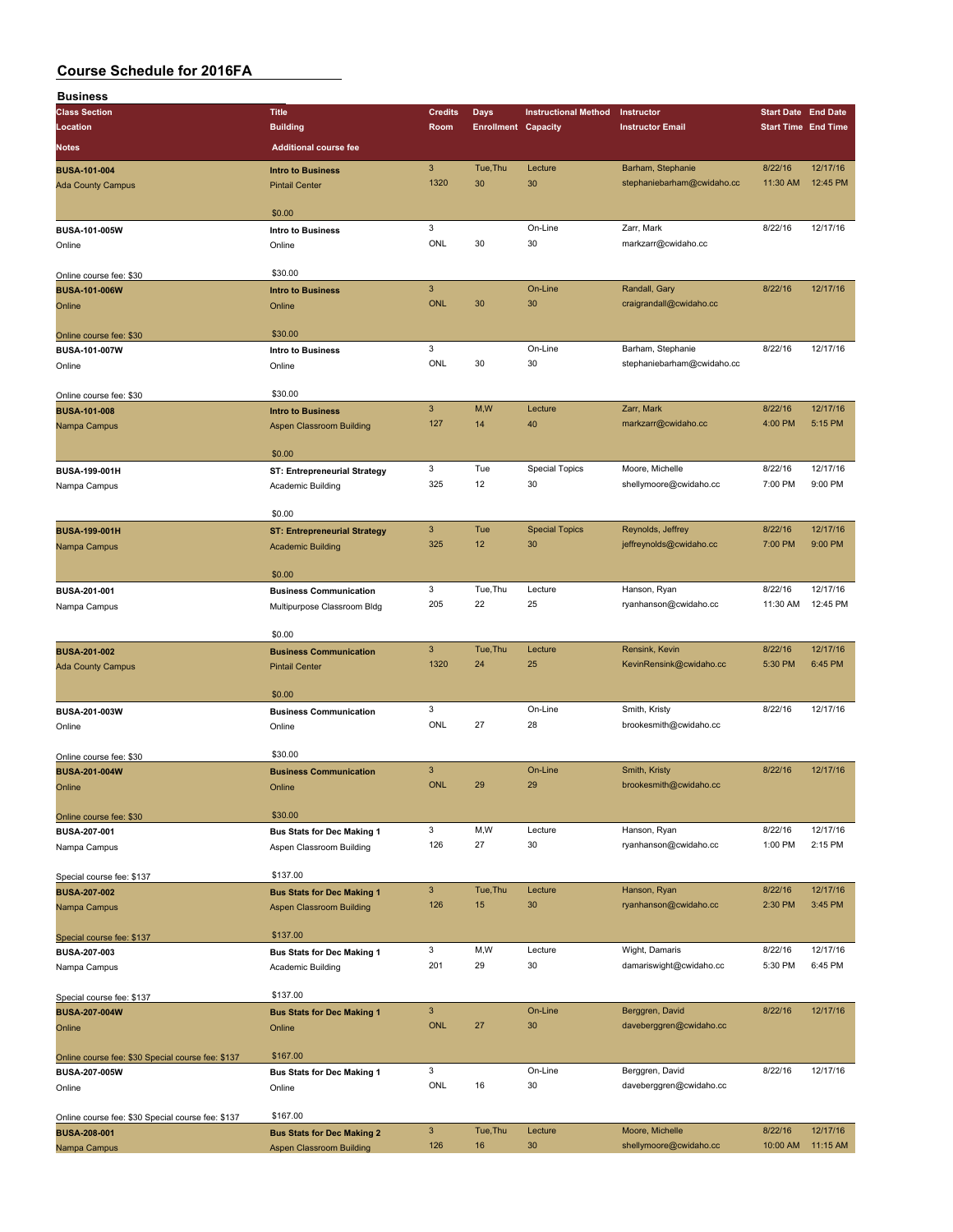| <b>Business</b>                                   |                                     |                |                            |                             |                            |                            |          |
|---------------------------------------------------|-------------------------------------|----------------|----------------------------|-----------------------------|----------------------------|----------------------------|----------|
| <b>Class Section</b>                              | <b>Title</b>                        | <b>Credits</b> | Days                       | <b>Instructional Method</b> | Instructor                 | <b>Start Date End Date</b> |          |
| Location                                          | <b>Building</b>                     | <b>Room</b>    | <b>Enrollment Capacity</b> |                             | <b>Instructor Email</b>    | <b>Start Time End Time</b> |          |
|                                                   |                                     |                |                            |                             |                            |                            |          |
| <b>Notes</b>                                      | <b>Additional course fee</b>        |                |                            |                             |                            |                            |          |
| <b>BUSA-101-004</b>                               | <b>Intro to Business</b>            | $\mathbf{3}$   | Tue, Thu                   | Lecture                     | Barham, Stephanie          | 8/22/16                    | 12/17/16 |
| <b>Ada County Campus</b>                          | <b>Pintail Center</b>               | 1320           | 30                         | 30                          | stephaniebarham@cwidaho.cc | 11:30 AM                   | 12:45 PM |
|                                                   |                                     |                |                            |                             |                            |                            |          |
|                                                   | \$0.00                              |                |                            |                             |                            |                            |          |
|                                                   |                                     | 3              |                            | On-Line                     | Zarr, Mark                 | 8/22/16                    | 12/17/16 |
| BUSA-101-005W                                     | <b>Intro to Business</b>            | ONL            |                            |                             |                            |                            |          |
| Online                                            | Online                              |                | 30                         | 30                          | markzarr@cwidaho.cc        |                            |          |
|                                                   |                                     |                |                            |                             |                            |                            |          |
| Online course fee: \$30                           | \$30.00                             |                |                            |                             |                            |                            |          |
| <b>BUSA-101-006W</b>                              | <b>Intro to Business</b>            | $\mathbf{3}$   |                            | On-Line                     | Randall, Gary              | 8/22/16                    | 12/17/16 |
| Online                                            | Online                              | <b>ONL</b>     | 30                         | 30                          | craigrandall@cwidaho.cc    |                            |          |
|                                                   |                                     |                |                            |                             |                            |                            |          |
| Online course fee: \$30                           | \$30.00                             |                |                            |                             |                            |                            |          |
| BUSA-101-007W                                     | <b>Intro to Business</b>            | 3              |                            | On-Line                     | Barham, Stephanie          | 8/22/16                    | 12/17/16 |
|                                                   |                                     | ONL            | 30                         | 30                          | stephaniebarham@cwidaho.cc |                            |          |
| Online                                            | Online                              |                |                            |                             |                            |                            |          |
|                                                   |                                     |                |                            |                             |                            |                            |          |
| Online course fee: \$30                           | \$30.00                             |                |                            |                             |                            |                            |          |
| <b>BUSA-101-008</b>                               | <b>Intro to Business</b>            | $\mathbf{3}$   | M,W                        | Lecture                     | Zarr, Mark                 | 8/22/16                    | 12/17/16 |
| Nampa Campus                                      | <b>Aspen Classroom Building</b>     | 127            | 14                         | 40                          | markzarr@cwidaho.cc        | 4:00 PM                    | 5:15 PM  |
|                                                   |                                     |                |                            |                             |                            |                            |          |
|                                                   | \$0.00                              |                |                            |                             |                            |                            |          |
| BUSA-199-001H                                     | <b>ST: Entrepreneurial Strategy</b> | 3              | Tue                        | <b>Special Topics</b>       | Moore, Michelle            | 8/22/16                    | 12/17/16 |
| Nampa Campus                                      | Academic Building                   | 325            | 12                         | 30                          | shellymoore@cwidaho.cc     | 7:00 PM                    | 9:00 PM  |
|                                                   |                                     |                |                            |                             |                            |                            |          |
|                                                   | \$0.00                              |                |                            |                             |                            |                            |          |
|                                                   |                                     |                |                            |                             |                            |                            |          |
| <b>BUSA-199-001H</b>                              | <b>ST: Entrepreneurial Strategy</b> | $\mathbf{3}$   | Tue                        | <b>Special Topics</b>       | Reynolds, Jeffrey          | 8/22/16                    | 12/17/16 |
| Nampa Campus                                      | <b>Academic Building</b>            | 325            | 12                         | 30                          | jeffreynolds@cwidaho.cc    | 7:00 PM                    | 9:00 PM  |
|                                                   |                                     |                |                            |                             |                            |                            |          |
|                                                   | \$0.00                              |                |                            |                             |                            |                            |          |
| BUSA-201-001                                      | <b>Business Communication</b>       | 3              | Tue, Thu                   | Lecture                     | Hanson, Ryan               | 8/22/16                    | 12/17/16 |
| Nampa Campus                                      | Multipurpose Classroom Bldg         | 205            | 22                         | 25                          | ryanhanson@cwidaho.cc      | 11:30 AM                   | 12:45 PM |
|                                                   |                                     |                |                            |                             |                            |                            |          |
|                                                   | \$0.00                              |                |                            |                             |                            |                            |          |
|                                                   |                                     | $\mathbf{3}$   | Tue, Thu                   | Lecture                     |                            | 8/22/16                    | 12/17/16 |
| <b>BUSA-201-002</b>                               | <b>Business Communication</b>       |                |                            |                             | Rensink, Kevin             |                            |          |
| <b>Ada County Campus</b>                          | <b>Pintail Center</b>               | 1320           | 24                         | 25                          | KevinRensink@cwidaho.cc    | 5:30 PM                    | 6:45 PM  |
|                                                   |                                     |                |                            |                             |                            |                            |          |
|                                                   | \$0.00                              |                |                            |                             |                            |                            |          |
| BUSA-201-003W                                     | <b>Business Communication</b>       | 3              |                            | On-Line                     | Smith, Kristy              | 8/22/16                    | 12/17/16 |
| Online                                            | Online                              | ONL            | 27                         | 28                          | brookesmith@cwidaho.cc     |                            |          |
|                                                   |                                     |                |                            |                             |                            |                            |          |
| Online course fee: \$30                           | \$30.00                             |                |                            |                             |                            |                            |          |
|                                                   |                                     | $\mathbf{3}$   |                            | On-Line                     | Smith, Kristy              | 8/22/16                    | 12/17/16 |
| <b>BUSA-201-004W</b>                              | <b>Business Communication</b>       | <b>ONL</b>     | 29                         | 29                          |                            |                            |          |
| Online                                            | Online                              |                |                            |                             | brookesmith@cwidaho.cc     |                            |          |
|                                                   |                                     |                |                            |                             |                            |                            |          |
| Online course fee: \$30                           | \$30.00                             |                |                            |                             |                            |                            |          |
| BUSA-207-001                                      | <b>Bus Stats for Dec Making 1</b>   | 3              | M,W                        | Lecture                     | Hanson, Ryan               | 8/22/16                    | 12/17/16 |
| Nampa Campus                                      | Aspen Classroom Building            | 126            | 27                         | 30                          | ryanhanson@cwidaho.cc      | 1:00 PM                    | 2:15 PM  |
|                                                   |                                     |                |                            |                             |                            |                            |          |
| Special course fee: \$137                         | \$137.00                            |                |                            |                             |                            |                            |          |
| <b>BUSA-207-002</b>                               | <b>Bus Stats for Dec Making 1</b>   | $\mathbf{3}$   | Tue, Thu                   | Lecture                     | Hanson, Ryan               | 8/22/16                    | 12/17/16 |
| Nampa Campus                                      |                                     | 126            | 15                         | 30                          | ryanhanson@cwidaho.cc      | 2:30 PM                    | 3:45 PM  |
|                                                   | <b>Aspen Classroom Building</b>     |                |                            |                             |                            |                            |          |
|                                                   |                                     |                |                            |                             |                            |                            |          |
| Special course fee: \$137                         | \$137.00                            |                |                            |                             |                            |                            |          |
| BUSA-207-003                                      | <b>Bus Stats for Dec Making 1</b>   | 3              | M,W                        | Lecture                     | Wight, Damaris             | 8/22/16                    | 12/17/16 |
| Nampa Campus                                      | Academic Building                   | 201            | 29                         | 30                          | damariswight@cwidaho.cc    | 5:30 PM                    | 6:45 PM  |
|                                                   |                                     |                |                            |                             |                            |                            |          |
| Special course fee: \$137                         | \$137.00                            |                |                            |                             |                            |                            |          |
| <b>BUSA-207-004W</b>                              | <b>Bus Stats for Dec Making 1</b>   | $\mathbf{3}$   |                            | On-Line                     | Berggren, David            | 8/22/16                    | 12/17/16 |
| Online                                            | Online                              | <b>ONL</b>     | 27                         | 30                          | daveberggren@cwidaho.cc    |                            |          |
|                                                   |                                     |                |                            |                             |                            |                            |          |
|                                                   |                                     |                |                            |                             |                            |                            |          |
| Online course fee: \$30 Special course fee: \$137 | \$167.00                            |                |                            |                             |                            |                            |          |
| BUSA-207-005W                                     | <b>Bus Stats for Dec Making 1</b>   | 3              |                            | On-Line                     | Berggren, David            | 8/22/16                    | 12/17/16 |
| Online                                            | Online                              | ONL            | 16                         | 30                          | daveberggren@cwidaho.cc    |                            |          |
|                                                   |                                     |                |                            |                             |                            |                            |          |
| Online course fee: \$30 Special course fee: \$137 | \$167.00                            |                |                            |                             |                            |                            |          |
| <b>BUSA-208-001</b>                               | <b>Bus Stats for Dec Making 2</b>   | $\mathbf{3}$   | Tue, Thu                   | Lecture                     | Moore, Michelle            | 8/22/16                    | 12/17/16 |
| Nampa Campus                                      | <b>Aspen Classroom Building</b>     | 126            | 16                         | 30                          | shellymoore@cwidaho.cc     | 10:00 AM                   | 11:15 AM |
|                                                   |                                     |                |                            |                             |                            |                            |          |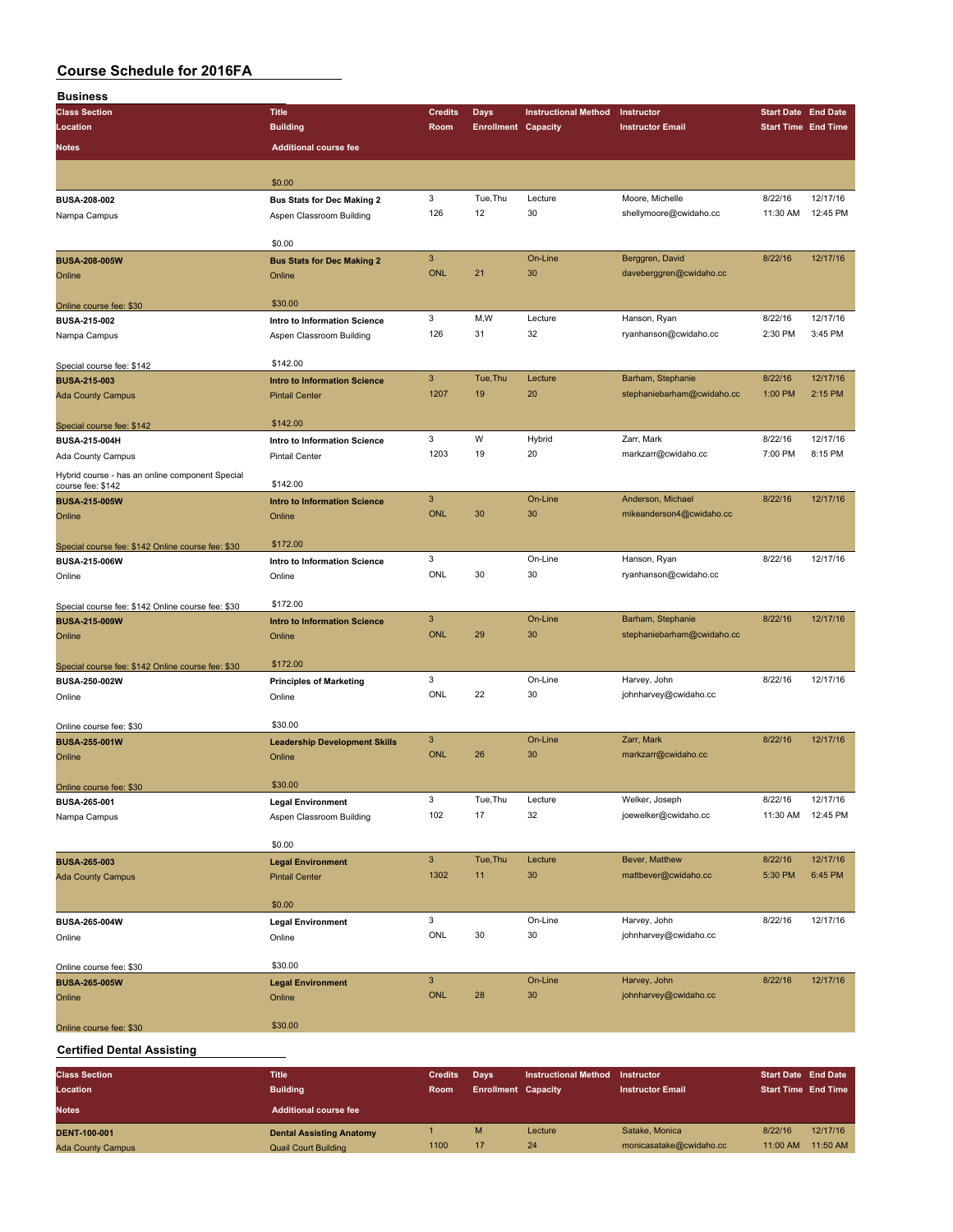| <b>Business</b>                                   |                                      |                |                            |                                 |                            |                            |                            |
|---------------------------------------------------|--------------------------------------|----------------|----------------------------|---------------------------------|----------------------------|----------------------------|----------------------------|
| <b>Class Section</b>                              | <b>Title</b>                         | <b>Credits</b> | Days                       | <b>Instructional Method</b>     | Instructor                 | <b>Start Date End Date</b> |                            |
| Location                                          | <b>Building</b>                      | Room           | <b>Enrollment Capacity</b> |                                 | <b>Instructor Email</b>    |                            | <b>Start Time End Time</b> |
|                                                   |                                      |                |                            |                                 |                            |                            |                            |
| Notes                                             | <b>Additional course fee</b>         |                |                            |                                 |                            |                            |                            |
|                                                   |                                      |                |                            |                                 |                            |                            |                            |
|                                                   | \$0.00                               |                |                            |                                 |                            |                            |                            |
| BUSA-208-002                                      | <b>Bus Stats for Dec Making 2</b>    | 3              | Tue, Thu                   | Lecture                         | Moore, Michelle            | 8/22/16                    | 12/17/16                   |
| Nampa Campus                                      | Aspen Classroom Building             | 126            | 12                         | 30                              | shellymoore@cwidaho.cc     | 11:30 AM                   | 12:45 PM                   |
|                                                   |                                      |                |                            |                                 |                            |                            |                            |
|                                                   | \$0.00                               |                |                            |                                 |                            |                            |                            |
| <b>BUSA-208-005W</b>                              | <b>Bus Stats for Dec Making 2</b>    | $\mathbf{3}$   |                            | On-Line                         | Berggren, David            | 8/22/16                    | 12/17/16                   |
| Online                                            | Online                               | <b>ONL</b>     | 21                         | 30                              | daveberggren@cwidaho.cc    |                            |                            |
|                                                   |                                      |                |                            |                                 |                            |                            |                            |
|                                                   | \$30.00                              |                |                            |                                 |                            |                            |                            |
| Online course fee: \$30                           |                                      | 3              | M,W                        | Lecture                         | Hanson, Ryan               | 8/22/16                    | 12/17/16                   |
| BUSA-215-002                                      | Intro to Information Science         |                |                            |                                 |                            |                            |                            |
| Nampa Campus                                      | Aspen Classroom Building             | 126            | 31                         | 32                              | ryanhanson@cwidaho.cc      | 2:30 PM                    | 3:45 PM                    |
|                                                   |                                      |                |                            |                                 |                            |                            |                            |
| Special course fee: \$142                         | \$142.00                             |                |                            |                                 |                            |                            |                            |
| <b>BUSA-215-003</b>                               | <b>Intro to Information Science</b>  | $\mathbf{3}$   | Tue, Thu                   | Lecture                         | Barham, Stephanie          | 8/22/16                    | 12/17/16                   |
| <b>Ada County Campus</b>                          | <b>Pintail Center</b>                | 1207           | 19                         | 20                              | stephaniebarham@cwidaho.cc | 1:00 PM                    | 2:15 PM                    |
|                                                   |                                      |                |                            |                                 |                            |                            |                            |
| Special course fee: \$142                         | \$142.00                             |                |                            |                                 |                            |                            |                            |
| <b>BUSA-215-004H</b>                              | Intro to Information Science         | 3              | W                          | Hybrid                          | Zarr, Mark                 | 8/22/16                    | 12/17/16                   |
| Ada County Campus                                 | <b>Pintail Center</b>                | 1203           | 19                         | 20                              | markzarr@cwidaho.cc        | 7:00 PM                    | 8:15 PM                    |
| Hybrid course - has an online component Special   |                                      |                |                            |                                 |                            |                            |                            |
| course fee: \$142                                 | \$142.00                             |                |                            |                                 |                            |                            |                            |
| <b>BUSA-215-005W</b>                              | <b>Intro to Information Science</b>  | $\overline{3}$ |                            | On-Line                         | Anderson, Michael          | 8/22/16                    | 12/17/16                   |
| Online                                            | Online                               | <b>ONL</b>     | 30                         | 30                              | mikeanderson4@cwidaho.cc   |                            |                            |
|                                                   |                                      |                |                            |                                 |                            |                            |                            |
| Special course fee: \$142 Online course fee: \$30 | \$172.00                             |                |                            |                                 |                            |                            |                            |
| <b>BUSA-215-006W</b>                              | Intro to Information Science         | 3              |                            | On-Line                         | Hanson, Ryan               | 8/22/16                    | 12/17/16                   |
|                                                   |                                      | ONL            | 30                         | 30                              | ryanhanson@cwidaho.cc      |                            |                            |
| Online                                            | Online                               |                |                            |                                 |                            |                            |                            |
|                                                   | \$172.00                             |                |                            |                                 |                            |                            |                            |
| Special course fee: \$142 Online course fee: \$30 |                                      | $\mathsf 3$    |                            | On-Line                         |                            | 8/22/16                    | 12/17/16                   |
| <b>BUSA-215-009W</b>                              | <b>Intro to Information Science</b>  |                |                            |                                 | Barham, Stephanie          |                            |                            |
| Online                                            | Online                               | <b>ONL</b>     | 29                         | 30                              | stephaniebarham@cwidaho.cc |                            |                            |
|                                                   |                                      |                |                            |                                 |                            |                            |                            |
| Special course fee: \$142 Online course fee: \$30 | \$172.00                             |                |                            |                                 |                            |                            |                            |
| BUSA-250-002W                                     | <b>Principles of Marketing</b>       | 3              |                            | On-Line                         | Harvey, John               | 8/22/16                    | 12/17/16                   |
| Online                                            | Online                               | ONL            | 22                         | 30                              | johnharvey@cwidaho.cc      |                            |                            |
|                                                   |                                      |                |                            |                                 |                            |                            |                            |
| Online course fee: \$30                           | \$30.00                              |                |                            |                                 |                            |                            |                            |
| <b>BUSA-255-001W</b>                              | <b>Leadership Development Skills</b> | $\mathbf{3}$   |                            | On-Line                         | Zarr, Mark                 | 8/22/16                    | 12/17/16                   |
| Online                                            | Online                               | <b>ONL</b>     | 26                         | 30                              | markzarr@cwidaho.cc        |                            |                            |
|                                                   |                                      |                |                            |                                 |                            |                            |                            |
| Online course fee: \$30                           | \$30.00                              |                |                            |                                 |                            |                            |                            |
| BUSA-265-001                                      | <b>Legal Environment</b>             | 3              | Tue, Thu                   | Lecture                         | Welker, Joseph             | 8/22/16                    | 12/17/16                   |
| Nampa Campus                                      | Aspen Classroom Building             | 102            | 17                         | 32                              | joewelker@cwidaho.cc       | 11:30 AM                   | 12:45 PM                   |
|                                                   |                                      |                |                            |                                 |                            |                            |                            |
|                                                   | \$0.00                               |                |                            |                                 |                            |                            |                            |
|                                                   |                                      | $\mathbf{3}$   | Tue, Thu                   | Lecture                         | Bever, Matthew             | 8/22/16                    | 12/17/16                   |
| <b>BUSA-265-003</b>                               | <b>Legal Environment</b>             | 1302           | 11                         | 30                              | mattbever@cwidaho.cc       |                            | 6:45 PM                    |
| <b>Ada County Campus</b>                          | <b>Pintail Center</b>                |                |                            |                                 |                            | 5:30 PM                    |                            |
|                                                   |                                      |                |                            |                                 |                            |                            |                            |
|                                                   | \$0.00                               |                |                            |                                 |                            |                            |                            |
| BUSA-265-004W                                     | <b>Legal Environment</b>             | 3              |                            | On-Line                         | Harvey, John               | 8/22/16                    | 12/17/16                   |
| Online                                            | Online                               | ONL            | 30                         | 30                              | johnharvey@cwidaho.cc      |                            |                            |
|                                                   |                                      |                |                            |                                 |                            |                            |                            |
| Online course fee: \$30                           | \$30.00                              |                |                            |                                 |                            |                            |                            |
| <b>BUSA-265-005W</b>                              | <b>Legal Environment</b>             | $\mathsf 3$    |                            | On-Line                         | Harvey, John               | 8/22/16                    | 12/17/16                   |
| Online                                            | Online                               | <b>ONL</b>     | 28                         | 30                              | johnharvey@cwidaho.cc      |                            |                            |
|                                                   |                                      |                |                            |                                 |                            |                            |                            |
| Online course fee: \$30                           | \$30.00                              |                |                            |                                 |                            |                            |                            |
|                                                   |                                      |                |                            |                                 |                            |                            |                            |
| <b>Certified Dental Assisting</b>                 |                                      |                |                            |                                 |                            |                            |                            |
|                                                   |                                      |                |                            |                                 |                            |                            |                            |
| <b>Class Section</b>                              | <b>Title</b>                         | <b>Credits</b> | <b>Days</b>                | Instructional Method Instructor |                            | <b>Start Date End Date</b> |                            |

| Location                 | <b>Building</b>                 | Room | <b>Enrollment Capacity</b> |         | <b>Instructor Email</b> | <b>Start Time End Time</b> |          |
|--------------------------|---------------------------------|------|----------------------------|---------|-------------------------|----------------------------|----------|
| <b>Notes</b>             | <b>Additional course fee</b>    |      |                            |         |                         |                            |          |
| <b>DENT-100-001</b>      | <b>Dental Assisting Anatomy</b> |      | M                          | Lecture | Satake, Monica          | 8/22/16                    | 12/17/16 |
| <b>Ada County Campus</b> | <b>Quail Court Building</b>     | 1100 |                            | 24      | monicasatake@cwidaho.cc | 11:00 AM                   | 11:50 AM |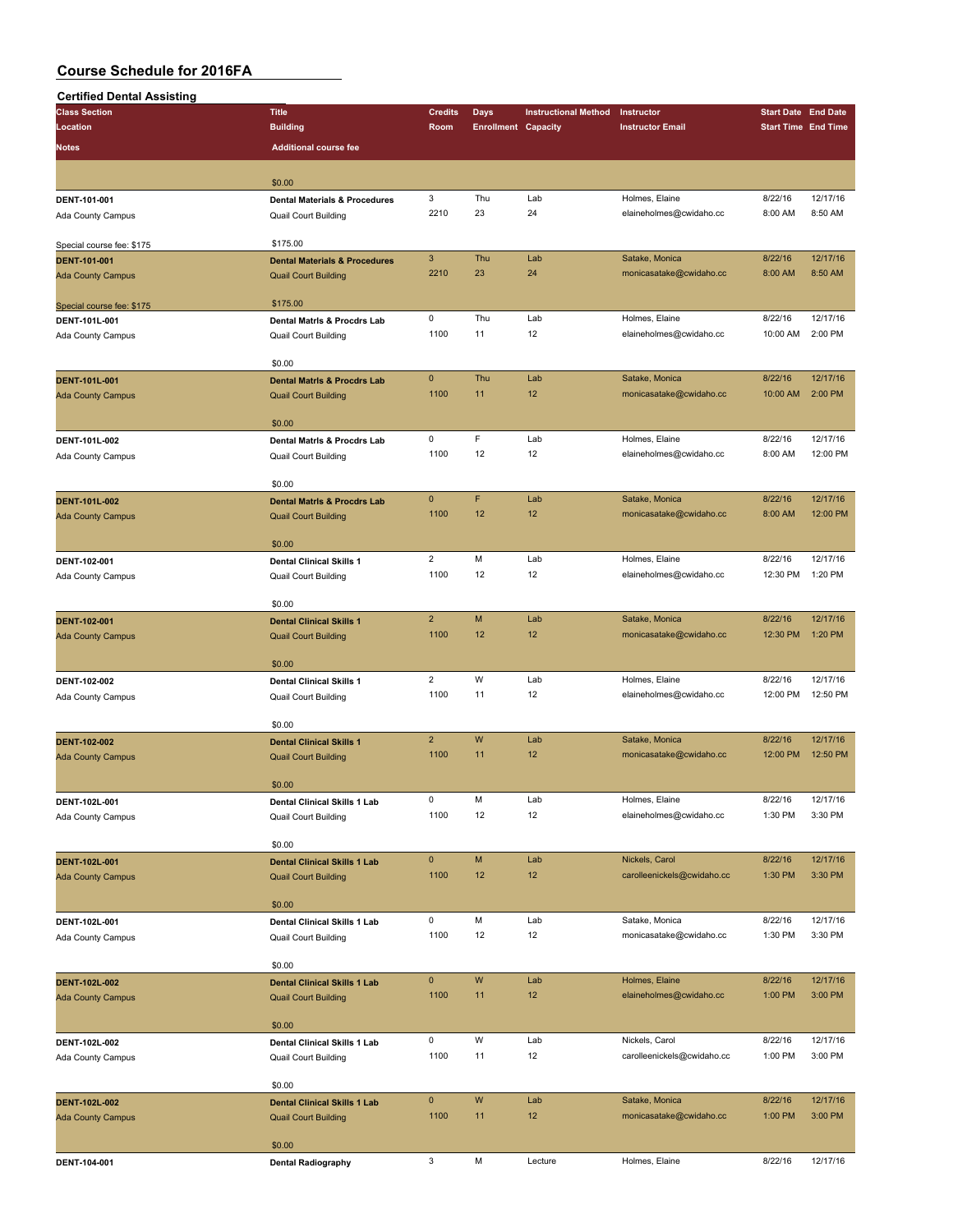| <b>Certified Dental Assisting</b>          |                                          |                     |                            |                             |                                           |                            |                     |
|--------------------------------------------|------------------------------------------|---------------------|----------------------------|-----------------------------|-------------------------------------------|----------------------------|---------------------|
| <b>Class Section</b>                       | <b>Title</b>                             | <b>Credits</b>      | <b>Days</b>                | <b>Instructional Method</b> | Instructor                                | <b>Start Date End Date</b> |                     |
| Location                                   | <b>Building</b>                          | Room                | <b>Enrollment Capacity</b> |                             | <b>Instructor Email</b>                   | <b>Start Time End Time</b> |                     |
| Notes                                      | <b>Additional course fee</b>             |                     |                            |                             |                                           |                            |                     |
|                                            |                                          |                     |                            |                             |                                           |                            |                     |
|                                            | \$0.00                                   |                     |                            |                             |                                           |                            |                     |
| DENT-101-001                               | <b>Dental Materials &amp; Procedures</b> | 3<br>2210           | Thu<br>23                  | Lab<br>24                   | Holmes, Elaine<br>elaineholmes@cwidaho.cc | 8/22/16<br>8:00 AM         | 12/17/16<br>8:50 AM |
| Ada County Campus                          | Quail Court Building                     |                     |                            |                             |                                           |                            |                     |
| Special course fee: \$175                  | \$175.00                                 |                     |                            |                             |                                           |                            |                     |
| DENT-101-001                               | <b>Dental Materials &amp; Procedures</b> | $\mathsf 3$         | Thu                        | Lab                         | Satake, Monica                            | 8/22/16                    | 12/17/16            |
| <b>Ada County Campus</b>                   | <b>Quail Court Building</b>              | 2210                | 23                         | 24                          | monicasatake@cwidaho.cc                   | 8:00 AM                    | 8:50 AM             |
|                                            | \$175.00                                 |                     |                            |                             |                                           |                            |                     |
| Special course fee: \$175<br>DENT-101L-001 | Dental Matris & Procdrs Lab              | 0                   | Thu                        | Lab                         | Holmes, Elaine                            | 8/22/16                    | 12/17/16            |
| Ada County Campus                          | Quail Court Building                     | 1100                | 11                         | 12                          | elaineholmes@cwidaho.cc                   | 10:00 AM                   | 2:00 PM             |
|                                            |                                          |                     |                            |                             |                                           |                            |                     |
|                                            | \$0.00                                   |                     |                            |                             |                                           |                            |                     |
| DENT-101L-001                              | <b>Dental Matris &amp; Procdrs Lab</b>   | $\mathbf 0$<br>1100 | Thu<br>11                  | Lab<br>12                   | Satake, Monica<br>monicasatake@cwidaho.cc | 8/22/16<br>10:00 AM        | 12/17/16<br>2:00 PM |
| <b>Ada County Campus</b>                   | <b>Quail Court Building</b>              |                     |                            |                             |                                           |                            |                     |
|                                            | \$0.00                                   |                     |                            |                             |                                           |                            |                     |
| DENT-101L-002                              | Dental Matris & Procdrs Lab              | 0                   | F                          | Lab                         | Holmes, Elaine                            | 8/22/16                    | 12/17/16            |
| Ada County Campus                          | <b>Quail Court Building</b>              | 1100                | 12                         | 12                          | elaineholmes@cwidaho.cc                   | 8:00 AM                    | 12:00 PM            |
|                                            |                                          |                     |                            |                             |                                           |                            |                     |
|                                            | \$0.00                                   |                     | F                          |                             | Satake, Monica                            |                            | 12/17/16            |
| DENT-101L-002<br><b>Ada County Campus</b>  | <b>Dental Matris &amp; Procdrs Lab</b>   | $\mathbf 0$<br>1100 | 12                         | Lab<br>12                   | monicasatake@cwidaho.cc                   | 8/22/16<br>8:00 AM         | 12:00 PM            |
|                                            | <b>Quail Court Building</b>              |                     |                            |                             |                                           |                            |                     |
|                                            | \$0.00                                   |                     |                            |                             |                                           |                            |                     |
| DENT-102-001                               | <b>Dental Clinical Skills 1</b>          | $\overline{2}$      | M                          | Lab                         | Holmes, Elaine                            | 8/22/16                    | 12/17/16            |
| Ada County Campus                          | Quail Court Building                     | 1100                | 12                         | 12                          | elaineholmes@cwidaho.cc                   | 12:30 PM                   | 1:20 PM             |
|                                            | \$0.00                                   |                     |                            |                             |                                           |                            |                     |
| <b>DENT-102-001</b>                        | <b>Dental Clinical Skills 1</b>          | $\overline{2}$      | M                          | Lab                         | Satake, Monica                            | 8/22/16                    | 12/17/16            |
| <b>Ada County Campus</b>                   | <b>Quail Court Building</b>              | 1100                | 12                         | 12                          | monicasatake@cwidaho.cc                   | 12:30 PM                   | 1:20 PM             |
|                                            |                                          |                     |                            |                             |                                           |                            |                     |
|                                            | \$0.00                                   |                     |                            |                             |                                           |                            |                     |
| DENT-102-002                               | <b>Dental Clinical Skills 1</b>          | $\overline{2}$      | W                          | Lab                         | Holmes, Elaine                            | 8/22/16                    | 12/17/16            |
| Ada County Campus                          | Quail Court Building                     | 1100                | 11                         | 12                          | elaineholmes@cwidaho.cc                   | 12:00 PM                   | 12:50 PM            |
|                                            | \$0.00                                   |                     |                            |                             |                                           |                            |                     |
| DENT-102-002                               | <b>Dental Clinical Skills 1</b>          | $\overline{2}$      | W                          | Lab                         | Satake, Monica                            | 8/22/16                    | 12/17/16            |
| <b>Ada County Campus</b>                   | <b>Quail Court Building</b>              | 1100                | 11                         | 12                          | monicasatake@cwidaho.cc                   | 12:00 PM                   | 12:50 PM            |
|                                            |                                          |                     |                            |                             |                                           |                            |                     |
|                                            | \$0.00                                   |                     |                            |                             |                                           |                            |                     |
| DENT-102L-001                              | Dental Clinical Skills 1 Lab             | 0<br>1100           | М<br>12                    | Lab<br>12                   | Holmes, Elaine<br>elaineholmes@cwidaho.cc | 8/22/16<br>1:30 PM         | 12/17/16<br>3:30 PM |
| Ada County Campus                          | Quail Court Building                     |                     |                            |                             |                                           |                            |                     |
|                                            | \$0.00                                   |                     |                            |                             |                                           |                            |                     |
| <b>DENT-102L-001</b>                       | <b>Dental Clinical Skills 1 Lab</b>      | $\pmb{0}$           | ${\sf M}$                  | Lab                         | Nickels, Carol                            | 8/22/16                    | 12/17/16            |
| <b>Ada County Campus</b>                   | <b>Quail Court Building</b>              | 1100                | 12                         | 12                          | carolleenickels@cwidaho.cc                | 1:30 PM                    | 3:30 PM             |
|                                            |                                          |                     |                            |                             |                                           |                            |                     |
|                                            | \$0.00                                   | 0                   |                            |                             |                                           | 8/22/16                    | 12/17/16            |
| DENT-102L-001                              | <b>Dental Clinical Skills 1 Lab</b>      | 1100                | М<br>12                    | Lab<br>12                   | Satake, Monica<br>monicasatake@cwidaho.cc | 1:30 PM                    | 3:30 PM             |
| Ada County Campus                          | Quail Court Building                     |                     |                            |                             |                                           |                            |                     |
|                                            | \$0.00                                   |                     |                            |                             |                                           |                            |                     |
| DENT-102L-002                              | <b>Dental Clinical Skills 1 Lab</b>      | $\mathbf 0$         | W                          | Lab                         | Holmes, Elaine                            | 8/22/16                    | 12/17/16            |
| <b>Ada County Campus</b>                   | <b>Quail Court Building</b>              | 1100                | 11                         | 12                          | elaineholmes@cwidaho.cc                   | 1:00 PM                    | 3:00 PM             |
|                                            |                                          |                     |                            |                             |                                           |                            |                     |
| DENT-102L-002                              | \$0.00<br>Dental Clinical Skills 1 Lab   | 0                   | W                          | Lab                         | Nickels, Carol                            | 8/22/16                    | 12/17/16            |
| Ada County Campus                          | Quail Court Building                     | 1100                | 11                         | 12                          | carolleenickels@cwidaho.cc                | 1:00 PM                    | 3:00 PM             |
|                                            |                                          |                     |                            |                             |                                           |                            |                     |
|                                            | \$0.00                                   |                     |                            |                             |                                           |                            |                     |
| DENT-102L-002                              | <b>Dental Clinical Skills 1 Lab</b>      | $\mathbf 0$         | W                          | Lab                         | Satake, Monica                            | 8/22/16                    | 12/17/16            |
| <b>Ada County Campus</b>                   | <b>Quail Court Building</b>              | 1100                | 11                         | 12                          | monicasatake@cwidaho.cc                   | 1:00 PM                    | 3:00 PM             |
|                                            | \$0.00                                   |                     |                            |                             |                                           |                            |                     |
| DENT-104-001                               | <b>Dental Radiography</b>                | 3                   | M                          | Lecture                     | Holmes, Elaine                            | 8/22/16                    | 12/17/16            |
|                                            |                                          |                     |                            |                             |                                           |                            |                     |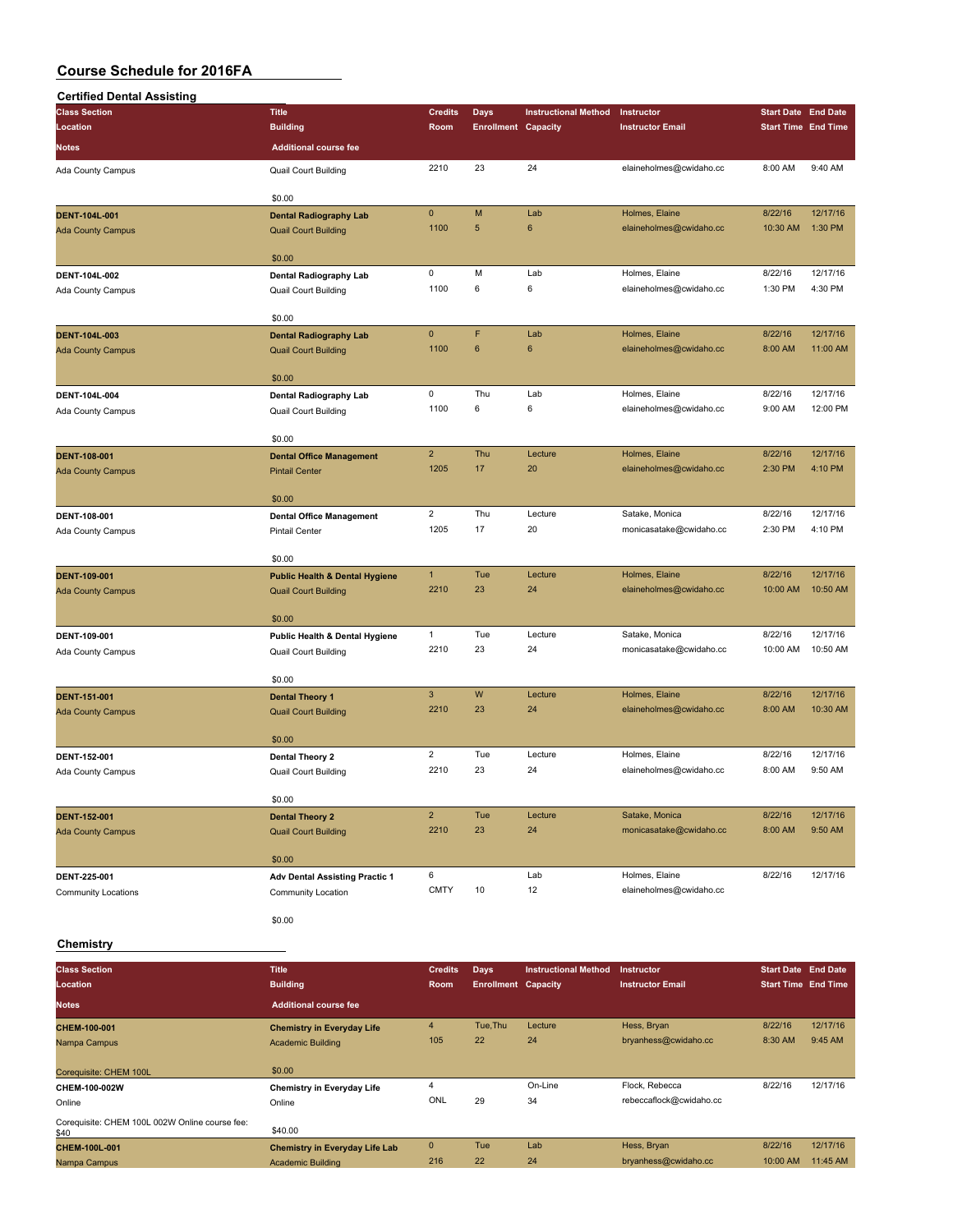| <b>Certified Dental Assisting</b> |                                           |                |                            |                             |                         |                            |          |
|-----------------------------------|-------------------------------------------|----------------|----------------------------|-----------------------------|-------------------------|----------------------------|----------|
| <b>Class Section</b>              | <b>Title</b>                              | <b>Credits</b> | Days                       | <b>Instructional Method</b> | Instructor              | <b>Start Date End Date</b> |          |
| Location                          | <b>Building</b>                           | Room           | <b>Enrollment Capacity</b> |                             | <b>Instructor Email</b> | <b>Start Time End Time</b> |          |
| Notes                             | <b>Additional course fee</b>              |                |                            |                             |                         |                            |          |
| Ada County Campus                 | Quail Court Building                      | 2210           | 23                         | 24                          | elaineholmes@cwidaho.cc | 8:00 AM                    | 9:40 AM  |
|                                   | \$0.00                                    |                |                            |                             |                         |                            |          |
| DENT-104L-001                     | <b>Dental Radiography Lab</b>             | $\mathbf 0$    | M                          | Lab                         | Holmes, Elaine          | 8/22/16                    | 12/17/16 |
| <b>Ada County Campus</b>          | <b>Quail Court Building</b>               | 1100           | 5                          | 6                           | elaineholmes@cwidaho.cc | 10:30 AM                   | 1:30 PM  |
|                                   | \$0.00                                    |                |                            |                             |                         |                            |          |
| DENT-104L-002                     | <b>Dental Radiography Lab</b>             | 0              | M                          | Lab                         | Holmes, Elaine          | 8/22/16                    | 12/17/16 |
| Ada County Campus                 | Quail Court Building                      | 1100           | 6                          | 6                           | elaineholmes@cwidaho.cc | 1:30 PM                    | 4:30 PM  |
|                                   | \$0.00                                    |                |                            |                             |                         |                            |          |
| DENT-104L-003                     | <b>Dental Radiography Lab</b>             | $\mathbf{0}$   | F                          | Lab                         | Holmes, Elaine          | 8/22/16                    | 12/17/16 |
| <b>Ada County Campus</b>          | <b>Quail Court Building</b>               | 1100           | $\bf 6$                    | 6                           | elaineholmes@cwidaho.cc | 8:00 AM                    | 11:00 AM |
|                                   | \$0.00                                    |                |                            |                             |                         |                            |          |
| DENT-104L-004                     | <b>Dental Radiography Lab</b>             | 0              | Thu                        | Lab                         | Holmes, Elaine          | 8/22/16                    | 12/17/16 |
| Ada County Campus                 | <b>Quail Court Building</b>               | 1100           | 6                          | 6                           | elaineholmes@cwidaho.cc | 9:00 AM                    | 12:00 PM |
|                                   | \$0.00                                    |                |                            |                             |                         |                            |          |
| <b>DENT-108-001</b>               | <b>Dental Office Management</b>           | $\overline{2}$ | Thu                        | Lecture                     | Holmes, Elaine          | 8/22/16                    | 12/17/16 |
| <b>Ada County Campus</b>          | <b>Pintail Center</b>                     | 1205           | 17                         | 20                          | elaineholmes@cwidaho.cc | 2:30 PM                    | 4:10 PM  |
|                                   | \$0.00                                    |                |                            |                             |                         |                            |          |
| DENT-108-001                      | <b>Dental Office Management</b>           | $\overline{2}$ | Thu                        | Lecture                     | Satake, Monica          | 8/22/16                    | 12/17/16 |
| Ada County Campus                 | <b>Pintail Center</b>                     | 1205           | 17                         | 20                          | monicasatake@cwidaho.cc | 2:30 PM                    | 4:10 PM  |
|                                   | \$0.00                                    |                |                            |                             |                         |                            |          |
| DENT-109-001                      | <b>Public Health &amp; Dental Hygiene</b> | $\mathbf{1}$   | Tue                        | Lecture                     | Holmes, Elaine          | 8/22/16                    | 12/17/16 |
| <b>Ada County Campus</b>          | <b>Quail Court Building</b>               | 2210           | 23                         | 24                          | elaineholmes@cwidaho.cc | 10:00 AM                   | 10:50 AM |
|                                   | \$0.00                                    |                |                            |                             |                         |                            |          |
| DENT-109-001                      | Public Health & Dental Hygiene            | $\mathbf{1}$   | Tue                        | Lecture                     | Satake, Monica          | 8/22/16                    | 12/17/16 |
| Ada County Campus                 | Quail Court Building                      | 2210           | 23                         | 24                          | monicasatake@cwidaho.cc | 10:00 AM                   | 10:50 AM |
|                                   | \$0.00                                    |                |                            |                             |                         |                            |          |
| <b>DENT-151-001</b>               | <b>Dental Theory 1</b>                    | $\mathbf{3}$   | W                          | Lecture                     | Holmes, Elaine          | 8/22/16                    | 12/17/16 |
| <b>Ada County Campus</b>          | <b>Quail Court Building</b>               | 2210           | 23                         | 24                          | elaineholmes@cwidaho.cc | 8:00 AM                    | 10:30 AM |
|                                   | \$0.00                                    |                |                            |                             |                         |                            |          |
| DENT-152-001                      | Dental Theory 2                           | $\overline{2}$ | Tue                        | Lecture                     | Holmes, Elaine          | 8/22/16                    | 12/17/16 |
| Ada County Campus                 | Quail Court Building                      | 2210           | 23                         | 24                          | elaineholmes@cwidaho.cc | 8:00 AM                    | 9:50 AM  |
|                                   | \$0.00                                    |                |                            |                             |                         |                            |          |
| <b>DENT-152-001</b>               | <b>Dental Theory 2</b>                    | $\overline{2}$ | Tue                        | Lecture                     | Satake, Monica          | 8/22/16                    | 12/17/16 |
| <b>Ada County Campus</b>          | <b>Quail Court Building</b>               | 2210           | 23                         | 24                          | monicasatake@cwidaho.cc | 8:00 AM                    | 9:50 AM  |
|                                   | \$0.00                                    |                |                            |                             |                         |                            |          |
| DENT-225-001                      | <b>Adv Dental Assisting Practic 1</b>     | 6              |                            | Lab                         | Holmes, Elaine          | 8/22/16                    | 12/17/16 |
| Community Locations               | Community Location                        | <b>CMTY</b>    | 10                         | 12                          | elaineholmes@cwidaho.cc |                            |          |
|                                   | \$0.00                                    |                |                            |                             |                         |                            |          |

#### **Chemistry**

| <b>Class Section</b><br>Location                       | <b>Title</b><br><b>Building</b>       | <b>Credits</b><br><b>Room</b> | Days<br><b>Enrollment Capacity</b> | <b>Instructional Method</b> | <b>Instructor</b><br><b>Instructor Email</b> | <b>Start Date End Date</b><br><b>Start Time End Time</b> |          |
|--------------------------------------------------------|---------------------------------------|-------------------------------|------------------------------------|-----------------------------|----------------------------------------------|----------------------------------------------------------|----------|
| <b>Notes</b>                                           | <b>Additional course fee</b>          |                               |                                    |                             |                                              |                                                          |          |
| CHEM-100-001                                           | <b>Chemistry in Everyday Life</b>     | $\overline{4}$                | Tue, Thu                           | Lecture                     | Hess, Bryan                                  | 8/22/16                                                  | 12/17/16 |
| Nampa Campus                                           | <b>Academic Building</b>              | 105                           | 22                                 | 24                          | bryanhess@cwidaho.cc                         | 8:30 AM                                                  | 9:45 AM  |
| Corequisite: CHEM 100L                                 | \$0.00                                |                               |                                    |                             |                                              |                                                          |          |
| CHEM-100-002W                                          | <b>Chemistry in Everyday Life</b>     | 4                             |                                    | On-Line                     | Flock, Rebecca                               | 8/22/16                                                  | 12/17/16 |
| Online                                                 | Online                                | ONL                           | 29                                 | 34                          | rebeccaflock@cwidaho.cc                      |                                                          |          |
| Corequisite: CHEM 100L 002W Online course fee:<br>\$40 | \$40.00                               |                               |                                    |                             |                                              |                                                          |          |
| <b>CHEM-100L-001</b>                                   | <b>Chemistry in Everyday Life Lab</b> | $\mathbf{0}$                  | Tue                                | Lab                         | Hess, Bryan                                  | 8/22/16                                                  | 12/17/16 |
| Nampa Campus                                           | <b>Academic Building</b>              | 216                           | 22                                 | 24                          | bryanhess@cwidaho.cc                         | 10:00 AM                                                 | 11:45 AM |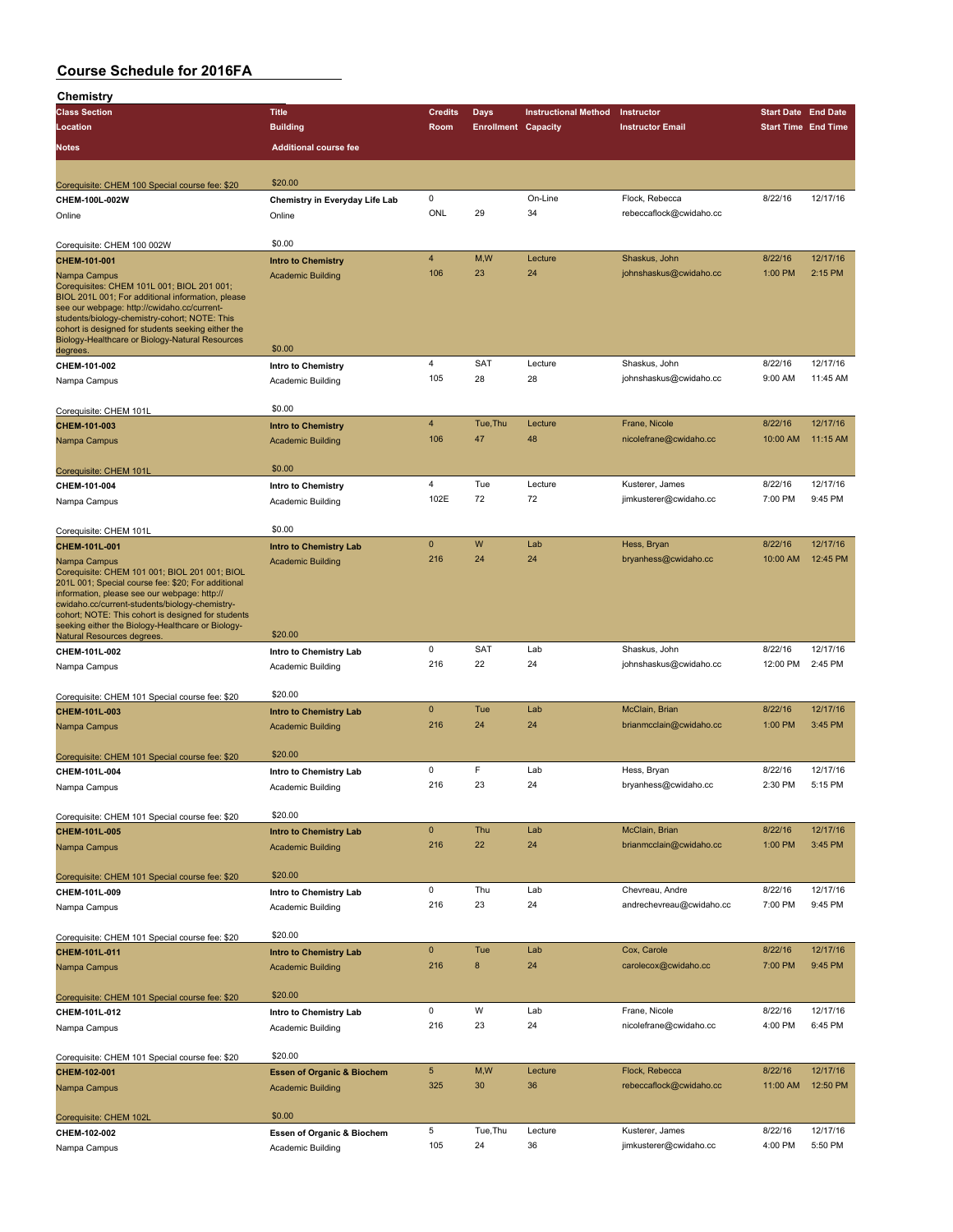| Chemistry                                                                                             |                                       |                         |                            |                             |                                             |                            |                     |
|-------------------------------------------------------------------------------------------------------|---------------------------------------|-------------------------|----------------------------|-----------------------------|---------------------------------------------|----------------------------|---------------------|
| <b>Class Section</b>                                                                                  | <b>Title</b>                          | <b>Credits</b>          | <b>Days</b>                | <b>Instructional Method</b> | Instructor                                  | <b>Start Date End Date</b> |                     |
| Location                                                                                              | <b>Building</b>                       | Room                    | <b>Enrollment Capacity</b> |                             | <b>Instructor Email</b>                     | <b>Start Time End Time</b> |                     |
| Notes                                                                                                 | <b>Additional course fee</b>          |                         |                            |                             |                                             |                            |                     |
|                                                                                                       |                                       |                         |                            |                             |                                             |                            |                     |
| Corequisite: CHEM 100 Special course fee: \$20                                                        | \$20.00                               |                         |                            |                             |                                             |                            |                     |
| CHEM-100L-002W                                                                                        | Chemistry in Everyday Life Lab        | 0                       |                            | On-Line                     | Flock, Rebecca                              | 8/22/16                    | 12/17/16            |
| Online                                                                                                | Online                                | ONL                     | 29                         | 34                          | rebeccaflock@cwidaho.cc                     |                            |                     |
|                                                                                                       |                                       |                         |                            |                             |                                             |                            |                     |
| Corequisite: CHEM 100 002W                                                                            | \$0.00                                | $\overline{4}$          | M,W                        | Lecture                     | Shaskus, John                               | 8/22/16                    | 12/17/16            |
| CHEM-101-001                                                                                          | <b>Intro to Chemistry</b>             | 106                     | 23                         | 24                          | johnshaskus@cwidaho.cc                      | 1:00 PM                    | 2:15 PM             |
| Nampa Campus<br>Corequisites: CHEM 101L 001; BIOL 201 001;                                            | <b>Academic Building</b>              |                         |                            |                             |                                             |                            |                     |
| BIOL 201L 001; For additional information, please<br>see our webpage: http://cwidaho.cc/current-      |                                       |                         |                            |                             |                                             |                            |                     |
| students/biology-chemistry-cohort; NOTE: This                                                         |                                       |                         |                            |                             |                                             |                            |                     |
| cohort is designed for students seeking either the<br>Biology-Healthcare or Biology-Natural Resources |                                       |                         |                            |                             |                                             |                            |                     |
| degrees.                                                                                              | \$0.00                                |                         |                            |                             |                                             |                            |                     |
| CHEM-101-002                                                                                          | <b>Intro to Chemistry</b>             | $\overline{\mathbf{4}}$ | <b>SAT</b>                 | Lecture                     | Shaskus, John                               | 8/22/16                    | 12/17/16            |
| Nampa Campus                                                                                          | Academic Building                     | 105                     | 28                         | 28                          | johnshaskus@cwidaho.cc                      | 9:00 AM                    | 11:45 AM            |
| Corequisite: CHEM 101L                                                                                | \$0.00                                |                         |                            |                             |                                             |                            |                     |
| CHEM-101-003                                                                                          | <b>Intro to Chemistry</b>             | $\overline{4}$          | Tue, Thu                   | Lecture                     | Frane, Nicole                               | 8/22/16                    | 12/17/16            |
| Nampa Campus                                                                                          | <b>Academic Building</b>              | 106                     | 47                         | 48                          | nicolefrane@cwidaho.cc                      | 10:00 AM                   | 11:15 AM            |
|                                                                                                       |                                       |                         |                            |                             |                                             |                            |                     |
| Corequisite: CHEM 101L                                                                                | \$0.00                                |                         |                            |                             |                                             |                            |                     |
| CHEM-101-004                                                                                          | Intro to Chemistry                    | 4                       | Tue                        | Lecture                     | Kusterer, James                             | 8/22/16                    | 12/17/16            |
| Nampa Campus                                                                                          | Academic Building                     | 102E                    | 72                         | 72                          | jimkusterer@cwidaho.cc                      | 7:00 PM                    | 9:45 PM             |
|                                                                                                       | \$0.00                                |                         |                            |                             |                                             |                            |                     |
| Corequisite: CHEM 101L<br>CHEM-101L-001                                                               | Intro to Chemistry Lab                | $\pmb{0}$               | W                          | Lab                         | Hess, Bryan                                 | 8/22/16                    | 12/17/16            |
| Nampa Campus                                                                                          | <b>Academic Building</b>              | 216                     | 24                         | 24                          | bryanhess@cwidaho.cc                        | 10:00 AM                   | 12:45 PM            |
| Corequisite: CHEM 101 001; BIOL 201 001; BIOL                                                         |                                       |                         |                            |                             |                                             |                            |                     |
| 201L 001; Special course fee: \$20; For additional<br>information, please see our webpage: http://    |                                       |                         |                            |                             |                                             |                            |                     |
| cwidaho.cc/current-students/biology-chemistry-<br>cohort; NOTE: This cohort is designed for students  |                                       |                         |                            |                             |                                             |                            |                     |
| seeking either the Biology-Healthcare or Biology-                                                     |                                       |                         |                            |                             |                                             |                            |                     |
| <b>Natural Resources degrees</b>                                                                      | \$20.00                               | 0                       | SAT                        | Lab                         |                                             | 8/22/16                    | 12/17/16            |
| CHEM-101L-002                                                                                         | Intro to Chemistry Lab                | 216                     | 22                         | 24                          | Shaskus, John<br>johnshaskus@cwidaho.cc     | 12:00 PM                   | 2:45 PM             |
| Nampa Campus                                                                                          | Academic Building                     |                         |                            |                             |                                             |                            |                     |
| Corequisite: CHEM 101 Special course fee: \$20                                                        | \$20.00                               |                         |                            |                             |                                             |                            |                     |
| CHEM-101L-003                                                                                         | <b>Intro to Chemistry Lab</b>         | $\mathbf{0}$            | Tue                        | Lab                         | McClain, Brian                              | 8/22/16                    | 12/17/16            |
| Nampa Campus                                                                                          | <b>Academic Building</b>              | 216                     | 24                         | 24                          | brianmcclain@cwidaho.cc                     | 1:00 PM                    | 3:45 PM             |
|                                                                                                       |                                       |                         |                            |                             |                                             |                            |                     |
| Corequisite: CHEM 101 Special course fee: \$20                                                        | \$20.00                               | 0                       | F                          | Lab                         |                                             |                            | 12/17/16            |
| CHEM-101L-004                                                                                         | Intro to Chemistry Lab                | 216                     | 23                         | 24                          | Hess, Bryan<br>bryanhess@cwidaho.cc         | 8/22/16<br>2:30 PM         | 5:15 PM             |
| Nampa Campus                                                                                          | Academic Building                     |                         |                            |                             |                                             |                            |                     |
| Corequisite: CHEM 101 Special course fee: \$20                                                        | \$20.00                               |                         |                            |                             |                                             |                            |                     |
| CHEM-101L-005                                                                                         | <b>Intro to Chemistry Lab</b>         | $\mathbf{0}$            | Thu                        | Lab                         | McClain, Brian                              | 8/22/16                    | 12/17/16            |
| Nampa Campus                                                                                          | <b>Academic Building</b>              | 216                     | 22                         | 24                          | brianmcclain@cwidaho.cc                     | 1:00 PM                    | 3:45 PM             |
|                                                                                                       |                                       |                         |                            |                             |                                             |                            |                     |
| Corequisite: CHEM 101 Special course fee: \$20                                                        | \$20.00                               |                         |                            |                             |                                             |                            |                     |
| CHEM-101L-009                                                                                         | Intro to Chemistry Lab                | 0<br>216                | Thu<br>23                  | Lab<br>24                   | Chevreau, Andre<br>andrechevreau@cwidaho.cc | 8/22/16<br>7:00 PM         | 12/17/16<br>9:45 PM |
| Nampa Campus                                                                                          | Academic Building                     |                         |                            |                             |                                             |                            |                     |
| Corequisite: CHEM 101 Special course fee: \$20                                                        | \$20.00                               |                         |                            |                             |                                             |                            |                     |
| CHEM-101L-011                                                                                         | <b>Intro to Chemistry Lab</b>         | $\mathbf 0$             | Tue                        | Lab                         | Cox, Carole                                 | 8/22/16                    | 12/17/16            |
| Nampa Campus                                                                                          | <b>Academic Building</b>              | 216                     | 8                          | 24                          | carolecox@cwidaho.cc                        | 7:00 PM                    | 9:45 PM             |
|                                                                                                       |                                       |                         |                            |                             |                                             |                            |                     |
| Corequisite: CHEM 101 Special course fee: \$20                                                        | \$20.00                               |                         |                            |                             |                                             |                            |                     |
| CHEM-101L-012                                                                                         | Intro to Chemistry Lab                | 0                       | W                          | Lab                         | Frane, Nicole                               | 8/22/16                    | 12/17/16            |
| Nampa Campus                                                                                          | Academic Building                     | 216                     | 23                         | 24                          | nicolefrane@cwidaho.cc                      | 4:00 PM                    | 6:45 PM             |
|                                                                                                       | \$20.00                               |                         |                            |                             |                                             |                            |                     |
| Corequisite: CHEM 101 Special course fee: \$20<br>CHEM-102-001                                        | <b>Essen of Organic &amp; Biochem</b> | $\sqrt{5}$              | M,W                        | Lecture                     | Flock, Rebecca                              | 8/22/16                    | 12/17/16            |
| Nampa Campus                                                                                          | <b>Academic Building</b>              | 325                     | 30                         | 36                          | rebeccaflock@cwidaho.cc                     | 11:00 AM                   | 12:50 PM            |
|                                                                                                       |                                       |                         |                            |                             |                                             |                            |                     |
| Corequisite: CHEM 102L                                                                                | \$0.00                                |                         |                            |                             |                                             |                            |                     |
| CHEM-102-002                                                                                          | Essen of Organic & Biochem            | 5                       | Tue, Thu                   | Lecture                     | Kusterer, James                             | 8/22/16                    | 12/17/16            |
| Nampa Campus                                                                                          | Academic Building                     | 105                     | 24                         | 36                          | jimkusterer@cwidaho.cc                      | 4:00 PM                    | 5:50 PM             |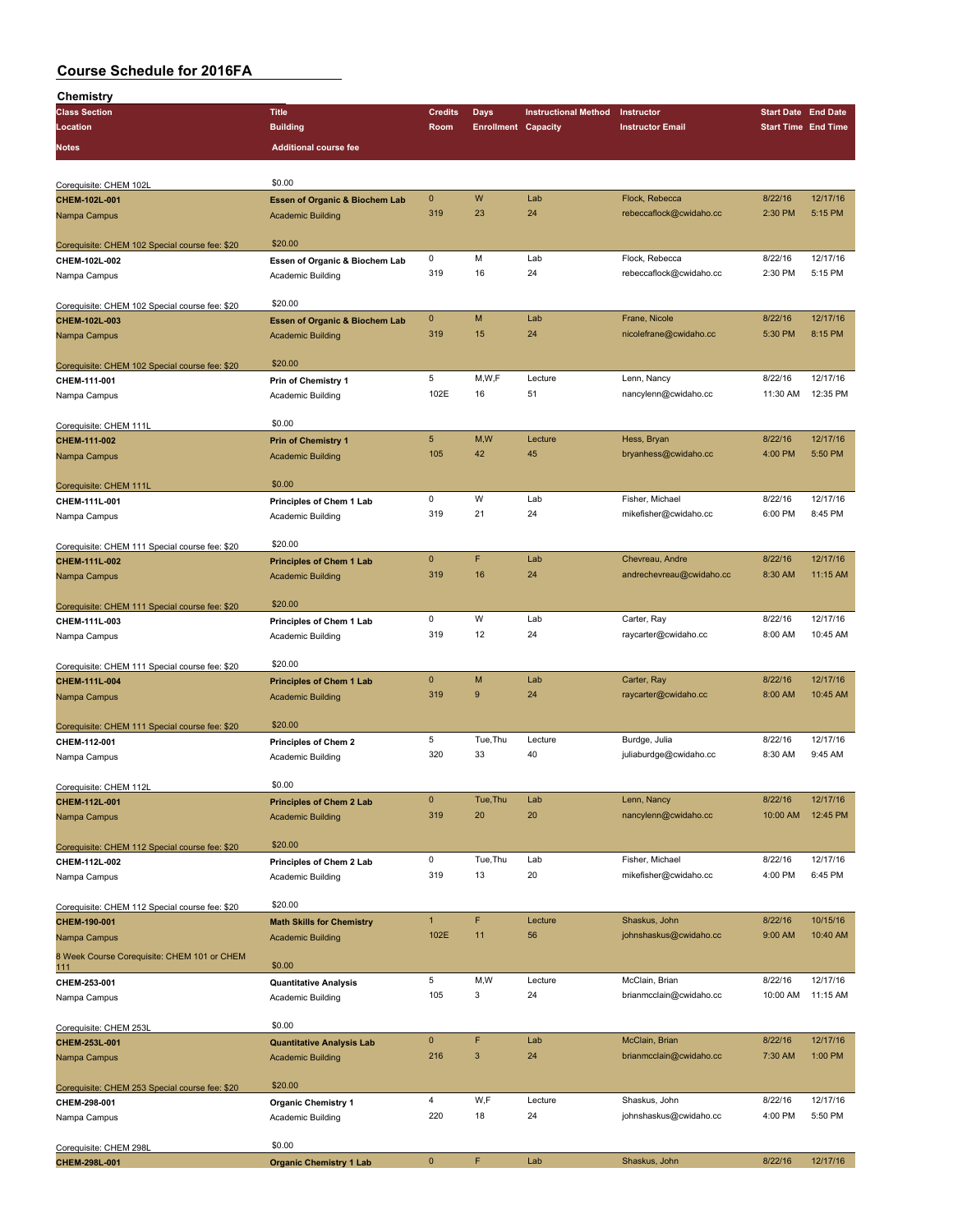| Chemistry                                          |                                           |                 |                            |                             |                          |                            |          |
|----------------------------------------------------|-------------------------------------------|-----------------|----------------------------|-----------------------------|--------------------------|----------------------------|----------|
| <b>Class Section</b>                               | <b>Title</b>                              | <b>Credits</b>  | Days                       | <b>Instructional Method</b> | Instructor               | <b>Start Date End Date</b> |          |
| Location                                           | <b>Building</b>                           | Room            | <b>Enrollment Capacity</b> |                             | <b>Instructor Email</b>  | <b>Start Time End Time</b> |          |
| Notes                                              | <b>Additional course fee</b>              |                 |                            |                             |                          |                            |          |
|                                                    |                                           |                 |                            |                             |                          |                            |          |
| Corequisite: CHEM 102L                             | \$0.00                                    |                 |                            |                             |                          |                            |          |
| CHEM-102L-001                                      | Essen of Organic & Biochem Lab            | $\pmb{0}$       | W                          | Lab                         | Flock, Rebecca           | 8/22/16                    | 12/17/16 |
| Nampa Campus                                       | <b>Academic Building</b>                  | 319             | 23                         | 24                          | rebeccaflock@cwidaho.cc  | 2:30 PM                    | 5:15 PM  |
|                                                    |                                           |                 |                            |                             |                          |                            |          |
| Corequisite: CHEM 102 Special course fee: \$20     | \$20.00                                   |                 |                            |                             |                          |                            |          |
| CHEM-102L-002                                      | Essen of Organic & Biochem Lab            | 0               | M                          | Lab                         | Flock, Rebecca           | 8/22/16                    | 12/17/16 |
| Nampa Campus                                       | Academic Building                         | 319             | 16                         | 24                          | rebeccaflock@cwidaho.cc  | 2:30 PM                    | 5:15 PM  |
|                                                    |                                           |                 |                            |                             |                          |                            |          |
| Corequisite: CHEM 102 Special course fee: \$20     | \$20.00                                   |                 |                            |                             |                          |                            |          |
| CHEM-102L-003                                      | <b>Essen of Organic &amp; Biochem Lab</b> | $\mathbf 0$     | M                          | Lab                         | Frane, Nicole            | 8/22/16                    | 12/17/16 |
| Nampa Campus                                       | <b>Academic Building</b>                  | 319             | 15                         | 24                          | nicolefrane@cwidaho.cc   | 5:30 PM                    | 8:15 PM  |
|                                                    |                                           |                 |                            |                             |                          |                            |          |
| Corequisite: CHEM 102 Special course fee: \$20     | \$20.00                                   |                 |                            |                             |                          |                            |          |
| CHEM-111-001                                       | Prin of Chemistry 1                       | 5               | M,W,F                      | Lecture                     | Lenn, Nancy              | 8/22/16                    | 12/17/16 |
| Nampa Campus                                       | Academic Building                         | 102E            | 16                         | 51                          | nancylenn@cwidaho.cc     | 11:30 AM                   | 12:35 PM |
|                                                    |                                           |                 |                            |                             |                          |                            |          |
| Corequisite: CHEM 111L                             | \$0.00                                    |                 |                            |                             |                          |                            |          |
| CHEM-111-002                                       | <b>Prin of Chemistry 1</b>                | $5\phantom{.0}$ | M,W                        | Lecture                     | Hess, Bryan              | 8/22/16                    | 12/17/16 |
| Nampa Campus                                       | <b>Academic Building</b>                  | 105             | 42                         | 45                          | bryanhess@cwidaho.cc     | 4:00 PM                    | 5:50 PM  |
|                                                    |                                           |                 |                            |                             |                          |                            |          |
| Corequisite: CHEM 111L                             | \$0.00                                    |                 |                            |                             |                          |                            |          |
| CHEM-111L-001                                      | Principles of Chem 1 Lab                  | $\mathsf 0$     | W                          | Lab                         | Fisher, Michael          | 8/22/16                    | 12/17/16 |
| Nampa Campus                                       | Academic Building                         | 319             | 21                         | 24                          | mikefisher@cwidaho.cc    | 6:00 PM                    | 8:45 PM  |
|                                                    |                                           |                 |                            |                             |                          |                            |          |
| Corequisite: CHEM 111 Special course fee: \$20     | \$20.00                                   |                 |                            |                             |                          |                            |          |
| CHEM-111L-002                                      | <b>Principles of Chem 1 Lab</b>           | $\mathbf 0$     | F                          | Lab                         | Chevreau, Andre          | 8/22/16                    | 12/17/16 |
| Nampa Campus                                       | <b>Academic Building</b>                  | 319             | 16                         | 24                          | andrechevreau@cwidaho.cc | 8:30 AM                    | 11:15 AM |
|                                                    |                                           |                 |                            |                             |                          |                            |          |
| Corequisite: CHEM 111 Special course fee: \$20     | \$20.00                                   |                 |                            |                             |                          |                            |          |
| CHEM-111L-003                                      | Principles of Chem 1 Lab                  | 0               | W                          | Lab                         | Carter, Ray              | 8/22/16                    | 12/17/16 |
| Nampa Campus                                       | Academic Building                         | 319             | 12                         | 24                          | raycarter@cwidaho.cc     | 8:00 AM                    | 10:45 AM |
|                                                    |                                           |                 |                            |                             |                          |                            |          |
| Corequisite: CHEM 111 Special course fee: \$20     | \$20.00                                   |                 |                            |                             |                          |                            |          |
| CHEM-111L-004                                      | <b>Principles of Chem 1 Lab</b>           | $\mathbf 0$     | M                          | Lab                         | Carter, Ray              | 8/22/16                    | 12/17/16 |
| Nampa Campus                                       | <b>Academic Building</b>                  | 319             | 9                          | 24                          | raycarter@cwidaho.cc     | 8:00 AM                    | 10:45 AM |
|                                                    |                                           |                 |                            |                             |                          |                            |          |
| Corequisite: CHEM 111 Special course fee: \$20     | \$20.00                                   |                 |                            |                             |                          |                            |          |
| CHEM-112-001                                       | Principles of Chem 2                      | 5               | Tue, Thu                   | Lecture                     | Burdge, Julia            | 8/22/16                    | 12/17/16 |
| Nampa Campus                                       | Academic Building                         | 320             | 33                         | 40                          | juliaburdge@cwidaho.cc   | 8:30 AM                    | 9:45 AM  |
|                                                    |                                           |                 |                            |                             |                          |                            |          |
| Corequisite: CHEM 112L                             | \$0.00                                    |                 |                            |                             |                          |                            |          |
| CHEM-112L-001                                      | <b>Principles of Chem 2 Lab</b>           | $\pmb{0}$       | Tue, Thu                   | Lab                         | Lenn, Nancy              | 8/22/16                    | 12/17/16 |
| Nampa Campus                                       | <b>Academic Building</b>                  | 319             | 20                         | 20                          | nancylenn@cwidaho.cc     | 10:00 AM                   | 12:45 PM |
|                                                    |                                           |                 |                            |                             |                          |                            |          |
| Corequisite: CHEM 112 Special course fee: \$20     | \$20.00                                   |                 |                            |                             |                          |                            |          |
| CHEM-112L-002                                      | Principles of Chem 2 Lab                  | 0               | Tue, Thu                   | Lab                         | Fisher, Michael          | 8/22/16                    | 12/17/16 |
| Nampa Campus                                       | Academic Building                         | 319             | 13                         | 20                          | mikefisher@cwidaho.cc    | 4:00 PM                    | 6:45 PM  |
|                                                    |                                           |                 |                            |                             |                          |                            |          |
| Corequisite: CHEM 112 Special course fee: \$20     | \$20.00                                   |                 |                            |                             |                          |                            |          |
| CHEM-190-001                                       | <b>Math Skills for Chemistry</b>          | $\mathbf{1}$    | F                          | Lecture                     | Shaskus, John            | 8/22/16                    | 10/15/16 |
| Nampa Campus                                       | <b>Academic Building</b>                  | 102E            | 11                         | 56                          | johnshaskus@cwidaho.cc   | 9:00 AM                    | 10:40 AM |
|                                                    |                                           |                 |                            |                             |                          |                            |          |
| 8 Week Course Corequisite: CHEM 101 or CHEM<br>111 | \$0.00                                    |                 |                            |                             |                          |                            |          |
| CHEM-253-001                                       | <b>Quantitative Analysis</b>              | 5               | M, W                       | Lecture                     | McClain, Brian           | 8/22/16                    | 12/17/16 |
| Nampa Campus                                       | Academic Building                         | 105             | 3                          | 24                          | brianmcclain@cwidaho.cc  | 10:00 AM                   | 11:15 AM |
|                                                    |                                           |                 |                            |                             |                          |                            |          |
| Corequisite: CHEM 253L                             | \$0.00                                    |                 |                            |                             |                          |                            |          |
| CHEM-253L-001                                      | <b>Quantitative Analysis Lab</b>          | $\pmb{0}$       | F                          | Lab                         | McClain, Brian           | 8/22/16                    | 12/17/16 |
| Nampa Campus                                       | <b>Academic Building</b>                  | 216             | 3                          | 24                          | brianmcclain@cwidaho.cc  | 7:30 AM                    | 1:00 PM  |
|                                                    |                                           |                 |                            |                             |                          |                            |          |
| Corequisite: CHEM 253 Special course fee: \$20     | \$20.00                                   |                 |                            |                             |                          |                            |          |
| CHEM-298-001                                       | <b>Organic Chemistry 1</b>                | $\overline{4}$  | W,F                        | Lecture                     | Shaskus, John            | 8/22/16                    | 12/17/16 |
| Nampa Campus                                       | Academic Building                         | 220             | 18                         | 24                          | johnshaskus@cwidaho.cc   | 4:00 PM                    | 5:50 PM  |
|                                                    |                                           |                 |                            |                             |                          |                            |          |
| Corequisite: CHEM 298L                             | \$0.00                                    |                 |                            |                             |                          |                            |          |
| CHEM-298L-001                                      | <b>Organic Chemistry 1 Lab</b>            | $\pmb{0}$       | F                          | Lab                         | Shaskus, John            | 8/22/16                    | 12/17/16 |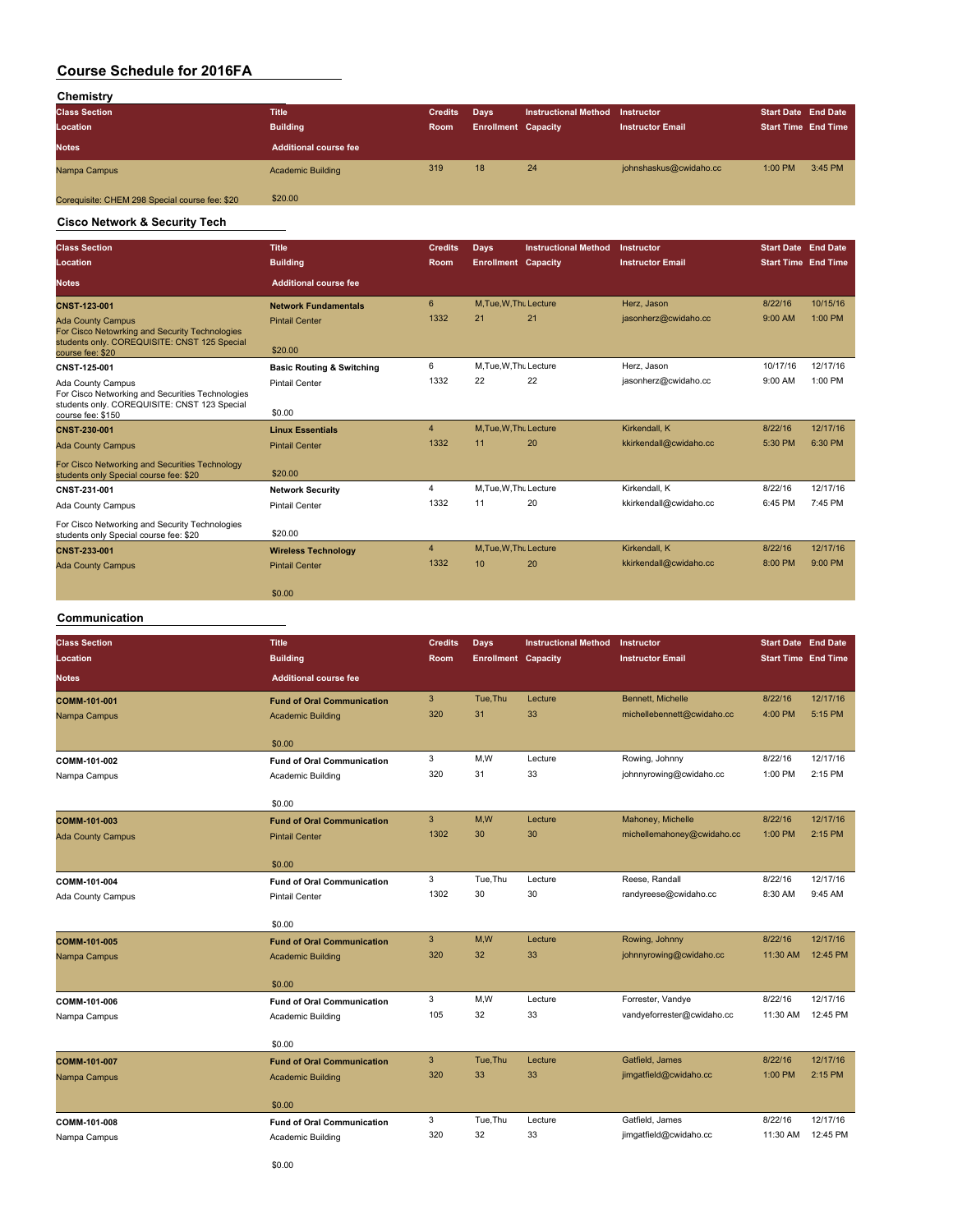| Chemistry                                      |                              |                |                            |                             |                         |                            |           |
|------------------------------------------------|------------------------------|----------------|----------------------------|-----------------------------|-------------------------|----------------------------|-----------|
| <b>Class Section</b>                           | <b>Title</b>                 | <b>Credits</b> | Days                       | <b>Instructional Method</b> | Instructor              | <b>Start Date End Date</b> |           |
| Location                                       | <b>Building</b>              | Room           | <b>Enrollment Capacity</b> |                             | <b>Instructor Email</b> | <b>Start Time End Time</b> |           |
| <b>Notes</b>                                   | <b>Additional course fee</b> |                |                            |                             |                         |                            |           |
| Nampa Campus                                   | <b>Academic Building</b>     | 319            | 18                         | 24                          | johnshaskus@cwidaho.cc  | 1:00 PM                    | $3:45$ PM |
| Corequisite: CHEM 298 Special course fee: \$20 | \$20.00                      |                |                            |                             |                         |                            |           |

#### **Cisco Network & Security Tech**

| <b>Class Section</b><br>Location<br><b>Notes</b>                                                                                                                      | <b>Title</b><br><b>Building</b><br><b>Additional course fee</b>         | <b>Credits</b><br><b>Room</b> | Days<br><b>Enrollment Capacity</b> | <b>Instructional Method</b> | Instructor<br><b>Instructor Email</b>   | <b>Start Date End Date</b><br><b>Start Time End Time</b> |                       |
|-----------------------------------------------------------------------------------------------------------------------------------------------------------------------|-------------------------------------------------------------------------|-------------------------------|------------------------------------|-----------------------------|-----------------------------------------|----------------------------------------------------------|-----------------------|
| <b>CNST-123-001</b><br><b>Ada County Campus</b><br>For Cisco Netowrking and Security Technologies<br>students only. COREQUISITE: CNST 125 Special<br>course fee: \$20 | <b>Network Fundamentals</b><br><b>Pintail Center</b><br>\$20.00         | 6<br>1332                     | M.Tue.W.Thu Lecture<br>21          | 21                          | Herz. Jason<br>jasonherz@cwidaho.cc     | 8/22/16<br>9:00 AM                                       | 10/15/16<br>$1:00$ PM |
| CNST-125-001<br>Ada County Campus<br>For Cisco Networking and Securities Technologies<br>students only. COREQUISITE: CNST 123 Special<br>course fee: \$150            | <b>Basic Routing &amp; Switching</b><br><b>Pintail Center</b><br>\$0.00 | 6<br>1332                     | M.Tue.W.Thu Lecture<br>22          | 22                          | Herz. Jason<br>jasonherz@cwidaho.cc     | 10/17/16<br>9:00 AM                                      | 12/17/16<br>1:00 PM   |
| <b>CNST-230-001</b><br><b>Ada County Campus</b><br>For Cisco Networking and Securities Technology<br>students only Special course fee: \$20                           | <b>Linux Essentials</b><br><b>Pintail Center</b><br>\$20.00             | $\overline{4}$<br>1332        | M, Tue, W, Thu Lecture<br>11       | 20                          | Kirkendall, K<br>kkirkendall@cwidaho.cc | 8/22/16<br>5:30 PM                                       | 12/17/16<br>6:30 PM   |
| CNST-231-001<br>Ada County Campus<br>For Cisco Networking and Security Technologies<br>students only Special course fee: \$20                                         | <b>Network Security</b><br><b>Pintail Center</b><br>\$20.00             | 4<br>1332                     | M, Tue, W, Thu Lecture<br>11       | 20                          | Kirkendall, K<br>kkirkendall@cwidaho.cc | 8/22/16<br>6:45 PM                                       | 12/17/16<br>7:45 PM   |
| <b>CNST-233-001</b><br><b>Ada County Campus</b>                                                                                                                       | <b>Wireless Technology</b><br><b>Pintail Center</b><br>\$0.00           | $\overline{4}$<br>1332        | M.Tue.W.Thu Lecture<br>10          | 20                          | Kirkendall, K<br>kkirkendall@cwidaho.cc | 8/22/16<br>8:00 PM                                       | 12/17/16<br>9:00 PM   |

#### **Communication**

| <b>Class Section</b><br>Location | <b>Title</b><br><b>Building</b>   | <b>Credits</b><br><b>Room</b> | <b>Days</b><br><b>Enrollment Capacity</b> | <b>Instructional Method</b> | Instructor<br><b>Instructor Email</b> | <b>Start Date End Date</b><br><b>Start Time End Time</b> |          |
|----------------------------------|-----------------------------------|-------------------------------|-------------------------------------------|-----------------------------|---------------------------------------|----------------------------------------------------------|----------|
| <b>Notes</b>                     | <b>Additional course fee</b>      |                               |                                           |                             |                                       |                                                          |          |
| COMM-101-001                     | <b>Fund of Oral Communication</b> | 3                             | Tue, Thu                                  | Lecture                     | <b>Bennett, Michelle</b>              | 8/22/16                                                  | 12/17/16 |
| Nampa Campus                     | <b>Academic Building</b>          | 320                           | 31                                        | 33                          | michellebennett@cwidaho.cc            | 4:00 PM                                                  | 5:15 PM  |
|                                  | \$0.00                            |                               |                                           |                             |                                       |                                                          |          |
| COMM-101-002                     | <b>Fund of Oral Communication</b> | 3                             | M,W                                       | Lecture                     | Rowing, Johnny                        | 8/22/16                                                  | 12/17/16 |
| Nampa Campus                     | Academic Building                 | 320                           | 31                                        | 33                          | johnnyrowing@cwidaho.cc               | 1:00 PM                                                  | 2:15 PM  |
|                                  | \$0.00                            |                               |                                           |                             |                                       |                                                          |          |
| COMM-101-003                     | <b>Fund of Oral Communication</b> | 3                             | M,W                                       | Lecture                     | Mahoney, Michelle                     | 8/22/16                                                  | 12/17/16 |
| <b>Ada County Campus</b>         | <b>Pintail Center</b>             | 1302                          | 30                                        | 30                          | michellemahoney@cwidaho.cc            | 1:00 PM                                                  | 2:15 PM  |
|                                  | \$0.00                            |                               |                                           |                             |                                       |                                                          |          |
| COMM-101-004                     | <b>Fund of Oral Communication</b> | 3                             | Tue, Thu                                  | Lecture                     | Reese, Randall                        | 8/22/16                                                  | 12/17/16 |
| <b>Ada County Campus</b>         | <b>Pintail Center</b>             | 1302                          | 30                                        | 30                          | randyreese@cwidaho.cc                 | 8:30 AM                                                  | 9:45 AM  |
|                                  | \$0.00                            |                               |                                           |                             |                                       |                                                          |          |
| COMM-101-005                     | <b>Fund of Oral Communication</b> | 3                             | M,W                                       | Lecture                     | Rowing, Johnny                        | 8/22/16                                                  | 12/17/16 |
| Nampa Campus                     | <b>Academic Building</b>          | 320                           | 32                                        | 33                          | johnnyrowing@cwidaho.cc               | 11:30 AM                                                 | 12:45 PM |
|                                  | \$0.00                            |                               |                                           |                             |                                       |                                                          |          |
| COMM-101-006                     | <b>Fund of Oral Communication</b> | 3                             | M, W                                      | Lecture                     | Forrester, Vandye                     | 8/22/16                                                  | 12/17/16 |
| Nampa Campus                     | Academic Building                 | 105                           | 32                                        | 33                          | vandyeforrester@cwidaho.cc            | 11:30 AM                                                 | 12:45 PM |
|                                  | \$0.00                            |                               |                                           |                             |                                       |                                                          |          |
| COMM-101-007                     | <b>Fund of Oral Communication</b> | 3                             | Tue, Thu                                  | Lecture                     | Gatfield, James                       | 8/22/16                                                  | 12/17/16 |
| Nampa Campus                     | <b>Academic Building</b>          | 320                           | 33                                        | 33                          | jimgatfield@cwidaho.cc                | 1:00 PM                                                  | 2:15 PM  |
|                                  | \$0.00                            |                               |                                           |                             |                                       |                                                          |          |
| COMM-101-008                     | <b>Fund of Oral Communication</b> | 3                             | Tue, Thu                                  | Lecture                     | Gatfield, James                       | 8/22/16                                                  | 12/17/16 |
| Nampa Campus                     | Academic Building                 | 320                           | 32                                        | 33                          | jimgatfield@cwidaho.cc                | 11:30 AM                                                 | 12:45 PM |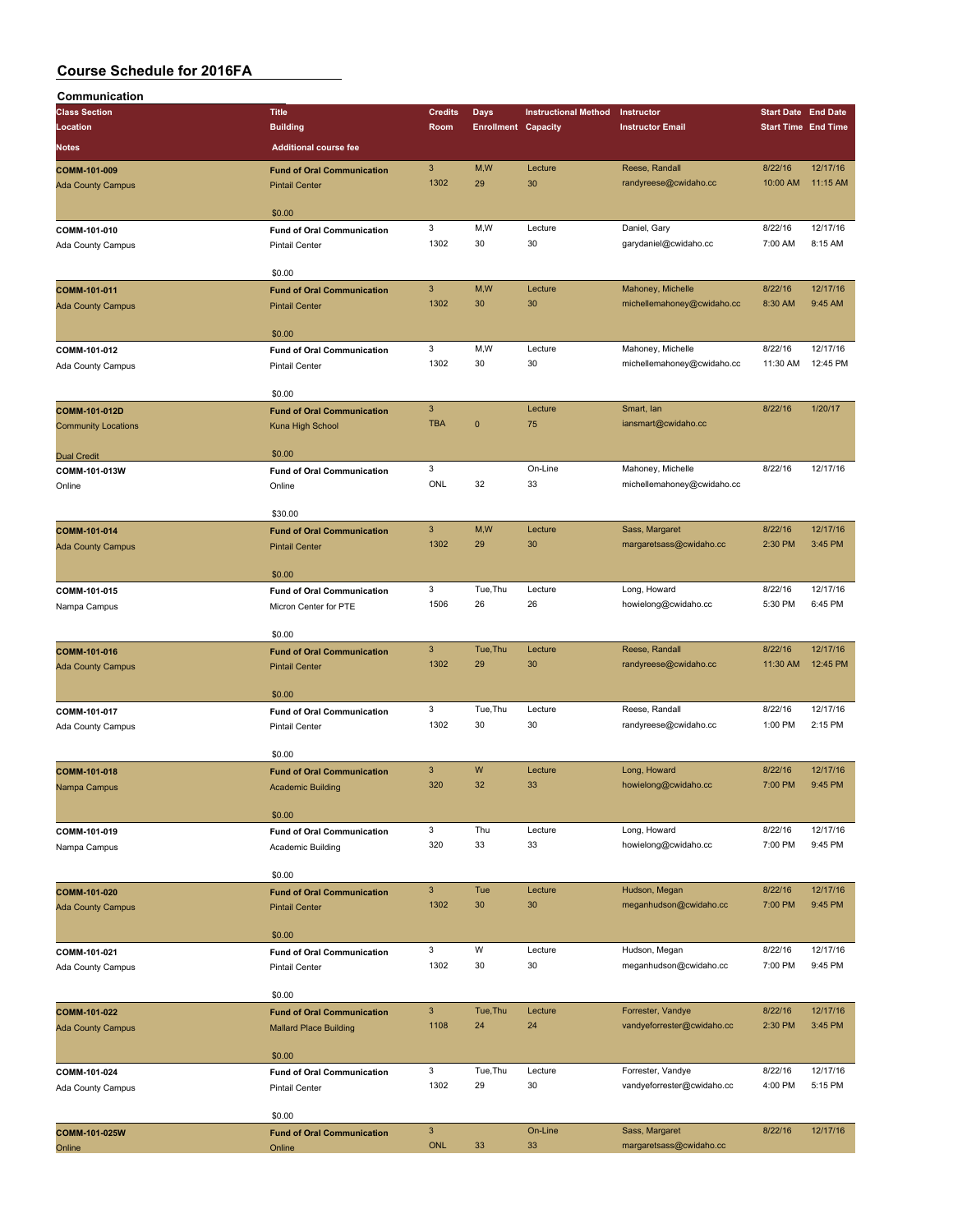| Communication              |                                   |                           |                            |                             |                            |                            |                            |
|----------------------------|-----------------------------------|---------------------------|----------------------------|-----------------------------|----------------------------|----------------------------|----------------------------|
| <b>Class Section</b>       | <b>Title</b>                      | <b>Credits</b>            | Days                       | <b>Instructional Method</b> | Instructor                 | <b>Start Date End Date</b> |                            |
| Location                   | <b>Building</b>                   | Room                      | <b>Enrollment Capacity</b> |                             | <b>Instructor Email</b>    |                            | <b>Start Time End Time</b> |
| Notes                      | <b>Additional course fee</b>      |                           |                            |                             |                            |                            |                            |
|                            |                                   |                           |                            |                             |                            |                            |                            |
| COMM-101-009               | <b>Fund of Oral Communication</b> | $\mathbf{3}$              | M,W                        | Lecture                     | Reese, Randall             | 8/22/16                    | 12/17/16                   |
| <b>Ada County Campus</b>   | <b>Pintail Center</b>             | 1302                      | 29                         | 30                          | randyreese@cwidaho.cc      | 10:00 AM                   | 11:15 AM                   |
|                            |                                   |                           |                            |                             |                            |                            |                            |
|                            | \$0.00                            |                           |                            |                             |                            |                            |                            |
| COMM-101-010               | <b>Fund of Oral Communication</b> | 3                         | M, W                       | Lecture                     | Daniel, Gary               | 8/22/16                    | 12/17/16                   |
| Ada County Campus          | <b>Pintail Center</b>             | 1302                      | 30                         | 30                          | garydaniel@cwidaho.cc      | 7:00 AM                    | 8:15 AM                    |
|                            |                                   |                           |                            |                             |                            |                            |                            |
|                            | \$0.00                            |                           |                            |                             |                            |                            |                            |
| COMM-101-011               | <b>Fund of Oral Communication</b> | $\ensuremath{\mathsf{3}}$ | M,W                        | Lecture                     | Mahoney, Michelle          | 8/22/16                    | 12/17/16                   |
| <b>Ada County Campus</b>   | <b>Pintail Center</b>             | 1302                      | 30                         | 30                          | michellemahoney@cwidaho.cc | 8:30 AM                    | 9:45 AM                    |
|                            |                                   |                           |                            |                             |                            |                            |                            |
|                            | \$0.00                            |                           |                            |                             |                            |                            |                            |
| COMM-101-012               | <b>Fund of Oral Communication</b> | 3                         | M,W                        | Lecture                     | Mahoney, Michelle          | 8/22/16                    | 12/17/16                   |
| Ada County Campus          | <b>Pintail Center</b>             | 1302                      | 30                         | 30                          | michellemahoney@cwidaho.cc | 11:30 AM                   | 12:45 PM                   |
|                            |                                   |                           |                            |                             |                            |                            |                            |
|                            | \$0.00                            |                           |                            |                             |                            |                            |                            |
| COMM-101-012D              | <b>Fund of Oral Communication</b> | $\ensuremath{\mathsf{3}}$ |                            | Lecture                     | Smart, Ian                 | 8/22/16                    | 1/20/17                    |
| <b>Community Locations</b> | Kuna High School                  | <b>TBA</b>                | $\mathbf{0}$               | 75                          | iansmart@cwidaho.cc        |                            |                            |
|                            |                                   |                           |                            |                             |                            |                            |                            |
| <b>Dual Credit</b>         | \$0.00                            |                           |                            |                             |                            |                            |                            |
| COMM-101-013W              | <b>Fund of Oral Communication</b> | 3                         |                            | On-Line                     | Mahoney, Michelle          | 8/22/16                    | 12/17/16                   |
| Online                     | Online                            | ONL                       | 32                         | 33                          | michellemahoney@cwidaho.cc |                            |                            |
|                            |                                   |                           |                            |                             |                            |                            |                            |
|                            | \$30.00                           |                           |                            |                             |                            |                            |                            |
| COMM-101-014               | <b>Fund of Oral Communication</b> | $\ensuremath{\mathsf{3}}$ | M, W                       | Lecture                     | Sass, Margaret             | 8/22/16                    | 12/17/16                   |
| <b>Ada County Campus</b>   | <b>Pintail Center</b>             | 1302                      | 29                         | 30                          | margaretsass@cwidaho.cc    | 2:30 PM                    | 3:45 PM                    |
|                            |                                   |                           |                            |                             |                            |                            |                            |
|                            | \$0.00                            |                           |                            |                             |                            |                            |                            |
| COMM-101-015               | <b>Fund of Oral Communication</b> | 3                         | Tue, Thu                   | Lecture                     | Long, Howard               | 8/22/16                    | 12/17/16                   |
| Nampa Campus               | Micron Center for PTE             | 1506                      | 26                         | 26                          | howielong@cwidaho.cc       | 5:30 PM                    | 6:45 PM                    |
|                            |                                   |                           |                            |                             |                            |                            |                            |
|                            | \$0.00                            |                           |                            |                             |                            |                            |                            |
| COMM-101-016               | <b>Fund of Oral Communication</b> | $\mathbf{3}$              | Tue, Thu                   | Lecture                     | Reese, Randall             | 8/22/16                    | 12/17/16                   |
| <b>Ada County Campus</b>   | <b>Pintail Center</b>             | 1302                      | 29                         | 30                          | randyreese@cwidaho.cc      | 11:30 AM                   | 12:45 PM                   |
|                            |                                   |                           |                            |                             |                            |                            |                            |
|                            | \$0.00                            |                           |                            |                             |                            |                            |                            |
| COMM-101-017               | <b>Fund of Oral Communication</b> | 3                         | Tue, Thu                   | Lecture                     | Reese, Randall             | 8/22/16                    | 12/17/16                   |
| Ada County Campus          | <b>Pintail Center</b>             | 1302                      | 30                         | 30                          | randyreese@cwidaho.cc      | 1:00 PM                    | 2:15 PM                    |
|                            |                                   |                           |                            |                             |                            |                            |                            |
|                            | \$0.00                            |                           |                            |                             |                            |                            | 12/17/16                   |
| COMM-101-018               | <b>Fund of Oral Communication</b> | $\mathbf{3}$              | W                          | Lecture                     | Long, Howard               | 8/22/16                    |                            |
| Nampa Campus               | <b>Academic Building</b>          | 320                       | 32                         | 33                          | howielong@cwidaho.cc       | 7:00 PM                    | 9:45 PM                    |
|                            |                                   |                           |                            |                             |                            |                            |                            |
|                            | \$0.00                            |                           |                            |                             |                            |                            |                            |
| COMM-101-019               | <b>Fund of Oral Communication</b> | 3                         | Thu                        | Lecture                     | Long, Howard               | 8/22/16                    | 12/17/16                   |
| Nampa Campus               | Academic Building                 | 320                       | 33                         | 33                          | howielong@cwidaho.cc       | 7:00 PM                    | 9:45 PM                    |
|                            |                                   |                           |                            |                             |                            |                            |                            |
|                            | \$0.00                            |                           |                            |                             |                            |                            |                            |
| COMM-101-020               | <b>Fund of Oral Communication</b> | $\mathbf{3}$              | Tue                        | Lecture                     | Hudson, Megan              | 8/22/16                    | 12/17/16                   |
| <b>Ada County Campus</b>   | <b>Pintail Center</b>             | 1302                      | 30                         | 30                          | meganhudson@cwidaho.cc     | 7:00 PM                    | 9:45 PM                    |
|                            |                                   |                           |                            |                             |                            |                            |                            |
|                            | \$0.00                            |                           |                            |                             |                            |                            | 12/17/16                   |
| COMM-101-021               | <b>Fund of Oral Communication</b> | 3                         | W                          | Lecture                     | Hudson, Megan              | 8/22/16                    |                            |
| Ada County Campus          | Pintail Center                    | 1302                      | 30                         | 30                          | meganhudson@cwidaho.cc     | 7:00 PM                    | 9:45 PM                    |
|                            |                                   |                           |                            |                             |                            |                            |                            |
|                            | \$0.00                            |                           |                            |                             |                            |                            |                            |
| COMM-101-022               | <b>Fund of Oral Communication</b> | $\mathbf{3}$              | Tue, Thu                   | Lecture                     | Forrester, Vandye          | 8/22/16                    | 12/17/16                   |
| <b>Ada County Campus</b>   | <b>Mallard Place Building</b>     | 1108                      | 24                         | 24                          | vandyeforrester@cwidaho.cc | 2:30 PM                    | 3:45 PM                    |
|                            |                                   |                           |                            |                             |                            |                            |                            |
|                            | \$0.00                            |                           |                            |                             |                            |                            |                            |
| COMM-101-024               | <b>Fund of Oral Communication</b> | 3                         | Tue, Thu                   | Lecture                     | Forrester, Vandye          | 8/22/16                    | 12/17/16                   |
| Ada County Campus          | <b>Pintail Center</b>             | 1302                      | 29                         | 30                          | vandyeforrester@cwidaho.cc | 4:00 PM                    | 5:15 PM                    |
|                            |                                   |                           |                            |                             |                            |                            |                            |
|                            | \$0.00                            |                           |                            |                             |                            |                            |                            |
| COMM-101-025W              | <b>Fund of Oral Communication</b> | $\mathbf{3}$              |                            | On-Line                     | Sass, Margaret             | 8/22/16                    | 12/17/16                   |
| Online                     | Online                            | <b>ONL</b>                | 33                         | 33                          | margaretsass@cwidaho.cc    |                            |                            |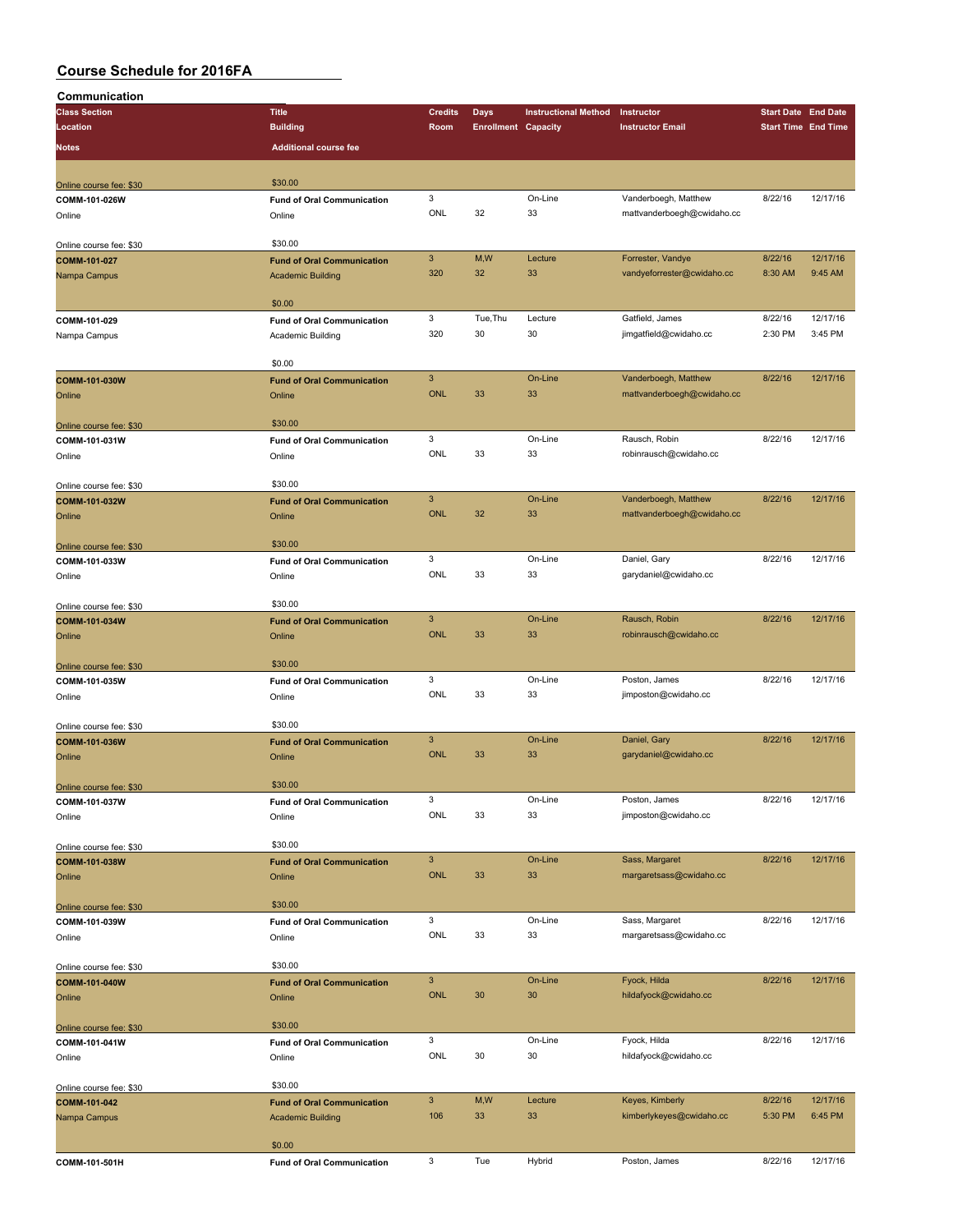| Communication                            |                                   |                           |                            |                             |                            |         |                            |
|------------------------------------------|-----------------------------------|---------------------------|----------------------------|-----------------------------|----------------------------|---------|----------------------------|
| <b>Class Section</b>                     | <b>Title</b>                      | <b>Credits</b>            | Days                       | <b>Instructional Method</b> | Instructor                 |         | <b>Start Date End Date</b> |
| Location                                 | <b>Building</b>                   | Room                      | <b>Enrollment Capacity</b> |                             | <b>Instructor Email</b>    |         | <b>Start Time End Time</b> |
| Notes                                    | <b>Additional course fee</b>      |                           |                            |                             |                            |         |                            |
|                                          |                                   |                           |                            |                             |                            |         |                            |
| Online course fee: \$30                  | \$30.00                           |                           |                            |                             |                            |         |                            |
| COMM-101-026W                            | <b>Fund of Oral Communication</b> | $\mathbf 3$               |                            | On-Line                     | Vanderboegh, Matthew       | 8/22/16 | 12/17/16                   |
| Online                                   | Online                            | ONL                       | 32                         | 33                          | mattvanderboegh@cwidaho.cc |         |                            |
|                                          |                                   |                           |                            |                             |                            |         |                            |
| Online course fee: \$30                  | \$30.00                           |                           |                            |                             |                            |         |                            |
| COMM-101-027                             | <b>Fund of Oral Communication</b> | $\mathbf{3}$              | M,W                        | Lecture                     | Forrester, Vandye          | 8/22/16 | 12/17/16                   |
| Nampa Campus                             | <b>Academic Building</b>          | 320                       | 32                         | 33                          | vandyeforrester@cwidaho.cc | 8:30 AM | 9:45 AM                    |
|                                          |                                   |                           |                            |                             |                            |         |                            |
|                                          | \$0.00                            |                           |                            |                             |                            |         |                            |
| COMM-101-029                             | <b>Fund of Oral Communication</b> | 3                         | Tue, Thu                   | Lecture                     | Gatfield, James            | 8/22/16 | 12/17/16                   |
| Nampa Campus                             | Academic Building                 | 320                       | 30                         | 30                          | jimgatfield@cwidaho.cc     | 2:30 PM | 3:45 PM                    |
|                                          |                                   |                           |                            |                             |                            |         |                            |
|                                          | \$0.00                            | $\mathbf{3}$              |                            | On-Line                     |                            | 8/22/16 | 12/17/16                   |
| COMM-101-030W                            | <b>Fund of Oral Communication</b> | <b>ONL</b>                | 33                         | 33                          | Vanderboegh, Matthew       |         |                            |
| Online                                   | Online                            |                           |                            |                             | mattvanderboegh@cwidaho.cc |         |                            |
|                                          | \$30.00                           |                           |                            |                             |                            |         |                            |
| Online course fee: \$30                  |                                   | $\mathbf 3$               |                            | On-Line                     | Rausch, Robin              | 8/22/16 | 12/17/16                   |
| COMM-101-031W                            | <b>Fund of Oral Communication</b> | ONL                       | 33                         | 33                          | robinrausch@cwidaho.cc     |         |                            |
| Online                                   | Online                            |                           |                            |                             |                            |         |                            |
|                                          | \$30.00                           |                           |                            |                             |                            |         |                            |
| Online course fee: \$30<br>COMM-101-032W | <b>Fund of Oral Communication</b> | $\mathbf{3}$              |                            | On-Line                     | Vanderboegh, Matthew       | 8/22/16 | 12/17/16                   |
| Online                                   | Online                            | <b>ONL</b>                | 32                         | 33                          | mattvanderboegh@cwidaho.cc |         |                            |
|                                          |                                   |                           |                            |                             |                            |         |                            |
| Online course fee: \$30                  | \$30.00                           |                           |                            |                             |                            |         |                            |
| COMM-101-033W                            | <b>Fund of Oral Communication</b> | 3                         |                            | On-Line                     | Daniel, Gary               | 8/22/16 | 12/17/16                   |
| Online                                   | Online                            | ONL                       | 33                         | 33                          | garydaniel@cwidaho.cc      |         |                            |
|                                          |                                   |                           |                            |                             |                            |         |                            |
| Online course fee: \$30                  | \$30.00                           |                           |                            |                             |                            |         |                            |
| COMM-101-034W                            | <b>Fund of Oral Communication</b> | $\mathbf{3}$              |                            | On-Line                     | Rausch, Robin              | 8/22/16 | 12/17/16                   |
| Online                                   | Online                            | <b>ONL</b>                | 33                         | 33                          | robinrausch@cwidaho.cc     |         |                            |
|                                          |                                   |                           |                            |                             |                            |         |                            |
| Online course fee: \$30                  | \$30.00                           |                           |                            |                             |                            |         |                            |
| COMM-101-035W                            | <b>Fund of Oral Communication</b> | 3                         |                            | On-Line                     | Poston, James              | 8/22/16 | 12/17/16                   |
| Online                                   | Online                            | ONL                       | 33                         | 33                          | jimposton@cwidaho.cc       |         |                            |
|                                          |                                   |                           |                            |                             |                            |         |                            |
| Online course fee: \$30                  | \$30.00                           |                           |                            |                             |                            |         |                            |
| COMM-101-036W                            | <b>Fund of Oral Communication</b> | $\mathbf{3}$              |                            | On-Line                     | Daniel, Gary               | 8/22/16 | 12/17/16                   |
| Online                                   | Online                            | <b>ONL</b>                | 33                         | 33                          | garydaniel@cwidaho.cc      |         |                            |
|                                          |                                   |                           |                            |                             |                            |         |                            |
| Online course fee: \$30                  | \$30.00                           |                           |                            |                             |                            |         |                            |
| COMM-101-037W                            | <b>Fund of Oral Communication</b> | 3                         |                            | On-Line                     | Poston, James              | 8/22/16 | 12/17/16                   |
| Online                                   | Online                            | ONL                       | 33                         | 33                          | jimposton@cwidaho.cc       |         |                            |
|                                          |                                   |                           |                            |                             |                            |         |                            |
| Online course fee: \$30                  | \$30.00                           |                           |                            |                             |                            |         |                            |
| COMM-101-038W                            | <b>Fund of Oral Communication</b> | $\mathbf{3}$              |                            | On-Line                     | Sass, Margaret             | 8/22/16 | 12/17/16                   |
| Online                                   | Online                            | ONL                       | 33                         | 33                          | margaretsass@cwidaho.cc    |         |                            |
|                                          |                                   |                           |                            |                             |                            |         |                            |
| Online course fee: \$30                  | \$30.00                           |                           |                            |                             |                            |         |                            |
| COMM-101-039W                            | <b>Fund of Oral Communication</b> | $\mathbf 3$               |                            | On-Line                     | Sass, Margaret             | 8/22/16 | 12/17/16                   |
| Online                                   | Online                            | ONL                       | 33                         | 33                          | margaretsass@cwidaho.cc    |         |                            |
|                                          |                                   |                           |                            |                             |                            |         |                            |
| Online course fee: \$30                  | \$30.00                           |                           |                            |                             |                            |         | 12/17/16                   |
| COMM-101-040W                            | <b>Fund of Oral Communication</b> | $\ensuremath{\mathsf{3}}$ |                            | On-Line                     | Fyock, Hilda               | 8/22/16 |                            |
| Online                                   | Online                            | ONL                       | 30                         | 30                          | hildafyock@cwidaho.cc      |         |                            |
|                                          | \$30.00                           |                           |                            |                             |                            |         |                            |
| Online course fee: \$30                  |                                   | 3                         |                            | On-Line                     | Fyock, Hilda               | 8/22/16 | 12/17/16                   |
| COMM-101-041W                            | <b>Fund of Oral Communication</b> | ONL                       | 30                         | 30                          | hildafyock@cwidaho.cc      |         |                            |
| Online                                   | Online                            |                           |                            |                             |                            |         |                            |
|                                          | \$30.00                           |                           |                            |                             |                            |         |                            |
| Online course fee: \$30                  |                                   | $\mathbf{3}$              | M,W                        | Lecture                     | Keyes, Kimberly            | 8/22/16 | 12/17/16                   |
| COMM-101-042                             | <b>Fund of Oral Communication</b> | 106                       | 33                         | 33                          | kimberlykeyes@cwidaho.cc   | 5:30 PM | 6:45 PM                    |
| Nampa Campus                             | <b>Academic Building</b>          |                           |                            |                             |                            |         |                            |
|                                          | \$0.00                            |                           |                            |                             |                            |         |                            |
| COMM-101-501H                            | <b>Fund of Oral Communication</b> | 3                         | Tue                        | Hybrid                      | Poston, James              | 8/22/16 | 12/17/16                   |
|                                          |                                   |                           |                            |                             |                            |         |                            |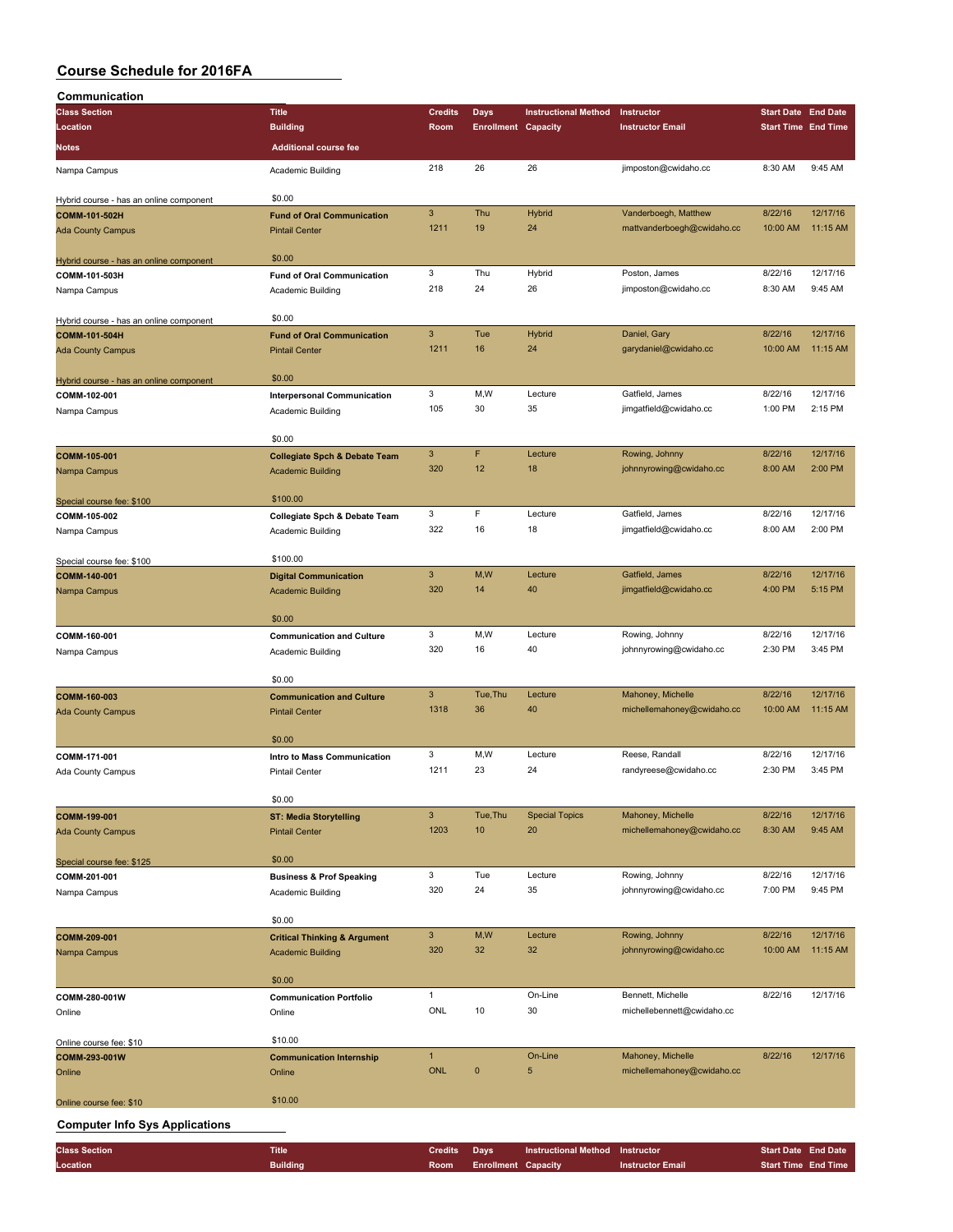| Communication                           |                                           |                           |                            |                             |                            |                            |          |
|-----------------------------------------|-------------------------------------------|---------------------------|----------------------------|-----------------------------|----------------------------|----------------------------|----------|
| <b>Class Section</b>                    | <b>Title</b>                              | <b>Credits</b>            | Days                       | <b>Instructional Method</b> | Instructor                 | <b>Start Date End Date</b> |          |
| Location                                | <b>Building</b>                           | Room                      | <b>Enrollment Capacity</b> |                             | <b>Instructor Email</b>    | <b>Start Time End Time</b> |          |
|                                         |                                           |                           |                            |                             |                            |                            |          |
| Notes                                   | <b>Additional course fee</b>              |                           |                            |                             |                            |                            |          |
| Nampa Campus                            | Academic Building                         | 218                       | 26                         | 26                          | jimposton@cwidaho.cc       | 8:30 AM                    | 9:45 AM  |
|                                         |                                           |                           |                            |                             |                            |                            |          |
| Hybrid course - has an online component | \$0.00                                    |                           |                            |                             |                            |                            |          |
| COMM-101-502H                           | <b>Fund of Oral Communication</b>         | $\mathbf{3}$              | Thu                        | <b>Hybrid</b>               | Vanderboegh, Matthew       | 8/22/16                    | 12/17/16 |
| <b>Ada County Campus</b>                | <b>Pintail Center</b>                     | 1211                      | 19                         | 24                          | mattvanderboegh@cwidaho.cc | 10:00 AM                   | 11:15 AM |
|                                         |                                           |                           |                            |                             |                            |                            |          |
| Hybrid course - has an online component | \$0.00                                    |                           |                            |                             |                            |                            |          |
| COMM-101-503H                           | <b>Fund of Oral Communication</b>         | 3                         | Thu                        | Hybrid                      | Poston, James              | 8/22/16                    | 12/17/16 |
| Nampa Campus                            | Academic Building                         | 218                       | 24                         | 26                          | jimposton@cwidaho.cc       | 8:30 AM                    | 9:45 AM  |
|                                         |                                           |                           |                            |                             |                            |                            |          |
| Hybrid course - has an online component | \$0.00                                    |                           |                            |                             |                            |                            |          |
| COMM-101-504H                           | <b>Fund of Oral Communication</b>         | $\mathbf{3}$              | Tue                        | Hybrid                      | Daniel, Gary               | 8/22/16                    | 12/17/16 |
| <b>Ada County Campus</b>                | <b>Pintail Center</b>                     | 1211                      | 16                         | 24                          | garydaniel@cwidaho.cc      | 10:00 AM                   | 11:15 AM |
|                                         |                                           |                           |                            |                             |                            |                            |          |
|                                         | \$0.00                                    |                           |                            |                             |                            |                            |          |
| Hybrid course - has an online component |                                           | 3                         | M,W                        | Lecture                     | Gatfield, James            | 8/22/16                    | 12/17/16 |
| COMM-102-001                            | <b>Interpersonal Communication</b>        | 105                       | 30                         | 35                          | jimgatfield@cwidaho.cc     |                            | 2:15 PM  |
| Nampa Campus                            | Academic Building                         |                           |                            |                             |                            | 1:00 PM                    |          |
|                                         |                                           |                           |                            |                             |                            |                            |          |
|                                         | \$0.00                                    |                           |                            |                             |                            |                            |          |
| COMM-105-001                            | <b>Collegiate Spch &amp; Debate Team</b>  | $\mathbf{3}$              | F                          | Lecture                     | Rowing, Johnny             | 8/22/16                    | 12/17/16 |
| Nampa Campus                            | <b>Academic Building</b>                  | 320                       | 12                         | 18                          | johnnyrowing@cwidaho.cc    | 8:00 AM                    | 2:00 PM  |
|                                         |                                           |                           |                            |                             |                            |                            |          |
| Special course fee: \$100               | \$100.00                                  |                           |                            |                             |                            |                            |          |
| COMM-105-002                            | Collegiate Spch & Debate Team             | $\mathbf 3$               | F                          | Lecture                     | Gatfield, James            | 8/22/16                    | 12/17/16 |
| Nampa Campus                            | Academic Building                         | 322                       | 16                         | 18                          | jimgatfield@cwidaho.cc     | 8:00 AM                    | 2:00 PM  |
|                                         |                                           |                           |                            |                             |                            |                            |          |
| Special course fee: \$100               | \$100.00                                  |                           |                            |                             |                            |                            |          |
| COMM-140-001                            | <b>Digital Communication</b>              | $\mathbf{3}$              | M,W                        | Lecture                     | Gatfield, James            | 8/22/16                    | 12/17/16 |
| Nampa Campus                            | <b>Academic Building</b>                  | 320                       | 14                         | 40                          | jimgatfield@cwidaho.cc     | 4:00 PM                    | 5:15 PM  |
|                                         |                                           |                           |                            |                             |                            |                            |          |
|                                         | \$0.00                                    |                           |                            |                             |                            |                            |          |
| COMM-160-001                            | <b>Communication and Culture</b>          | 3                         | M,W                        | Lecture                     | Rowing, Johnny             | 8/22/16                    | 12/17/16 |
| Nampa Campus                            | Academic Building                         | 320                       | 16                         | 40                          | johnnyrowing@cwidaho.cc    | 2:30 PM                    | 3:45 PM  |
|                                         |                                           |                           |                            |                             |                            |                            |          |
|                                         | \$0.00                                    |                           |                            |                             |                            |                            |          |
| COMM-160-003                            | <b>Communication and Culture</b>          | $\ensuremath{\mathsf{3}}$ | Tue.Thu                    | Lecture                     | Mahoney, Michelle          | 8/22/16                    | 12/17/16 |
|                                         | <b>Pintail Center</b>                     | 1318                      | 36                         | 40                          | michellemahoney@cwidaho.cc | 10:00 AM                   | 11:15 AM |
| <b>Ada County Campus</b>                |                                           |                           |                            |                             |                            |                            |          |
|                                         | \$0.00                                    |                           |                            |                             |                            |                            |          |
|                                         |                                           | 3                         | M,W                        | Lecture                     | Reese, Randall             | 8/22/16                    | 12/17/16 |
| COMM-171-001                            | Intro to Mass Communication               | 1211                      | 23                         | 24                          |                            | 2:30 PM                    | 3:45 PM  |
| Ada County Campus                       | <b>Pintail Center</b>                     |                           |                            |                             | randyreese@cwidaho.cc      |                            |          |
|                                         |                                           |                           |                            |                             |                            |                            |          |
|                                         | \$0.00                                    |                           |                            |                             |                            |                            |          |
| COMM-199-001                            | <b>ST: Media Storytelling</b>             | $\mathbf{3}$              | Tue, Thu                   | <b>Special Topics</b>       | Mahoney, Michelle          | 8/22/16                    | 12/17/16 |
| <b>Ada County Campus</b>                | <b>Pintail Center</b>                     | 1203                      | 10                         | 20                          | michellemahoney@cwidaho.cc | 8:30 AM                    | 9:45 AM  |
|                                         |                                           |                           |                            |                             |                            |                            |          |
| Special course fee: \$125               | \$0.00                                    |                           |                            |                             |                            |                            |          |
| COMM-201-001                            | <b>Business &amp; Prof Speaking</b>       | 3                         | Tue                        | Lecture                     | Rowing, Johnny             | 8/22/16                    | 12/17/16 |
| Nampa Campus                            | Academic Building                         | 320                       | 24                         | 35                          | johnnyrowing@cwidaho.cc    | 7:00 PM                    | 9:45 PM  |
|                                         |                                           |                           |                            |                             |                            |                            |          |
|                                         | \$0.00                                    |                           |                            |                             |                            |                            |          |
| COMM-209-001                            | <b>Critical Thinking &amp; Argument</b>   | $\mathsf 3$               | M,W                        | Lecture                     | Rowing, Johnny             | 8/22/16                    | 12/17/16 |
| Nampa Campus                            | <b>Academic Building</b>                  | 320                       | 32                         | 32                          | johnnyrowing@cwidaho.cc    | 10:00 AM                   | 11:15 AM |
|                                         |                                           |                           |                            |                             |                            |                            |          |
|                                         | \$0.00                                    |                           |                            |                             |                            |                            |          |
| COMM-280-001W                           | <b>Communication Portfolio</b>            | $\mathbf{1}$              |                            | On-Line                     | Bennett, Michelle          | 8/22/16                    | 12/17/16 |
| Online                                  | Online                                    | ONL                       | 10                         | 30                          | michellebennett@cwidaho.cc |                            |          |
|                                         |                                           |                           |                            |                             |                            |                            |          |
| Online course fee: \$10                 | \$10.00                                   |                           |                            |                             |                            |                            |          |
| COMM-293-001W                           |                                           | $\mathbf{1}$              |                            | On-Line                     | Mahoney, Michelle          | 8/22/16                    | 12/17/16 |
|                                         | <b>Communication Internship</b><br>Online | <b>ONL</b>                | 0                          | $\sqrt{5}$                  | michellemahoney@cwidaho.cc |                            |          |
| Online                                  |                                           |                           |                            |                             |                            |                            |          |
|                                         | \$10.00                                   |                           |                            |                             |                            |                            |          |
| Online course fee: \$10                 |                                           |                           |                            |                             |                            |                            |          |
| <b>Computer Info Sys Applications</b>   |                                           |                           |                            |                             |                            |                            |          |

| <b>Class Section</b> | <b>Title</b>    | Credits Days |                                 | Instructional Method Instructor |                         |                            | <b>Start Date End Date</b> |
|----------------------|-----------------|--------------|---------------------------------|---------------------------------|-------------------------|----------------------------|----------------------------|
| Location             | <b>Building</b> |              | <b>Room</b> Enrollment Capacity |                                 | <b>Instructor Email</b> | <b>Start Time End Time</b> |                            |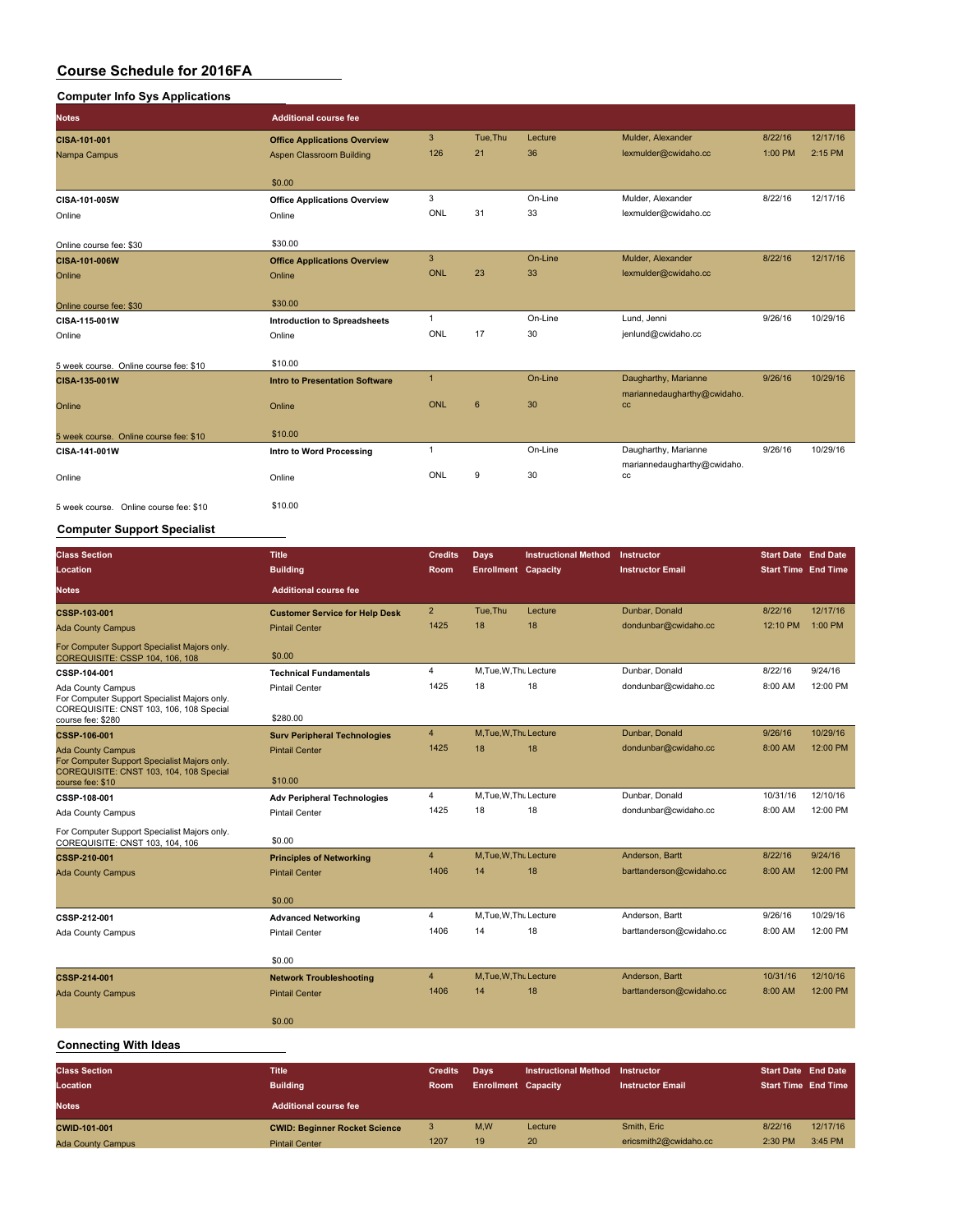#### **Computer Info Sys Applications**

| <b>Notes</b>                           | <b>Additional course fee</b>        |                |                  |         |                                   |         |          |
|----------------------------------------|-------------------------------------|----------------|------------------|---------|-----------------------------------|---------|----------|
| CISA-101-001                           | <b>Office Applications Overview</b> | 3              | Tue, Thu         | Lecture | Mulder, Alexander                 | 8/22/16 | 12/17/16 |
| Nampa Campus                           | <b>Aspen Classroom Building</b>     | 126            | 21               | 36      | lexmulder@cwidaho.cc              | 1:00 PM | 2:15 PM  |
|                                        | \$0.00                              |                |                  |         |                                   |         |          |
| CISA-101-005W                          | <b>Office Applications Overview</b> | 3              |                  | On-Line | Mulder, Alexander                 | 8/22/16 | 12/17/16 |
| Online                                 | Online                              | ONL            | 31               | 33      | lexmulder@cwidaho.cc              |         |          |
| Online course fee: \$30                | \$30.00                             |                |                  |         |                                   |         |          |
| <b>CISA-101-006W</b>                   | <b>Office Applications Overview</b> | $\mathbf{3}$   |                  | On-Line | Mulder, Alexander                 | 8/22/16 | 12/17/16 |
| Online                                 | Online                              | <b>ONL</b>     | 23               | 33      | lexmulder@cwidaho.cc              |         |          |
| Online course fee: \$30                | \$30.00                             |                |                  |         |                                   |         |          |
| CISA-115-001W                          | <b>Introduction to Spreadsheets</b> | $\mathbf{1}$   |                  | On-Line | Lund, Jenni                       | 9/26/16 | 10/29/16 |
| Online                                 | Online                              | ONL            | 17               | 30      | jenlund@cwidaho.cc                |         |          |
| 5 week course. Online course fee: \$10 | \$10.00                             |                |                  |         |                                   |         |          |
| CISA-135-001W                          | Intro to Presentation Software      | $\overline{1}$ |                  | On-Line | Daugharthy, Marianne              | 9/26/16 | 10/29/16 |
| Online                                 | Online                              | ONL            | $\boldsymbol{6}$ | 30      | mariannedaugharthy@cwidaho.<br>cc |         |          |
| 5 week course. Online course fee: \$10 | \$10.00                             |                |                  |         |                                   |         |          |
| CISA-141-001W                          | <b>Intro to Word Processing</b>     | 1              |                  | On-Line | Daugharthy, Marianne              | 9/26/16 | 10/29/16 |
| Online                                 | Online                              | ONL            | 9                | 30      | mariannedaugharthy@cwidaho.<br>cc |         |          |
| 5 week course. Online course fee: \$10 | \$10.00                             |                |                  |         |                                   |         |          |

#### **Computer Support Specialist**

| <b>Class Section</b>                                                                                                              | <b>Title</b>                          | <b>Credits</b> | <b>Days</b>                | <b>Instructional Method</b> | Instructor               | <b>Start Date End Date</b> |          |
|-----------------------------------------------------------------------------------------------------------------------------------|---------------------------------------|----------------|----------------------------|-----------------------------|--------------------------|----------------------------|----------|
| Location                                                                                                                          | <b>Building</b>                       | Room           | <b>Enrollment Capacity</b> |                             | <b>Instructor Email</b>  | <b>Start Time End Time</b> |          |
| <b>Notes</b>                                                                                                                      | <b>Additional course fee</b>          |                |                            |                             |                          |                            |          |
| CSSP-103-001                                                                                                                      | <b>Customer Service for Help Desk</b> | $\overline{2}$ | Tue.Thu                    | Lecture                     | Dunbar, Donald           | 8/22/16                    | 12/17/16 |
| <b>Ada County Campus</b>                                                                                                          | <b>Pintail Center</b>                 | 1425           | 18                         | 18                          | dondunbar@cwidaho.cc     | 12:10 PM                   | 1:00 PM  |
| For Computer Support Specialist Majors only.<br>COREQUISITE: CSSP 104, 106, 108                                                   | \$0.00                                |                |                            |                             |                          |                            |          |
| CSSP-104-001                                                                                                                      | <b>Technical Fundamentals</b>         | $\overline{4}$ | M, Tue, W, Thu Lecture     |                             | Dunbar, Donald           | 8/22/16                    | 9/24/16  |
| Ada County Campus<br>For Computer Support Specialist Majors only.<br>COREQUISITE: CNST 103, 106, 108 Special<br>course fee: \$280 | <b>Pintail Center</b><br>\$280.00     | 1425           | 18                         | 18                          | dondunbar@cwidaho.cc     | 8:00 AM                    | 12:00 PM |
| CSSP-106-001                                                                                                                      | <b>Surv Peripheral Technologies</b>   | $\overline{4}$ | M, Tue, W, Thu Lecture     |                             | Dunbar, Donald           | 9/26/16                    | 10/29/16 |
| <b>Ada County Campus</b><br>For Computer Support Specialist Majors only.<br>COREQUISITE: CNST 103, 104, 108 Special               | <b>Pintail Center</b>                 | 1425           | 18                         | 18                          | dondunbar@cwidaho.cc     | 8:00 AM                    | 12:00 PM |
| course fee: \$10                                                                                                                  | \$10.00                               |                |                            |                             |                          |                            |          |
| CSSP-108-001                                                                                                                      | <b>Adv Peripheral Technologies</b>    | 4              | M.Tue.W.Thu Lecture        |                             | Dunbar, Donald           | 10/31/16                   | 12/10/16 |
| Ada County Campus                                                                                                                 | <b>Pintail Center</b>                 | 1425           | 18                         | 18                          | dondunbar@cwidaho.cc     | 8:00 AM                    | 12:00 PM |
| For Computer Support Specialist Majors only.<br>COREQUISITE: CNST 103, 104, 106                                                   | \$0.00                                |                |                            |                             |                          |                            |          |
| CSSP-210-001                                                                                                                      | <b>Principles of Networking</b>       | $\overline{4}$ | M.Tue.W.Thu Lecture        |                             | Anderson, Bartt          | 8/22/16                    | 9/24/16  |
| <b>Ada County Campus</b>                                                                                                          | <b>Pintail Center</b>                 | 1406           | 14                         | 18                          | barttanderson@cwidaho.cc | 8:00 AM                    | 12:00 PM |
|                                                                                                                                   | \$0.00                                |                |                            |                             |                          |                            |          |
| CSSP-212-001                                                                                                                      | <b>Advanced Networking</b>            | 4              | M.Tue.W.Thu Lecture        |                             | Anderson, Bartt          | 9/26/16                    | 10/29/16 |
| Ada County Campus                                                                                                                 | <b>Pintail Center</b>                 | 1406           | 14                         | 18                          | barttanderson@cwidaho.cc | 8:00 AM                    | 12:00 PM |
|                                                                                                                                   | \$0.00                                |                |                            |                             |                          |                            |          |
| CSSP-214-001                                                                                                                      | <b>Network Troubleshooting</b>        | $\overline{4}$ | M.Tue.W.Thu Lecture        |                             | Anderson, Bartt          | 10/31/16                   | 12/10/16 |
| <b>Ada County Campus</b>                                                                                                          | <b>Pintail Center</b>                 | 1406           | 14                         | 18                          | barttanderson@cwidaho.cc | 8:00 AM                    | 12:00 PM |
|                                                                                                                                   | \$0.00                                |                |                            |                             |                          |                            |          |

| <b>Class Section</b><br>Location<br><b>Notes</b> | <b>Title</b><br><b>Building</b><br><b>Additional course fee</b> | <b>Credits</b><br><b>Room</b> | Days<br><b>Enrollment Capacity</b> | <b>Instructional Method</b> | Instructor<br><b>Instructor Email</b> | <b>Start Date End Date</b><br><b>Start Time End Time</b> |          |
|--------------------------------------------------|-----------------------------------------------------------------|-------------------------------|------------------------------------|-----------------------------|---------------------------------------|----------------------------------------------------------|----------|
| <b>CWID-101-001</b>                              | <b>CWID: Beginner Rocket Science</b>                            | 1207                          | M,W                                | Lecture                     | Smith, Eric                           | 8/22/16                                                  | 12/17/16 |
| <b>Ada County Campus</b>                         | <b>Pintail Center</b>                                           |                               | 19                                 | 20                          | ericsmith2@cwidaho.cc                 | 2:30 PM                                                  | 3:45 PM  |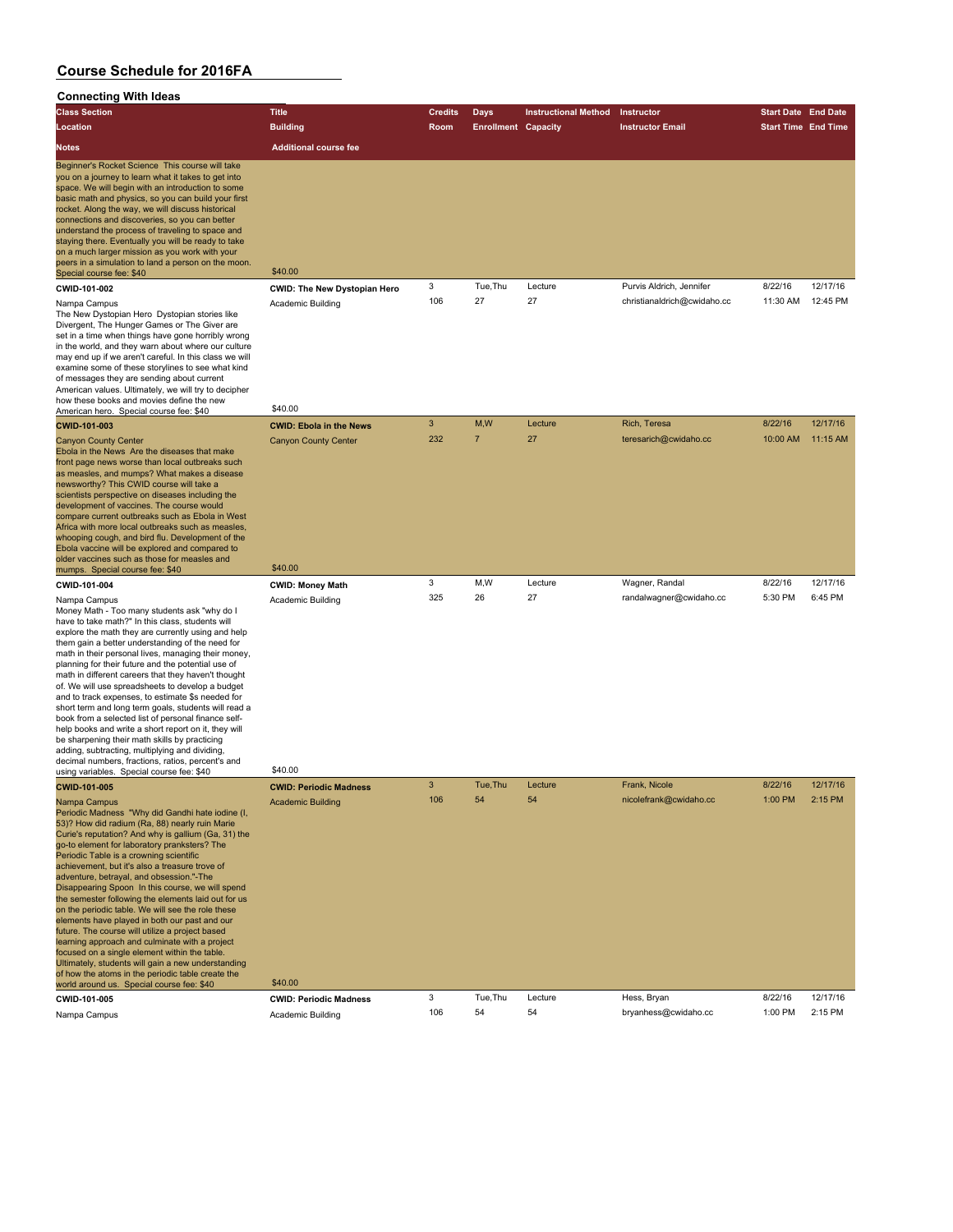| <b>Connecting With Ideas</b>                                                                                                                                                                                                                                                                                                                                                                                                                                                                                                                                                                                                                                                                                                                                                                                                                                                                        |                                                         |                |                            |                             |                                           |                            |                     |
|-----------------------------------------------------------------------------------------------------------------------------------------------------------------------------------------------------------------------------------------------------------------------------------------------------------------------------------------------------------------------------------------------------------------------------------------------------------------------------------------------------------------------------------------------------------------------------------------------------------------------------------------------------------------------------------------------------------------------------------------------------------------------------------------------------------------------------------------------------------------------------------------------------|---------------------------------------------------------|----------------|----------------------------|-----------------------------|-------------------------------------------|----------------------------|---------------------|
| <b>Class Section</b>                                                                                                                                                                                                                                                                                                                                                                                                                                                                                                                                                                                                                                                                                                                                                                                                                                                                                | <b>Title</b>                                            | <b>Credits</b> | <b>Days</b>                | <b>Instructional Method</b> | Instructor                                | <b>Start Date End Date</b> |                     |
| Location                                                                                                                                                                                                                                                                                                                                                                                                                                                                                                                                                                                                                                                                                                                                                                                                                                                                                            | <b>Building</b>                                         | Room           | <b>Enrollment Capacity</b> |                             | <b>Instructor Email</b>                   | <b>Start Time End Time</b> |                     |
| <b>Notes</b>                                                                                                                                                                                                                                                                                                                                                                                                                                                                                                                                                                                                                                                                                                                                                                                                                                                                                        | <b>Additional course fee</b>                            |                |                            |                             |                                           |                            |                     |
| Beginner's Rocket Science This course will take<br>you on a journey to learn what it takes to get into<br>space. We will begin with an introduction to some<br>basic math and physics, so you can build your first<br>rocket. Along the way, we will discuss historical<br>connections and discoveries, so you can better<br>understand the process of traveling to space and<br>staying there. Eventually you will be ready to take<br>on a much larger mission as you work with your<br>peers in a simulation to land a person on the moon.<br>Special course fee: \$40                                                                                                                                                                                                                                                                                                                           | \$40.00                                                 |                |                            |                             |                                           |                            |                     |
| CWID-101-002                                                                                                                                                                                                                                                                                                                                                                                                                                                                                                                                                                                                                                                                                                                                                                                                                                                                                        | <b>CWID: The New Dystopian Hero</b>                     | 3              | Tue, Thu                   | Lecture                     | Purvis Aldrich, Jennifer                  | 8/22/16                    | 12/17/16            |
| Nampa Campus<br>The New Dystopian Hero Dystopian stories like<br>Divergent, The Hunger Games or The Giver are<br>set in a time when things have gone horribly wrong<br>in the world, and they warn about where our culture<br>may end up if we aren't careful. In this class we will<br>examine some of these storylines to see what kind<br>of messages they are sending about current<br>American values. Ultimately, we will try to decipher<br>how these books and movies define the new                                                                                                                                                                                                                                                                                                                                                                                                        | Academic Building                                       | 106            | 27                         | 27                          | christianaldrich@cwidaho.cc               | 11:30 AM                   | 12:45 PM            |
| American hero. Special course fee: \$40                                                                                                                                                                                                                                                                                                                                                                                                                                                                                                                                                                                                                                                                                                                                                                                                                                                             | \$40.00                                                 |                |                            |                             |                                           |                            |                     |
| CWID-101-003                                                                                                                                                                                                                                                                                                                                                                                                                                                                                                                                                                                                                                                                                                                                                                                                                                                                                        | <b>CWID: Ebola in the News</b>                          | $\mathbf{3}$   | M, W                       | Lecture                     | Rich, Teresa                              | 8/22/16                    | 12/17/16            |
| <b>Canyon County Center</b><br>Ebola in the News Are the diseases that make<br>front page news worse than local outbreaks such<br>as measles, and mumps? What makes a disease<br>newsworthy? This CWID course will take a<br>scientists perspective on diseases including the<br>development of vaccines. The course would<br>compare current outbreaks such as Ebola in West<br>Africa with more local outbreaks such as measles,<br>whooping cough, and bird flu. Development of the<br>Ebola vaccine will be explored and compared to<br>older vaccines such as those for measles and                                                                                                                                                                                                                                                                                                            | <b>Canyon County Center</b><br>\$40.00                  | 232            | $\overline{7}$             | 27                          | teresarich@cwidaho.cc                     | 10:00 AM                   | 11:15 AM            |
| mumps. Special course fee: \$40                                                                                                                                                                                                                                                                                                                                                                                                                                                                                                                                                                                                                                                                                                                                                                                                                                                                     |                                                         |                |                            |                             |                                           |                            |                     |
|                                                                                                                                                                                                                                                                                                                                                                                                                                                                                                                                                                                                                                                                                                                                                                                                                                                                                                     |                                                         |                |                            |                             |                                           |                            |                     |
| CWID-101-004<br>Nampa Campus<br>Money Math - Too many students ask "why do I<br>have to take math?" In this class, students will<br>explore the math they are currently using and help<br>them gain a better understanding of the need for<br>math in their personal lives, managing their money,<br>planning for their future and the potential use of<br>math in different careers that they haven't thought<br>of. We will use spreadsheets to develop a budget<br>and to track expenses, to estimate \$s needed for<br>short term and long term goals, students will read a<br>book from a selected list of personal finance self-<br>help books and write a short report on it, they will<br>be sharpening their math skills by practicing<br>adding, subtracting, multiplying and dividing,<br>decimal numbers, fractions, ratios, percent's and<br>using variables. Special course fee: \$40 | <b>CWID: Money Math</b><br>Academic Building<br>\$40.00 | 3<br>325       | M, W<br>26                 | Lecture<br>27               | Wagner, Randal<br>randalwagner@cwidaho.cc | 8/22/16<br>5:30 PM         | 12/17/16<br>6:45 PM |
| CWID-101-005                                                                                                                                                                                                                                                                                                                                                                                                                                                                                                                                                                                                                                                                                                                                                                                                                                                                                        | <b>CWID: Periodic Madness</b>                           | 3              | Tue, Thu                   | Lecture                     | Frank, Nicole                             | 8/22/16                    | 12/17/16            |
| Nampa Campus<br>Periodic Madness "Why did Gandhi hate iodine (I,<br>53)? How did radium (Ra, 88) nearly ruin Marie<br>Curie's reputation? And why is gallium (Ga, 31) the<br>go-to element for laboratory pranksters? The<br>Periodic Table is a crowning scientific<br>achievement, but it's also a treasure trove of<br>adventure, betrayal, and obsession."-The<br>Disappearing Spoon In this course, we will spend<br>the semester following the elements laid out for us<br>on the periodic table. We will see the role these<br>elements have played in both our past and our<br>future. The course will utilize a project based<br>learning approach and culminate with a project<br>focused on a single element within the table.<br>Ultimately, students will gain a new understanding<br>of how the atoms in the periodic table create the<br>world around us. Special course fee: \$40   | <b>Academic Building</b><br>\$40.00                     | 106            | 54                         | 54                          | nicolefrank@cwidaho.cc                    | 1:00 PM                    | 2:15 PM             |
| CWID-101-005                                                                                                                                                                                                                                                                                                                                                                                                                                                                                                                                                                                                                                                                                                                                                                                                                                                                                        | <b>CWID: Periodic Madness</b>                           | 3              | Tue, Thu                   | Lecture                     | Hess, Bryan                               | 8/22/16                    | 12/17/16            |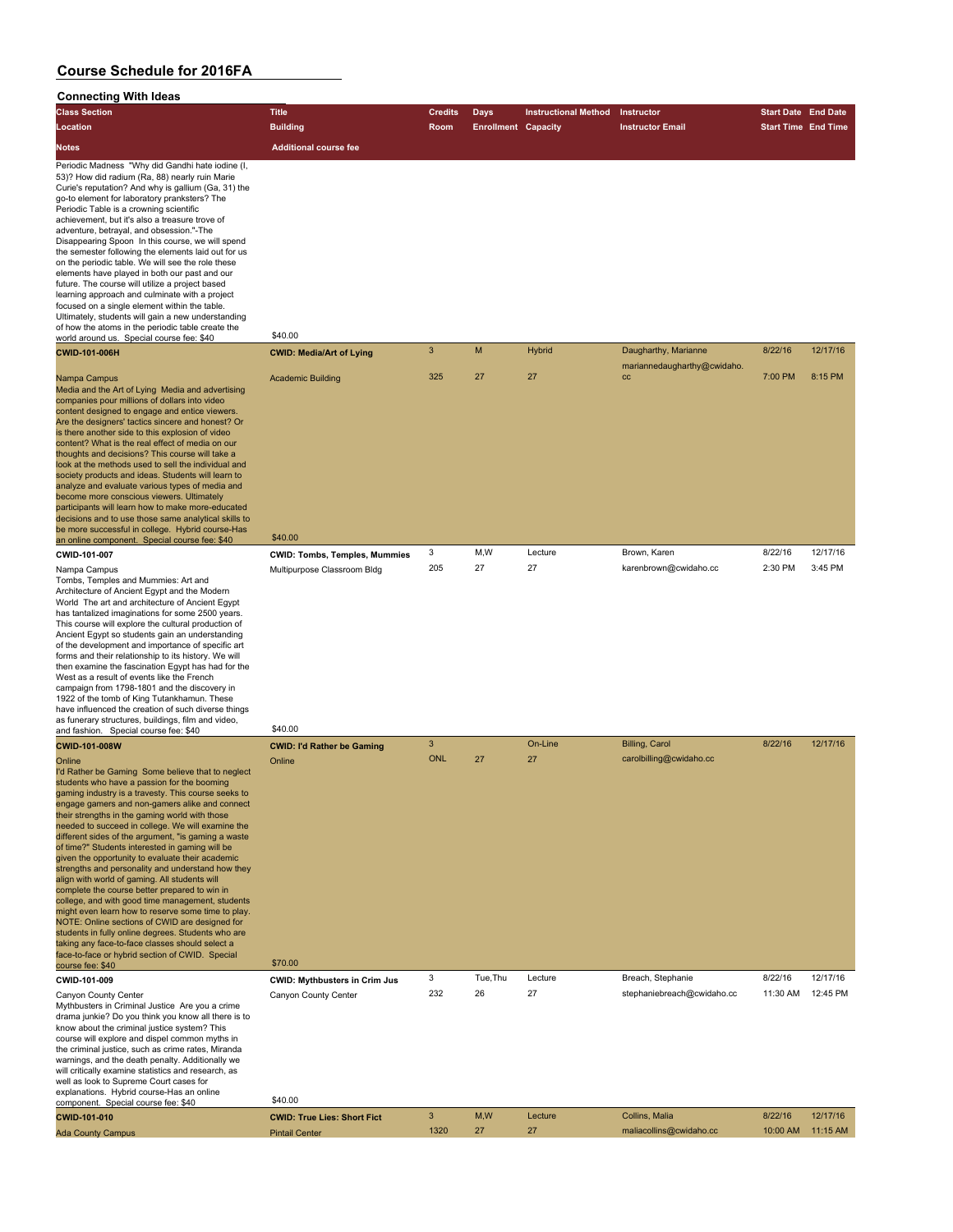| <b>Connecting with ideas</b>                                                                                                                                                                                                                                                                                                                                                                                                                                                                                                                                                                                                                                                                                                                                                                                                                                                                                                                                            |                                                              |                |                            |                             |                                                 |                            |                     |
|-------------------------------------------------------------------------------------------------------------------------------------------------------------------------------------------------------------------------------------------------------------------------------------------------------------------------------------------------------------------------------------------------------------------------------------------------------------------------------------------------------------------------------------------------------------------------------------------------------------------------------------------------------------------------------------------------------------------------------------------------------------------------------------------------------------------------------------------------------------------------------------------------------------------------------------------------------------------------|--------------------------------------------------------------|----------------|----------------------------|-----------------------------|-------------------------------------------------|----------------------------|---------------------|
| <b>Class Section</b>                                                                                                                                                                                                                                                                                                                                                                                                                                                                                                                                                                                                                                                                                                                                                                                                                                                                                                                                                    | <b>Title</b>                                                 | <b>Credits</b> | Days                       | <b>Instructional Method</b> | Instructor                                      | <b>Start Date End Date</b> |                     |
| Location                                                                                                                                                                                                                                                                                                                                                                                                                                                                                                                                                                                                                                                                                                                                                                                                                                                                                                                                                                | <b>Building</b>                                              | Room           | <b>Enrollment Capacity</b> |                             | <b>Instructor Email</b>                         | <b>Start Time End Time</b> |                     |
| Notes                                                                                                                                                                                                                                                                                                                                                                                                                                                                                                                                                                                                                                                                                                                                                                                                                                                                                                                                                                   | <b>Additional course fee</b>                                 |                |                            |                             |                                                 |                            |                     |
| Periodic Madness "Why did Gandhi hate iodine (I,<br>53)? How did radium (Ra, 88) nearly ruin Marie<br>Curie's reputation? And why is gallium (Ga, 31) the<br>go-to element for laboratory pranksters? The<br>Periodic Table is a crowning scientific<br>achievement, but it's also a treasure trove of<br>adventure, betrayal, and obsession."-The<br>Disappearing Spoon In this course, we will spend<br>the semester following the elements laid out for us<br>on the periodic table. We will see the role these<br>elements have played in both our past and our<br>future. The course will utilize a project based<br>learning approach and culminate with a project<br>focused on a single element within the table.<br>Ultimately, students will gain a new understanding<br>of how the atoms in the periodic table create the<br>world around us. Special course fee: \$40                                                                                       | \$40.00                                                      |                |                            |                             |                                                 |                            |                     |
| CWID-101-006H                                                                                                                                                                                                                                                                                                                                                                                                                                                                                                                                                                                                                                                                                                                                                                                                                                                                                                                                                           | <b>CWID: Media/Art of Lying</b>                              | 3              | M                          | <b>Hybrid</b>               | Daugharthy, Marianne                            | 8/22/16                    | 12/17/16            |
| Nampa Campus                                                                                                                                                                                                                                                                                                                                                                                                                                                                                                                                                                                                                                                                                                                                                                                                                                                                                                                                                            | <b>Academic Building</b>                                     | 325            | 27                         | 27                          | mariannedaugharthy@cwidaho.<br>cc               | 7:00 PM                    | 8:15 PM             |
| Media and the Art of Lying Media and advertising<br>companies pour millions of dollars into video<br>content designed to engage and entice viewers.<br>Are the designers' tactics sincere and honest? Or<br>is there another side to this explosion of video<br>content? What is the real effect of media on our<br>thoughts and decisions? This course will take a<br>look at the methods used to sell the individual and<br>society products and ideas. Students will learn to<br>analyze and evaluate various types of media and<br>become more conscious viewers. Ultimately<br>participants will learn how to make more-educated<br>decisions and to use those same analytical skills to<br>be more successful in college. Hybrid course-Has                                                                                                                                                                                                                       |                                                              |                |                            |                             |                                                 |                            |                     |
| an online component. Special course fee: \$40                                                                                                                                                                                                                                                                                                                                                                                                                                                                                                                                                                                                                                                                                                                                                                                                                                                                                                                           | \$40.00                                                      |                |                            |                             |                                                 |                            |                     |
| CWID-101-007                                                                                                                                                                                                                                                                                                                                                                                                                                                                                                                                                                                                                                                                                                                                                                                                                                                                                                                                                            | <b>CWID: Tombs, Temples, Mummies</b>                         | 3<br>205       | M,W<br>27                  | Lecture<br>27               | Brown, Karen<br>karenbrown@cwidaho.cc           | 8/22/16<br>2:30 PM         | 12/17/16<br>3:45 PM |
| Tombs, Temples and Mummies: Art and<br>Architecture of Ancient Egypt and the Modern<br>World The art and architecture of Ancient Egypt<br>has tantalized imaginations for some 2500 years.<br>This course will explore the cultural production of<br>Ancient Egypt so students gain an understanding<br>of the development and importance of specific art<br>forms and their relationship to its history. We will<br>then examine the fascination Egypt has had for the<br>West as a result of events like the French<br>campaign from 1798-1801 and the discovery in<br>1922 of the tomb of King Tutankhamun. These<br>have influenced the creation of such diverse things<br>as funerary structures, buildings, film and video,<br>and fashion. Special course fee: \$40                                                                                                                                                                                              | \$40.00                                                      |                |                            |                             |                                                 |                            |                     |
| <b>CWID-101-008W</b>                                                                                                                                                                                                                                                                                                                                                                                                                                                                                                                                                                                                                                                                                                                                                                                                                                                                                                                                                    | <b>CWID: I'd Rather be Gaming</b>                            | 3              |                            | On-Line                     | <b>Billing, Carol</b>                           | 8/22/16                    | 12/17/16            |
| Online<br>I'd Rather be Gaming Some believe that to neglect<br>students who have a passion for the booming<br>gaming industry is a travesty. This course seeks to<br>engage gamers and non-gamers alike and connect<br>their strengths in the gaming world with those<br>needed to succeed in college. We will examine the<br>different sides of the argument, "is gaming a waste<br>of time?" Students interested in gaming will be<br>given the opportunity to evaluate their academic<br>strengths and personality and understand how they<br>align with world of gaming. All students will<br>complete the course better prepared to win in<br>college, and with good time management, students<br>might even learn how to reserve some time to play.<br>NOTE: Online sections of CWID are designed for<br>students in fully online degrees. Students who are<br>taking any face-to-face classes should select a<br>face-to-face or hybrid section of CWID. Special | Online<br>\$70.00                                            | <b>ONL</b>     | 27                         | 27                          | carolbilling@cwidaho.cc                         |                            |                     |
| course fee: \$40                                                                                                                                                                                                                                                                                                                                                                                                                                                                                                                                                                                                                                                                                                                                                                                                                                                                                                                                                        |                                                              |                |                            |                             |                                                 |                            | 12/17/16            |
| CWID-101-009<br>Canyon County Center<br>Mythbusters in Criminal Justice Are you a crime<br>drama junkie? Do you think you know all there is to<br>know about the criminal justice system? This<br>course will explore and dispel common myths in<br>the criminal justice, such as crime rates, Miranda<br>warnings, and the death penalty. Additionally we<br>will critically examine statistics and research, as<br>well as look to Supreme Court cases for                                                                                                                                                                                                                                                                                                                                                                                                                                                                                                            | <b>CWID: Mythbusters in Crim Jus</b><br>Canyon County Center | 3<br>232       | Tue, Thu<br>26             | Lecture<br>27               | Breach, Stephanie<br>stephaniebreach@cwidaho.cc | 8/22/16<br>11:30 AM        | 12:45 PM            |
| explanations. Hybrid course-Has an online<br>component. Special course fee: \$40                                                                                                                                                                                                                                                                                                                                                                                                                                                                                                                                                                                                                                                                                                                                                                                                                                                                                        | \$40.00                                                      |                |                            |                             |                                                 |                            |                     |
| <b>CWID-101-010</b>                                                                                                                                                                                                                                                                                                                                                                                                                                                                                                                                                                                                                                                                                                                                                                                                                                                                                                                                                     | <b>CWID: True Lies: Short Fict</b>                           | 3              | M,W                        | Lecture                     | Collins, Malia                                  | 8/22/16                    | 12/17/16            |
| <b>Ada County Campus</b>                                                                                                                                                                                                                                                                                                                                                                                                                                                                                                                                                                                                                                                                                                                                                                                                                                                                                                                                                | <b>Pintail Center</b>                                        | 1320           | 27                         | 27                          | maliacollins@cwidaho.cc                         | 10:00 AM                   | 11:15 AM            |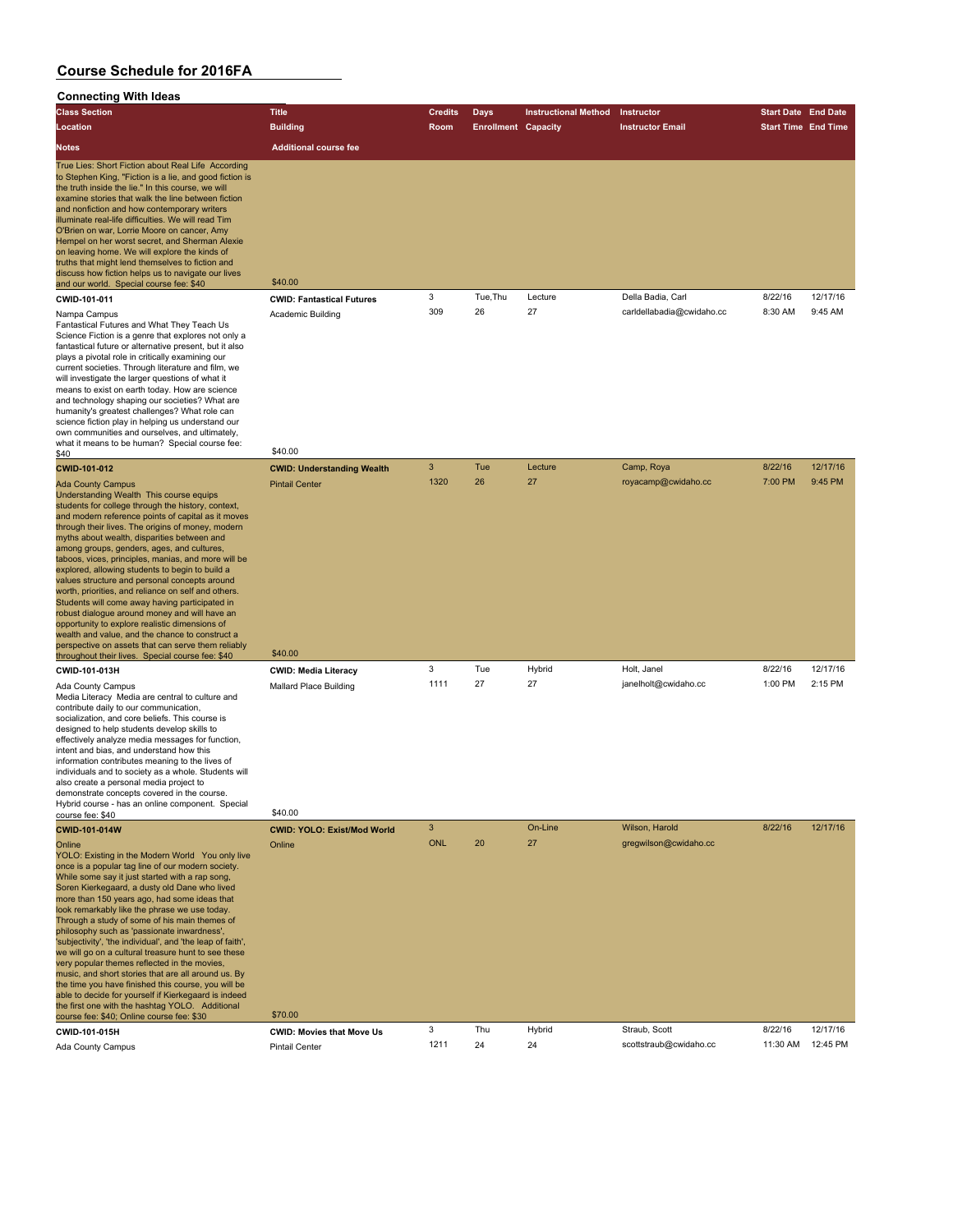| <b>Connecting With Ideas</b> |  |
|------------------------------|--|

| <b>Connecting With Ideas</b>                                                                                                                                                                                                                                                                                                                                                                                                                                                                                                                                                                                                                                                                                                                                                                                                        |                                                           |                |                            |                             |                                         |                            |                      |
|-------------------------------------------------------------------------------------------------------------------------------------------------------------------------------------------------------------------------------------------------------------------------------------------------------------------------------------------------------------------------------------------------------------------------------------------------------------------------------------------------------------------------------------------------------------------------------------------------------------------------------------------------------------------------------------------------------------------------------------------------------------------------------------------------------------------------------------|-----------------------------------------------------------|----------------|----------------------------|-----------------------------|-----------------------------------------|----------------------------|----------------------|
| <b>Class Section</b>                                                                                                                                                                                                                                                                                                                                                                                                                                                                                                                                                                                                                                                                                                                                                                                                                | <b>Title</b>                                              | <b>Credits</b> | <b>Days</b>                | <b>Instructional Method</b> | Instructor                              | <b>Start Date End Date</b> |                      |
| Location                                                                                                                                                                                                                                                                                                                                                                                                                                                                                                                                                                                                                                                                                                                                                                                                                            | <b>Building</b>                                           | Room           | <b>Enrollment Capacity</b> |                             | <b>Instructor Email</b>                 | <b>Start Time End Time</b> |                      |
| Notes                                                                                                                                                                                                                                                                                                                                                                                                                                                                                                                                                                                                                                                                                                                                                                                                                               | <b>Additional course fee</b>                              |                |                            |                             |                                         |                            |                      |
| True Lies: Short Fiction about Real Life According<br>to Stephen King, "Fiction is a lie, and good fiction is<br>the truth inside the lie." In this course, we will<br>examine stories that walk the line between fiction<br>and nonfiction and how contemporary writers<br>illuminate real-life difficulties. We will read Tim<br>O'Brien on war, Lorrie Moore on cancer, Amy<br>Hempel on her worst secret, and Sherman Alexie<br>on leaving home. We will explore the kinds of<br>truths that might lend themselves to fiction and<br>discuss how fiction helps us to navigate our lives<br>and our world. Special course fee: \$40                                                                                                                                                                                              | \$40.00                                                   |                |                            |                             |                                         |                            |                      |
| CWID-101-011                                                                                                                                                                                                                                                                                                                                                                                                                                                                                                                                                                                                                                                                                                                                                                                                                        | <b>CWID: Fantastical Futures</b>                          | 3              | Tue, Thu                   | Lecture                     | Della Badia, Carl                       | 8/22/16                    | 12/17/16             |
| Nampa Campus<br>Fantastical Futures and What They Teach Us<br>Science Fiction is a genre that explores not only a<br>fantastical future or alternative present, but it also<br>plays a pivotal role in critically examining our<br>current societies. Through literature and film, we<br>will investigate the larger questions of what it<br>means to exist on earth today. How are science<br>and technology shaping our societies? What are<br>humanity's greatest challenges? What role can<br>science fiction play in helping us understand our<br>own communities and ourselves, and ultimately,<br>what it means to be human? Special course fee:                                                                                                                                                                             | Academic Building<br>\$40.00                              | 309            | 26                         | 27                          | carldellabadia@cwidaho.cc               | 8:30 AM                    | 9:45 AM              |
| \$40<br>CWID-101-012                                                                                                                                                                                                                                                                                                                                                                                                                                                                                                                                                                                                                                                                                                                                                                                                                | <b>CWID: Understanding Wealth</b>                         | 3              | Tue                        | Lecture                     | Camp, Roya                              | 8/22/16                    | 12/17/16             |
| <b>Ada County Campus</b><br>Understanding Wealth This course equips<br>students for college through the history, context,<br>and modern reference points of capital as it moves<br>through their lives. The origins of money, modern<br>myths about wealth, disparities between and<br>among groups, genders, ages, and cultures,<br>taboos, vices, principles, manias, and more will be<br>explored, allowing students to begin to build a<br>values structure and personal concepts around<br>worth, priorities, and reliance on self and others.<br>Students will come away having participated in<br>robust dialogue around money and will have an<br>opportunity to explore realistic dimensions of<br>wealth and value, and the chance to construct a<br>perspective on assets that can serve them reliably                   | <b>Pintail Center</b><br>\$40.00                          | 1320           | 26                         | 27                          | royacamp@cwidaho.cc                     | 7:00 PM                    | 9:45 PM              |
| throughout their lives. Special course fee: \$40<br>CWID-101-013H                                                                                                                                                                                                                                                                                                                                                                                                                                                                                                                                                                                                                                                                                                                                                                   | <b>CWID: Media Literacy</b>                               | 3              | Tue                        | Hybrid                      | Holt, Janel                             | 8/22/16                    | 12/17/16             |
| Ada County Campus<br>Media Literacy Media are central to culture and<br>contribute daily to our communication,<br>socialization, and core beliefs. This course is<br>designed to help students develop skills to<br>effectively analyze media messages for function,<br>intent and bias, and understand how this<br>information contributes meaning to the lives of<br>individuals and to society as a whole. Students will<br>also create a personal media project to<br>demonstrate concepts covered in the course.<br>Hybrid course - has an online component. Special                                                                                                                                                                                                                                                           | Mallard Place Building                                    | 1111           | 27                         | 27                          | janelholt@cwidaho.cc                    | 1:00 PM                    | 2:15 PM              |
| course fee: \$40                                                                                                                                                                                                                                                                                                                                                                                                                                                                                                                                                                                                                                                                                                                                                                                                                    | \$40.00                                                   | 3              |                            | On-Line                     | Wilson, Harold                          | 8/22/16                    | 12/17/16             |
| CWID-101-014W<br>Online<br>YOLO: Existing in the Modern World You only live<br>once is a popular tag line of our modern society.<br>While some say it just started with a rap song,<br>Soren Kierkegaard, a dusty old Dane who lived<br>more than 150 years ago, had some ideas that<br>look remarkably like the phrase we use today.<br>Through a study of some of his main themes of<br>philosophy such as 'passionate inwardness',<br>'subjectivity', 'the individual', and 'the leap of faith',<br>we will go on a cultural treasure hunt to see these<br>very popular themes reflected in the movies,<br>music, and short stories that are all around us. By<br>the time you have finished this course, you will be<br>able to decide for yourself if Kierkegaard is indeed<br>the first one with the hashtag YOLO. Additional | <b>CWID: YOLO: Exist/Mod World</b><br>Online              | <b>ONL</b>     | 20                         | 27                          | gregwilson@cwidaho.cc                   |                            |                      |
| course fee: \$40; Online course fee: \$30                                                                                                                                                                                                                                                                                                                                                                                                                                                                                                                                                                                                                                                                                                                                                                                           | \$70.00                                                   |                |                            |                             |                                         |                            |                      |
| CWID-101-015H<br>Ada County Campus                                                                                                                                                                                                                                                                                                                                                                                                                                                                                                                                                                                                                                                                                                                                                                                                  | <b>CWID: Movies that Move Us</b><br><b>Pintail Center</b> | 3<br>1211      | Thu<br>24                  | Hybrid<br>24                | Straub, Scott<br>scottstraub@cwidaho.cc | 8/22/16<br>11:30 AM        | 12/17/16<br>12:45 PM |
|                                                                                                                                                                                                                                                                                                                                                                                                                                                                                                                                                                                                                                                                                                                                                                                                                                     |                                                           |                |                            |                             |                                         |                            |                      |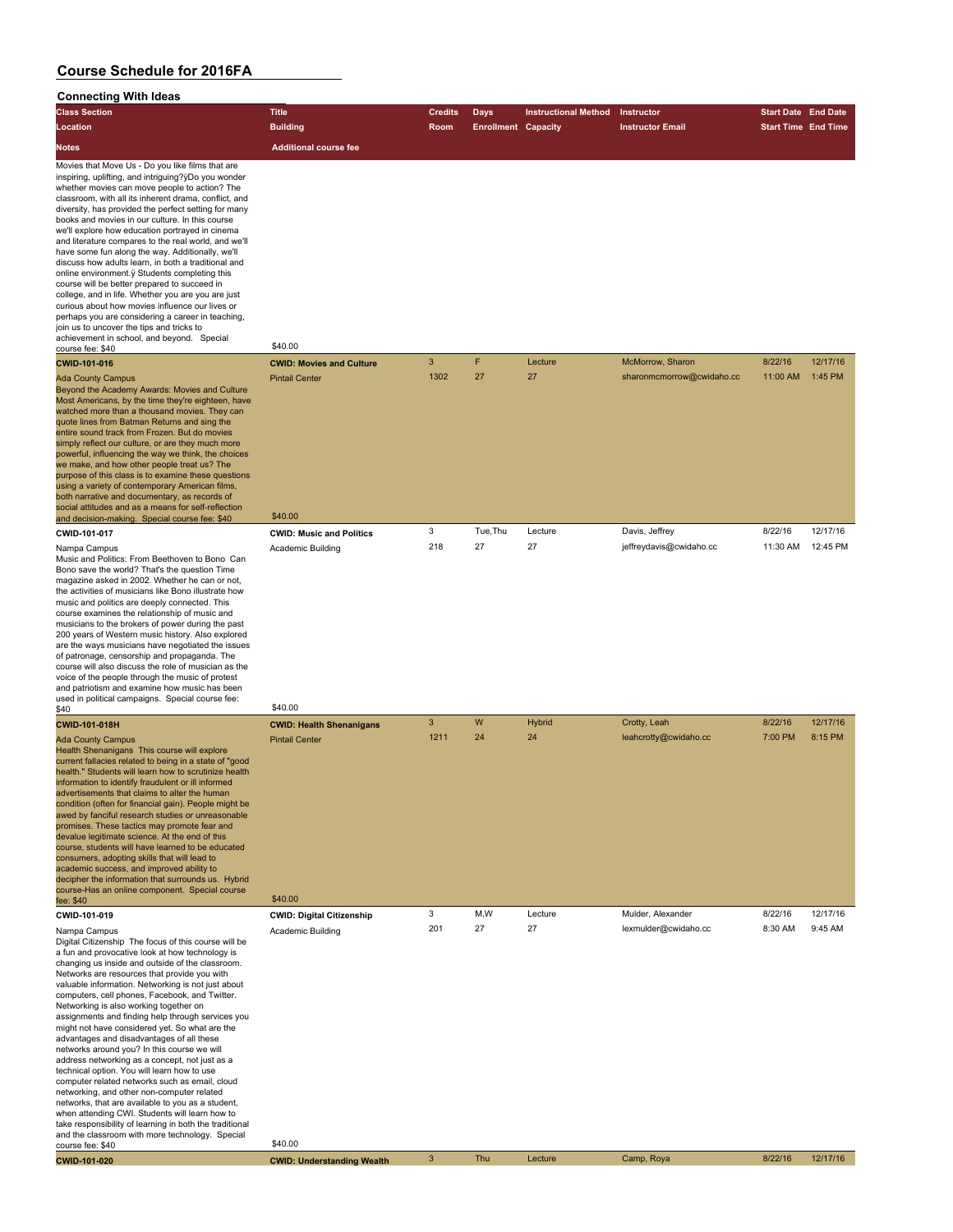| Connecting with ideas                                                                                                                                                                                                                                                                                                                                                                                                                                                                                                                                                                                                                                                                                                                                                                                                                                                                                                                                                                                  |                                            |                           |                            |                             |                           |                            |          |
|--------------------------------------------------------------------------------------------------------------------------------------------------------------------------------------------------------------------------------------------------------------------------------------------------------------------------------------------------------------------------------------------------------------------------------------------------------------------------------------------------------------------------------------------------------------------------------------------------------------------------------------------------------------------------------------------------------------------------------------------------------------------------------------------------------------------------------------------------------------------------------------------------------------------------------------------------------------------------------------------------------|--------------------------------------------|---------------------------|----------------------------|-----------------------------|---------------------------|----------------------------|----------|
| <b>Class Section</b>                                                                                                                                                                                                                                                                                                                                                                                                                                                                                                                                                                                                                                                                                                                                                                                                                                                                                                                                                                                   | <b>Title</b>                               | <b>Credits</b>            | <b>Days</b>                | <b>Instructional Method</b> | Instructor                | <b>Start Date End Date</b> |          |
| Location                                                                                                                                                                                                                                                                                                                                                                                                                                                                                                                                                                                                                                                                                                                                                                                                                                                                                                                                                                                               | <b>Building</b>                            | Room                      | <b>Enrollment Capacity</b> |                             | <b>Instructor Email</b>   | <b>Start Time End Time</b> |          |
| <b>Notes</b>                                                                                                                                                                                                                                                                                                                                                                                                                                                                                                                                                                                                                                                                                                                                                                                                                                                                                                                                                                                           | <b>Additional course fee</b>               |                           |                            |                             |                           |                            |          |
| Movies that Move Us - Do you like films that are<br>inspiring, uplifting, and intriguing?ÿDo you wonder<br>whether movies can move people to action? The<br>classroom, with all its inherent drama, conflict, and<br>diversity, has provided the perfect setting for many<br>books and movies in our culture. In this course<br>we'll explore how education portrayed in cinema<br>and literature compares to the real world, and we'll<br>have some fun along the way. Additionally, we'll<br>discuss how adults learn, in both a traditional and<br>online environment.ÿ Students completing this<br>course will be better prepared to succeed in<br>college, and in life. Whether you are you are just<br>curious about how movies influence our lives or<br>perhaps you are considering a career in teaching,<br>join us to uncover the tips and tricks to<br>achievement in school, and beyond. Special<br>course fee: \$40<br>CWID-101-016                                                       | \$40.00<br><b>CWID: Movies and Culture</b> | $\mathbf{3}$              | F                          | Lecture                     | McMorrow, Sharon          | 8/22/16                    | 12/17/16 |
| <b>Ada County Campus</b>                                                                                                                                                                                                                                                                                                                                                                                                                                                                                                                                                                                                                                                                                                                                                                                                                                                                                                                                                                               | <b>Pintail Center</b>                      | 1302                      | 27                         | 27                          | sharonmcmorrow@cwidaho.cc | 11:00 AM                   | 1:45 PM  |
| Beyond the Academy Awards: Movies and Culture<br>Most Americans, by the time they're eighteen, have<br>watched more than a thousand movies. They can<br>quote lines from Batman Returns and sing the<br>entire sound track from Frozen. But do movies<br>simply reflect our culture, or are they much more<br>powerful, influencing the way we think, the choices<br>we make, and how other people treat us? The<br>purpose of this class is to examine these questions<br>using a variety of contemporary American films,<br>both narrative and documentary, as records of<br>social attitudes and as a means for self-reflection<br>and decision-making. Special course fee: \$40                                                                                                                                                                                                                                                                                                                    | \$40.00                                    |                           |                            |                             |                           |                            |          |
| CWID-101-017                                                                                                                                                                                                                                                                                                                                                                                                                                                                                                                                                                                                                                                                                                                                                                                                                                                                                                                                                                                           | <b>CWID: Music and Politics</b>            | 3                         | Tue, Thu                   | Lecture                     | Davis, Jeffrey            | 8/22/16                    | 12/17/16 |
| Nampa Campus<br>Music and Politics: From Beethoven to Bono Can<br>Bono save the world? That's the question Time<br>magazine asked in 2002. Whether he can or not,<br>the activities of musicians like Bono illustrate how<br>music and politics are deeply connected. This<br>course examines the relationship of music and<br>musicians to the brokers of power during the past<br>200 years of Western music history. Also explored<br>are the ways musicians have negotiated the issues<br>of patronage, censorship and propaganda. The<br>course will also discuss the role of musician as the<br>voice of the people through the music of protest<br>and patriotism and examine how music has been<br>used in political campaigns. Special course fee:                                                                                                                                                                                                                                            | Academic Building                          | 218                       | 27                         | 27                          | jeffreydavis@cwidaho.cc   | 11:30 AM                   | 12:45 PM |
| \$40                                                                                                                                                                                                                                                                                                                                                                                                                                                                                                                                                                                                                                                                                                                                                                                                                                                                                                                                                                                                   | \$40.00                                    |                           |                            |                             |                           |                            |          |
| CWID-101-018H                                                                                                                                                                                                                                                                                                                                                                                                                                                                                                                                                                                                                                                                                                                                                                                                                                                                                                                                                                                          | <b>CWID: Health Shenanigans</b>            | $\mathbf{3}$              | W                          | Hybrid                      | Crotty, Leah              | 8/22/16                    | 12/17/16 |
| <b>Ada County Campus</b><br>Health Shenanigans This course will explore<br>current fallacies related to being in a state of "good<br>health." Students will learn how to scrutinize health<br>information to identify fraudulent or ill informed<br>advertisements that claims to alter the human<br>condition (often for financial gain). People might be<br>awed by fanciful research studies or unreasonable<br>promises. These tactics may promote fear and<br>devalue legitimate science. At the end of this<br>course, students will have learned to be educated<br>consumers, adopting skills that will lead to<br>academic success, and improved ability to<br>decipher the information that surrounds us. Hybrid<br>course-Has an online component. Special course<br>fee: \$40                                                                                                                                                                                                               | <b>Pintail Center</b><br>\$40.00           | 1211                      | 24                         | 24                          | leahcrotty@cwidaho.cc     | 7:00 PM                    | 8:15 PM  |
| CWID-101-019                                                                                                                                                                                                                                                                                                                                                                                                                                                                                                                                                                                                                                                                                                                                                                                                                                                                                                                                                                                           | <b>CWID: Digital Citizenship</b>           | 3                         | M,W                        | Lecture                     | Mulder, Alexander         | 8/22/16                    | 12/17/16 |
| Nampa Campus<br>Digital Citizenship The focus of this course will be<br>a fun and provocative look at how technology is<br>changing us inside and outside of the classroom.<br>Networks are resources that provide you with<br>valuable information. Networking is not just about<br>computers, cell phones, Facebook, and Twitter.<br>Networking is also working together on<br>assignments and finding help through services you<br>might not have considered yet. So what are the<br>advantages and disadvantages of all these<br>networks around you? In this course we will<br>address networking as a concept, not just as a<br>technical option. You will learn how to use<br>computer related networks such as email, cloud<br>networking, and other non-computer related<br>networks, that are available to you as a student,<br>when attending CWI. Students will learn how to<br>take responsibility of learning in both the traditional<br>and the classroom with more technology. Special | Academic Building                          | 201                       | 27                         | 27                          | lexmulder@cwidaho.cc      | 8:30 AM                    | 9:45 AM  |
| course fee: \$40                                                                                                                                                                                                                                                                                                                                                                                                                                                                                                                                                                                                                                                                                                                                                                                                                                                                                                                                                                                       | \$40.00                                    |                           |                            |                             |                           |                            |          |
| CWID-101-020                                                                                                                                                                                                                                                                                                                                                                                                                                                                                                                                                                                                                                                                                                                                                                                                                                                                                                                                                                                           | <b>CWID: Understanding Wealth</b>          | $\ensuremath{\mathsf{3}}$ | Thu                        | Lecture                     | Camp, Roya                | 8/22/16                    | 12/17/16 |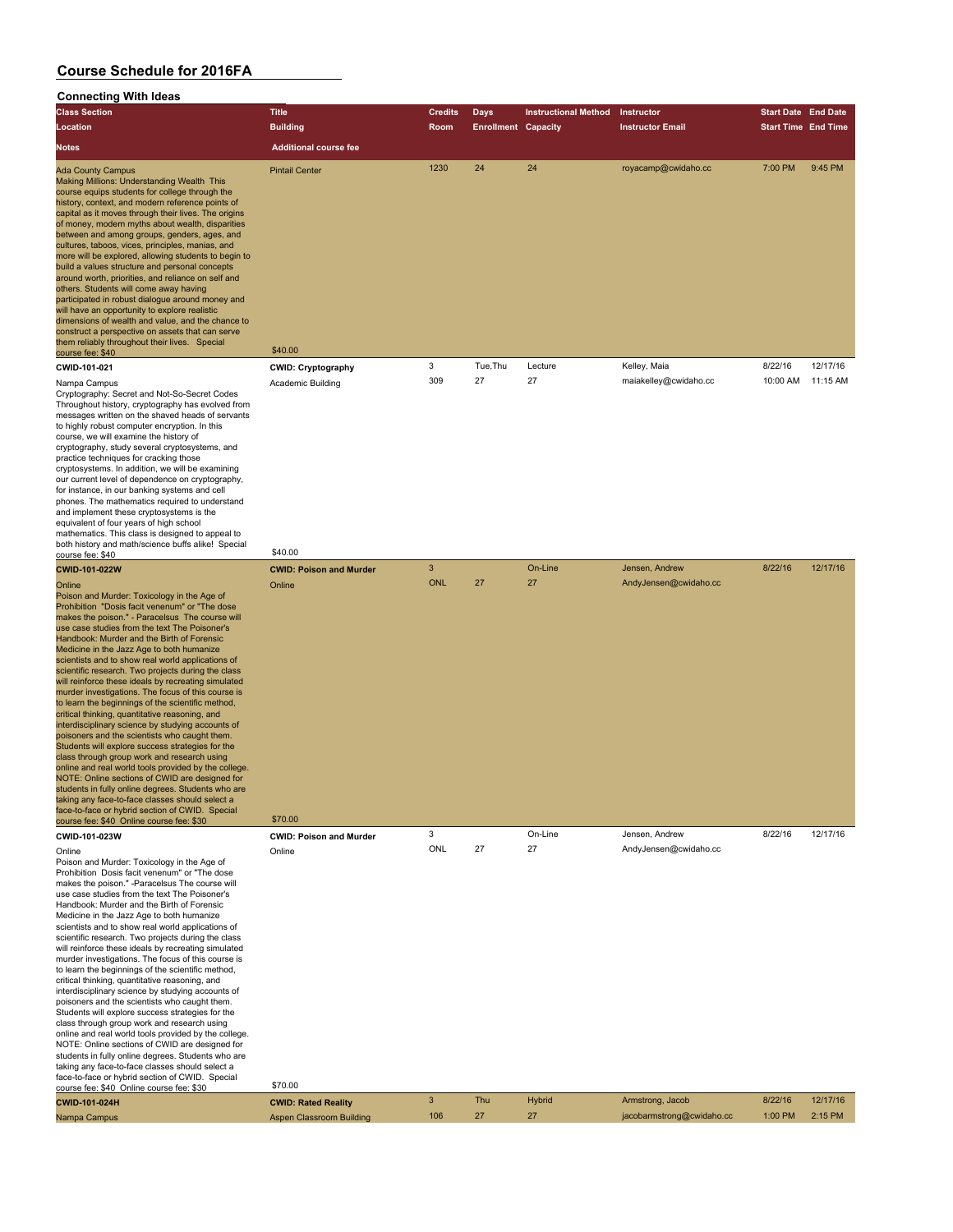| Connecting with ideas                                                                                                                                                                                                                                                                                                                                                                                                                                                                                                                                                                                                                                                                                                                                                                                                                                                                                                                                                                                                                                                                                                                                            |                                  |                |                            |                             |                           |                            |          |
|------------------------------------------------------------------------------------------------------------------------------------------------------------------------------------------------------------------------------------------------------------------------------------------------------------------------------------------------------------------------------------------------------------------------------------------------------------------------------------------------------------------------------------------------------------------------------------------------------------------------------------------------------------------------------------------------------------------------------------------------------------------------------------------------------------------------------------------------------------------------------------------------------------------------------------------------------------------------------------------------------------------------------------------------------------------------------------------------------------------------------------------------------------------|----------------------------------|----------------|----------------------------|-----------------------------|---------------------------|----------------------------|----------|
| <b>Class Section</b>                                                                                                                                                                                                                                                                                                                                                                                                                                                                                                                                                                                                                                                                                                                                                                                                                                                                                                                                                                                                                                                                                                                                             | <b>Title</b>                     | <b>Credits</b> | <b>Days</b>                | <b>Instructional Method</b> | Instructor                | <b>Start Date End Date</b> |          |
| Location                                                                                                                                                                                                                                                                                                                                                                                                                                                                                                                                                                                                                                                                                                                                                                                                                                                                                                                                                                                                                                                                                                                                                         | <b>Building</b>                  | Room           | <b>Enrollment Capacity</b> |                             | <b>Instructor Email</b>   | <b>Start Time End Time</b> |          |
|                                                                                                                                                                                                                                                                                                                                                                                                                                                                                                                                                                                                                                                                                                                                                                                                                                                                                                                                                                                                                                                                                                                                                                  | <b>Additional course fee</b>     |                |                            |                             |                           |                            |          |
| Notes                                                                                                                                                                                                                                                                                                                                                                                                                                                                                                                                                                                                                                                                                                                                                                                                                                                                                                                                                                                                                                                                                                                                                            |                                  |                |                            |                             |                           |                            |          |
| <b>Ada County Campus</b><br>Making Millions: Understanding Wealth This<br>course equips students for college through the<br>history, context, and modern reference points of<br>capital as it moves through their lives. The origins<br>of money, modern myths about wealth, disparities<br>between and among groups, genders, ages, and<br>cultures, taboos, vices, principles, manias, and<br>more will be explored, allowing students to begin to<br>build a values structure and personal concepts<br>around worth, priorities, and reliance on self and<br>others. Students will come away having<br>participated in robust dialogue around money and<br>will have an opportunity to explore realistic<br>dimensions of wealth and value, and the chance to<br>construct a perspective on assets that can serve<br>them reliably throughout their lives. Special<br>course fee: \$40                                                                                                                                                                                                                                                                        | <b>Pintail Center</b><br>\$40.00 | 1230           | 24                         | 24                          | royacamp@cwidaho.cc       | 7:00 PM                    | 9:45 PM  |
| CWID-101-021                                                                                                                                                                                                                                                                                                                                                                                                                                                                                                                                                                                                                                                                                                                                                                                                                                                                                                                                                                                                                                                                                                                                                     | <b>CWID: Cryptography</b>        | 3              | Tue, Thu                   | Lecture                     | Kelley, Maia              | 8/22/16                    | 12/17/16 |
| Nampa Campus<br>Cryptography: Secret and Not-So-Secret Codes<br>Throughout history, cryptography has evolved from<br>messages written on the shaved heads of servants<br>to highly robust computer encryption. In this<br>course, we will examine the history of<br>cryptography, study several cryptosystems, and<br>practice techniques for cracking those<br>cryptosystems. In addition, we will be examining<br>our current level of dependence on cryptography,<br>for instance, in our banking systems and cell<br>phones. The mathematics required to understand<br>and implement these cryptosystems is the<br>equivalent of four years of high school<br>mathematics. This class is designed to appeal to<br>both history and math/science buffs alike! Special                                                                                                                                                                                                                                                                                                                                                                                         | Academic Building                | 309            | 27                         | 27                          | maiakelley@cwidaho.cc     | 10:00 AM                   | 11:15 AM |
| course fee: \$40                                                                                                                                                                                                                                                                                                                                                                                                                                                                                                                                                                                                                                                                                                                                                                                                                                                                                                                                                                                                                                                                                                                                                 | \$40.00                          |                |                            |                             |                           |                            |          |
| <b>CWID-101-022W</b>                                                                                                                                                                                                                                                                                                                                                                                                                                                                                                                                                                                                                                                                                                                                                                                                                                                                                                                                                                                                                                                                                                                                             | <b>CWID: Poison and Murder</b>   | 3              |                            | On-Line                     | Jensen, Andrew            | 8/22/16                    | 12/17/16 |
| Online<br>Poison and Murder: Toxicology in the Age of<br>Prohibition "Dosis facit venenum" or "The dose<br>makes the poison." - Paracelsus The course will<br>use case studies from the text The Poisoner's<br>Handbook: Murder and the Birth of Forensic<br>Medicine in the Jazz Age to both humanize<br>scientists and to show real world applications of<br>scientific research. Two projects during the class<br>will reinforce these ideals by recreating simulated<br>murder investigations. The focus of this course is<br>to learn the beginnings of the scientific method,<br>critical thinking, quantitative reasoning, and<br>interdisciplinary science by studying accounts of<br>poisoners and the scientists who caught them.<br>Students will explore success strategies for the<br>class through group work and research using<br>online and real world tools provided by the college.<br>NOTE: Online sections of CWID are designed for<br>students in fully online degrees. Students who are<br>taking any face-to-face classes should select a<br>face-to-face or hybrid section of CWID. Special<br>course fee: \$40 Online course fee: \$30 | Online<br>\$70.00                | <b>ONL</b>     | 27                         | 27                          | AndyJensen@cwidaho.cc     |                            |          |
| CWID-101-023W                                                                                                                                                                                                                                                                                                                                                                                                                                                                                                                                                                                                                                                                                                                                                                                                                                                                                                                                                                                                                                                                                                                                                    | <b>CWID: Poison and Murder</b>   | 3              |                            | On-Line                     | Jensen, Andrew            | 8/22/16                    | 12/17/16 |
| Online<br>Poison and Murder: Toxicology in the Age of<br>Prohibition Dosis facit venenum" or "The dose<br>makes the poison." -Paracelsus The course will<br>use case studies from the text The Poisoner's<br>Handbook: Murder and the Birth of Forensic<br>Medicine in the Jazz Age to both humanize<br>scientists and to show real world applications of<br>scientific research. Two projects during the class<br>will reinforce these ideals by recreating simulated<br>murder investigations. The focus of this course is<br>to learn the beginnings of the scientific method,<br>critical thinking, quantitative reasoning, and<br>interdisciplinary science by studying accounts of<br>poisoners and the scientists who caught them.<br>Students will explore success strategies for the<br>class through group work and research using<br>online and real world tools provided by the college.<br>NOTE: Online sections of CWID are designed for<br>students in fully online degrees. Students who are<br>taking any face-to-face classes should select a<br>face-to-face or hybrid section of CWID. Special                                               | Online                           | ONL            | 27                         | 27                          | AndyJensen@cwidaho.cc     |                            |          |
| course fee: \$40 Online course fee: \$30                                                                                                                                                                                                                                                                                                                                                                                                                                                                                                                                                                                                                                                                                                                                                                                                                                                                                                                                                                                                                                                                                                                         | \$70.00                          | 3              | Thu                        | <b>Hybrid</b>               | Armstrong, Jacob          | 8/22/16                    | 12/17/16 |
| CWID-101-024H                                                                                                                                                                                                                                                                                                                                                                                                                                                                                                                                                                                                                                                                                                                                                                                                                                                                                                                                                                                                                                                                                                                                                    | <b>CWID: Rated Reality</b>       | 106            | 27                         | 27                          |                           | 1:00 PM                    | 2:15 PM  |
| Nampa Campus                                                                                                                                                                                                                                                                                                                                                                                                                                                                                                                                                                                                                                                                                                                                                                                                                                                                                                                                                                                                                                                                                                                                                     | <b>Aspen Classroom Building</b>  |                |                            |                             | jacobarmstrong@cwidaho.cc |                            |          |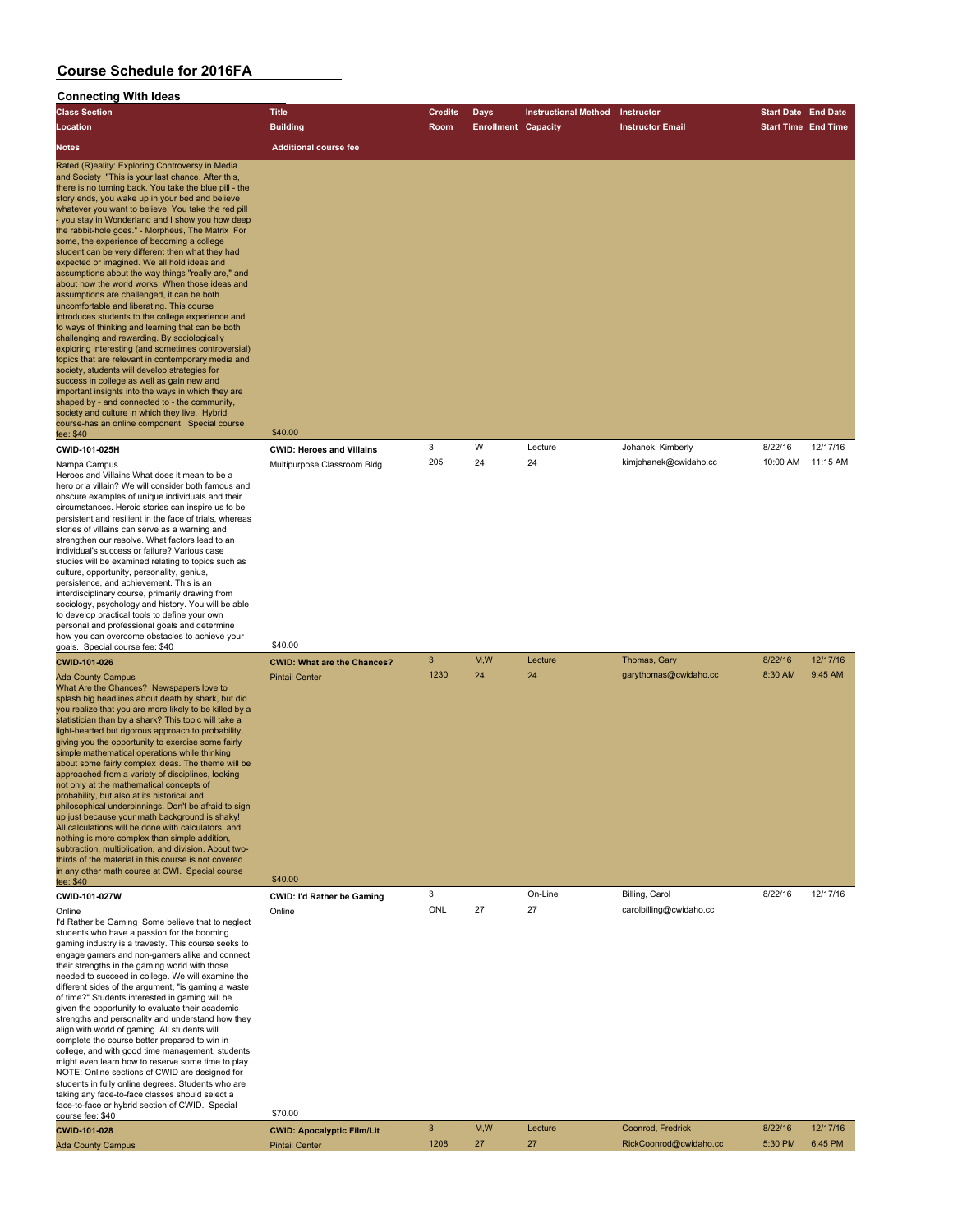| <b>Class Section</b>                                                                                                                                                                                                                                                                                                                                                                                                                                                                                                                                                                                                                                                                                                                                                                                                                                                                                                                                                                                                                                                                                                                                                                                                                                                                                                                  | <b>Title</b>                                                           | <b>Credits</b> | Days                       | <b>Instructional Method</b> | Instructor                                  | <b>Start Date End Date</b> |                     |
|---------------------------------------------------------------------------------------------------------------------------------------------------------------------------------------------------------------------------------------------------------------------------------------------------------------------------------------------------------------------------------------------------------------------------------------------------------------------------------------------------------------------------------------------------------------------------------------------------------------------------------------------------------------------------------------------------------------------------------------------------------------------------------------------------------------------------------------------------------------------------------------------------------------------------------------------------------------------------------------------------------------------------------------------------------------------------------------------------------------------------------------------------------------------------------------------------------------------------------------------------------------------------------------------------------------------------------------|------------------------------------------------------------------------|----------------|----------------------------|-----------------------------|---------------------------------------------|----------------------------|---------------------|
| <b>Location</b>                                                                                                                                                                                                                                                                                                                                                                                                                                                                                                                                                                                                                                                                                                                                                                                                                                                                                                                                                                                                                                                                                                                                                                                                                                                                                                                       | <b>Building</b>                                                        | Room           | <b>Enrollment Capacity</b> |                             | <b>Instructor Email</b>                     | <b>Start Time End Time</b> |                     |
| Notes                                                                                                                                                                                                                                                                                                                                                                                                                                                                                                                                                                                                                                                                                                                                                                                                                                                                                                                                                                                                                                                                                                                                                                                                                                                                                                                                 | <b>Additional course fee</b>                                           |                |                            |                             |                                             |                            |                     |
| Rated (R)eality: Exploring Controversy in Media<br>and Society "This is your last chance. After this,<br>there is no turning back. You take the blue pill - the<br>story ends, you wake up in your bed and believe<br>whatever you want to believe. You take the red pill<br>- you stay in Wonderland and I show you how deep<br>the rabbit-hole goes." - Morpheus, The Matrix For<br>some, the experience of becoming a college<br>student can be very different then what they had<br>expected or imagined. We all hold ideas and<br>assumptions about the way things "really are," and<br>about how the world works. When those ideas and<br>assumptions are challenged, it can be both<br>uncomfortable and liberating. This course<br>introduces students to the college experience and<br>to ways of thinking and learning that can be both<br>challenging and rewarding. By sociologically<br>exploring interesting (and sometimes controversial)<br>topics that are relevant in contemporary media and<br>society, students will develop strategies for<br>success in college as well as gain new and<br>important insights into the ways in which they are<br>shaped by - and connected to - the community,<br>society and culture in which they live. Hybrid<br>course-has an online component. Special course<br>fee: \$40 | \$40.00                                                                |                |                            |                             |                                             |                            |                     |
| CWID-101-025H                                                                                                                                                                                                                                                                                                                                                                                                                                                                                                                                                                                                                                                                                                                                                                                                                                                                                                                                                                                                                                                                                                                                                                                                                                                                                                                         | <b>CWID: Heroes and Villains</b>                                       | 3              | W                          | Lecture                     | Johanek, Kimberly                           | 8/22/16                    | 12/17/16            |
| Nampa Campus<br>Heroes and Villains What does it mean to be a<br>hero or a villain? We will consider both famous and<br>obscure examples of unique individuals and their<br>circumstances. Heroic stories can inspire us to be<br>persistent and resilient in the face of trials, whereas<br>stories of villains can serve as a warning and<br>strengthen our resolve. What factors lead to an<br>individual's success or failure? Various case<br>studies will be examined relating to topics such as<br>culture, opportunity, personality, genius,<br>persistence, and achievement. This is an<br>interdisciplinary course, primarily drawing from<br>sociology, psychology and history. You will be able<br>to develop practical tools to define your own<br>personal and professional goals and determine                                                                                                                                                                                                                                                                                                                                                                                                                                                                                                                         | Multipurpose Classroom Bldg                                            | 205            | 24                         | 24                          | kimjohanek@cwidaho.cc                       | 10:00 AM                   | 11:15 AM            |
| how you can overcome obstacles to achieve your                                                                                                                                                                                                                                                                                                                                                                                                                                                                                                                                                                                                                                                                                                                                                                                                                                                                                                                                                                                                                                                                                                                                                                                                                                                                                        |                                                                        |                |                            |                             |                                             |                            |                     |
| goals. Special course fee: \$40                                                                                                                                                                                                                                                                                                                                                                                                                                                                                                                                                                                                                                                                                                                                                                                                                                                                                                                                                                                                                                                                                                                                                                                                                                                                                                       | \$40.00                                                                |                |                            |                             |                                             |                            | 12/17/16            |
| <b>CWID-101-026</b><br><b>Ada County Campus</b><br>What Are the Chances? Newspapers love to<br>splash big headlines about death by shark, but did<br>you realize that you are more likely to be killed by a<br>statistician than by a shark? This topic will take a<br>light-hearted but rigorous approach to probability,<br>giving you the opportunity to exercise some fairly<br>simple mathematical operations while thinking<br>about some fairly complex ideas. The theme will be<br>approached from a variety of disciplines, looking<br>not only at the mathematical concepts of<br>probability, but also at its historical and<br>philosophical underpinnings. Don't be afraid to sign<br>up just because your math background is shaky!<br>All calculations will be done with calculators, and<br>nothing is more complex than simple addition,<br>subtraction, multiplication, and division. About two-<br>thirds of the material in this course is not covered<br>in any other math course at CWI. Special course<br>fee: \$40                                                                                                                                                                                                                                                                                            | <b>CWID: What are the Chances?</b><br><b>Pintail Center</b><br>\$40.00 | 3<br>1230      | M, W<br>24                 | Lecture<br>24               | Thomas, Gary<br>garythomas@cwidaho.cc       | 8/22/16<br>8:30 AM         | 9:45 AM             |
| CWID-101-027W                                                                                                                                                                                                                                                                                                                                                                                                                                                                                                                                                                                                                                                                                                                                                                                                                                                                                                                                                                                                                                                                                                                                                                                                                                                                                                                         | <b>CWID: I'd Rather be Gaming</b>                                      | 3              |                            | On-Line                     | Billing, Carol                              | 8/22/16                    | 12/17/16            |
| Online<br>I'd Rather be Gaming Some believe that to neglect<br>students who have a passion for the booming<br>gaming industry is a travesty. This course seeks to<br>engage gamers and non-gamers alike and connect<br>their strengths in the gaming world with those<br>needed to succeed in college. We will examine the<br>different sides of the argument, "is gaming a waste<br>of time?" Students interested in gaming will be<br>given the opportunity to evaluate their academic<br>strengths and personality and understand how they<br>align with world of gaming. All students will<br>complete the course better prepared to win in<br>college, and with good time management, students<br>might even learn how to reserve some time to play.<br>NOTE: Online sections of CWID are designed for<br>students in fully online degrees. Students who are<br>taking any face-to-face classes should select a<br>face-to-face or hybrid section of CWID. Special                                                                                                                                                                                                                                                                                                                                                               | Online                                                                 | ONL            | 27                         | 27                          | carolbilling@cwidaho.cc                     |                            |                     |
| course fee: \$40                                                                                                                                                                                                                                                                                                                                                                                                                                                                                                                                                                                                                                                                                                                                                                                                                                                                                                                                                                                                                                                                                                                                                                                                                                                                                                                      | \$70.00                                                                |                |                            |                             |                                             |                            |                     |
| <b>CWID-101-028</b><br><b>Ada County Campus</b>                                                                                                                                                                                                                                                                                                                                                                                                                                                                                                                                                                                                                                                                                                                                                                                                                                                                                                                                                                                                                                                                                                                                                                                                                                                                                       | <b>CWID: Apocalyptic Film/Lit</b><br><b>Pintail Center</b>             | 3<br>1208      | M,W<br>27                  | Lecture<br>27               | Coonrod, Fredrick<br>RickCoonrod@cwidaho.cc | 8/22/16<br>5:30 PM         | 12/17/16<br>6:45 PM |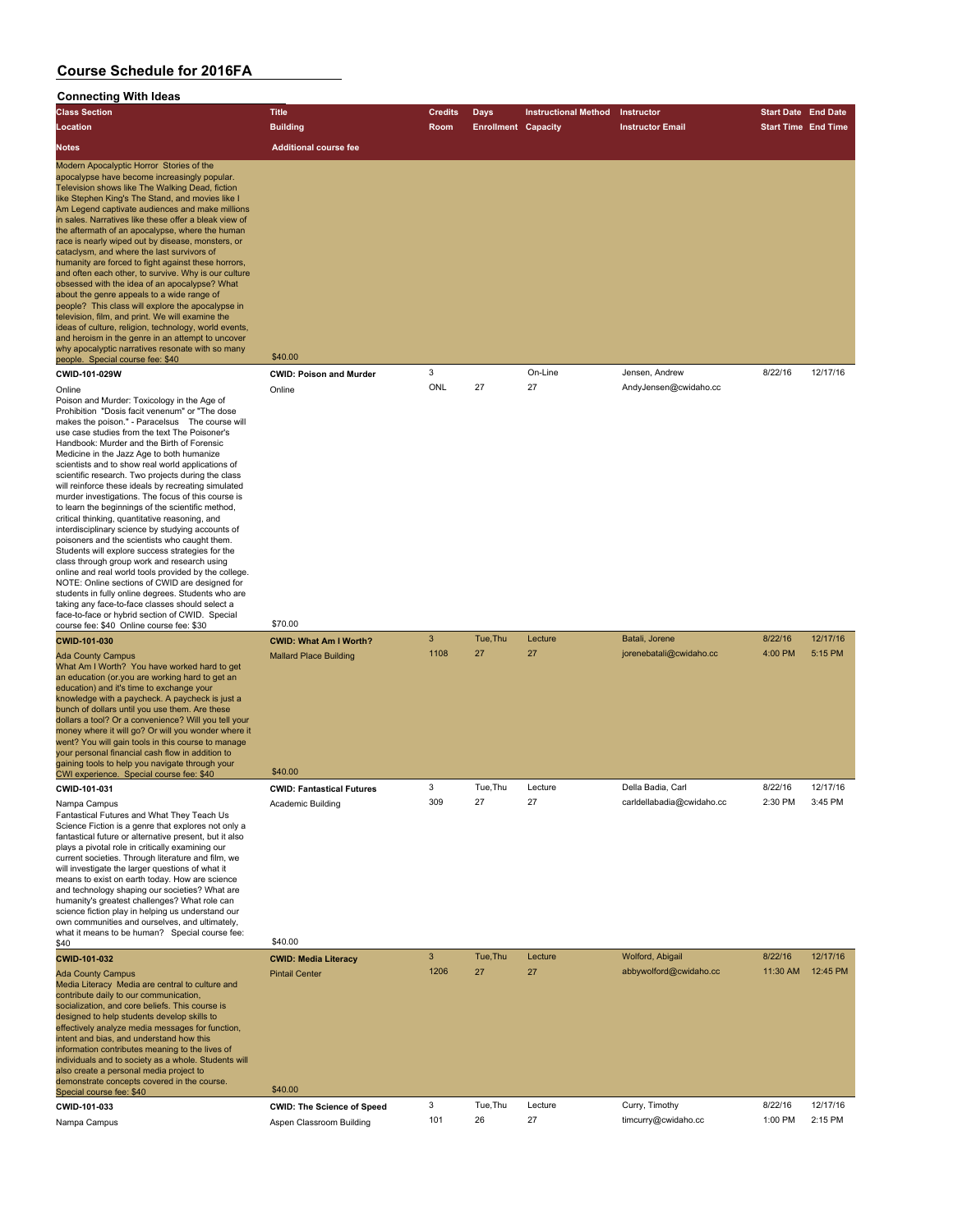| <b>Class Section</b>                                                                                                                                                                                                                                                                                                                                                                                                                                                                                                                                                                                                                                                                                                                                                                                                                                                                                                                                                                                                                                                                                                 | <b>Title</b>                                                              | <b>Credits</b> | Days                       | <b>Instructional Method</b> | Instructor                                | <b>Start Date End Date</b> |                     |
|----------------------------------------------------------------------------------------------------------------------------------------------------------------------------------------------------------------------------------------------------------------------------------------------------------------------------------------------------------------------------------------------------------------------------------------------------------------------------------------------------------------------------------------------------------------------------------------------------------------------------------------------------------------------------------------------------------------------------------------------------------------------------------------------------------------------------------------------------------------------------------------------------------------------------------------------------------------------------------------------------------------------------------------------------------------------------------------------------------------------|---------------------------------------------------------------------------|----------------|----------------------------|-----------------------------|-------------------------------------------|----------------------------|---------------------|
| Location                                                                                                                                                                                                                                                                                                                                                                                                                                                                                                                                                                                                                                                                                                                                                                                                                                                                                                                                                                                                                                                                                                             | <b>Building</b>                                                           | Room           | <b>Enrollment Capacity</b> |                             | <b>Instructor Email</b>                   | <b>Start Time End Time</b> |                     |
| <b>Notes</b>                                                                                                                                                                                                                                                                                                                                                                                                                                                                                                                                                                                                                                                                                                                                                                                                                                                                                                                                                                                                                                                                                                         | <b>Additional course fee</b>                                              |                |                            |                             |                                           |                            |                     |
| Modern Apocalyptic Horror Stories of the<br>apocalypse have become increasingly popular.<br>Television shows like The Walking Dead, fiction<br>like Stephen King's The Stand, and movies like I<br>Am Legend captivate audiences and make millions<br>in sales. Narratives like these offer a bleak view of<br>the aftermath of an apocalypse, where the human<br>race is nearly wiped out by disease, monsters, or<br>cataclysm, and where the last survivors of<br>humanity are forced to fight against these horrors,<br>and often each other, to survive. Why is our culture<br>obsessed with the idea of an apocalypse? What<br>about the genre appeals to a wide range of<br>people? This class will explore the apocalypse in<br>television, film, and print. We will examine the<br>ideas of culture, religion, technology, world events,<br>and heroism in the genre in an attempt to uncover<br>why apocalyptic narratives resonate with so many<br>people. Special course fee: \$40                                                                                                                       | \$40.00                                                                   |                |                            |                             |                                           |                            |                     |
| CWID-101-029W                                                                                                                                                                                                                                                                                                                                                                                                                                                                                                                                                                                                                                                                                                                                                                                                                                                                                                                                                                                                                                                                                                        | <b>CWID: Poison and Murder</b>                                            | 3              |                            | On-Line                     | Jensen, Andrew                            | 8/22/16                    | 12/17/16            |
| Online<br>Poison and Murder: Toxicology in the Age of<br>Prohibition "Dosis facit venenum" or "The dose<br>makes the poison." - Paracelsus The course will<br>use case studies from the text The Poisoner's<br>Handbook: Murder and the Birth of Forensic<br>Medicine in the Jazz Age to both humanize<br>scientists and to show real world applications of<br>scientific research. Two projects during the class<br>will reinforce these ideals by recreating simulated<br>murder investigations. The focus of this course is<br>to learn the beginnings of the scientific method,<br>critical thinking, quantitative reasoning, and<br>interdisciplinary science by studying accounts of<br>poisoners and the scientists who caught them.<br>Students will explore success strategies for the<br>class through group work and research using<br>online and real world tools provided by the college.<br>NOTE: Online sections of CWID are designed for<br>students in fully online degrees. Students who are<br>taking any face-to-face classes should select a<br>face-to-face or hybrid section of CWID. Special | Online                                                                    | ONL            | 27                         | 27                          | AndyJensen@cwidaho.cc                     |                            |                     |
| course fee: \$40 Online course fee: \$30                                                                                                                                                                                                                                                                                                                                                                                                                                                                                                                                                                                                                                                                                                                                                                                                                                                                                                                                                                                                                                                                             | \$70.00                                                                   |                |                            |                             |                                           |                            |                     |
| <b>CWID-101-030</b><br><b>Ada County Campus</b><br>What Am I Worth? You have worked hard to get<br>an education (or you are working hard to get an<br>education) and it's time to exchange your<br>knowledge with a paycheck. A paycheck is just a<br>bunch of dollars until you use them. Are these<br>dollars a tool? Or a convenience? Will you tell your<br>money where it will go? Or will you wonder where it<br>went? You will gain tools in this course to manage<br>your personal financial cash flow in addition to<br>gaining tools to help you navigate through your<br>CWI experience. Special course fee: \$40                                                                                                                                                                                                                                                                                                                                                                                                                                                                                         | <b>CWID: What Am I Worth?</b><br><b>Mallard Place Building</b><br>\$40.00 | 3<br>1108      | Tue, Thu<br>27             | Lecture<br>27               | Batali, Jorene<br>jorenebatali@cwidaho.cc | 8/22/16<br>4:00 PM         | 12/17/16<br>5:15 PM |
| CWID-101-031                                                                                                                                                                                                                                                                                                                                                                                                                                                                                                                                                                                                                                                                                                                                                                                                                                                                                                                                                                                                                                                                                                         | <b>CWID: Fantastical Futures</b>                                          | 3              | Tue, Thu                   | Lecture                     | Della Badia, Carl                         | 8/22/16                    | 12/17/16            |
| Nampa Campus<br>Fantastical Futures and What They Teach Us<br>Science Fiction is a genre that explores not only a<br>fantastical future or alternative present, but it also<br>plays a pivotal role in critically examining our<br>current societies. Through literature and film, we<br>will investigate the larger questions of what it<br>means to exist on earth today. How are science<br>and technology shaping our societies? What are<br>humanity's greatest challenges? What role can<br>science fiction play in helping us understand our<br>own communities and ourselves, and ultimately,<br>what it means to be human? Special course fee:                                                                                                                                                                                                                                                                                                                                                                                                                                                              | Academic Building                                                         | 309            |                            |                             | carldellabadia@cwidaho.cc                 | 2:30 PM                    | 3:45 PM             |
| \$40<br>CWID-101-032                                                                                                                                                                                                                                                                                                                                                                                                                                                                                                                                                                                                                                                                                                                                                                                                                                                                                                                                                                                                                                                                                                 | \$40.00<br><b>CWID: Media Literacy</b>                                    | 3              | Tue.Thu                    | Lecture                     | Wolford, Abigail                          | 8/22/16                    | 12/17/16            |
| <b>Ada County Campus</b><br>Media Literacy Media are central to culture and<br>contribute daily to our communication,<br>socialization, and core beliefs. This course is<br>designed to help students develop skills to<br>effectively analyze media messages for function,<br>intent and bias, and understand how this<br>information contributes meaning to the lives of<br>individuals and to society as a whole. Students will<br>also create a personal media project to<br>demonstrate concepts covered in the course.                                                                                                                                                                                                                                                                                                                                                                                                                                                                                                                                                                                         | <b>Pintail Center</b><br>\$40.00                                          | 1206           | 27                         | 27                          | abbywolford@cwidaho.cc                    | 11:30 AM                   | 12:45 PM            |
| Special course fee: \$40<br>CWID-101-033                                                                                                                                                                                                                                                                                                                                                                                                                                                                                                                                                                                                                                                                                                                                                                                                                                                                                                                                                                                                                                                                             | <b>CWID: The Science of Speed</b>                                         | 3              | Tue, Thu                   | Lecture                     | Curry, Timothy                            | 8/22/16                    | 12/17/16            |
| Nampa Campus                                                                                                                                                                                                                                                                                                                                                                                                                                                                                                                                                                                                                                                                                                                                                                                                                                                                                                                                                                                                                                                                                                         | Aspen Classroom Building                                                  | 101            | 26                         | 27                          | timcurry@cwidaho.cc                       | 1:00 PM                    | 2:15 PM             |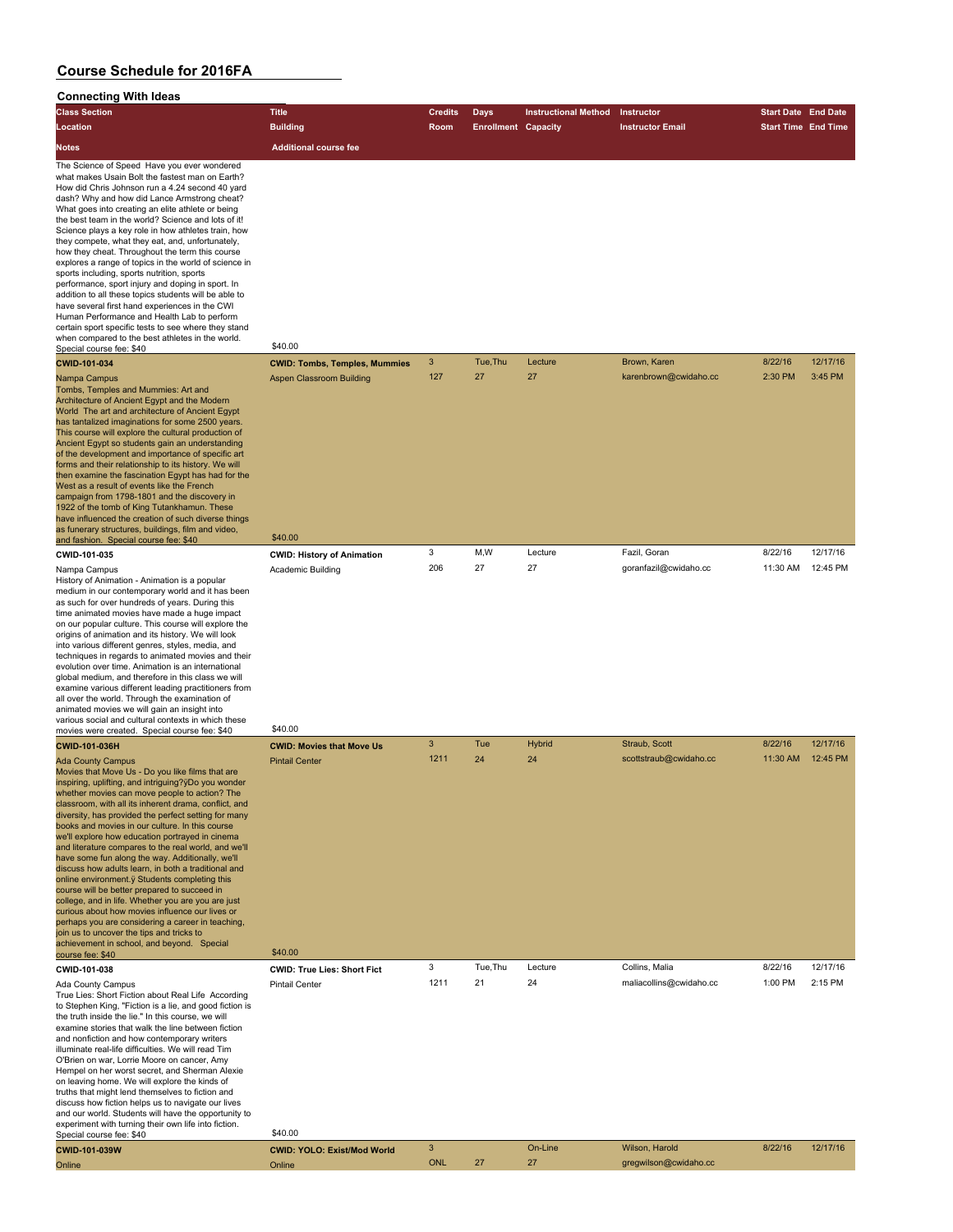| <b>Connecting With Ideas</b>                                                                                  |                                      |                |                            |                             |                         |                            |          |
|---------------------------------------------------------------------------------------------------------------|--------------------------------------|----------------|----------------------------|-----------------------------|-------------------------|----------------------------|----------|
| <b>Class Section</b>                                                                                          | <b>Title</b>                         | <b>Credits</b> | <b>Days</b>                | <b>Instructional Method</b> | Instructor              | <b>Start Date End Date</b> |          |
| Location                                                                                                      | <b>Building</b>                      | Room           | <b>Enrollment Capacity</b> |                             | <b>Instructor Email</b> | Start Time End Time        |          |
| <b>Notes</b>                                                                                                  | <b>Additional course fee</b>         |                |                            |                             |                         |                            |          |
| The Science of Speed Have you ever wondered                                                                   |                                      |                |                            |                             |                         |                            |          |
| what makes Usain Bolt the fastest man on Earth?                                                               |                                      |                |                            |                             |                         |                            |          |
| How did Chris Johnson run a 4.24 second 40 yard                                                               |                                      |                |                            |                             |                         |                            |          |
| dash? Why and how did Lance Armstrong cheat?<br>What goes into creating an elite athlete or being             |                                      |                |                            |                             |                         |                            |          |
| the best team in the world? Science and lots of it!                                                           |                                      |                |                            |                             |                         |                            |          |
| Science plays a key role in how athletes train, how                                                           |                                      |                |                            |                             |                         |                            |          |
| they compete, what they eat, and, unfortunately,<br>how they cheat. Throughout the term this course           |                                      |                |                            |                             |                         |                            |          |
| explores a range of topics in the world of science in                                                         |                                      |                |                            |                             |                         |                            |          |
| sports including, sports nutrition, sports                                                                    |                                      |                |                            |                             |                         |                            |          |
| performance, sport injury and doping in sport. In<br>addition to all these topics students will be able to    |                                      |                |                            |                             |                         |                            |          |
| have several first hand experiences in the CWI                                                                |                                      |                |                            |                             |                         |                            |          |
| Human Performance and Health Lab to perform                                                                   |                                      |                |                            |                             |                         |                            |          |
| certain sport specific tests to see where they stand<br>when compared to the best athletes in the world.      |                                      |                |                            |                             |                         |                            |          |
| Special course fee: \$40                                                                                      | \$40.00                              |                |                            |                             |                         |                            |          |
| CWID-101-034                                                                                                  | <b>CWID: Tombs, Temples, Mummies</b> | $\mathbf{3}$   | Tue, Thu                   | Lecture                     | Brown, Karen            | 8/22/16                    | 12/17/16 |
| Nampa Campus                                                                                                  | <b>Aspen Classroom Building</b>      | 127            | 27                         | 27                          | karenbrown@cwidaho.cc   | 2:30 PM                    | 3:45 PM  |
| Tombs, Temples and Mummies: Art and                                                                           |                                      |                |                            |                             |                         |                            |          |
| Architecture of Ancient Egypt and the Modern<br>World The art and architecture of Ancient Egypt               |                                      |                |                            |                             |                         |                            |          |
| has tantalized imaginations for some 2500 years.                                                              |                                      |                |                            |                             |                         |                            |          |
| This course will explore the cultural production of                                                           |                                      |                |                            |                             |                         |                            |          |
| Ancient Egypt so students gain an understanding<br>of the development and importance of specific art          |                                      |                |                            |                             |                         |                            |          |
| forms and their relationship to its history. We will                                                          |                                      |                |                            |                             |                         |                            |          |
| then examine the fascination Egypt has had for the                                                            |                                      |                |                            |                             |                         |                            |          |
| West as a result of events like the French<br>campaign from 1798-1801 and the discovery in                    |                                      |                |                            |                             |                         |                            |          |
| 1922 of the tomb of King Tutankhamun. These                                                                   |                                      |                |                            |                             |                         |                            |          |
| have influenced the creation of such diverse things<br>as funerary structures, buildings, film and video,     |                                      |                |                            |                             |                         |                            |          |
| and fashion. Special course fee: \$40                                                                         | \$40.00                              |                |                            |                             |                         |                            |          |
| CWID-101-035                                                                                                  | <b>CWID: History of Animation</b>    | 3              | M,W                        | Lecture                     | Fazil, Goran            | 8/22/16                    | 12/17/16 |
| Nampa Campus                                                                                                  | Academic Building                    | 206            | 27                         | 27                          | goranfazil@cwidaho.cc   | 11:30 AM                   | 12:45 PM |
| History of Animation - Animation is a popular                                                                 |                                      |                |                            |                             |                         |                            |          |
| medium in our contemporary world and it has been<br>as such for over hundreds of years. During this           |                                      |                |                            |                             |                         |                            |          |
| time animated movies have made a huge impact                                                                  |                                      |                |                            |                             |                         |                            |          |
| on our popular culture. This course will explore the<br>origins of animation and its history. We will look    |                                      |                |                            |                             |                         |                            |          |
| into various different genres, styles, media, and                                                             |                                      |                |                            |                             |                         |                            |          |
| techniques in regards to animated movies and their                                                            |                                      |                |                            |                             |                         |                            |          |
| evolution over time. Animation is an international<br>global medium, and therefore in this class we will      |                                      |                |                            |                             |                         |                            |          |
| examine various different leading practitioners from                                                          |                                      |                |                            |                             |                         |                            |          |
| all over the world. Through the examination of                                                                |                                      |                |                            |                             |                         |                            |          |
| animated movies we will gain an insight into<br>various social and cultural contexts in which these           |                                      |                |                            |                             |                         |                            |          |
| movies were created. Special course fee: \$40                                                                 | \$40.00                              |                |                            |                             |                         |                            |          |
| CWID-101-036H                                                                                                 | <b>CWID: Movies that Move Us</b>     | 3              | Tue                        | <b>Hybrid</b>               | Straub, Scott           | 8/22/16                    | 12/17/16 |
| <b>Ada County Campus</b>                                                                                      | <b>Pintail Center</b>                | 1211           | 24                         | 24                          | scottstraub@cwidaho.cc  | 11:30 AM                   | 12:45 PM |
| Movies that Move Us - Do you like films that are                                                              |                                      |                |                            |                             |                         |                            |          |
| inspiring, uplifting, and intriguing?ÿDo you wonder<br>whether movies can move people to action? The          |                                      |                |                            |                             |                         |                            |          |
| classroom, with all its inherent drama, conflict, and                                                         |                                      |                |                            |                             |                         |                            |          |
| diversity, has provided the perfect setting for many<br>books and movies in our culture. In this course       |                                      |                |                            |                             |                         |                            |          |
| we'll explore how education portraved in cinema                                                               |                                      |                |                            |                             |                         |                            |          |
| and literature compares to the real world, and we'll                                                          |                                      |                |                            |                             |                         |                            |          |
| have some fun along the way. Additionally, we'll<br>discuss how adults learn, in both a traditional and       |                                      |                |                            |                             |                         |                            |          |
| online environment.y Students completing this                                                                 |                                      |                |                            |                             |                         |                            |          |
| course will be better prepared to succeed in                                                                  |                                      |                |                            |                             |                         |                            |          |
| college, and in life. Whether you are you are just<br>curious about how movies influence our lives or         |                                      |                |                            |                             |                         |                            |          |
| perhaps you are considering a career in teaching,                                                             |                                      |                |                            |                             |                         |                            |          |
| join us to uncover the tips and tricks to<br>achievement in school, and beyond. Special                       |                                      |                |                            |                             |                         |                            |          |
| course fee: \$40                                                                                              | \$40.00                              |                |                            |                             |                         |                            |          |
| CWID-101-038                                                                                                  | <b>CWID: True Lies: Short Fict</b>   | 3              | Tue, Thu                   | Lecture                     | Collins, Malia          | 8/22/16                    | 12/17/16 |
| Ada County Campus                                                                                             | <b>Pintail Center</b>                | 1211           | 21                         | 24                          | maliacollins@cwidaho.cc | 1:00 PM                    | 2:15 PM  |
| True Lies: Short Fiction about Real Life According                                                            |                                      |                |                            |                             |                         |                            |          |
| to Stephen King, "Fiction is a lie, and good fiction is<br>the truth inside the lie." In this course, we will |                                      |                |                            |                             |                         |                            |          |
| examine stories that walk the line between fiction                                                            |                                      |                |                            |                             |                         |                            |          |
| and nonfiction and how contemporary writers<br>illuminate real-life difficulties. We will read Tim            |                                      |                |                            |                             |                         |                            |          |
| O'Brien on war, Lorrie Moore on cancer, Amy                                                                   |                                      |                |                            |                             |                         |                            |          |
| Hempel on her worst secret, and Sherman Alexie                                                                |                                      |                |                            |                             |                         |                            |          |
| on leaving home. We will explore the kinds of<br>truths that might lend themselves to fiction and             |                                      |                |                            |                             |                         |                            |          |
| discuss how fiction helps us to navigate our lives                                                            |                                      |                |                            |                             |                         |                            |          |
| and our world. Students will have the opportunity to                                                          |                                      |                |                            |                             |                         |                            |          |
| experiment with turning their own life into fiction.<br>Special course fee: \$40                              | \$40.00                              |                |                            |                             |                         |                            |          |
| CWID-101-039W                                                                                                 | <b>CWID: YOLO: Exist/Mod World</b>   | $\mathbf{3}$   |                            | On-Line                     | Wilson, Harold          | 8/22/16                    | 12/17/16 |
| Online                                                                                                        | Online                               | <b>ONL</b>     | 27                         | 27                          | gregwilson@cwidaho.cc   |                            |          |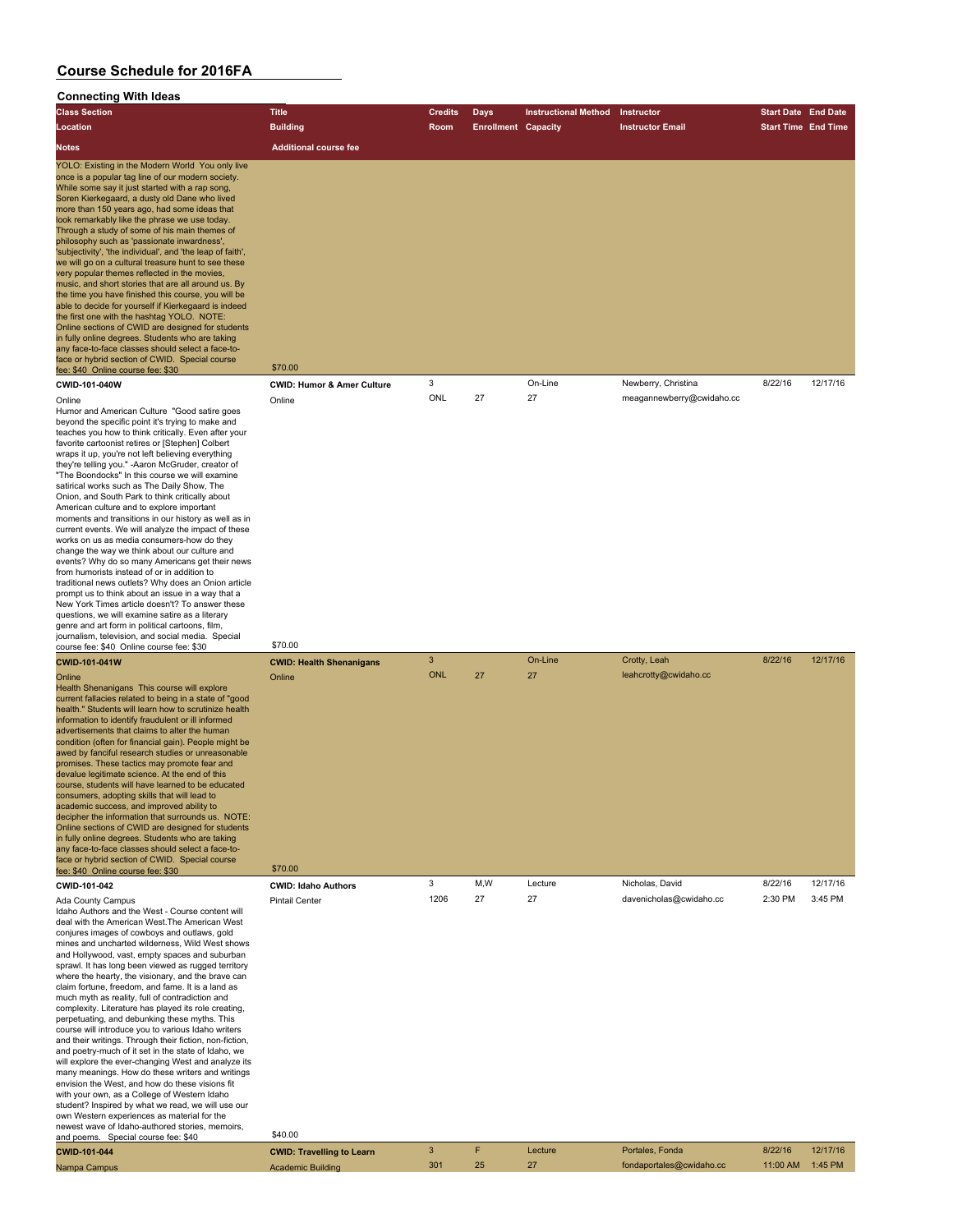| <b>Class Section</b>                                                                                                                                                                                                                                                                                                                                                                                                                                                                                                                                                                                                                                                                                                                                                                                                                                                                                                                                                                                                                                                                                                                                                         | <b>Title</b>                                         | <b>Credits</b>             | Days                       | <b>Instructional Method</b> | Instructor                            | <b>Start Date End Date</b> |          |
|------------------------------------------------------------------------------------------------------------------------------------------------------------------------------------------------------------------------------------------------------------------------------------------------------------------------------------------------------------------------------------------------------------------------------------------------------------------------------------------------------------------------------------------------------------------------------------------------------------------------------------------------------------------------------------------------------------------------------------------------------------------------------------------------------------------------------------------------------------------------------------------------------------------------------------------------------------------------------------------------------------------------------------------------------------------------------------------------------------------------------------------------------------------------------|------------------------------------------------------|----------------------------|----------------------------|-----------------------------|---------------------------------------|----------------------------|----------|
| Location                                                                                                                                                                                                                                                                                                                                                                                                                                                                                                                                                                                                                                                                                                                                                                                                                                                                                                                                                                                                                                                                                                                                                                     | <b>Building</b>                                      | Room                       | <b>Enrollment Capacity</b> |                             | <b>Instructor Email</b>               | <b>Start Time End Time</b> |          |
| <b>Notes</b>                                                                                                                                                                                                                                                                                                                                                                                                                                                                                                                                                                                                                                                                                                                                                                                                                                                                                                                                                                                                                                                                                                                                                                 | <b>Additional course fee</b>                         |                            |                            |                             |                                       |                            |          |
| YOLO: Existing in the Modern World You only live<br>once is a popular tag line of our modern society.<br>While some say it just started with a rap song,<br>Soren Kierkegaard, a dusty old Dane who lived<br>more than 150 years ago, had some ideas that<br>look remarkably like the phrase we use today.<br>Through a study of some of his main themes of<br>philosophy such as 'passionate inwardness',<br>'subjectivity', 'the individual', and 'the leap of faith',<br>we will go on a cultural treasure hunt to see these<br>very popular themes reflected in the movies,<br>music, and short stories that are all around us. By<br>the time you have finished this course, you will be<br>able to decide for yourself if Kierkegaard is indeed<br>the first one with the hashtag YOLO. NOTE:<br>Online sections of CWID are designed for students<br>in fully online degrees. Students who are taking<br>any face-to-face classes should select a face-to-<br>face or hybrid section of CWID. Special course<br>fee: \$40 Online course fee: \$30                                                                                                                     | \$70.00                                              |                            |                            |                             |                                       |                            |          |
| CWID-101-040W                                                                                                                                                                                                                                                                                                                                                                                                                                                                                                                                                                                                                                                                                                                                                                                                                                                                                                                                                                                                                                                                                                                                                                | <b>CWID: Humor &amp; Amer Culture</b>                | 3                          |                            | On-Line                     | Newberry, Christina                   | 8/22/16                    | 12/17/16 |
| Online<br>Humor and American Culture "Good satire goes<br>beyond the specific point it's trying to make and<br>teaches you how to think critically. Even after your<br>favorite cartoonist retires or [Stephen] Colbert<br>wraps it up, you're not left believing everything<br>they're telling you." -Aaron McGruder, creator of<br>"The Boondocks" In this course we will examine<br>satirical works such as The Daily Show, The<br>Onion, and South Park to think critically about<br>American culture and to explore important<br>moments and transitions in our history as well as in<br>current events. We will analyze the impact of these<br>works on us as media consumers-how do they<br>change the way we think about our culture and<br>events? Why do so many Americans get their news<br>from humorists instead of or in addition to<br>traditional news outlets? Why does an Onion article<br>prompt us to think about an issue in a way that a<br>New York Times article doesn't? To answer these<br>questions, we will examine satire as a literary<br>genre and art form in political cartoons, film,<br>journalism, television, and social media. Special | Online                                               | ONL                        | 27                         | 27                          | meagannewberry@cwidaho.cc             |                            |          |
| course fee: \$40 Online course fee: \$30                                                                                                                                                                                                                                                                                                                                                                                                                                                                                                                                                                                                                                                                                                                                                                                                                                                                                                                                                                                                                                                                                                                                     | \$70.00                                              |                            |                            |                             |                                       |                            |          |
|                                                                                                                                                                                                                                                                                                                                                                                                                                                                                                                                                                                                                                                                                                                                                                                                                                                                                                                                                                                                                                                                                                                                                                              |                                                      |                            |                            |                             |                                       |                            |          |
| <b>CWID-101-041W</b><br>Online<br>Health Shenanigans This course will explore<br>current fallacies related to being in a state of "good<br>health." Students will learn how to scrutinize health<br>information to identify fraudulent or ill informed<br>advertisements that claims to alter the human<br>condition (often for financial gain). People might be<br>awed by fanciful research studies or unreasonable<br>promises. These tactics may promote fear and<br>devalue legitimate science. At the end of this<br>course, students will have learned to be educated<br>consumers, adopting skills that will lead to<br>academic success, and improved ability to<br>decipher the information that surrounds us. NOTE:<br>Online sections of CWID are designed for students<br>in fully online degrees. Students who are taking<br>any face-to-face classes should select a face-to-<br>face or hybrid section of CWID. Special course<br>fee: \$40 Online course fee: \$30                                                                                                                                                                                          | <b>CWID: Health Shenanigans</b><br>Online<br>\$70.00 | $\mathbf{3}$<br><b>ONL</b> | 27                         | On-Line<br>27               | Crotty, Leah<br>leahcrotty@cwidaho.cc | 8/22/16                    | 12/17/16 |
| CWID-101-042                                                                                                                                                                                                                                                                                                                                                                                                                                                                                                                                                                                                                                                                                                                                                                                                                                                                                                                                                                                                                                                                                                                                                                 | <b>CWID: Idaho Authors</b>                           | 3                          | M,W                        | Lecture                     | Nicholas, David                       | 8/22/16                    | 12/17/16 |
| Ada County Campus<br>Idaho Authors and the West - Course content will<br>deal with the American West. The American West<br>conjures images of cowboys and outlaws, gold<br>mines and uncharted wilderness. Wild West shows<br>and Hollywood, vast, empty spaces and suburban<br>sprawl. It has long been viewed as rugged territory<br>where the hearty, the visionary, and the brave can<br>claim fortune, freedom, and fame. It is a land as<br>much myth as reality, full of contradiction and<br>complexity. Literature has played its role creating,<br>perpetuating, and debunking these myths. This<br>course will introduce you to various Idaho writers<br>and their writings. Through their fiction, non-fiction,<br>and poetry-much of it set in the state of Idaho, we<br>will explore the ever-changing West and analyze its<br>many meanings. How do these writers and writings<br>envision the West, and how do these visions fit<br>with your own, as a College of Western Idaho<br>student? Inspired by what we read, we will use our<br>own Western experiences as material for the<br>newest wave of Idaho-authored stories, memoirs,                     | <b>Pintail Center</b>                                | 1206                       | 27                         | 27                          | davenicholas@cwidaho.cc               | 2:30 PM                    | 3:45 PM  |
| and poems. Special course fee: \$40<br><b>CWID-101-044</b>                                                                                                                                                                                                                                                                                                                                                                                                                                                                                                                                                                                                                                                                                                                                                                                                                                                                                                                                                                                                                                                                                                                   | \$40.00<br><b>CWID: Travelling to Learn</b>          | $\mathbf{3}$               | F                          | Lecture                     | Portales, Fonda                       | 8/22/16                    | 12/17/16 |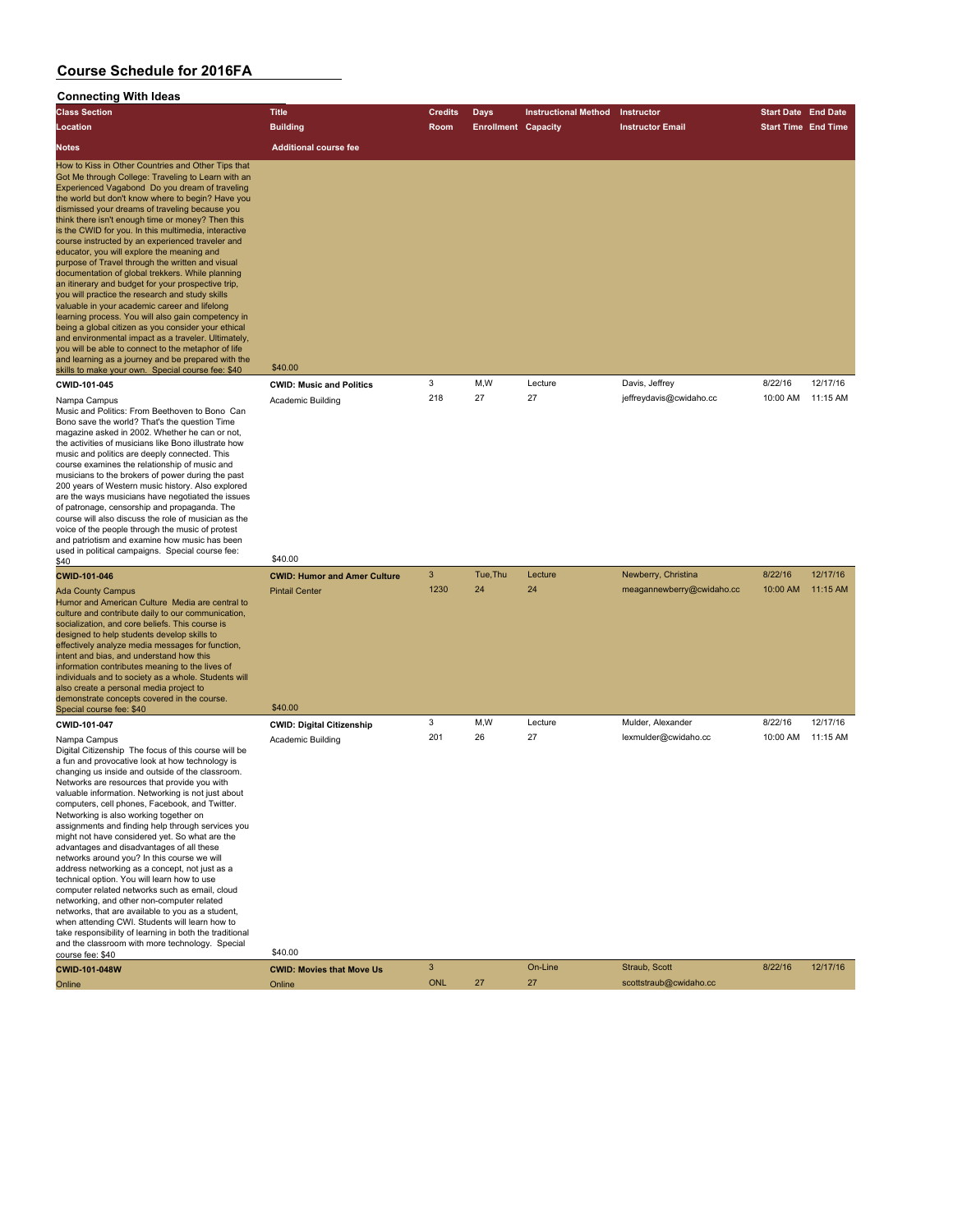| <b>Class Section</b>                                                                                                                                                                                                                                                                                                                                                                                                                                                                                                                                                                                                                                                                                                                                                                                                                                                                                                                                                                                                                                                                     | <b>Title</b>                                                            | <b>Credits</b> | <b>Days</b>                | <b>Instructional Method</b> | Instructor                | <b>Start Date End Date</b> |          |
|------------------------------------------------------------------------------------------------------------------------------------------------------------------------------------------------------------------------------------------------------------------------------------------------------------------------------------------------------------------------------------------------------------------------------------------------------------------------------------------------------------------------------------------------------------------------------------------------------------------------------------------------------------------------------------------------------------------------------------------------------------------------------------------------------------------------------------------------------------------------------------------------------------------------------------------------------------------------------------------------------------------------------------------------------------------------------------------|-------------------------------------------------------------------------|----------------|----------------------------|-----------------------------|---------------------------|----------------------------|----------|
| Location                                                                                                                                                                                                                                                                                                                                                                                                                                                                                                                                                                                                                                                                                                                                                                                                                                                                                                                                                                                                                                                                                 | <b>Building</b>                                                         | Room           | <b>Enrollment Capacity</b> |                             | <b>Instructor Email</b>   | <b>Start Time End Time</b> |          |
| <b>Notes</b>                                                                                                                                                                                                                                                                                                                                                                                                                                                                                                                                                                                                                                                                                                                                                                                                                                                                                                                                                                                                                                                                             | <b>Additional course fee</b>                                            |                |                            |                             |                           |                            |          |
| How to Kiss in Other Countries and Other Tips that<br>Got Me through College: Traveling to Learn with an<br>Experienced Vagabond Do you dream of traveling<br>the world but don't know where to begin? Have you<br>dismissed your dreams of traveling because you<br>think there isn't enough time or money? Then this<br>is the CWID for you. In this multimedia, interactive<br>course instructed by an experienced traveler and<br>educator, you will explore the meaning and<br>purpose of Travel through the written and visual<br>documentation of global trekkers. While planning<br>an itinerary and budget for your prospective trip,<br>you will practice the research and study skills<br>valuable in your academic career and lifelong<br>learning process. You will also gain competency in<br>being a global citizen as you consider your ethical<br>and environmental impact as a traveler. Ultimately,<br>you will be able to connect to the metaphor of life<br>and learning as a journey and be prepared with the<br>skills to make your own. Special course fee: \$40 | \$40.00                                                                 |                |                            |                             |                           |                            |          |
| CWID-101-045                                                                                                                                                                                                                                                                                                                                                                                                                                                                                                                                                                                                                                                                                                                                                                                                                                                                                                                                                                                                                                                                             | <b>CWID: Music and Politics</b>                                         | 3              | M,W                        | Lecture                     | Davis, Jeffrey            | 8/22/16                    | 12/17/16 |
| Nampa Campus<br>Music and Politics: From Beethoven to Bono Can<br>Bono save the world? That's the question Time<br>magazine asked in 2002. Whether he can or not,<br>the activities of musicians like Bono illustrate how<br>music and politics are deeply connected. This<br>course examines the relationship of music and<br>musicians to the brokers of power during the past<br>200 years of Western music history. Also explored<br>are the ways musicians have negotiated the issues<br>of patronage, censorship and propaganda. The<br>course will also discuss the role of musician as the<br>voice of the people through the music of protest<br>and patriotism and examine how music has been<br>used in political campaigns. Special course fee:                                                                                                                                                                                                                                                                                                                              | Academic Building<br>\$40.00                                            | 218            | 27                         | 27                          | jeffreydavis@cwidaho.cc   | 10:00 AM                   | 11:15 AM |
| \$40                                                                                                                                                                                                                                                                                                                                                                                                                                                                                                                                                                                                                                                                                                                                                                                                                                                                                                                                                                                                                                                                                     |                                                                         | $\mathbf{3}$   | Tue, Thu                   | Lecture                     | Newberry, Christina       | 8/22/16                    | 12/17/16 |
| <b>CWID-101-046</b><br><b>Ada County Campus</b><br>Humor and American Culture Media are central to<br>culture and contribute daily to our communication,<br>socialization, and core beliefs. This course is<br>designed to help students develop skills to<br>effectively analyze media messages for function,<br>intent and bias, and understand how this<br>information contributes meaning to the lives of<br>individuals and to society as a whole. Students will<br>also create a personal media project to<br>demonstrate concepts covered in the course.<br>Special course fee: \$40                                                                                                                                                                                                                                                                                                                                                                                                                                                                                              | <b>CWID: Humor and Amer Culture</b><br><b>Pintail Center</b><br>\$40.00 | 1230           | 24                         | 24                          | meagannewberry@cwidaho.cc | 10:00 AM                   | 11:15 AM |
| CWID-101-047                                                                                                                                                                                                                                                                                                                                                                                                                                                                                                                                                                                                                                                                                                                                                                                                                                                                                                                                                                                                                                                                             | <b>CWID: Digital Citizenship</b>                                        | 3              | M,W                        | Lecture                     | Mulder, Alexander         | 8/22/16                    | 12/17/16 |
| Nampa Campus<br>Digital Citizenship The focus of this course will be<br>a fun and provocative look at how technology is<br>changing us inside and outside of the classroom.<br>Networks are resources that provide you with<br>valuable information. Networking is not just about<br>computers, cell phones, Facebook, and Twitter.<br>Networking is also working together on<br>assignments and finding help through services you<br>might not have considered yet. So what are the<br>advantages and disadvantages of all these<br>networks around you? In this course we will<br>address networking as a concept, not just as a<br>technical option. You will learn how to use<br>computer related networks such as email, cloud<br>networking, and other non-computer related<br>networks, that are available to you as a student,<br>when attending CWI. Students will learn how to<br>take responsibility of learning in both the traditional<br>and the classroom with more technology. Special<br>course fee: \$40                                                               | Academic Building<br>\$40.00                                            | 201            | 26                         | 27                          | lexmulder@cwidaho.cc      | 10:00 AM                   | 11:15 AM |
| <b>CWID-101-048W</b>                                                                                                                                                                                                                                                                                                                                                                                                                                                                                                                                                                                                                                                                                                                                                                                                                                                                                                                                                                                                                                                                     | <b>CWID: Movies that Move Us</b>                                        | $\mathbf{3}$   |                            | On-Line                     | Straub, Scott             | 8/22/16                    | 12/17/16 |
| Online                                                                                                                                                                                                                                                                                                                                                                                                                                                                                                                                                                                                                                                                                                                                                                                                                                                                                                                                                                                                                                                                                   | Online                                                                  | <b>ONL</b>     | 27                         | 27                          | scottstraub@cwidaho.cc    |                            |          |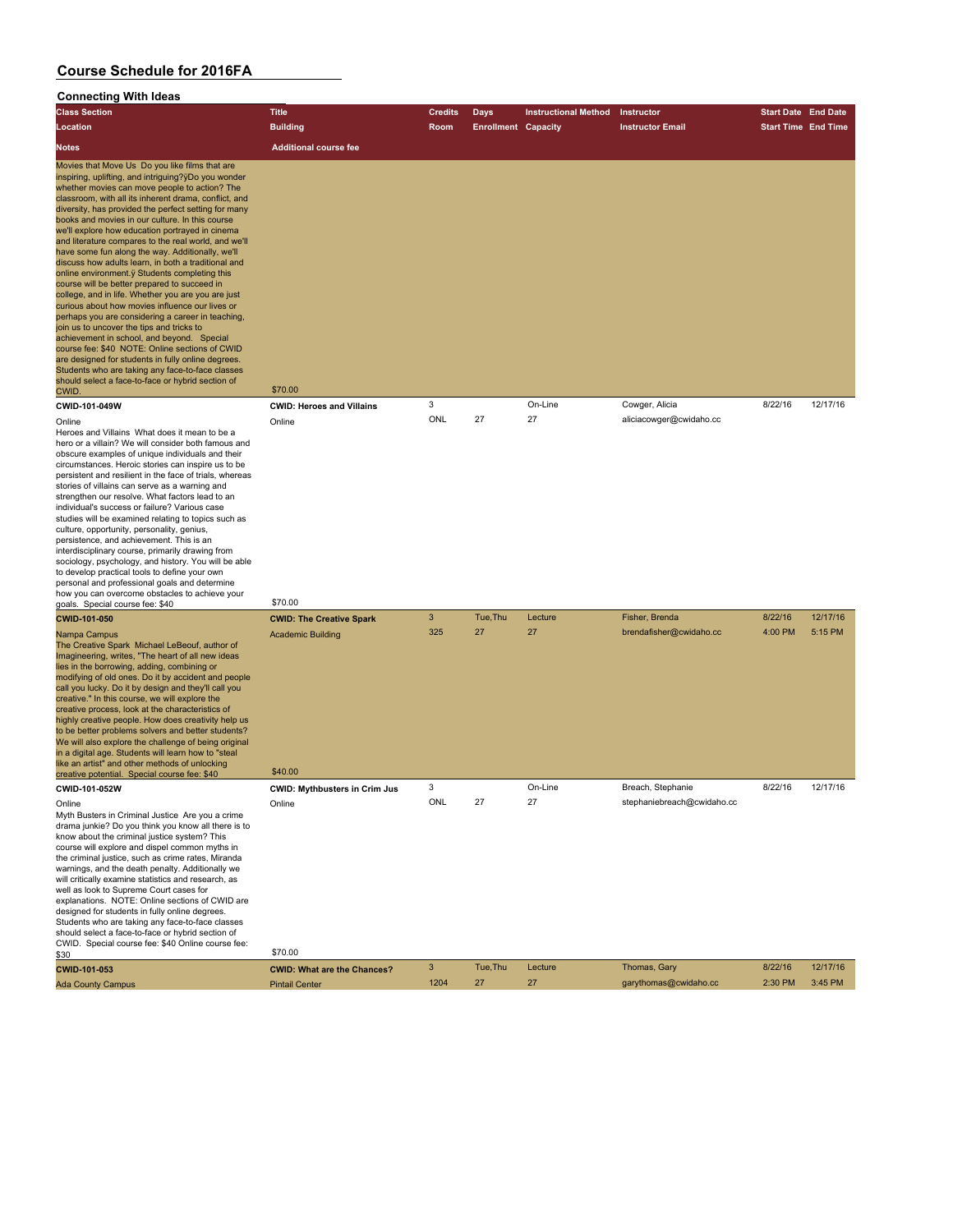| ວວກກວດເກາງ<br><b>Class Section</b>                                                                                                                                                                                                                                                                                                                                                                                                                                                                                                                                                                                                                                                                                                                                                                                                                                                                                                                                                                                                                                                     | <b>Title</b>                                                | <b>Credits</b> | Days                       | <b>Instructional Method</b> | Instructor                                | <b>Start Date End Date</b> |                     |
|----------------------------------------------------------------------------------------------------------------------------------------------------------------------------------------------------------------------------------------------------------------------------------------------------------------------------------------------------------------------------------------------------------------------------------------------------------------------------------------------------------------------------------------------------------------------------------------------------------------------------------------------------------------------------------------------------------------------------------------------------------------------------------------------------------------------------------------------------------------------------------------------------------------------------------------------------------------------------------------------------------------------------------------------------------------------------------------|-------------------------------------------------------------|----------------|----------------------------|-----------------------------|-------------------------------------------|----------------------------|---------------------|
| Location                                                                                                                                                                                                                                                                                                                                                                                                                                                                                                                                                                                                                                                                                                                                                                                                                                                                                                                                                                                                                                                                               | <b>Building</b>                                             | Room           | <b>Enrollment Capacity</b> |                             | <b>Instructor Email</b>                   | <b>Start Time End Time</b> |                     |
|                                                                                                                                                                                                                                                                                                                                                                                                                                                                                                                                                                                                                                                                                                                                                                                                                                                                                                                                                                                                                                                                                        |                                                             |                |                            |                             |                                           |                            |                     |
| <b>Notes</b><br>Movies that Move Us Do you like films that are<br>inspiring, uplifting, and intriguing?ÿDo you wonder<br>whether movies can move people to action? The<br>classroom, with all its inherent drama, conflict, and<br>diversity, has provided the perfect setting for many<br>books and movies in our culture. In this course<br>we'll explore how education portrayed in cinema<br>and literature compares to the real world, and we'll<br>have some fun along the way. Additionally, we'll<br>discuss how adults learn, in both a traditional and<br>online environment.y Students completing this<br>course will be better prepared to succeed in<br>college, and in life. Whether you are you are just<br>curious about how movies influence our lives or<br>perhaps you are considering a career in teaching,<br>join us to uncover the tips and tricks to<br>achievement in school, and beyond. Special<br>course fee: \$40 NOTE: Online sections of CWID<br>are designed for students in fully online degrees.<br>Students who are taking any face-to-face classes | <b>Additional course fee</b>                                |                |                            |                             |                                           |                            |                     |
| should select a face-to-face or hybrid section of<br>CWID.                                                                                                                                                                                                                                                                                                                                                                                                                                                                                                                                                                                                                                                                                                                                                                                                                                                                                                                                                                                                                             | \$70.00                                                     |                |                            |                             |                                           |                            |                     |
| CWID-101-049W<br>Online<br>Heroes and Villains What does it mean to be a<br>hero or a villain? We will consider both famous and<br>obscure examples of unique individuals and their<br>circumstances. Heroic stories can inspire us to be<br>persistent and resilient in the face of trials, whereas<br>stories of villains can serve as a warning and<br>strengthen our resolve. What factors lead to an<br>individual's success or failure? Various case<br>studies will be examined relating to topics such as<br>culture, opportunity, personality, genius,<br>persistence, and achievement. This is an<br>interdisciplinary course, primarily drawing from<br>sociology, psychology, and history. You will be able<br>to develop practical tools to define your own<br>personal and professional goals and determine<br>how you can overcome obstacles to achieve your<br>goals. Special course fee: \$40                                                                                                                                                                         | <b>CWID: Heroes and Villains</b><br>Online<br>\$70.00       | 3<br>ONL       | 27                         | On-Line<br>27               | Cowger, Alicia<br>aliciacowger@cwidaho.cc | 8/22/16                    | 12/17/16            |
| CWID-101-050                                                                                                                                                                                                                                                                                                                                                                                                                                                                                                                                                                                                                                                                                                                                                                                                                                                                                                                                                                                                                                                                           | <b>CWID: The Creative Spark</b>                             | 3              | Tue, Thu                   | Lecture                     | Fisher, Brenda                            | 8/22/16                    | 12/17/16            |
| Nampa Campus<br>The Creative Spark Michael LeBeouf, author of<br>Imagineering, writes, "The heart of all new ideas<br>lies in the borrowing, adding, combining or<br>modifying of old ones. Do it by accident and people<br>call you lucky. Do it by design and they'll call you<br>creative." In this course, we will explore the<br>creative process, look at the characteristics of<br>highly creative people. How does creativity help us<br>to be better problems solvers and better students?<br>We will also explore the challenge of being original<br>in a digital age. Students will learn how to "steal<br>like an artist" and other methods of unlocking<br>creative potential. Special course fee: \$40                                                                                                                                                                                                                                                                                                                                                                   | <b>Academic Building</b><br>\$40.00                         | 325            | 27                         | 27                          | brendafisher@cwidaho.cc                   | 4:00 PM                    | 5:15 PM             |
| CWID-101-052W                                                                                                                                                                                                                                                                                                                                                                                                                                                                                                                                                                                                                                                                                                                                                                                                                                                                                                                                                                                                                                                                          | <b>CWID: Mythbusters in Crim Jus</b>                        | 3              |                            | On-Line                     | Breach, Stephanie                         | 8/22/16                    | 12/17/16            |
| Online<br>Myth Busters in Criminal Justice Are you a crime<br>drama junkie? Do you think you know all there is to<br>know about the criminal justice system? This<br>course will explore and dispel common myths in<br>the criminal justice, such as crime rates, Miranda<br>warnings, and the death penalty. Additionally we<br>will critically examine statistics and research, as<br>well as look to Supreme Court cases for<br>explanations. NOTE: Online sections of CWID are<br>designed for students in fully online degrees.<br>Students who are taking any face-to-face classes<br>should select a face-to-face or hybrid section of<br>CWID. Special course fee: \$40 Online course fee:                                                                                                                                                                                                                                                                                                                                                                                     | Online                                                      | ONL            | 27                         | 27                          | stephaniebreach@cwidaho.cc                |                            |                     |
| \$30                                                                                                                                                                                                                                                                                                                                                                                                                                                                                                                                                                                                                                                                                                                                                                                                                                                                                                                                                                                                                                                                                   | \$70.00                                                     |                |                            |                             |                                           |                            |                     |
| CWID-101-053<br><b>Ada County Campus</b>                                                                                                                                                                                                                                                                                                                                                                                                                                                                                                                                                                                                                                                                                                                                                                                                                                                                                                                                                                                                                                               | <b>CWID: What are the Chances?</b><br><b>Pintail Center</b> | 3<br>1204      | Tue, Thu<br>27             | Lecture<br>27               | Thomas, Gary<br>garythomas@cwidaho.cc     | 8/22/16<br>2:30 PM         | 12/17/16<br>3:45 PM |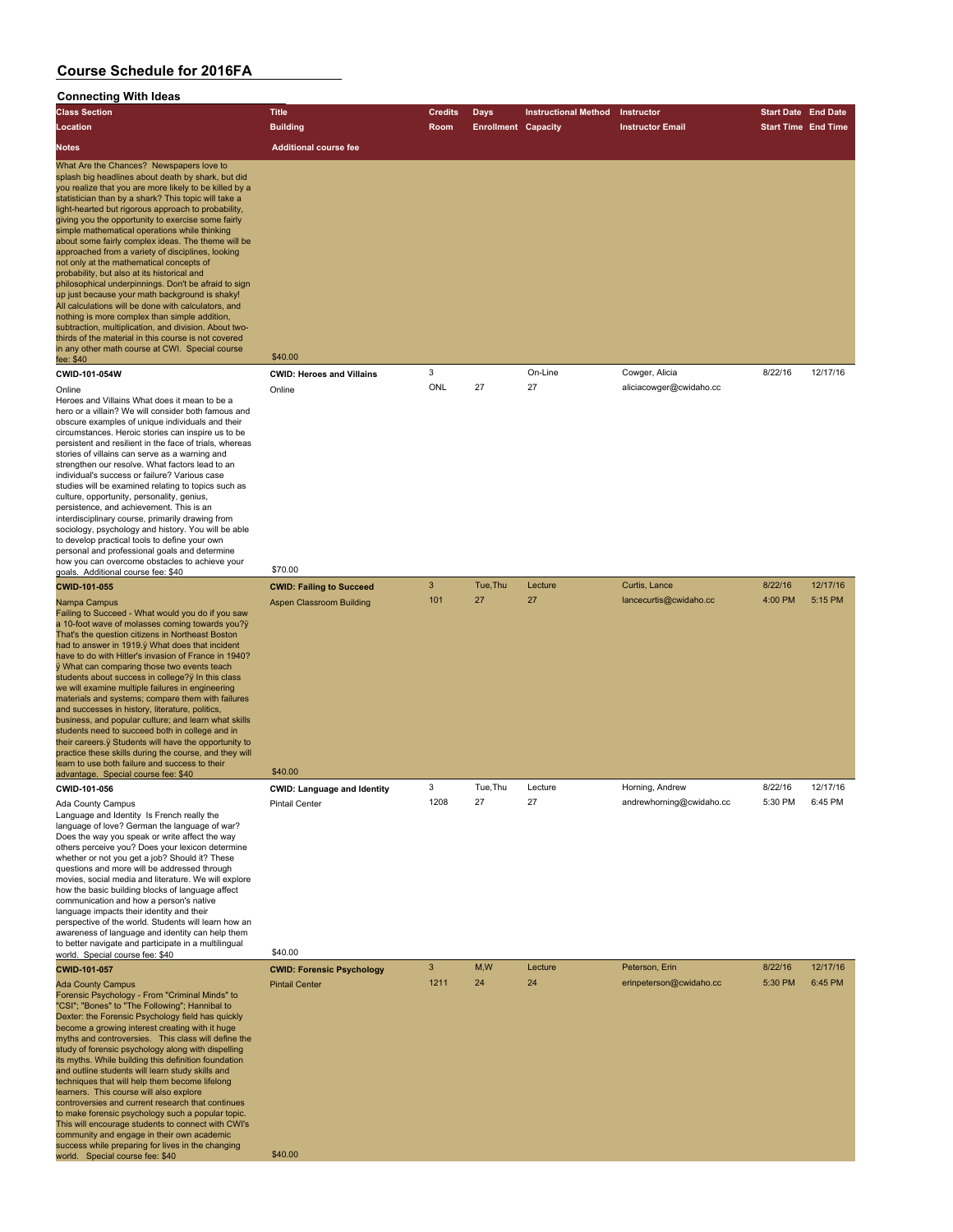| <b>Class Section</b>                                                                                                                                                                                                                                                                                                                                                                                                                                                                                                                                                                                                                                                                                                                                                                                                                                                                                                                                                       | <b>Title</b>                                                         | Credits   | Days                       | <b>Instructional Method</b> | Instructor                                  | <b>Start Date End Date</b> |                     |
|----------------------------------------------------------------------------------------------------------------------------------------------------------------------------------------------------------------------------------------------------------------------------------------------------------------------------------------------------------------------------------------------------------------------------------------------------------------------------------------------------------------------------------------------------------------------------------------------------------------------------------------------------------------------------------------------------------------------------------------------------------------------------------------------------------------------------------------------------------------------------------------------------------------------------------------------------------------------------|----------------------------------------------------------------------|-----------|----------------------------|-----------------------------|---------------------------------------------|----------------------------|---------------------|
| Location                                                                                                                                                                                                                                                                                                                                                                                                                                                                                                                                                                                                                                                                                                                                                                                                                                                                                                                                                                   | <b>Building</b>                                                      | Room      | <b>Enrollment Capacity</b> |                             | <b>Instructor Email</b>                     | <b>Start Time End Time</b> |                     |
| <b>Notes</b>                                                                                                                                                                                                                                                                                                                                                                                                                                                                                                                                                                                                                                                                                                                                                                                                                                                                                                                                                               | <b>Additional course fee</b>                                         |           |                            |                             |                                             |                            |                     |
| What Are the Chances? Newspapers love to<br>splash big headlines about death by shark, but did<br>you realize that you are more likely to be killed by a<br>statistician than by a shark? This topic will take a<br>light-hearted but rigorous approach to probability.<br>giving you the opportunity to exercise some fairly<br>simple mathematical operations while thinking<br>about some fairly complex ideas. The theme will be<br>approached from a variety of disciplines, looking<br>not only at the mathematical concepts of<br>probability, but also at its historical and<br>philosophical underpinnings. Don't be afraid to sign<br>up just because your math background is shaky!<br>All calculations will be done with calculators, and<br>nothing is more complex than simple addition,<br>subtraction, multiplication, and division. About two-<br>thirds of the material in this course is not covered<br>in any other math course at CWI. Special course |                                                                      |           |                            |                             |                                             |                            |                     |
| fee: \$40<br>CWID-101-054W                                                                                                                                                                                                                                                                                                                                                                                                                                                                                                                                                                                                                                                                                                                                                                                                                                                                                                                                                 | \$40.00<br><b>CWID: Heroes and Villains</b>                          | 3         |                            | On-Line                     | Cowger, Alicia                              | 8/22/16                    | 12/17/16            |
| Online<br>Heroes and Villains What does it mean to be a<br>hero or a villain? We will consider both famous and<br>obscure examples of unique individuals and their<br>circumstances. Heroic stories can inspire us to be<br>persistent and resilient in the face of trials, whereas<br>stories of villains can serve as a warning and<br>strengthen our resolve. What factors lead to an<br>individual's success or failure? Various case<br>studies will be examined relating to topics such as<br>culture, opportunity, personality, genius,<br>persistence, and achievement. This is an<br>interdisciplinary course, primarily drawing from<br>sociology, psychology and history. You will be able<br>to develop practical tools to define your own<br>personal and professional goals and determine<br>how you can overcome obstacles to achieve your                                                                                                                  | Online<br>\$70.00                                                    | ONL       | 27                         | 27                          | aliciacowger@cwidaho.cc                     |                            |                     |
| goals. Additional course fee: \$40<br><b>CWID-101-055</b>                                                                                                                                                                                                                                                                                                                                                                                                                                                                                                                                                                                                                                                                                                                                                                                                                                                                                                                  | <b>CWID: Failing to Succeed</b>                                      | 3         | Tue, Thu                   | Lecture                     | Curtis, Lance                               | 8/22/16                    | 12/17/16            |
| Nampa Campus<br>Failing to Succeed - What would you do if you saw<br>a 10-foot wave of molasses coming towards you?ÿ<br>That's the question citizens in Northeast Boston<br>had to answer in 1919.ÿ What does that incident<br>have to do with Hitler's invasion of France in 1940?<br>ÿ What can comparing those two events teach<br>students about success in college?ÿ In this class<br>we will examine multiple failures in engineering<br>materials and systems; compare them with failures<br>and successes in history, literature, politics,<br>business, and popular culture; and learn what skills<br>students need to succeed both in college and in<br>their careers.y Students will have the opportunity to<br>practice these skills during the course, and they will                                                                                                                                                                                          | <b>Aspen Classroom Building</b>                                      | 101       | 27                         | 27                          | lancecurtis@cwidaho.cc                      | 4:00 PM                    | 5:15 PM             |
| learn to use both failure and success to their<br>advantage. Special course fee: \$40                                                                                                                                                                                                                                                                                                                                                                                                                                                                                                                                                                                                                                                                                                                                                                                                                                                                                      | \$40.00                                                              |           |                            |                             |                                             |                            |                     |
| CWID-101-056<br>Ada County Campus<br>Language and Identity Is French really the<br>language of love? German the language of war?<br>Does the way you speak or write affect the way<br>others perceive you? Does your lexicon determine<br>whether or not you get a job? Should it? These<br>questions and more will be addressed through<br>movies, social media and literature. We will explore<br>how the basic building blocks of language affect<br>communication and how a person's native<br>language impacts their identity and their<br>perspective of the world. Students will learn how an<br>awareness of language and identity can help them<br>to better navigate and participate in a multilingual                                                                                                                                                                                                                                                           | <b>CWID: Language and Identity</b><br>Pintail Center                 | 3<br>1208 | Tue, Thu<br>27             | Lecture                     | Horning, Andrew<br>andrewhorning@cwidaho.cc | 8/22/16<br>5:30 PM         | 12/17/16<br>6:45 PM |
| world. Special course fee: \$40                                                                                                                                                                                                                                                                                                                                                                                                                                                                                                                                                                                                                                                                                                                                                                                                                                                                                                                                            | \$40.00                                                              |           |                            |                             |                                             |                            |                     |
| <b>CWID-101-057</b><br><b>Ada County Campus</b><br>Forensic Psychology - From "Criminal Minds" to<br>"CSI"; "Bones" to "The Following"; Hannibal to<br>Dexter: the Forensic Psychology field has quickly<br>become a growing interest creating with it huge<br>myths and controversies. This class will define the<br>study of forensic psychology along with dispelling<br>its myths. While building this definition foundation<br>and outline students will learn study skills and<br>techniques that will help them become lifelong<br>learners. This course will also explore<br>controversies and current research that continues<br>to make forensic psychology such a popular topic.<br>This will encourage students to connect with CWI's<br>community and engage in their own academic<br>success while preparing for lives in the changing<br>world. Special course fee: \$40                                                                                    | <b>CWID: Forensic Psychology</b><br><b>Pintail Center</b><br>\$40.00 | 3<br>1211 | M,W<br>24                  | Lecture<br>24               | Peterson, Erin<br>erinpeterson@cwidaho.cc   | 8/22/16<br>5:30 PM         | 12/17/16<br>6:45 PM |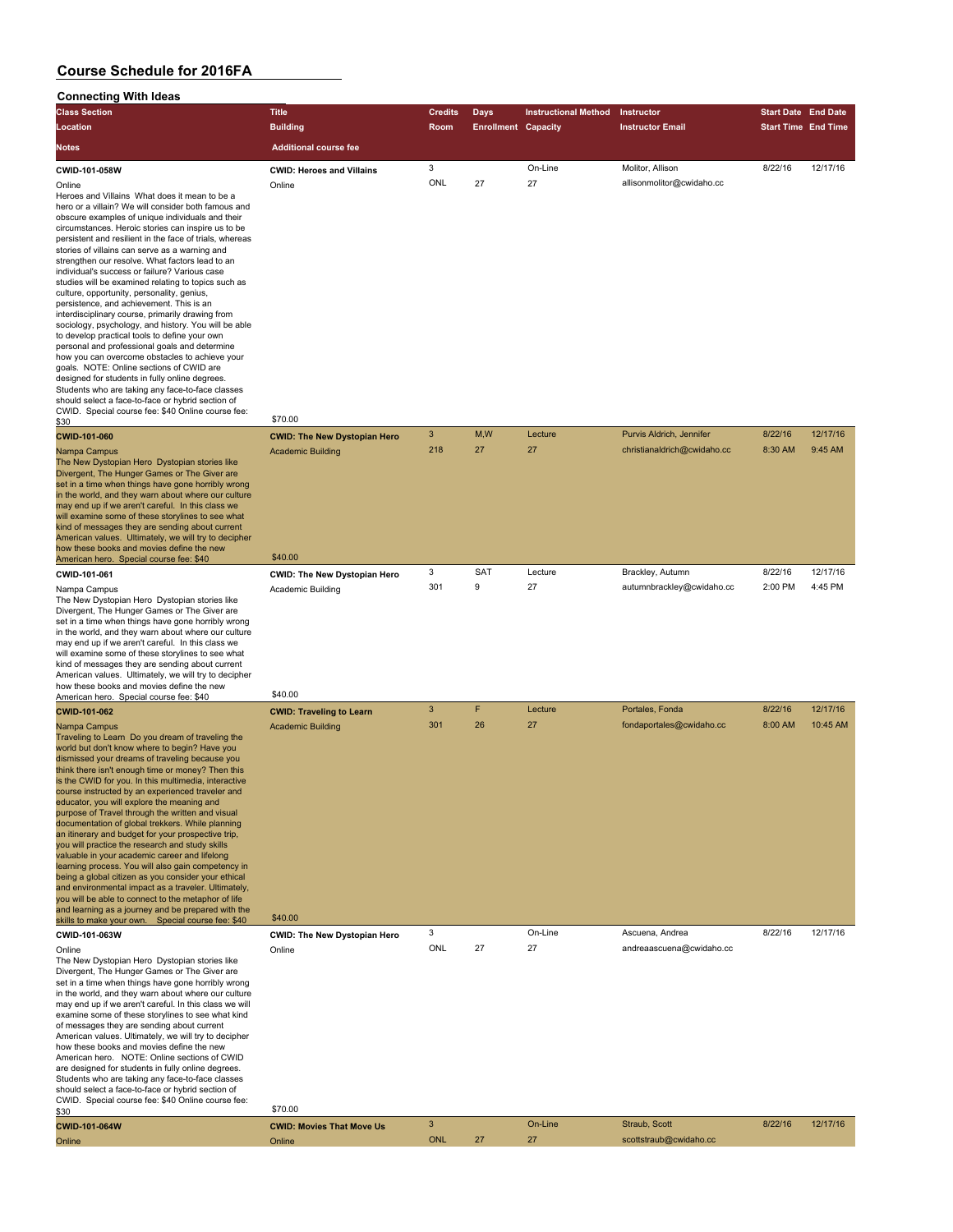| <b>Connecting With Ideas</b> |  |
|------------------------------|--|
|                              |  |

| <b>Connecting With Ideas</b>                                                                                                                                                                                                                                                                                                                                                                                                                                                                                                                                                                                                                                                                                                                                                                                                                                                                                                                                                                                                                                                                                                            |                                                                            |                |                            |                             |                                                         |                            |                      |
|-----------------------------------------------------------------------------------------------------------------------------------------------------------------------------------------------------------------------------------------------------------------------------------------------------------------------------------------------------------------------------------------------------------------------------------------------------------------------------------------------------------------------------------------------------------------------------------------------------------------------------------------------------------------------------------------------------------------------------------------------------------------------------------------------------------------------------------------------------------------------------------------------------------------------------------------------------------------------------------------------------------------------------------------------------------------------------------------------------------------------------------------|----------------------------------------------------------------------------|----------------|----------------------------|-----------------------------|---------------------------------------------------------|----------------------------|----------------------|
| <b>Class Section</b>                                                                                                                                                                                                                                                                                                                                                                                                                                                                                                                                                                                                                                                                                                                                                                                                                                                                                                                                                                                                                                                                                                                    | <b>Title</b>                                                               | <b>Credits</b> | <b>Days</b>                | <b>Instructional Method</b> | Instructor                                              | <b>Start Date End Date</b> |                      |
| Location                                                                                                                                                                                                                                                                                                                                                                                                                                                                                                                                                                                                                                                                                                                                                                                                                                                                                                                                                                                                                                                                                                                                | <b>Building</b>                                                            | Room           | <b>Enrollment Capacity</b> |                             | <b>Instructor Email</b>                                 | <b>Start Time End Time</b> |                      |
| <b>Notes</b>                                                                                                                                                                                                                                                                                                                                                                                                                                                                                                                                                                                                                                                                                                                                                                                                                                                                                                                                                                                                                                                                                                                            | <b>Additional course fee</b>                                               |                |                            |                             |                                                         |                            |                      |
| CWID-101-058W<br>Online<br>Heroes and Villains What does it mean to be a<br>hero or a villain? We will consider both famous and<br>obscure examples of unique individuals and their<br>circumstances. Heroic stories can inspire us to be<br>persistent and resilient in the face of trials, whereas<br>stories of villains can serve as a warning and<br>strengthen our resolve. What factors lead to an<br>individual's success or failure? Various case<br>studies will be examined relating to topics such as<br>culture, opportunity, personality, genius,<br>persistence, and achievement. This is an<br>interdisciplinary course, primarily drawing from<br>sociology, psychology, and history. You will be able<br>to develop practical tools to define your own<br>personal and professional goals and determine<br>how you can overcome obstacles to achieve your<br>goals. NOTE: Online sections of CWID are<br>designed for students in fully online degrees.<br>Students who are taking any face-to-face classes<br>should select a face-to-face or hybrid section of<br>CWID. Special course fee: \$40 Online course fee: | <b>CWID: Heroes and Villains</b><br>Online                                 | 3<br>ONL       | 27                         | On-Line<br>27               | Molitor, Allison<br>allisonmolitor@cwidaho.cc           | 8/22/16                    | 12/17/16             |
| \$30                                                                                                                                                                                                                                                                                                                                                                                                                                                                                                                                                                                                                                                                                                                                                                                                                                                                                                                                                                                                                                                                                                                                    | \$70.00                                                                    |                |                            |                             |                                                         |                            |                      |
| CWID-101-060<br>Nampa Campus<br>The New Dystopian Hero Dystopian stories like<br>Divergent, The Hunger Games or The Giver are<br>set in a time when things have gone horribly wrong<br>in the world, and they warn about where our culture<br>may end up if we aren't careful. In this class we<br>will examine some of these storylines to see what<br>kind of messages they are sending about current<br>American values. Ultimately, we will try to decipher<br>how these books and movies define the new<br>American hero. Special course fee: \$40                                                                                                                                                                                                                                                                                                                                                                                                                                                                                                                                                                                 | <b>CWID: The New Dystopian Hero</b><br><b>Academic Building</b><br>\$40.00 | 3<br>218       | M,W<br>27                  | Lecture<br>27               | Purvis Aldrich, Jennifer<br>christianaldrich@cwidaho.cc | 8/22/16<br>8:30 AM         | 12/17/16<br>9:45 AM  |
| CWID-101-061                                                                                                                                                                                                                                                                                                                                                                                                                                                                                                                                                                                                                                                                                                                                                                                                                                                                                                                                                                                                                                                                                                                            | CWID: The New Dystopian Hero                                               | 3              | SAT                        | Lecture                     | Brackley, Autumn                                        | 8/22/16                    | 12/17/16             |
| Nampa Campus<br>The New Dystopian Hero Dystopian stories like<br>Divergent, The Hunger Games or The Giver are<br>set in a time when things have gone horribly wrong<br>in the world, and they warn about where our culture<br>may end up if we aren't careful. In this class we<br>will examine some of these storylines to see what<br>kind of messages they are sending about current<br>American values. Ultimately, we will try to decipher<br>how these books and movies define the new                                                                                                                                                                                                                                                                                                                                                                                                                                                                                                                                                                                                                                            | Academic Building                                                          | 301            | 9                          | 27                          | autumnbrackley@cwidaho.cc                               | 2:00 PM                    | 4:45 PM              |
| American hero. Special course fee: \$40                                                                                                                                                                                                                                                                                                                                                                                                                                                                                                                                                                                                                                                                                                                                                                                                                                                                                                                                                                                                                                                                                                 | \$40.00                                                                    |                |                            |                             |                                                         |                            |                      |
| <b>CWID-101-062</b><br>Nampa Campus<br>Traveling to Learn Do you dream of traveling the<br>world but don't know where to begin? Have you<br>dismissed your dreams of traveling because you<br>think there isn't enough time or money? Then this<br>is the CWID for you. In this multimedia, interactive<br>course instructed by an experienced traveler and<br>educator, you will explore the meaning and<br>purpose of Travel through the written and visual<br>documentation of global trekkers. While planning<br>an itinerary and budget for your prospective trip,<br>you will practice the research and study skills<br>valuable in your academic career and lifelong<br>learning process. You will also gain competency in<br>being a global citizen as you consider your ethical<br>and environmental impact as a traveler. Ultimately,<br>you will be able to connect to the metaphor of life<br>and learning as a journey and be prepared with the<br>skills to make your own. Special course fee: \$40                                                                                                                       | <b>CWID: Traveling to Learn</b><br><b>Academic Building</b><br>\$40.00     | 3<br>301       | F<br>26                    | Lecture<br>27               | Portales, Fonda<br>fondaportales@cwidaho.cc             | 8/22/16<br>8:00 AM         | 12/17/16<br>10:45 AM |
| CWID-101-063W                                                                                                                                                                                                                                                                                                                                                                                                                                                                                                                                                                                                                                                                                                                                                                                                                                                                                                                                                                                                                                                                                                                           | <b>CWID: The New Dystopian Hero</b>                                        | 3              |                            | On-Line                     | Ascuena, Andrea                                         | 8/22/16                    | 12/17/16             |
| Online<br>The New Dystopian Hero Dystopian stories like<br>Divergent, The Hunger Games or The Giver are<br>set in a time when things have gone horribly wrong<br>in the world, and they warn about where our culture<br>may end up if we aren't careful. In this class we will<br>examine some of these storylines to see what kind<br>of messages they are sending about current<br>American values. Ultimately, we will try to decipher<br>how these books and movies define the new<br>American hero. NOTE: Online sections of CWID<br>are designed for students in fully online degrees.<br>Students who are taking any face-to-face classes<br>should select a face-to-face or hybrid section of<br>CWID. Special course fee: \$40 Online course fee:<br>\$30                                                                                                                                                                                                                                                                                                                                                                      | Online<br>\$70.00                                                          | ONL            | 27                         | 27                          | andreaascuena@cwidaho.cc                                |                            |                      |
| <b>CWID-101-064W</b>                                                                                                                                                                                                                                                                                                                                                                                                                                                                                                                                                                                                                                                                                                                                                                                                                                                                                                                                                                                                                                                                                                                    | <b>CWID: Movies That Move Us</b>                                           | 3              |                            | On-Line                     | Straub, Scott                                           | 8/22/16                    | 12/17/16             |
| Online                                                                                                                                                                                                                                                                                                                                                                                                                                                                                                                                                                                                                                                                                                                                                                                                                                                                                                                                                                                                                                                                                                                                  | Online                                                                     | <b>ONL</b>     | 27                         | 27                          | scottstraub@cwidaho.cc                                  |                            |                      |
|                                                                                                                                                                                                                                                                                                                                                                                                                                                                                                                                                                                                                                                                                                                                                                                                                                                                                                                                                                                                                                                                                                                                         |                                                                            |                |                            |                             |                                                         |                            |                      |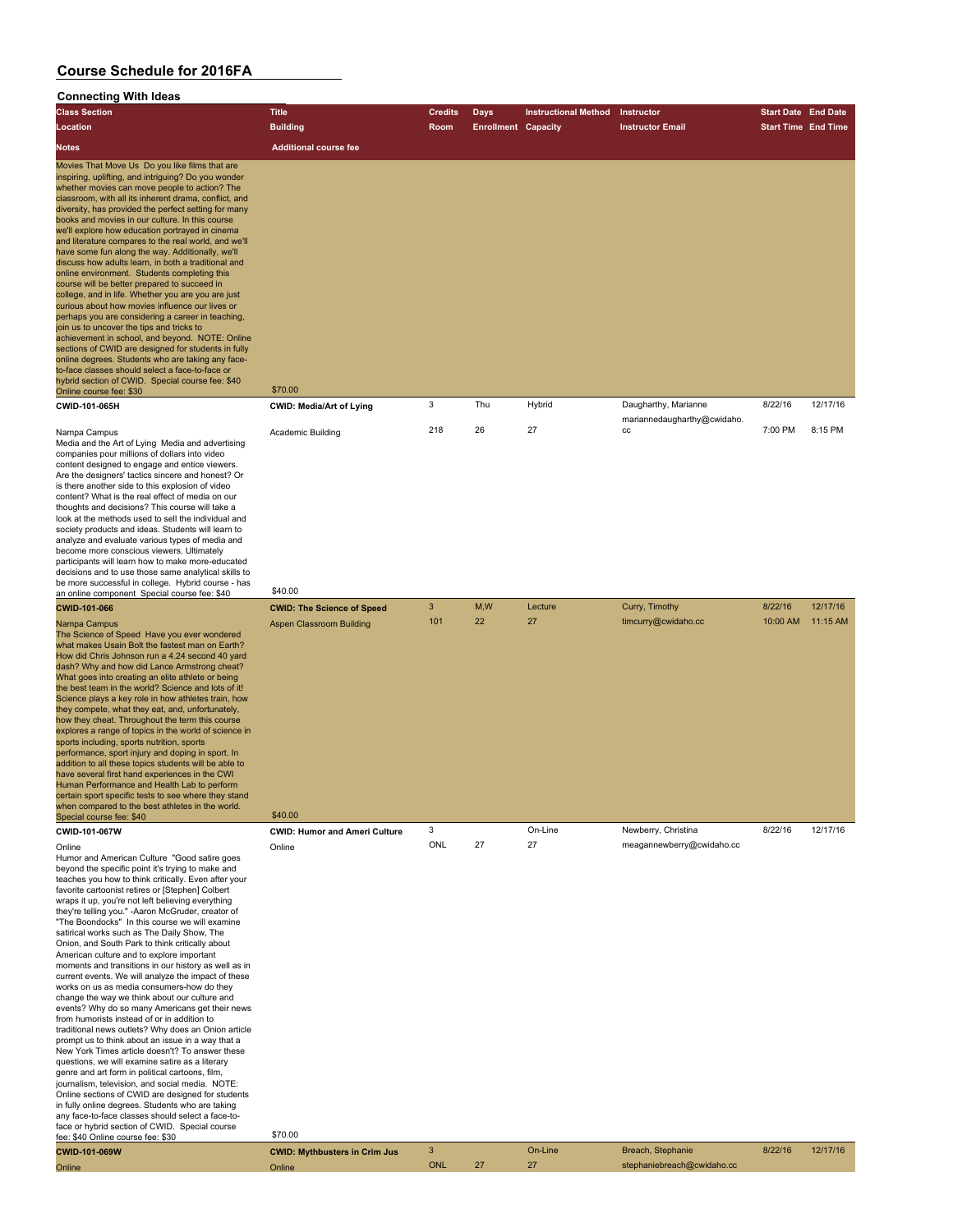| <b>Class Section</b>                                                                                                                                                                                                                                                                                                                                                                                                                                                                                                                                                                                                                                                                                                                                                                                                                                                                                                                                                                                                                                                                                                                                                                                                                                                                                                                                                                                                            | <b>Title</b>                                                             | <b>Credits</b> | Days                       | <b>Instructional Method</b> | Instructor                            | <b>Start Date End Date</b> |          |
|---------------------------------------------------------------------------------------------------------------------------------------------------------------------------------------------------------------------------------------------------------------------------------------------------------------------------------------------------------------------------------------------------------------------------------------------------------------------------------------------------------------------------------------------------------------------------------------------------------------------------------------------------------------------------------------------------------------------------------------------------------------------------------------------------------------------------------------------------------------------------------------------------------------------------------------------------------------------------------------------------------------------------------------------------------------------------------------------------------------------------------------------------------------------------------------------------------------------------------------------------------------------------------------------------------------------------------------------------------------------------------------------------------------------------------|--------------------------------------------------------------------------|----------------|----------------------------|-----------------------------|---------------------------------------|----------------------------|----------|
| Location                                                                                                                                                                                                                                                                                                                                                                                                                                                                                                                                                                                                                                                                                                                                                                                                                                                                                                                                                                                                                                                                                                                                                                                                                                                                                                                                                                                                                        | <b>Building</b>                                                          | Room           | <b>Enrollment Capacity</b> |                             | <b>Instructor Email</b>               | <b>Start Time End Time</b> |          |
| <b>Notes</b>                                                                                                                                                                                                                                                                                                                                                                                                                                                                                                                                                                                                                                                                                                                                                                                                                                                                                                                                                                                                                                                                                                                                                                                                                                                                                                                                                                                                                    | <b>Additional course fee</b>                                             |                |                            |                             |                                       |                            |          |
| Movies That Move Us Do you like films that are<br>inspiring, uplifting, and intriguing? Do you wonder<br>whether movies can move people to action? The<br>classroom, with all its inherent drama, conflict, and<br>diversity, has provided the perfect setting for many<br>books and movies in our culture. In this course<br>we'll explore how education portrayed in cinema<br>and literature compares to the real world, and we'll<br>have some fun along the way. Additionally, we'll<br>discuss how adults learn, in both a traditional and<br>online environment. Students completing this<br>course will be better prepared to succeed in<br>college, and in life. Whether you are you are just<br>curious about how movies influence our lives or<br>perhaps you are considering a career in teaching.<br>join us to uncover the tips and tricks to<br>achievement in school, and beyond. NOTE: Online<br>sections of CWID are designed for students in fully<br>online degrees. Students who are taking any face-<br>to-face classes should select a face-to-face or<br>hybrid section of CWID. Special course fee: \$40<br>Online course fee: \$30                                                                                                                                                                                                                                                                    | \$70.00                                                                  |                |                            |                             |                                       |                            |          |
| CWID-101-065H                                                                                                                                                                                                                                                                                                                                                                                                                                                                                                                                                                                                                                                                                                                                                                                                                                                                                                                                                                                                                                                                                                                                                                                                                                                                                                                                                                                                                   | <b>CWID: Media/Art of Lying</b>                                          | 3              | Thu                        | Hybrid                      | Daugharthy, Marianne                  | 8/22/16                    | 12/17/16 |
| Nampa Campus<br>Media and the Art of Lying Media and advertising<br>companies pour millions of dollars into video<br>content designed to engage and entice viewers.<br>Are the designers' tactics sincere and honest? Or<br>is there another side to this explosion of video<br>content? What is the real effect of media on our<br>thoughts and decisions? This course will take a<br>look at the methods used to sell the individual and<br>society products and ideas. Students will learn to<br>analyze and evaluate various types of media and<br>become more conscious viewers. Ultimately<br>participants will learn how to make more-educated<br>decisions and to use those same analytical skills to<br>be more successful in college. Hybrid course - has                                                                                                                                                                                                                                                                                                                                                                                                                                                                                                                                                                                                                                                             | Academic Building                                                        | 218            | 26                         | 27                          | mariannedaugharthy@cwidaho.<br>cc     | 7:00 PM                    | 8:15 PM  |
| an online component Special course fee: \$40                                                                                                                                                                                                                                                                                                                                                                                                                                                                                                                                                                                                                                                                                                                                                                                                                                                                                                                                                                                                                                                                                                                                                                                                                                                                                                                                                                                    | \$40.00                                                                  |                |                            |                             |                                       |                            |          |
| <b>CWID-101-066</b><br>Nampa Campus<br>The Science of Speed Have you ever wondered<br>what makes Usain Bolt the fastest man on Earth?<br>How did Chris Johnson run a 4.24 second 40 yard<br>dash? Why and how did Lance Armstrong cheat?<br>What goes into creating an elite athlete or being<br>the best team in the world? Science and lots of it!<br>Science plays a key role in how athletes train, how<br>they compete, what they eat, and, unfortunately,<br>how they cheat. Throughout the term this course<br>explores a range of topics in the world of science in<br>sports including, sports nutrition, sports<br>performance, sport injury and doping in sport. In<br>addition to all these topics students will be able to<br>have several first hand experiences in the CWI<br>Human Performance and Health Lab to perform<br>certain sport specific tests to see where they stand<br>when compared to the best athletes in the world.<br>Special course fee: \$40                                                                                                                                                                                                                                                                                                                                                                                                                                                | <b>CWID: The Science of Speed</b><br>Aspen Classroom Building<br>\$40.00 | 101            | 22                         | 27                          | Curry, Timothy<br>timcurry@cwidaho.cc | 10:00 AM                   | 11:15 AM |
| CWID-101-067W                                                                                                                                                                                                                                                                                                                                                                                                                                                                                                                                                                                                                                                                                                                                                                                                                                                                                                                                                                                                                                                                                                                                                                                                                                                                                                                                                                                                                   | <b>CWID: Humor and Ameri Culture</b>                                     | 3              |                            | On-Line                     | Newberry, Christina                   | 8/22/16                    | 12/17/16 |
| Online<br>Humor and American Culture "Good satire goes<br>beyond the specific point it's trying to make and<br>teaches you how to think critically. Even after your<br>favorite cartoonist retires or [Stephen] Colbert<br>wraps it up, you're not left believing everything<br>they're telling you." -Aaron McGruder, creator of<br>"The Boondocks" In this course we will examine<br>satirical works such as The Daily Show, The<br>Onion, and South Park to think critically about<br>American culture and to explore important<br>moments and transitions in our history as well as in<br>current events. We will analyze the impact of these<br>works on us as media consumers-how do they<br>change the way we think about our culture and<br>events? Why do so many Americans get their news<br>from humorists instead of or in addition to<br>traditional news outlets? Why does an Onion article<br>prompt us to think about an issue in a way that a<br>New York Times article doesn't? To answer these<br>questions, we will examine satire as a literary<br>genre and art form in political cartoons, film,<br>journalism, television, and social media. NOTE:<br>Online sections of CWID are designed for students<br>in fully online degrees. Students who are taking<br>any face-to-face classes should select a face-to-<br>face or hybrid section of CWID. Special course<br>fee: \$40 Online course fee: \$30 | Online<br>\$70.00                                                        | ONL            | 27                         | 27                          | meagannewberry@cwidaho.cc             |                            |          |
| CWID-101-069W                                                                                                                                                                                                                                                                                                                                                                                                                                                                                                                                                                                                                                                                                                                                                                                                                                                                                                                                                                                                                                                                                                                                                                                                                                                                                                                                                                                                                   | <b>CWID: Mythbusters in Crim Jus</b>                                     | 3              |                            | On-Line                     | Breach, Stephanie                     | 8/22/16                    | 12/17/16 |
| Online                                                                                                                                                                                                                                                                                                                                                                                                                                                                                                                                                                                                                                                                                                                                                                                                                                                                                                                                                                                                                                                                                                                                                                                                                                                                                                                                                                                                                          | Online                                                                   | <b>ONL</b>     | 27                         | 27                          | stephaniebreach@cwidaho.cc            |                            |          |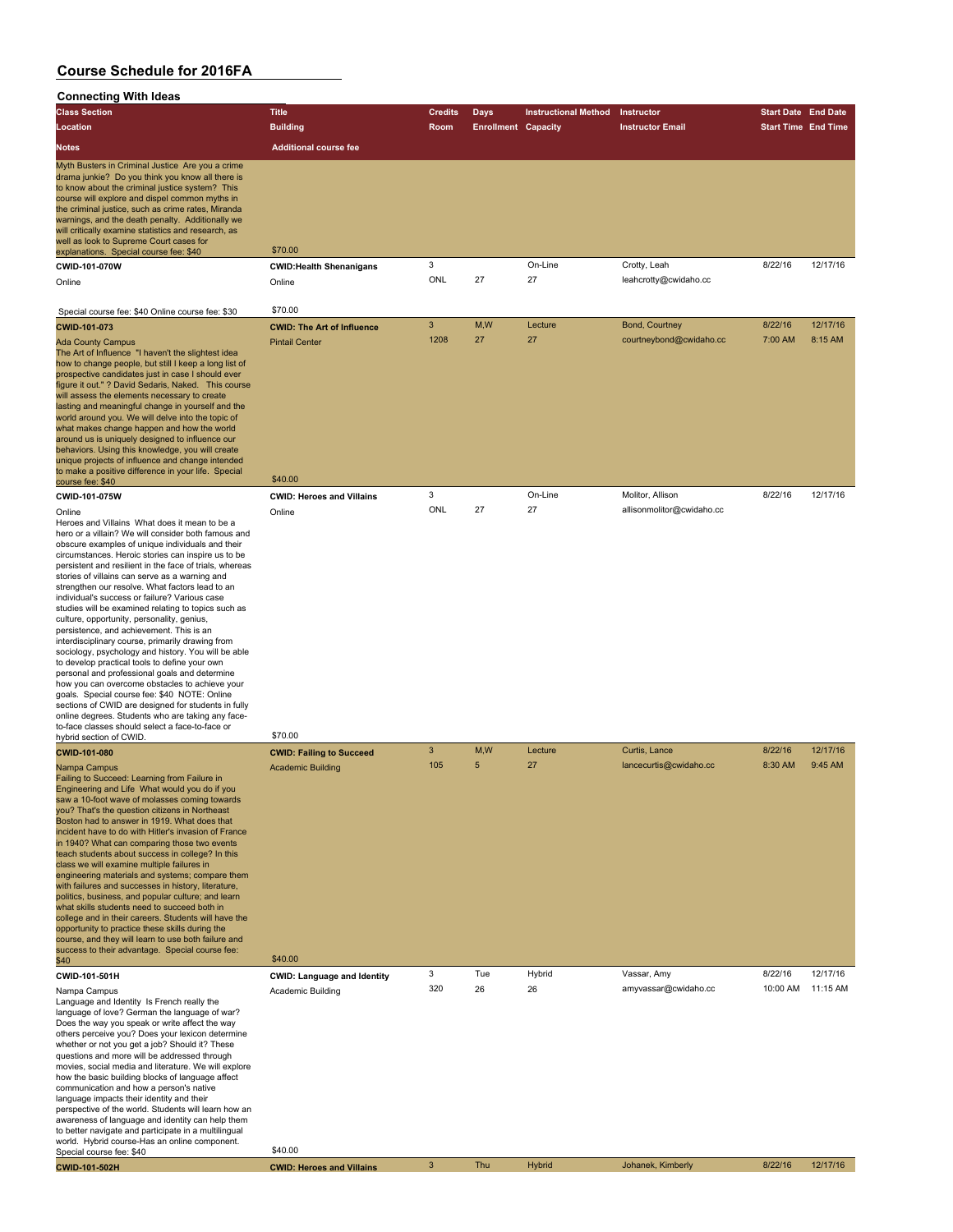| <b>Connecting With Ideas</b>                                                                                                                                                                                                                                                                                                                                                                                                                                                                                                                                                                                                                                                                                                                                                                                                                                                                                                                                                                                                                                                                                                                                                                                                         |                                                                                  |                      |                            |                             |                                                                      |                            |                     |
|--------------------------------------------------------------------------------------------------------------------------------------------------------------------------------------------------------------------------------------------------------------------------------------------------------------------------------------------------------------------------------------------------------------------------------------------------------------------------------------------------------------------------------------------------------------------------------------------------------------------------------------------------------------------------------------------------------------------------------------------------------------------------------------------------------------------------------------------------------------------------------------------------------------------------------------------------------------------------------------------------------------------------------------------------------------------------------------------------------------------------------------------------------------------------------------------------------------------------------------|----------------------------------------------------------------------------------|----------------------|----------------------------|-----------------------------|----------------------------------------------------------------------|----------------------------|---------------------|
| <b>Class Section</b>                                                                                                                                                                                                                                                                                                                                                                                                                                                                                                                                                                                                                                                                                                                                                                                                                                                                                                                                                                                                                                                                                                                                                                                                                 | <b>Title</b>                                                                     | <b>Credits</b>       | <b>Days</b>                | <b>Instructional Method</b> | Instructor                                                           | <b>Start Date End Date</b> |                     |
| Location                                                                                                                                                                                                                                                                                                                                                                                                                                                                                                                                                                                                                                                                                                                                                                                                                                                                                                                                                                                                                                                                                                                                                                                                                             | <b>Building</b>                                                                  | Room                 | <b>Enrollment Capacity</b> |                             | <b>Instructor Email</b>                                              | <b>Start Time End Time</b> |                     |
| Notes                                                                                                                                                                                                                                                                                                                                                                                                                                                                                                                                                                                                                                                                                                                                                                                                                                                                                                                                                                                                                                                                                                                                                                                                                                | <b>Additional course fee</b>                                                     |                      |                            |                             |                                                                      |                            |                     |
| Myth Busters in Criminal Justice Are you a crime<br>drama junkie? Do you think you know all there is<br>to know about the criminal justice system? This<br>course will explore and dispel common myths in<br>the criminal justice, such as crime rates, Miranda<br>warnings, and the death penalty. Additionally we<br>will critically examine statistics and research, as<br>well as look to Supreme Court cases for<br>explanations. Special course fee: \$40                                                                                                                                                                                                                                                                                                                                                                                                                                                                                                                                                                                                                                                                                                                                                                      | \$70.00                                                                          |                      |                            |                             |                                                                      |                            |                     |
| <b>CWID-101-070W</b>                                                                                                                                                                                                                                                                                                                                                                                                                                                                                                                                                                                                                                                                                                                                                                                                                                                                                                                                                                                                                                                                                                                                                                                                                 | <b>CWID:Health Shenanigans</b>                                                   | 3                    |                            | On-Line                     | Crotty, Leah                                                         | 8/22/16                    | 12/17/16            |
| Online                                                                                                                                                                                                                                                                                                                                                                                                                                                                                                                                                                                                                                                                                                                                                                                                                                                                                                                                                                                                                                                                                                                                                                                                                               | Online                                                                           | ONL                  | 27                         | 27                          | leahcrotty@cwidaho.cc                                                |                            |                     |
| Special course fee: \$40 Online course fee: \$30                                                                                                                                                                                                                                                                                                                                                                                                                                                                                                                                                                                                                                                                                                                                                                                                                                                                                                                                                                                                                                                                                                                                                                                     | \$70.00                                                                          |                      |                            |                             |                                                                      |                            |                     |
| CWID-101-073<br><b>Ada County Campus</b><br>The Art of Influence "I haven't the slightest idea<br>how to change people, but still I keep a long list of<br>prospective candidates just in case I should ever<br>figure it out." ? David Sedaris, Naked. This course<br>will assess the elements necessary to create<br>lasting and meaningful change in yourself and the<br>world around you. We will delve into the topic of<br>what makes change happen and how the world<br>around us is uniquely designed to influence our<br>behaviors. Using this knowledge, you will create<br>unique projects of influence and change intended<br>to make a positive difference in your life. Special<br>course fee: \$40                                                                                                                                                                                                                                                                                                                                                                                                                                                                                                                    | <b>CWID: The Art of Influence</b><br><b>Pintail Center</b><br>\$40.00            | $\mathbf{3}$<br>1208 | M,W<br>27                  | Lecture<br>27               | Bond, Courtney<br>courtneybond@cwidaho.cc                            | 8/22/16<br>7:00 AM         | 12/17/16<br>8:15 AM |
| CWID-101-075W                                                                                                                                                                                                                                                                                                                                                                                                                                                                                                                                                                                                                                                                                                                                                                                                                                                                                                                                                                                                                                                                                                                                                                                                                        | <b>CWID: Heroes and Villains</b>                                                 | 3                    |                            | On-Line                     | Molitor, Allison                                                     | 8/22/16                    | 12/17/16            |
| Online<br>Heroes and Villains What does it mean to be a<br>hero or a villain? We will consider both famous and<br>obscure examples of unique individuals and their<br>circumstances. Heroic stories can inspire us to be<br>persistent and resilient in the face of trials, whereas<br>stories of villains can serve as a warning and<br>strengthen our resolve. What factors lead to an<br>individual's success or failure? Various case<br>studies will be examined relating to topics such as<br>culture, opportunity, personality, genius,<br>persistence, and achievement. This is an<br>interdisciplinary course, primarily drawing from<br>sociology, psychology and history. You will be able<br>to develop practical tools to define your own<br>personal and professional goals and determine<br>how you can overcome obstacles to achieve your<br>goals. Special course fee: \$40 NOTE: Online<br>sections of CWID are designed for students in fully<br>online degrees. Students who are taking any face-<br>to-face classes should select a face-to-face or<br>hybrid section of CWID.<br>CWID-101-080<br>Nampa Campus<br>Failing to Succeed: Learning from Failure in<br>Engineering and Life What would you do if you | Online<br>\$70.00<br><b>CWID: Failing to Succeed</b><br><b>Academic Building</b> | ONL<br>3<br>105      | 27<br>M,W<br>5             | 27<br>Lecture<br>27         | allisonmolitor@cwidaho.cc<br>Curtis, Lance<br>lancecurtis@cwidaho.cc | 8/22/16<br>8:30 AM         | 12/17/16<br>9:45 AM |
| saw a 10-foot wave of molasses coming towards<br>you? That's the question citizens in Northeast<br>Boston had to answer in 1919. What does that<br>incident have to do with Hitler's invasion of France<br>in 1940? What can comparing those two events<br>teach students about success in college? In this<br>class we will examine multiple failures in<br>engineering materials and systems; compare them<br>with failures and successes in history, literature,<br>politics, business, and popular culture; and learn<br>what skills students need to succeed both in<br>college and in their careers. Students will have the<br>opportunity to practice these skills during the<br>course, and they will learn to use both failure and<br>success to their advantage. Special course fee:<br>\$40                                                                                                                                                                                                                                                                                                                                                                                                                               | \$40.00                                                                          | 3                    | Tue                        | Hybrid                      | Vassar, Amy                                                          | 8/22/16                    | 12/17/16            |
| CWID-101-501H<br>Nampa Campus                                                                                                                                                                                                                                                                                                                                                                                                                                                                                                                                                                                                                                                                                                                                                                                                                                                                                                                                                                                                                                                                                                                                                                                                        | <b>CWID: Language and Identity</b><br>Academic Building                          | 320                  | 26                         | 26                          | amyvassar@cwidaho.cc                                                 | 10:00 AM                   | 11:15 AM            |
| Language and Identity Is French really the<br>language of love? German the language of war?<br>Does the way you speak or write affect the way<br>others perceive you? Does your lexicon determine<br>whether or not you get a job? Should it? These<br>questions and more will be addressed through<br>movies, social media and literature. We will explore<br>how the basic building blocks of language affect<br>communication and how a person's native<br>language impacts their identity and their<br>perspective of the world. Students will learn how an<br>awareness of language and identity can help them                                                                                                                                                                                                                                                                                                                                                                                                                                                                                                                                                                                                                  |                                                                                  |                      |                            |                             |                                                                      |                            |                     |
| to better navigate and participate in a multilingual<br>world. Hybrid course-Has an online component.                                                                                                                                                                                                                                                                                                                                                                                                                                                                                                                                                                                                                                                                                                                                                                                                                                                                                                                                                                                                                                                                                                                                |                                                                                  |                      |                            |                             |                                                                      |                            |                     |
| Special course fee: \$40                                                                                                                                                                                                                                                                                                                                                                                                                                                                                                                                                                                                                                                                                                                                                                                                                                                                                                                                                                                                                                                                                                                                                                                                             | \$40.00                                                                          |                      |                            |                             |                                                                      |                            |                     |
| CWID-101-502H                                                                                                                                                                                                                                                                                                                                                                                                                                                                                                                                                                                                                                                                                                                                                                                                                                                                                                                                                                                                                                                                                                                                                                                                                        | <b>CWID: Heroes and Villains</b>                                                 | $\mathbf{3}$         | Thu                        | Hybrid                      | Johanek, Kimberly                                                    | 8/22/16                    | 12/17/16            |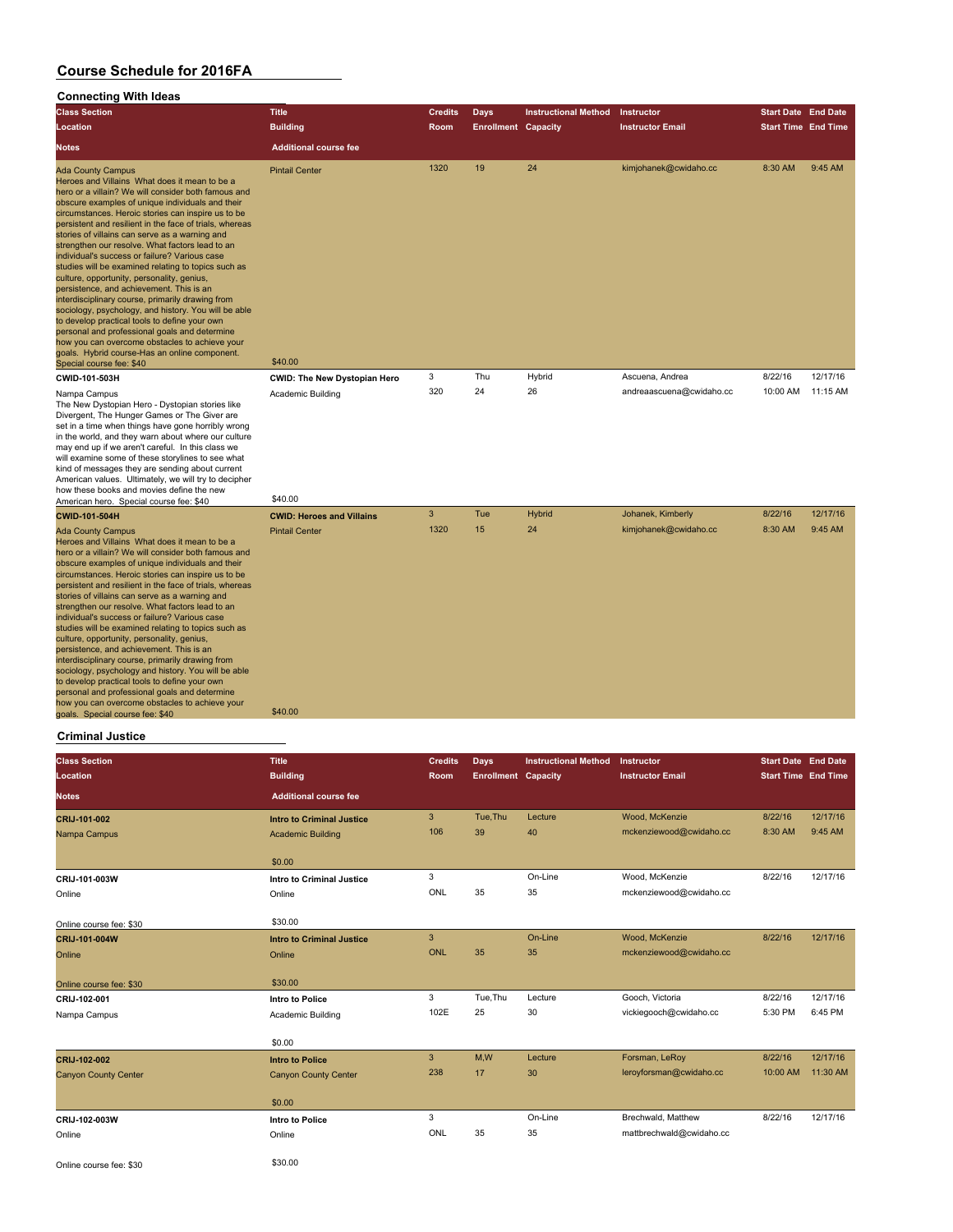#### **Connecting With Ideas**

| <b>Class Section</b>                                                                                                                                                                                                                                                                                                                                                                                                                                                                                                                                                                                                                                                                                                                                                                                                                                                                                                                                      | <b>Title</b>                     | <b>Credits</b> | <b>Days</b>                | <b>Instructional Method</b> | Instructor               | <b>Start Date End Date</b> |          |
|-----------------------------------------------------------------------------------------------------------------------------------------------------------------------------------------------------------------------------------------------------------------------------------------------------------------------------------------------------------------------------------------------------------------------------------------------------------------------------------------------------------------------------------------------------------------------------------------------------------------------------------------------------------------------------------------------------------------------------------------------------------------------------------------------------------------------------------------------------------------------------------------------------------------------------------------------------------|----------------------------------|----------------|----------------------------|-----------------------------|--------------------------|----------------------------|----------|
| Location                                                                                                                                                                                                                                                                                                                                                                                                                                                                                                                                                                                                                                                                                                                                                                                                                                                                                                                                                  | <b>Building</b>                  | Room           | <b>Enrollment Capacity</b> |                             | <b>Instructor Email</b>  | <b>Start Time End Time</b> |          |
| Notes                                                                                                                                                                                                                                                                                                                                                                                                                                                                                                                                                                                                                                                                                                                                                                                                                                                                                                                                                     | <b>Additional course fee</b>     |                |                            |                             |                          |                            |          |
| <b>Ada County Campus</b><br>Heroes and Villains What does it mean to be a<br>hero or a villain? We will consider both famous and<br>obscure examples of unique individuals and their<br>circumstances. Heroic stories can inspire us to be<br>persistent and resilient in the face of trials, whereas<br>stories of villains can serve as a warning and<br>strengthen our resolve. What factors lead to an<br>individual's success or failure? Various case<br>studies will be examined relating to topics such as<br>culture, opportunity, personality, genius,<br>persistence, and achievement. This is an<br>interdisciplinary course, primarily drawing from<br>sociology, psychology, and history. You will be able<br>to develop practical tools to define your own<br>personal and professional goals and determine<br>how you can overcome obstacles to achieve your<br>goals. Hybrid course-Has an online component.<br>Special course fee: \$40 | <b>Pintail Center</b><br>\$40.00 | 1320           | 19                         | 24                          | kimjohanek@cwidaho.cc    | 8:30 AM                    | 9:45 AM  |
| CWID-101-503H                                                                                                                                                                                                                                                                                                                                                                                                                                                                                                                                                                                                                                                                                                                                                                                                                                                                                                                                             | CWID: The New Dystopian Hero     | 3              | Thu                        | Hybrid                      | Ascuena, Andrea          | 8/22/16                    | 12/17/16 |
| Nampa Campus<br>The New Dystopian Hero - Dystopian stories like<br>Divergent, The Hunger Games or The Giver are<br>set in a time when things have gone horribly wrong<br>in the world, and they warn about where our culture<br>may end up if we aren't careful. In this class we<br>will examine some of these storylines to see what<br>kind of messages they are sending about current<br>American values. Ultimately, we will try to decipher<br>how these books and movies define the new<br>American hero. Special course fee: \$40                                                                                                                                                                                                                                                                                                                                                                                                                 | Academic Building<br>\$40.00     | 320            | 24                         | 26                          | andreaascuena@cwidaho.cc | 10:00 AM                   | 11:15 AM |
| <b>CWID-101-504H</b>                                                                                                                                                                                                                                                                                                                                                                                                                                                                                                                                                                                                                                                                                                                                                                                                                                                                                                                                      | <b>CWID: Heroes and Villains</b> | $\mathbf{3}$   | Tue                        | <b>Hybrid</b>               | Johanek, Kimberly        | 8/22/16                    | 12/17/16 |
| <b>Ada County Campus</b><br>Heroes and Villains What does it mean to be a<br>hero or a villain? We will consider both famous and<br>obscure examples of unique individuals and their<br>circumstances. Heroic stories can inspire us to be<br>persistent and resilient in the face of trials, whereas<br>stories of villains can serve as a warning and<br>strengthen our resolve. What factors lead to an<br>individual's success or failure? Various case<br>studies will be examined relating to topics such as<br>culture, opportunity, personality, genius,<br>persistence, and achievement. This is an<br>interdisciplinary course, primarily drawing from<br>sociology, psychology and history. You will be able<br>to develop practical tools to define your own<br>personal and professional goals and determine<br>how you can overcome obstacles to achieve your                                                                               | <b>Pintail Center</b><br>\$40.00 | 1320           | 15                         | 24                          | kimjohanek@cwidaho.cc    | 8:30 AM                    | 9:45 AM  |
| goals. Special course fee: \$40                                                                                                                                                                                                                                                                                                                                                                                                                                                                                                                                                                                                                                                                                                                                                                                                                                                                                                                           |                                  |                |                            |                             |                          |                            |          |

#### **Criminal Justice**

| <b>Class Section</b><br>Location | <b>Title</b><br><b>Building</b>  | Credits<br><b>Room</b> | <b>Days</b><br><b>Enrollment Capacity</b> | <b>Instructional Method</b> | Instructor<br><b>Instructor Email</b> | <b>Start Date End Date</b><br><b>Start Time End Time</b> |          |
|----------------------------------|----------------------------------|------------------------|-------------------------------------------|-----------------------------|---------------------------------------|----------------------------------------------------------|----------|
| <b>Notes</b>                     | <b>Additional course fee</b>     |                        |                                           |                             |                                       |                                                          |          |
| CRIJ-101-002                     | <b>Intro to Criminal Justice</b> | 3                      | Tue, Thu                                  | Lecture                     | Wood, McKenzie                        | 8/22/16                                                  | 12/17/16 |
| Nampa Campus                     | <b>Academic Building</b>         | 106                    | 39                                        | 40                          | mckenziewood@cwidaho.cc               | 8:30 AM                                                  | 9:45 AM  |
|                                  | \$0.00                           |                        |                                           |                             |                                       |                                                          |          |
| CRIJ-101-003W                    | <b>Intro to Criminal Justice</b> | 3                      |                                           | On-Line                     | Wood, McKenzie                        | 8/22/16                                                  | 12/17/16 |
| Online                           | Online                           | ONL                    | 35                                        | 35                          | mckenziewood@cwidaho.cc               |                                                          |          |
| Online course fee: \$30          | \$30.00                          |                        |                                           |                             |                                       |                                                          |          |
| CRIJ-101-004W                    | <b>Intro to Criminal Justice</b> | 3                      |                                           | On-Line                     | Wood, McKenzie                        | 8/22/16                                                  | 12/17/16 |
| Online                           | Online                           | ONL                    | 35                                        | 35                          | mckenziewood@cwidaho.cc               |                                                          |          |
| Online course fee: \$30          | \$30.00                          |                        |                                           |                             |                                       |                                                          |          |
| CRIJ-102-001                     | <b>Intro to Police</b>           | 3                      | Tue, Thu                                  | Lecture                     | Gooch, Victoria                       | 8/22/16                                                  | 12/17/16 |
| Nampa Campus                     | Academic Building                | 102E                   | 25                                        | 30                          | vickiegooch@cwidaho.cc                | 5:30 PM                                                  | 6:45 PM  |
|                                  | \$0.00                           |                        |                                           |                             |                                       |                                                          |          |
| CRIJ-102-002                     | <b>Intro to Police</b>           | 3                      | M,W                                       | Lecture                     | Forsman, LeRoy                        | 8/22/16                                                  | 12/17/16 |
| <b>Canyon County Center</b>      | <b>Canyon County Center</b>      | 238                    | 17                                        | 30                          | leroyforsman@cwidaho.cc               | 10:00 AM                                                 | 11:30 AM |
|                                  | \$0.00                           |                        |                                           |                             |                                       |                                                          |          |
| CRIJ-102-003W                    | Intro to Police                  | 3                      |                                           | On-Line                     | Brechwald, Matthew                    | 8/22/16                                                  | 12/17/16 |
| Online                           | Online                           | ONL                    | 35                                        | 35                          | mattbrechwald@cwidaho.cc              |                                                          |          |
| Online course fee: \$30          | \$30.00                          |                        |                                           |                             |                                       |                                                          |          |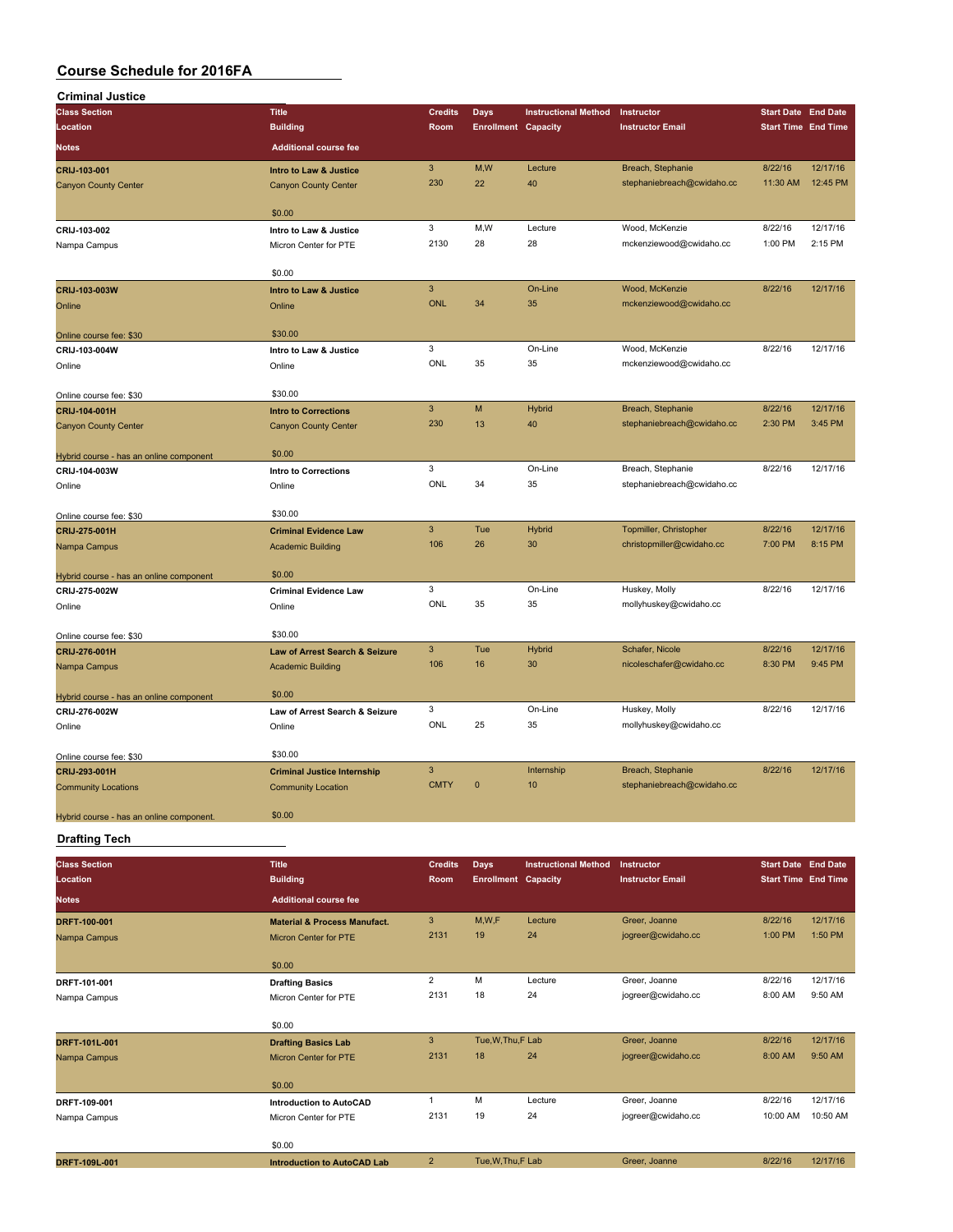| <b>Criminal Justice</b>                  |                                       |                |                            |                             |                            |                            |                     |
|------------------------------------------|---------------------------------------|----------------|----------------------------|-----------------------------|----------------------------|----------------------------|---------------------|
| <b>Class Section</b>                     | <b>Title</b>                          | <b>Credits</b> | Days                       | <b>Instructional Method</b> | Instructor                 | <b>Start Date End Date</b> |                     |
| Location                                 | <b>Building</b>                       | Room           | <b>Enrollment Capacity</b> |                             | <b>Instructor Email</b>    | <b>Start Time End Time</b> |                     |
| <b>Notes</b>                             | <b>Additional course fee</b>          |                |                            |                             |                            |                            |                     |
| CRIJ-103-001                             | Intro to Law & Justice                | $\overline{3}$ | M,W                        | Lecture                     | Breach, Stephanie          | 8/22/16                    | 12/17/16            |
| <b>Canyon County Center</b>              | <b>Canyon County Center</b>           | 230            | 22                         | 40                          | stephaniebreach@cwidaho.cc | 11:30 AM                   | 12:45 PM            |
|                                          | \$0.00                                |                |                            |                             |                            |                            |                     |
| CRIJ-103-002                             | Intro to Law & Justice                | 3              | M,W                        | Lecture                     | Wood, McKenzie             | 8/22/16                    | 12/17/16            |
| Nampa Campus                             | Micron Center for PTE                 | 2130           | 28                         | 28                          | mckenziewood@cwidaho.cc    | 1:00 PM                    | 2:15 PM             |
|                                          | \$0.00                                |                |                            |                             |                            |                            |                     |
| CRIJ-103-003W                            | Intro to Law & Justice                | $\overline{3}$ |                            | On-Line                     | Wood, McKenzie             | 8/22/16                    | 12/17/16            |
| Online                                   | Online                                | <b>ONL</b>     | 34                         | 35                          | mckenziewood@cwidaho.cc    |                            |                     |
|                                          |                                       |                |                            |                             |                            |                            |                     |
| Online course fee: \$30                  | \$30.00                               |                |                            |                             |                            |                            |                     |
| CRIJ-103-004W                            | Intro to Law & Justice                | 3              |                            | On-Line                     | Wood, McKenzie             | 8/22/16                    | 12/17/16            |
| Online                                   | Online                                | ONL            | 35                         | 35                          | mckenziewood@cwidaho.cc    |                            |                     |
| Online course fee: \$30                  | \$30.00                               |                |                            |                             |                            |                            |                     |
| CRIJ-104-001H                            | <b>Intro to Corrections</b>           | 3              | M                          | <b>Hybrid</b>               | Breach, Stephanie          | 8/22/16                    | 12/17/16            |
| <b>Canyon County Center</b>              | <b>Canyon County Center</b>           | 230            | 13                         | 40                          | stephaniebreach@cwidaho.cc | 2:30 PM                    | 3:45 PM             |
|                                          | \$0.00                                |                |                            |                             |                            |                            |                     |
| Hybrid course - has an online component  |                                       | 3              |                            | On-Line                     | Breach, Stephanie          | 8/22/16                    | 12/17/16            |
| CRIJ-104-003W<br>Online                  | <b>Intro to Corrections</b><br>Online | ONL            | 34                         | 35                          | stephaniebreach@cwidaho.cc |                            |                     |
|                                          |                                       |                |                            |                             |                            |                            |                     |
| Online course fee: \$30                  | \$30.00                               |                |                            |                             |                            |                            |                     |
| CRIJ-275-001H                            | <b>Criminal Evidence Law</b>          | $\overline{3}$ | Tue                        | <b>Hybrid</b>               | Topmiller, Christopher     | 8/22/16                    | 12/17/16            |
| Nampa Campus                             | <b>Academic Building</b>              | 106            | 26                         | 30                          | christopmiller@cwidaho.cc  | 7:00 PM                    | 8:15 PM             |
| Hybrid course - has an online component  | \$0.00                                |                |                            |                             |                            |                            |                     |
| CRIJ-275-002W                            | <b>Criminal Evidence Law</b>          | 3              |                            | On-Line                     | Huskey, Molly              | 8/22/16                    | 12/17/16            |
| Online                                   | Online                                | ONL            | 35                         | 35                          | mollyhuskey@cwidaho.cc     |                            |                     |
|                                          |                                       |                |                            |                             |                            |                            |                     |
| Online course fee: \$30                  | \$30.00                               |                |                            |                             |                            |                            |                     |
| CRIJ-276-001H                            | Law of Arrest Search & Seizure        | 3<br>106       | Tue<br>16                  | <b>Hybrid</b><br>30         | Schafer, Nicole            | 8/22/16<br>8:30 PM         | 12/17/16<br>9:45 PM |
| Nampa Campus                             | <b>Academic Building</b>              |                |                            |                             | nicoleschafer@cwidaho.cc   |                            |                     |
| Hybrid course - has an online component  | \$0.00                                |                |                            |                             |                            |                            |                     |
| CRIJ-276-002W                            | Law of Arrest Search & Seizure        | 3              |                            | On-Line                     | Huskey, Molly              | 8/22/16                    | 12/17/16            |
| Online                                   | Online                                | ONL            | 25                         | 35                          | mollyhuskey@cwidaho.cc     |                            |                     |
| Online course fee: \$30                  | \$30.00                               |                |                            |                             |                            |                            |                     |
| CRIJ-293-001H                            | <b>Criminal Justice Internship</b>    | 3              |                            | Internship                  | Breach, Stephanie          | 8/22/16                    | 12/17/16            |
| <b>Community Locations</b>               | <b>Community Location</b>             | <b>CMTY</b>    | $\mathbf{0}$               | 10                          | stephaniebreach@cwidaho.cc |                            |                     |
|                                          |                                       |                |                            |                             |                            |                            |                     |
| Hybrid course - has an online component. | \$0.00                                |                |                            |                             |                            |                            |                     |

**Drafting Tech**

| <b>Class Section</b> | <b>Title</b>                            | <b>Credits</b> | <b>Days</b>                | <b>Instructional Method</b> | Instructor              | <b>Start Date End Date</b> |          |
|----------------------|-----------------------------------------|----------------|----------------------------|-----------------------------|-------------------------|----------------------------|----------|
| Location             | <b>Building</b>                         | Room           | <b>Enrollment Capacity</b> |                             | <b>Instructor Email</b> | <b>Start Time End Time</b> |          |
| <b>Notes</b>         | <b>Additional course fee</b>            |                |                            |                             |                         |                            |          |
| DRFT-100-001         | <b>Material &amp; Process Manufact.</b> | 3              | M,W,F                      | Lecture                     | Greer, Joanne           | 8/22/16                    | 12/17/16 |
| Nampa Campus         | <b>Micron Center for PTE</b>            | 2131           | 19                         | 24                          | jogreer@cwidaho.cc      | 1:00 PM                    | 1:50 PM  |
|                      | \$0.00                                  |                |                            |                             |                         |                            |          |
| DRFT-101-001         | <b>Drafting Basics</b>                  | $\overline{2}$ | M                          | Lecture                     | Greer, Joanne           | 8/22/16                    | 12/17/16 |
| Nampa Campus         | Micron Center for PTE                   | 2131           | 18                         | 24                          | jogreer@cwidaho.cc      | 8:00 AM                    | 9:50 AM  |
|                      | \$0.00                                  |                |                            |                             |                         |                            |          |
| DRFT-101L-001        | <b>Drafting Basics Lab</b>              | 3              | Tue, W, Thu, F Lab         |                             | Greer, Joanne           | 8/22/16                    | 12/17/16 |
| Nampa Campus         | <b>Micron Center for PTE</b>            | 2131           | 18                         | 24                          | jogreer@cwidaho.cc      | 8:00 AM                    | 9:50 AM  |
|                      | \$0.00                                  |                |                            |                             |                         |                            |          |
| DRFT-109-001         | <b>Introduction to AutoCAD</b>          |                | M                          | Lecture                     | Greer, Joanne           | 8/22/16                    | 12/17/16 |
| Nampa Campus         | Micron Center for PTE                   | 2131           | 19                         | 24                          | jogreer@cwidaho.cc      | 10:00 AM                   | 10:50 AM |
|                      | \$0.00                                  |                |                            |                             |                         |                            |          |
| DRFT-109L-001        | <b>Introduction to AutoCAD Lab</b>      | $\overline{2}$ | Tue, W, Thu, F Lab         |                             | Greer, Joanne           | 8/22/16                    | 12/17/16 |
|                      |                                         |                |                            |                             |                         |                            |          |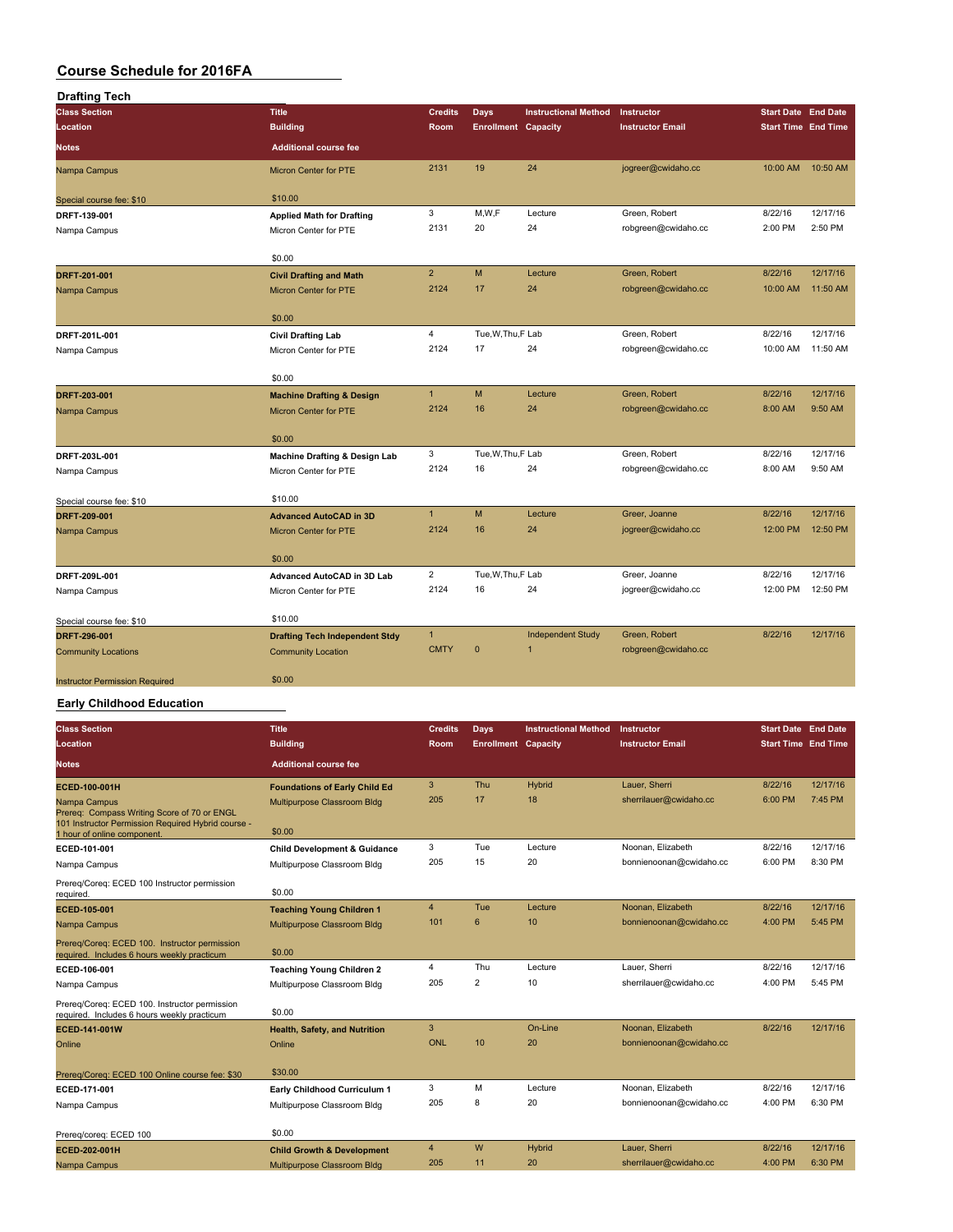| <b>Drafting Tech</b>                  |                                                                   |                |                            |                             |                         |                            |          |
|---------------------------------------|-------------------------------------------------------------------|----------------|----------------------------|-----------------------------|-------------------------|----------------------------|----------|
| <b>Class Section</b>                  | <b>Title</b>                                                      | <b>Credits</b> | Days                       | <b>Instructional Method</b> | Instructor              | <b>Start Date End Date</b> |          |
| Location                              | <b>Building</b>                                                   | Room           | <b>Enrollment Capacity</b> |                             | <b>Instructor Email</b> | <b>Start Time End Time</b> |          |
| <b>Notes</b>                          | <b>Additional course fee</b>                                      |                |                            |                             |                         |                            |          |
| Nampa Campus                          | Micron Center for PTE                                             | 2131           | 19                         | 24                          | jogreer@cwidaho.cc      | 10:00 AM                   | 10:50 AM |
| Special course fee: \$10              | \$10.00                                                           |                |                            |                             |                         |                            |          |
| DRFT-139-001                          | <b>Applied Math for Drafting</b>                                  | 3              | M, W, F                    | Lecture                     | Green, Robert           | 8/22/16                    | 12/17/16 |
| Nampa Campus                          | Micron Center for PTE                                             | 2131           | 20                         | 24                          | robgreen@cwidaho.cc     | 2:00 PM                    | 2:50 PM  |
|                                       | \$0.00                                                            |                |                            |                             |                         |                            |          |
| DRFT-201-001                          | <b>Civil Drafting and Math</b>                                    | $\overline{2}$ | M                          | Lecture                     | Green, Robert           | 8/22/16                    | 12/17/16 |
| Nampa Campus                          | <b>Micron Center for PTE</b>                                      | 2124           | 17                         | 24                          | robgreen@cwidaho.cc     | 10:00 AM                   | 11:50 AM |
|                                       | \$0.00                                                            |                |                            |                             |                         |                            |          |
| DRFT-201L-001                         | <b>Civil Drafting Lab</b>                                         | $\overline{4}$ | Tue, W, Thu, F Lab         |                             | Green, Robert           | 8/22/16                    | 12/17/16 |
| Nampa Campus                          | Micron Center for PTE                                             | 2124           | 17                         | 24                          | robgreen@cwidaho.cc     | 10:00 AM                   | 11:50 AM |
|                                       | \$0.00                                                            |                |                            |                             |                         |                            |          |
| DRFT-203-001                          | <b>Machine Drafting &amp; Design</b>                              | $\mathbf{1}$   | M                          | Lecture                     | Green, Robert           | 8/22/16                    | 12/17/16 |
| Nampa Campus                          | Micron Center for PTE                                             | 2124           | 16                         | 24                          | robgreen@cwidaho.cc     | 8:00 AM                    | 9:50 AM  |
|                                       |                                                                   |                |                            |                             |                         |                            |          |
| DRFT-203L-001                         | \$0.00                                                            | 3              | Tue, W, Thu, F Lab         |                             | Green, Robert           | 8/22/16                    | 12/17/16 |
| Nampa Campus                          | <b>Machine Drafting &amp; Design Lab</b><br>Micron Center for PTE | 2124           | 16                         | 24                          | robgreen@cwidaho.cc     | 8:00 AM                    | 9:50 AM  |
|                                       |                                                                   |                |                            |                             |                         |                            |          |
| Special course fee: \$10              | \$10.00                                                           |                |                            |                             |                         |                            |          |
| DRFT-209-001                          | <b>Advanced AutoCAD in 3D</b>                                     | $\mathbf{1}$   | M                          | Lecture                     | Greer, Joanne           | 8/22/16                    | 12/17/16 |
| Nampa Campus                          | <b>Micron Center for PTE</b>                                      | 2124           | 16                         | 24                          | jogreer@cwidaho.cc      | 12:00 PM                   | 12:50 PM |
|                                       | \$0.00                                                            |                |                            |                             |                         |                            |          |
| DRFT-209L-001                         | <b>Advanced AutoCAD in 3D Lab</b>                                 | $\overline{2}$ | Tue, W, Thu, F Lab         |                             | Greer, Joanne           | 8/22/16                    | 12/17/16 |
| Nampa Campus                          | Micron Center for PTE                                             | 2124           | 16                         | 24                          | jogreer@cwidaho.cc      | 12:00 PM                   | 12:50 PM |
| Special course fee: \$10              | \$10.00                                                           |                |                            |                             |                         |                            |          |
| DRFT-296-001                          | <b>Drafting Tech Independent Stdy</b>                             | $\mathbf{1}$   |                            | <b>Independent Study</b>    | Green, Robert           | 8/22/16                    | 12/17/16 |
| <b>Community Locations</b>            | <b>Community Location</b>                                         | <b>CMTY</b>    | $\mathbf{0}$               | $\mathbf{1}$                | robgreen@cwidaho.cc     |                            |          |
| <b>Instructor Permission Required</b> | \$0.00                                                            |                |                            |                             |                         |                            |          |

#### **Early Childhood Education**

| <b>Class Section</b><br>Location                                                             | <b>Title</b><br><b>Building</b>         | <b>Credits</b><br>Room | Days<br><b>Enrollment Capacity</b> | <b>Instructional Method</b> | <b>Instructor</b><br><b>Instructor Email</b> | <b>Start Date</b> End Date<br><b>Start Time End Time</b> |          |
|----------------------------------------------------------------------------------------------|-----------------------------------------|------------------------|------------------------------------|-----------------------------|----------------------------------------------|----------------------------------------------------------|----------|
| <b>Notes</b>                                                                                 | <b>Additional course fee</b>            |                        |                                    |                             |                                              |                                                          |          |
| ECED-100-001H                                                                                | <b>Foundations of Early Child Ed</b>    | 3                      | Thu                                | <b>Hybrid</b>               | Lauer, Sherri                                | 8/22/16                                                  | 12/17/16 |
| Nampa Campus<br>Prereg: Compass Writing Score of 70 or ENGL                                  | Multipurpose Classroom Bldg             | 205                    | 17                                 | 18                          | sherrilauer@cwidaho.cc                       | 6:00 PM                                                  | 7:45 PM  |
| 101 Instructor Permission Required Hybrid course -<br>1 hour of online component.            | \$0.00                                  |                        |                                    |                             |                                              |                                                          |          |
| ECED-101-001                                                                                 | <b>Child Development &amp; Guidance</b> | 3                      | Tue                                | Lecture                     | Noonan, Elizabeth                            | 8/22/16                                                  | 12/17/16 |
| Nampa Campus                                                                                 | Multipurpose Classroom Bldg             | 205                    | 15                                 | 20                          | bonnienoonan@cwidaho.cc                      | 6:00 PM                                                  | 8:30 PM  |
| Prereg/Coreg: ECED 100 Instructor permission<br>required.                                    | \$0.00                                  |                        |                                    |                             |                                              |                                                          |          |
| ECED-105-001                                                                                 | <b>Teaching Young Children 1</b>        | $\overline{4}$         | Tue                                | Lecture                     | Noonan, Elizabeth                            | 8/22/16                                                  | 12/17/16 |
| Nampa Campus                                                                                 | Multipurpose Classroom Bldg             | 101                    | 6                                  | 10                          | bonnienoonan@cwidaho.cc                      | 4:00 PM                                                  | 5:45 PM  |
| Prereg/Coreg: ECED 100. Instructor permission<br>required. Includes 6 hours weekly practicum | \$0.00                                  |                        |                                    |                             |                                              |                                                          |          |
| ECED-106-001                                                                                 | <b>Teaching Young Children 2</b>        | 4                      | Thu                                | Lecture                     | Lauer, Sherri                                | 8/22/16                                                  | 12/17/16 |
| Nampa Campus                                                                                 | Multipurpose Classroom Bldg             | 205                    | $\overline{2}$                     | 10                          | sherrilauer@cwidaho.cc                       | 4:00 PM                                                  | 5:45 PM  |
| Prereg/Coreg: ECED 100. Instructor permission<br>required. Includes 6 hours weekly practicum | \$0.00                                  |                        |                                    |                             |                                              |                                                          |          |
| ECED-141-001W                                                                                | Health, Safety, and Nutrition           | 3                      |                                    | On-Line                     | Noonan, Elizabeth                            | 8/22/16                                                  | 12/17/16 |
| Online                                                                                       | Online                                  | <b>ONL</b>             | 10                                 | 20                          | bonnienoonan@cwidaho.cc                      |                                                          |          |
| Prereq/Coreq: ECED 100 Online course fee: \$30                                               | \$30.00                                 |                        |                                    |                             |                                              |                                                          |          |
| ECED-171-001                                                                                 | Early Childhood Curriculum 1            | 3                      | M                                  | Lecture                     | Noonan, Elizabeth                            | 8/22/16                                                  | 12/17/16 |
| Nampa Campus                                                                                 | Multipurpose Classroom Bldg             | 205                    | 8                                  | 20                          | bonnienoonan@cwidaho.cc                      | 4:00 PM                                                  | 6:30 PM  |
| Prereg/coreg: ECED 100                                                                       | \$0.00                                  |                        |                                    |                             |                                              |                                                          |          |
| ECED-202-001H                                                                                | <b>Child Growth &amp; Development</b>   | 4                      | W                                  | <b>Hybrid</b>               | Lauer, Sherri                                | 8/22/16                                                  | 12/17/16 |
| Nampa Campus                                                                                 | Multipurpose Classroom Bldg             | 205                    | 11                                 | 20                          | sherrilauer@cwidaho.cc                       | 4:00 PM                                                  | 6:30 PM  |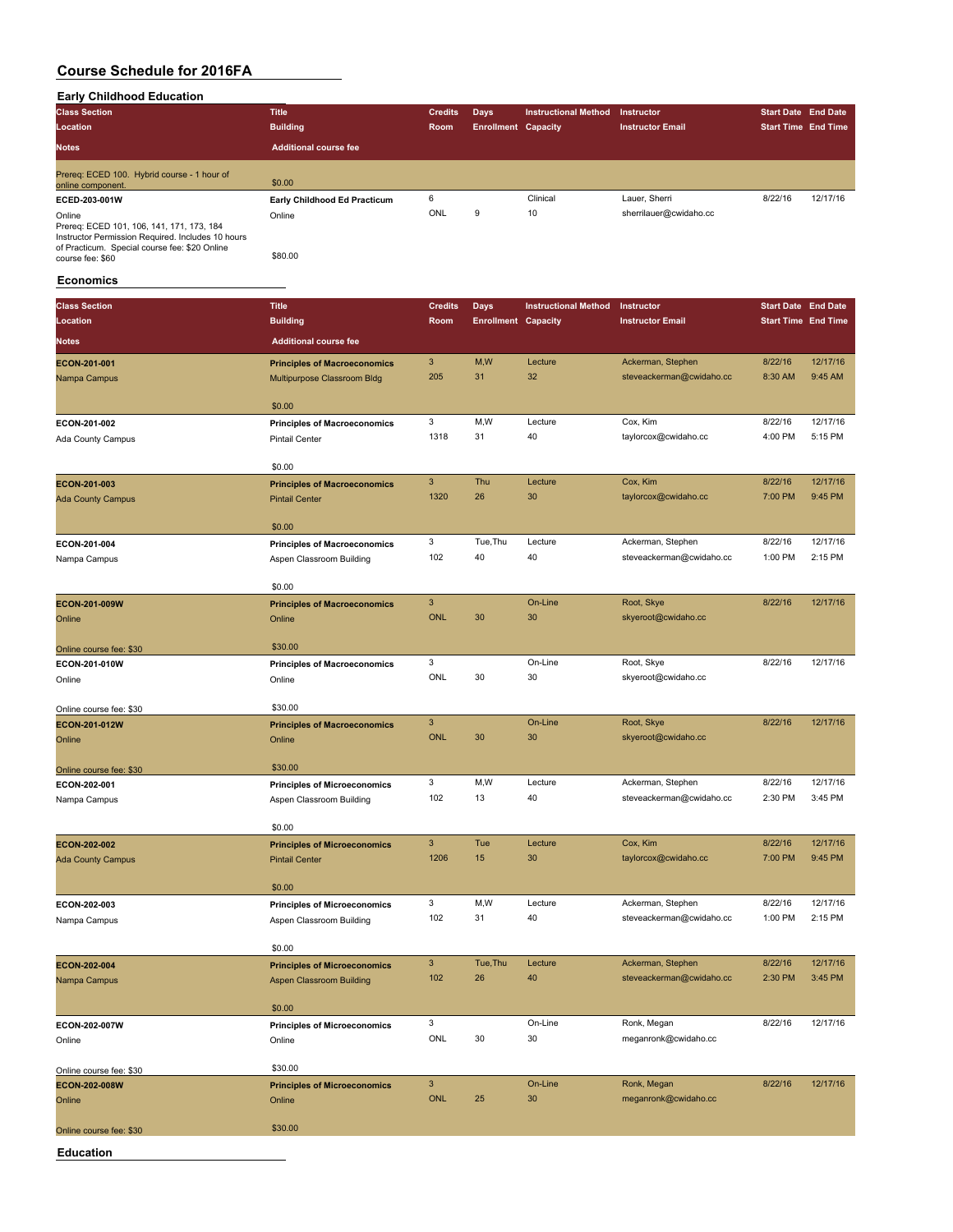| <b>Early Childhood Education</b>                                                                                                                                              |                              |                |                            |                             |                         |                            |                            |  |  |  |
|-------------------------------------------------------------------------------------------------------------------------------------------------------------------------------|------------------------------|----------------|----------------------------|-----------------------------|-------------------------|----------------------------|----------------------------|--|--|--|
| <b>Class Section</b>                                                                                                                                                          | <b>Title</b>                 | <b>Credits</b> | Days                       | <b>Instructional Method</b> | Instructor              | <b>Start Date End Date</b> |                            |  |  |  |
| Location                                                                                                                                                                      | <b>Building</b>              | <b>Room</b>    | <b>Enrollment Capacity</b> |                             | <b>Instructor Email</b> |                            | <b>Start Time End Time</b> |  |  |  |
| <b>Notes</b>                                                                                                                                                                  | <b>Additional course fee</b> |                |                            |                             |                         |                            |                            |  |  |  |
| Prereg: ECED 100. Hybrid course - 1 hour of<br>online component.                                                                                                              | \$0.00                       |                |                            |                             |                         |                            |                            |  |  |  |
| ECED-203-001W                                                                                                                                                                 | Early Childhood Ed Practicum | 6              |                            | Clinical                    | Lauer, Sherri           | 8/22/16                    | 12/17/16                   |  |  |  |
| Online<br>Prereq: ECED 101, 106, 141, 171, 173, 184<br>Instructor Permission Required. Includes 10 hours<br>of Practicum. Special course fee: \$20 Online<br>course fee: \$60 | Online<br>\$80.00            | ONL            | 9                          | 10                          | sherrilauer@cwidaho.cc  |                            |                            |  |  |  |

#### **Economics**

| <b>Class Section</b>              | <b>Title</b>                                                 | <b>Credits</b>            | <b>Days</b>                | <b>Instructional Method</b> | Instructor                                    | <b>Start Date End Date</b> |                     |
|-----------------------------------|--------------------------------------------------------------|---------------------------|----------------------------|-----------------------------|-----------------------------------------------|----------------------------|---------------------|
| Location                          | <b>Building</b>                                              | Room                      | <b>Enrollment Capacity</b> |                             | <b>Instructor Email</b>                       | <b>Start Time End Time</b> |                     |
| <b>Notes</b>                      | <b>Additional course fee</b>                                 |                           |                            |                             |                                               |                            |                     |
| ECON-201-001                      | <b>Principles of Macroeconomics</b>                          | 3                         | M,W                        | Lecture                     | Ackerman, Stephen                             | 8/22/16                    | 12/17/16            |
| Nampa Campus                      | Multipurpose Classroom Bldg                                  | 205                       | 31                         | 32                          | steveackerman@cwidaho.cc                      | 8:30 AM                    | 9:45 AM             |
|                                   |                                                              |                           |                            |                             |                                               |                            |                     |
|                                   | \$0.00                                                       | 3                         | M, W                       | Lecture                     | Cox, Kim                                      | 8/22/16                    | 12/17/16            |
| ECON-201-002<br>Ada County Campus | <b>Principles of Macroeconomics</b><br><b>Pintail Center</b> | 1318                      | 31                         | 40                          | taylorcox@cwidaho.cc                          | 4:00 PM                    | 5:15 PM             |
|                                   |                                                              |                           |                            |                             |                                               |                            |                     |
|                                   | \$0.00                                                       |                           |                            |                             |                                               |                            |                     |
| ECON-201-003                      | <b>Principles of Macroeconomics</b>                          | $\mathbf{3}$              | Thu                        | Lecture                     | Cox, Kim                                      | 8/22/16                    | 12/17/16            |
| <b>Ada County Campus</b>          | <b>Pintail Center</b>                                        | 1320                      | 26                         | 30                          | taylorcox@cwidaho.cc                          | 7:00 PM                    | 9:45 PM             |
|                                   | \$0.00                                                       |                           |                            |                             |                                               |                            |                     |
| ECON-201-004                      | <b>Principles of Macroeconomics</b>                          | 3                         | Tue, Thu                   | Lecture                     | Ackerman, Stephen                             | 8/22/16                    | 12/17/16            |
| Nampa Campus                      | Aspen Classroom Building                                     | 102                       | 40                         | 40                          | steveackerman@cwidaho.cc                      | 1:00 PM                    | 2:15 PM             |
|                                   |                                                              |                           |                            |                             |                                               |                            |                     |
|                                   | \$0.00                                                       |                           |                            |                             |                                               |                            |                     |
| ECON-201-009W                     | <b>Principles of Macroeconomics</b>                          | $\ensuremath{\mathsf{3}}$ |                            | On-Line                     | Root, Skye                                    | 8/22/16                    | 12/17/16            |
| Online                            | Online                                                       | <b>ONL</b>                | 30                         | 30                          | skyeroot@cwidaho.cc                           |                            |                     |
| Online course fee: \$30           | \$30.00                                                      |                           |                            |                             |                                               |                            |                     |
| ECON-201-010W                     | <b>Principles of Macroeconomics</b>                          | 3                         |                            | On-Line                     | Root, Skye                                    | 8/22/16                    | 12/17/16            |
| Online                            | Online                                                       | ONL                       | 30                         | 30                          | skyeroot@cwidaho.cc                           |                            |                     |
|                                   |                                                              |                           |                            |                             |                                               |                            |                     |
| Online course fee: \$30           | \$30.00                                                      |                           |                            |                             |                                               |                            |                     |
| ECON-201-012W                     | <b>Principles of Macroeconomics</b>                          | $\sqrt{3}$                |                            | On-Line                     | Root, Skye                                    | 8/22/16                    | 12/17/16            |
| Online                            | Online                                                       | <b>ONL</b>                | 30                         | 30                          | skyeroot@cwidaho.cc                           |                            |                     |
| Online course fee: \$30           | \$30.00                                                      |                           |                            |                             |                                               |                            |                     |
| ECON-202-001                      | <b>Principles of Microeconomics</b>                          | 3                         | M, W                       | Lecture                     | Ackerman, Stephen                             | 8/22/16                    | 12/17/16            |
| Nampa Campus                      | Aspen Classroom Building                                     | 102                       | 13                         | 40                          | steveackerman@cwidaho.cc                      | 2:30 PM                    | 3:45 PM             |
|                                   |                                                              |                           |                            |                             |                                               |                            |                     |
|                                   | \$0.00                                                       |                           |                            |                             |                                               |                            |                     |
| ECON-202-002                      | <b>Principles of Microeconomics</b>                          | $\mathbf{3}$<br>1206      | Tue<br>15                  | Lecture<br>30               | Cox, Kim<br>taylorcox@cwidaho.cc              | 8/22/16<br>7:00 PM         | 12/17/16<br>9:45 PM |
| <b>Ada County Campus</b>          | <b>Pintail Center</b>                                        |                           |                            |                             |                                               |                            |                     |
|                                   | \$0.00                                                       |                           |                            |                             |                                               |                            |                     |
| ECON-202-003                      | <b>Principles of Microeconomics</b>                          | 3                         | M, W                       | Lecture                     | Ackerman, Stephen                             | 8/22/16                    | 12/17/16            |
| Nampa Campus                      | Aspen Classroom Building                                     | 102                       | 31                         | 40                          | steveackerman@cwidaho.cc                      | 1:00 PM                    | 2:15 PM             |
|                                   |                                                              |                           |                            |                             |                                               |                            |                     |
|                                   | \$0.00                                                       |                           |                            |                             |                                               |                            |                     |
| ECON-202-004                      | <b>Principles of Microeconomics</b>                          | $\mathbf{3}$<br>102       | Tue, Thu<br>26             | Lecture<br>40               | Ackerman, Stephen<br>steveackerman@cwidaho.cc | 8/22/16<br>2:30 PM         | 12/17/16<br>3:45 PM |
| Nampa Campus                      | <b>Aspen Classroom Building</b>                              |                           |                            |                             |                                               |                            |                     |
|                                   | \$0.00                                                       |                           |                            |                             |                                               |                            |                     |
| ECON-202-007W                     | <b>Principles of Microeconomics</b>                          | 3                         |                            | On-Line                     | Ronk, Megan                                   | 8/22/16                    | 12/17/16            |
| Online                            | Online                                                       | ONL                       | 30                         | 30                          | meganronk@cwidaho.cc                          |                            |                     |
|                                   |                                                              |                           |                            |                             |                                               |                            |                     |
| Online course fee: \$30           | \$30.00                                                      | $\mathbf{3}$              |                            | On-Line                     | Ronk, Megan                                   | 8/22/16                    | 12/17/16            |
| ECON-202-008W<br>Online           | <b>Principles of Microeconomics</b><br>Online                | ONL                       | 25                         | 30                          | meganronk@cwidaho.cc                          |                            |                     |
|                                   |                                                              |                           |                            |                             |                                               |                            |                     |
| Online course fee: \$30           | \$30.00                                                      |                           |                            |                             |                                               |                            |                     |
| <b>Education</b>                  |                                                              |                           |                            |                             |                                               |                            |                     |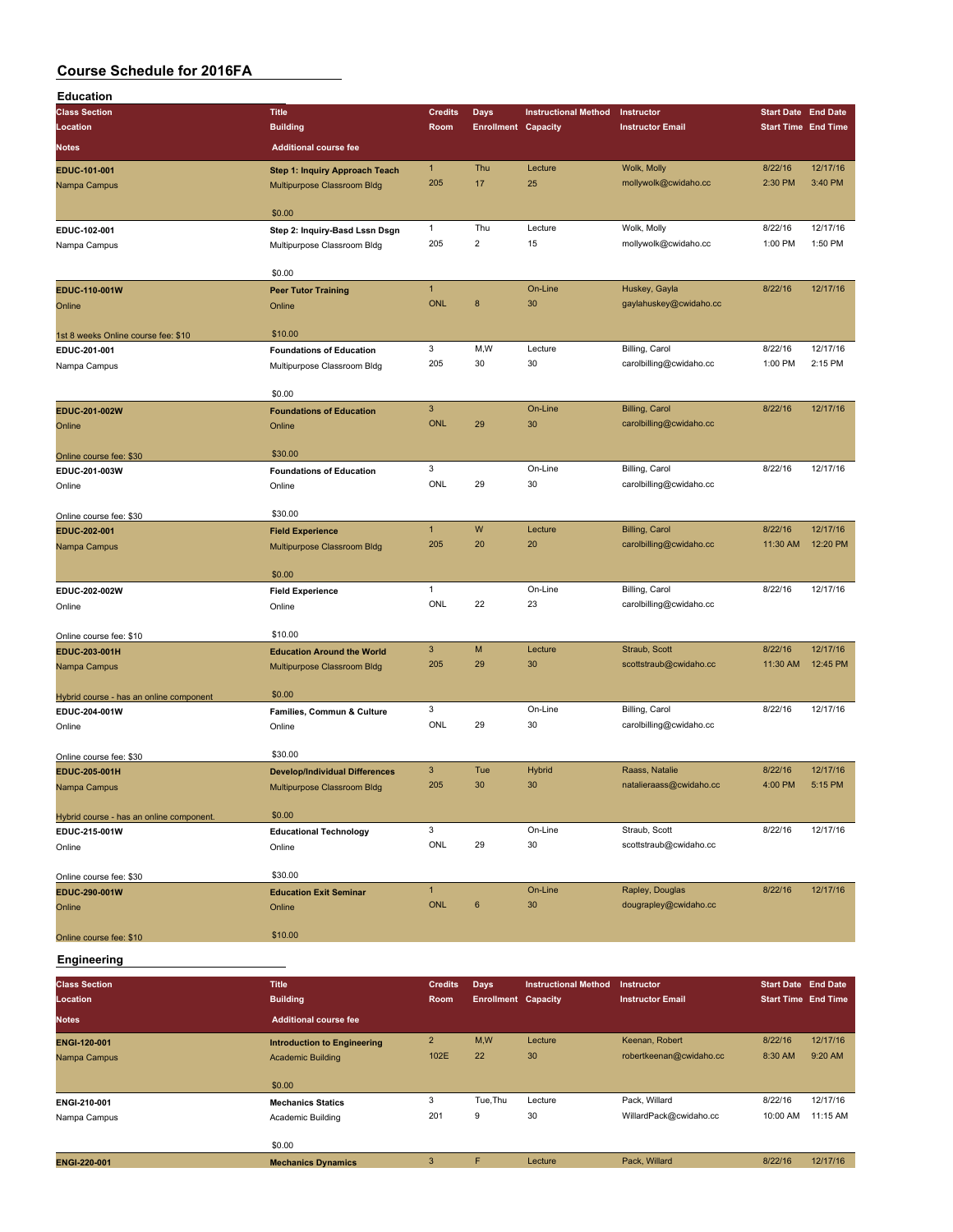| <b>Education</b>                                          |                                       |                |                            |                             |                         |                            |                      |
|-----------------------------------------------------------|---------------------------------------|----------------|----------------------------|-----------------------------|-------------------------|----------------------------|----------------------|
| <b>Class Section</b>                                      | <b>Title</b>                          | <b>Credits</b> | <b>Days</b>                | <b>Instructional Method</b> | Instructor              | <b>Start Date End Date</b> |                      |
| Location                                                  | <b>Building</b>                       | Room           | <b>Enrollment Capacity</b> |                             | <b>Instructor Email</b> | <b>Start Time End Time</b> |                      |
| Notes                                                     | <b>Additional course fee</b>          |                |                            |                             |                         |                            |                      |
| EDUC-101-001                                              | <b>Step 1: Inquiry Approach Teach</b> | $\mathbf{1}$   | Thu                        | Lecture                     | Wolk, Molly             | 8/22/16                    | 12/17/16             |
| Nampa Campus                                              | Multipurpose Classroom Bldg           | 205            | 17                         | 25                          | mollywolk@cwidaho.cc    | 2:30 PM                    | 3:40 PM              |
|                                                           |                                       |                |                            |                             |                         |                            |                      |
|                                                           | \$0.00                                |                |                            |                             |                         |                            |                      |
| EDUC-102-001                                              | Step 2: Inquiry-Basd Lssn Dsgn        | $\mathbf{1}$   | Thu                        | Lecture                     | Wolk, Molly             | 8/22/16                    | 12/17/16             |
| Nampa Campus                                              | Multipurpose Classroom Bldg           | 205            | $\overline{2}$             | 15                          | mollywolk@cwidaho.cc    | 1:00 PM                    | 1:50 PM              |
|                                                           | \$0.00                                |                |                            |                             |                         |                            |                      |
| EDUC-110-001W                                             | <b>Peer Tutor Training</b>            | $\mathbf{1}$   |                            | On-Line                     | Huskey, Gayla           | 8/22/16                    | 12/17/16             |
| Online                                                    | Online                                | <b>ONL</b>     | $\bf 8$                    | 30                          | gaylahuskey@cwidaho.cc  |                            |                      |
|                                                           |                                       |                |                            |                             |                         |                            |                      |
| 1st 8 weeks Online course fee: \$10                       | \$10.00                               |                |                            |                             |                         |                            |                      |
| EDUC-201-001                                              | <b>Foundations of Education</b>       | 3              | M,W                        | Lecture                     | Billing, Carol          | 8/22/16                    | 12/17/16             |
| Nampa Campus                                              | Multipurpose Classroom Bldg           | 205            | 30                         | 30                          | carolbilling@cwidaho.cc | 1:00 PM                    | 2:15 PM              |
|                                                           | \$0.00                                |                |                            |                             |                         |                            |                      |
| EDUC-201-002W                                             | <b>Foundations of Education</b>       | 3              |                            | On-Line                     | <b>Billing, Carol</b>   | 8/22/16                    | 12/17/16             |
| Online                                                    | Online                                | <b>ONL</b>     | 29                         | 30                          | carolbilling@cwidaho.cc |                            |                      |
|                                                           |                                       |                |                            |                             |                         |                            |                      |
| Online course fee: \$30                                   | \$30.00                               |                |                            |                             |                         |                            |                      |
| EDUC-201-003W                                             | <b>Foundations of Education</b>       | 3              |                            | On-Line                     | Billing, Carol          | 8/22/16                    | 12/17/16             |
| Online                                                    | Online                                | ONL            | 29                         | 30                          | carolbilling@cwidaho.cc |                            |                      |
|                                                           |                                       |                |                            |                             |                         |                            |                      |
| Online course fee: \$30                                   | \$30.00                               |                |                            |                             |                         |                            |                      |
| EDUC-202-001                                              | <b>Field Experience</b>               | $\mathbf{1}$   | W<br>20                    | Lecture                     | Billing, Carol          | 8/22/16                    | 12/17/16<br>12:20 PM |
| Nampa Campus                                              | Multipurpose Classroom Bldg           | 205            |                            | 20                          | carolbilling@cwidaho.cc | 11:30 AM                   |                      |
|                                                           | \$0.00                                |                |                            |                             |                         |                            |                      |
| EDUC-202-002W                                             | <b>Field Experience</b>               | $\mathbf{1}$   |                            | On-Line                     | Billing, Carol          | 8/22/16                    | 12/17/16             |
| Online                                                    | Online                                | ONL            | 22                         | 23                          | carolbilling@cwidaho.cc |                            |                      |
|                                                           |                                       |                |                            |                             |                         |                            |                      |
| Online course fee: \$10                                   | \$10.00                               |                |                            |                             |                         |                            |                      |
| EDUC-203-001H                                             | <b>Education Around the World</b>     | $\mathbf{3}$   | M                          | Lecture                     | Straub, Scott           | 8/22/16                    | 12/17/16             |
| Nampa Campus                                              | Multipurpose Classroom Bldg           | 205            | 29                         | 30                          | scottstraub@cwidaho.cc  | 11:30 AM                   | 12:45 PM             |
|                                                           | \$0.00                                |                |                            |                             |                         |                            |                      |
| Hybrid course - has an online component<br>EDUC-204-001W  | Families, Commun & Culture            | 3              |                            | On-Line                     | Billing, Carol          | 8/22/16                    | 12/17/16             |
| Online                                                    | Online                                | ONL            | 29                         | 30                          | carolbilling@cwidaho.cc |                            |                      |
|                                                           |                                       |                |                            |                             |                         |                            |                      |
| Online course fee: \$30                                   | \$30.00                               |                |                            |                             |                         |                            |                      |
| EDUC-205-001H                                             | <b>Develop/Individual Differences</b> | 3              | Tue                        | Hybrid                      | Raass, Natalie          | 8/22/16                    | 12/17/16             |
| Nampa Campus                                              | Multipurpose Classroom Bldg           | 205            | 30                         | 30                          | natalieraass@cwidaho.cc | 4:00 PM                    | 5:15 PM              |
|                                                           | \$0.00                                |                |                            |                             |                         |                            |                      |
| Hybrid course - has an online component.<br>EDUC-215-001W | <b>Educational Technology</b>         | 3              |                            | On-Line                     | Straub, Scott           | 8/22/16                    | 12/17/16             |
| Online                                                    | Online                                | ONL            | 29                         | 30                          | scottstraub@cwidaho.cc  |                            |                      |
|                                                           |                                       |                |                            |                             |                         |                            |                      |
| Online course fee: \$30                                   | \$30.00                               |                |                            |                             |                         |                            |                      |
| EDUC-290-001W                                             | <b>Education Exit Seminar</b>         | $\mathbf{1}$   |                            | On-Line                     | Rapley, Douglas         | 8/22/16                    | 12/17/16             |
| Online                                                    | Online                                | <b>ONL</b>     | $\bf 6$                    | 30                          | dougrapley@cwidaho.cc   |                            |                      |
|                                                           |                                       |                |                            |                             |                         |                            |                      |
| Online course fee: \$10                                   | \$10.00                               |                |                            |                             |                         |                            |                      |

#### **Engineering**

| <b>Class Section</b><br>Location | <b>Title</b><br><b>Building</b>    | <b>Credits</b><br><b>Room</b> | Days<br><b>Enrollment Capacity</b> | <b>Instructional Method</b> | <b>Instructor</b><br><b>Instructor Email</b> | <b>Start Date End Date</b><br><b>Start Time End Time</b> |          |
|----------------------------------|------------------------------------|-------------------------------|------------------------------------|-----------------------------|----------------------------------------------|----------------------------------------------------------|----------|
| <b>Notes</b>                     | <b>Additional course fee</b>       |                               |                                    |                             |                                              |                                                          |          |
| ENGI-120-001                     | <b>Introduction to Engineering</b> | $\overline{2}$                | M,W                                | Lecture                     | Keenan, Robert                               | 8/22/16                                                  | 12/17/16 |
| Nampa Campus                     | <b>Academic Building</b>           | 102E                          | 22                                 | 30                          | robertkeenan@cwidaho.cc                      | 8:30 AM                                                  | 9:20 AM  |
|                                  | \$0.00                             |                               |                                    |                             |                                              |                                                          |          |
| ENGI-210-001                     | <b>Mechanics Statics</b>           | 3                             | Tue, Thu                           | Lecture                     | Pack, Willard                                | 8/22/16                                                  | 12/17/16 |
| Nampa Campus                     | Academic Building                  | 201                           | 9                                  | 30                          | WillardPack@cwidaho.cc                       | 10:00 AM                                                 | 11:15 AM |
|                                  | \$0.00                             |                               |                                    |                             |                                              |                                                          |          |
| <b>ENGI-220-001</b>              | <b>Mechanics Dynamics</b>          | 3                             | F                                  | Lecture                     | Pack, Willard                                | 8/22/16                                                  | 12/17/16 |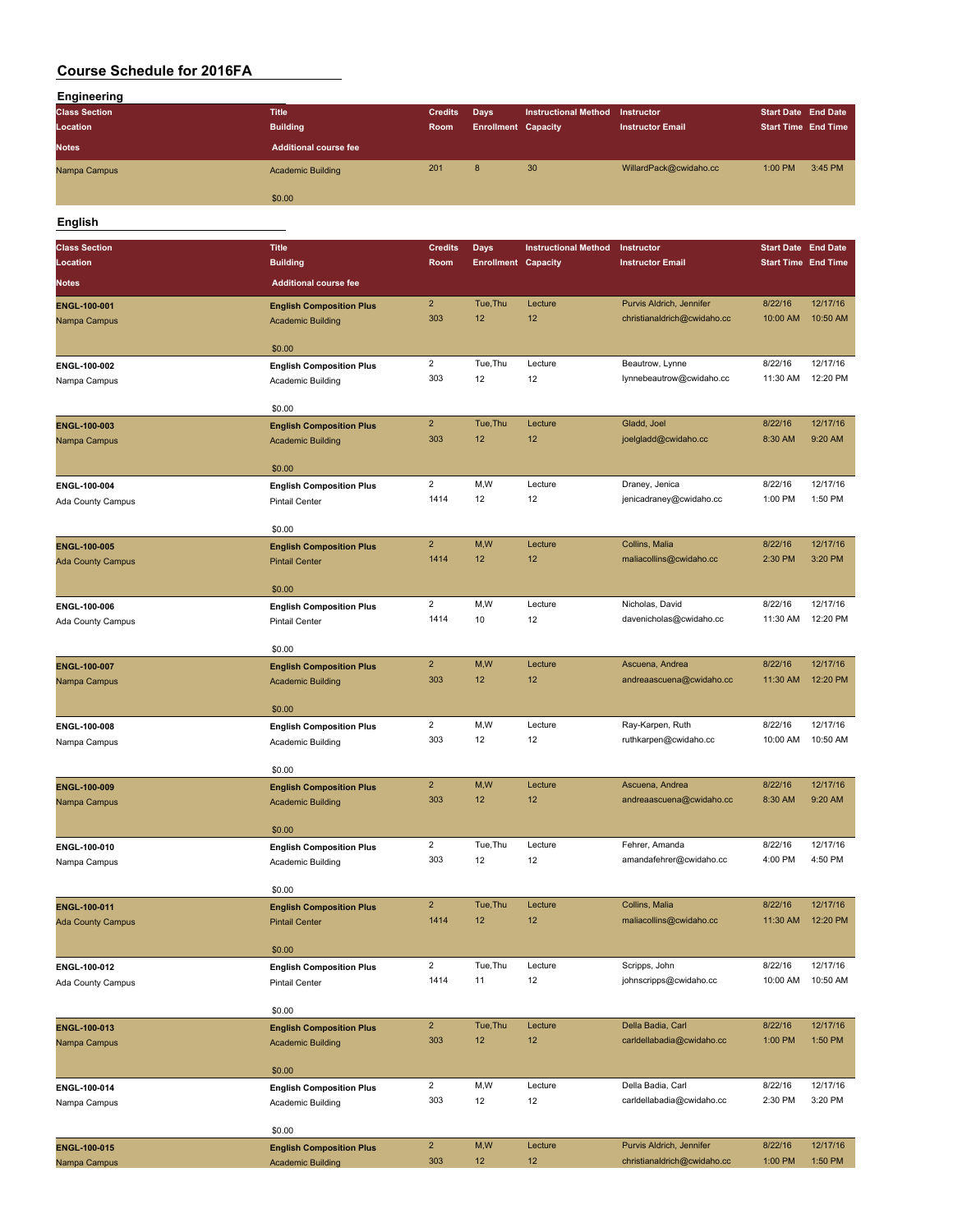| <b>Engineering</b>       |                                 |                         |                            |                             |                             |                            |          |
|--------------------------|---------------------------------|-------------------------|----------------------------|-----------------------------|-----------------------------|----------------------------|----------|
| <b>Class Section</b>     | <b>Title</b>                    | <b>Credits</b>          | Days                       | <b>Instructional Method</b> | Instructor                  | <b>Start Date End Date</b> |          |
| Location                 | <b>Building</b>                 | Room                    | <b>Enrollment Capacity</b> |                             | <b>Instructor Email</b>     | <b>Start Time End Time</b> |          |
| <b>Notes</b>             | <b>Additional course fee</b>    |                         |                            |                             |                             |                            |          |
|                          |                                 |                         |                            |                             |                             |                            |          |
| Nampa Campus             | <b>Academic Building</b>        | 201                     | 8                          | 30                          | WillardPack@cwidaho.cc      | 1:00 PM                    | 3:45 PM  |
|                          |                                 |                         |                            |                             |                             |                            |          |
|                          | \$0.00                          |                         |                            |                             |                             |                            |          |
| <b>English</b>           |                                 |                         |                            |                             |                             |                            |          |
|                          |                                 |                         |                            |                             |                             |                            |          |
| <b>Class Section</b>     | <b>Title</b>                    | <b>Credits</b>          | $_{\text{Days}}$           | <b>Instructional Method</b> | Instructor                  | <b>Start Date End Date</b> |          |
| Location                 | <b>Building</b>                 | Room                    | <b>Enrollment Capacity</b> |                             | <b>Instructor Email</b>     | <b>Start Time End Time</b> |          |
| <b>Notes</b>             | <b>Additional course fee</b>    |                         |                            |                             |                             |                            |          |
| ENGL-100-001             | <b>English Composition Plus</b> | $\overline{2}$          | Tue, Thu                   | Lecture                     | Purvis Aldrich, Jennifer    | 8/22/16                    | 12/17/16 |
| Nampa Campus             | <b>Academic Building</b>        | 303                     | 12                         | 12                          | christianaldrich@cwidaho.cc | 10:00 AM                   | 10:50 AM |
|                          |                                 |                         |                            |                             |                             |                            |          |
|                          | \$0.00                          |                         |                            |                             |                             |                            |          |
| ENGL-100-002             | <b>English Composition Plus</b> | $\overline{2}$          | Tue, Thu                   | Lecture                     | Beautrow, Lynne             | 8/22/16                    | 12/17/16 |
| Nampa Campus             | Academic Building               | 303                     | 12                         | 12                          | lynnebeautrow@cwidaho.cc    | 11:30 AM                   | 12:20 PM |
|                          |                                 |                         |                            |                             |                             |                            |          |
|                          | \$0.00                          |                         |                            |                             |                             |                            |          |
| ENGL-100-003             | <b>English Composition Plus</b> | $\mathbf 2$             | Tue, Thu                   | Lecture                     | Gladd, Joel                 | 8/22/16                    | 12/17/16 |
| Nampa Campus             | <b>Academic Building</b>        | 303                     | 12                         | 12                          | joelgladd@cwidaho.cc        | 8:30 AM                    | 9:20 AM  |
|                          |                                 |                         |                            |                             |                             |                            |          |
|                          | \$0.00                          |                         |                            |                             |                             |                            |          |
| ENGL-100-004             | <b>English Composition Plus</b> | $\overline{2}$          | M,W                        | Lecture                     | Draney, Jenica              | 8/22/16                    | 12/17/16 |
| Ada County Campus        | <b>Pintail Center</b>           | 1414                    | 12                         | 12                          | jenicadraney@cwidaho.cc     | 1:00 PM                    | 1:50 PM  |
|                          |                                 |                         |                            |                             |                             |                            |          |
|                          | \$0.00                          |                         |                            |                             |                             |                            |          |
| ENGL-100-005             | <b>English Composition Plus</b> | $\overline{2}$          | M,W                        | Lecture                     | Collins, Malia              | 8/22/16                    | 12/17/16 |
| <b>Ada County Campus</b> | <b>Pintail Center</b>           | 1414                    | 12                         | 12                          | maliacollins@cwidaho.cc     | 2:30 PM                    | 3:20 PM  |
|                          |                                 |                         |                            |                             |                             |                            |          |
|                          | \$0.00                          |                         |                            |                             |                             |                            |          |
| ENGL-100-006             | <b>English Composition Plus</b> | $\overline{2}$          | M, W                       | Lecture                     | Nicholas, David             | 8/22/16                    | 12/17/16 |
| Ada County Campus        | <b>Pintail Center</b>           | 1414                    | 10                         | 12                          | davenicholas@cwidaho.cc     | 11:30 AM                   | 12:20 PM |
|                          |                                 |                         |                            |                             |                             |                            |          |
|                          | \$0.00                          |                         |                            |                             |                             |                            |          |
| ENGL-100-007             | <b>English Composition Plus</b> | $\overline{2}$          | M,W                        | Lecture                     | Ascuena, Andrea             | 8/22/16                    | 12/17/16 |
| Nampa Campus             | <b>Academic Building</b>        | 303                     | 12                         | 12                          | andreaascuena@cwidaho.cc    | 11:30 AM                   | 12:20 PM |
|                          |                                 |                         |                            |                             |                             |                            |          |
|                          | \$0.00                          |                         |                            |                             |                             |                            |          |
| ENGL-100-008             | <b>English Composition Plus</b> | $\overline{2}$          | M,W                        | Lecture                     | Ray-Karpen, Ruth            | 8/22/16                    | 12/17/16 |
| Nampa Campus             | Academic Building               | 303                     | 12                         | 12                          | ruthkarpen@cwidaho.cc       | 10:00 AM                   | 10:50 AM |
|                          |                                 |                         |                            |                             |                             |                            |          |
|                          | \$0.00                          |                         |                            |                             |                             |                            |          |
| ENGL-100-009             | <b>English Composition Plus</b> | $\overline{2}$          | M,W                        | Lecture                     | Ascuena, Andrea             | 8/22/16                    | 12/17/16 |
| Nampa Campus             | <b>Academic Building</b>        | 303                     | 12                         | 12                          | andreaascuena@cwidaho.cc    | 8:30 AM                    | 9:20 AM  |
|                          |                                 |                         |                            |                             |                             |                            |          |
|                          | \$0.00                          |                         |                            |                             |                             |                            |          |
| ENGL-100-010             | <b>English Composition Plus</b> | $\overline{2}$          | Tue, Thu                   | Lecture                     | Fehrer, Amanda              | 8/22/16                    | 12/17/16 |
| Nampa Campus             | Academic Building               | 303                     | 12                         | 12                          | amandafehrer@cwidaho.cc     | 4:00 PM                    | 4:50 PM  |
|                          |                                 |                         |                            |                             |                             |                            |          |
|                          | \$0.00                          |                         |                            |                             |                             |                            |          |
| ENGL-100-011             | <b>English Composition Plus</b> | $\overline{2}$          | Tue, Thu                   | Lecture                     | Collins, Malia              | 8/22/16                    | 12/17/16 |
| <b>Ada County Campus</b> | <b>Pintail Center</b>           | 1414                    | 12                         | 12                          | maliacollins@cwidaho.cc     | 11:30 AM                   | 12:20 PM |
|                          |                                 |                         |                            |                             |                             |                            |          |
|                          | \$0.00                          |                         | Tue, Thu                   |                             |                             |                            |          |
| ENGL-100-012             | <b>English Composition Plus</b> | $\overline{\mathbf{c}}$ |                            | Lecture                     | Scripps, John               | 8/22/16                    | 12/17/16 |
| Ada County Campus        | <b>Pintail Center</b>           | 1414                    | 11                         | 12                          | johnscripps@cwidaho.cc      | 10:00 AM                   | 10:50 AM |
|                          | \$0.00                          |                         |                            |                             |                             |                            |          |
|                          |                                 | $\overline{2}$          | Tue, Thu                   | Lecture                     | Della Badia, Carl           | 8/22/16                    | 12/17/16 |
| ENGL-100-013             | <b>English Composition Plus</b> | 303                     | 12                         | 12                          | carldellabadia@cwidaho.cc   | 1:00 PM                    | 1:50 PM  |
| Nampa Campus             | <b>Academic Building</b>        |                         |                            |                             |                             |                            |          |
|                          | \$0.00                          |                         |                            |                             |                             |                            |          |
|                          |                                 | $\overline{2}$          | M,W                        | Lecture                     | Della Badia, Carl           | 8/22/16                    | 12/17/16 |
| ENGL-100-014             | <b>English Composition Plus</b> | 303                     | 12                         | 12                          | carldellabadia@cwidaho.cc   | 2:30 PM                    | 3:20 PM  |
| Nampa Campus             | Academic Building               |                         |                            |                             |                             |                            |          |
|                          | \$0.00                          |                         |                            |                             |                             |                            |          |
| ENGL-100-015             | <b>English Composition Plus</b> | $\overline{2}$          | M, W                       | Lecture                     | Purvis Aldrich, Jennifer    | 8/22/16                    | 12/17/16 |
| Nampa Campus             | <b>Academic Building</b>        | 303                     | 12                         | 12                          | christianaldrich@cwidaho.cc | 1:00 PM                    | 1:50 PM  |
|                          |                                 |                         |                            |                             |                             |                            |          |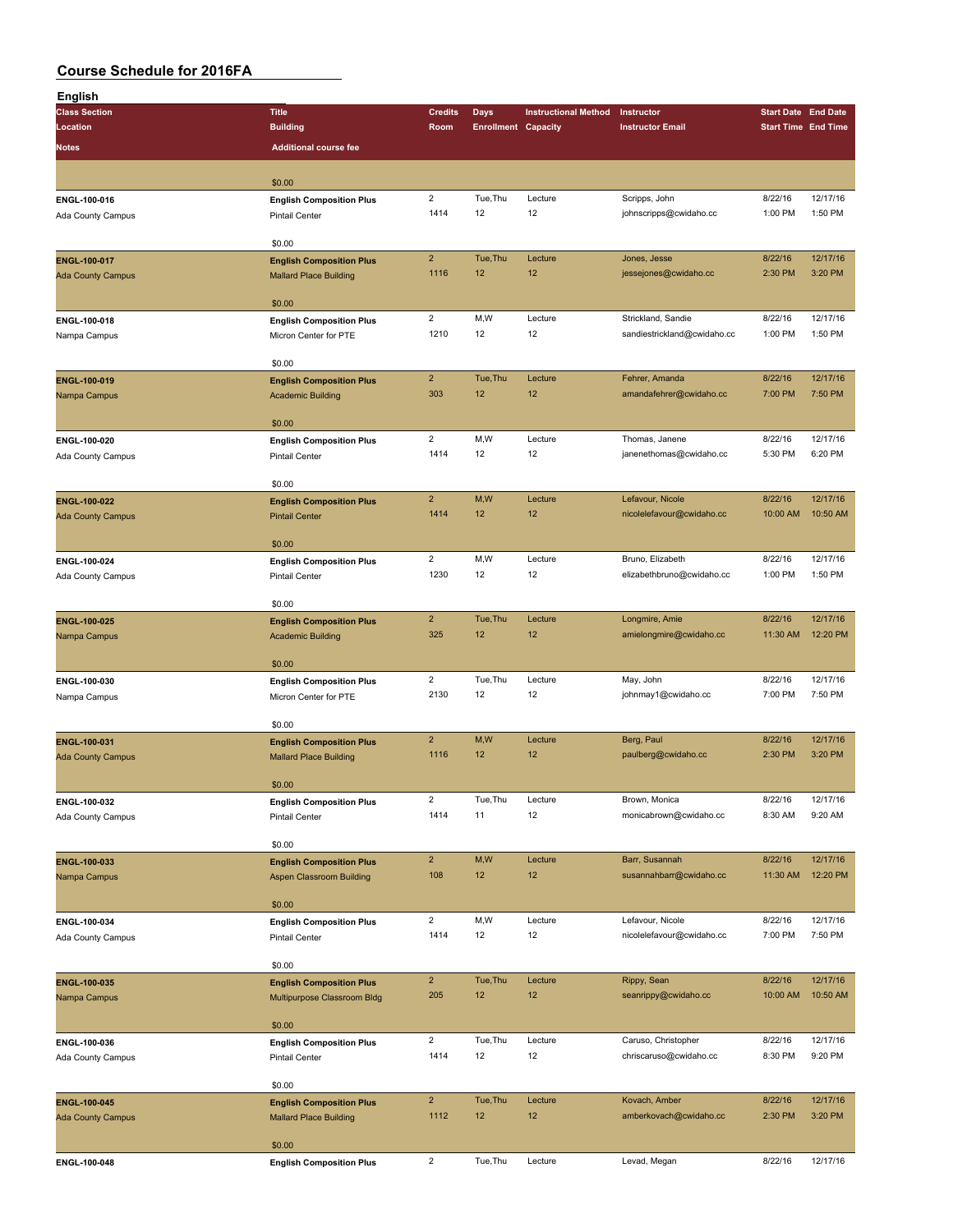| English                  |                                                                    |                    |                            |                             |                             |                            |                            |
|--------------------------|--------------------------------------------------------------------|--------------------|----------------------------|-----------------------------|-----------------------------|----------------------------|----------------------------|
| <b>Class Section</b>     | <b>Title</b>                                                       | <b>Credits</b>     | Days                       | <b>Instructional Method</b> | Instructor                  | <b>Start Date End Date</b> |                            |
| Location                 | <b>Building</b>                                                    | Room               | <b>Enrollment Capacity</b> |                             | <b>Instructor Email</b>     |                            | <b>Start Time End Time</b> |
| <b>Notes</b>             | <b>Additional course fee</b>                                       |                    |                            |                             |                             |                            |                            |
|                          |                                                                    |                    |                            |                             |                             |                            |                            |
|                          |                                                                    |                    |                            |                             |                             |                            |                            |
|                          | \$0.00                                                             |                    |                            |                             |                             |                            |                            |
| ENGL-100-016             | <b>English Composition Plus</b>                                    | $\overline{2}$     | Tue, Thu<br>12             | Lecture<br>12               | Scripps, John               | 8/22/16                    | 12/17/16<br>1:50 PM        |
| Ada County Campus        | <b>Pintail Center</b>                                              | 1414               |                            |                             | johnscripps@cwidaho.cc      | 1:00 PM                    |                            |
|                          | \$0.00                                                             |                    |                            |                             |                             |                            |                            |
|                          |                                                                    | $\overline{2}$     | Tue, Thu                   | Lecture                     | Jones, Jesse                | 8/22/16                    | 12/17/16                   |
| <b>ENGL-100-017</b>      | <b>English Composition Plus</b>                                    | 1116               | 12                         | 12                          | jessejones@cwidaho.cc       | 2:30 PM                    | 3:20 PM                    |
| <b>Ada County Campus</b> | <b>Mallard Place Building</b>                                      |                    |                            |                             |                             |                            |                            |
|                          | \$0.00                                                             |                    |                            |                             |                             |                            |                            |
| ENGL-100-018             | <b>English Composition Plus</b>                                    | $\overline{2}$     | M,W                        | Lecture                     | Strickland, Sandie          | 8/22/16                    | 12/17/16                   |
| Nampa Campus             | Micron Center for PTE                                              | 1210               | 12                         | 12                          | sandiestrickland@cwidaho.cc | 1:00 PM                    | 1:50 PM                    |
|                          |                                                                    |                    |                            |                             |                             |                            |                            |
|                          | \$0.00                                                             |                    |                            |                             |                             |                            |                            |
| ENGL-100-019             | <b>English Composition Plus</b>                                    | $\overline{2}$     | Tue, Thu                   | Lecture                     | Fehrer, Amanda              | 8/22/16                    | 12/17/16                   |
| Nampa Campus             | <b>Academic Building</b>                                           | 303                | 12                         | 12                          | amandafehrer@cwidaho.cc     | 7:00 PM                    | 7:50 PM                    |
|                          |                                                                    |                    |                            |                             |                             |                            |                            |
|                          | \$0.00                                                             |                    |                            |                             |                             |                            |                            |
| ENGL-100-020             | <b>English Composition Plus</b>                                    | $\overline{2}$     | M,W                        | Lecture                     | Thomas, Janene              | 8/22/16                    | 12/17/16                   |
| Ada County Campus        | <b>Pintail Center</b>                                              | 1414               | 12                         | 12                          | janenethomas@cwidaho.cc     | 5:30 PM                    | 6:20 PM                    |
|                          |                                                                    |                    |                            |                             |                             |                            |                            |
|                          | \$0.00                                                             |                    |                            |                             |                             |                            |                            |
| ENGL-100-022             | <b>English Composition Plus</b>                                    | $\overline{2}$     | M,W                        | Lecture                     | Lefavour, Nicole            | 8/22/16                    | 12/17/16                   |
| <b>Ada County Campus</b> | <b>Pintail Center</b>                                              | 1414               | 12                         | 12                          | nicolelefavour@cwidaho.cc   | 10:00 AM                   | 10:50 AM                   |
|                          |                                                                    |                    |                            |                             |                             |                            |                            |
|                          | \$0.00                                                             |                    |                            |                             |                             |                            |                            |
| ENGL-100-024             | <b>English Composition Plus</b>                                    | $\overline{c}$     | M, W                       | Lecture                     | Bruno, Elizabeth            | 8/22/16                    | 12/17/16                   |
| Ada County Campus        | <b>Pintail Center</b>                                              | 1230               | 12                         | 12                          | elizabethbruno@cwidaho.cc   | 1:00 PM                    | 1:50 PM                    |
|                          |                                                                    |                    |                            |                             |                             |                            |                            |
|                          | \$0.00                                                             |                    |                            |                             |                             |                            |                            |
| ENGL-100-025             | <b>English Composition Plus</b>                                    | $\mathbf 2$        | Tue, Thu                   | Lecture                     | Longmire, Amie              | 8/22/16                    | 12/17/16                   |
| Nampa Campus             | <b>Academic Building</b>                                           | 325                | 12                         | 12                          | amielongmire@cwidaho.cc     | 11:30 AM                   | 12:20 PM                   |
|                          |                                                                    |                    |                            |                             |                             |                            |                            |
|                          | \$0.00                                                             |                    |                            |                             |                             |                            |                            |
| ENGL-100-030             | <b>English Composition Plus</b>                                    | $\overline{2}$     | Tue, Thu                   | Lecture                     | May, John                   | 8/22/16                    | 12/17/16                   |
| Nampa Campus             | Micron Center for PTE                                              | 2130               | 12                         | 12                          | johnmay1@cwidaho.cc         | 7:00 PM                    | 7:50 PM                    |
|                          |                                                                    |                    |                            |                             |                             |                            |                            |
|                          | \$0.00                                                             |                    |                            |                             |                             |                            |                            |
| ENGL-100-031             | <b>English Composition Plus</b>                                    | $\overline{2}$     | M, W                       | Lecture                     | Berg, Paul                  | 8/22/16                    | 12/17/16                   |
| <b>Ada County Campus</b> | <b>Mallard Place Building</b>                                      | 1116               | 12                         | 12                          | paulberg@cwidaho.cc         | 2:30 PM                    | 3:20 PM                    |
|                          |                                                                    |                    |                            |                             |                             |                            |                            |
|                          | \$0.00                                                             |                    | Tue, Thu                   |                             |                             |                            |                            |
| ENGL-100-032             | <b>English Composition Plus</b>                                    | $\sqrt{2}$<br>1414 |                            | Lecture                     | Brown, Monica               | 8/22/16                    | 12/17/16                   |
| Ada County Campus        | <b>Pintail Center</b>                                              |                    | 11                         | 12                          | monicabrown@cwidaho.cc      | 8:30 AM                    | 9:20 AM                    |
|                          | \$0.00                                                             |                    |                            |                             |                             |                            |                            |
|                          |                                                                    | $\overline{2}$     | M,W                        | Lecture                     | Barr, Susannah              | 8/22/16                    | 12/17/16                   |
| ENGL-100-033             | <b>English Composition Plus</b><br><b>Aspen Classroom Building</b> | 108                | 12                         | 12                          | susannahbarr@cwidaho.cc     | 11:30 AM                   | 12:20 PM                   |
| Nampa Campus             |                                                                    |                    |                            |                             |                             |                            |                            |
|                          | \$0.00                                                             |                    |                            |                             |                             |                            |                            |
| ENGL-100-034             | <b>English Composition Plus</b>                                    | $\overline{2}$     | M,W                        | Lecture                     | Lefavour, Nicole            | 8/22/16                    | 12/17/16                   |
| Ada County Campus        | <b>Pintail Center</b>                                              | 1414               | 12                         | 12                          | nicolelefavour@cwidaho.cc   | 7:00 PM                    | 7:50 PM                    |
|                          |                                                                    |                    |                            |                             |                             |                            |                            |
|                          | \$0.00                                                             |                    |                            |                             |                             |                            |                            |
| ENGL-100-035             | <b>English Composition Plus</b>                                    | $\overline{2}$     | Tue, Thu                   | Lecture                     | Rippy, Sean                 | 8/22/16                    | 12/17/16                   |
| Nampa Campus             | Multipurpose Classroom Bldg                                        | 205                | 12                         | 12                          | seanrippy@cwidaho.cc        | 10:00 AM                   | 10:50 AM                   |
|                          |                                                                    |                    |                            |                             |                             |                            |                            |
|                          | \$0.00                                                             |                    |                            |                             |                             |                            |                            |
| ENGL-100-036             | <b>English Composition Plus</b>                                    | $\overline{2}$     | Tue, Thu                   | Lecture                     | Caruso, Christopher         | 8/22/16                    | 12/17/16                   |
| Ada County Campus        | Pintail Center                                                     | 1414               | 12                         | 12                          | chriscaruso@cwidaho.cc      | 8:30 PM                    | 9:20 PM                    |
|                          |                                                                    |                    |                            |                             |                             |                            |                            |
|                          | \$0.00                                                             |                    |                            |                             |                             |                            |                            |
| ENGL-100-045             | <b>English Composition Plus</b>                                    | $\overline{2}$     | Tue, Thu                   | Lecture                     | Kovach, Amber               | 8/22/16                    | 12/17/16                   |
| <b>Ada County Campus</b> | <b>Mallard Place Building</b>                                      | 1112               | 12                         | 12                          | amberkovach@cwidaho.cc      | 2:30 PM                    | 3:20 PM                    |
|                          |                                                                    |                    |                            |                             |                             |                            |                            |
|                          | \$0.00                                                             |                    |                            |                             |                             |                            |                            |
| ENGL-100-048             | <b>English Composition Plus</b>                                    | $\overline{c}$     | Tue, Thu                   | Lecture                     | Levad, Megan                | 8/22/16                    | 12/17/16                   |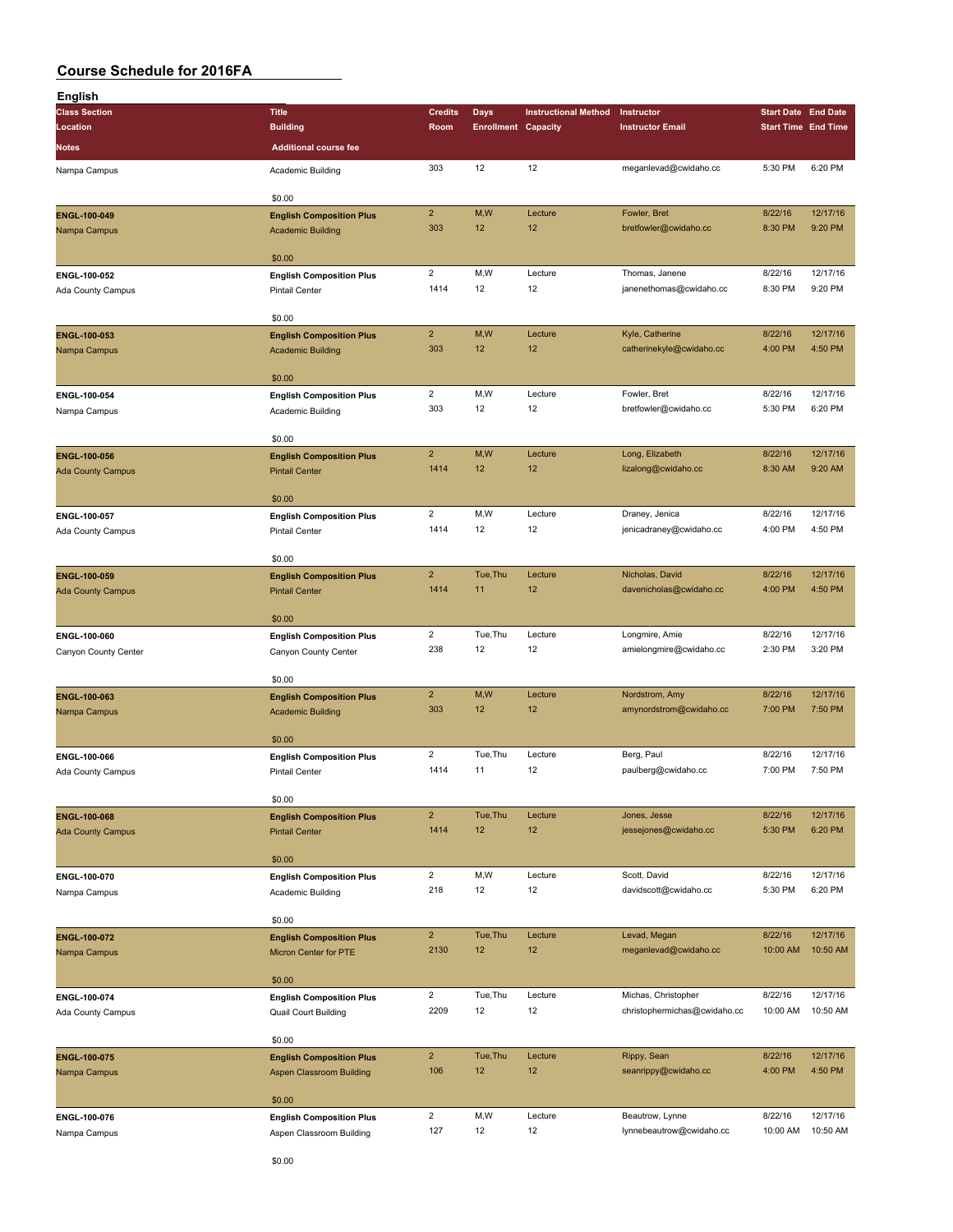| English                  |                                                          |                        |                            |                             |                                     |                            |                     |
|--------------------------|----------------------------------------------------------|------------------------|----------------------------|-----------------------------|-------------------------------------|----------------------------|---------------------|
| <b>Class Section</b>     | <b>Title</b>                                             | <b>Credits</b>         | Days                       | <b>Instructional Method</b> | Instructor                          | <b>Start Date End Date</b> |                     |
| Location                 | <b>Building</b>                                          | Room                   | <b>Enrollment Capacity</b> |                             | <b>Instructor Email</b>             | <b>Start Time End Time</b> |                     |
| Notes                    | <b>Additional course fee</b>                             |                        |                            |                             |                                     |                            |                     |
| Nampa Campus             | Academic Building                                        | 303                    | 12                         | 12                          | meganlevad@cwidaho.cc               | 5:30 PM                    | 6:20 PM             |
|                          |                                                          |                        |                            |                             |                                     |                            |                     |
|                          | \$0.00                                                   |                        |                            |                             |                                     |                            |                     |
| ENGL-100-049             | <b>English Composition Plus</b>                          | $\overline{2}$         | M,W                        | Lecture                     | Fowler, Bret                        | 8/22/16                    | 12/17/16            |
| Nampa Campus             | <b>Academic Building</b>                                 | 303                    | 12                         | 12                          | bretfowler@cwidaho.cc               | 8:30 PM                    | 9:20 PM             |
|                          |                                                          |                        |                            |                             |                                     |                            |                     |
|                          | \$0.00                                                   |                        |                            |                             |                                     |                            |                     |
| ENGL-100-052             | <b>English Composition Plus</b>                          | $\overline{c}$<br>1414 | M,W<br>12                  | Lecture<br>12               | Thomas, Janene                      | 8/22/16<br>8:30 PM         | 12/17/16<br>9:20 PM |
| Ada County Campus        | <b>Pintail Center</b>                                    |                        |                            |                             | janenethomas@cwidaho.cc             |                            |                     |
|                          | \$0.00                                                   |                        |                            |                             |                                     |                            |                     |
| ENGL-100-053             | <b>English Composition Plus</b>                          | $\overline{2}$         | M,W                        | Lecture                     | Kyle, Catherine                     | 8/22/16                    | 12/17/16            |
| Nampa Campus             | <b>Academic Building</b>                                 | 303                    | 12                         | 12                          | catherinekyle@cwidaho.cc            | 4:00 PM                    | 4:50 PM             |
|                          |                                                          |                        |                            |                             |                                     |                            |                     |
|                          | \$0.00                                                   |                        |                            |                             |                                     |                            |                     |
| ENGL-100-054             | <b>English Composition Plus</b>                          | $\overline{2}$         | M, W                       | Lecture                     | Fowler, Bret                        | 8/22/16                    | 12/17/16            |
| Nampa Campus             | Academic Building                                        | 303                    | 12                         | 12                          | bretfowler@cwidaho.cc               | 5:30 PM                    | 6:20 PM             |
|                          | \$0.00                                                   |                        |                            |                             |                                     |                            |                     |
| ENGL-100-056             | <b>English Composition Plus</b>                          | $\overline{2}$         | M,W                        | Lecture                     | Long, Elizabeth                     | 8/22/16                    | 12/17/16            |
| <b>Ada County Campus</b> | <b>Pintail Center</b>                                    | 1414                   | 12                         | 12                          | lizalong@cwidaho.cc                 | 8:30 AM                    | 9:20 AM             |
|                          |                                                          |                        |                            |                             |                                     |                            |                     |
|                          | \$0.00                                                   |                        |                            |                             |                                     |                            |                     |
| ENGL-100-057             | <b>English Composition Plus</b>                          | $\overline{2}$         | M,W                        | Lecture                     | Draney, Jenica                      | 8/22/16                    | 12/17/16            |
| Ada County Campus        | <b>Pintail Center</b>                                    | 1414                   | 12                         | 12                          | jenicadraney@cwidaho.cc             | 4:00 PM                    | 4:50 PM             |
|                          |                                                          |                        |                            |                             |                                     |                            |                     |
|                          | \$0.00                                                   |                        |                            |                             |                                     |                            |                     |
| ENGL-100-059             | <b>English Composition Plus</b>                          | $\overline{2}$<br>1414 | Tue, Thu                   | Lecture<br>12               | Nicholas, David                     | 8/22/16                    | 12/17/16<br>4:50 PM |
| <b>Ada County Campus</b> | <b>Pintail Center</b>                                    |                        | 11                         |                             | davenicholas@cwidaho.cc             | 4:00 PM                    |                     |
|                          | \$0.00                                                   |                        |                            |                             |                                     |                            |                     |
| ENGL-100-060             | <b>English Composition Plus</b>                          | $\overline{2}$         | Tue, Thu                   | Lecture                     | Longmire, Amie                      | 8/22/16                    | 12/17/16            |
| Canyon County Center     | Canyon County Center                                     | 238                    | 12                         | 12                          | amielongmire@cwidaho.cc             | 2:30 PM                    | 3:20 PM             |
|                          |                                                          |                        |                            |                             |                                     |                            |                     |
|                          | \$0.00                                                   |                        |                            |                             |                                     |                            |                     |
| ENGL-100-063             | <b>English Composition Plus</b>                          | $\overline{2}$         | M,W                        | Lecture                     | Nordstrom, Amy                      | 8/22/16                    | 12/17/16            |
| Nampa Campus             | <b>Academic Building</b>                                 | 303                    | 12                         | 12                          | amynordstrom@cwidaho.cc             | 7:00 PM                    | 7:50 PM             |
|                          |                                                          |                        |                            |                             |                                     |                            |                     |
| ENGL-100-066             | \$0.00                                                   | $\overline{2}$         | Tue, Thu                   | Lecture                     | Berg, Paul                          | 8/22/16                    | 12/17/16            |
| Ada County Campus        | <b>English Composition Plus</b><br><b>Pintail Center</b> | 1414                   | 11                         | 12                          | paulberg@cwidaho.cc                 | 7:00 PM                    | 7:50 PM             |
|                          |                                                          |                        |                            |                             |                                     |                            |                     |
|                          | \$0.00                                                   |                        |                            |                             |                                     |                            |                     |
| ENGL-100-068             | <b>English Composition Plus</b>                          | $\overline{2}$         | Tue, Thu                   | Lecture                     | Jones, Jesse                        | 8/22/16                    | 12/17/16            |
| <b>Ada County Campus</b> | <b>Pintail Center</b>                                    | 1414                   | 12                         | 12                          | jessejones@cwidaho.cc               | 5:30 PM                    | 6:20 PM             |
|                          |                                                          |                        |                            |                             |                                     |                            |                     |
|                          | \$0.00                                                   |                        |                            |                             |                                     |                            |                     |
| ENGL-100-070             | <b>English Composition Plus</b>                          | $\overline{2}$         | M,W                        | Lecture                     | Scott, David                        | 8/22/16                    | 12/17/16<br>6:20 PM |
| Nampa Campus             | Academic Building                                        | 218                    | 12                         | 12                          | davidscott@cwidaho.cc               | 5:30 PM                    |                     |
|                          | \$0.00                                                   |                        |                            |                             |                                     |                            |                     |
| ENGL-100-072             | <b>English Composition Plus</b>                          | $\overline{2}$         | Tue, Thu                   | Lecture                     | Levad, Megan                        | 8/22/16                    | 12/17/16            |
| Nampa Campus             | <b>Micron Center for PTE</b>                             | 2130                   | 12                         | 12                          | meganlevad@cwidaho.cc               | 10:00 AM                   | 10:50 AM            |
|                          |                                                          |                        |                            |                             |                                     |                            |                     |
|                          | \$0.00                                                   |                        |                            |                             |                                     |                            |                     |
| ENGL-100-074             | <b>English Composition Plus</b>                          | $\overline{2}$         | Tue, Thu                   | Lecture                     | Michas, Christopher                 | 8/22/16                    | 12/17/16            |
| Ada County Campus        | Quail Court Building                                     | 2209                   | 12                         | 12                          | christophermichas@cwidaho.cc        | 10:00 AM                   | 10:50 AM            |
|                          |                                                          |                        |                            |                             |                                     |                            |                     |
|                          | \$0.00                                                   | $\overline{2}$         |                            |                             |                                     |                            |                     |
| ENGL-100-075             | <b>English Composition Plus</b>                          | 106                    | Tue, Thu<br>12             | Lecture<br>12               | Rippy, Sean<br>seanrippy@cwidaho.cc | 8/22/16<br>4:00 PM         | 12/17/16<br>4:50 PM |
| Nampa Campus             | <b>Aspen Classroom Building</b>                          |                        |                            |                             |                                     |                            |                     |
|                          | \$0.00                                                   |                        |                            |                             |                                     |                            |                     |
| ENGL-100-076             | <b>English Composition Plus</b>                          | $\overline{2}$         | M,W                        | Lecture                     | Beautrow, Lynne                     | 8/22/16                    | 12/17/16            |
| Nampa Campus             | Aspen Classroom Building                                 | 127                    | 12                         | 12                          | lynnebeautrow@cwidaho.cc            | 10:00 AM                   | 10:50 AM            |
|                          |                                                          |                        |                            |                             |                                     |                            |                     |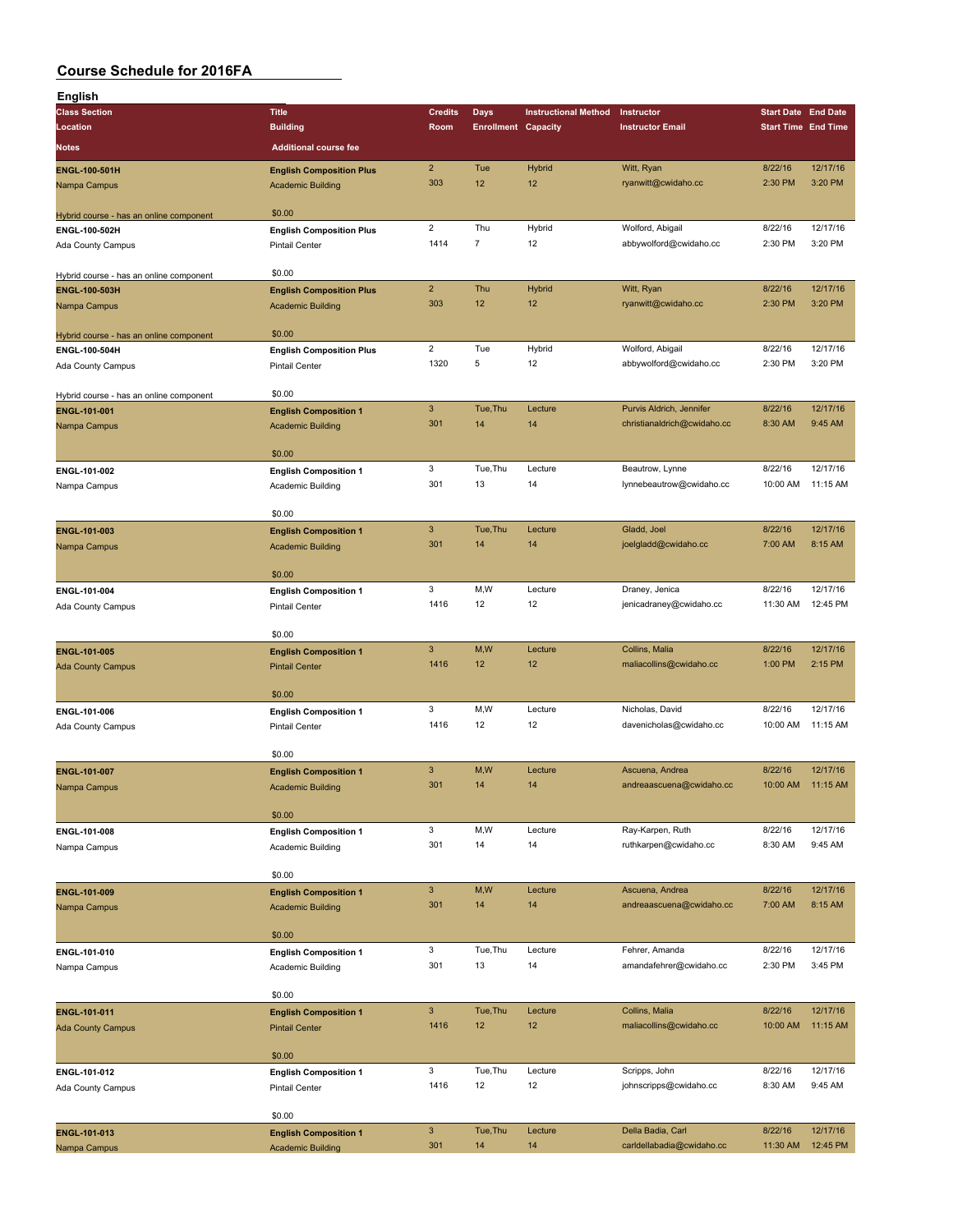| English                                                  |                                 |                           |                            |                             |                                            |                            |                      |
|----------------------------------------------------------|---------------------------------|---------------------------|----------------------------|-----------------------------|--------------------------------------------|----------------------------|----------------------|
| <b>Class Section</b>                                     | <b>Title</b>                    | <b>Credits</b>            | <b>Days</b>                | <b>Instructional Method</b> | Instructor                                 | <b>Start Date End Date</b> |                      |
| Location                                                 | <b>Building</b>                 | Room                      | <b>Enrollment Capacity</b> |                             | <b>Instructor Email</b>                    | <b>Start Time End Time</b> |                      |
| Notes                                                    | <b>Additional course fee</b>    |                           |                            |                             |                                            |                            |                      |
| ENGL-100-501H                                            | <b>English Composition Plus</b> | $\overline{2}$            | Tue                        | Hybrid                      | Witt, Ryan                                 | 8/22/16                    | 12/17/16             |
| Nampa Campus                                             | <b>Academic Building</b>        | 303                       | 12                         | 12                          | ryanwitt@cwidaho.cc                        | 2:30 PM                    | 3:20 PM              |
|                                                          |                                 |                           |                            |                             |                                            |                            |                      |
| Hybrid course - has an online component                  | \$0.00                          |                           |                            |                             |                                            |                            |                      |
| ENGL-100-502H                                            | <b>English Composition Plus</b> | $\overline{c}$            | Thu                        | Hybrid                      | Wolford, Abigail                           | 8/22/16                    | 12/17/16             |
| Ada County Campus                                        | <b>Pintail Center</b>           | 1414                      | $\overline{7}$             | 12                          | abbywolford@cwidaho.cc                     | 2:30 PM                    | 3:20 PM              |
|                                                          |                                 |                           |                            |                             |                                            |                            |                      |
| Hybrid course - has an online component                  | \$0.00                          |                           |                            |                             |                                            |                            |                      |
| ENGL-100-503H                                            | <b>English Composition Plus</b> | $\overline{2}$            | Thu                        | <b>Hybrid</b>               | Witt, Ryan                                 | 8/22/16                    | 12/17/16             |
| Nampa Campus                                             | <b>Academic Building</b>        | 303                       | 12                         | 12                          | ryanwitt@cwidaho.cc                        | 2:30 PM                    | 3:20 PM              |
|                                                          | \$0.00                          |                           |                            |                             |                                            |                            |                      |
| Hybrid course - has an online component<br>ENGL-100-504H | <b>English Composition Plus</b> | $\overline{c}$            | Tue                        | Hybrid                      | Wolford, Abigail                           | 8/22/16                    | 12/17/16             |
| Ada County Campus                                        | <b>Pintail Center</b>           | 1320                      | 5                          | 12                          | abbywolford@cwidaho.cc                     | 2:30 PM                    | 3:20 PM              |
|                                                          |                                 |                           |                            |                             |                                            |                            |                      |
| Hybrid course - has an online component                  | \$0.00                          |                           |                            |                             |                                            |                            |                      |
| ENGL-101-001                                             | <b>English Composition 1</b>    | $\mathbf{3}$              | Tue, Thu                   | Lecture                     | Purvis Aldrich, Jennifer                   | 8/22/16                    | 12/17/16             |
| Nampa Campus                                             | <b>Academic Building</b>        | 301                       | 14                         | 14                          | christianaldrich@cwidaho.cc                | 8:30 AM                    | 9:45 AM              |
|                                                          |                                 |                           |                            |                             |                                            |                            |                      |
|                                                          | \$0.00                          |                           |                            |                             |                                            |                            |                      |
| ENGL-101-002                                             | <b>English Composition 1</b>    | 3                         | Tue, Thu                   | Lecture                     | Beautrow, Lynne                            | 8/22/16                    | 12/17/16             |
| Nampa Campus                                             | Academic Building               | 301                       | 13                         | 14                          | lynnebeautrow@cwidaho.cc                   | 10:00 AM                   | 11:15 AM             |
|                                                          |                                 |                           |                            |                             |                                            |                            |                      |
|                                                          | \$0.00                          | $\mathbf{3}$              | Tue, Thu                   | Lecture                     | Gladd, Joel                                |                            | 12/17/16             |
| ENGL-101-003                                             | <b>English Composition 1</b>    | 301                       | 14                         | 14                          | joelgladd@cwidaho.cc                       | 8/22/16<br>7:00 AM         | 8:15 AM              |
| Nampa Campus                                             | <b>Academic Building</b>        |                           |                            |                             |                                            |                            |                      |
|                                                          | \$0.00                          |                           |                            |                             |                                            |                            |                      |
| ENGL-101-004                                             | <b>English Composition 1</b>    | 3                         | M,W                        | Lecture                     | Draney, Jenica                             | 8/22/16                    | 12/17/16             |
| Ada County Campus                                        | <b>Pintail Center</b>           | 1416                      | 12                         | 12                          | jenicadraney@cwidaho.cc                    | 11:30 AM                   | 12:45 PM             |
|                                                          |                                 |                           |                            |                             |                                            |                            |                      |
|                                                          | \$0.00                          |                           |                            |                             |                                            |                            |                      |
| ENGL-101-005                                             | <b>English Composition 1</b>    | $\ensuremath{\mathsf{3}}$ | M,W                        | Lecture                     | Collins, Malia                             | 8/22/16                    | 12/17/16             |
| <b>Ada County Campus</b>                                 | <b>Pintail Center</b>           | 1416                      | 12                         | 12                          | maliacollins@cwidaho.cc                    | 1:00 PM                    | 2:15 PM              |
|                                                          |                                 |                           |                            |                             |                                            |                            |                      |
|                                                          | \$0.00                          |                           |                            |                             |                                            |                            |                      |
| ENGL-101-006                                             | <b>English Composition 1</b>    | 3<br>1416                 | M,W<br>12                  | Lecture<br>12               | Nicholas, David<br>davenicholas@cwidaho.cc | 8/22/16<br>10:00 AM        | 12/17/16<br>11:15 AM |
| Ada County Campus                                        | <b>Pintail Center</b>           |                           |                            |                             |                                            |                            |                      |
|                                                          | \$0.00                          |                           |                            |                             |                                            |                            |                      |
| ENGL-101-007                                             | <b>English Composition 1</b>    | $\mathbf{3}$              | M,W                        | Lecture                     | Ascuena, Andrea                            | 8/22/16                    | 12/17/16             |
| Nampa Campus                                             | <b>Academic Building</b>        | 301                       | 14                         | 14                          | andreaascuena@cwidaho.cc                   | 10:00 AM                   | 11:15 AM             |
|                                                          |                                 |                           |                            |                             |                                            |                            |                      |
|                                                          | \$0.00                          |                           |                            |                             |                                            |                            |                      |
| ENGL-101-008                                             | <b>English Composition 1</b>    | 3                         | M,W                        | Lecture                     | Ray-Karpen, Ruth                           | 8/22/16                    | 12/17/16             |
| Nampa Campus                                             | Academic Building               | 301                       | 14                         | 14                          | ruthkarpen@cwidaho.cc                      | 8:30 AM                    | 9:45 AM              |
|                                                          |                                 |                           |                            |                             |                                            |                            |                      |
|                                                          | \$0.00                          |                           |                            |                             |                                            |                            |                      |
| ENGL-101-009                                             | <b>English Composition 1</b>    | $\mathbf{3}$              | M,W                        | Lecture                     | Ascuena, Andrea                            | 8/22/16                    | 12/17/16             |
| Nampa Campus                                             | <b>Academic Building</b>        | 301                       | 14                         | 14                          | andreaascuena@cwidaho.cc                   | 7:00 AM                    | 8:15 AM              |
|                                                          | \$0.00                          |                           |                            |                             |                                            |                            |                      |
| ENGL-101-010                                             | <b>English Composition 1</b>    | 3                         | Tue, Thu                   | Lecture                     | Fehrer, Amanda                             | 8/22/16                    | 12/17/16             |
| Nampa Campus                                             | Academic Building               | 301                       | 13                         | 14                          | amandafehrer@cwidaho.cc                    | 2:30 PM                    | 3:45 PM              |
|                                                          |                                 |                           |                            |                             |                                            |                            |                      |
|                                                          | \$0.00                          |                           |                            |                             |                                            |                            |                      |
| ENGL-101-011                                             | <b>English Composition 1</b>    | $\mathbf{3}$              | Tue, Thu                   | Lecture                     | Collins, Malia                             | 8/22/16                    | 12/17/16             |
| <b>Ada County Campus</b>                                 | <b>Pintail Center</b>           | 1416                      | 12                         | 12                          | maliacollins@cwidaho.cc                    | 10:00 AM                   | 11:15 AM             |
|                                                          |                                 |                           |                            |                             |                                            |                            |                      |
|                                                          | \$0.00                          |                           |                            |                             |                                            |                            |                      |
| ENGL-101-012                                             | <b>English Composition 1</b>    | 3                         | Tue, Thu                   | Lecture                     | Scripps, John                              | 8/22/16                    | 12/17/16             |
| Ada County Campus                                        | <b>Pintail Center</b>           | 1416                      | 12                         | 12                          | johnscripps@cwidaho.cc                     | 8:30 AM                    | 9:45 AM              |
|                                                          |                                 |                           |                            |                             |                                            |                            |                      |
|                                                          | \$0.00                          | $\mathbf{3}$              | Tue, Thu                   | Lecture                     | Della Badia, Carl                          | 8/22/16                    | 12/17/16             |
| ENGL-101-013                                             | <b>English Composition 1</b>    | 301                       | 14                         | 14                          | carldellabadia@cwidaho.cc                  | 11:30 AM                   | 12:45 PM             |
| Nampa Campus                                             | <b>Academic Building</b>        |                           |                            |                             |                                            |                            |                      |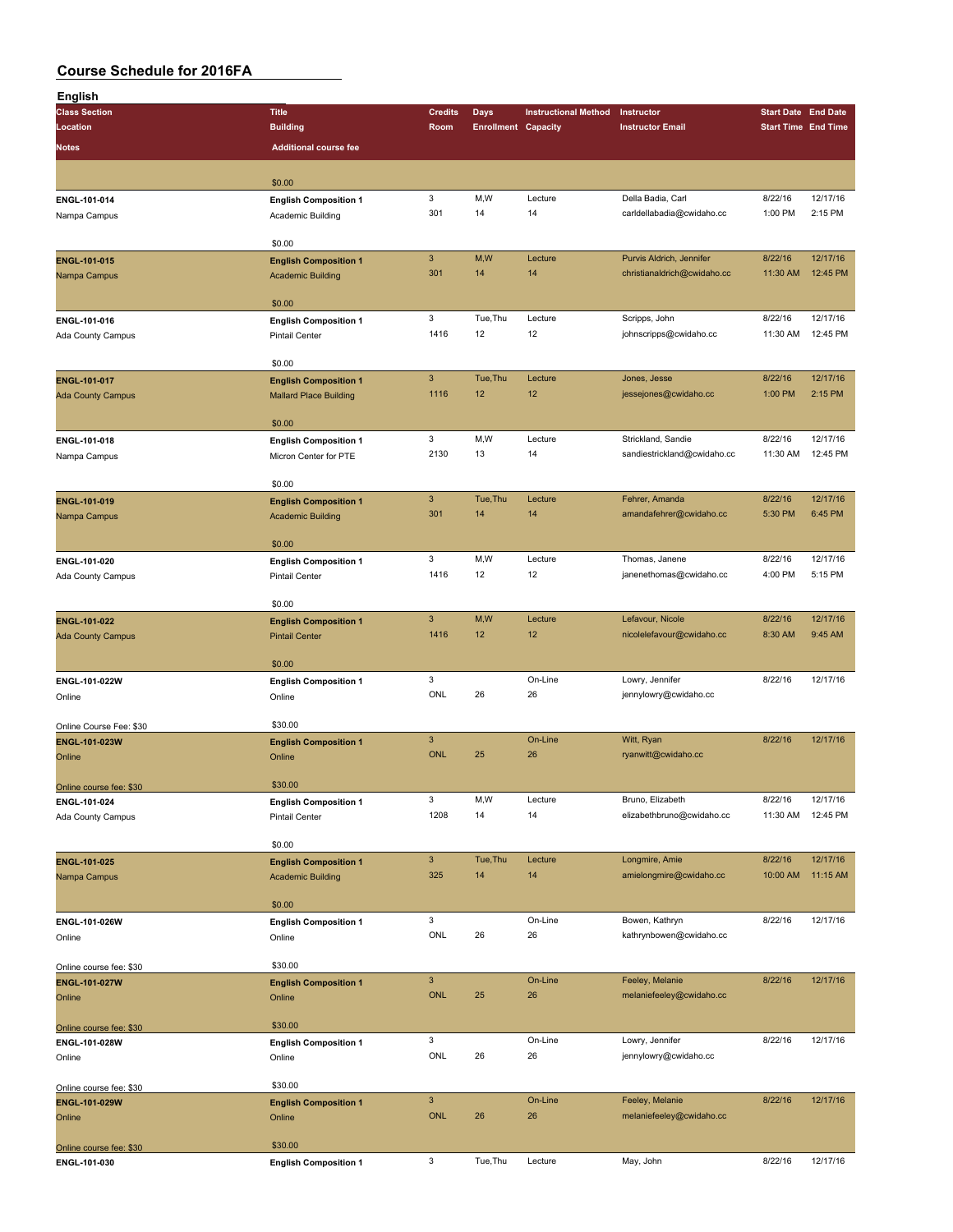| English                  |                               |                           |                            |                             |                             |                            |                            |
|--------------------------|-------------------------------|---------------------------|----------------------------|-----------------------------|-----------------------------|----------------------------|----------------------------|
| <b>Class Section</b>     | <b>Title</b>                  | <b>Credits</b>            | Days                       | <b>Instructional Method</b> | Instructor                  | <b>Start Date End Date</b> |                            |
| Location                 | <b>Building</b>               | Room                      | <b>Enrollment Capacity</b> |                             | <b>Instructor Email</b>     |                            | <b>Start Time End Time</b> |
| <b>Notes</b>             | <b>Additional course fee</b>  |                           |                            |                             |                             |                            |                            |
|                          |                               |                           |                            |                             |                             |                            |                            |
|                          |                               |                           |                            |                             |                             |                            |                            |
|                          | \$0.00                        |                           |                            |                             |                             |                            |                            |
| ENGL-101-014             | <b>English Composition 1</b>  | 3                         | M, W                       | Lecture                     | Della Badia, Carl           | 8/22/16                    | 12/17/16                   |
| Nampa Campus             | Academic Building             | 301                       | 14                         | 14                          | carldellabadia@cwidaho.cc   | 1:00 PM                    | 2:15 PM                    |
|                          |                               |                           |                            |                             |                             |                            |                            |
|                          | \$0.00                        |                           |                            |                             |                             |                            |                            |
| ENGL-101-015             | <b>English Composition 1</b>  | $\mathbf{3}$              | M, W                       | Lecture                     | Purvis Aldrich, Jennifer    | 8/22/16                    | 12/17/16                   |
| Nampa Campus             | <b>Academic Building</b>      | 301                       | 14                         | 14                          | christianaldrich@cwidaho.cc | 11:30 AM                   | 12:45 PM                   |
|                          |                               |                           |                            |                             |                             |                            |                            |
|                          | \$0.00                        |                           |                            |                             |                             |                            |                            |
| ENGL-101-016             | <b>English Composition 1</b>  | 3                         | Tue, Thu                   | Lecture                     | Scripps, John               | 8/22/16                    | 12/17/16                   |
| Ada County Campus        | <b>Pintail Center</b>         | 1416                      | 12                         | 12                          | johnscripps@cwidaho.cc      | 11:30 AM                   | 12:45 PM                   |
|                          |                               |                           |                            |                             |                             |                            |                            |
|                          | \$0.00                        |                           |                            |                             |                             |                            |                            |
| ENGL-101-017             | <b>English Composition 1</b>  | $\ensuremath{\mathsf{3}}$ | Tue, Thu                   | Lecture                     | Jones, Jesse                | 8/22/16                    | 12/17/16                   |
| <b>Ada County Campus</b> | <b>Mallard Place Building</b> | 1116                      | 12                         | 12                          | jessejones@cwidaho.cc       | 1:00 PM                    | 2:15 PM                    |
|                          |                               |                           |                            |                             |                             |                            |                            |
|                          | \$0.00                        |                           |                            |                             |                             |                            | 12/17/16                   |
| ENGL-101-018             | <b>English Composition 1</b>  | 3                         | M,W                        | Lecture                     | Strickland, Sandie          | 8/22/16                    | 12:45 PM                   |
| Nampa Campus             | Micron Center for PTE         | 2130                      | 13                         | 14                          | sandiestrickland@cwidaho.cc | 11:30 AM                   |                            |
|                          | \$0.00                        |                           |                            |                             |                             |                            |                            |
|                          |                               | $\mathbf{3}$              | Tue, Thu                   | Lecture                     | Fehrer, Amanda              | 8/22/16                    | 12/17/16                   |
| ENGL-101-019             | <b>English Composition 1</b>  | 301                       | 14                         | 14                          | amandafehrer@cwidaho.cc     | 5:30 PM                    | 6:45 PM                    |
| Nampa Campus             | <b>Academic Building</b>      |                           |                            |                             |                             |                            |                            |
|                          | \$0.00                        |                           |                            |                             |                             |                            |                            |
| ENGL-101-020             | <b>English Composition 1</b>  | $\mathbf 3$               | M, W                       | Lecture                     | Thomas, Janene              | 8/22/16                    | 12/17/16                   |
| Ada County Campus        | <b>Pintail Center</b>         | 1416                      | 12                         | 12                          | janenethomas@cwidaho.cc     | 4:00 PM                    | 5:15 PM                    |
|                          |                               |                           |                            |                             |                             |                            |                            |
|                          | \$0.00                        |                           |                            |                             |                             |                            |                            |
| ENGL-101-022             | <b>English Composition 1</b>  | $\mathbf{3}$              | M,W                        | Lecture                     | Lefavour, Nicole            | 8/22/16                    | 12/17/16                   |
| <b>Ada County Campus</b> | <b>Pintail Center</b>         | 1416                      | 12                         | 12                          | nicolelefavour@cwidaho.cc   | 8:30 AM                    | 9:45 AM                    |
|                          |                               |                           |                            |                             |                             |                            |                            |
|                          | \$0.00                        |                           |                            |                             |                             |                            |                            |
| ENGL-101-022W            | <b>English Composition 1</b>  | $\mathbf 3$               |                            | On-Line                     | Lowry, Jennifer             | 8/22/16                    | 12/17/16                   |
| Online                   | Online                        | ONL                       | 26                         | 26                          | jennylowry@cwidaho.cc       |                            |                            |
|                          |                               |                           |                            |                             |                             |                            |                            |
| Online Course Fee: \$30  | \$30.00                       |                           |                            |                             |                             |                            |                            |
| <b>ENGL-101-023W</b>     | <b>English Composition 1</b>  | $\mathbf{3}$              |                            | On-Line                     | Witt, Ryan                  | 8/22/16                    | 12/17/16                   |
| Online                   | Online                        | <b>ONL</b>                | 25                         | 26                          | ryanwitt@cwidaho.cc         |                            |                            |
|                          |                               |                           |                            |                             |                             |                            |                            |
| Online course fee: \$30  | \$30.00                       |                           |                            |                             |                             |                            |                            |
| ENGL-101-024             | <b>English Composition 1</b>  | $\ensuremath{\mathsf{3}}$ | M,W                        | Lecture                     | Bruno, Elizabeth            | 8/22/16                    | 12/17/16                   |
| Ada County Campus        | Pintail Center                | 1208                      | 14                         | 14                          | elizabethbruno@cwidaho.cc   | 11:30 AM                   | 12:45 PM                   |
|                          |                               |                           |                            |                             |                             |                            |                            |
|                          | \$0.00                        |                           |                            |                             |                             |                            |                            |
| ENGL-101-025             | <b>English Composition 1</b>  | $\mathbf{3}$              | Tue, Thu                   | Lecture                     | Longmire, Amie              | 8/22/16                    | 12/17/16                   |
| Nampa Campus             | <b>Academic Building</b>      | 325                       | 14                         | 14                          | amielongmire@cwidaho.cc     | 10:00 AM                   | 11:15 AM                   |
|                          |                               |                           |                            |                             |                             |                            |                            |
|                          | \$0.00                        |                           |                            |                             |                             |                            |                            |
| ENGL-101-026W            | <b>English Composition 1</b>  | 3                         |                            | On-Line                     | Bowen, Kathryn              | 8/22/16                    | 12/17/16                   |
| Online                   | Online                        | ONL                       | 26                         | 26                          | kathrynbowen@cwidaho.cc     |                            |                            |
|                          |                               |                           |                            |                             |                             |                            |                            |
| Online course fee: \$30  | \$30.00                       |                           |                            |                             |                             |                            |                            |
| ENGL-101-027W            | <b>English Composition 1</b>  | $\mathbf{3}$              |                            | On-Line                     | Feeley, Melanie             | 8/22/16                    | 12/17/16                   |
| Online                   | Online                        | <b>ONL</b>                | 25                         | 26                          | melaniefeeley@cwidaho.cc    |                            |                            |
|                          |                               |                           |                            |                             |                             |                            |                            |
| Online course fee: \$30  | \$30.00                       |                           |                            |                             |                             |                            |                            |
| ENGL-101-028W            | <b>English Composition 1</b>  | 3                         |                            | On-Line                     | Lowry, Jennifer             | 8/22/16                    | 12/17/16                   |
| Online                   | Online                        | ONL                       | 26                         | 26                          | jennylowry@cwidaho.cc       |                            |                            |
|                          |                               |                           |                            |                             |                             |                            |                            |
| Online course fee: \$30  | \$30.00                       |                           |                            |                             |                             |                            |                            |
| ENGL-101-029W            | <b>English Composition 1</b>  | $\mathbf{3}$              |                            | On-Line                     | Feeley, Melanie             | 8/22/16                    | 12/17/16                   |
| Online                   | Online                        | ONL                       | 26                         | 26                          | melaniefeeley@cwidaho.cc    |                            |                            |
|                          |                               |                           |                            |                             |                             |                            |                            |
| Online course fee: \$30  | \$30.00                       |                           |                            |                             |                             |                            |                            |
| ENGL-101-030             | <b>English Composition 1</b>  | $\mathbf 3$               | Tue, Thu                   | Lecture                     | May, John                   | 8/22/16                    | 12/17/16                   |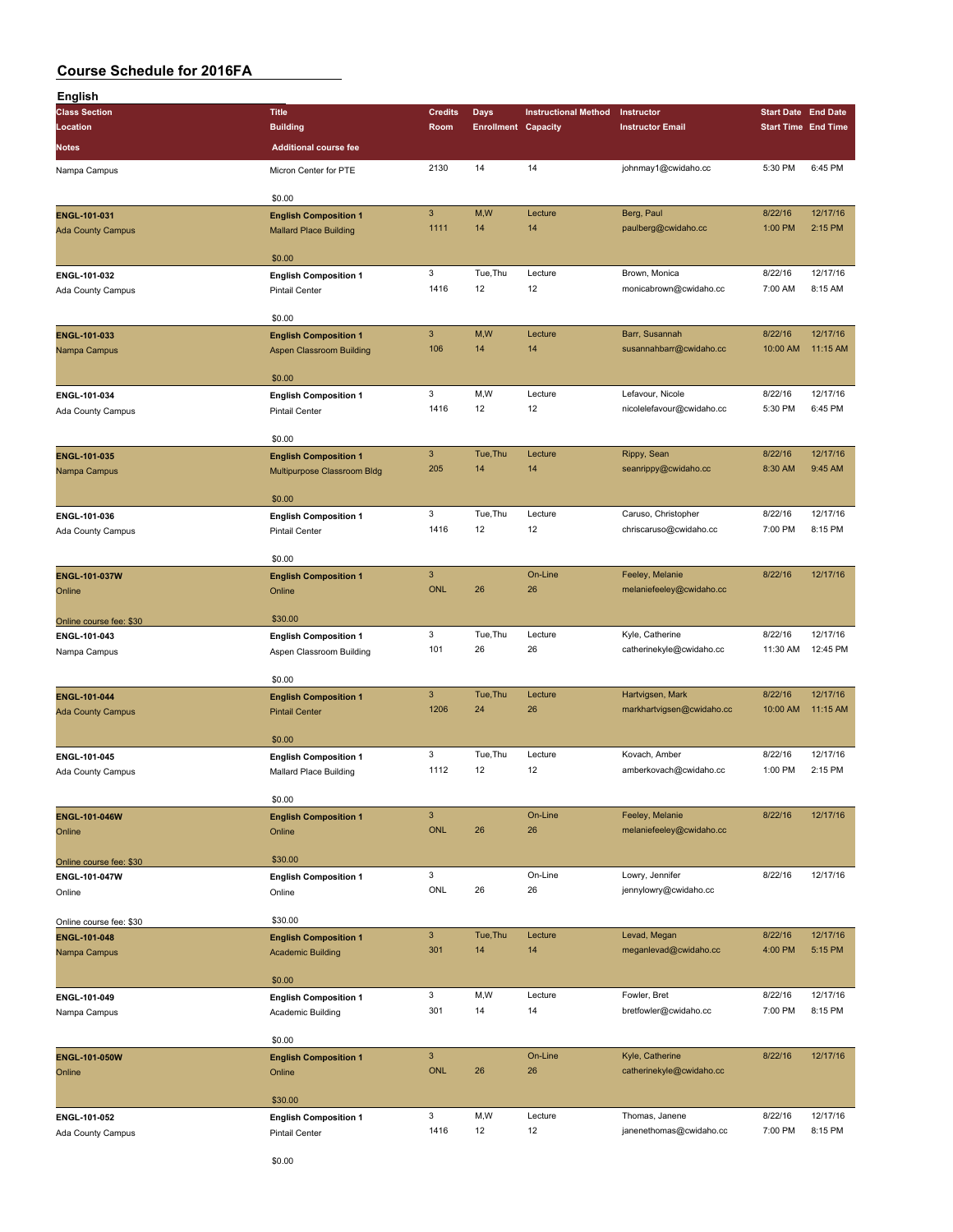| <b>English</b>           |                                                             |                           |                            |                             |                           |                            |          |
|--------------------------|-------------------------------------------------------------|---------------------------|----------------------------|-----------------------------|---------------------------|----------------------------|----------|
| <b>Class Section</b>     | <b>Title</b>                                                | <b>Credits</b>            | Days                       | <b>Instructional Method</b> | Instructor                | <b>Start Date End Date</b> |          |
| Location                 | <b>Building</b>                                             | Room                      | <b>Enrollment Capacity</b> |                             | <b>Instructor Email</b>   | <b>Start Time End Time</b> |          |
| Notes                    | <b>Additional course fee</b>                                |                           |                            |                             |                           |                            |          |
|                          |                                                             |                           |                            |                             |                           |                            |          |
| Nampa Campus             | Micron Center for PTE                                       | 2130                      | 14                         | 14                          | johnmay1@cwidaho.cc       | 5:30 PM                    | 6:45 PM  |
|                          |                                                             |                           |                            |                             |                           |                            |          |
|                          | \$0.00                                                      |                           |                            |                             |                           |                            |          |
| ENGL-101-031             | <b>English Composition 1</b>                                | $\ensuremath{\mathsf{3}}$ | M,W                        | Lecture                     | Berg, Paul                | 8/22/16                    | 12/17/16 |
| <b>Ada County Campus</b> | <b>Mallard Place Building</b>                               | 1111                      | 14                         | 14                          | paulberg@cwidaho.cc       | 1:00 PM                    | 2:15 PM  |
|                          |                                                             |                           |                            |                             |                           |                            |          |
|                          | \$0.00                                                      |                           |                            |                             |                           |                            |          |
| ENGL-101-032             | <b>English Composition 1</b>                                | 3                         | Tue, Thu                   | Lecture                     | Brown, Monica             | 8/22/16                    | 12/17/16 |
| Ada County Campus        | <b>Pintail Center</b>                                       | 1416                      | 12                         | 12                          | monicabrown@cwidaho.cc    | 7:00 AM                    | 8:15 AM  |
|                          | \$0.00                                                      |                           |                            |                             |                           |                            |          |
|                          |                                                             | $\mathbf{3}$              | M,W                        | Lecture                     | Barr, Susannah            | 8/22/16                    | 12/17/16 |
| ENGL-101-033             | <b>English Composition 1</b>                                | 106                       | 14                         | 14                          | susannahbarr@cwidaho.cc   | 10:00 AM                   | 11:15 AM |
| Nampa Campus             | <b>Aspen Classroom Building</b>                             |                           |                            |                             |                           |                            |          |
|                          | \$0.00                                                      |                           |                            |                             |                           |                            |          |
| ENGL-101-034             |                                                             | 3                         | M,W                        | Lecture                     | Lefavour, Nicole          | 8/22/16                    | 12/17/16 |
|                          | <b>English Composition 1</b>                                | 1416                      | 12                         | 12                          | nicolelefavour@cwidaho.cc | 5:30 PM                    | 6:45 PM  |
| Ada County Campus        | <b>Pintail Center</b>                                       |                           |                            |                             |                           |                            |          |
|                          | \$0.00                                                      |                           |                            |                             |                           |                            |          |
| <b>ENGL-101-035</b>      |                                                             | $\mathsf 3$               | Tue, Thu                   | Lecture                     | Rippy, Sean               | 8/22/16                    | 12/17/16 |
|                          | <b>English Composition 1</b><br>Multipurpose Classroom Bldg | 205                       | 14                         | 14                          | seanrippy@cwidaho.cc      | 8:30 AM                    | 9:45 AM  |
| Nampa Campus             |                                                             |                           |                            |                             |                           |                            |          |
|                          | \$0.00                                                      |                           |                            |                             |                           |                            |          |
| ENGL-101-036             | <b>English Composition 1</b>                                | $\mathbf 3$               | Tue, Thu                   | Lecture                     | Caruso, Christopher       | 8/22/16                    | 12/17/16 |
| Ada County Campus        | <b>Pintail Center</b>                                       | 1416                      | 12                         | 12                          | chriscaruso@cwidaho.cc    | 7:00 PM                    | 8:15 PM  |
|                          |                                                             |                           |                            |                             |                           |                            |          |
|                          | \$0.00                                                      |                           |                            |                             |                           |                            |          |
| ENGL-101-037W            | <b>English Composition 1</b>                                | $\ensuremath{\mathsf{3}}$ |                            | On-Line                     | Feeley, Melanie           | 8/22/16                    | 12/17/16 |
| Online                   | Online                                                      | <b>ONL</b>                | 26                         | 26                          | melaniefeeley@cwidaho.cc  |                            |          |
|                          |                                                             |                           |                            |                             |                           |                            |          |
| Online course fee: \$30  | \$30.00                                                     |                           |                            |                             |                           |                            |          |
| ENGL-101-043             | <b>English Composition 1</b>                                | 3                         | Tue, Thu                   | Lecture                     | Kyle, Catherine           | 8/22/16                    | 12/17/16 |
| Nampa Campus             | Aspen Classroom Building                                    | 101                       | 26                         | 26                          | catherinekyle@cwidaho.cc  | 11:30 AM                   | 12:45 PM |
|                          |                                                             |                           |                            |                             |                           |                            |          |
|                          | \$0.00                                                      |                           |                            |                             |                           |                            |          |
| <b>ENGL-101-044</b>      | <b>English Composition 1</b>                                | $\mathbf{3}$              | Tue, Thu                   | Lecture                     | Hartvigsen, Mark          | 8/22/16                    | 12/17/16 |
| <b>Ada County Campus</b> | <b>Pintail Center</b>                                       | 1206                      | 24                         | 26                          | markhartvigsen@cwidaho.cc | 10:00 AM                   | 11:15 AM |
|                          |                                                             |                           |                            |                             |                           |                            |          |
|                          | \$0.00                                                      |                           |                            |                             |                           |                            |          |
| ENGL-101-045             | <b>English Composition 1</b>                                | 3                         | Tue, Thu                   | Lecture                     | Kovach, Amber             | 8/22/16                    | 12/17/16 |
| Ada County Campus        | Mallard Place Building                                      | 1112                      | 12                         | 12                          | amberkovach@cwidaho.cc    | 1:00 PM                    | 2:15 PM  |
|                          |                                                             |                           |                            |                             |                           |                            |          |
|                          | \$0.00                                                      |                           |                            |                             |                           |                            |          |
| <b>ENGL-101-046W</b>     | <b>English Composition 1</b>                                | $\ensuremath{\mathsf{3}}$ |                            | On-Line                     | Feeley, Melanie           | 8/22/16                    | 12/17/16 |
| Online                   | Online                                                      | <b>ONL</b>                | 26                         | 26                          | melaniefeeley@cwidaho.cc  |                            |          |
|                          |                                                             |                           |                            |                             |                           |                            |          |
| Online course fee: \$30  | \$30.00                                                     |                           |                            |                             |                           |                            |          |
| ENGL-101-047W            | <b>English Composition 1</b>                                | $\mathbf 3$               |                            | On-Line                     | Lowry, Jennifer           | 8/22/16                    | 12/17/16 |
| Online                   | Online                                                      | ONL                       | 26                         | 26                          | jennylowry@cwidaho.cc     |                            |          |
|                          |                                                             |                           |                            |                             |                           |                            |          |
| Online course fee: \$30  | \$30.00                                                     |                           |                            |                             |                           |                            |          |
| ENGL-101-048             | <b>English Composition 1</b>                                | $\ensuremath{\mathsf{3}}$ | Tue, Thu                   | Lecture                     | Levad, Megan              | 8/22/16                    | 12/17/16 |
| Nampa Campus             | <b>Academic Building</b>                                    | 301                       | 14                         | 14                          | meganlevad@cwidaho.cc     | 4:00 PM                    | 5:15 PM  |
|                          |                                                             |                           |                            |                             |                           |                            |          |
|                          | \$0.00                                                      |                           |                            |                             |                           |                            |          |
| ENGL-101-049             | <b>English Composition 1</b>                                | $\mathbf 3$               | M,W                        | Lecture                     | Fowler, Bret              | 8/22/16                    | 12/17/16 |
| Nampa Campus             | Academic Building                                           | 301                       | 14                         | 14                          | bretfowler@cwidaho.cc     | 7:00 PM                    | 8:15 PM  |
|                          |                                                             |                           |                            |                             |                           |                            |          |
|                          | \$0.00                                                      |                           |                            |                             |                           |                            |          |
| ENGL-101-050W            | <b>English Composition 1</b>                                | $\ensuremath{\mathsf{3}}$ |                            | On-Line                     | Kyle, Catherine           | 8/22/16                    | 12/17/16 |
| Online                   | Online                                                      | ONL                       | 26                         | 26                          | catherinekyle@cwidaho.cc  |                            |          |
|                          |                                                             |                           |                            |                             |                           |                            |          |
|                          | \$30.00                                                     |                           |                            |                             |                           |                            |          |
| ENGL-101-052             | <b>English Composition 1</b>                                | 3                         | M,W                        | Lecture                     | Thomas, Janene            | 8/22/16                    | 12/17/16 |
| Ada County Campus        | <b>Pintail Center</b>                                       | 1416                      | 12                         | 12                          | janenethomas@cwidaho.cc   | 7:00 PM                    | 8:15 PM  |
|                          |                                                             |                           |                            |                             |                           |                            |          |
|                          | \$0.00                                                      |                           |                            |                             |                           |                            |          |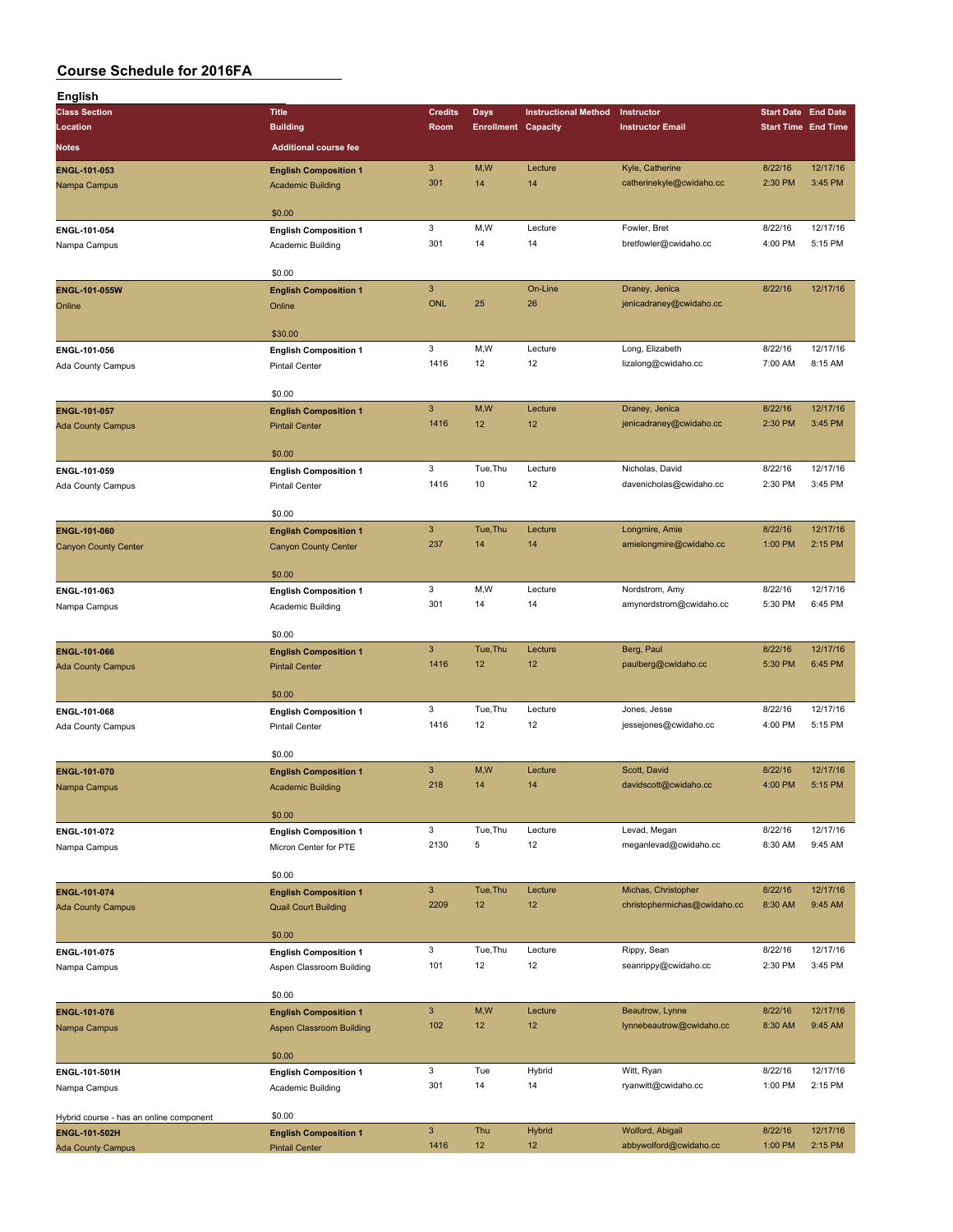| English                                 |                                 |                           |                            |                             |                                            |         |                            |
|-----------------------------------------|---------------------------------|---------------------------|----------------------------|-----------------------------|--------------------------------------------|---------|----------------------------|
| <b>Class Section</b>                    | <b>Title</b>                    | <b>Credits</b>            | Days                       | <b>Instructional Method</b> | Instructor                                 |         | <b>Start Date End Date</b> |
| Location                                | <b>Building</b>                 | Room                      | <b>Enrollment Capacity</b> |                             | <b>Instructor Email</b>                    |         | <b>Start Time End Time</b> |
| Notes                                   | <b>Additional course fee</b>    |                           |                            |                             |                                            |         |                            |
| ENGL-101-053                            | <b>English Composition 1</b>    | $\sqrt{3}$                | M,W                        | Lecture                     | Kyle, Catherine                            | 8/22/16 | 12/17/16                   |
| Nampa Campus                            | <b>Academic Building</b>        | 301                       | 14                         | 14                          | catherinekyle@cwidaho.cc                   | 2:30 PM | 3:45 PM                    |
|                                         |                                 |                           |                            |                             |                                            |         |                            |
|                                         | \$0.00                          |                           |                            |                             |                                            |         |                            |
| ENGL-101-054                            | <b>English Composition 1</b>    | 3                         | M,W                        | Lecture                     | Fowler, Bret                               | 8/22/16 | 12/17/16                   |
| Nampa Campus                            | Academic Building               | 301                       | 14                         | 14                          | bretfowler@cwidaho.cc                      | 4:00 PM | 5:15 PM                    |
|                                         |                                 |                           |                            |                             |                                            |         |                            |
|                                         | \$0.00                          |                           |                            |                             |                                            |         |                            |
| ENGL-101-055W                           | <b>English Composition 1</b>    | $\ensuremath{\mathsf{3}}$ |                            | On-Line                     | Draney, Jenica                             | 8/22/16 | 12/17/16                   |
| Online                                  | Online                          | <b>ONL</b>                | 25                         | 26                          | jenicadraney@cwidaho.cc                    |         |                            |
|                                         |                                 |                           |                            |                             |                                            |         |                            |
|                                         | \$30.00                         | 3                         | M, W                       | Lecture                     | Long, Elizabeth                            | 8/22/16 | 12/17/16                   |
| ENGL-101-056                            | <b>English Composition 1</b>    | 1416                      | 12                         | 12                          | lizalong@cwidaho.cc                        | 7:00 AM | 8:15 AM                    |
| Ada County Campus                       | Pintail Center                  |                           |                            |                             |                                            |         |                            |
|                                         | \$0.00                          |                           |                            |                             |                                            |         |                            |
| <b>ENGL-101-057</b>                     | <b>English Composition 1</b>    | $\mathbf{3}$              | M, W                       | Lecture                     | Draney, Jenica                             | 8/22/16 | 12/17/16                   |
| <b>Ada County Campus</b>                | <b>Pintail Center</b>           | 1416                      | 12                         | 12                          | jenicadraney@cwidaho.cc                    | 2:30 PM | 3:45 PM                    |
|                                         |                                 |                           |                            |                             |                                            |         |                            |
|                                         | \$0.00                          |                           |                            |                             |                                            |         |                            |
| ENGL-101-059                            | <b>English Composition 1</b>    | 3                         | Tue, Thu                   | Lecture                     | Nicholas, David                            | 8/22/16 | 12/17/16                   |
| Ada County Campus                       | <b>Pintail Center</b>           | 1416                      | 10                         | 12                          | davenicholas@cwidaho.cc                    | 2:30 PM | 3:45 PM                    |
|                                         |                                 |                           |                            |                             |                                            |         |                            |
|                                         | \$0.00                          |                           |                            |                             |                                            |         |                            |
| ENGL-101-060                            | <b>English Composition 1</b>    | $\mathbf{3}$              | Tue, Thu                   | Lecture                     | Longmire, Amie                             | 8/22/16 | 12/17/16                   |
| <b>Canyon County Center</b>             | <b>Canyon County Center</b>     | 237                       | 14                         | 14                          | amielongmire@cwidaho.cc                    | 1:00 PM | 2:15 PM                    |
|                                         | \$0.00                          |                           |                            |                             |                                            |         |                            |
| ENGL-101-063                            | <b>English Composition 1</b>    | 3                         | M,W                        | Lecture                     | Nordstrom, Amy                             | 8/22/16 | 12/17/16                   |
| Nampa Campus                            | Academic Building               | 301                       | 14                         | 14                          | amynordstrom@cwidaho.cc                    | 5:30 PM | 6:45 PM                    |
|                                         |                                 |                           |                            |                             |                                            |         |                            |
|                                         | \$0.00                          |                           |                            |                             |                                            |         |                            |
| <b>ENGL-101-066</b>                     | <b>English Composition 1</b>    | $\ensuremath{\mathsf{3}}$ | Tue, Thu                   | Lecture                     | Berg, Paul                                 | 8/22/16 | 12/17/16                   |
| <b>Ada County Campus</b>                | <b>Pintail Center</b>           | 1416                      | 12                         | 12                          | paulberg@cwidaho.cc                        | 5:30 PM | 6:45 PM                    |
|                                         |                                 |                           |                            |                             |                                            |         |                            |
|                                         | \$0.00                          |                           |                            |                             |                                            |         |                            |
| ENGL-101-068                            | <b>English Composition 1</b>    | 3                         | Tue, Thu                   | Lecture                     | Jones, Jesse                               | 8/22/16 | 12/17/16                   |
| Ada County Campus                       | <b>Pintail Center</b>           | 1416                      | 12                         | 12                          | jessejones@cwidaho.cc                      | 4:00 PM | 5:15 PM                    |
|                                         | \$0.00                          |                           |                            |                             |                                            |         |                            |
| ENGL-101-070                            | <b>English Composition 1</b>    | $\mathbf{3}$              | M,W                        | Lecture                     | Scott, David                               | 8/22/16 | 12/17/16                   |
| Nampa Campus                            | <b>Academic Building</b>        | 218                       | 14                         | 14                          | davidscott@cwidaho.cc                      | 4:00 PM | 5:15 PM                    |
|                                         |                                 |                           |                            |                             |                                            |         |                            |
|                                         | \$0.00                          |                           |                            |                             |                                            |         |                            |
| ENGL-101-072                            | <b>English Composition 1</b>    | 3                         | Tue, Thu                   | Lecture                     | Levad, Megan                               | 8/22/16 | 12/17/16                   |
| Nampa Campus                            | Micron Center for PTE           | 2130                      | 5                          | 12                          | meganlevad@cwidaho.cc                      | 8:30 AM | 9:45 AM                    |
|                                         |                                 |                           |                            |                             |                                            |         |                            |
|                                         | \$0.00                          |                           |                            |                             |                                            |         |                            |
| <b>ENGL-101-074</b>                     | <b>English Composition 1</b>    | $\mathbf{3}$              | Tue, Thu                   | Lecture                     | Michas, Christopher                        | 8/22/16 | 12/17/16                   |
| <b>Ada County Campus</b>                | <b>Quail Court Building</b>     | 2209                      | 12                         | 12                          | christophermichas@cwidaho.cc               | 8:30 AM | 9:45 AM                    |
|                                         | \$0.00                          |                           |                            |                             |                                            |         |                            |
| ENGL-101-075                            | <b>English Composition 1</b>    | 3                         | Tue, Thu                   | Lecture                     | Rippy, Sean                                | 8/22/16 | 12/17/16                   |
| Nampa Campus                            | Aspen Classroom Building        | 101                       | 12                         | 12                          | seanrippy@cwidaho.cc                       | 2:30 PM | 3:45 PM                    |
|                                         |                                 |                           |                            |                             |                                            |         |                            |
|                                         | \$0.00                          |                           |                            |                             |                                            |         |                            |
| ENGL-101-076                            | <b>English Composition 1</b>    | $\mathbf{3}$              | M,W                        | Lecture                     | Beautrow, Lynne                            | 8/22/16 | 12/17/16                   |
| Nampa Campus                            | <b>Aspen Classroom Building</b> | 102                       | 12                         | 12                          | lynnebeautrow@cwidaho.cc                   | 8:30 AM | 9:45 AM                    |
|                                         |                                 |                           |                            |                             |                                            |         |                            |
|                                         | \$0.00                          |                           |                            |                             |                                            |         |                            |
| ENGL-101-501H                           | <b>English Composition 1</b>    | 3                         | Tue                        | Hybrid                      | Witt, Ryan                                 | 8/22/16 | 12/17/16                   |
| Nampa Campus                            | Academic Building               | 301                       | 14                         | 14                          | ryanwitt@cwidaho.cc                        | 1:00 PM | 2:15 PM                    |
|                                         |                                 |                           |                            |                             |                                            |         |                            |
| Hybrid course - has an online component | \$0.00                          | $\ensuremath{\mathsf{3}}$ | Thu                        |                             |                                            | 8/22/16 | 12/17/16                   |
| ENGL-101-502H                           | <b>English Composition 1</b>    | 1416                      | 12                         | <b>Hybrid</b><br>12         | Wolford, Abigail<br>abbywolford@cwidaho.cc | 1:00 PM | 2:15 PM                    |
| <b>Ada County Campus</b>                | <b>Pintail Center</b>           |                           |                            |                             |                                            |         |                            |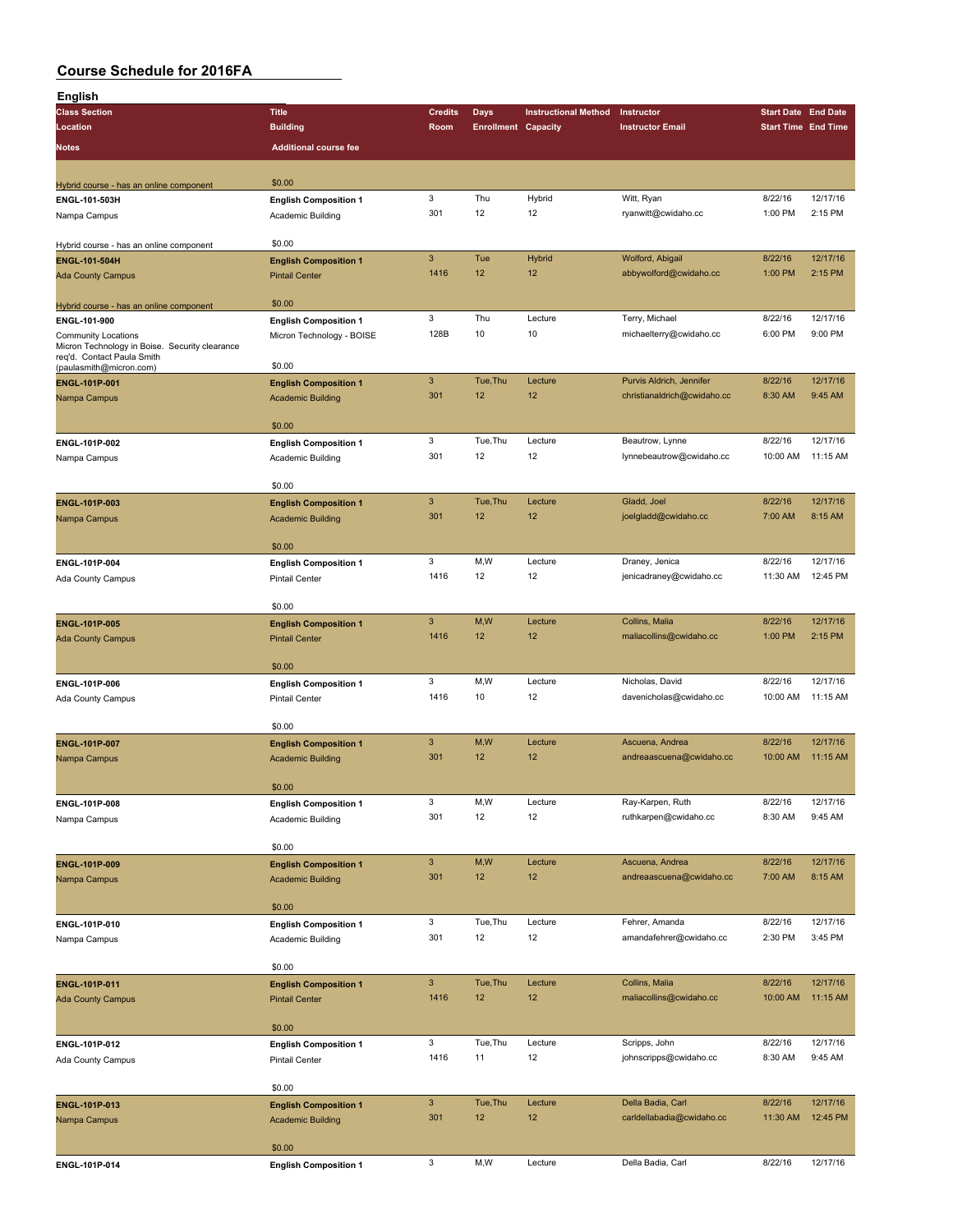| English                                                                                                    |                                                          |                           |                            |                             |                                             |                            |                     |
|------------------------------------------------------------------------------------------------------------|----------------------------------------------------------|---------------------------|----------------------------|-----------------------------|---------------------------------------------|----------------------------|---------------------|
| <b>Class Section</b>                                                                                       | <b>Title</b>                                             | <b>Credits</b>            | Days                       | <b>Instructional Method</b> | Instructor                                  | <b>Start Date End Date</b> |                     |
| Location                                                                                                   | <b>Building</b>                                          | Room                      | <b>Enrollment Capacity</b> |                             | <b>Instructor Email</b>                     | <b>Start Time End Time</b> |                     |
| <b>Notes</b>                                                                                               | <b>Additional course fee</b>                             |                           |                            |                             |                                             |                            |                     |
|                                                                                                            |                                                          |                           |                            |                             |                                             |                            |                     |
| Hybrid course - has an online component                                                                    | \$0.00                                                   |                           |                            |                             |                                             |                            |                     |
| ENGL-101-503H                                                                                              | <b>English Composition 1</b>                             | 3                         | Thu                        | Hybrid                      | Witt, Ryan                                  | 8/22/16                    | 12/17/16            |
| Nampa Campus                                                                                               | Academic Building                                        | 301                       | 12                         | 12                          | ryanwitt@cwidaho.cc                         | 1:00 PM                    | 2:15 PM             |
|                                                                                                            | \$0.00                                                   |                           |                            |                             |                                             |                            |                     |
| Hybrid course - has an online component<br>ENGL-101-504H                                                   | <b>English Composition 1</b>                             | $\ensuremath{\mathsf{3}}$ | Tue                        | <b>Hybrid</b>               | Wolford, Abigail                            | 8/22/16                    | 12/17/16            |
| <b>Ada County Campus</b>                                                                                   | <b>Pintail Center</b>                                    | 1416                      | 12                         | 12                          | abbywolford@cwidaho.cc                      | 1:00 PM                    | 2:15 PM             |
|                                                                                                            |                                                          |                           |                            |                             |                                             |                            |                     |
| Hybrid course - has an online component                                                                    | \$0.00                                                   |                           |                            |                             |                                             |                            |                     |
| ENGL-101-900                                                                                               | <b>English Composition 1</b>                             | 3                         | Thu                        | Lecture                     | Terry, Michael                              | 8/22/16                    | 12/17/16            |
| <b>Community Locations</b><br>Micron Technology in Boise. Security clearance<br>req'd. Contact Paula Smith | Micron Technology - BOISE                                | 128B                      | 10                         | 10                          | michaelterry@cwidaho.cc                     | 6:00 PM                    | 9:00 PM             |
| (paulasmith@micron.com)                                                                                    | \$0.00                                                   |                           |                            |                             |                                             |                            |                     |
| ENGL-101P-001                                                                                              | <b>English Composition 1</b>                             | $\mathbf{3}$<br>301       | Tue, Thu                   | Lecture<br>12               | Purvis Aldrich, Jennifer                    | 8/22/16                    | 12/17/16            |
| Nampa Campus                                                                                               | <b>Academic Building</b>                                 |                           | 12                         |                             | christianaldrich@cwidaho.cc                 | 8:30 AM                    | 9:45 AM             |
|                                                                                                            | \$0.00                                                   |                           |                            |                             |                                             |                            |                     |
| ENGL-101P-002                                                                                              | <b>English Composition 1</b>                             | 3                         | Tue, Thu                   | Lecture                     | Beautrow, Lynne                             | 8/22/16                    | 12/17/16            |
| Nampa Campus                                                                                               | Academic Building                                        | 301                       | 12                         | 12                          | lynnebeautrow@cwidaho.cc                    | 10:00 AM                   | 11:15 AM            |
|                                                                                                            |                                                          |                           |                            |                             |                                             |                            |                     |
|                                                                                                            | \$0.00                                                   | $\mathbf{3}$              | Tue, Thu                   | Lecture                     | Gladd, Joel                                 | 8/22/16                    | 12/17/16            |
| ENGL-101P-003<br>Nampa Campus                                                                              | <b>English Composition 1</b><br><b>Academic Building</b> | 301                       | 12                         | 12                          | joelgladd@cwidaho.cc                        | 7:00 AM                    | 8:15 AM             |
|                                                                                                            |                                                          |                           |                            |                             |                                             |                            |                     |
|                                                                                                            | \$0.00                                                   |                           |                            |                             |                                             |                            |                     |
| ENGL-101P-004                                                                                              | <b>English Composition 1</b>                             | 3                         | M, W                       | Lecture                     | Draney, Jenica                              | 8/22/16                    | 12/17/16            |
| Ada County Campus                                                                                          | <b>Pintail Center</b>                                    | 1416                      | 12                         | 12                          | jenicadraney@cwidaho.cc                     | 11:30 AM                   | 12:45 PM            |
|                                                                                                            | \$0.00                                                   |                           |                            |                             |                                             |                            |                     |
| ENGL-101P-005                                                                                              | <b>English Composition 1</b>                             | $\mathbf{3}$              | M, W                       | Lecture                     | Collins, Malia                              | 8/22/16                    | 12/17/16            |
| <b>Ada County Campus</b>                                                                                   | <b>Pintail Center</b>                                    | 1416                      | 12                         | 12                          | maliacollins@cwidaho.cc                     | 1:00 PM                    | 2:15 PM             |
|                                                                                                            |                                                          |                           |                            |                             |                                             |                            |                     |
|                                                                                                            | \$0.00                                                   | 3                         | M,W                        | Lecture                     | Nicholas, David                             | 8/22/16                    | 12/17/16            |
| ENGL-101P-006<br>Ada County Campus                                                                         | <b>English Composition 1</b><br><b>Pintail Center</b>    | 1416                      | 10                         | 12                          | davenicholas@cwidaho.cc                     | 10:00 AM                   | 11:15 AM            |
|                                                                                                            |                                                          |                           |                            |                             |                                             |                            |                     |
|                                                                                                            | \$0.00                                                   |                           |                            |                             |                                             |                            |                     |
| ENGL-101P-007                                                                                              | <b>English Composition 1</b>                             | $\mathbf{3}$              | M,W                        | Lecture                     | Ascuena, Andrea                             | 8/22/16                    | 12/17/16            |
| Nampa Campus                                                                                               | <b>Academic Building</b>                                 | 301                       | 12 <sup>2</sup>            | 12                          | andreaascuena@cwidaho.cc                    | 10:00 AM                   | 11:15 AM            |
|                                                                                                            | \$0.00                                                   |                           |                            |                             |                                             |                            |                     |
| ENGL-101P-008                                                                                              | <b>English Composition 1</b>                             | 3                         | M,W                        | Lecture                     | Ray-Karpen, Ruth                            | 8/22/16                    | 12/17/16            |
| Nampa Campus                                                                                               | Academic Building                                        | 301                       | 12                         | 12                          | ruthkarpen@cwidaho.cc                       | 8:30 AM                    | 9:45 AM             |
|                                                                                                            |                                                          |                           |                            |                             |                                             |                            |                     |
|                                                                                                            | \$0.00                                                   | $\mathbf{3}$              |                            |                             |                                             |                            |                     |
| ENGL-101P-009                                                                                              | <b>English Composition 1</b><br><b>Academic Building</b> | 301                       | M, W<br>12 <sup>2</sup>    | Lecture<br>12               | Ascuena, Andrea<br>andreaascuena@cwidaho.cc | 8/22/16<br>7:00 AM         | 12/17/16<br>8:15 AM |
| Nampa Campus                                                                                               |                                                          |                           |                            |                             |                                             |                            |                     |
|                                                                                                            | \$0.00                                                   |                           |                            |                             |                                             |                            |                     |
| ENGL-101P-010                                                                                              | <b>English Composition 1</b>                             | 3                         | Tue, Thu                   | Lecture                     | Fehrer, Amanda                              | 8/22/16                    | 12/17/16            |
| Nampa Campus                                                                                               | Academic Building                                        | 301                       | 12                         | 12                          | amandafehrer@cwidaho.cc                     | 2:30 PM                    | 3:45 PM             |
|                                                                                                            | \$0.00                                                   |                           |                            |                             |                                             |                            |                     |
| ENGL-101P-011                                                                                              | <b>English Composition 1</b>                             | $\ensuremath{\mathsf{3}}$ | Tue, Thu                   | Lecture                     | Collins, Malia                              | 8/22/16                    | 12/17/16            |
| <b>Ada County Campus</b>                                                                                   | <b>Pintail Center</b>                                    | 1416                      | 12                         | 12                          | maliacollins@cwidaho.cc                     | 10:00 AM                   | 11:15 AM            |
|                                                                                                            |                                                          |                           |                            |                             |                                             |                            |                     |
|                                                                                                            | \$0.00                                                   |                           |                            |                             |                                             |                            |                     |
| ENGL-101P-012                                                                                              | <b>English Composition 1</b>                             | 3<br>1416                 | Tue, Thu<br>11             | Lecture<br>12               | Scripps, John                               | 8/22/16<br>8:30 AM         | 12/17/16<br>9:45 AM |
| Ada County Campus                                                                                          | <b>Pintail Center</b>                                    |                           |                            |                             | johnscripps@cwidaho.cc                      |                            |                     |
|                                                                                                            | \$0.00                                                   |                           |                            |                             |                                             |                            |                     |
| ENGL-101P-013                                                                                              | <b>English Composition 1</b>                             | $\mathbf{3}$              | Tue, Thu                   | Lecture                     | Della Badia, Carl                           | 8/22/16                    | 12/17/16            |
| Nampa Campus                                                                                               | <b>Academic Building</b>                                 | 301                       | 12                         | 12                          | carldellabadia@cwidaho.cc                   | 11:30 AM                   | 12:45 PM            |
|                                                                                                            | \$0.00                                                   |                           |                            |                             |                                             |                            |                     |
| ENGL-101P-014                                                                                              | <b>English Composition 1</b>                             | $\mathbf 3$               | M,W                        | Lecture                     | Della Badia, Carl                           | 8/22/16                    | 12/17/16            |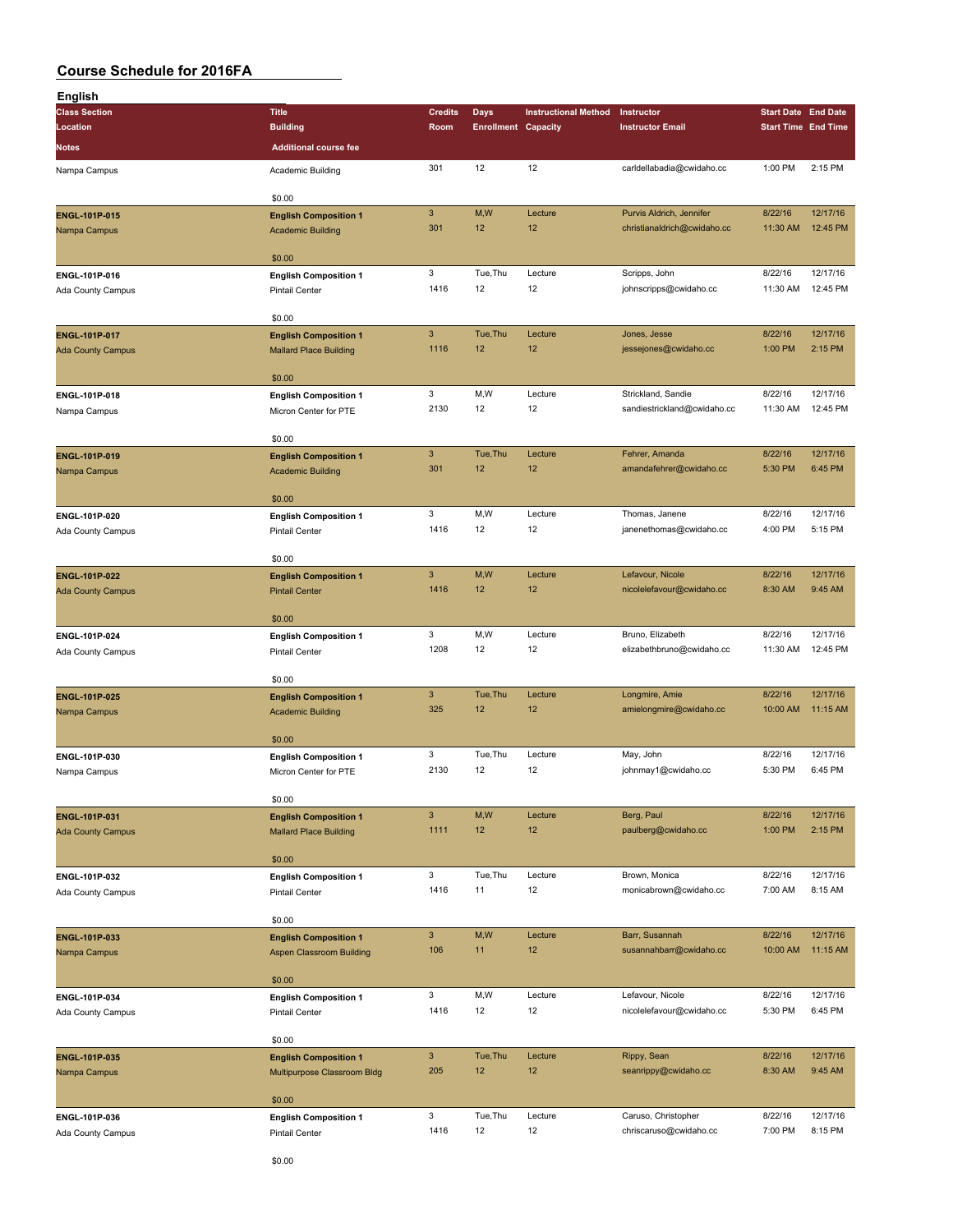| English                  |                                 |                                   |                            |                             |                             |                            |                     |
|--------------------------|---------------------------------|-----------------------------------|----------------------------|-----------------------------|-----------------------------|----------------------------|---------------------|
| <b>Class Section</b>     | <b>Title</b>                    | <b>Credits</b>                    | Days                       | <b>Instructional Method</b> | Instructor                  | <b>Start Date End Date</b> |                     |
| Location                 | <b>Building</b>                 | Room                              | <b>Enrollment Capacity</b> |                             | <b>Instructor Email</b>     | <b>Start Time End Time</b> |                     |
| <b>Notes</b>             | <b>Additional course fee</b>    |                                   |                            |                             |                             |                            |                     |
|                          |                                 |                                   |                            |                             |                             |                            |                     |
| Nampa Campus             | Academic Building               | 301                               | 12                         | 12                          | carldellabadia@cwidaho.cc   | 1:00 PM                    | 2:15 PM             |
|                          |                                 |                                   |                            |                             |                             |                            |                     |
|                          | \$0.00                          |                                   |                            |                             |                             |                            |                     |
| ENGL-101P-015            | <b>English Composition 1</b>    | $\ensuremath{\mathsf{3}}$         | M,W                        | Lecture                     | Purvis Aldrich, Jennifer    | 8/22/16                    | 12/17/16            |
| Nampa Campus             | <b>Academic Building</b>        | 301                               | 12                         | 12                          | christianaldrich@cwidaho.cc | 11:30 AM                   | 12:45 PM            |
|                          |                                 |                                   |                            |                             |                             |                            |                     |
|                          | \$0.00                          |                                   |                            |                             |                             |                            |                     |
| ENGL-101P-016            | <b>English Composition 1</b>    | 3                                 | Tue, Thu                   | Lecture                     | Scripps, John               | 8/22/16                    | 12/17/16            |
| Ada County Campus        | <b>Pintail Center</b>           | 1416                              | 12                         | 12                          | johnscripps@cwidaho.cc      | 11:30 AM                   | 12:45 PM            |
|                          |                                 |                                   |                            |                             |                             |                            |                     |
|                          | \$0.00                          |                                   |                            |                             |                             |                            |                     |
| ENGL-101P-017            | <b>English Composition 1</b>    | $\mathbf{3}$                      | Tue, Thu                   | Lecture                     | Jones, Jesse                | 8/22/16                    | 12/17/16            |
| <b>Ada County Campus</b> | <b>Mallard Place Building</b>   | 1116                              | 12                         | 12                          | jessejones@cwidaho.cc       | 1:00 PM                    | 2:15 PM             |
|                          |                                 |                                   |                            |                             |                             |                            |                     |
|                          | \$0.00                          |                                   |                            |                             |                             |                            |                     |
| ENGL-101P-018            | <b>English Composition 1</b>    | 3                                 | M,W                        | Lecture                     | Strickland, Sandie          | 8/22/16                    | 12/17/16            |
| Nampa Campus             | Micron Center for PTE           | 2130                              | 12                         | 12                          | sandiestrickland@cwidaho.cc | 11:30 AM                   | 12:45 PM            |
|                          |                                 |                                   |                            |                             |                             |                            |                     |
|                          | \$0.00                          |                                   |                            |                             |                             |                            |                     |
| ENGL-101P-019            | <b>English Composition 1</b>    | $\ensuremath{\mathsf{3}}$         | Tue, Thu                   | Lecture                     | Fehrer, Amanda              | 8/22/16                    | 12/17/16            |
| Nampa Campus             | <b>Academic Building</b>        | 301                               | 12                         | 12                          | amandafehrer@cwidaho.cc     | 5:30 PM                    | 6:45 PM             |
|                          |                                 |                                   |                            |                             |                             |                            |                     |
|                          | \$0.00                          |                                   |                            |                             |                             |                            |                     |
| ENGL-101P-020            | <b>English Composition 1</b>    | 3                                 | M, W                       | Lecture                     | Thomas, Janene              | 8/22/16                    | 12/17/16            |
| Ada County Campus        | <b>Pintail Center</b>           | 1416                              | 12                         | 12                          | janenethomas@cwidaho.cc     | 4:00 PM                    | 5:15 PM             |
|                          |                                 |                                   |                            |                             |                             |                            |                     |
|                          | \$0.00                          |                                   |                            |                             |                             |                            |                     |
| ENGL-101P-022            | <b>English Composition 1</b>    | $\ensuremath{\mathsf{3}}$         | M,W                        | Lecture                     | Lefavour, Nicole            | 8/22/16                    | 12/17/16            |
| <b>Ada County Campus</b> | <b>Pintail Center</b>           | 1416                              | 12                         | 12                          | nicolelefavour@cwidaho.cc   | 8:30 AM                    | 9:45 AM             |
|                          |                                 |                                   |                            |                             |                             |                            |                     |
|                          | \$0.00                          |                                   |                            |                             |                             |                            |                     |
| ENGL-101P-024            | <b>English Composition 1</b>    | 3                                 | M,W                        | Lecture                     | Bruno, Elizabeth            | 8/22/16                    | 12/17/16            |
| Ada County Campus        | Pintail Center                  | 1208                              | 12                         | 12                          | elizabethbruno@cwidaho.cc   | 11:30 AM                   | 12:45 PM            |
|                          |                                 |                                   |                            |                             |                             |                            |                     |
|                          | \$0.00                          |                                   |                            |                             |                             |                            |                     |
| <b>ENGL-101P-025</b>     | <b>English Composition 1</b>    | $\mathbf{3}$                      | Tue, Thu                   | Lecture                     | Longmire, Amie              | 8/22/16                    | 12/17/16            |
| Nampa Campus             | <b>Academic Building</b>        | 325                               | 12                         | 12                          | amielongmire@cwidaho.cc     | 10:00 AM                   | 11:15 AM            |
|                          |                                 |                                   |                            |                             |                             |                            |                     |
|                          | \$0.00                          |                                   | Tue.Thu                    |                             |                             |                            |                     |
| ENGL-101P-030            | <b>English Composition 1</b>    | 3<br>2130                         |                            | Lecture                     | May, John                   | 8/22/16<br>5:30 PM         | 12/17/16<br>6:45 PM |
| Nampa Campus             | Micron Center for PTE           |                                   | 12                         | 12                          | johnmay1@cwidaho.cc         |                            |                     |
|                          |                                 |                                   |                            |                             |                             |                            |                     |
|                          | \$0.00                          |                                   |                            |                             |                             |                            |                     |
| ENGL-101P-031            | <b>English Composition 1</b>    | $\ensuremath{\mathsf{3}}$<br>1111 | M,W                        | Lecture                     | Berg, Paul                  | 8/22/16                    | 12/17/16<br>2:15 PM |
| <b>Ada County Campus</b> | <b>Mallard Place Building</b>   |                                   | 12 <sup>2</sup>            | 12                          | paulberg@cwidaho.cc         | 1:00 PM                    |                     |
|                          |                                 |                                   |                            |                             |                             |                            |                     |
|                          | \$0.00                          | 3                                 |                            |                             |                             |                            |                     |
| ENGL-101P-032            | <b>English Composition 1</b>    |                                   | Tue, Thu                   | Lecture                     | Brown, Monica               | 8/22/16                    | 12/17/16            |
| Ada County Campus        | Pintail Center                  | 1416                              | 11                         | 12                          | monicabrown@cwidaho.cc      | 7:00 AM                    | 8:15 AM             |
|                          | \$0.00                          |                                   |                            |                             |                             |                            |                     |
|                          |                                 | $\ensuremath{\mathsf{3}}$         |                            |                             |                             |                            | 12/17/16            |
| ENGL-101P-033            | <b>English Composition 1</b>    |                                   | M,W                        | Lecture                     | Barr, Susannah              | 8/22/16                    |                     |
| Nampa Campus             | <b>Aspen Classroom Building</b> | 106                               | 11                         | 12                          | susannahbarr@cwidaho.cc     | 10:00 AM                   | 11:15 AM            |
|                          |                                 |                                   |                            |                             |                             |                            |                     |
|                          | \$0.00                          |                                   |                            |                             |                             |                            |                     |
| ENGL-101P-034            | <b>English Composition 1</b>    | $\mathbf 3$                       | M,W                        | Lecture                     | Lefavour, Nicole            | 8/22/16                    | 12/17/16            |
| Ada County Campus        | <b>Pintail Center</b>           | 1416                              | 12                         | 12                          | nicolelefavour@cwidaho.cc   | 5:30 PM                    | 6:45 PM             |
|                          |                                 |                                   |                            |                             |                             |                            |                     |
|                          | \$0.00                          |                                   |                            |                             |                             |                            |                     |
| ENGL-101P-035            | <b>English Composition 1</b>    | $\ensuremath{\mathsf{3}}$         | Tue, Thu                   | Lecture                     | Rippy, Sean                 | 8/22/16                    | 12/17/16            |
| Nampa Campus             | Multipurpose Classroom Bldg     | 205                               | 12                         | 12                          | seanrippy@cwidaho.cc        | 8:30 AM                    | 9:45 AM             |
|                          |                                 |                                   |                            |                             |                             |                            |                     |
|                          | \$0.00                          |                                   |                            |                             |                             |                            |                     |
| ENGL-101P-036            | <b>English Composition 1</b>    | 3                                 | Tue, Thu                   | Lecture                     | Caruso, Christopher         | 8/22/16                    | 12/17/16            |
| Ada County Campus        | <b>Pintail Center</b>           | 1416                              | 12                         | 12                          | chriscaruso@cwidaho.cc      | 7:00 PM                    | 8:15 PM             |
|                          | \$0.00                          |                                   |                            |                             |                             |                            |                     |
|                          |                                 |                                   |                            |                             |                             |                            |                     |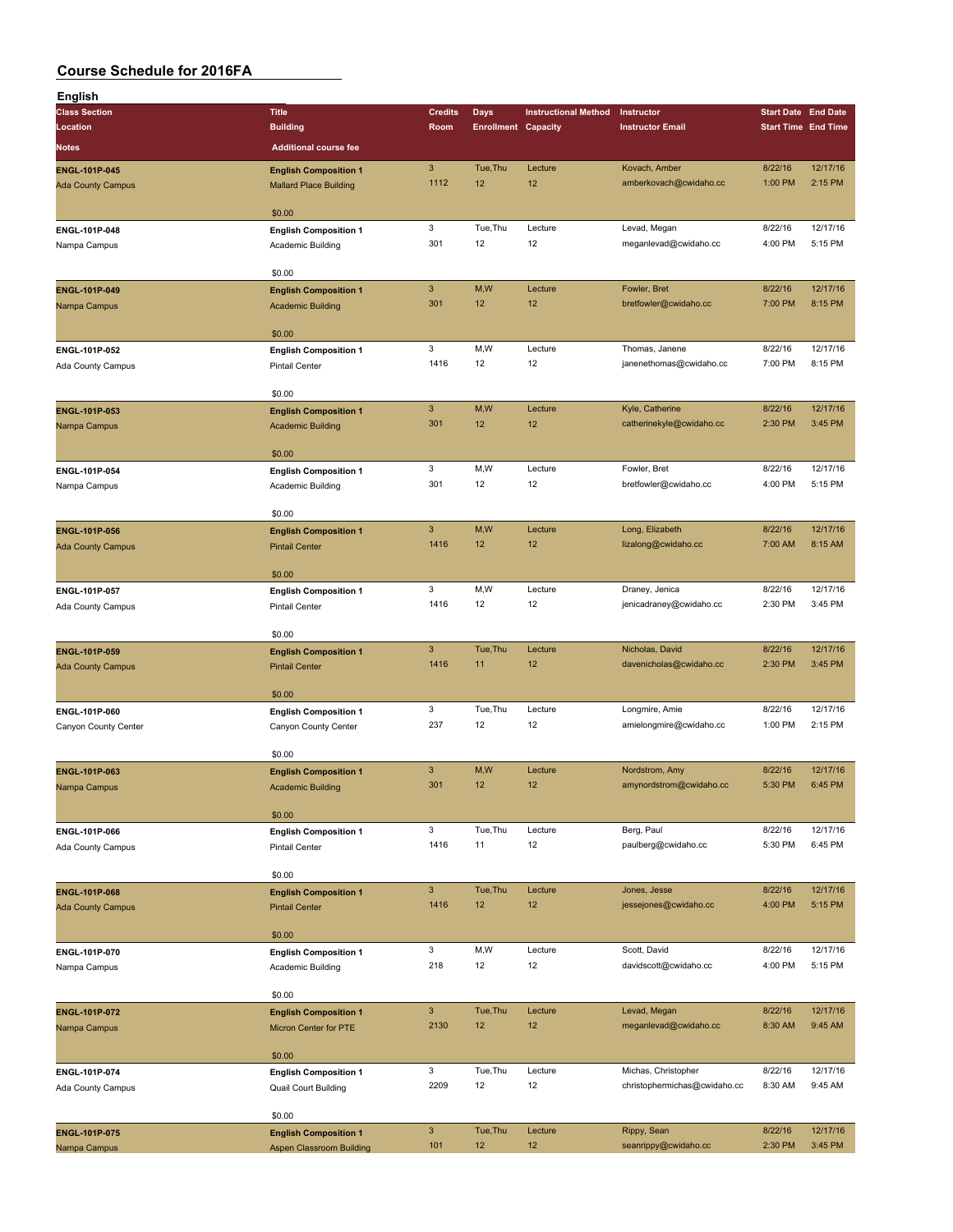| English                  |                               |                           |                            |                             |                              |                            |          |
|--------------------------|-------------------------------|---------------------------|----------------------------|-----------------------------|------------------------------|----------------------------|----------|
| <b>Class Section</b>     | <b>Title</b>                  | <b>Credits</b>            | <b>Days</b>                | <b>Instructional Method</b> | Instructor                   | <b>Start Date End Date</b> |          |
| Location                 | <b>Building</b>               | Room                      | <b>Enrollment Capacity</b> |                             | <b>Instructor Email</b>      | <b>Start Time End Time</b> |          |
| Notes                    | <b>Additional course fee</b>  |                           |                            |                             |                              |                            |          |
|                          |                               |                           |                            |                             |                              |                            |          |
| <b>ENGL-101P-045</b>     | <b>English Composition 1</b>  | $\mathbf{3}$              | Tue, Thu                   | Lecture                     | Kovach, Amber                | 8/22/16                    | 12/17/16 |
| <b>Ada County Campus</b> | <b>Mallard Place Building</b> | 1112                      | 12                         | 12                          | amberkovach@cwidaho.cc       | 1:00 PM                    | 2:15 PM  |
|                          |                               |                           |                            |                             |                              |                            |          |
|                          | \$0.00                        |                           |                            |                             |                              |                            |          |
| ENGL-101P-048            | <b>English Composition 1</b>  | 3                         | Tue, Thu                   | Lecture                     | Levad, Megan                 | 8/22/16                    | 12/17/16 |
| Nampa Campus             | Academic Building             | 301                       | 12                         | 12                          | meganlevad@cwidaho.cc        | 4:00 PM                    | 5:15 PM  |
|                          |                               |                           |                            |                             |                              |                            |          |
|                          | \$0.00                        |                           |                            |                             |                              |                            |          |
| ENGL-101P-049            | <b>English Composition 1</b>  | $\ensuremath{\mathsf{3}}$ | M,W                        | Lecture                     | Fowler, Bret                 | 8/22/16                    | 12/17/16 |
| Nampa Campus             | <b>Academic Building</b>      | 301                       | 12                         | 12                          | bretfowler@cwidaho.cc        | 7:00 PM                    | 8:15 PM  |
|                          |                               |                           |                            |                             |                              |                            |          |
|                          | \$0.00                        |                           |                            |                             |                              |                            |          |
| ENGL-101P-052            | <b>English Composition 1</b>  | 3                         | M,W                        | Lecture                     | Thomas, Janene               | 8/22/16                    | 12/17/16 |
| Ada County Campus        | <b>Pintail Center</b>         | 1416                      | 12                         | 12                          | janenethomas@cwidaho.cc      | 7:00 PM                    | 8:15 PM  |
|                          |                               |                           |                            |                             |                              |                            |          |
|                          | \$0.00                        |                           |                            |                             |                              |                            |          |
| ENGL-101P-053            | <b>English Composition 1</b>  | $\mathbf{3}$              | M, W                       | Lecture                     | Kyle, Catherine              | 8/22/16                    | 12/17/16 |
|                          |                               | 301                       | 12                         | 12                          | catherinekyle@cwidaho.cc     | 2:30 PM                    | 3:45 PM  |
| Nampa Campus             | <b>Academic Building</b>      |                           |                            |                             |                              |                            |          |
|                          | \$0.00                        |                           |                            |                             |                              |                            |          |
|                          |                               | 3                         | M,W                        | Lecture                     | Fowler, Bret                 | 8/22/16                    | 12/17/16 |
| ENGL-101P-054            | <b>English Composition 1</b>  | 301                       | 12                         | 12                          |                              | 4:00 PM                    | 5:15 PM  |
| Nampa Campus             | Academic Building             |                           |                            |                             | bretfowler@cwidaho.cc        |                            |          |
|                          | \$0.00                        |                           |                            |                             |                              |                            |          |
|                          |                               | $\ensuremath{\mathsf{3}}$ | M,W                        | Lecture                     | Long, Elizabeth              | 8/22/16                    | 12/17/16 |
| <b>ENGL-101P-056</b>     | <b>English Composition 1</b>  |                           |                            |                             |                              |                            |          |
| <b>Ada County Campus</b> | <b>Pintail Center</b>         | 1416                      | 12                         | 12                          | lizalong@cwidaho.cc          | 7:00 AM                    | 8:15 AM  |
|                          |                               |                           |                            |                             |                              |                            |          |
|                          | \$0.00                        |                           |                            |                             |                              |                            |          |
| ENGL-101P-057            | <b>English Composition 1</b>  | 3                         | M,W                        | Lecture                     | Draney, Jenica               | 8/22/16                    | 12/17/16 |
| Ada County Campus        | Pintail Center                | 1416                      | 12                         | 12                          | jenicadraney@cwidaho.cc      | 2:30 PM                    | 3:45 PM  |
|                          |                               |                           |                            |                             |                              |                            |          |
|                          | \$0.00                        |                           |                            |                             |                              |                            |          |
| ENGL-101P-059            | <b>English Composition 1</b>  | $\ensuremath{\mathsf{3}}$ | Tue, Thu                   | Lecture                     | Nicholas, David              | 8/22/16                    | 12/17/16 |
| <b>Ada County Campus</b> | <b>Pintail Center</b>         | 1416                      | 11                         | 12                          | davenicholas@cwidaho.cc      | 2:30 PM                    | 3:45 PM  |
|                          |                               |                           |                            |                             |                              |                            |          |
|                          | \$0.00                        |                           |                            |                             |                              |                            |          |
| ENGL-101P-060            | <b>English Composition 1</b>  | 3                         | Tue, Thu                   | Lecture                     | Longmire, Amie               | 8/22/16                    | 12/17/16 |
| Canyon County Center     | Canyon County Center          | 237                       | 12                         | 12                          | amielongmire@cwidaho.cc      | 1:00 PM                    | 2:15 PM  |
|                          |                               |                           |                            |                             |                              |                            |          |
|                          | \$0.00                        |                           |                            |                             |                              |                            |          |
| ENGL-101P-063            | <b>English Composition 1</b>  | $\mathbf{3}$              | M,W                        | Lecture                     | Nordstrom, Amy               | 8/22/16                    | 12/17/16 |
| Nampa Campus             | <b>Academic Building</b>      | 301                       | 12                         | 12                          | amynordstrom@cwidaho.cc      | 5:30 PM                    | 6:45 PM  |
|                          |                               |                           |                            |                             |                              |                            |          |
|                          | \$0.00                        |                           |                            |                             |                              |                            |          |
| ENGL-101P-066            | <b>English Composition 1</b>  | 3                         | Tue, Thu                   | Lecture                     | Berg, Paul                   | 8/22/16                    | 12/17/16 |
| Ada County Campus        | Pintail Center                | 1416                      | 11                         | 12                          | paulberg@cwidaho.cc          | 5:30 PM                    | 6:45 PM  |
|                          |                               |                           |                            |                             |                              |                            |          |
|                          | \$0.00                        |                           |                            |                             |                              |                            |          |
| <b>ENGL-101P-068</b>     | <b>English Composition 1</b>  | $\ensuremath{\mathsf{3}}$ | Tue, Thu                   | Lecture                     | Jones, Jesse                 | 8/22/16                    | 12/17/16 |
| <b>Ada County Campus</b> | <b>Pintail Center</b>         | 1416                      | 12                         | 12                          | jessejones@cwidaho.cc        | 4:00 PM                    | 5:15 PM  |
|                          |                               |                           |                            |                             |                              |                            |          |
|                          | \$0.00                        |                           |                            |                             |                              |                            |          |
| ENGL-101P-070            | <b>English Composition 1</b>  | 3                         | M,W                        | Lecture                     | Scott, David                 | 8/22/16                    | 12/17/16 |
| Nampa Campus             | Academic Building             | 218                       | 12                         | 12                          | davidscott@cwidaho.cc        | 4:00 PM                    | 5:15 PM  |
|                          |                               |                           |                            |                             |                              |                            |          |
|                          | \$0.00                        |                           |                            |                             |                              |                            |          |
| ENGL-101P-072            | <b>English Composition 1</b>  | $\mathsf 3$               | Tue, Thu                   | Lecture                     | Levad, Megan                 | 8/22/16                    | 12/17/16 |
| Nampa Campus             | Micron Center for PTE         | 2130                      | 12                         | 12                          | meganlevad@cwidaho.cc        | 8:30 AM                    | 9:45 AM  |
|                          |                               |                           |                            |                             |                              |                            |          |
|                          | \$0.00                        |                           |                            |                             |                              |                            |          |
| ENGL-101P-074            | <b>English Composition 1</b>  | 3                         | Tue, Thu                   | Lecture                     | Michas, Christopher          | 8/22/16                    | 12/17/16 |
|                          | <b>Quail Court Building</b>   | 2209                      | 12                         | 12                          | christophermichas@cwidaho.cc | 8:30 AM                    | 9:45 AM  |
| Ada County Campus        |                               |                           |                            |                             |                              |                            |          |
|                          | \$0.00                        |                           |                            |                             |                              |                            |          |
|                          |                               | $\mathbf{3}$              | Tue, Thu                   | Lecture                     | Rippy, Sean                  | 8/22/16                    | 12/17/16 |
| ENGL-101P-075            | <b>English Composition 1</b>  | 101                       | 12                         | 12                          |                              | 2:30 PM                    | 3:45 PM  |
| Nampa Campus             | Aspen Classroom Building      |                           |                            |                             | seanrippy@cwidaho.cc         |                            |          |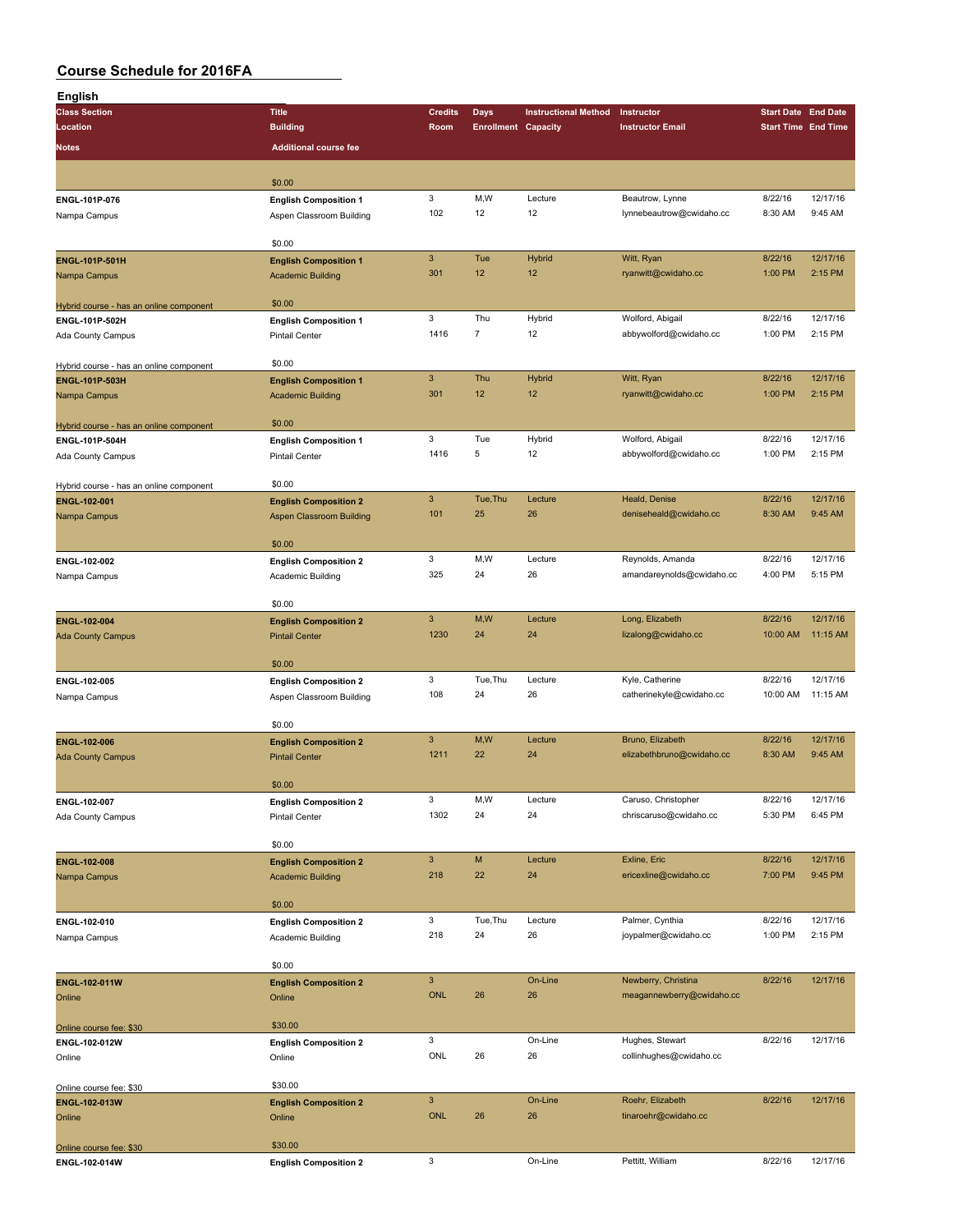| <b>Class Section</b>                                                                                                                                                                                                                                                                                                                                                                                                                                                                                                                                                                                                                                                                                                                                                                                                                                                                                                                                                                                                                                                                                                                                                                                                                                                                                                                                                                                                                                                                                                                                                                                                                                                                                                                                                                                                                                                                                                                                                                                                                                                                                                                                                                                                                                                                                                                                                                                                                                                                                                                                                                                                                                                                                                                                                                                                                                                                                                                                                                                                                                                          | <b>Title</b>                 | <b>Credits</b>            | <b>Days</b> | <b>Instructional Method</b> | Instructor                | <b>Start Date End Date</b> |                            |
|-------------------------------------------------------------------------------------------------------------------------------------------------------------------------------------------------------------------------------------------------------------------------------------------------------------------------------------------------------------------------------------------------------------------------------------------------------------------------------------------------------------------------------------------------------------------------------------------------------------------------------------------------------------------------------------------------------------------------------------------------------------------------------------------------------------------------------------------------------------------------------------------------------------------------------------------------------------------------------------------------------------------------------------------------------------------------------------------------------------------------------------------------------------------------------------------------------------------------------------------------------------------------------------------------------------------------------------------------------------------------------------------------------------------------------------------------------------------------------------------------------------------------------------------------------------------------------------------------------------------------------------------------------------------------------------------------------------------------------------------------------------------------------------------------------------------------------------------------------------------------------------------------------------------------------------------------------------------------------------------------------------------------------------------------------------------------------------------------------------------------------------------------------------------------------------------------------------------------------------------------------------------------------------------------------------------------------------------------------------------------------------------------------------------------------------------------------------------------------------------------------------------------------------------------------------------------------------------------------------------------------------------------------------------------------------------------------------------------------------------------------------------------------------------------------------------------------------------------------------------------------------------------------------------------------------------------------------------------------------------------------------------------------------------------------------------------------|------------------------------|---------------------------|-------------|-----------------------------|---------------------------|----------------------------|----------------------------|
| Location                                                                                                                                                                                                                                                                                                                                                                                                                                                                                                                                                                                                                                                                                                                                                                                                                                                                                                                                                                                                                                                                                                                                                                                                                                                                                                                                                                                                                                                                                                                                                                                                                                                                                                                                                                                                                                                                                                                                                                                                                                                                                                                                                                                                                                                                                                                                                                                                                                                                                                                                                                                                                                                                                                                                                                                                                                                                                                                                                                                                                                                                      | <b>Building</b>              | Room                      |             |                             | <b>Instructor Email</b>   |                            | <b>Start Time End Time</b> |
|                                                                                                                                                                                                                                                                                                                                                                                                                                                                                                                                                                                                                                                                                                                                                                                                                                                                                                                                                                                                                                                                                                                                                                                                                                                                                                                                                                                                                                                                                                                                                                                                                                                                                                                                                                                                                                                                                                                                                                                                                                                                                                                                                                                                                                                                                                                                                                                                                                                                                                                                                                                                                                                                                                                                                                                                                                                                                                                                                                                                                                                                               |                              |                           |             |                             |                           |                            |                            |
|                                                                                                                                                                                                                                                                                                                                                                                                                                                                                                                                                                                                                                                                                                                                                                                                                                                                                                                                                                                                                                                                                                                                                                                                                                                                                                                                                                                                                                                                                                                                                                                                                                                                                                                                                                                                                                                                                                                                                                                                                                                                                                                                                                                                                                                                                                                                                                                                                                                                                                                                                                                                                                                                                                                                                                                                                                                                                                                                                                                                                                                                               |                              |                           |             |                             |                           |                            |                            |
|                                                                                                                                                                                                                                                                                                                                                                                                                                                                                                                                                                                                                                                                                                                                                                                                                                                                                                                                                                                                                                                                                                                                                                                                                                                                                                                                                                                                                                                                                                                                                                                                                                                                                                                                                                                                                                                                                                                                                                                                                                                                                                                                                                                                                                                                                                                                                                                                                                                                                                                                                                                                                                                                                                                                                                                                                                                                                                                                                                                                                                                                               |                              |                           |             |                             |                           |                            |                            |
|                                                                                                                                                                                                                                                                                                                                                                                                                                                                                                                                                                                                                                                                                                                                                                                                                                                                                                                                                                                                                                                                                                                                                                                                                                                                                                                                                                                                                                                                                                                                                                                                                                                                                                                                                                                                                                                                                                                                                                                                                                                                                                                                                                                                                                                                                                                                                                                                                                                                                                                                                                                                                                                                                                                                                                                                                                                                                                                                                                                                                                                                               |                              |                           |             |                             |                           | 8/22/16                    | 12/17/16                   |
|                                                                                                                                                                                                                                                                                                                                                                                                                                                                                                                                                                                                                                                                                                                                                                                                                                                                                                                                                                                                                                                                                                                                                                                                                                                                                                                                                                                                                                                                                                                                                                                                                                                                                                                                                                                                                                                                                                                                                                                                                                                                                                                                                                                                                                                                                                                                                                                                                                                                                                                                                                                                                                                                                                                                                                                                                                                                                                                                                                                                                                                                               |                              |                           |             |                             |                           | 8:30 AM                    | 9:45 AM                    |
|                                                                                                                                                                                                                                                                                                                                                                                                                                                                                                                                                                                                                                                                                                                                                                                                                                                                                                                                                                                                                                                                                                                                                                                                                                                                                                                                                                                                                                                                                                                                                                                                                                                                                                                                                                                                                                                                                                                                                                                                                                                                                                                                                                                                                                                                                                                                                                                                                                                                                                                                                                                                                                                                                                                                                                                                                                                                                                                                                                                                                                                                               |                              |                           |             |                             |                           |                            |                            |
|                                                                                                                                                                                                                                                                                                                                                                                                                                                                                                                                                                                                                                                                                                                                                                                                                                                                                                                                                                                                                                                                                                                                                                                                                                                                                                                                                                                                                                                                                                                                                                                                                                                                                                                                                                                                                                                                                                                                                                                                                                                                                                                                                                                                                                                                                                                                                                                                                                                                                                                                                                                                                                                                                                                                                                                                                                                                                                                                                                                                                                                                               | \$0.00                       |                           |             |                             |                           |                            |                            |
|                                                                                                                                                                                                                                                                                                                                                                                                                                                                                                                                                                                                                                                                                                                                                                                                                                                                                                                                                                                                                                                                                                                                                                                                                                                                                                                                                                                                                                                                                                                                                                                                                                                                                                                                                                                                                                                                                                                                                                                                                                                                                                                                                                                                                                                                                                                                                                                                                                                                                                                                                                                                                                                                                                                                                                                                                                                                                                                                                                                                                                                                               |                              | $\mathbf{3}$              | Tue         | Hybrid                      | Witt, Ryan                | 8/22/16                    | 12/17/16                   |
| Nampa Campus                                                                                                                                                                                                                                                                                                                                                                                                                                                                                                                                                                                                                                                                                                                                                                                                                                                                                                                                                                                                                                                                                                                                                                                                                                                                                                                                                                                                                                                                                                                                                                                                                                                                                                                                                                                                                                                                                                                                                                                                                                                                                                                                                                                                                                                                                                                                                                                                                                                                                                                                                                                                                                                                                                                                                                                                                                                                                                                                                                                                                                                                  |                              | 301                       | 12          | 12                          | ryanwitt@cwidaho.cc       | 1:00 PM                    | 2:15 PM                    |
| English<br><b>Enrollment Capacity</b><br><b>Additional course fee</b><br><b>Notes</b><br>\$0.00<br>$\mathbf 3$<br>M, W<br>Lecture<br>Beautrow, Lynne<br>ENGL-101P-076<br><b>English Composition 1</b><br>102<br>12<br>12<br>lynnebeautrow@cwidaho.cc<br>Aspen Classroom Building<br>Nampa Campus<br><b>ENGL-101P-501H</b><br><b>English Composition 1</b><br><b>Academic Building</b><br>\$0.00<br>Hybrid course - has an online component<br>$\mathbf 3$<br>Thu<br>Wolford, Abigail<br>Hybrid<br>ENGL-101P-502H<br><b>English Composition 1</b><br>$\overline{7}$<br>1416<br>12<br><b>Pintail Center</b><br>Ada County Campus<br>\$0.00<br>Hybrid course - has an online component<br>$\ensuremath{\mathsf{3}}$<br>Thu<br>Witt, Ryan<br><b>Hybrid</b><br>ENGL-101P-503H<br><b>English Composition 1</b><br>12<br>12<br>301<br>ryanwitt@cwidaho.cc<br><b>Academic Building</b><br>Nampa Campus<br>\$0.00<br>Hybrid course - has an online component<br>$\mathbf 3$<br>Tue<br>Wolford, Abigail<br>Hybrid<br>ENGL-101P-504H<br><b>English Composition 1</b><br>1416<br>5<br>12<br>abbywolford@cwidaho.cc<br>Ada County Campus<br><b>Pintail Center</b><br>\$0.00<br>Hybrid course - has an online component<br>$\ensuremath{\mathsf{3}}$<br>Tue, Thu<br>Heald, Denise<br>Lecture<br><b>English Composition 2</b><br><b>ENGL-102-001</b><br>101<br>25<br>26<br><b>Aspen Classroom Building</b><br>Nampa Campus<br>\$0.00<br>3<br>M,W<br>Reynolds, Amanda<br>Lecture<br>ENGL-102-002<br><b>English Composition 2</b><br>325<br>24<br>26<br>Academic Building<br>Nampa Campus<br>\$0.00<br>$\mathbf{3}$<br>M,W<br>Lecture<br>Long, Elizabeth<br>ENGL-102-004<br><b>English Composition 2</b><br>1230<br>24<br>24<br>lizalong@cwidaho.cc<br><b>Ada County Campus</b><br><b>Pintail Center</b><br>\$0.00<br>$\mathbf 3$<br>Tue, Thu<br>Lecture<br>Kyle, Catherine<br>ENGL-102-005<br><b>English Composition 2</b><br>108<br>24<br>26<br>catherinekyle@cwidaho.cc<br>Nampa Campus<br>Aspen Classroom Building<br>\$0.00<br>$\mathbf{3}$<br>M,W<br>Bruno, Elizabeth<br>Lecture<br><b>ENGL-102-006</b><br><b>English Composition 2</b><br>1211<br>22<br>24<br><b>Ada County Campus</b><br><b>Pintail Center</b><br>\$0.00<br>3<br>M,W<br>Caruso, Christopher<br>Lecture<br>ENGL-102-007<br><b>English Composition 2</b><br>1302<br>24<br>24<br>Ada County Campus<br>Pintail Center<br>\$0.00<br>$\mathbf{3}$<br>${\sf M}$<br>Lecture<br>Exline, Eric<br>ENGL-102-008<br><b>English Composition 2</b><br>218<br>22<br>24<br>ericexline@cwidaho.cc<br><b>Academic Building</b><br>Nampa Campus<br>\$0.00<br>3<br>Tue, Thu<br>Palmer, Cynthia<br>Lecture<br>ENGL-102-010<br><b>English Composition 2</b><br>218<br>24<br>26<br>joypalmer@cwidaho.cc<br>Academic Building<br>Nampa Campus<br>\$0.00<br>$\ensuremath{\mathsf{3}}$<br>On-Line<br>Newberry, Christina<br>ENGL-102-011W<br><b>English Composition 2</b><br><b>ONL</b><br>26<br>26<br>Online<br>Online<br>\$30.00<br>Online course fee: \$30<br>3<br>On-Line<br>Hughes, Stewart<br>ENGL-102-012W<br><b>English Composition 2</b> |                              |                           |             |                             |                           |                            |                            |
|                                                                                                                                                                                                                                                                                                                                                                                                                                                                                                                                                                                                                                                                                                                                                                                                                                                                                                                                                                                                                                                                                                                                                                                                                                                                                                                                                                                                                                                                                                                                                                                                                                                                                                                                                                                                                                                                                                                                                                                                                                                                                                                                                                                                                                                                                                                                                                                                                                                                                                                                                                                                                                                                                                                                                                                                                                                                                                                                                                                                                                                                               |                              |                           |             |                             |                           |                            |                            |
|                                                                                                                                                                                                                                                                                                                                                                                                                                                                                                                                                                                                                                                                                                                                                                                                                                                                                                                                                                                                                                                                                                                                                                                                                                                                                                                                                                                                                                                                                                                                                                                                                                                                                                                                                                                                                                                                                                                                                                                                                                                                                                                                                                                                                                                                                                                                                                                                                                                                                                                                                                                                                                                                                                                                                                                                                                                                                                                                                                                                                                                                               |                              |                           |             |                             |                           | 8/22/16                    | 12/17/16                   |
|                                                                                                                                                                                                                                                                                                                                                                                                                                                                                                                                                                                                                                                                                                                                                                                                                                                                                                                                                                                                                                                                                                                                                                                                                                                                                                                                                                                                                                                                                                                                                                                                                                                                                                                                                                                                                                                                                                                                                                                                                                                                                                                                                                                                                                                                                                                                                                                                                                                                                                                                                                                                                                                                                                                                                                                                                                                                                                                                                                                                                                                                               |                              |                           |             |                             | abbywolford@cwidaho.cc    | 1:00 PM                    | 2:15 PM                    |
|                                                                                                                                                                                                                                                                                                                                                                                                                                                                                                                                                                                                                                                                                                                                                                                                                                                                                                                                                                                                                                                                                                                                                                                                                                                                                                                                                                                                                                                                                                                                                                                                                                                                                                                                                                                                                                                                                                                                                                                                                                                                                                                                                                                                                                                                                                                                                                                                                                                                                                                                                                                                                                                                                                                                                                                                                                                                                                                                                                                                                                                                               |                              |                           |             |                             |                           |                            |                            |
|                                                                                                                                                                                                                                                                                                                                                                                                                                                                                                                                                                                                                                                                                                                                                                                                                                                                                                                                                                                                                                                                                                                                                                                                                                                                                                                                                                                                                                                                                                                                                                                                                                                                                                                                                                                                                                                                                                                                                                                                                                                                                                                                                                                                                                                                                                                                                                                                                                                                                                                                                                                                                                                                                                                                                                                                                                                                                                                                                                                                                                                                               |                              |                           |             |                             |                           |                            |                            |
|                                                                                                                                                                                                                                                                                                                                                                                                                                                                                                                                                                                                                                                                                                                                                                                                                                                                                                                                                                                                                                                                                                                                                                                                                                                                                                                                                                                                                                                                                                                                                                                                                                                                                                                                                                                                                                                                                                                                                                                                                                                                                                                                                                                                                                                                                                                                                                                                                                                                                                                                                                                                                                                                                                                                                                                                                                                                                                                                                                                                                                                                               |                              |                           |             |                             |                           | 8/22/16                    | 12/17/16                   |
|                                                                                                                                                                                                                                                                                                                                                                                                                                                                                                                                                                                                                                                                                                                                                                                                                                                                                                                                                                                                                                                                                                                                                                                                                                                                                                                                                                                                                                                                                                                                                                                                                                                                                                                                                                                                                                                                                                                                                                                                                                                                                                                                                                                                                                                                                                                                                                                                                                                                                                                                                                                                                                                                                                                                                                                                                                                                                                                                                                                                                                                                               |                              |                           |             |                             |                           | 1:00 PM                    | 2:15 PM                    |
|                                                                                                                                                                                                                                                                                                                                                                                                                                                                                                                                                                                                                                                                                                                                                                                                                                                                                                                                                                                                                                                                                                                                                                                                                                                                                                                                                                                                                                                                                                                                                                                                                                                                                                                                                                                                                                                                                                                                                                                                                                                                                                                                                                                                                                                                                                                                                                                                                                                                                                                                                                                                                                                                                                                                                                                                                                                                                                                                                                                                                                                                               |                              |                           |             |                             |                           |                            |                            |
|                                                                                                                                                                                                                                                                                                                                                                                                                                                                                                                                                                                                                                                                                                                                                                                                                                                                                                                                                                                                                                                                                                                                                                                                                                                                                                                                                                                                                                                                                                                                                                                                                                                                                                                                                                                                                                                                                                                                                                                                                                                                                                                                                                                                                                                                                                                                                                                                                                                                                                                                                                                                                                                                                                                                                                                                                                                                                                                                                                                                                                                                               |                              |                           |             |                             |                           | 8/22/16                    | 12/17/16                   |
|                                                                                                                                                                                                                                                                                                                                                                                                                                                                                                                                                                                                                                                                                                                                                                                                                                                                                                                                                                                                                                                                                                                                                                                                                                                                                                                                                                                                                                                                                                                                                                                                                                                                                                                                                                                                                                                                                                                                                                                                                                                                                                                                                                                                                                                                                                                                                                                                                                                                                                                                                                                                                                                                                                                                                                                                                                                                                                                                                                                                                                                                               |                              |                           |             |                             |                           | 1:00 PM                    | 2:15 PM                    |
|                                                                                                                                                                                                                                                                                                                                                                                                                                                                                                                                                                                                                                                                                                                                                                                                                                                                                                                                                                                                                                                                                                                                                                                                                                                                                                                                                                                                                                                                                                                                                                                                                                                                                                                                                                                                                                                                                                                                                                                                                                                                                                                                                                                                                                                                                                                                                                                                                                                                                                                                                                                                                                                                                                                                                                                                                                                                                                                                                                                                                                                                               |                              |                           |             |                             |                           |                            |                            |
|                                                                                                                                                                                                                                                                                                                                                                                                                                                                                                                                                                                                                                                                                                                                                                                                                                                                                                                                                                                                                                                                                                                                                                                                                                                                                                                                                                                                                                                                                                                                                                                                                                                                                                                                                                                                                                                                                                                                                                                                                                                                                                                                                                                                                                                                                                                                                                                                                                                                                                                                                                                                                                                                                                                                                                                                                                                                                                                                                                                                                                                                               |                              |                           |             |                             |                           |                            |                            |
|                                                                                                                                                                                                                                                                                                                                                                                                                                                                                                                                                                                                                                                                                                                                                                                                                                                                                                                                                                                                                                                                                                                                                                                                                                                                                                                                                                                                                                                                                                                                                                                                                                                                                                                                                                                                                                                                                                                                                                                                                                                                                                                                                                                                                                                                                                                                                                                                                                                                                                                                                                                                                                                                                                                                                                                                                                                                                                                                                                                                                                                                               |                              |                           |             |                             |                           | 8/22/16                    | 12/17/16                   |
|                                                                                                                                                                                                                                                                                                                                                                                                                                                                                                                                                                                                                                                                                                                                                                                                                                                                                                                                                                                                                                                                                                                                                                                                                                                                                                                                                                                                                                                                                                                                                                                                                                                                                                                                                                                                                                                                                                                                                                                                                                                                                                                                                                                                                                                                                                                                                                                                                                                                                                                                                                                                                                                                                                                                                                                                                                                                                                                                                                                                                                                                               |                              |                           |             |                             | deniseheald@cwidaho.cc    | 8:30 AM                    | 9:45 AM                    |
|                                                                                                                                                                                                                                                                                                                                                                                                                                                                                                                                                                                                                                                                                                                                                                                                                                                                                                                                                                                                                                                                                                                                                                                                                                                                                                                                                                                                                                                                                                                                                                                                                                                                                                                                                                                                                                                                                                                                                                                                                                                                                                                                                                                                                                                                                                                                                                                                                                                                                                                                                                                                                                                                                                                                                                                                                                                                                                                                                                                                                                                                               |                              |                           |             |                             |                           |                            |                            |
|                                                                                                                                                                                                                                                                                                                                                                                                                                                                                                                                                                                                                                                                                                                                                                                                                                                                                                                                                                                                                                                                                                                                                                                                                                                                                                                                                                                                                                                                                                                                                                                                                                                                                                                                                                                                                                                                                                                                                                                                                                                                                                                                                                                                                                                                                                                                                                                                                                                                                                                                                                                                                                                                                                                                                                                                                                                                                                                                                                                                                                                                               |                              |                           |             |                             |                           |                            |                            |
|                                                                                                                                                                                                                                                                                                                                                                                                                                                                                                                                                                                                                                                                                                                                                                                                                                                                                                                                                                                                                                                                                                                                                                                                                                                                                                                                                                                                                                                                                                                                                                                                                                                                                                                                                                                                                                                                                                                                                                                                                                                                                                                                                                                                                                                                                                                                                                                                                                                                                                                                                                                                                                                                                                                                                                                                                                                                                                                                                                                                                                                                               |                              |                           |             |                             |                           | 8/22/16                    | 12/17/16                   |
|                                                                                                                                                                                                                                                                                                                                                                                                                                                                                                                                                                                                                                                                                                                                                                                                                                                                                                                                                                                                                                                                                                                                                                                                                                                                                                                                                                                                                                                                                                                                                                                                                                                                                                                                                                                                                                                                                                                                                                                                                                                                                                                                                                                                                                                                                                                                                                                                                                                                                                                                                                                                                                                                                                                                                                                                                                                                                                                                                                                                                                                                               |                              |                           |             |                             | amandareynolds@cwidaho.cc | 4:00 PM                    | 5:15 PM                    |
|                                                                                                                                                                                                                                                                                                                                                                                                                                                                                                                                                                                                                                                                                                                                                                                                                                                                                                                                                                                                                                                                                                                                                                                                                                                                                                                                                                                                                                                                                                                                                                                                                                                                                                                                                                                                                                                                                                                                                                                                                                                                                                                                                                                                                                                                                                                                                                                                                                                                                                                                                                                                                                                                                                                                                                                                                                                                                                                                                                                                                                                                               |                              |                           |             |                             |                           |                            |                            |
|                                                                                                                                                                                                                                                                                                                                                                                                                                                                                                                                                                                                                                                                                                                                                                                                                                                                                                                                                                                                                                                                                                                                                                                                                                                                                                                                                                                                                                                                                                                                                                                                                                                                                                                                                                                                                                                                                                                                                                                                                                                                                                                                                                                                                                                                                                                                                                                                                                                                                                                                                                                                                                                                                                                                                                                                                                                                                                                                                                                                                                                                               |                              |                           |             |                             |                           |                            |                            |
|                                                                                                                                                                                                                                                                                                                                                                                                                                                                                                                                                                                                                                                                                                                                                                                                                                                                                                                                                                                                                                                                                                                                                                                                                                                                                                                                                                                                                                                                                                                                                                                                                                                                                                                                                                                                                                                                                                                                                                                                                                                                                                                                                                                                                                                                                                                                                                                                                                                                                                                                                                                                                                                                                                                                                                                                                                                                                                                                                                                                                                                                               |                              |                           |             |                             |                           | 8/22/16                    | 12/17/16                   |
|                                                                                                                                                                                                                                                                                                                                                                                                                                                                                                                                                                                                                                                                                                                                                                                                                                                                                                                                                                                                                                                                                                                                                                                                                                                                                                                                                                                                                                                                                                                                                                                                                                                                                                                                                                                                                                                                                                                                                                                                                                                                                                                                                                                                                                                                                                                                                                                                                                                                                                                                                                                                                                                                                                                                                                                                                                                                                                                                                                                                                                                                               |                              |                           |             |                             |                           | 10:00 AM                   | 11:15 AM                   |
|                                                                                                                                                                                                                                                                                                                                                                                                                                                                                                                                                                                                                                                                                                                                                                                                                                                                                                                                                                                                                                                                                                                                                                                                                                                                                                                                                                                                                                                                                                                                                                                                                                                                                                                                                                                                                                                                                                                                                                                                                                                                                                                                                                                                                                                                                                                                                                                                                                                                                                                                                                                                                                                                                                                                                                                                                                                                                                                                                                                                                                                                               |                              |                           |             |                             |                           |                            |                            |
|                                                                                                                                                                                                                                                                                                                                                                                                                                                                                                                                                                                                                                                                                                                                                                                                                                                                                                                                                                                                                                                                                                                                                                                                                                                                                                                                                                                                                                                                                                                                                                                                                                                                                                                                                                                                                                                                                                                                                                                                                                                                                                                                                                                                                                                                                                                                                                                                                                                                                                                                                                                                                                                                                                                                                                                                                                                                                                                                                                                                                                                                               |                              |                           |             |                             |                           | 8/22/16                    | 12/17/16                   |
|                                                                                                                                                                                                                                                                                                                                                                                                                                                                                                                                                                                                                                                                                                                                                                                                                                                                                                                                                                                                                                                                                                                                                                                                                                                                                                                                                                                                                                                                                                                                                                                                                                                                                                                                                                                                                                                                                                                                                                                                                                                                                                                                                                                                                                                                                                                                                                                                                                                                                                                                                                                                                                                                                                                                                                                                                                                                                                                                                                                                                                                                               |                              |                           |             |                             |                           | 10:00 AM                   | 11:15 AM                   |
|                                                                                                                                                                                                                                                                                                                                                                                                                                                                                                                                                                                                                                                                                                                                                                                                                                                                                                                                                                                                                                                                                                                                                                                                                                                                                                                                                                                                                                                                                                                                                                                                                                                                                                                                                                                                                                                                                                                                                                                                                                                                                                                                                                                                                                                                                                                                                                                                                                                                                                                                                                                                                                                                                                                                                                                                                                                                                                                                                                                                                                                                               |                              |                           |             |                             |                           |                            |                            |
|                                                                                                                                                                                                                                                                                                                                                                                                                                                                                                                                                                                                                                                                                                                                                                                                                                                                                                                                                                                                                                                                                                                                                                                                                                                                                                                                                                                                                                                                                                                                                                                                                                                                                                                                                                                                                                                                                                                                                                                                                                                                                                                                                                                                                                                                                                                                                                                                                                                                                                                                                                                                                                                                                                                                                                                                                                                                                                                                                                                                                                                                               |                              |                           |             |                             |                           |                            |                            |
|                                                                                                                                                                                                                                                                                                                                                                                                                                                                                                                                                                                                                                                                                                                                                                                                                                                                                                                                                                                                                                                                                                                                                                                                                                                                                                                                                                                                                                                                                                                                                                                                                                                                                                                                                                                                                                                                                                                                                                                                                                                                                                                                                                                                                                                                                                                                                                                                                                                                                                                                                                                                                                                                                                                                                                                                                                                                                                                                                                                                                                                                               |                              |                           |             |                             |                           | 8/22/16                    | 12/17/16                   |
|                                                                                                                                                                                                                                                                                                                                                                                                                                                                                                                                                                                                                                                                                                                                                                                                                                                                                                                                                                                                                                                                                                                                                                                                                                                                                                                                                                                                                                                                                                                                                                                                                                                                                                                                                                                                                                                                                                                                                                                                                                                                                                                                                                                                                                                                                                                                                                                                                                                                                                                                                                                                                                                                                                                                                                                                                                                                                                                                                                                                                                                                               |                              |                           |             |                             | elizabethbruno@cwidaho.cc | 8:30 AM                    | 9:45 AM                    |
|                                                                                                                                                                                                                                                                                                                                                                                                                                                                                                                                                                                                                                                                                                                                                                                                                                                                                                                                                                                                                                                                                                                                                                                                                                                                                                                                                                                                                                                                                                                                                                                                                                                                                                                                                                                                                                                                                                                                                                                                                                                                                                                                                                                                                                                                                                                                                                                                                                                                                                                                                                                                                                                                                                                                                                                                                                                                                                                                                                                                                                                                               |                              |                           |             |                             |                           |                            |                            |
|                                                                                                                                                                                                                                                                                                                                                                                                                                                                                                                                                                                                                                                                                                                                                                                                                                                                                                                                                                                                                                                                                                                                                                                                                                                                                                                                                                                                                                                                                                                                                                                                                                                                                                                                                                                                                                                                                                                                                                                                                                                                                                                                                                                                                                                                                                                                                                                                                                                                                                                                                                                                                                                                                                                                                                                                                                                                                                                                                                                                                                                                               |                              |                           |             |                             |                           |                            |                            |
|                                                                                                                                                                                                                                                                                                                                                                                                                                                                                                                                                                                                                                                                                                                                                                                                                                                                                                                                                                                                                                                                                                                                                                                                                                                                                                                                                                                                                                                                                                                                                                                                                                                                                                                                                                                                                                                                                                                                                                                                                                                                                                                                                                                                                                                                                                                                                                                                                                                                                                                                                                                                                                                                                                                                                                                                                                                                                                                                                                                                                                                                               |                              |                           |             |                             |                           | 8/22/16                    | 12/17/16                   |
|                                                                                                                                                                                                                                                                                                                                                                                                                                                                                                                                                                                                                                                                                                                                                                                                                                                                                                                                                                                                                                                                                                                                                                                                                                                                                                                                                                                                                                                                                                                                                                                                                                                                                                                                                                                                                                                                                                                                                                                                                                                                                                                                                                                                                                                                                                                                                                                                                                                                                                                                                                                                                                                                                                                                                                                                                                                                                                                                                                                                                                                                               |                              |                           |             |                             | chriscaruso@cwidaho.cc    | 5:30 PM                    | 6:45 PM                    |
|                                                                                                                                                                                                                                                                                                                                                                                                                                                                                                                                                                                                                                                                                                                                                                                                                                                                                                                                                                                                                                                                                                                                                                                                                                                                                                                                                                                                                                                                                                                                                                                                                                                                                                                                                                                                                                                                                                                                                                                                                                                                                                                                                                                                                                                                                                                                                                                                                                                                                                                                                                                                                                                                                                                                                                                                                                                                                                                                                                                                                                                                               |                              |                           |             |                             |                           |                            |                            |
|                                                                                                                                                                                                                                                                                                                                                                                                                                                                                                                                                                                                                                                                                                                                                                                                                                                                                                                                                                                                                                                                                                                                                                                                                                                                                                                                                                                                                                                                                                                                                                                                                                                                                                                                                                                                                                                                                                                                                                                                                                                                                                                                                                                                                                                                                                                                                                                                                                                                                                                                                                                                                                                                                                                                                                                                                                                                                                                                                                                                                                                                               |                              |                           |             |                             |                           |                            |                            |
|                                                                                                                                                                                                                                                                                                                                                                                                                                                                                                                                                                                                                                                                                                                                                                                                                                                                                                                                                                                                                                                                                                                                                                                                                                                                                                                                                                                                                                                                                                                                                                                                                                                                                                                                                                                                                                                                                                                                                                                                                                                                                                                                                                                                                                                                                                                                                                                                                                                                                                                                                                                                                                                                                                                                                                                                                                                                                                                                                                                                                                                                               |                              |                           |             |                             |                           | 8/22/16                    | 12/17/16                   |
|                                                                                                                                                                                                                                                                                                                                                                                                                                                                                                                                                                                                                                                                                                                                                                                                                                                                                                                                                                                                                                                                                                                                                                                                                                                                                                                                                                                                                                                                                                                                                                                                                                                                                                                                                                                                                                                                                                                                                                                                                                                                                                                                                                                                                                                                                                                                                                                                                                                                                                                                                                                                                                                                                                                                                                                                                                                                                                                                                                                                                                                                               |                              |                           |             |                             |                           | 7:00 PM                    | 9:45 PM                    |
|                                                                                                                                                                                                                                                                                                                                                                                                                                                                                                                                                                                                                                                                                                                                                                                                                                                                                                                                                                                                                                                                                                                                                                                                                                                                                                                                                                                                                                                                                                                                                                                                                                                                                                                                                                                                                                                                                                                                                                                                                                                                                                                                                                                                                                                                                                                                                                                                                                                                                                                                                                                                                                                                                                                                                                                                                                                                                                                                                                                                                                                                               |                              |                           |             |                             |                           |                            |                            |
|                                                                                                                                                                                                                                                                                                                                                                                                                                                                                                                                                                                                                                                                                                                                                                                                                                                                                                                                                                                                                                                                                                                                                                                                                                                                                                                                                                                                                                                                                                                                                                                                                                                                                                                                                                                                                                                                                                                                                                                                                                                                                                                                                                                                                                                                                                                                                                                                                                                                                                                                                                                                                                                                                                                                                                                                                                                                                                                                                                                                                                                                               |                              |                           |             |                             |                           |                            | 12/17/16                   |
|                                                                                                                                                                                                                                                                                                                                                                                                                                                                                                                                                                                                                                                                                                                                                                                                                                                                                                                                                                                                                                                                                                                                                                                                                                                                                                                                                                                                                                                                                                                                                                                                                                                                                                                                                                                                                                                                                                                                                                                                                                                                                                                                                                                                                                                                                                                                                                                                                                                                                                                                                                                                                                                                                                                                                                                                                                                                                                                                                                                                                                                                               |                              |                           |             |                             |                           | 8/22/16<br>1:00 PM         | 2:15 PM                    |
|                                                                                                                                                                                                                                                                                                                                                                                                                                                                                                                                                                                                                                                                                                                                                                                                                                                                                                                                                                                                                                                                                                                                                                                                                                                                                                                                                                                                                                                                                                                                                                                                                                                                                                                                                                                                                                                                                                                                                                                                                                                                                                                                                                                                                                                                                                                                                                                                                                                                                                                                                                                                                                                                                                                                                                                                                                                                                                                                                                                                                                                                               |                              |                           |             |                             |                           |                            |                            |
|                                                                                                                                                                                                                                                                                                                                                                                                                                                                                                                                                                                                                                                                                                                                                                                                                                                                                                                                                                                                                                                                                                                                                                                                                                                                                                                                                                                                                                                                                                                                                                                                                                                                                                                                                                                                                                                                                                                                                                                                                                                                                                                                                                                                                                                                                                                                                                                                                                                                                                                                                                                                                                                                                                                                                                                                                                                                                                                                                                                                                                                                               |                              |                           |             |                             |                           |                            |                            |
|                                                                                                                                                                                                                                                                                                                                                                                                                                                                                                                                                                                                                                                                                                                                                                                                                                                                                                                                                                                                                                                                                                                                                                                                                                                                                                                                                                                                                                                                                                                                                                                                                                                                                                                                                                                                                                                                                                                                                                                                                                                                                                                                                                                                                                                                                                                                                                                                                                                                                                                                                                                                                                                                                                                                                                                                                                                                                                                                                                                                                                                                               |                              |                           |             |                             |                           | 8/22/16                    | 12/17/16                   |
|                                                                                                                                                                                                                                                                                                                                                                                                                                                                                                                                                                                                                                                                                                                                                                                                                                                                                                                                                                                                                                                                                                                                                                                                                                                                                                                                                                                                                                                                                                                                                                                                                                                                                                                                                                                                                                                                                                                                                                                                                                                                                                                                                                                                                                                                                                                                                                                                                                                                                                                                                                                                                                                                                                                                                                                                                                                                                                                                                                                                                                                                               |                              |                           |             |                             | meagannewberry@cwidaho.cc |                            |                            |
|                                                                                                                                                                                                                                                                                                                                                                                                                                                                                                                                                                                                                                                                                                                                                                                                                                                                                                                                                                                                                                                                                                                                                                                                                                                                                                                                                                                                                                                                                                                                                                                                                                                                                                                                                                                                                                                                                                                                                                                                                                                                                                                                                                                                                                                                                                                                                                                                                                                                                                                                                                                                                                                                                                                                                                                                                                                                                                                                                                                                                                                                               |                              |                           |             |                             |                           |                            |                            |
|                                                                                                                                                                                                                                                                                                                                                                                                                                                                                                                                                                                                                                                                                                                                                                                                                                                                                                                                                                                                                                                                                                                                                                                                                                                                                                                                                                                                                                                                                                                                                                                                                                                                                                                                                                                                                                                                                                                                                                                                                                                                                                                                                                                                                                                                                                                                                                                                                                                                                                                                                                                                                                                                                                                                                                                                                                                                                                                                                                                                                                                                               |                              |                           |             |                             |                           |                            |                            |
|                                                                                                                                                                                                                                                                                                                                                                                                                                                                                                                                                                                                                                                                                                                                                                                                                                                                                                                                                                                                                                                                                                                                                                                                                                                                                                                                                                                                                                                                                                                                                                                                                                                                                                                                                                                                                                                                                                                                                                                                                                                                                                                                                                                                                                                                                                                                                                                                                                                                                                                                                                                                                                                                                                                                                                                                                                                                                                                                                                                                                                                                               |                              |                           |             |                             |                           | 8/22/16                    | 12/17/16                   |
| Online                                                                                                                                                                                                                                                                                                                                                                                                                                                                                                                                                                                                                                                                                                                                                                                                                                                                                                                                                                                                                                                                                                                                                                                                                                                                                                                                                                                                                                                                                                                                                                                                                                                                                                                                                                                                                                                                                                                                                                                                                                                                                                                                                                                                                                                                                                                                                                                                                                                                                                                                                                                                                                                                                                                                                                                                                                                                                                                                                                                                                                                                        | Online                       | ONL                       | 26          | 26                          | collinhughes@cwidaho.cc   |                            |                            |
|                                                                                                                                                                                                                                                                                                                                                                                                                                                                                                                                                                                                                                                                                                                                                                                                                                                                                                                                                                                                                                                                                                                                                                                                                                                                                                                                                                                                                                                                                                                                                                                                                                                                                                                                                                                                                                                                                                                                                                                                                                                                                                                                                                                                                                                                                                                                                                                                                                                                                                                                                                                                                                                                                                                                                                                                                                                                                                                                                                                                                                                                               |                              |                           |             |                             |                           |                            |                            |
| Online course fee: \$30                                                                                                                                                                                                                                                                                                                                                                                                                                                                                                                                                                                                                                                                                                                                                                                                                                                                                                                                                                                                                                                                                                                                                                                                                                                                                                                                                                                                                                                                                                                                                                                                                                                                                                                                                                                                                                                                                                                                                                                                                                                                                                                                                                                                                                                                                                                                                                                                                                                                                                                                                                                                                                                                                                                                                                                                                                                                                                                                                                                                                                                       | \$30.00                      |                           |             |                             |                           |                            |                            |
| ENGL-102-013W                                                                                                                                                                                                                                                                                                                                                                                                                                                                                                                                                                                                                                                                                                                                                                                                                                                                                                                                                                                                                                                                                                                                                                                                                                                                                                                                                                                                                                                                                                                                                                                                                                                                                                                                                                                                                                                                                                                                                                                                                                                                                                                                                                                                                                                                                                                                                                                                                                                                                                                                                                                                                                                                                                                                                                                                                                                                                                                                                                                                                                                                 | <b>English Composition 2</b> | $\ensuremath{\mathsf{3}}$ |             | On-Line                     | Roehr, Elizabeth          | 8/22/16                    | 12/17/16                   |
| Online                                                                                                                                                                                                                                                                                                                                                                                                                                                                                                                                                                                                                                                                                                                                                                                                                                                                                                                                                                                                                                                                                                                                                                                                                                                                                                                                                                                                                                                                                                                                                                                                                                                                                                                                                                                                                                                                                                                                                                                                                                                                                                                                                                                                                                                                                                                                                                                                                                                                                                                                                                                                                                                                                                                                                                                                                                                                                                                                                                                                                                                                        | Online                       | ONL                       | 26          | 26                          | tinaroehr@cwidaho.cc      |                            |                            |
|                                                                                                                                                                                                                                                                                                                                                                                                                                                                                                                                                                                                                                                                                                                                                                                                                                                                                                                                                                                                                                                                                                                                                                                                                                                                                                                                                                                                                                                                                                                                                                                                                                                                                                                                                                                                                                                                                                                                                                                                                                                                                                                                                                                                                                                                                                                                                                                                                                                                                                                                                                                                                                                                                                                                                                                                                                                                                                                                                                                                                                                                               |                              |                           |             |                             |                           |                            |                            |
| Online course fee: \$30                                                                                                                                                                                                                                                                                                                                                                                                                                                                                                                                                                                                                                                                                                                                                                                                                                                                                                                                                                                                                                                                                                                                                                                                                                                                                                                                                                                                                                                                                                                                                                                                                                                                                                                                                                                                                                                                                                                                                                                                                                                                                                                                                                                                                                                                                                                                                                                                                                                                                                                                                                                                                                                                                                                                                                                                                                                                                                                                                                                                                                                       | \$30.00                      |                           |             |                             |                           |                            |                            |
| ENGL-102-014W                                                                                                                                                                                                                                                                                                                                                                                                                                                                                                                                                                                                                                                                                                                                                                                                                                                                                                                                                                                                                                                                                                                                                                                                                                                                                                                                                                                                                                                                                                                                                                                                                                                                                                                                                                                                                                                                                                                                                                                                                                                                                                                                                                                                                                                                                                                                                                                                                                                                                                                                                                                                                                                                                                                                                                                                                                                                                                                                                                                                                                                                 | <b>English Composition 2</b> | 3                         |             | On-Line                     | Pettitt, William          | 8/22/16                    | 12/17/16                   |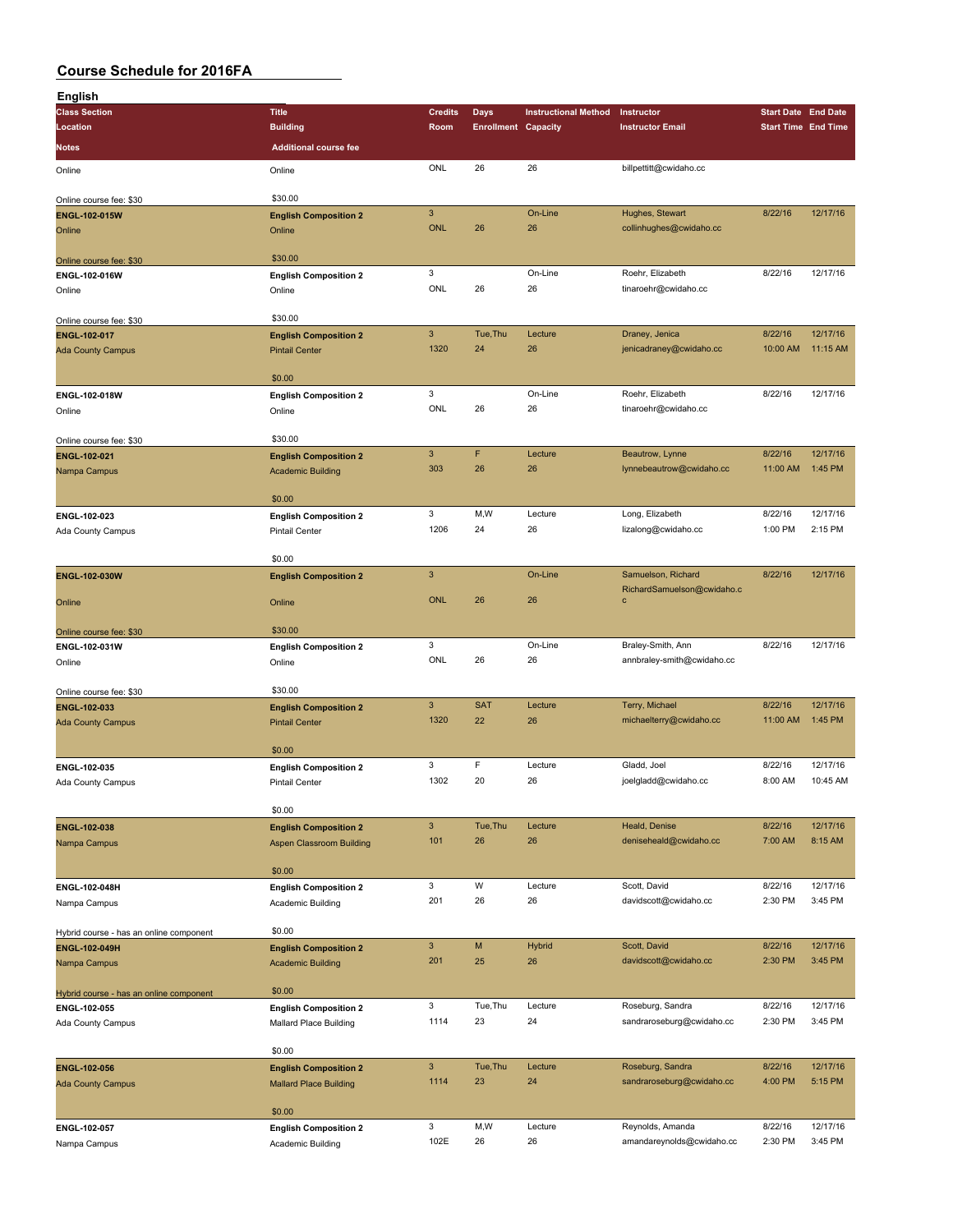| <b>English</b>                           |                               |                           |                            |                             |                                        |                            |                     |
|------------------------------------------|-------------------------------|---------------------------|----------------------------|-----------------------------|----------------------------------------|----------------------------|---------------------|
| <b>Class Section</b>                     | <b>Title</b>                  | <b>Credits</b>            | Days                       | <b>Instructional Method</b> | Instructor                             | <b>Start Date End Date</b> |                     |
| Location                                 | <b>Building</b>               | Room                      | <b>Enrollment Capacity</b> |                             | <b>Instructor Email</b>                | <b>Start Time End Time</b> |                     |
| <b>Notes</b>                             | <b>Additional course fee</b>  |                           |                            |                             |                                        |                            |                     |
| Online                                   | Online                        | ONL                       | 26                         | 26                          | billpettitt@cwidaho.cc                 |                            |                     |
|                                          |                               |                           |                            |                             |                                        |                            |                     |
| Online course fee: \$30                  | \$30.00                       |                           |                            |                             |                                        |                            |                     |
| ENGL-102-015W                            | <b>English Composition 2</b>  | $\ensuremath{\mathsf{3}}$ |                            | On-Line                     | Hughes, Stewart                        | 8/22/16                    | 12/17/16            |
| Online                                   | Online                        | <b>ONL</b>                | 26                         | 26                          | collinhughes@cwidaho.cc                |                            |                     |
|                                          | \$30.00                       |                           |                            |                             |                                        |                            |                     |
| Online course fee: \$30<br>ENGL-102-016W | <b>English Composition 2</b>  | 3                         |                            | On-Line                     | Roehr, Elizabeth                       | 8/22/16                    | 12/17/16            |
| Online                                   | Online                        | ONL                       | 26                         | 26                          | tinaroehr@cwidaho.cc                   |                            |                     |
|                                          |                               |                           |                            |                             |                                        |                            |                     |
| Online course fee: \$30                  | \$30.00                       |                           |                            |                             |                                        |                            |                     |
| ENGL-102-017                             | <b>English Composition 2</b>  | $\ensuremath{\mathsf{3}}$ | Tue, Thu                   | Lecture                     | Draney, Jenica                         | 8/22/16                    | 12/17/16            |
| <b>Ada County Campus</b>                 | <b>Pintail Center</b>         | 1320                      | 24                         | 26                          | jenicadraney@cwidaho.cc                | 10:00 AM                   | 11:15 AM            |
|                                          | \$0.00                        |                           |                            |                             |                                        |                            |                     |
| ENGL-102-018W                            | <b>English Composition 2</b>  | 3                         |                            | On-Line                     | Roehr, Elizabeth                       | 8/22/16                    | 12/17/16            |
| Online                                   | Online                        | ONL                       | 26                         | 26                          | tinaroehr@cwidaho.cc                   |                            |                     |
|                                          |                               |                           |                            |                             |                                        |                            |                     |
| Online course fee: \$30                  | \$30.00                       |                           |                            |                             |                                        |                            |                     |
| ENGL-102-021                             | <b>English Composition 2</b>  | $\mathbf{3}$              | F                          | Lecture                     | Beautrow, Lynne                        | 8/22/16                    | 12/17/16            |
| Nampa Campus                             | <b>Academic Building</b>      | 303                       | 26                         | 26                          | lynnebeautrow@cwidaho.cc               | 11:00 AM                   | 1:45 PM             |
|                                          |                               |                           |                            |                             |                                        |                            |                     |
|                                          | \$0.00                        |                           |                            |                             |                                        |                            |                     |
| ENGL-102-023                             | <b>English Composition 2</b>  | 3<br>1206                 | M,W<br>24                  | Lecture<br>26               | Long, Elizabeth<br>lizalong@cwidaho.cc | 8/22/16<br>1:00 PM         | 12/17/16<br>2:15 PM |
| Ada County Campus                        | <b>Pintail Center</b>         |                           |                            |                             |                                        |                            |                     |
|                                          | \$0.00                        |                           |                            |                             |                                        |                            |                     |
| ENGL-102-030W                            | <b>English Composition 2</b>  | $\overline{3}$            |                            | On-Line                     | Samuelson, Richard                     | 8/22/16                    | 12/17/16            |
|                                          |                               |                           |                            |                             | RichardSamuelson@cwidaho.c             |                            |                     |
| Online                                   | Online                        | <b>ONL</b>                | 26                         | 26                          | C                                      |                            |                     |
|                                          | \$30.00                       |                           |                            |                             |                                        |                            |                     |
| Online course fee: \$30<br>ENGL-102-031W | <b>English Composition 2</b>  | 3                         |                            | On-Line                     | Braley-Smith, Ann                      | 8/22/16                    | 12/17/16            |
| Online                                   | Online                        | ONL                       | 26                         | 26                          | annbraley-smith@cwidaho.cc             |                            |                     |
|                                          |                               |                           |                            |                             |                                        |                            |                     |
| Online course fee: \$30                  | \$30.00                       |                           |                            |                             |                                        |                            |                     |
| ENGL-102-033                             | <b>English Composition 2</b>  | $\mathbf{3}$              | <b>SAT</b>                 | Lecture                     | Terry, Michael                         | 8/22/16                    | 12/17/16            |
| <b>Ada County Campus</b>                 | <b>Pintail Center</b>         | 1320                      | 22                         | 26                          | michaelterry@cwidaho.cc                | 11:00 AM                   | 1:45 PM             |
|                                          | \$0.00                        |                           |                            |                             |                                        |                            |                     |
| ENGL-102-035                             | <b>English Composition 2</b>  | 3                         | F                          | Lecture                     | Gladd, Joel                            | 8/22/16                    | 12/17/16            |
| Ada County Campus                        | <b>Pintail Center</b>         | 1302                      | 20                         | 26                          | joelgladd@cwidaho.cc                   | 8:00 AM                    | 10:45 AM            |
|                                          |                               |                           |                            |                             |                                        |                            |                     |
|                                          | \$0.00                        |                           |                            |                             |                                        |                            |                     |
| ENGL-102-038                             | <b>English Composition 2</b>  | $\mathsf 3$               | Tue, Thu                   | Lecture                     | Heald, Denise                          | 8/22/16                    | 12/17/16            |
| Nampa Campus                             | Aspen Classroom Building      | 101                       | 26                         | 26                          | deniseheald@cwidaho.cc                 | 7:00 AM                    | 8:15 AM             |
|                                          |                               |                           |                            |                             |                                        |                            |                     |
|                                          | \$0.00                        | 3                         | W                          | Lecture                     | Scott, David                           | 8/22/16                    | 12/17/16            |
| ENGL-102-048H                            | <b>English Composition 2</b>  | 201                       | 26                         | 26                          | davidscott@cwidaho.cc                  | 2:30 PM                    | 3:45 PM             |
| Nampa Campus                             | Academic Building             |                           |                            |                             |                                        |                            |                     |
| Hybrid course - has an online component  | \$0.00                        |                           |                            |                             |                                        |                            |                     |
| ENGL-102-049H                            | <b>English Composition 2</b>  | $\mathbf{3}$              | M                          | <b>Hybrid</b>               | Scott, David                           | 8/22/16                    | 12/17/16            |
| Nampa Campus                             | <b>Academic Building</b>      | 201                       | 25                         | 26                          | davidscott@cwidaho.cc                  | 2:30 PM                    | 3:45 PM             |
|                                          |                               |                           |                            |                             |                                        |                            |                     |
| Hybrid course - has an online component  | \$0.00                        |                           |                            |                             |                                        |                            |                     |
| ENGL-102-055                             | <b>English Composition 2</b>  | 3                         | Tue, Thu                   | Lecture                     | Roseburg, Sandra                       | 8/22/16                    | 12/17/16            |
| Ada County Campus                        | Mallard Place Building        | 1114                      | 23                         | 24                          | sandraroseburg@cwidaho.cc              | 2:30 PM                    | 3:45 PM             |
|                                          | \$0.00                        |                           |                            |                             |                                        |                            |                     |
| ENGL-102-056                             | <b>English Composition 2</b>  | $\ensuremath{\mathsf{3}}$ | Tue, Thu                   | Lecture                     | Roseburg, Sandra                       | 8/22/16                    | 12/17/16            |
| <b>Ada County Campus</b>                 | <b>Mallard Place Building</b> | 1114                      | 23                         | 24                          | sandraroseburg@cwidaho.cc              | 4:00 PM                    | 5:15 PM             |
|                                          |                               |                           |                            |                             |                                        |                            |                     |
|                                          | \$0.00                        |                           |                            |                             |                                        |                            |                     |
| ENGL-102-057                             | <b>English Composition 2</b>  | 3                         | M,W                        | Lecture                     | Reynolds, Amanda                       | 8/22/16                    | 12/17/16            |
| Nampa Campus                             | Academic Building             | 102E                      | 26                         | 26                          | amandareynolds@cwidaho.cc              | 2:30 PM                    | 3:45 PM             |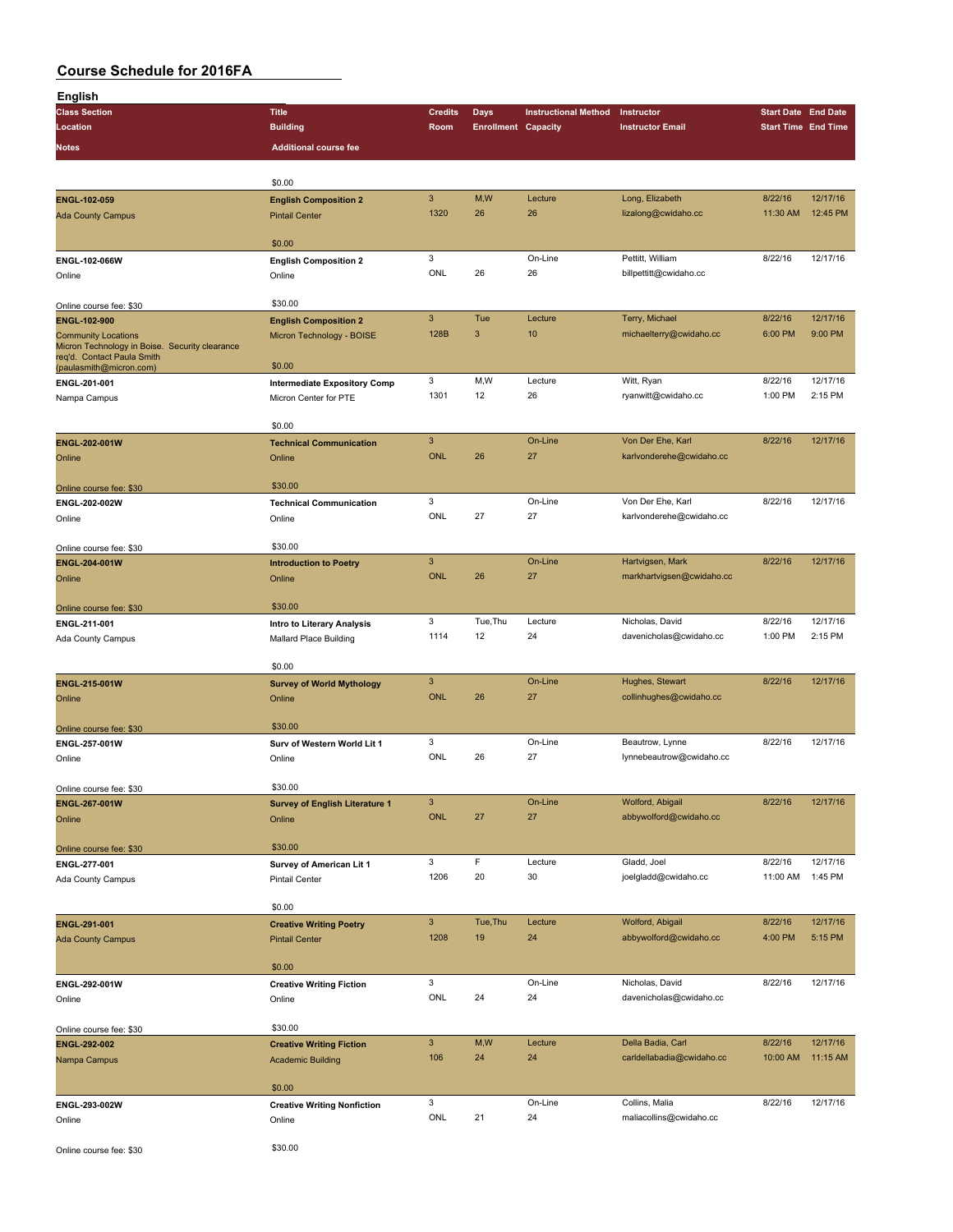| <b>English</b>                                                               |                                                             |                |                            |                             |                           |                            |          |
|------------------------------------------------------------------------------|-------------------------------------------------------------|----------------|----------------------------|-----------------------------|---------------------------|----------------------------|----------|
| <b>Class Section</b>                                                         | <b>Title</b>                                                | <b>Credits</b> | Days                       | <b>Instructional Method</b> | Instructor                | <b>Start Date End Date</b> |          |
| Location                                                                     | <b>Building</b>                                             | Room           | <b>Enrollment Capacity</b> |                             | <b>Instructor Email</b>   | <b>Start Time End Time</b> |          |
| <b>Notes</b>                                                                 | <b>Additional course fee</b>                                |                |                            |                             |                           |                            |          |
|                                                                              |                                                             |                |                            |                             |                           |                            |          |
|                                                                              | \$0.00                                                      |                |                            |                             |                           |                            |          |
| ENGL-102-059                                                                 |                                                             | 3              | M,W                        | Lecture                     | Long, Elizabeth           | 8/22/16                    | 12/17/16 |
|                                                                              | <b>English Composition 2</b>                                | 1320           | 26                         | 26                          | lizalong@cwidaho.cc       | 11:30 AM                   | 12:45 PM |
| <b>Ada County Campus</b>                                                     | <b>Pintail Center</b>                                       |                |                            |                             |                           |                            |          |
|                                                                              | \$0.00                                                      |                |                            |                             |                           |                            |          |
| ENGL-102-066W                                                                | <b>English Composition 2</b>                                | 3              |                            | On-Line                     | Pettitt, William          | 8/22/16                    | 12/17/16 |
| Online                                                                       | Online                                                      | <b>ONL</b>     | 26                         | 26                          | billpettitt@cwidaho.cc    |                            |          |
|                                                                              |                                                             |                |                            |                             |                           |                            |          |
| Online course fee: \$30                                                      | \$30.00                                                     |                |                            |                             |                           |                            |          |
| <b>ENGL-102-900</b>                                                          | <b>English Composition 2</b>                                | 3              | Tue                        | Lecture                     | Terry, Michael            | 8/22/16                    | 12/17/16 |
| <b>Community Locations</b>                                                   | Micron Technology - BOISE                                   | 128B           | $\mathbf{3}$               | 10                          | michaelterry@cwidaho.cc   | 6:00 PM                    | 9:00 PM  |
| Micron Technology in Boise. Security clearance<br>req'd. Contact Paula Smith |                                                             |                |                            |                             |                           |                            |          |
| (paulasmith@micron.com)                                                      | \$0.00                                                      |                |                            |                             |                           |                            |          |
| ENGL-201-001                                                                 | <b>Intermediate Expository Comp</b>                         | 3              | M, W                       | Lecture                     | Witt, Ryan                | 8/22/16                    | 12/17/16 |
| Nampa Campus                                                                 | Micron Center for PTE                                       | 1301           | 12                         | 26                          | ryanwitt@cwidaho.cc       | 1:00 PM                    | 2:15 PM  |
|                                                                              |                                                             |                |                            |                             |                           |                            |          |
|                                                                              | \$0.00                                                      |                |                            |                             |                           |                            |          |
| ENGL-202-001W                                                                | <b>Technical Communication</b>                              | 3              |                            | On-Line                     | Von Der Ehe, Karl         | 8/22/16                    | 12/17/16 |
| Online                                                                       | Online                                                      | <b>ONL</b>     | 26                         | 27                          | karlvonderehe@cwidaho.cc  |                            |          |
|                                                                              |                                                             |                |                            |                             |                           |                            |          |
| Online course fee: \$30                                                      | \$30.00                                                     |                |                            |                             |                           |                            |          |
| ENGL-202-002W                                                                | <b>Technical Communication</b>                              | 3              |                            | On-Line                     | Von Der Ehe, Karl         | 8/22/16                    | 12/17/16 |
| Online                                                                       | Online                                                      | <b>ONL</b>     | 27                         | 27                          | karlvonderehe@cwidaho.cc  |                            |          |
|                                                                              |                                                             |                |                            |                             |                           |                            |          |
| Online course fee: \$30                                                      | \$30.00                                                     | 3              |                            |                             |                           |                            |          |
| ENGL-204-001W                                                                | <b>Introduction to Poetry</b>                               |                |                            | On-Line                     | Hartvigsen, Mark          | 8/22/16                    | 12/17/16 |
| Online                                                                       | Online                                                      | <b>ONL</b>     | 26                         | 27                          | markhartvigsen@cwidaho.cc |                            |          |
|                                                                              | \$30.00                                                     |                |                            |                             |                           |                            |          |
| Online course fee: \$30                                                      |                                                             | 3              | Tue, Thu                   | Lecture                     | Nicholas, David           | 8/22/16                    | 12/17/16 |
| ENGL-211-001                                                                 | Intro to Literary Analysis                                  | 1114           | 12                         | 24                          | davenicholas@cwidaho.cc   | 1:00 PM                    | 2:15 PM  |
| Ada County Campus                                                            | Mallard Place Building                                      |                |                            |                             |                           |                            |          |
|                                                                              | \$0.00                                                      |                |                            |                             |                           |                            |          |
| ENGL-215-001W                                                                | <b>Survey of World Mythology</b>                            | 3              |                            | On-Line                     | Hughes, Stewart           | 8/22/16                    | 12/17/16 |
| Online                                                                       | Online                                                      | <b>ONL</b>     | 26                         | 27                          | collinhughes@cwidaho.cc   |                            |          |
|                                                                              |                                                             |                |                            |                             |                           |                            |          |
| Online course fee: \$30                                                      | \$30.00                                                     |                |                            |                             |                           |                            |          |
| ENGL-257-001W                                                                | Surv of Western World Lit 1                                 | 3              |                            | On-Line                     | Beautrow, Lynne           | 8/22/16                    | 12/17/16 |
| Online                                                                       | Online                                                      | ONL            | 26                         | 27                          | lynnebeautrow@cwidaho.cc  |                            |          |
|                                                                              |                                                             |                |                            |                             |                           |                            |          |
| Online course fee: \$30                                                      | \$30.00                                                     |                |                            |                             |                           |                            |          |
| <b>ENGL-267-001W</b>                                                         | <b>Survey of English Literature 1</b>                       | 3              |                            | On-Line                     | Wolford, Abigail          | 8/22/16                    | 12/17/16 |
| Online                                                                       | Online                                                      | ONL            | 27                         | 27                          | abbywolford@cwidaho.cc    |                            |          |
|                                                                              |                                                             |                |                            |                             |                           |                            |          |
| Online course fee: \$30                                                      | \$30.00                                                     |                |                            |                             |                           |                            |          |
| ENGL-277-001                                                                 | Survey of American Lit 1                                    | 3              | F                          | Lecture                     | Gladd, Joel               | 8/22/16                    | 12/17/16 |
| Ada County Campus                                                            | Pintail Center                                              | 1206           | 20                         | 30                          | joelgladd@cwidaho.cc      | 11:00 AM                   | 1:45 PM  |
|                                                                              |                                                             |                |                            |                             |                           |                            |          |
|                                                                              | \$0.00                                                      |                |                            |                             |                           |                            |          |
| ENGL-291-001                                                                 | <b>Creative Writing Poetry</b>                              | 3              | Tue, Thu                   | Lecture                     | Wolford, Abigail          | 8/22/16                    | 12/17/16 |
| <b>Ada County Campus</b>                                                     | <b>Pintail Center</b>                                       | 1208           | 19                         | 24                          | abbywolford@cwidaho.cc    | 4:00 PM                    | 5:15 PM  |
|                                                                              | \$0.00                                                      |                |                            |                             |                           |                            |          |
|                                                                              |                                                             | 3              |                            | On-Line                     | Nicholas, David           | 8/22/16                    | 12/17/16 |
| ENGL-292-001W                                                                | <b>Creative Writing Fiction</b>                             | ONL            | 24                         | 24                          |                           |                            |          |
| Online                                                                       | Online                                                      |                |                            |                             | davenicholas@cwidaho.cc   |                            |          |
|                                                                              | \$30.00                                                     |                |                            |                             |                           |                            |          |
| Online course fee: \$30                                                      |                                                             | $\mathbf{3}$   | M, W                       | Lecture                     | Della Badia, Carl         | 8/22/16                    | 12/17/16 |
| ENGL-292-002<br>Nampa Campus                                                 | <b>Creative Writing Fiction</b><br><b>Academic Building</b> | 106            | 24                         | 24                          | carldellabadia@cwidaho.cc | 10:00 AM                   | 11:15 AM |
|                                                                              |                                                             |                |                            |                             |                           |                            |          |
|                                                                              | \$0.00                                                      |                |                            |                             |                           |                            |          |
| ENGL-293-002W                                                                | <b>Creative Writing Nonfiction</b>                          | 3              |                            | On-Line                     | Collins, Malia            | 8/22/16                    | 12/17/16 |
| Online                                                                       | Online                                                      | ONL            | 21                         | 24                          | maliacollins@cwidaho.cc   |                            |          |
|                                                                              |                                                             |                |                            |                             |                           |                            |          |
| Online course fee: \$30                                                      | \$30.00                                                     |                |                            |                             |                           |                            |          |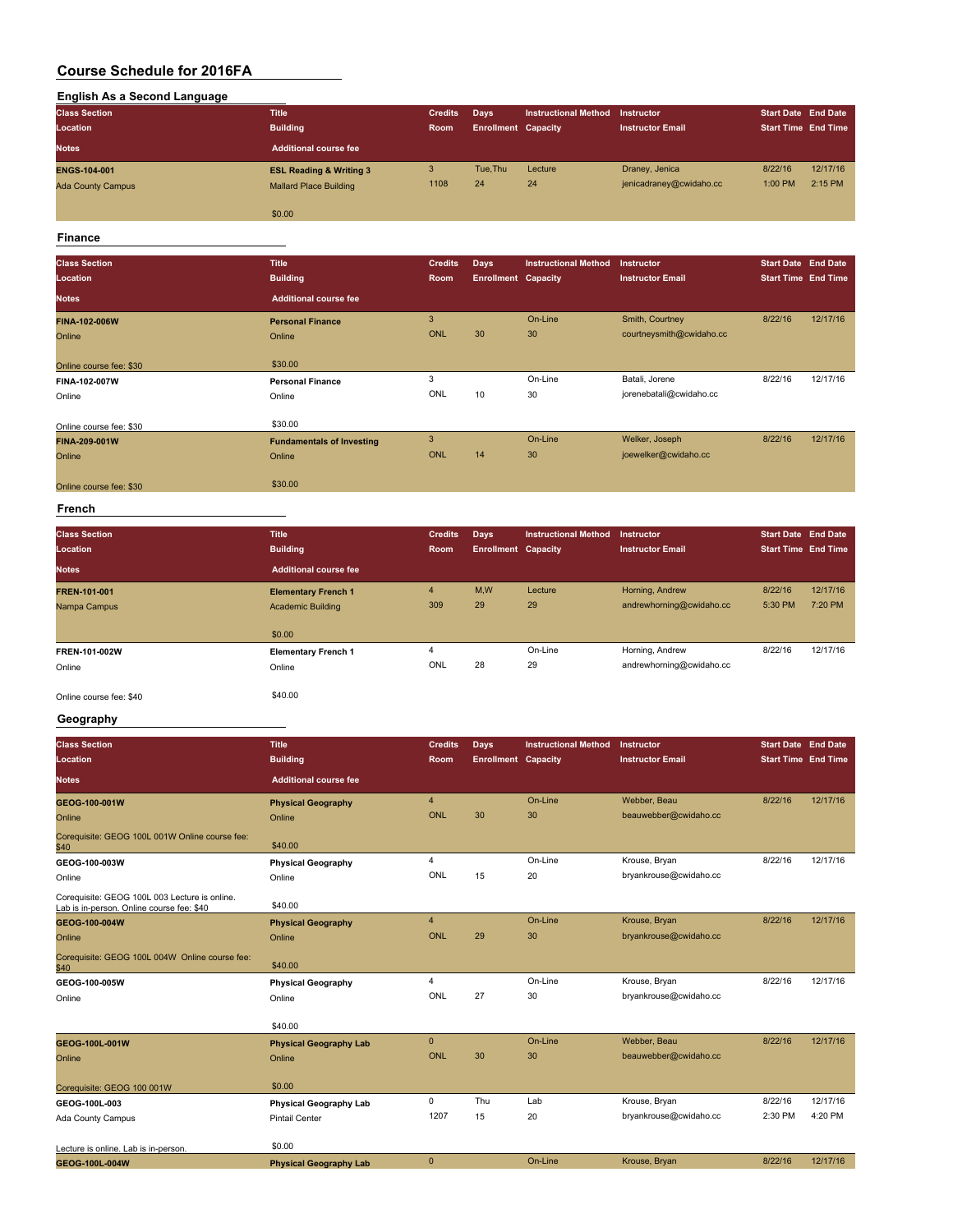| English As a Second Language |                                    |                |                            |                             |                         |                            |          |
|------------------------------|------------------------------------|----------------|----------------------------|-----------------------------|-------------------------|----------------------------|----------|
| <b>Class Section</b>         | <b>Title</b>                       | <b>Credits</b> | Days                       | <b>Instructional Method</b> | Instructor              | <b>Start Date End Date</b> |          |
| Location                     | <b>Building</b>                    | <b>Room</b>    | <b>Enrollment Capacity</b> |                             | <b>Instructor Email</b> | <b>Start Time End Time</b> |          |
| <b>Notes</b>                 | <b>Additional course fee</b>       |                |                            |                             |                         |                            |          |
| <b>ENGS-104-001</b>          | <b>ESL Reading &amp; Writing 3</b> | 3              | Tue.Thu                    | Lecture                     | Draney, Jenica          | 8/22/16                    | 12/17/16 |
| <b>Ada County Campus</b>     | <b>Mallard Place Building</b>      | 1108           | 24                         | 24                          | jenicadraney@cwidaho.cc | 1:00 PM                    | 2:15 PM  |
|                              | \$0.00                             |                |                            |                             |                         |                            |          |

#### **Finance**

| <b>Class Section</b>    | <b>Title</b>                     | <b>Credits</b> | <b>Days</b>                | <b>Instructional Method</b> | Instructor               | <b>Start Date End Date</b> |          |
|-------------------------|----------------------------------|----------------|----------------------------|-----------------------------|--------------------------|----------------------------|----------|
| Location                | <b>Building</b>                  | Room           | <b>Enrollment Capacity</b> |                             | <b>Instructor Email</b>  | <b>Start Time End Time</b> |          |
| <b>Notes</b>            | <b>Additional course fee</b>     |                |                            |                             |                          |                            |          |
| <b>FINA-102-006W</b>    | <b>Personal Finance</b>          | 3              |                            | On-Line                     | Smith, Courtney          | 8/22/16                    | 12/17/16 |
| Online                  | Online                           | <b>ONL</b>     | 30                         | 30                          | courtneysmith@cwidaho.cc |                            |          |
| Online course fee: \$30 | \$30.00                          |                |                            |                             |                          |                            |          |
| FINA-102-007W           | <b>Personal Finance</b>          | 3              |                            | On-Line                     | Batali, Jorene           | 8/22/16                    | 12/17/16 |
| Online                  | Online                           | ONL            | 10                         | 30                          | jorenebatali@cwidaho.cc  |                            |          |
| Online course fee: \$30 | \$30.00                          |                |                            |                             |                          |                            |          |
| FINA-209-001W           | <b>Fundamentals of Investing</b> | 3              |                            | On-Line                     | Welker, Joseph           | 8/22/16                    | 12/17/16 |
| Online                  | Online                           | ONL            | 14                         | 30                          | joewelker@cwidaho.cc     |                            |          |
| Online course fee: \$30 | \$30.00                          |                |                            |                             |                          |                            |          |

#### **French**

| <b>Class Section</b><br>Location | <b>Title</b><br><b>Building</b> | <b>Credits</b><br>Room | Days<br><b>Enrollment Capacity</b> | <b>Instructional Method</b> | Instructor<br><b>Instructor Email</b> | <b>Start Date End Date</b><br><b>Start Time End Time</b> |          |
|----------------------------------|---------------------------------|------------------------|------------------------------------|-----------------------------|---------------------------------------|----------------------------------------------------------|----------|
| <b>Notes</b>                     | Additional course fee           |                        |                                    |                             |                                       |                                                          |          |
| FREN-101-001                     | <b>Elementary French 1</b>      | $\overline{4}$         | M,W                                | Lecture                     | Horning, Andrew                       | 8/22/16                                                  | 12/17/16 |
| Nampa Campus                     | <b>Academic Building</b>        | 309                    | 29                                 | 29                          | andrewhorning@cwidaho.cc              | 5:30 PM                                                  | 7:20 PM  |
|                                  | \$0.00                          |                        |                                    |                             |                                       |                                                          |          |
| FREN-101-002W                    | <b>Elementary French 1</b>      | 4                      |                                    | On-Line                     | Horning, Andrew                       | 8/22/16                                                  | 12/17/16 |
| Online                           | Online                          | ONL                    | 28                                 | 29                          | andrewhorning@cwidaho.cc              |                                                          |          |
| Online course fee: \$40          | \$40.00                         |                        |                                    |                             |                                       |                                                          |          |

#### **Geography**

| <b>Class Section</b>                                                                       | <b>Title</b>                  | <b>Credits</b> | Days                       | <b>Instructional Method</b> | <b>Instructor</b>       | <b>Start Date End Date</b> |          |
|--------------------------------------------------------------------------------------------|-------------------------------|----------------|----------------------------|-----------------------------|-------------------------|----------------------------|----------|
| Location                                                                                   | <b>Building</b>               | Room           | <b>Enrollment Capacity</b> |                             | <b>Instructor Email</b> | <b>Start Time End Time</b> |          |
| <b>Notes</b>                                                                               | <b>Additional course fee</b>  |                |                            |                             |                         |                            |          |
| GEOG-100-001W                                                                              | <b>Physical Geography</b>     | $\overline{4}$ |                            | On-Line                     | Webber, Beau            | 8/22/16                    | 12/17/16 |
| Online                                                                                     | Online                        | <b>ONL</b>     | 30                         | 30                          | beauwebber@cwidaho.cc   |                            |          |
| Corequisite: GEOG 100L 001W Online course fee:<br>\$40                                     | \$40.00                       |                |                            |                             |                         |                            |          |
| GEOG-100-003W                                                                              | <b>Physical Geography</b>     | $\overline{4}$ |                            | On-Line                     | Krouse, Bryan           | 8/22/16                    | 12/17/16 |
| Online                                                                                     | Online                        | ONL            | 15                         | 20                          | bryankrouse@cwidaho.cc  |                            |          |
| Corequisite: GEOG 100L 003 Lecture is online.<br>Lab is in-person. Online course fee: \$40 | \$40.00                       |                |                            |                             |                         |                            |          |
| GEOG-100-004W                                                                              | <b>Physical Geography</b>     | $\overline{4}$ |                            | On-Line                     | Krouse, Bryan           | 8/22/16                    | 12/17/16 |
| Online                                                                                     | Online                        | <b>ONL</b>     | 29                         | 30                          | bryankrouse@cwidaho.cc  |                            |          |
| Corequisite: GEOG 100L 004W Online course fee:<br>\$40                                     | \$40.00                       |                |                            |                             |                         |                            |          |
| GEOG-100-005W                                                                              | <b>Physical Geography</b>     | $\overline{4}$ |                            | On-Line                     | Krouse, Bryan           | 8/22/16                    | 12/17/16 |
| Online                                                                                     | Online                        | ONL            | 27                         | 30                          | bryankrouse@cwidaho.cc  |                            |          |
|                                                                                            | \$40.00                       |                |                            |                             |                         |                            |          |
| GEOG-100L-001W                                                                             | <b>Physical Geography Lab</b> | $\Omega$       |                            | On-Line                     | Webber, Beau            | 8/22/16                    | 12/17/16 |
| Online                                                                                     | Online                        | <b>ONL</b>     | 30                         | 30                          | beauwebber@cwidaho.cc   |                            |          |
| Corequisite: GEOG 100 001W                                                                 | \$0.00                        |                |                            |                             |                         |                            |          |
| GEOG-100L-003                                                                              | <b>Physical Geography Lab</b> | $\mathbf 0$    | Thu                        | Lab                         | Krouse, Bryan           | 8/22/16                    | 12/17/16 |
| Ada County Campus                                                                          | <b>Pintail Center</b>         | 1207           | 15                         | 20                          | bryankrouse@cwidaho.cc  | 2:30 PM                    | 4:20 PM  |
| Lecture is online. Lab is in-person.                                                       | \$0.00                        |                |                            |                             |                         |                            |          |
| GEOG-100L-004W                                                                             | <b>Physical Geography Lab</b> | $\mathbf{0}$   |                            | On-Line                     | Krouse, Bryan           | 8/22/16                    | 12/17/16 |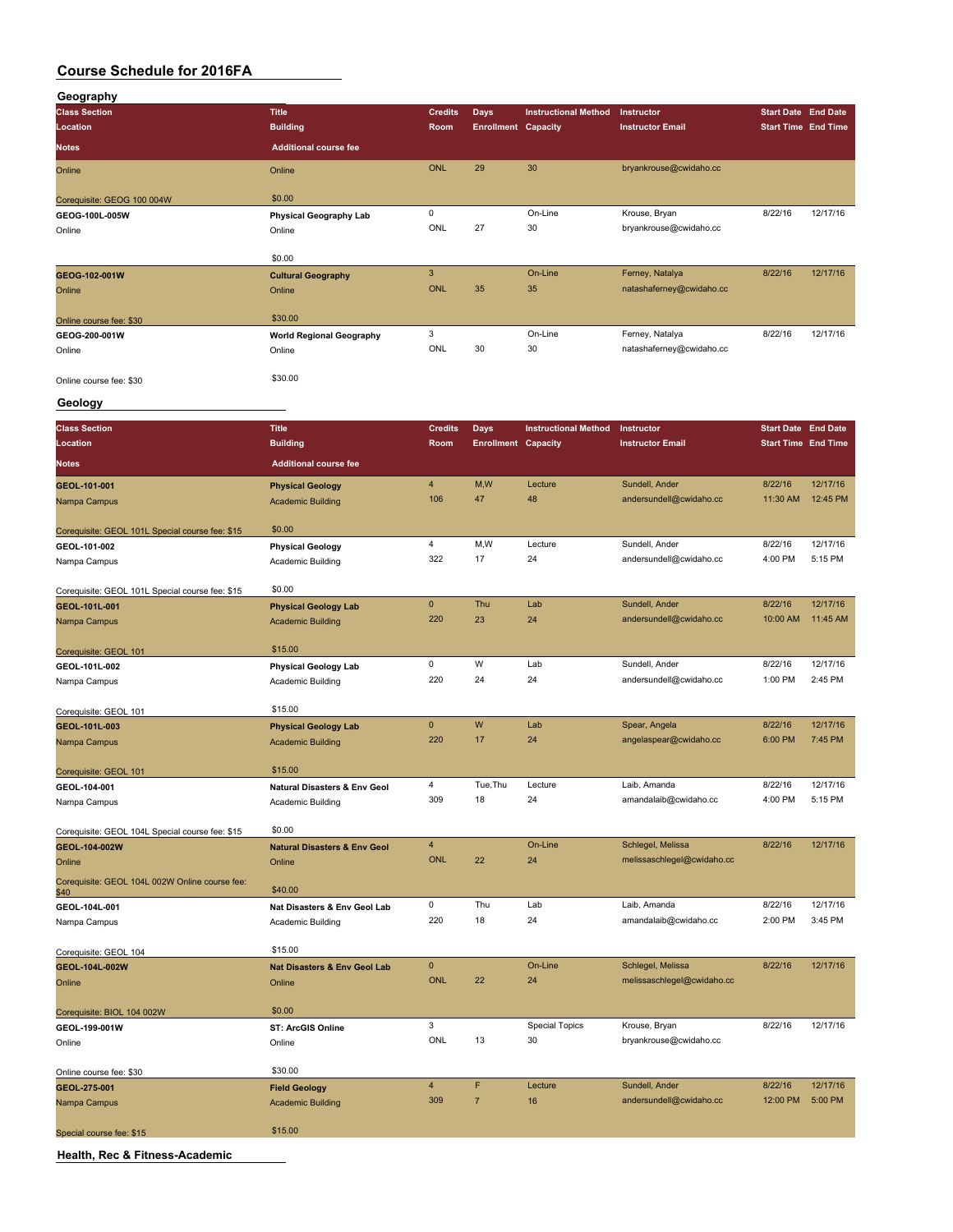| Geography                  |                                 |                |                            |                             |                          |         |                            |
|----------------------------|---------------------------------|----------------|----------------------------|-----------------------------|--------------------------|---------|----------------------------|
| <b>Class Section</b>       | <b>Title</b>                    | <b>Credits</b> | <b>Days</b>                | <b>Instructional Method</b> | Instructor               |         | <b>Start Date End Date</b> |
| Location                   | <b>Building</b>                 | Room           | <b>Enrollment Capacity</b> |                             | <b>Instructor Email</b>  |         | <b>Start Time End Time</b> |
| <b>Notes</b>               | <b>Additional course fee</b>    |                |                            |                             |                          |         |                            |
| Online                     | Online                          | <b>ONL</b>     | 29                         | 30                          | bryankrouse@cwidaho.cc   |         |                            |
| Corequisite: GEOG 100 004W | \$0.00                          |                |                            |                             |                          |         |                            |
| GEOG-100L-005W             | <b>Physical Geography Lab</b>   | $\mathbf 0$    |                            | On-Line                     | Krouse, Bryan            | 8/22/16 | 12/17/16                   |
| Online                     | Online                          | ONL            | 27                         | 30                          | bryankrouse@cwidaho.cc   |         |                            |
|                            | \$0.00                          |                |                            |                             |                          |         |                            |
| GEOG-102-001W              | <b>Cultural Geography</b>       | 3              |                            | On-Line                     | Ferney, Natalya          | 8/22/16 | 12/17/16                   |
| Online                     | Online                          | <b>ONL</b>     | 35                         | 35                          | natashaferney@cwidaho.cc |         |                            |
| Online course fee: \$30    | \$30.00                         |                |                            |                             |                          |         |                            |
| GEOG-200-001W              | <b>World Regional Geography</b> | 3              |                            | On-Line                     | Ferney, Natalya          | 8/22/16 | 12/17/16                   |
| Online                     | Online                          | ONL            | 30                         | 30                          | natashaferney@cwidaho.cc |         |                            |
| Online course fee: \$30    | \$30.00                         |                |                            |                             |                          |         |                            |

#### **Geology**

| <b>Class Section</b>                                   | <b>Title</b>                            | <b>Credits</b> | <b>Days</b>                | <b>Instructional Method</b> | Instructor                 | <b>Start Date End Date</b> |          |
|--------------------------------------------------------|-----------------------------------------|----------------|----------------------------|-----------------------------|----------------------------|----------------------------|----------|
| Location                                               | <b>Building</b>                         | Room           | <b>Enrollment Capacity</b> |                             | <b>Instructor Email</b>    | <b>Start Time End Time</b> |          |
| Notes                                                  | <b>Additional course fee</b>            |                |                            |                             |                            |                            |          |
| GEOL-101-001                                           | <b>Physical Geology</b>                 | 4              | M,W                        | Lecture                     | Sundell, Ander             | 8/22/16                    | 12/17/16 |
| Nampa Campus                                           | <b>Academic Building</b>                | 106            | 47                         | 48                          | andersundell@cwidaho.cc    | 11:30 AM                   | 12:45 PM |
| Corequisite: GEOL 101L Special course fee: \$15        | \$0.00                                  |                |                            |                             |                            |                            |          |
| GEOL-101-002                                           | <b>Physical Geology</b>                 | 4              | M,W                        | Lecture                     | Sundell, Ander             | 8/22/16                    | 12/17/16 |
| Nampa Campus                                           | <b>Academic Building</b>                | 322            | 17                         | 24                          | andersundell@cwidaho.cc    | 4:00 PM                    | 5:15 PM  |
| Corequisite: GEOL 101L Special course fee: \$15        | \$0.00                                  |                |                            |                             |                            |                            |          |
| GEOL-101L-001                                          | <b>Physical Geology Lab</b>             | $\mathbf{0}$   | Thu                        | Lab                         | Sundell, Ander             | 8/22/16                    | 12/17/16 |
| Nampa Campus                                           | <b>Academic Building</b>                | 220            | 23                         | 24                          | andersundell@cwidaho.cc    | 10:00 AM                   | 11:45 AM |
| Corequisite: GEOL 101                                  | \$15.00                                 |                |                            |                             |                            |                            |          |
| GEOL-101L-002                                          | <b>Physical Geology Lab</b>             | 0              | W                          | Lab                         | Sundell, Ander             | 8/22/16                    | 12/17/16 |
| Nampa Campus                                           | <b>Academic Building</b>                | 220            | 24                         | 24                          | andersundell@cwidaho.cc    | 1:00 PM                    | 2:45 PM  |
| Corequisite: GEOL 101                                  | \$15.00                                 |                |                            |                             |                            |                            |          |
| GEOL-101L-003                                          | <b>Physical Geology Lab</b>             | $\mathbf{0}$   | W                          | Lab                         | Spear, Angela              | 8/22/16                    | 12/17/16 |
| Nampa Campus                                           | <b>Academic Building</b>                | 220            | 17                         | 24                          | angelaspear@cwidaho.cc     | 6:00 PM                    | 7:45 PM  |
| Corequisite: GEOL 101                                  | \$15.00                                 |                |                            |                             |                            |                            |          |
| GEOL-104-001                                           | Natural Disasters & Env Geol            | 4              | Tue, Thu                   | Lecture                     | Laib, Amanda               | 8/22/16                    | 12/17/16 |
| Nampa Campus                                           | Academic Building                       | 309            | 18                         | 24                          | amandalaib@cwidaho.cc      | 4:00 PM                    | 5:15 PM  |
| Corequisite: GEOL 104L Special course fee: \$15        | \$0.00                                  |                |                            |                             |                            |                            |          |
| GEOL-104-002W                                          | <b>Natural Disasters &amp; Env Geol</b> | $\overline{4}$ |                            | On-Line                     | Schlegel, Melissa          | 8/22/16                    | 12/17/16 |
| Online                                                 | Online                                  | <b>ONL</b>     | 22                         | 24                          | melissaschlegel@cwidaho.cc |                            |          |
| Corequisite: GEOL 104L 002W Online course fee:<br>\$40 | \$40.00                                 |                |                            |                             |                            |                            |          |
| GEOL-104L-001                                          | Nat Disasters & Env Geol Lab            | 0              | Thu                        | Lab                         | Laib, Amanda               | 8/22/16                    | 12/17/16 |
| Nampa Campus                                           | Academic Building                       | 220            | 18                         | 24                          | amandalaib@cwidaho.cc      | 2:00 PM                    | 3:45 PM  |
| Corequisite: GEOL 104                                  | \$15.00                                 |                |                            |                             |                            |                            |          |
| GEOL-104L-002W                                         | <b>Nat Disasters &amp; Env Geol Lab</b> | 0              |                            | On-Line                     | Schlegel, Melissa          | 8/22/16                    | 12/17/16 |
| Online                                                 | Online                                  | <b>ONL</b>     | 22                         | 24                          | melissaschlegel@cwidaho.cc |                            |          |
| Corequisite: BIOL 104 002W                             | \$0.00                                  |                |                            |                             |                            |                            |          |
| GEOL-199-001W                                          | <b>ST: ArcGIS Online</b>                | 3              |                            | <b>Special Topics</b>       | Krouse, Bryan              | 8/22/16                    | 12/17/16 |
| Online                                                 | Online                                  | ONL            | 13                         | 30                          | bryankrouse@cwidaho.cc     |                            |          |
| Online course fee: \$30                                | \$30.00                                 |                |                            |                             |                            |                            |          |
| GEOL-275-001                                           | <b>Field Geology</b>                    | $\overline{4}$ | F                          | Lecture                     | Sundell, Ander             | 8/22/16                    | 12/17/16 |
| Nampa Campus                                           | <b>Academic Building</b>                | 309            | $\overline{7}$             | 16                          | andersundell@cwidaho.cc    | 12:00 PM                   | 5:00 PM  |
| Special course fee: \$15                               | \$15.00                                 |                |                            |                             |                            |                            |          |

**Health, Rec & Fitness-Academic**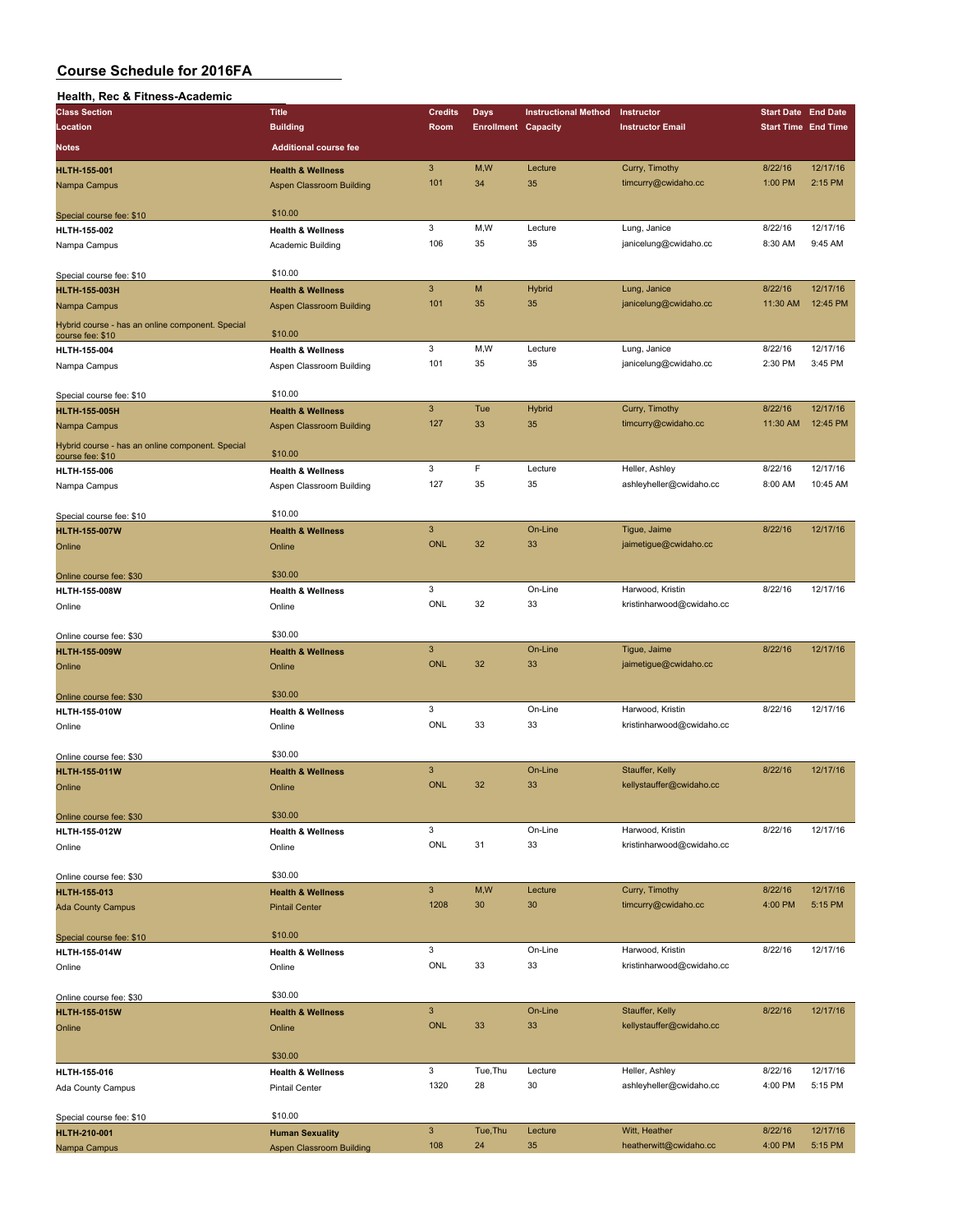# **Health, Rec & Fitness-Academic**

| <b>Class Section</b>                                                 | <b>Title</b>                    | <b>Credits</b> | Days                       | <b>Instructional Method</b> | Instructor                | <b>Start Date End Date</b> |          |
|----------------------------------------------------------------------|---------------------------------|----------------|----------------------------|-----------------------------|---------------------------|----------------------------|----------|
|                                                                      |                                 |                |                            |                             |                           | <b>Start Time End Time</b> |          |
| Location                                                             | <b>Building</b>                 | Room           | <b>Enrollment Capacity</b> |                             | <b>Instructor Email</b>   |                            |          |
| <b>Notes</b>                                                         | <b>Additional course fee</b>    |                |                            |                             |                           |                            |          |
| HLTH-155-001                                                         | <b>Health &amp; Wellness</b>    | 3              | M,W                        | Lecture                     | Curry, Timothy            | 8/22/16                    | 12/17/16 |
| Nampa Campus                                                         | Aspen Classroom Building        | 101            | 34                         | 35                          | timcurry@cwidaho.cc       | 1:00 PM                    | 2:15 PM  |
|                                                                      |                                 |                |                            |                             |                           |                            |          |
| Special course fee: \$10                                             | \$10.00                         |                |                            |                             |                           |                            |          |
| HLTH-155-002                                                         | <b>Health &amp; Wellness</b>    | 3              | M,W                        | Lecture                     | Lung, Janice              | 8/22/16                    | 12/17/16 |
| Nampa Campus                                                         | Academic Building               | 106            | 35                         | 35                          | janicelung@cwidaho.cc     | 8:30 AM                    | 9:45 AM  |
|                                                                      |                                 |                |                            |                             |                           |                            |          |
| Special course fee: \$10                                             | \$10.00                         |                |                            |                             |                           |                            |          |
| <b>HLTH-155-003H</b>                                                 | <b>Health &amp; Wellness</b>    | $\mathbf{3}$   | M                          | <b>Hybrid</b>               | Lung, Janice              | 8/22/16                    | 12/17/16 |
| Nampa Campus                                                         | Aspen Classroom Building        | 101            | 35                         | 35                          | janicelung@cwidaho.cc     | 11:30 AM                   | 12:45 PM |
| Hybrid course - has an online component. Special                     | \$10.00                         |                |                            |                             |                           |                            |          |
| course fee: \$10                                                     |                                 | 3              | M,W                        | Lecture                     | Lung, Janice              | 8/22/16                    | 12/17/16 |
| HLTH-155-004                                                         | <b>Health &amp; Wellness</b>    | 101            | 35                         | 35                          | janicelung@cwidaho.cc     | 2:30 PM                    | 3:45 PM  |
| Nampa Campus                                                         | Aspen Classroom Building        |                |                            |                             |                           |                            |          |
| Special course fee: \$10                                             | \$10.00                         |                |                            |                             |                           |                            |          |
| <b>HLTH-155-005H</b>                                                 | <b>Health &amp; Wellness</b>    | $\mathbf{3}$   | Tue                        | <b>Hybrid</b>               | Curry, Timothy            | 8/22/16                    | 12/17/16 |
| Nampa Campus                                                         | Aspen Classroom Building        | 127            | 33                         | 35                          | timcurry@cwidaho.cc       | 11:30 AM                   | 12:45 PM |
|                                                                      |                                 |                |                            |                             |                           |                            |          |
| Hybrid course - has an online component. Special<br>course fee: \$10 | \$10.00                         |                |                            |                             |                           |                            |          |
| HLTH-155-006                                                         | <b>Health &amp; Wellness</b>    | 3              | F                          | Lecture                     | Heller, Ashley            | 8/22/16                    | 12/17/16 |
| Nampa Campus                                                         | Aspen Classroom Building        | 127            | 35                         | 35                          | ashleyheller@cwidaho.cc   | 8:00 AM                    | 10:45 AM |
|                                                                      |                                 |                |                            |                             |                           |                            |          |
| Special course fee: \$10                                             | \$10.00                         |                |                            |                             |                           |                            |          |
| <b>HLTH-155-007W</b>                                                 | <b>Health &amp; Wellness</b>    | 3              |                            | On-Line                     | Tigue, Jaime              | 8/22/16                    | 12/17/16 |
| Online                                                               | Online                          | <b>ONL</b>     | 32                         | 33                          | jaimetigue@cwidaho.cc     |                            |          |
|                                                                      |                                 |                |                            |                             |                           |                            |          |
| Online course fee: \$30                                              | \$30.00                         |                |                            |                             |                           |                            |          |
| <b>HLTH-155-008W</b>                                                 | <b>Health &amp; Wellness</b>    | 3              |                            | On-Line                     | Harwood, Kristin          | 8/22/16                    | 12/17/16 |
| Online                                                               | Online                          | ONL            | 32                         | 33                          | kristinharwood@cwidaho.cc |                            |          |
|                                                                      |                                 |                |                            |                             |                           |                            |          |
| Online course fee: \$30                                              | \$30.00                         |                |                            |                             |                           |                            |          |
| <b>HLTH-155-009W</b>                                                 | <b>Health &amp; Wellness</b>    | 3              |                            | On-Line                     | Tigue, Jaime              | 8/22/16                    | 12/17/16 |
| Online                                                               | Online                          | <b>ONL</b>     | 32                         | 33                          | jaimetigue@cwidaho.cc     |                            |          |
|                                                                      |                                 |                |                            |                             |                           |                            |          |
| Online course fee: \$30                                              | \$30.00                         |                |                            |                             |                           |                            |          |
| HLTH-155-010W                                                        | <b>Health &amp; Wellness</b>    | 3              |                            | On-Line                     | Harwood, Kristin          | 8/22/16                    | 12/17/16 |
| Online                                                               | Online                          | ONL            | 33                         | 33                          | kristinharwood@cwidaho.cc |                            |          |
|                                                                      |                                 |                |                            |                             |                           |                            |          |
| Online course fee: \$30                                              | \$30.00                         |                |                            |                             |                           |                            |          |
| <b>HLTH-155-011W</b>                                                 | <b>Health &amp; Wellness</b>    | 3              |                            | On-Line                     | Stauffer, Kelly           | 8/22/16                    | 12/17/16 |
| Online                                                               | Online                          | <b>ONL</b>     | 32                         | 33                          | kellystauffer@cwidaho.cc  |                            |          |
|                                                                      |                                 |                |                            |                             |                           |                            |          |
| Online course fee: \$30                                              | \$30.00                         |                |                            |                             |                           |                            |          |
| HLTH-155-012W                                                        | <b>Health &amp; Wellness</b>    | 3              |                            | On-Line                     | Harwood, Kristin          | 8/22/16                    | 12/17/16 |
| Online                                                               | Online                          | ONL            | 31                         | 33                          | kristinharwood@cwidaho.cc |                            |          |
|                                                                      |                                 |                |                            |                             |                           |                            |          |
| Online course fee: \$30                                              | \$30.00                         |                |                            |                             |                           |                            |          |
| HLTH-155-013                                                         | <b>Health &amp; Wellness</b>    | $\mathbf{3}$   | M,W                        | Lecture                     | Curry, Timothy            | 8/22/16                    | 12/17/16 |
| <b>Ada County Campus</b>                                             | <b>Pintail Center</b>           | 1208           | 30                         | 30                          | timcurry@cwidaho.cc       | 4:00 PM                    | 5:15 PM  |
|                                                                      |                                 |                |                            |                             |                           |                            |          |
| Special course fee: \$10                                             | \$10.00                         |                |                            |                             |                           |                            |          |
| HLTH-155-014W                                                        | <b>Health &amp; Wellness</b>    | 3              |                            | On-Line                     | Harwood, Kristin          | 8/22/16                    | 12/17/16 |
| Online                                                               | Online                          | ONL            | 33                         | 33                          | kristinharwood@cwidaho.cc |                            |          |
|                                                                      |                                 |                |                            |                             |                           |                            |          |
| Online course fee: \$30                                              | \$30.00                         |                |                            |                             |                           |                            |          |
| <b>HLTH-155-015W</b>                                                 | <b>Health &amp; Wellness</b>    | $\mathbf{3}$   |                            | On-Line                     | Stauffer, Kelly           | 8/22/16                    | 12/17/16 |
| Online                                                               | Online                          | <b>ONL</b>     | 33                         | 33                          | kellystauffer@cwidaho.cc  |                            |          |
|                                                                      |                                 |                |                            |                             |                           |                            |          |
|                                                                      | \$30.00                         |                |                            |                             |                           |                            |          |
| HLTH-155-016                                                         | <b>Health &amp; Wellness</b>    | 3              | Tue, Thu                   | Lecture                     | Heller, Ashley            | 8/22/16                    | 12/17/16 |
| Ada County Campus                                                    | Pintail Center                  | 1320           | 28                         | 30                          | ashleyheller@cwidaho.cc   | 4:00 PM                    | 5:15 PM  |
|                                                                      |                                 |                |                            |                             |                           |                            |          |
| Special course fee: \$10                                             | \$10.00                         |                |                            |                             |                           |                            |          |
| HLTH-210-001                                                         | <b>Human Sexuality</b>          | $\mathbf{3}$   | Tue, Thu                   | Lecture                     | Witt, Heather             | 8/22/16                    | 12/17/16 |
| Nampa Campus                                                         | <b>Aspen Classroom Building</b> | 108            | 24                         | 35                          | heatherwitt@cwidaho.cc    | 4:00 PM                    | 5:15 PM  |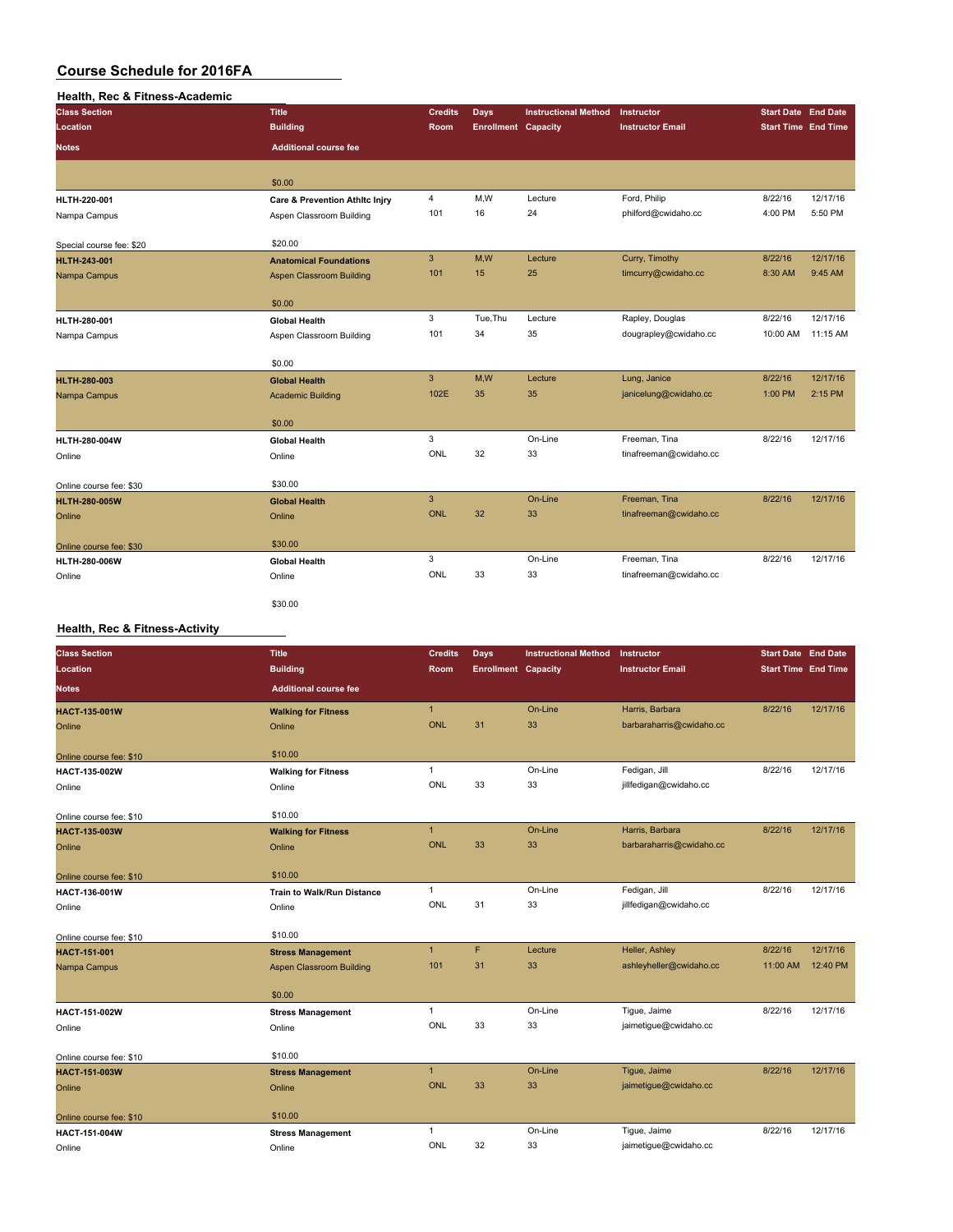#### **Health, Rec & Fitness-Academic**

| <b>Class Section</b>     | <b>Title</b>                              | <b>Credits</b> | Days                | <b>Instructional Method</b> | Instructor              | <b>Start Date</b> End Date |          |
|--------------------------|-------------------------------------------|----------------|---------------------|-----------------------------|-------------------------|----------------------------|----------|
| Location                 | <b>Building</b>                           | Room           | Enrollment Capacity |                             | <b>Instructor Email</b> | <b>Start Time</b> End Time |          |
| <b>Notes</b>             | <b>Additional course fee</b>              |                |                     |                             |                         |                            |          |
|                          | \$0.00                                    |                |                     |                             |                         |                            |          |
| HLTH-220-001             | <b>Care &amp; Prevention Athltc Injry</b> | 4              | M,W                 | Lecture                     | Ford, Philip            | 8/22/16                    | 12/17/16 |
| Nampa Campus             | Aspen Classroom Building                  | 101            | 16                  | 24                          | philford@cwidaho.cc     | 4:00 PM                    | 5:50 PM  |
|                          |                                           |                |                     |                             |                         |                            |          |
| Special course fee: \$20 | \$20.00                                   |                |                     |                             |                         |                            |          |
| <b>HLTH-243-001</b>      | <b>Anatomical Foundations</b>             | 3              | M,W                 | Lecture                     | Curry, Timothy          | 8/22/16                    | 12/17/16 |
| Nampa Campus             | Aspen Classroom Building                  | 101            | 15                  | 25                          | timcurry@cwidaho.cc     | 8:30 AM                    | 9:45 AM  |
|                          | \$0.00                                    |                |                     |                             |                         |                            |          |
| HLTH-280-001             | <b>Global Health</b>                      | 3              | Tue, Thu            | Lecture                     | Rapley, Douglas         | 8/22/16                    | 12/17/16 |
| Nampa Campus             | Aspen Classroom Building                  | 101            | 34                  | 35                          | dougrapley@cwidaho.cc   | 10:00 AM                   | 11:15 AM |
|                          | \$0.00                                    |                |                     |                             |                         |                            |          |
| <b>HLTH-280-003</b>      | <b>Global Health</b>                      | 3              | M,W                 | Lecture                     | Lung, Janice            | 8/22/16                    | 12/17/16 |
| Nampa Campus             | <b>Academic Building</b>                  | 102E           | 35                  | 35                          | janicelung@cwidaho.cc   | 1:00 PM                    | 2:15 PM  |
|                          | \$0.00                                    |                |                     |                             |                         |                            |          |
| HLTH-280-004W            | <b>Global Health</b>                      | 3              |                     | On-Line                     | Freeman, Tina           | 8/22/16                    | 12/17/16 |
| Online                   | Online                                    | ONL            | 32                  | 33                          | tinafreeman@cwidaho.cc  |                            |          |
| Online course fee: \$30  | \$30.00                                   |                |                     |                             |                         |                            |          |
| <b>HLTH-280-005W</b>     | <b>Global Health</b>                      | 3              |                     | On-Line                     | Freeman, Tina           | 8/22/16                    | 12/17/16 |
| Online                   | Online                                    | <b>ONL</b>     | 32                  | 33                          | tinafreeman@cwidaho.cc  |                            |          |
| Online course fee: \$30  | \$30.00                                   |                |                     |                             |                         |                            |          |
| HLTH-280-006W            | <b>Global Health</b>                      | 3              |                     | On-Line                     | Freeman, Tina           | 8/22/16                    | 12/17/16 |
| Online                   | Online                                    | ONL            | 33                  | 33                          | tinafreeman@cwidaho.cc  |                            |          |
|                          | \$30.00                                   |                |                     |                             |                         |                            |          |

#### **Health, Rec & Fitness-Activity**

| <b>Class Section</b>    | <b>Title</b>                      | <b>Credits</b> | Days                       | <b>Instructional Method</b> | Instructor               | <b>Start Date End Date</b> |          |
|-------------------------|-----------------------------------|----------------|----------------------------|-----------------------------|--------------------------|----------------------------|----------|
| Location                | <b>Building</b>                   | Room           | <b>Enrollment Capacity</b> |                             | <b>Instructor Email</b>  | <b>Start Time End Time</b> |          |
| <b>Notes</b>            | <b>Additional course fee</b>      |                |                            |                             |                          |                            |          |
| HACT-135-001W           | <b>Walking for Fitness</b>        | $\mathbf{1}$   |                            | On-Line                     | Harris, Barbara          | 8/22/16                    | 12/17/16 |
| Online                  | Online                            | <b>ONL</b>     | 31                         | 33                          | barbaraharris@cwidaho.cc |                            |          |
| Online course fee: \$10 | \$10.00                           |                |                            |                             |                          |                            |          |
| HACT-135-002W           | <b>Walking for Fitness</b>        | $\mathbf{1}$   |                            | On-Line                     | Fedigan, Jill            | 8/22/16                    | 12/17/16 |
| Online                  | Online                            | ONL            | 33                         | 33                          | jillfedigan@cwidaho.cc   |                            |          |
| Online course fee: \$10 | \$10.00                           |                |                            |                             |                          |                            |          |
| HACT-135-003W           | <b>Walking for Fitness</b>        | $\mathbf{1}$   |                            | On-Line                     | Harris, Barbara          | 8/22/16                    | 12/17/16 |
| Online                  | Online                            | <b>ONL</b>     | 33                         | 33                          | barbaraharris@cwidaho.cc |                            |          |
| Online course fee: \$10 | \$10.00                           |                |                            |                             |                          |                            |          |
| HACT-136-001W           | <b>Train to Walk/Run Distance</b> | $\mathbf{1}$   |                            | On-Line                     | Fedigan, Jill            | 8/22/16                    | 12/17/16 |
| Online                  | Online                            | ONL            | 31                         | 33                          | jillfedigan@cwidaho.cc   |                            |          |
| Online course fee: \$10 | \$10.00                           |                |                            |                             |                          |                            |          |
| HACT-151-001            | <b>Stress Management</b>          | $\mathbf{1}$   | F                          | Lecture                     | Heller, Ashley           | 8/22/16                    | 12/17/16 |
| Nampa Campus            | Aspen Classroom Building          | 101            | 31                         | 33                          | ashleyheller@cwidaho.cc  | 11:00 AM                   | 12:40 PM |
|                         | \$0.00                            |                |                            |                             |                          |                            |          |
| HACT-151-002W           | <b>Stress Management</b>          | $\mathbf{1}$   |                            | On-Line                     | Tigue, Jaime             | 8/22/16                    | 12/17/16 |
| Online                  | Online                            | <b>ONL</b>     | 33                         | 33                          | jaimetigue@cwidaho.cc    |                            |          |
| Online course fee: \$10 | \$10.00                           |                |                            |                             |                          |                            |          |
| HACT-151-003W           | <b>Stress Management</b>          | $\mathbf{1}$   |                            | On-Line                     | Tique, Jaime             | 8/22/16                    | 12/17/16 |
| Online                  | Online                            | <b>ONL</b>     | 33                         | 33                          | jaimetigue@cwidaho.cc    |                            |          |
| Online course fee: \$10 | \$10.00                           |                |                            |                             |                          |                            |          |
| HACT-151-004W           | <b>Stress Management</b>          | $\mathbf{1}$   |                            | On-Line                     | Tigue, Jaime             | 8/22/16                    | 12/17/16 |
| Online                  | Online                            | ONL            | 32                         | 33                          | jaimetigue@cwidaho.cc    |                            |          |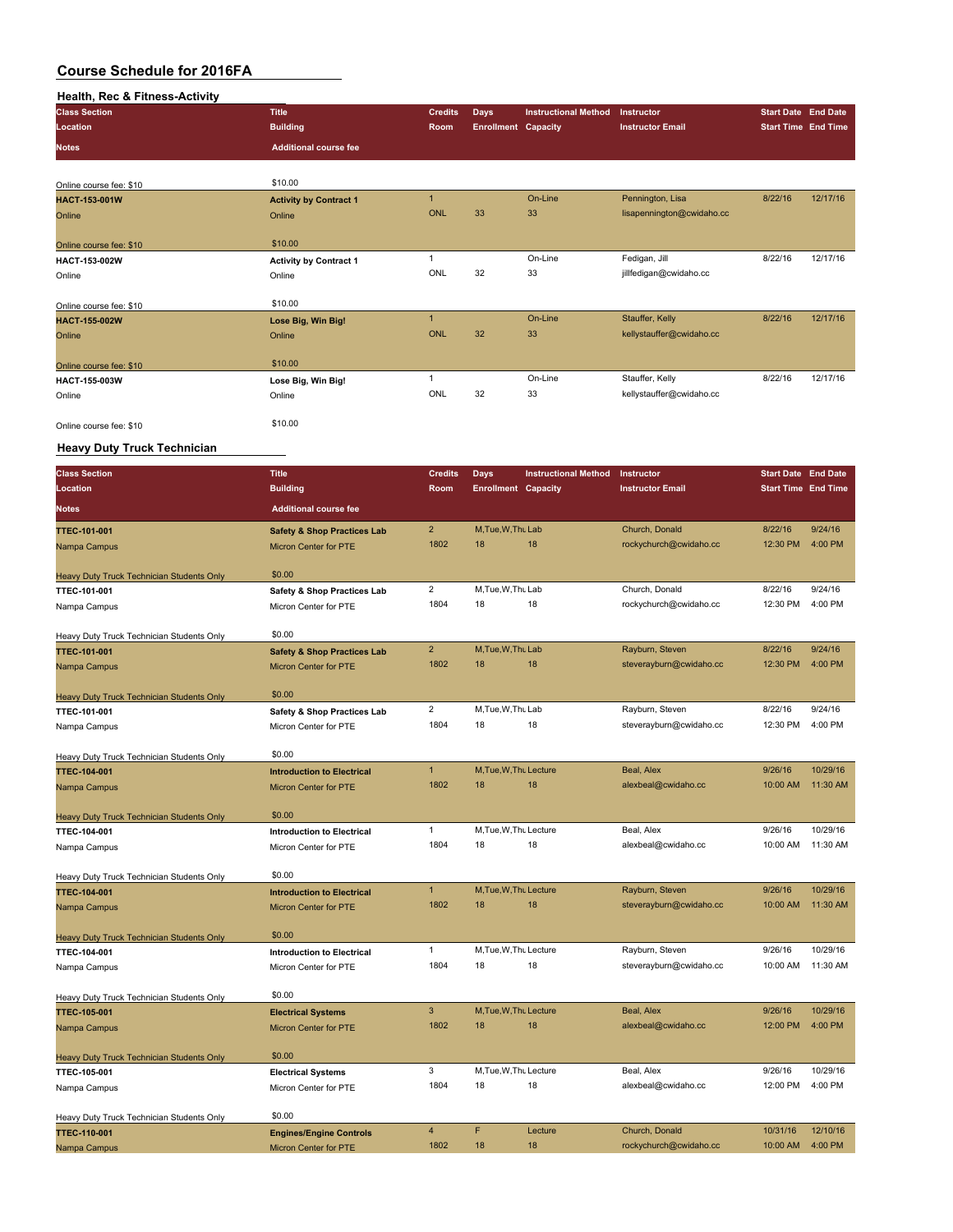| <b>Health, Rec &amp; Fitness-Activity</b>        |                                        |                |                            |                             |                           |                            |          |
|--------------------------------------------------|----------------------------------------|----------------|----------------------------|-----------------------------|---------------------------|----------------------------|----------|
| <b>Class Section</b>                             | <b>Title</b>                           | <b>Credits</b> | Days                       | <b>Instructional Method</b> | Instructor                | <b>Start Date End Date</b> |          |
| Location                                         | <b>Building</b>                        | Room           | <b>Enrollment Capacity</b> |                             | <b>Instructor Email</b>   | <b>Start Time End Time</b> |          |
|                                                  | <b>Additional course fee</b>           |                |                            |                             |                           |                            |          |
| Notes                                            |                                        |                |                            |                             |                           |                            |          |
|                                                  |                                        |                |                            |                             |                           |                            |          |
| Online course fee: \$10                          | \$10.00                                |                |                            |                             |                           |                            |          |
| HACT-153-001W                                    | <b>Activity by Contract 1</b>          | $\mathbf{1}$   |                            | On-Line                     | Pennington, Lisa          | 8/22/16                    | 12/17/16 |
| Online                                           | Online                                 | <b>ONL</b>     | 33                         | 33                          | lisapennington@cwidaho.cc |                            |          |
|                                                  |                                        |                |                            |                             |                           |                            |          |
| Online course fee: \$10                          | \$10.00                                |                |                            |                             |                           |                            |          |
| <b>HACT-153-002W</b>                             | <b>Activity by Contract 1</b>          | $\mathbf{1}$   |                            | On-Line                     | Fedigan, Jill             | 8/22/16                    | 12/17/16 |
| Online                                           | Online                                 | ONL            | 32                         | 33                          | jillfedigan@cwidaho.cc    |                            |          |
|                                                  |                                        |                |                            |                             |                           |                            |          |
| Online course fee: \$10                          | \$10.00                                |                |                            |                             |                           |                            |          |
| HACT-155-002W                                    | Lose Big, Win Big!                     | 1              |                            | On-Line                     | Stauffer, Kelly           | 8/22/16                    | 12/17/16 |
| Online                                           | Online                                 | <b>ONL</b>     | 32                         | 33                          | kellystauffer@cwidaho.cc  |                            |          |
|                                                  |                                        |                |                            |                             |                           |                            |          |
| Online course fee: \$10                          | \$10.00                                |                |                            |                             |                           |                            |          |
| <b>HACT-155-003W</b>                             | Lose Big, Win Big!                     | $\mathbf{1}$   |                            | On-Line                     | Stauffer, Kelly           | 8/22/16                    | 12/17/16 |
| Online                                           | Online                                 | ONL            | 32                         | 33                          | kellystauffer@cwidaho.cc  |                            |          |
|                                                  |                                        |                |                            |                             |                           |                            |          |
| Online course fee: \$10                          | \$10.00                                |                |                            |                             |                           |                            |          |
| <b>Heavy Duty Truck Technician</b>               |                                        |                |                            |                             |                           |                            |          |
|                                                  |                                        |                |                            |                             |                           |                            |          |
| <b>Class Section</b>                             | <b>Title</b>                           | <b>Credits</b> | <b>Days</b>                | <b>Instructional Method</b> | Instructor                | <b>Start Date End Date</b> |          |
| Location                                         | <b>Building</b>                        | Room           | <b>Enrollment Capacity</b> |                             | <b>Instructor Email</b>   | <b>Start Time End Time</b> |          |
| <b>Notes</b>                                     | <b>Additional course fee</b>           |                |                            |                             |                           |                            |          |
|                                                  |                                        | $\overline{2}$ | M.Tue.W.Thu Lab            |                             | Church, Donald            | 8/22/16                    | 9/24/16  |
| TTEC-101-001                                     | <b>Safety &amp; Shop Practices Lab</b> | 1802           | 18                         | 18                          |                           |                            | 4:00 PM  |
| Nampa Campus                                     | Micron Center for PTE                  |                |                            |                             | rockychurch@cwidaho.cc    | 12:30 PM                   |          |
|                                                  | \$0.00                                 |                |                            |                             |                           |                            |          |
| Heavy Duty Truck Technician Students Only        |                                        | $\overline{2}$ | M, Tue, W, Thu Lab         |                             | Church, Donald            | 8/22/16                    | 9/24/16  |
| TTEC-101-001                                     | Safety & Shop Practices Lab            | 1804           | 18                         | 18                          |                           | 12:30 PM                   | 4:00 PM  |
| Nampa Campus                                     | Micron Center for PTE                  |                |                            |                             | rockychurch@cwidaho.cc    |                            |          |
|                                                  | \$0.00                                 |                |                            |                             |                           |                            |          |
| Heavy Duty Truck Technician Students Only        |                                        | $\overline{2}$ | M, Tue, W, Thu Lab         |                             | Rayburn, Steven           | 8/22/16                    | 9/24/16  |
| <b>TTEC-101-001</b>                              | <b>Safety &amp; Shop Practices Lab</b> | 1802           | 18                         | 18                          |                           | 12:30 PM                   | 4:00 PM  |
| Nampa Campus                                     | Micron Center for PTE                  |                |                            |                             | steverayburn@cwidaho.cc   |                            |          |
| Heavy Duty Truck Technician Students Only        | \$0.00                                 |                |                            |                             |                           |                            |          |
| TTEC-101-001                                     | Safety & Shop Practices Lab            | $\overline{2}$ | M, Tue, W, Thu Lab         |                             | Rayburn, Steven           | 8/22/16                    | 9/24/16  |
| Nampa Campus                                     | Micron Center for PTE                  | 1804           | 18                         | 18                          | steverayburn@cwidaho.cc   | 12:30 PM                   | 4:00 PM  |
|                                                  |                                        |                |                            |                             |                           |                            |          |
| Heavy Duty Truck Technician Students Only        | \$0.00                                 |                |                            |                             |                           |                            |          |
| <b>TTEC-104-001</b>                              | <b>Introduction to Electrical</b>      | $\mathbf{1}$   | M, Tue, W, Thu Lecture     |                             | Beal, Alex                | 9/26/16                    | 10/29/16 |
|                                                  |                                        | 1802           | 18                         | 18                          | alexbeal@cwidaho.cc       | 10:00 AM                   | 11:30 AM |
| Nampa Campus                                     | Micron Center for PTE                  |                |                            |                             |                           |                            |          |
| <b>Heavy Duty Truck Technician Students Only</b> | \$0.00                                 |                |                            |                             |                           |                            |          |
| TTEC-104-001                                     | <b>Introduction to Electrical</b>      | $\mathbf{1}$   | M, Tue, W, Thu Lecture     |                             | Beal, Alex                | 9/26/16                    | 10/29/16 |
|                                                  | Micron Center for PTE                  | 1804           | 18                         | 18                          | alexbeal@cwidaho.cc       | 10:00 AM                   | 11:30 AM |
| Nampa Campus                                     |                                        |                |                            |                             |                           |                            |          |
| Heavy Duty Truck Technician Students Only        | \$0.00                                 |                |                            |                             |                           |                            |          |
| TTEC-104-001                                     | <b>Introduction to Electrical</b>      | 1              | M, Tue, W, Thu Lecture     |                             | Rayburn, Steven           | 9/26/16                    | 10/29/16 |
| Nampa Campus                                     | <b>Micron Center for PTE</b>           | 1802           | 18                         | 18                          | steverayburn@cwidaho.cc   | 10:00 AM                   | 11:30 AM |
|                                                  |                                        |                |                            |                             |                           |                            |          |
| Heavy Duty Truck Technician Students Only        | \$0.00                                 |                |                            |                             |                           |                            |          |
| TTEC-104-001                                     | <b>Introduction to Electrical</b>      | $\mathbf{1}$   | M, Tue, W, Thu Lecture     |                             | Rayburn, Steven           | 9/26/16                    | 10/29/16 |
| Nampa Campus                                     | Micron Center for PTE                  | 1804           | 18                         | 18                          | steverayburn@cwidaho.cc   | 10:00 AM                   | 11:30 AM |
|                                                  |                                        |                |                            |                             |                           |                            |          |
| Heavy Duty Truck Technician Students Only        | \$0.00                                 |                |                            |                             |                           |                            |          |
| TTEC-105-001                                     | <b>Electrical Systems</b>              | $\mathbf{3}$   | M, Tue, W, Thu Lecture     |                             | Beal, Alex                | 9/26/16                    | 10/29/16 |
| Nampa Campus                                     | Micron Center for PTE                  | 1802           | 18                         | 18                          | alexbeal@cwidaho.cc       | 12:00 PM                   | 4:00 PM  |
|                                                  |                                        |                |                            |                             |                           |                            |          |
| <b>Heavy Duty Truck Technician Students Only</b> | \$0.00                                 |                |                            |                             |                           |                            |          |
| TTEC-105-001                                     | <b>Electrical Systems</b>              | 3              | M, Tue, W, Thu Lecture     |                             | Beal, Alex                | 9/26/16                    | 10/29/16 |
| Nampa Campus                                     | Micron Center for PTE                  | 1804           | 18                         | 18                          | alexbeal@cwidaho.cc       | 12:00 PM                   | 4:00 PM  |
|                                                  |                                        |                |                            |                             |                           |                            |          |
| Heavy Duty Truck Technician Students Only        | \$0.00                                 |                |                            |                             |                           |                            |          |
|                                                  |                                        |                |                            |                             |                           |                            |          |

| TTEC-110-001 | <b>Engines/Engine Controls</b> |      | Lecture | Church, Donald         | 10/31/16 | 12/10/16 |
|--------------|--------------------------------|------|---------|------------------------|----------|----------|
| Nampa Campus | Micron Center for PTE          | 1802 |         | rockychurch@cwidaho.cc | 10:00 AM | 4:00 PM  |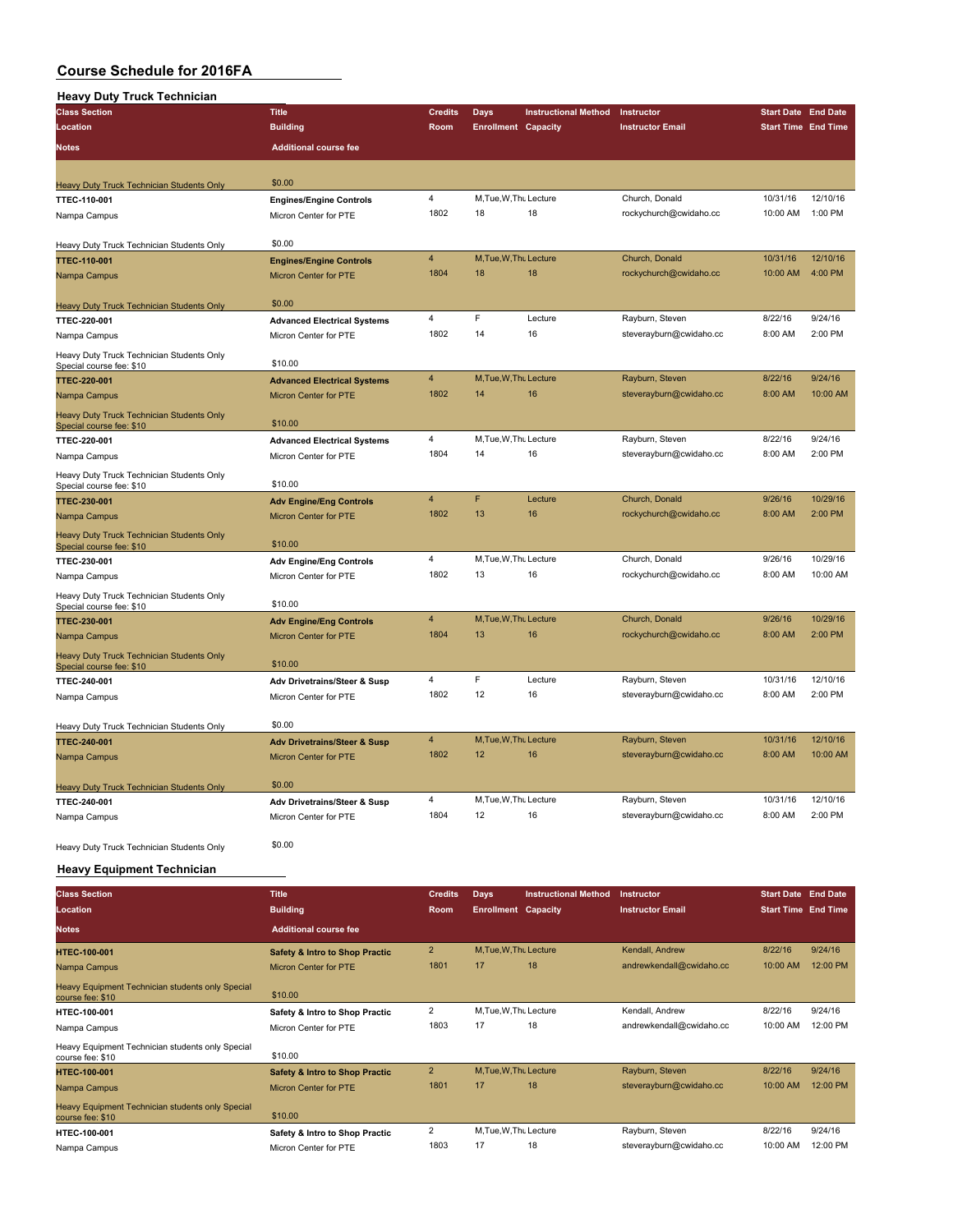| <b>Heavy Duty Truck Technician</b>                                    |                                         |                         |                            |                             |                                          |                            |          |
|-----------------------------------------------------------------------|-----------------------------------------|-------------------------|----------------------------|-----------------------------|------------------------------------------|----------------------------|----------|
| <b>Class Section</b>                                                  | <b>Title</b>                            | <b>Credits</b>          | <b>Days</b>                | <b>Instructional Method</b> | Instructor                               | Start Date End Date        |          |
| Location                                                              | <b>Building</b>                         | Room                    | <b>Enrollment Capacity</b> |                             | <b>Instructor Email</b>                  | <b>Start Time End Time</b> |          |
| Notes                                                                 | <b>Additional course fee</b>            |                         |                            |                             |                                          |                            |          |
|                                                                       |                                         |                         |                            |                             |                                          |                            |          |
| Heavy Duty Truck Technician Students Only                             | \$0.00                                  |                         |                            |                             |                                          |                            |          |
| TTEC-110-001                                                          | <b>Engines/Engine Controls</b>          | $\overline{4}$          | M, Tue, W, Thu Lecture     |                             | Church, Donald                           | 10/31/16                   | 12/10/16 |
| Nampa Campus                                                          | Micron Center for PTE                   | 1802                    | 18                         | 18                          | rockychurch@cwidaho.cc                   | 10:00 AM                   | 1:00 PM  |
|                                                                       |                                         |                         |                            |                             |                                          |                            |          |
| Heavy Duty Truck Technician Students Only                             | \$0.00                                  |                         |                            |                             |                                          |                            |          |
| <b>TTEC-110-001</b>                                                   | <b>Engines/Engine Controls</b>          | $\sqrt{4}$              | M, Tue, W, Thu Lecture     |                             | Church, Donald                           | 10/31/16                   | 12/10/16 |
| Nampa Campus                                                          | <b>Micron Center for PTE</b>            | 1804                    | 18                         | 18                          | rockychurch@cwidaho.cc                   | 10:00 AM                   | 4:00 PM  |
| Heavy Duty Truck Technician Students Only                             | \$0.00                                  |                         |                            |                             |                                          |                            |          |
| TTEC-220-001                                                          | <b>Advanced Electrical Systems</b>      | $\overline{4}$          | F                          | Lecture                     | Rayburn, Steven                          | 8/22/16                    | 9/24/16  |
| Nampa Campus                                                          | Micron Center for PTE                   | 1802                    | 14                         | 16                          | steverayburn@cwidaho.cc                  | 8:00 AM                    | 2:00 PM  |
|                                                                       |                                         |                         |                            |                             |                                          |                            |          |
| Heavy Duty Truck Technician Students Only<br>Special course fee: \$10 | \$10.00                                 |                         |                            |                             |                                          |                            |          |
| TTEC-220-001                                                          | <b>Advanced Electrical Systems</b>      | $\overline{\mathbf{4}}$ | M, Tue, W, Thu Lecture     |                             | Rayburn, Steven                          | 8/22/16                    | 9/24/16  |
| Nampa Campus                                                          | Micron Center for PTE                   | 1802                    | 14                         | 16                          | steverayburn@cwidaho.cc                  | 8:00 AM                    | 10:00 AM |
| Heavy Duty Truck Technician Students Only<br>Special course fee: \$10 | \$10.00                                 |                         |                            |                             |                                          |                            |          |
| TTEC-220-001                                                          | <b>Advanced Electrical Systems</b>      | $\overline{4}$          | M, Tue, W, Thu Lecture     |                             | Rayburn, Steven                          | 8/22/16                    | 9/24/16  |
| Nampa Campus                                                          | Micron Center for PTE                   | 1804                    | 14                         | 16                          | steverayburn@cwidaho.cc                  | 8:00 AM                    | 2:00 PM  |
| Heavy Duty Truck Technician Students Only<br>Special course fee: \$10 | \$10.00                                 |                         |                            |                             |                                          |                            |          |
| TTEC-230-001                                                          | <b>Adv Engine/Eng Controls</b>          | $\overline{4}$          | F                          | Lecture                     | Church, Donald                           | 9/26/16                    | 10/29/16 |
| Nampa Campus                                                          | Micron Center for PTE                   | 1802                    | 13                         | 16                          | rockychurch@cwidaho.cc                   | 8:00 AM                    | 2:00 PM  |
|                                                                       |                                         |                         |                            |                             |                                          |                            |          |
| Heavy Duty Truck Technician Students Only<br>Special course fee: \$10 | \$10.00                                 |                         |                            |                             |                                          |                            |          |
| TTEC-230-001                                                          | <b>Adv Engine/Eng Controls</b>          | $\overline{4}$          | M, Tue, W, Thu Lecture     |                             | Church, Donald                           | 9/26/16                    | 10/29/16 |
| Nampa Campus                                                          | Micron Center for PTE                   | 1802                    | 13                         | 16                          | rockychurch@cwidaho.cc                   | 8:00 AM                    | 10:00 AM |
| Heavy Duty Truck Technician Students Only                             |                                         |                         |                            |                             |                                          |                            |          |
| Special course fee: \$10                                              | \$10.00                                 | $\overline{4}$          | M, Tue, W, Thu Lecture     |                             |                                          | 9/26/16                    | 10/29/16 |
| <b>TTEC-230-001</b>                                                   | <b>Adv Engine/Eng Controls</b>          | 1804                    | 13                         | 16                          | Church, Donald<br>rockychurch@cwidaho.cc | 8:00 AM                    | 2:00 PM  |
| Nampa Campus                                                          | Micron Center for PTE                   |                         |                            |                             |                                          |                            |          |
| Heavy Duty Truck Technician Students Only<br>Special course fee: \$10 | \$10.00                                 |                         |                            |                             |                                          |                            |          |
| TTEC-240-001                                                          | Adv Drivetrains/Steer & Susp            | $\overline{4}$          | F                          | Lecture                     | Rayburn, Steven                          | 10/31/16                   | 12/10/16 |
| Nampa Campus                                                          | Micron Center for PTE                   | 1802                    | 12                         | 16                          | steverayburn@cwidaho.cc                  | 8:00 AM                    | 2:00 PM  |
|                                                                       |                                         |                         |                            |                             |                                          |                            |          |
| Heavy Duty Truck Technician Students Only                             | \$0.00                                  |                         |                            |                             |                                          |                            |          |
| <b>TTEC-240-001</b>                                                   | <b>Adv Drivetrains/Steer &amp; Susp</b> | $\overline{4}$          | M, Tue, W, Thu Lecture     |                             | Rayburn, Steven                          | 10/31/16                   | 12/10/16 |
| Nampa Campus                                                          | Micron Center for PTE                   | 1802                    | 12                         | 16                          | steverayburn@cwidaho.cc                  | 8:00 AM                    | 10:00 AM |
| Heavy Duty Truck Technician Students Only                             | \$0.00                                  |                         |                            |                             |                                          |                            |          |
| TTEC-240-001                                                          | Adv Drivetrains/Steer & Susp            | $\sqrt{4}$              | M, Tue, W, Thu Lecture     |                             | Rayburn, Steven                          | 10/31/16                   | 12/10/16 |
| Nampa Campus                                                          | Micron Center for PTE                   | 1804                    | 12                         | 16                          | steverayburn@cwidaho.cc                  | 8:00 AM                    | 2:00 PM  |
|                                                                       |                                         |                         |                            |                             |                                          |                            |          |
| Heavy Duty Truck Technician Students Only                             | \$0.00                                  |                         |                            |                             |                                          |                            |          |

**Heavy Equipment Technician**

| <b>Class Section</b>                                                 | <b>Title</b>                              | <b>Credits</b> | Days                       | <b>Instructional Method</b> | Instructor               | <b>Start Date End Date</b> |          |
|----------------------------------------------------------------------|-------------------------------------------|----------------|----------------------------|-----------------------------|--------------------------|----------------------------|----------|
| Location                                                             | <b>Building</b>                           | Room           | <b>Enrollment Capacity</b> |                             | <b>Instructor Email</b>  | <b>Start Time End Time</b> |          |
| <b>Notes</b>                                                         | <b>Additional course fee</b>              |                |                            |                             |                          |                            |          |
| <b>HTEC-100-001</b>                                                  | <b>Safety &amp; Intro to Shop Practic</b> | $\overline{2}$ | M.Tue.W.Tht Lecture        |                             | Kendall, Andrew          | 8/22/16                    | 9/24/16  |
| Nampa Campus                                                         | Micron Center for PTE                     | 1801           | 17                         | 18                          | andrewkendall@cwidaho.cc | 10:00 AM                   | 12:00 PM |
| Heavy Equipment Technician students only Special<br>course fee: \$10 | \$10.00                                   |                |                            |                             |                          |                            |          |
| <b>HTEC-100-001</b>                                                  | Safety & Intro to Shop Practic            | $\overline{2}$ | M.Tue, W.Thu Lecture       |                             | Kendall, Andrew          | 8/22/16                    | 9/24/16  |
| Nampa Campus                                                         | Micron Center for PTE                     | 1803           | 17                         | 18                          | andrewkendall@cwidaho.cc | 10:00 AM                   | 12:00 PM |
| Heavy Equipment Technician students only Special<br>course fee: \$10 | \$10.00                                   |                |                            |                             |                          |                            |          |
| <b>HTEC-100-001</b>                                                  | <b>Safety &amp; Intro to Shop Practic</b> | $\overline{2}$ | M.Tue.W.Thu Lecture        |                             | Rayburn, Steven          | 8/22/16                    | 9/24/16  |
| Nampa Campus                                                         | Micron Center for PTE                     | 1801           | 17                         | 18                          | steverayburn@cwidaho.cc  | 10:00 AM                   | 12:00 PM |
| Heavy Equipment Technician students only Special<br>course fee: \$10 | \$10.00                                   |                |                            |                             |                          |                            |          |
| <b>HTEC-100-001</b>                                                  | Safety & Intro to Shop Practic            | $\overline{2}$ | M, Tue, W, Thu Lecture     |                             | Rayburn, Steven          | 8/22/16                    | 9/24/16  |
| Nampa Campus                                                         | Micron Center for PTE                     | 1803           | 17                         | 18                          | steverayburn@cwidaho.cc  | 10:00 AM                   | 12:00 PM |
|                                                                      |                                           |                |                            |                             |                          |                            |          |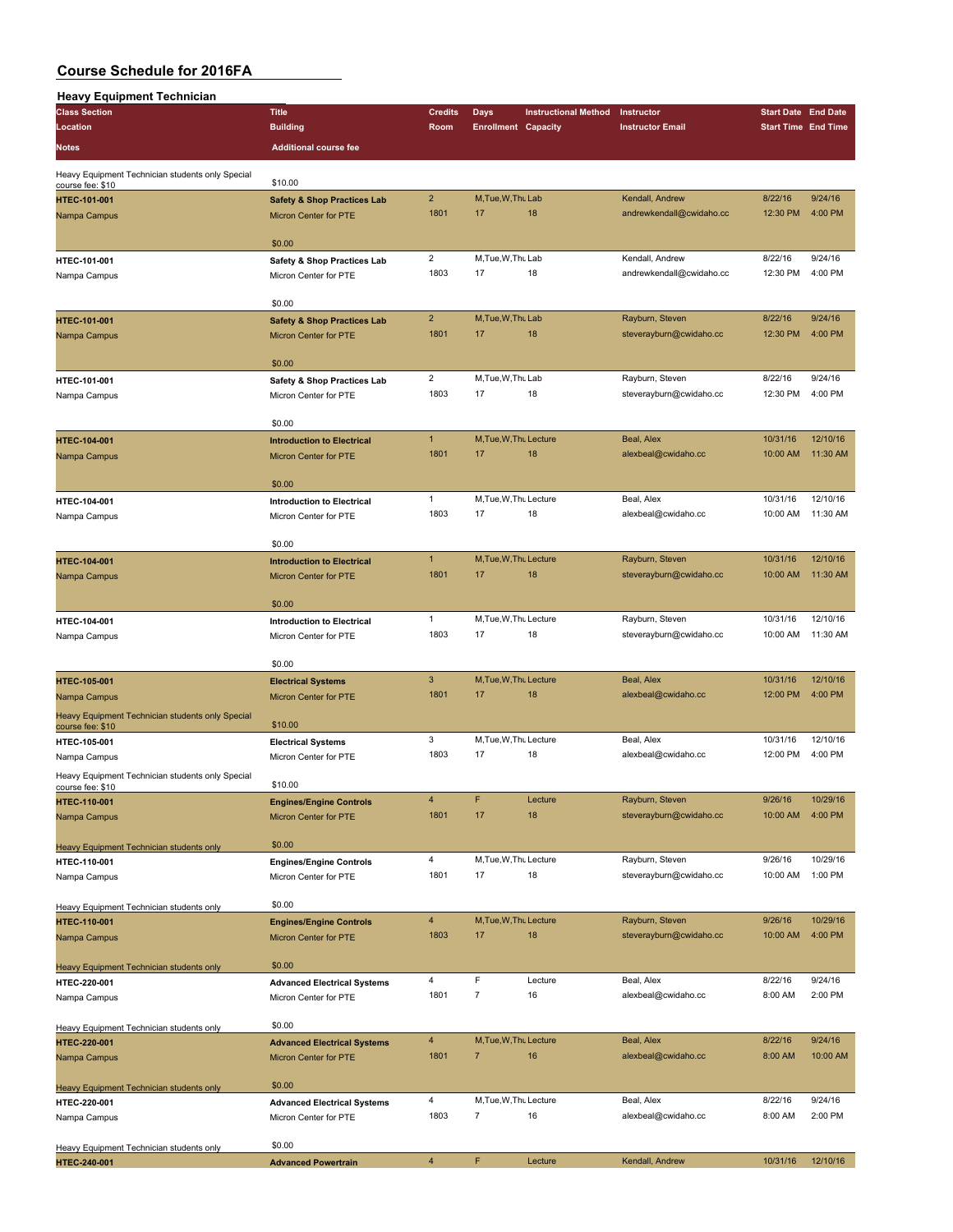| <b>Heavy Equipment Technician</b>                                    |                                                             |                         |                            |                             |                          |                            |          |
|----------------------------------------------------------------------|-------------------------------------------------------------|-------------------------|----------------------------|-----------------------------|--------------------------|----------------------------|----------|
| <b>Class Section</b>                                                 | <b>Title</b>                                                | <b>Credits</b>          | Days                       | <b>Instructional Method</b> | Instructor               | <b>Start Date End Date</b> |          |
| Location                                                             | <b>Building</b>                                             | Room                    | <b>Enrollment Capacity</b> |                             | <b>Instructor Email</b>  | <b>Start Time End Time</b> |          |
| Notes                                                                | <b>Additional course fee</b>                                |                         |                            |                             |                          |                            |          |
|                                                                      |                                                             |                         |                            |                             |                          |                            |          |
| Heavy Equipment Technician students only Special                     | \$10.00                                                     |                         |                            |                             |                          |                            |          |
| course fee: \$10<br>HTEC-101-001                                     | <b>Safety &amp; Shop Practices Lab</b>                      | $\mathbf 2$             | M, Tue, W, Thu Lab         |                             | Kendall, Andrew          | 8/22/16                    | 9/24/16  |
| Nampa Campus                                                         | Micron Center for PTE                                       | 1801                    | 17                         | 18                          | andrewkendall@cwidaho.cc | 12:30 PM                   | 4:00 PM  |
|                                                                      |                                                             |                         |                            |                             |                          |                            |          |
|                                                                      | \$0.00                                                      |                         |                            |                             |                          |                            |          |
| HTEC-101-001                                                         | Safety & Shop Practices Lab                                 | $\overline{2}$          | M, Tue, W, Thu Lab         |                             | Kendall, Andrew          | 8/22/16                    | 9/24/16  |
| Nampa Campus                                                         | Micron Center for PTE                                       | 1803                    | 17                         | 18                          | andrewkendall@cwidaho.cc | 12:30 PM                   | 4:00 PM  |
|                                                                      |                                                             |                         |                            |                             |                          |                            |          |
|                                                                      | \$0.00                                                      |                         |                            |                             |                          |                            |          |
| <b>HTEC-101-001</b>                                                  | <b>Safety &amp; Shop Practices Lab</b>                      | $\overline{2}$          | M, Tue, W, Thu Lab         |                             | Rayburn, Steven          | 8/22/16                    | 9/24/16  |
| Nampa Campus                                                         | Micron Center for PTE                                       | 1801                    | 17                         | 18                          | steverayburn@cwidaho.cc  | 12:30 PM                   | 4:00 PM  |
|                                                                      |                                                             |                         |                            |                             |                          |                            |          |
|                                                                      | \$0.00                                                      |                         |                            |                             |                          |                            |          |
| HTEC-101-001                                                         | Safety & Shop Practices Lab                                 | $\overline{c}$          | M, Tue, W, Thu Lab         |                             | Rayburn, Steven          | 8/22/16                    | 9/24/16  |
| Nampa Campus                                                         | Micron Center for PTE                                       | 1803                    | 17                         | 18                          | steverayburn@cwidaho.cc  | 12:30 PM                   | 4:00 PM  |
|                                                                      | \$0.00                                                      |                         |                            |                             |                          |                            |          |
| HTEC-104-001                                                         | <b>Introduction to Electrical</b>                           | $\mathbf{1}$            | M, Tue, W, Thu Lecture     |                             | Beal, Alex               | 10/31/16                   | 12/10/16 |
| Nampa Campus                                                         | Micron Center for PTE                                       | 1801                    | 17                         | 18                          | alexbeal@cwidaho.cc      | 10:00 AM                   | 11:30 AM |
|                                                                      |                                                             |                         |                            |                             |                          |                            |          |
|                                                                      | \$0.00                                                      |                         |                            |                             |                          |                            |          |
| HTEC-104-001                                                         | <b>Introduction to Electrical</b>                           | $\mathbf{1}$            | M, Tue, W, Thu Lecture     |                             | Beal, Alex               | 10/31/16                   | 12/10/16 |
| Nampa Campus                                                         | Micron Center for PTE                                       | 1803                    | 17                         | 18                          | alexbeal@cwidaho.cc      | 10:00 AM                   | 11:30 AM |
|                                                                      |                                                             |                         |                            |                             |                          |                            |          |
|                                                                      | \$0.00                                                      |                         |                            |                             |                          |                            |          |
| HTEC-104-001                                                         | <b>Introduction to Electrical</b>                           | $\mathbf{1}$            | M, Tue, W, Thu Lecture     |                             | Rayburn, Steven          | 10/31/16                   | 12/10/16 |
| Nampa Campus                                                         | Micron Center for PTE                                       | 1801                    | 17                         | 18                          | steverayburn@cwidaho.cc  | 10:00 AM                   | 11:30 AM |
|                                                                      |                                                             |                         |                            |                             |                          |                            |          |
|                                                                      | \$0.00                                                      |                         |                            |                             |                          |                            |          |
| HTEC-104-001                                                         | <b>Introduction to Electrical</b>                           | $\mathbf{1}$            | M, Tue, W, Thu Lecture     |                             | Rayburn, Steven          | 10/31/16                   | 12/10/16 |
| Nampa Campus                                                         | Micron Center for PTE                                       | 1803                    | 17                         | 18                          | steverayburn@cwidaho.cc  | 10:00 AM                   | 11:30 AM |
|                                                                      | \$0.00                                                      |                         |                            |                             |                          |                            |          |
| HTEC-105-001                                                         | <b>Electrical Systems</b>                                   | 3                       | M, Tue, W, Thu Lecture     |                             | Beal, Alex               | 10/31/16                   | 12/10/16 |
| Nampa Campus                                                         | Micron Center for PTE                                       | 1801                    | 17                         | 18                          | alexbeal@cwidaho.cc      | 12:00 PM                   | 4:00 PM  |
|                                                                      |                                                             |                         |                            |                             |                          |                            |          |
| Heavy Equipment Technician students only Special<br>course fee: \$10 | \$10.00                                                     |                         |                            |                             |                          |                            |          |
| HTEC-105-001                                                         | <b>Electrical Systems</b>                                   | 3                       | M, Tue, W, Thu Lecture     |                             | Beal, Alex               | 10/31/16                   | 12/10/16 |
| Nampa Campus                                                         | Micron Center for PTE                                       | 1803                    | 17                         | 18                          | alexbeal@cwidaho.cc      | 12:00 PM                   | 4:00 PM  |
| Heavy Equipment Technician students only Special                     |                                                             |                         |                            |                             |                          |                            |          |
| course fee: \$10                                                     | \$10.00                                                     |                         |                            |                             |                          |                            |          |
| HTEC-110-001                                                         | <b>Engines/Engine Controls</b>                              | 4                       | F                          | Lecture                     | Rayburn, Steven          | 9/26/16                    | 10/29/16 |
| Nampa Campus                                                         | Micron Center for PTE                                       | 1801                    | 17                         | 18                          | steverayburn@cwidaho.cc  | 10:00 AM                   | 4:00 PM  |
|                                                                      |                                                             |                         |                            |                             |                          |                            |          |
| Heavy Equipment Technician students only                             | \$0.00                                                      | $\overline{4}$          | M, Tue, W, Thu Lecture     |                             | Rayburn, Steven          | 9/26/16                    | 10/29/16 |
| HTEC-110-001                                                         | <b>Engines/Engine Controls</b>                              | 1801                    | 17                         | 18                          | steverayburn@cwidaho.cc  | 10:00 AM                   | 1:00 PM  |
| Nampa Campus                                                         | Micron Center for PTE                                       |                         |                            |                             |                          |                            |          |
| Heavy Equipment Technician students only                             | \$0.00                                                      |                         |                            |                             |                          |                            |          |
| <b>HTEC-110-001</b>                                                  | <b>Engines/Engine Controls</b>                              | $\overline{4}$          | M, Tue, W, Thu Lecture     |                             | Rayburn, Steven          | 9/26/16                    | 10/29/16 |
| Nampa Campus                                                         | Micron Center for PTE                                       | 1803                    | 17                         | 18                          | steverayburn@cwidaho.cc  | 10:00 AM                   | 4:00 PM  |
|                                                                      |                                                             |                         |                            |                             |                          |                            |          |
| Heavy Equipment Technician students only                             | \$0.00                                                      |                         |                            |                             |                          |                            |          |
| HTEC-220-001                                                         | <b>Advanced Electrical Systems</b>                          | $\overline{\mathbf{4}}$ | F                          | Lecture                     | Beal, Alex               | 8/22/16                    | 9/24/16  |
| Nampa Campus                                                         | Micron Center for PTE                                       | 1801                    | $\overline{7}$             | 16                          | alexbeal@cwidaho.cc      | 8:00 AM                    | 2:00 PM  |
|                                                                      |                                                             |                         |                            |                             |                          |                            |          |
| Heavy Equipment Technician students only                             | \$0.00                                                      |                         |                            |                             |                          |                            |          |
| HTEC-220-001                                                         | <b>Advanced Electrical Systems</b>                          | $\overline{4}$          | M, Tue, W, Thu Lecture     |                             | Beal, Alex               | 8/22/16                    | 9/24/16  |
| Nampa Campus                                                         | <b>Micron Center for PTE</b>                                | 1801                    | $\overline{7}$             | 16                          | alexbeal@cwidaho.cc      | 8:00 AM                    | 10:00 AM |
|                                                                      | \$0.00                                                      |                         |                            |                             |                          |                            |          |
| Heavy Equipment Technician students only<br>HTEC-220-001             |                                                             | $\overline{4}$          | M, Tue, W, Thu Lecture     |                             | Beal, Alex               | 8/22/16                    | 9/24/16  |
| Nampa Campus                                                         | <b>Advanced Electrical Systems</b><br>Micron Center for PTE | 1803                    | $\overline{7}$             | 16                          | alexbeal@cwidaho.cc      | 8:00 AM                    | 2:00 PM  |
|                                                                      |                                                             |                         |                            |                             |                          |                            |          |
| Heavy Equipment Technician students only                             | \$0.00                                                      |                         |                            |                             |                          |                            |          |
| HTEC-240-001                                                         | <b>Advanced Powertrain</b>                                  | $\overline{\mathbf{4}}$ | F                          | Lecture                     | Kendall, Andrew          | 10/31/16                   | 12/10/16 |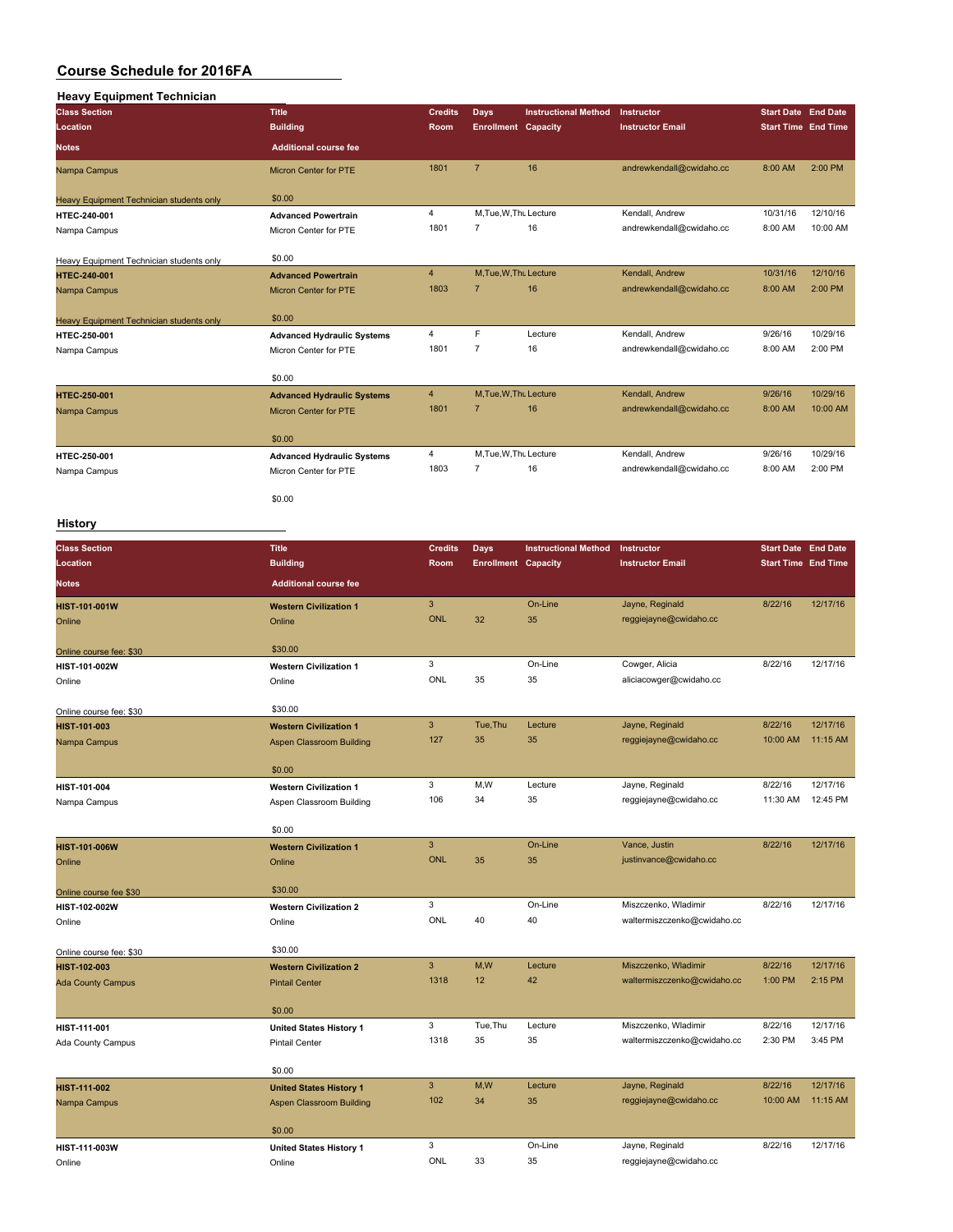| <b>Heavy Equipment Technician</b>        |                                   |                |                            |                             |                          |                            |                            |
|------------------------------------------|-----------------------------------|----------------|----------------------------|-----------------------------|--------------------------|----------------------------|----------------------------|
| <b>Class Section</b>                     | <b>Title</b>                      | <b>Credits</b> | <b>Days</b>                | <b>Instructional Method</b> | Instructor               | <b>Start Date End Date</b> |                            |
| Location                                 | <b>Building</b>                   | <b>Room</b>    | <b>Enrollment Capacity</b> |                             | <b>Instructor Email</b>  |                            | <b>Start Time End Time</b> |
| <b>Notes</b>                             | <b>Additional course fee</b>      |                |                            |                             |                          |                            |                            |
| Nampa Campus                             | <b>Micron Center for PTE</b>      | 1801           | $\overline{7}$             | 16                          | andrewkendall@cwidaho.cc | 8:00 AM                    | 2:00 PM                    |
| Heavy Equipment Technician students only | \$0.00                            |                |                            |                             |                          |                            |                            |
| HTEC-240-001                             | <b>Advanced Powertrain</b>        | 4              | M, Tue, W, Thu Lecture     |                             | Kendall, Andrew          | 10/31/16                   | 12/10/16                   |
| Nampa Campus                             | Micron Center for PTE             | 1801           | $\overline{7}$             | 16                          | andrewkendall@cwidaho.cc | 8:00 AM                    | 10:00 AM                   |
| Heavy Equipment Technician students only | \$0.00                            |                |                            |                             |                          |                            |                            |
| <b>HTEC-240-001</b>                      | <b>Advanced Powertrain</b>        | $\overline{4}$ | M, Tue, W, Thu Lecture     |                             | Kendall, Andrew          | 10/31/16                   | 12/10/16                   |
| Nampa Campus                             | <b>Micron Center for PTE</b>      | 1803           | $\overline{7}$             | 16                          | andrewkendall@cwidaho.cc | 8:00 AM                    | 2:00 PM                    |
| Heavy Equipment Technician students only | \$0.00                            |                |                            |                             |                          |                            |                            |
| HTEC-250-001                             | <b>Advanced Hydraulic Systems</b> | 4              | F                          | Lecture                     | Kendall, Andrew          | 9/26/16                    | 10/29/16                   |
| Nampa Campus                             | Micron Center for PTE             | 1801           | $\overline{7}$             | 16                          | andrewkendall@cwidaho.cc | 8:00 AM                    | 2:00 PM                    |
|                                          | \$0.00                            |                |                            |                             |                          |                            |                            |
| <b>HTEC-250-001</b>                      | <b>Advanced Hydraulic Systems</b> | $\overline{4}$ | M, Tue, W, Thu Lecture     |                             | Kendall, Andrew          | 9/26/16                    | 10/29/16                   |
| Nampa Campus                             | <b>Micron Center for PTE</b>      | 1801           | $\overline{7}$             | 16                          | andrewkendall@cwidaho.cc | 8:00 AM                    | 10:00 AM                   |
|                                          | \$0.00                            |                |                            |                             |                          |                            |                            |
| HTEC-250-001                             | <b>Advanced Hydraulic Systems</b> | $\overline{4}$ | M, Tue, W, Thu Lecture     |                             | Kendall, Andrew          | 9/26/16                    | 10/29/16                   |
| Nampa Campus                             | Micron Center for PTE             | 1803           | $\overline{7}$             | 16                          | andrewkendall@cwidaho.cc | 8:00 AM                    | 2:00 PM                    |
|                                          | \$0.00                            |                |                            |                             |                          |                            |                            |

#### **History**

| <b>Class Section</b>     | <b>Title</b>                    | <b>Credits</b> | <b>Days</b>                | <b>Instructional Method</b> | Instructor                  | <b>Start Date End Date</b> |          |
|--------------------------|---------------------------------|----------------|----------------------------|-----------------------------|-----------------------------|----------------------------|----------|
| Location                 | <b>Building</b>                 | Room           | <b>Enrollment Capacity</b> |                             | <b>Instructor Email</b>     | <b>Start Time End Time</b> |          |
| <b>Notes</b>             | <b>Additional course fee</b>    |                |                            |                             |                             |                            |          |
| <b>HIST-101-001W</b>     | <b>Western Civilization 1</b>   | 3              |                            | On-Line                     | Jayne, Reginald             | 8/22/16                    | 12/17/16 |
| Online                   | Online                          | <b>ONL</b>     | 32                         | 35                          | reggiejayne@cwidaho.cc      |                            |          |
| Online course fee: \$30  | \$30.00                         |                |                            |                             |                             |                            |          |
| HIST-101-002W            | <b>Western Civilization 1</b>   | 3              |                            | On-Line                     | Cowger, Alicia              | 8/22/16                    | 12/17/16 |
| Online                   | Online                          | ONL            | 35                         | 35                          | aliciacowger@cwidaho.cc     |                            |          |
| Online course fee: \$30  | \$30.00                         |                |                            |                             |                             |                            |          |
| HIST-101-003             | <b>Western Civilization 1</b>   | $\overline{3}$ | Tue, Thu                   | Lecture                     | Jayne, Reginald             | 8/22/16                    | 12/17/16 |
| Nampa Campus             | Aspen Classroom Building        | 127            | 35                         | 35                          | reggiejayne@cwidaho.cc      | 10:00 AM                   | 11:15 AM |
|                          | \$0.00                          |                |                            |                             |                             |                            |          |
| HIST-101-004             | <b>Western Civilization 1</b>   | 3              | M,W                        | Lecture                     | Jayne, Reginald             | 8/22/16                    | 12/17/16 |
| Nampa Campus             | Aspen Classroom Building        | 106            | 34                         | 35                          | reggiejayne@cwidaho.cc      | 11:30 AM                   | 12:45 PM |
|                          | \$0.00                          |                |                            |                             |                             |                            |          |
| <b>HIST-101-006W</b>     | <b>Western Civilization 1</b>   | $\overline{3}$ |                            | On-Line                     | Vance, Justin               | 8/22/16                    | 12/17/16 |
| Online                   | Online                          | <b>ONL</b>     | 35                         | 35                          | justinvance@cwidaho.cc      |                            |          |
| Online course fee \$30   | \$30.00                         |                |                            |                             |                             |                            |          |
| HIST-102-002W            | <b>Western Civilization 2</b>   | 3              |                            | On-Line                     | Miszczenko, Wladimir        | 8/22/16                    | 12/17/16 |
| Online                   | Online                          | <b>ONL</b>     | 40                         | 40                          | waltermiszczenko@cwidaho.cc |                            |          |
| Online course fee: \$30  | \$30.00                         |                |                            |                             |                             |                            |          |
| HIST-102-003             | <b>Western Civilization 2</b>   | $\mathbf{3}$   | M,W                        | Lecture                     | Miszczenko, Wladimir        | 8/22/16                    | 12/17/16 |
| <b>Ada County Campus</b> | <b>Pintail Center</b>           | 1318           | 12                         | 42                          | waltermiszczenko@cwidaho.cc | 1:00 PM                    | 2:15 PM  |
|                          | \$0.00                          |                |                            |                             |                             |                            |          |
| HIST-111-001             | <b>United States History 1</b>  | 3              | Tue, Thu                   | Lecture                     | Miszczenko, Wladimir        | 8/22/16                    | 12/17/16 |
| Ada County Campus        | <b>Pintail Center</b>           | 1318           | 35                         | 35                          | waltermiszczenko@cwidaho.cc | 2:30 PM                    | 3:45 PM  |
|                          | \$0.00                          |                |                            |                             |                             |                            |          |
| HIST-111-002             | <b>United States History 1</b>  | $\mathbf{3}$   | M,W                        | Lecture                     | Jayne, Reginald             | 8/22/16                    | 12/17/16 |
| Nampa Campus             | <b>Aspen Classroom Building</b> | 102            | 34                         | 35                          | reggiejayne@cwidaho.cc      | 10:00 AM                   | 11:15 AM |
|                          | \$0.00                          |                |                            |                             |                             |                            |          |
| HIST-111-003W            | <b>United States History 1</b>  | 3              |                            | On-Line                     | Jayne, Reginald             | 8/22/16                    | 12/17/16 |
| Online                   | Online                          | <b>ONL</b>     | 33                         | 35                          | reggiejayne@cwidaho.cc      |                            |          |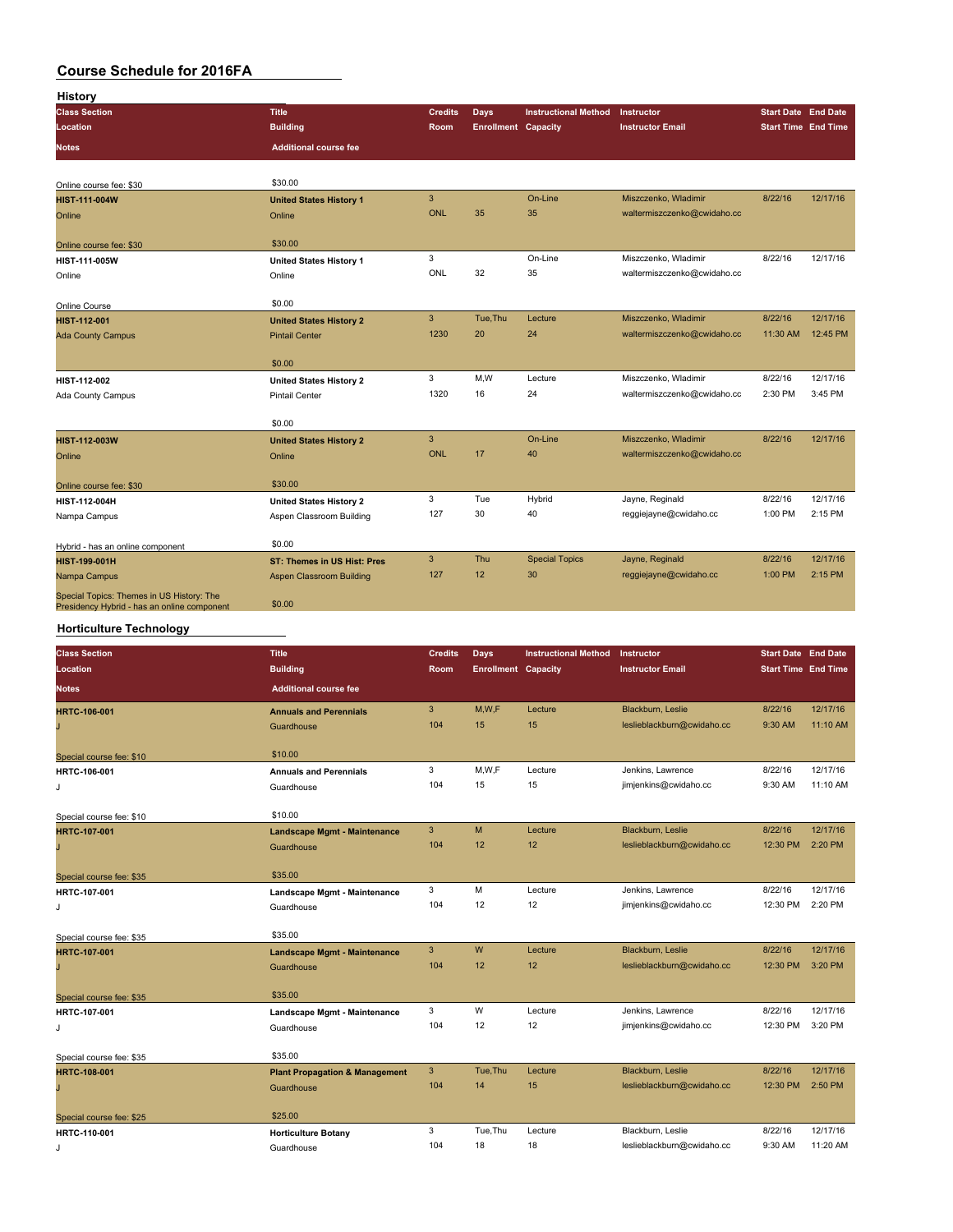| History                                                                                  |                                    |                |                            |                             |                             |                            |          |
|------------------------------------------------------------------------------------------|------------------------------------|----------------|----------------------------|-----------------------------|-----------------------------|----------------------------|----------|
| <b>Class Section</b>                                                                     | <b>Title</b>                       | <b>Credits</b> | <b>Days</b>                | <b>Instructional Method</b> | Instructor                  | <b>Start Date End Date</b> |          |
| Location                                                                                 | <b>Building</b>                    | Room           | <b>Enrollment Capacity</b> |                             | <b>Instructor Email</b>     | <b>Start Time End Time</b> |          |
| <b>Notes</b>                                                                             | <b>Additional course fee</b>       |                |                            |                             |                             |                            |          |
|                                                                                          |                                    |                |                            |                             |                             |                            |          |
| Online course fee: \$30                                                                  | \$30.00                            |                |                            |                             |                             |                            |          |
| <b>HIST-111-004W</b>                                                                     | <b>United States History 1</b>     | 3              |                            | On-Line                     | Miszczenko, Wladimir        | 8/22/16                    | 12/17/16 |
| Online                                                                                   | Online                             | <b>ONL</b>     | 35                         | 35                          | waltermiszczenko@cwidaho.cc |                            |          |
| Online course fee: \$30                                                                  | \$30.00                            |                |                            |                             |                             |                            |          |
| <b>HIST-111-005W</b>                                                                     | <b>United States History 1</b>     | 3              |                            | On-Line                     | Miszczenko, Wladimir        | 8/22/16                    | 12/17/16 |
| Online                                                                                   | Online                             | ONL            | 32                         | 35                          | waltermiszczenko@cwidaho.cc |                            |          |
| Online Course                                                                            | \$0.00                             |                |                            |                             |                             |                            |          |
| HIST-112-001                                                                             | <b>United States History 2</b>     | $\mathbf{3}$   | Tue, Thu                   | Lecture                     | Miszczenko, Wladimir        | 8/22/16                    | 12/17/16 |
| <b>Ada County Campus</b>                                                                 | <b>Pintail Center</b>              | 1230           | 20                         | 24                          | waltermiszczenko@cwidaho.cc | 11:30 AM                   | 12:45 PM |
|                                                                                          | \$0.00                             |                |                            |                             |                             |                            |          |
| HIST-112-002                                                                             | <b>United States History 2</b>     | 3              | M,W                        | Lecture                     | Miszczenko, Wladimir        | 8/22/16                    | 12/17/16 |
| Ada County Campus                                                                        | <b>Pintail Center</b>              | 1320           | 16                         | 24                          | waltermiszczenko@cwidaho.cc | 2:30 PM                    | 3:45 PM  |
|                                                                                          | \$0.00                             |                |                            |                             |                             |                            |          |
| <b>HIST-112-003W</b>                                                                     | <b>United States History 2</b>     | 3              |                            | On-Line                     | Miszczenko, Wladimir        | 8/22/16                    | 12/17/16 |
| Online                                                                                   | Online                             | <b>ONL</b>     | 17                         | 40                          | waltermiszczenko@cwidaho.cc |                            |          |
| Online course fee: \$30                                                                  | \$30.00                            |                |                            |                             |                             |                            |          |
| HIST-112-004H                                                                            | <b>United States History 2</b>     | 3              | Tue                        | Hybrid                      | Jayne, Reginald             | 8/22/16                    | 12/17/16 |
| Nampa Campus                                                                             | Aspen Classroom Building           | 127            | 30                         | 40                          | reggiejayne@cwidaho.cc      | 1:00 PM                    | 2:15 PM  |
| Hybrid - has an online component                                                         | \$0.00                             |                |                            |                             |                             |                            |          |
| <b>HIST-199-001H</b>                                                                     | <b>ST: Themes in US Hist: Pres</b> | 3              | Thu                        | <b>Special Topics</b>       | Jayne, Reginald             | 8/22/16                    | 12/17/16 |
| Nampa Campus                                                                             | Aspen Classroom Building           | 127            | 12                         | 30                          | reggiejayne@cwidaho.cc      | 1:00 PM                    | 2:15 PM  |
| Special Topics: Themes in US History: The<br>Presidency Hybrid - has an online component | \$0.00                             |                |                            |                             |                             |                            |          |

#### **Horticulture Technology**

| <b>Class Section</b>     | <b>Title</b>                              | <b>Credits</b> | Days                       | <b>Instructional Method</b> | Instructor                 | <b>Start Date End Date</b> |          |
|--------------------------|-------------------------------------------|----------------|----------------------------|-----------------------------|----------------------------|----------------------------|----------|
| Location                 | <b>Building</b>                           | Room           | <b>Enrollment Capacity</b> |                             | <b>Instructor Email</b>    | <b>Start Time</b> End Time |          |
| <b>Notes</b>             | <b>Additional course fee</b>              |                |                            |                             |                            |                            |          |
| <b>HRTC-106-001</b>      | <b>Annuals and Perennials</b>             | 3              | M, W, F                    | Lecture                     | Blackburn, Leslie          | 8/22/16                    | 12/17/16 |
|                          | Guardhouse                                | 104            | 15                         | 15                          | leslieblackburn@cwidaho.cc | 9:30 AM                    | 11:10 AM |
|                          |                                           |                |                            |                             |                            |                            |          |
| Special course fee: \$10 | \$10.00                                   | 3              | M,W,F                      |                             | Jenkins, Lawrence          | 8/22/16                    | 12/17/16 |
| <b>HRTC-106-001</b>      | <b>Annuals and Perennials</b>             |                |                            | Lecture                     |                            |                            |          |
| J                        | Guardhouse                                | 104            | 15                         | 15                          | jimjenkins@cwidaho.cc      | 9:30 AM                    | 11:10 AM |
| Special course fee: \$10 | \$10.00                                   |                |                            |                             |                            |                            |          |
| <b>HRTC-107-001</b>      | <b>Landscape Mgmt - Maintenance</b>       | 3              | M                          | Lecture                     | Blackburn, Leslie          | 8/22/16                    | 12/17/16 |
|                          | Guardhouse                                | 104            | 12                         | 12                          | leslieblackburn@cwidaho.cc | 12:30 PM                   | 2:20 PM  |
|                          |                                           |                |                            |                             |                            |                            |          |
| Special course fee: \$35 | \$35.00                                   |                |                            |                             |                            |                            |          |
| <b>HRTC-107-001</b>      | Landscape Mgmt - Maintenance              | 3              | M                          | Lecture                     | Jenkins, Lawrence          | 8/22/16                    | 12/17/16 |
| J.                       | Guardhouse                                | 104            | 12                         | 12                          | jimjenkins@cwidaho.cc      | 12:30 PM                   | 2:20 PM  |
| Special course fee: \$35 | \$35.00                                   |                |                            |                             |                            |                            |          |
| <b>HRTC-107-001</b>      | <b>Landscape Mgmt - Maintenance</b>       | $\overline{3}$ | W                          | Lecture                     | Blackburn, Leslie          | 8/22/16                    | 12/17/16 |
|                          | Guardhouse                                | 104            | 12                         | 12                          | leslieblackburn@cwidaho.cc | 12:30 PM                   | 3:20 PM  |
|                          |                                           |                |                            |                             |                            |                            |          |
| Special course fee: \$35 | \$35.00                                   |                |                            |                             |                            |                            |          |
| HRTC-107-001             | Landscape Mgmt - Maintenance              | 3              | W                          | Lecture                     | Jenkins, Lawrence          | 8/22/16                    | 12/17/16 |
| J                        | Guardhouse                                | 104            | 12                         | 12                          | jimjenkins@cwidaho.cc      | 12:30 PM                   | 3:20 PM  |
|                          |                                           |                |                            |                             |                            |                            |          |
| Special course fee: \$35 | \$35.00                                   |                |                            |                             |                            |                            |          |
| <b>HRTC-108-001</b>      | <b>Plant Propagation &amp; Management</b> | 3              | Tue, Thu                   | Lecture                     | Blackburn, Leslie          | 8/22/16                    | 12/17/16 |
|                          | Guardhouse                                | 104            | 14                         | 15                          | leslieblackburn@cwidaho.cc | 12:30 PM                   | 2:50 PM  |
| Special course fee: \$25 | \$25.00                                   |                |                            |                             |                            |                            |          |
| <b>HRTC-110-001</b>      | <b>Horticulture Botany</b>                | 3              | Tue, Thu                   | Lecture                     | Blackburn, Leslie          | 8/22/16                    | 12/17/16 |
| J.                       | Guardhouse                                | 104            | 18                         | 18                          | leslieblackburn@cwidaho.cc | 9:30 AM                    | 11:20 AM |
|                          |                                           |                |                            |                             |                            |                            |          |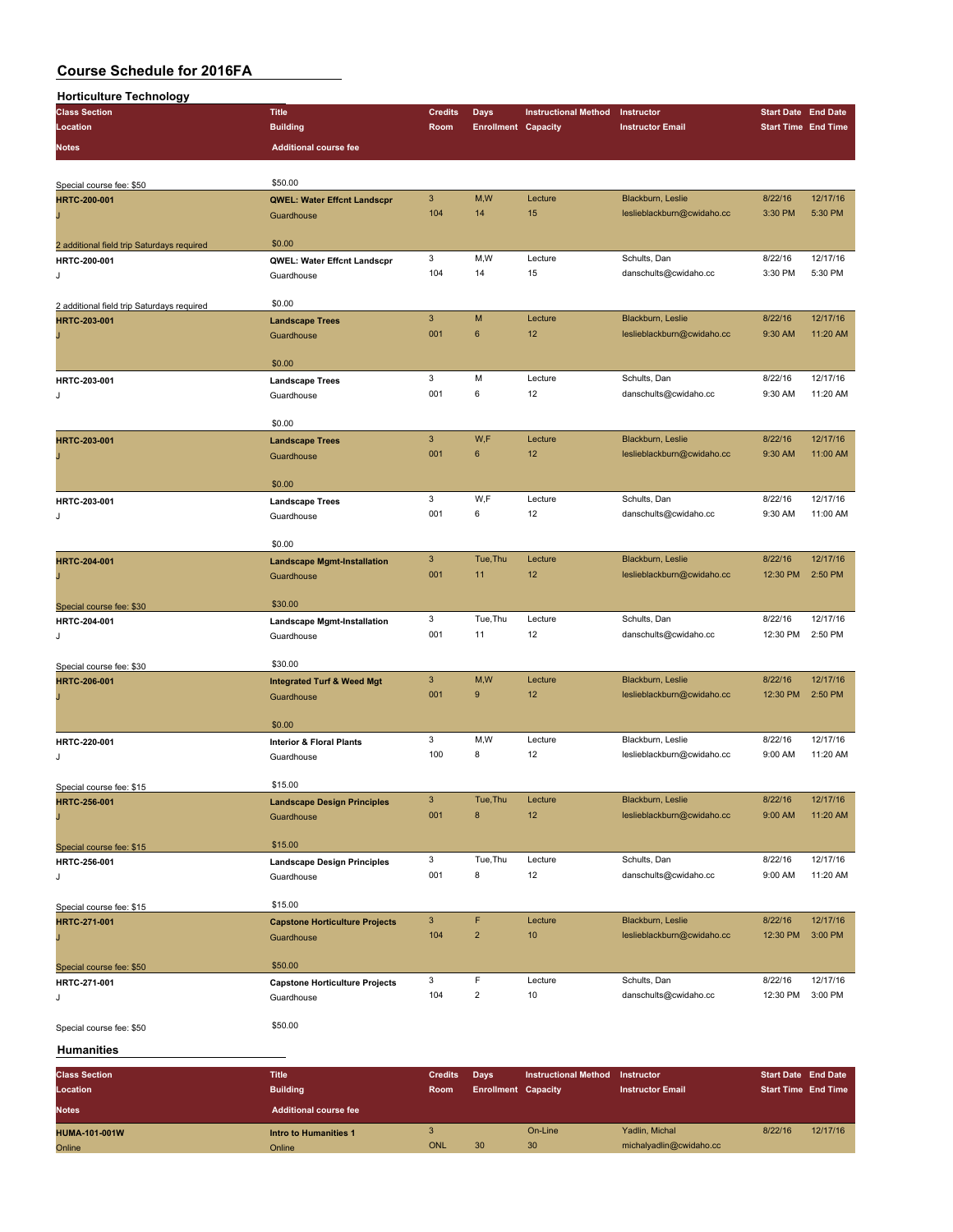| <b>Horticulture Technology</b>             |                                       |                |                            |                             |                            |                            |          |
|--------------------------------------------|---------------------------------------|----------------|----------------------------|-----------------------------|----------------------------|----------------------------|----------|
| <b>Class Section</b>                       | <b>Title</b>                          | <b>Credits</b> | <b>Days</b>                | <b>Instructional Method</b> | Instructor                 | <b>Start Date End Date</b> |          |
| Location                                   | <b>Building</b>                       | Room           | <b>Enrollment Capacity</b> |                             | <b>Instructor Email</b>    | <b>Start Time End Time</b> |          |
|                                            |                                       |                |                            |                             |                            |                            |          |
| <b>Notes</b>                               | <b>Additional course fee</b>          |                |                            |                             |                            |                            |          |
|                                            |                                       |                |                            |                             |                            |                            |          |
| Special course fee: \$50                   | \$50.00                               |                |                            |                             |                            |                            |          |
|                                            |                                       | 3              | M,W                        | Lecture                     | Blackburn, Leslie          | 8/22/16                    | 12/17/16 |
| HRTC-200-001                               | <b>QWEL: Water Effcnt Landscpr</b>    |                |                            |                             |                            |                            |          |
|                                            | Guardhouse                            | 104            | 14                         | 15                          | leslieblackburn@cwidaho.cc | 3:30 PM                    | 5:30 PM  |
|                                            |                                       |                |                            |                             |                            |                            |          |
| 2 additional field trip Saturdays required | \$0.00                                |                |                            |                             |                            |                            |          |
| HRTC-200-001                               | QWEL: Water Effcnt Landscpr           | 3              | M,W                        | Lecture                     | Schults, Dan               | 8/22/16                    | 12/17/16 |
| J                                          | Guardhouse                            | 104            | 14                         | 15                          | danschults@cwidaho.cc      | 3:30 PM                    | 5:30 PM  |
|                                            |                                       |                |                            |                             |                            |                            |          |
|                                            | \$0.00                                |                |                            |                             |                            |                            |          |
| 2 additional field trip Saturdays required |                                       | 3              | M                          | Lecture                     | Blackburn, Leslie          | 8/22/16                    | 12/17/16 |
| <b>HRTC-203-001</b>                        | <b>Landscape Trees</b>                |                |                            |                             |                            |                            |          |
|                                            | Guardhouse                            | 001            | $\boldsymbol{6}$           | 12                          | leslieblackburn@cwidaho.cc | 9:30 AM                    | 11:20 AM |
|                                            |                                       |                |                            |                             |                            |                            |          |
|                                            | \$0.00                                |                |                            |                             |                            |                            |          |
| HRTC-203-001                               | <b>Landscape Trees</b>                | 3              | M                          | Lecture                     | Schults, Dan               | 8/22/16                    | 12/17/16 |
| J                                          | Guardhouse                            | 001            | 6                          | 12                          | danschults@cwidaho.cc      | 9:30 AM                    | 11:20 AM |
|                                            |                                       |                |                            |                             |                            |                            |          |
|                                            | \$0.00                                |                |                            |                             |                            |                            |          |
|                                            |                                       |                |                            |                             |                            |                            |          |
| HRTC-203-001                               | <b>Landscape Trees</b>                | 3              | W,F                        | Lecture                     | Blackburn, Leslie          | 8/22/16                    | 12/17/16 |
|                                            | Guardhouse                            | 001            | 6                          | 12                          | leslieblackburn@cwidaho.cc | 9:30 AM                    | 11:00 AM |
|                                            |                                       |                |                            |                             |                            |                            |          |
|                                            | \$0.00                                |                |                            |                             |                            |                            |          |
| HRTC-203-001                               | <b>Landscape Trees</b>                | 3              | W,F                        | Lecture                     | Schults, Dan               | 8/22/16                    | 12/17/16 |
| J                                          | Guardhouse                            | 001            | 6                          | 12                          | danschults@cwidaho.cc      | 9:30 AM                    | 11:00 AM |
|                                            |                                       |                |                            |                             |                            |                            |          |
|                                            | \$0.00                                |                |                            |                             |                            |                            |          |
|                                            |                                       |                |                            |                             |                            |                            |          |
| <b>HRTC-204-001</b>                        | <b>Landscape Mgmt-Installation</b>    | $\mathbf{3}$   | Tue, Thu                   | Lecture                     | Blackburn, Leslie          | 8/22/16                    | 12/17/16 |
|                                            | Guardhouse                            | 001            | 11                         | 12                          | leslieblackburn@cwidaho.cc | 12:30 PM                   | 2:50 PM  |
|                                            |                                       |                |                            |                             |                            |                            |          |
| Special course fee: \$30                   | \$30.00                               |                |                            |                             |                            |                            |          |
| HRTC-204-001                               | <b>Landscape Mgmt-Installation</b>    | 3              | Tue, Thu                   | Lecture                     | Schults, Dan               | 8/22/16                    | 12/17/16 |
| J                                          | Guardhouse                            | 001            | 11                         | 12                          | danschults@cwidaho.cc      | 12:30 PM                   | 2:50 PM  |
|                                            |                                       |                |                            |                             |                            |                            |          |
|                                            |                                       |                |                            |                             |                            |                            |          |
| Special course fee: \$30                   | \$30.00                               |                |                            |                             |                            |                            |          |
| HRTC-206-001                               | <b>Integrated Turf &amp; Weed Mgt</b> | 3              | M,W                        | Lecture                     | Blackburn, Leslie          | 8/22/16                    | 12/17/16 |
|                                            | Guardhouse                            | 001            | 9                          | 12                          | leslieblackburn@cwidaho.cc | 12:30 PM                   | 2:50 PM  |
|                                            |                                       |                |                            |                             |                            |                            |          |
|                                            | \$0.00                                |                |                            |                             |                            |                            |          |
| HRTC-220-001                               | <b>Interior &amp; Floral Plants</b>   | 3              | M, W                       | Lecture                     | Blackburn, Leslie          | 8/22/16                    | 12/17/16 |
|                                            |                                       | 100            | 8                          | 12                          | leslieblackburn@cwidaho.cc | 9:00 AM                    | 11:20 AM |
| J                                          | Guardhouse                            |                |                            |                             |                            |                            |          |
|                                            |                                       |                |                            |                             |                            |                            |          |
| Special course fee: \$15                   | \$15.00                               |                |                            |                             |                            |                            |          |
| HRTC-256-001                               | <b>Landscape Design Principles</b>    | 3              | Tue, Thu                   | Lecture                     | Blackburn, Leslie          | 8/22/16                    | 12/17/16 |
|                                            | Guardhouse                            | 001            | 8                          | 12                          | leslieblackburn@cwidaho.cc | 9:00 AM                    | 11:20 AM |
|                                            |                                       |                |                            |                             |                            |                            |          |
| Special course fee: \$15                   | \$15.00                               |                |                            |                             |                            |                            |          |
|                                            |                                       | 3              | Tue, Thu                   | Lecture                     | Schults, Dan               | 8/22/16                    | 12/17/16 |
| HRTC-256-001                               | <b>Landscape Design Principles</b>    |                |                            |                             |                            |                            |          |
| J                                          | Guardhouse                            | 001            | 8                          | 12                          | danschults@cwidaho.cc      | 9:00 AM                    | 11:20 AM |
|                                            |                                       |                |                            |                             |                            |                            |          |
| Special course fee: \$15                   | \$15.00                               |                |                            |                             |                            |                            |          |
| <b>HRTC-271-001</b>                        | <b>Capstone Horticulture Projects</b> | $\mathbf{3}$   | F                          | Lecture                     | Blackburn, Leslie          | 8/22/16                    | 12/17/16 |
|                                            | Guardhouse                            | 104            | $\overline{2}$             | 10                          | leslieblackburn@cwidaho.cc | 12:30 PM                   | 3:00 PM  |
|                                            |                                       |                |                            |                             |                            |                            |          |
|                                            | \$50.00                               |                |                            |                             |                            |                            |          |
| Special course fee: \$50                   |                                       |                |                            |                             |                            |                            |          |
| HRTC-271-001                               | <b>Capstone Horticulture Projects</b> | 3              | F                          | Lecture                     | Schults, Dan               | 8/22/16                    | 12/17/16 |
| J                                          | Guardhouse                            | 104            | $\mathbf 2$                | 10                          | danschults@cwidaho.cc      | 12:30 PM                   | 3:00 PM  |
|                                            |                                       |                |                            |                             |                            |                            |          |
| Special course fee: \$50                   | \$50.00                               |                |                            |                             |                            |                            |          |
|                                            |                                       |                |                            |                             |                            |                            |          |
| <b>Humanities</b>                          |                                       |                |                            |                             |                            |                            |          |
|                                            |                                       |                |                            |                             |                            |                            |          |
| <b>Class Section</b>                       | <b>Title</b>                          | <b>Credits</b> | Days                       | <b>Instructional Method</b> | Instructor                 | <b>Start Date End Date</b> |          |
| Location                                   | <b>Building</b>                       | Room           | <b>Enrollment Capacity</b> |                             | <b>Instructor Email</b>    | <b>Start Time End Time</b> |          |
| <b>Notes</b>                               | <b>Additional course fee</b>          |                |                            |                             |                            |                            |          |
|                                            |                                       |                |                            |                             |                            |                            |          |

| <b>Notes</b>         | <b>Additional course fee</b> |            |    |                 |                         |         |          |
|----------------------|------------------------------|------------|----|-----------------|-------------------------|---------|----------|
| <b>HUMA-101-001W</b> | Intro to Humanities 1        |            |    | On-Line         | Yadlin, Michal          | 8/22/16 | 12/17/16 |
| Online               | Online                       | <b>ONL</b> | 30 | 30 <sup>°</sup> | michalyadlin@cwidaho.cc |         |          |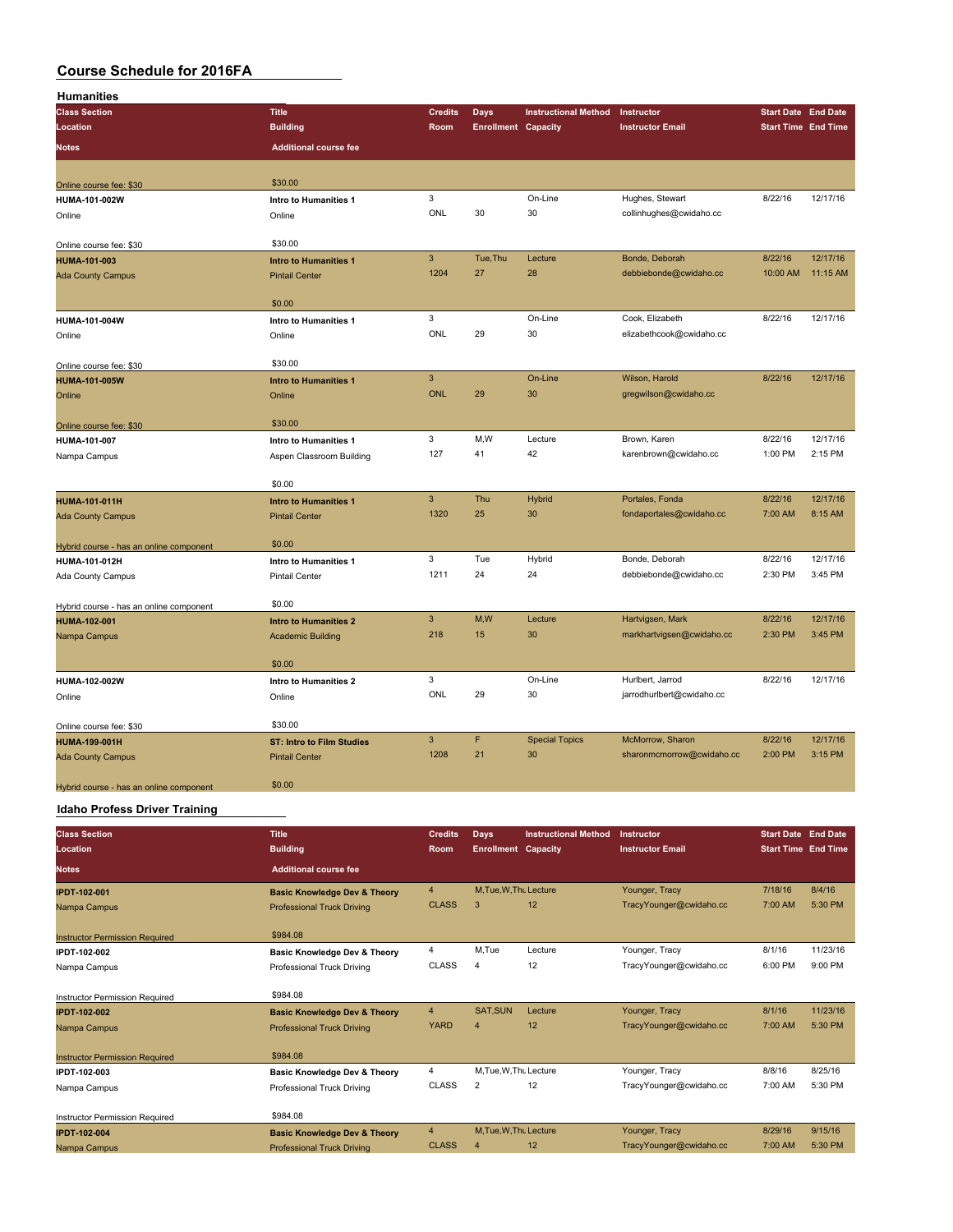| <b>Humanities</b>                       |                                  |                |                            |                             |                           |                            |          |
|-----------------------------------------|----------------------------------|----------------|----------------------------|-----------------------------|---------------------------|----------------------------|----------|
| <b>Class Section</b>                    | <b>Title</b>                     | <b>Credits</b> | <b>Days</b>                | <b>Instructional Method</b> | Instructor                | <b>Start Date End Date</b> |          |
| Location                                | <b>Building</b>                  | Room           | <b>Enrollment Capacity</b> |                             | <b>Instructor Email</b>   | <b>Start Time End Time</b> |          |
| <b>Notes</b>                            | <b>Additional course fee</b>     |                |                            |                             |                           |                            |          |
| Online course fee: \$30                 | \$30.00                          |                |                            |                             |                           |                            |          |
| HUMA-101-002W                           | Intro to Humanities 1            | 3              |                            | On-Line                     | Hughes, Stewart           | 8/22/16                    | 12/17/16 |
| Online                                  | Online                           | ONL            | 30                         | 30                          | collinhughes@cwidaho.cc   |                            |          |
|                                         |                                  |                |                            |                             |                           |                            |          |
| Online course fee: \$30                 | \$30.00                          |                |                            |                             |                           |                            |          |
| HUMA-101-003                            | <b>Intro to Humanities 1</b>     | 3              | Tue, Thu                   | Lecture                     | Bonde, Deborah            | 8/22/16                    | 12/17/16 |
| <b>Ada County Campus</b>                | <b>Pintail Center</b>            | 1204           | 27                         | 28                          | debbiebonde@cwidaho.cc    | 10:00 AM                   | 11:15 AM |
|                                         | \$0.00                           |                |                            |                             |                           |                            |          |
| HUMA-101-004W                           | Intro to Humanities 1            | 3              |                            | On-Line                     | Cook, Elizabeth           | 8/22/16                    | 12/17/16 |
| Online                                  | Online                           | ONL            | 29                         | 30                          | elizabethcook@cwidaho.cc  |                            |          |
| Online course fee: \$30                 | \$30.00                          |                |                            |                             |                           |                            |          |
| HUMA-101-005W                           | <b>Intro to Humanities 1</b>     | $\overline{3}$ |                            | On-Line                     | Wilson, Harold            | 8/22/16                    | 12/17/16 |
| Online                                  | Online                           | <b>ONL</b>     | 29                         | 30                          | gregwilson@cwidaho.cc     |                            |          |
| Online course fee: \$30                 | \$30.00                          |                |                            |                             |                           |                            |          |
| HUMA-101-007                            | Intro to Humanities 1            | 3              | M,W                        | Lecture                     | Brown, Karen              | 8/22/16                    | 12/17/16 |
| Nampa Campus                            | Aspen Classroom Building         | 127            | 41                         | 42                          | karenbrown@cwidaho.cc     | 1:00 PM                    | 2:15 PM  |
|                                         | \$0.00                           |                |                            |                             |                           |                            |          |
| <b>HUMA-101-011H</b>                    | <b>Intro to Humanities 1</b>     | $\mathbf{3}$   | Thu                        | Hybrid                      | Portales, Fonda           | 8/22/16                    | 12/17/16 |
| <b>Ada County Campus</b>                | <b>Pintail Center</b>            | 1320           | 25                         | 30                          | fondaportales@cwidaho.cc  | 7:00 AM                    | 8:15 AM  |
| Hybrid course - has an online component | \$0.00                           |                |                            |                             |                           |                            |          |
| HUMA-101-012H                           | Intro to Humanities 1            | 3              | Tue                        | Hybrid                      | Bonde, Deborah            | 8/22/16                    | 12/17/16 |
| Ada County Campus                       | <b>Pintail Center</b>            | 1211           | 24                         | 24                          | debbiebonde@cwidaho.cc    | 2:30 PM                    | 3:45 PM  |
| Hybrid course - has an online component | \$0.00                           |                |                            |                             |                           |                            |          |
| HUMA-102-001                            | <b>Intro to Humanities 2</b>     | $\mathbf{3}$   | M.W                        | Lecture                     | Hartvigsen, Mark          | 8/22/16                    | 12/17/16 |
| Nampa Campus                            | <b>Academic Building</b>         | 218            | 15                         | 30                          | markhartvigsen@cwidaho.cc | 2:30 PM                    | 3:45 PM  |
|                                         | \$0.00                           |                |                            |                             |                           |                            |          |
| HUMA-102-002W                           | Intro to Humanities 2            | 3              |                            | On-Line                     | Hurlbert, Jarrod          | 8/22/16                    | 12/17/16 |
| Online                                  | Online                           | ONL            | 29                         | 30                          | jarrodhurlbert@cwidaho.cc |                            |          |
| Online course fee: \$30                 | \$30.00                          |                |                            |                             |                           |                            |          |
| <b>HUMA-199-001H</b>                    | <b>ST: Intro to Film Studies</b> | $\mathbf{3}$   | F                          | <b>Special Topics</b>       | McMorrow, Sharon          | 8/22/16                    | 12/17/16 |
| <b>Ada County Campus</b>                | <b>Pintail Center</b>            | 1208           | 21                         | 30                          | sharonmcmorrow@cwidaho.cc | 2:00 PM                    | 3:15 PM  |
| Hybrid course - has an online component | \$0.00                           |                |                            |                             |                           |                            |          |
| <b>Idaho Profess Driver Training</b>    |                                  |                |                            |                             |                           |                            |          |
| <b>Class Section</b>                    | <b>Title</b>                     | <b>Credits</b> | <b>Days</b>                | <b>Instructional Method</b> | Instructor                | <b>Start Date End Date</b> |          |
| Location                                | <b>Building</b>                  | Room           | <b>Enrollment Capacity</b> |                             | <b>Instructor Email</b>   | <b>Start Time End Time</b> |          |

| Location                              | <b>Building</b>                         | Room           | <b>Enrollment Capacity</b> |         | <b>Instructor Email</b> | <b>Start Time End Time</b> |          |
|---------------------------------------|-----------------------------------------|----------------|----------------------------|---------|-------------------------|----------------------------|----------|
| <b>Notes</b>                          | <b>Additional course fee</b>            |                |                            |         |                         |                            |          |
| <b>IPDT-102-001</b>                   | <b>Basic Knowledge Dev &amp; Theory</b> | 4              | M, Tue, W, Thu Lecture     |         | Younger, Tracy          | 7/18/16                    | 8/4/16   |
| Nampa Campus                          | <b>Professional Truck Driving</b>       | <b>CLASS</b>   | 3                          | 12      | TracyYounger@cwidaho.cc | 7:00 AM                    | 5:30 PM  |
| <b>Instructor Permission Required</b> | \$984.08                                |                |                            |         |                         |                            |          |
| IPDT-102-002                          | <b>Basic Knowledge Dev &amp; Theory</b> | 4              | M,Tue                      | Lecture | Younger, Tracy          | 8/1/16                     | 11/23/16 |
| Nampa Campus                          | Professional Truck Driving              | <b>CLASS</b>   | 4                          | 12      | TracyYounger@cwidaho.cc | 6:00 PM                    | 9:00 PM  |
| Instructor Permission Required        | \$984.08                                |                |                            |         |                         |                            |          |
| <b>IPDT-102-002</b>                   | <b>Basic Knowledge Dev &amp; Theory</b> | $\overline{4}$ | SAT, SUN                   | Lecture | Younger, Tracy          | 8/1/16                     | 11/23/16 |
| Nampa Campus                          | <b>Professional Truck Driving</b>       | <b>YARD</b>    | $\overline{4}$             | 12      | TracyYounger@cwidaho.cc | 7:00 AM                    | 5:30 PM  |
| <b>Instructor Permission Required</b> | \$984.08                                |                |                            |         |                         |                            |          |
| IPDT-102-003                          | <b>Basic Knowledge Dev &amp; Theory</b> | 4              | M.Tue.W.Thu Lecture        |         | Younger, Tracy          | 8/8/16                     | 8/25/16  |
| Nampa Campus                          | Professional Truck Driving              | <b>CLASS</b>   | 2                          | 12      | TracyYounger@cwidaho.cc | 7:00 AM                    | 5:30 PM  |
| Instructor Permission Required        | \$984.08                                |                |                            |         |                         |                            |          |
| <b>IPDT-102-004</b>                   | <b>Basic Knowledge Dev &amp; Theory</b> | $\overline{4}$ | M, Tue, W, Thu Lecture     |         | Younger, Tracy          | 8/29/16                    | 9/15/16  |
| Nampa Campus                          | <b>Professional Truck Driving</b>       | <b>CLASS</b>   | $\overline{4}$             | 12      | TracyYounger@cwidaho.cc | 7:00 AM                    | 5:30 PM  |
|                                       |                                         |                |                            |         |                         |                            |          |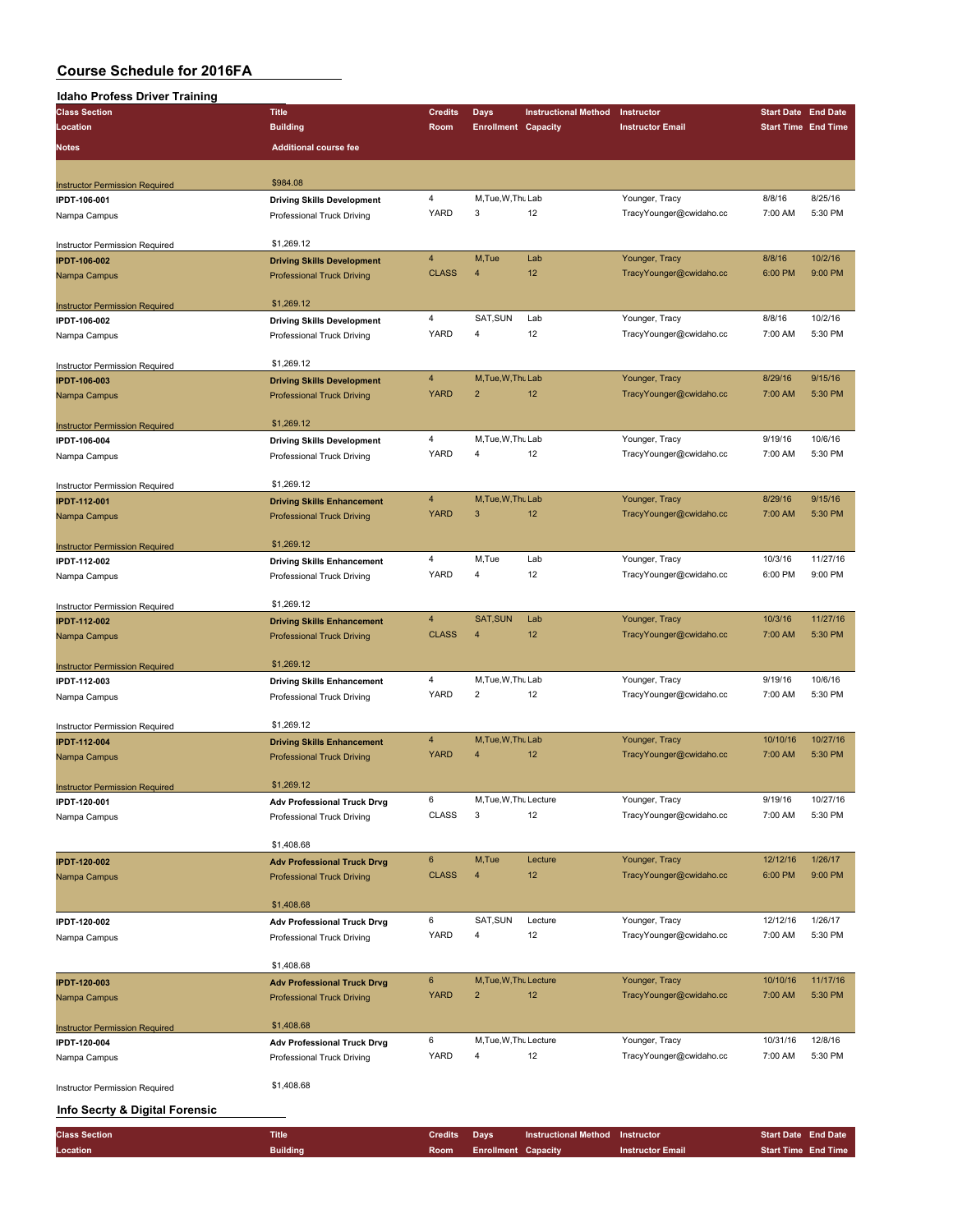### **Idaho Profess Driver Training**

| <b>Class Section</b>                                  | <b>Title</b>                                                    | <b>Credits</b>   | Days                                     | <b>Instructional Method</b>     | Instructor                                | <b>Start Date End Date</b> |                            |
|-------------------------------------------------------|-----------------------------------------------------------------|------------------|------------------------------------------|---------------------------------|-------------------------------------------|----------------------------|----------------------------|
| Location                                              | <b>Building</b>                                                 | <b>Room</b>      | <b>Enrollment Capacity</b>               |                                 | <b>Instructor Email</b>                   |                            | <b>Start Time End Time</b> |
| <b>Notes</b>                                          | <b>Additional course fee</b>                                    |                  |                                          |                                 |                                           |                            |                            |
|                                                       |                                                                 |                  |                                          |                                 |                                           |                            |                            |
| <b>Instructor Permission Required</b>                 | \$984.08                                                        |                  |                                          |                                 |                                           |                            |                            |
| IPDT-106-001                                          | <b>Driving Skills Development</b>                               | 4<br>YARD        | M, Tue, W, Thu Lab<br>3                  | 12                              | Younger, Tracy                            | 8/8/16                     | 8/25/16                    |
| Nampa Campus                                          | Professional Truck Driving                                      |                  |                                          |                                 | TracyYounger@cwidaho.cc                   | 7:00 AM                    | 5:30 PM                    |
| Instructor Permission Required                        | \$1,269.12                                                      |                  |                                          |                                 |                                           |                            |                            |
| <b>IPDT-106-002</b>                                   | <b>Driving Skills Development</b>                               | 4                | M,Tue                                    | Lab                             | Younger, Tracy                            | 8/8/16                     | 10/2/16                    |
| Nampa Campus                                          | <b>Professional Truck Driving</b>                               | <b>CLASS</b>     | $\overline{4}$                           | 12                              | TracyYounger@cwidaho.cc                   | 6:00 PM                    | 9:00 PM                    |
| <b>Instructor Permission Required</b>                 | \$1,269.12                                                      |                  |                                          |                                 |                                           |                            |                            |
| IPDT-106-002                                          | <b>Driving Skills Development</b>                               | 4                | SAT, SUN                                 | Lab                             | Younger, Tracy                            | 8/8/16                     | 10/2/16                    |
| Nampa Campus                                          | Professional Truck Driving                                      | YARD             | 4                                        | 12                              | TracyYounger@cwidaho.cc                   | 7:00 AM                    | 5:30 PM                    |
| Instructor Permission Required                        | \$1,269.12                                                      |                  |                                          |                                 |                                           |                            |                            |
| <b>IPDT-106-003</b>                                   | <b>Driving Skills Development</b>                               | 4                | M, Tue, W, Thu Lab                       |                                 | Younger, Tracy                            | 8/29/16                    | 9/15/16                    |
| Nampa Campus                                          | <b>Professional Truck Driving</b>                               | <b>YARD</b>      | $\overline{2}$                           | 12                              | TracyYounger@cwidaho.cc                   | 7:00 AM                    | 5:30 PM                    |
|                                                       | \$1,269.12                                                      |                  |                                          |                                 |                                           |                            |                            |
| <b>Instructor Permission Required</b><br>IPDT-106-004 | <b>Driving Skills Development</b>                               | 4                | M, Tue, W, Thu Lab                       |                                 | Younger, Tracy                            | 9/19/16                    | 10/6/16                    |
| Nampa Campus                                          | Professional Truck Driving                                      | YARD             | 4                                        | 12                              | TracyYounger@cwidaho.cc                   | 7:00 AM                    | 5:30 PM                    |
|                                                       |                                                                 |                  |                                          |                                 |                                           |                            |                            |
| Instructor Permission Required                        | \$1,269.12                                                      |                  |                                          |                                 |                                           |                            |                            |
| <b>IPDT-112-001</b>                                   | <b>Driving Skills Enhancement</b>                               | 4                | M, Tue, W, Thu Lab                       |                                 | Younger, Tracy                            | 8/29/16                    | 9/15/16                    |
| Nampa Campus                                          | <b>Professional Truck Driving</b>                               | <b>YARD</b>      | 3                                        | 12                              | TracyYounger@cwidaho.cc                   | 7:00 AM                    | 5:30 PM                    |
| <b>Instructor Permission Required</b>                 | \$1,269.12                                                      |                  |                                          |                                 |                                           |                            |                            |
| IPDT-112-002                                          | <b>Driving Skills Enhancement</b>                               | 4                | M,Tue                                    | Lab                             | Younger, Tracy                            | 10/3/16                    | 11/27/16                   |
| Nampa Campus                                          | Professional Truck Driving                                      | YARD             | $\overline{4}$                           | 12                              | TracyYounger@cwidaho.cc                   | 6:00 PM                    | 9:00 PM                    |
| <b>Instructor Permission Required</b>                 | \$1,269.12                                                      |                  |                                          |                                 |                                           |                            |                            |
| <b>IPDT-112-002</b>                                   | <b>Driving Skills Enhancement</b>                               | 4                | SAT, SUN                                 | Lab                             | Younger, Tracy                            | 10/3/16                    | 11/27/16                   |
| Nampa Campus                                          | <b>Professional Truck Driving</b>                               | <b>CLASS</b>     | $\overline{4}$                           | 12                              | TracyYounger@cwidaho.cc                   | 7:00 AM                    | 5:30 PM                    |
|                                                       |                                                                 |                  |                                          |                                 |                                           |                            |                            |
| <b>Instructor Permission Required</b>                 | \$1,269.12                                                      | 4                | M, Tue, W, Thu Lab                       |                                 | Younger, Tracy                            | 9/19/16                    | 10/6/16                    |
| IPDT-112-003<br>Nampa Campus                          | <b>Driving Skills Enhancement</b><br>Professional Truck Driving | YARD             | $\overline{2}$                           | 12                              | TracyYounger@cwidaho.cc                   | 7:00 AM                    | 5:30 PM                    |
|                                                       |                                                                 |                  |                                          |                                 |                                           |                            |                            |
| <b>Instructor Permission Required</b>                 | \$1,269.12                                                      |                  |                                          |                                 |                                           |                            |                            |
| <b>IPDT-112-004</b>                                   | <b>Driving Skills Enhancement</b>                               | 4                | M, Tue, W, Thu Lab                       |                                 | Younger, Tracy                            | 10/10/16                   | 10/27/16                   |
| Nampa Campus                                          | <b>Professional Truck Driving</b>                               | <b>YARD</b>      | 4                                        | 12                              | TracyYounger@cwidaho.cc                   | 7:00 AM                    | 5:30 PM                    |
| <b>Instructor Permission Required</b>                 | \$1,269.12                                                      |                  |                                          |                                 |                                           |                            |                            |
| IPDT-120-001                                          | Adv Professional Truck Drvg                                     | 6                | M, Tue, W, Thu Lecture                   |                                 | Younger, Tracy                            | 9/19/16                    | 10/27/16                   |
| Nampa Campus                                          | Professional Truck Driving                                      | <b>CLASS</b>     | 3                                        | 12                              | TracyYounger@cwidaho.cc                   | 7:00 AM                    | 5:30 PM                    |
|                                                       | \$1,408.68                                                      |                  |                                          |                                 |                                           |                            |                            |
| <b>IPDT-120-002</b>                                   | <b>Adv Professional Truck Drvg</b>                              | 6                | M,Tue                                    | Lecture                         | Younger, Tracy                            | 12/12/16                   | 1/26/17                    |
| Nampa Campus                                          | <b>Professional Truck Driving</b>                               | <b>CLASS</b>     | 4                                        | 12                              | TracyYounger@cwidaho.cc                   | 6:00 PM                    | 9:00 PM                    |
|                                                       |                                                                 |                  |                                          |                                 |                                           |                            |                            |
| IPDT-120-002                                          | \$1,408.68<br><b>Adv Professional Truck Drvg</b>                | 6                | SAT, SUN                                 | Lecture                         | Younger, Tracy                            | 12/12/16                   | 1/26/17                    |
| Nampa Campus                                          | Professional Truck Driving                                      | <b>YARD</b>      | 4                                        | 12                              | TracyYounger@cwidaho.cc                   | 7:00 AM                    | 5:30 PM                    |
|                                                       |                                                                 |                  |                                          |                                 |                                           |                            |                            |
|                                                       | \$1,408.68                                                      |                  |                                          |                                 |                                           |                            |                            |
| <b>IPDT-120-003</b>                                   | <b>Adv Professional Truck Drvg</b>                              | 6<br><b>YARD</b> | M, Tue, W, Thu Lecture<br>$\overline{2}$ | 12                              | Younger, Tracy<br>TracyYounger@cwidaho.cc | 10/10/16<br>7:00 AM        | 11/17/16<br>5:30 PM        |
| Nampa Campus                                          | <b>Professional Truck Driving</b>                               |                  |                                          |                                 |                                           |                            |                            |
| <b>Instructor Permission Required</b>                 | \$1,408.68                                                      |                  |                                          |                                 |                                           |                            |                            |
| IPDT-120-004                                          | <b>Adv Professional Truck Drvg</b>                              | 6                | M, Tue, W, Thu Lecture                   |                                 | Younger, Tracy                            | 10/31/16                   | 12/8/16                    |
| Nampa Campus                                          | Professional Truck Driving                                      | YARD             | 4                                        | 12                              | TracyYounger@cwidaho.cc                   | 7:00 AM                    | 5:30 PM                    |
| Instructor Permission Required                        | \$1,408.68                                                      |                  |                                          |                                 |                                           |                            |                            |
| Info Secrty & Digital Forensic                        |                                                                 |                  |                                          |                                 |                                           |                            |                            |
|                                                       |                                                                 |                  |                                          |                                 |                                           |                            |                            |
| <b>Class Section</b>                                  | <b>Title</b>                                                    | <b>Credits</b>   | Days                                     | Instructional Method Instructor |                                           |                            | <b>Start Date End Date</b> |

**Location Building Room Enrollment Capacity Instructor Email Start Time End Time**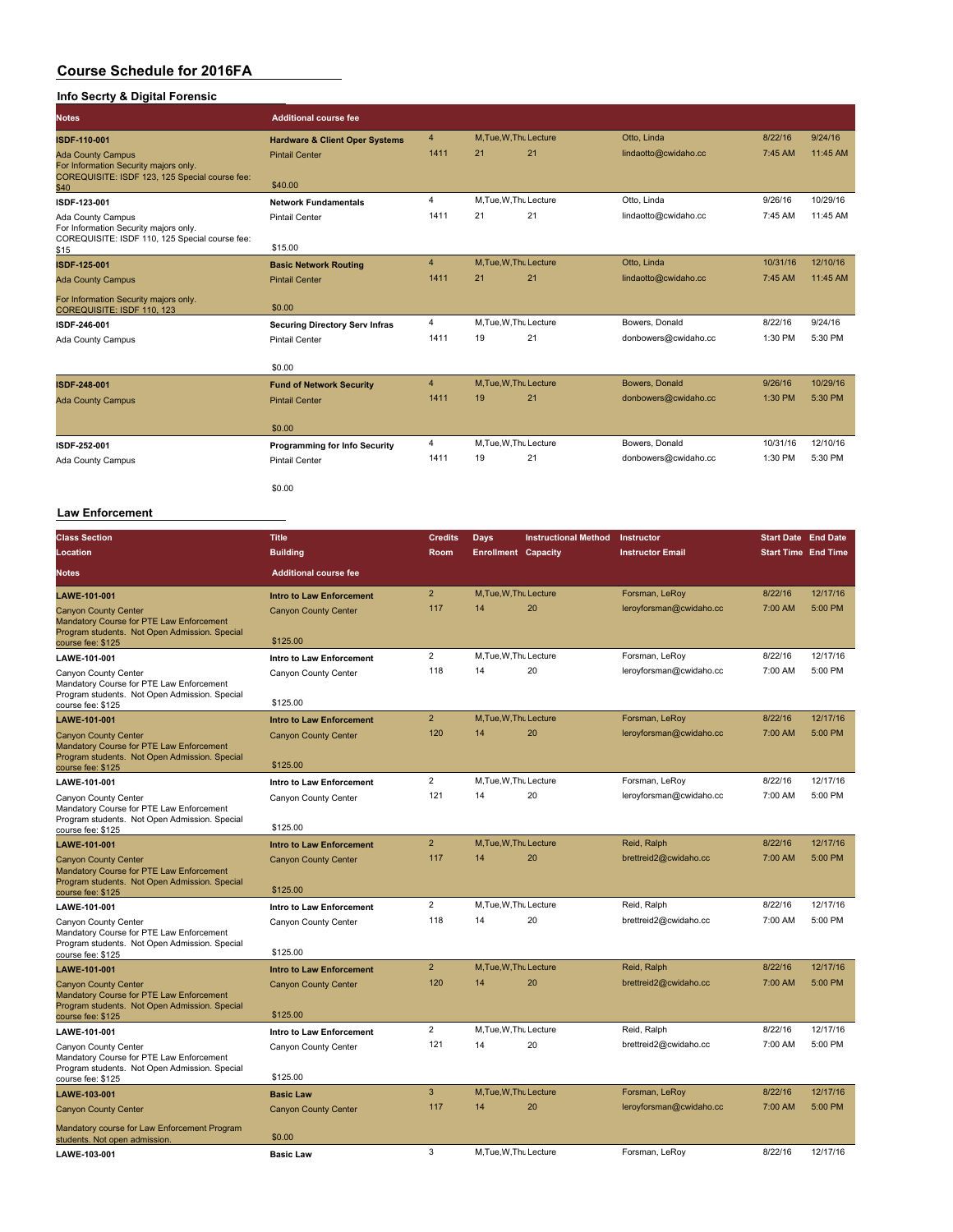### **Info Secrty & Digital Forensic**

| <b>Notes</b>                                                                                                        | <b>Additional course fee</b>              |                        |                      |    |                      |          |          |
|---------------------------------------------------------------------------------------------------------------------|-------------------------------------------|------------------------|----------------------|----|----------------------|----------|----------|
| ISDF-110-001                                                                                                        | <b>Hardware &amp; Client Oper Systems</b> | $\overline{4}$         | M.Tue.W.Thu Lecture  |    | Otto, Linda          | 8/22/16  | 9/24/16  |
| <b>Ada County Campus</b><br>For Information Security majors only.<br>COREQUISITE: ISDF 123, 125 Special course fee: | <b>Pintail Center</b>                     | 1411                   | 21                   | 21 | lindaotto@cwidaho.cc | 7:45 AM  | 11:45 AM |
| \$40                                                                                                                | \$40.00                                   |                        |                      |    |                      |          |          |
| ISDF-123-001                                                                                                        | <b>Network Fundamentals</b>               | 4                      | M.Tue, W.Thu Lecture |    | Otto, Linda          | 9/26/16  | 10/29/16 |
| Ada County Campus<br>For Information Security majors only.                                                          | <b>Pintail Center</b>                     | 1411                   | 21                   | 21 | lindaotto@cwidaho.cc | 7:45 AM  | 11:45 AM |
| COREQUISITE: ISDF 110, 125 Special course fee:<br>\$15                                                              | \$15.00                                   |                        |                      |    |                      |          |          |
| ISDF-125-001                                                                                                        | <b>Basic Network Routing</b>              | $\overline{4}$         | M.Tue.W.Thu Lecture  |    | Otto, Linda          | 10/31/16 | 12/10/16 |
| <b>Ada County Campus</b>                                                                                            | <b>Pintail Center</b>                     | 1411                   | 21                   | 21 | lindaotto@cwidaho.cc | 7:45 AM  | 11:45 AM |
| For Information Security majors only.<br>COREQUISITE: ISDF 110, 123                                                 | \$0.00                                    |                        |                      |    |                      |          |          |
| ISDF-246-001                                                                                                        | <b>Securing Directory Serv Infras</b>     | 4                      | M.Tue, W.Thu Lecture |    | Bowers, Donald       | 8/22/16  | 9/24/16  |
| Ada County Campus                                                                                                   | <b>Pintail Center</b>                     | 1411                   | 19                   | 21 | donbowers@cwidaho.cc | 1:30 PM  | 5:30 PM  |
|                                                                                                                     |                                           |                        |                      |    |                      |          |          |
|                                                                                                                     | \$0.00                                    |                        | M.Tue, W.Thu Lecture |    | Bowers, Donald       | 9/26/16  | 10/29/16 |
| ISDF-248-001                                                                                                        | <b>Fund of Network Security</b>           | $\overline{4}$<br>1411 |                      |    | donbowers@cwidaho.cc | 1:30 PM  | 5:30 PM  |
| <b>Ada County Campus</b>                                                                                            | <b>Pintail Center</b>                     |                        | 19                   | 21 |                      |          |          |
|                                                                                                                     | \$0.00                                    |                        |                      |    |                      |          |          |
| ISDF-252-001                                                                                                        | <b>Programming for Info Security</b>      | 4                      | M.Tue, W.Thu Lecture |    | Bowers, Donald       | 10/31/16 | 12/10/16 |
| Ada County Campus                                                                                                   | <b>Pintail Center</b>                     | 1411                   | 19                   | 21 | donbowers@cwidaho.cc | 1:30 PM  | 5:30 PM  |
|                                                                                                                     | \$0.00                                    |                        |                      |    |                      |          |          |

#### **Law Enforcement**

| <b>Class Section</b>                                                                                                                          | <b>Title</b>                            | <b>Credits</b> | <b>Days</b>                | <b>Instructional Method</b> | Instructor                           | <b>Start Date End Date</b> |          |
|-----------------------------------------------------------------------------------------------------------------------------------------------|-----------------------------------------|----------------|----------------------------|-----------------------------|--------------------------------------|----------------------------|----------|
| Location                                                                                                                                      | <b>Building</b>                         | Room           | <b>Enrollment Capacity</b> |                             | <b>Instructor Email</b>              | <b>Start Time End Time</b> |          |
| Notes                                                                                                                                         | <b>Additional course fee</b>            |                |                            |                             |                                      |                            |          |
| LAWE-101-001                                                                                                                                  | <b>Intro to Law Enforcement</b>         | $\overline{2}$ | M, Tue, W, Thu Lecture     |                             | Forsman, LeRoy                       | 8/22/16                    | 12/17/16 |
| <b>Canyon County Center</b><br>Mandatory Course for PTE Law Enforcement                                                                       | <b>Canyon County Center</b>             | 117            | 14                         | 20                          | leroyforsman@cwidaho.cc              | 7:00 AM                    | 5:00 PM  |
| Program students. Not Open Admission. Special<br>course fee: \$125                                                                            | \$125.00                                |                |                            |                             |                                      |                            |          |
| LAWE-101-001                                                                                                                                  | Intro to Law Enforcement                | $\overline{2}$ | M, Tue, W, Thu Lecture     |                             | Forsman, LeRoy                       | 8/22/16                    | 12/17/16 |
| Canyon County Center<br>Mandatory Course for PTE Law Enforcement<br>Program students. Not Open Admission. Special                             | Canyon County Center                    | 118            | 14                         | 20                          | leroyforsman@cwidaho.cc              | 7:00 AM                    | 5:00 PM  |
| course fee: \$125                                                                                                                             | \$125.00                                |                |                            |                             |                                      |                            |          |
| LAWE-101-001                                                                                                                                  | <b>Intro to Law Enforcement</b>         | $\overline{2}$ | M.Tue, W, Thu Lecture      |                             | Forsman, LeRoy                       | 8/22/16                    | 12/17/16 |
| <b>Canyon County Center</b><br>Mandatory Course for PTE Law Enforcement<br>Program students. Not Open Admission. Special                      | <b>Canyon County Center</b>             | 120            | 14                         | 20                          | leroyforsman@cwidaho.cc              | 7:00 AM                    | 5:00 PM  |
| course fee: \$125                                                                                                                             | \$125.00                                |                |                            |                             |                                      |                            |          |
| LAWE-101-001                                                                                                                                  | Intro to Law Enforcement                | $\overline{2}$ | M.Tue, W.Thu Lecture       |                             | Forsman, LeRoy                       | 8/22/16                    | 12/17/16 |
| Canyon County Center<br>Mandatory Course for PTE Law Enforcement<br>Program students. Not Open Admission. Special                             | Canyon County Center                    | 121            | 14                         | 20                          | leroyforsman@cwidaho.cc              | 7:00 AM                    | 5:00 PM  |
| course fee: \$125                                                                                                                             | \$125.00                                | $\overline{2}$ | M, Tue, W, Thu Lecture     |                             |                                      | 8/22/16                    | 12/17/16 |
| LAWE-101-001                                                                                                                                  | <b>Intro to Law Enforcement</b>         | 117            | 14                         | 20                          | Reid, Ralph<br>brettreid2@cwidaho.cc | 7:00 AM                    | 5:00 PM  |
| <b>Canyon County Center</b><br>Mandatory Course for PTE Law Enforcement<br>Program students. Not Open Admission. Special<br>course fee: \$125 | <b>Canyon County Center</b><br>\$125.00 |                |                            |                             |                                      |                            |          |
| LAWE-101-001                                                                                                                                  | Intro to Law Enforcement                | $\overline{2}$ | M.Tue, W.Thu Lecture       |                             | Reid, Ralph                          | 8/22/16                    | 12/17/16 |
| Canyon County Center<br>Mandatory Course for PTE Law Enforcement                                                                              | Canyon County Center                    | 118            | 14                         | 20                          | brettreid2@cwidaho.cc                | 7:00 AM                    | 5:00 PM  |
| Program students. Not Open Admission. Special<br>course fee: \$125                                                                            | \$125.00                                |                |                            |                             |                                      |                            |          |
| LAWE-101-001                                                                                                                                  | <b>Intro to Law Enforcement</b>         | $\overline{2}$ | M, Tue, W, Thu Lecture     |                             | Reid, Ralph                          | 8/22/16                    | 12/17/16 |
| <b>Canyon County Center</b><br>Mandatory Course for PTE Law Enforcement<br>Program students. Not Open Admission. Special                      | <b>Canyon County Center</b>             | 120            | 14                         | 20                          | brettreid2@cwidaho.cc                | 7:00 AM                    | 5:00 PM  |
| course fee: \$125                                                                                                                             | \$125.00                                |                |                            |                             |                                      |                            |          |
| LAWE-101-001                                                                                                                                  | Intro to Law Enforcement                | $\overline{2}$ | M.Tue, W.Thu Lecture       |                             | Reid, Ralph                          | 8/22/16                    | 12/17/16 |
| Canyon County Center<br>Mandatory Course for PTE Law Enforcement<br>Program students. Not Open Admission. Special                             | Canyon County Center                    | 121            | 14                         | 20                          | brettreid2@cwidaho.cc                | 7:00 AM                    | 5:00 PM  |
| course fee: \$125                                                                                                                             | \$125.00                                |                |                            |                             |                                      |                            |          |
| LAWE-103-001                                                                                                                                  | <b>Basic Law</b>                        | 3              | M, Tue, W, Thu Lecture     |                             | Forsman, LeRoy                       | 8/22/16                    | 12/17/16 |
| <b>Canyon County Center</b>                                                                                                                   | <b>Canyon County Center</b>             | 117            | 14                         | 20                          | leroyforsman@cwidaho.cc              | 7:00 AM                    | 5:00 PM  |
| Mandatory course for Law Enforcement Program<br>students. Not open admission.                                                                 | \$0.00                                  |                |                            |                             |                                      |                            |          |

**LAWE-103-001 Basic Law** 3 M,Tue,W,Thu,Lecture Forsman, LeRoy 8/22/16 12/17/16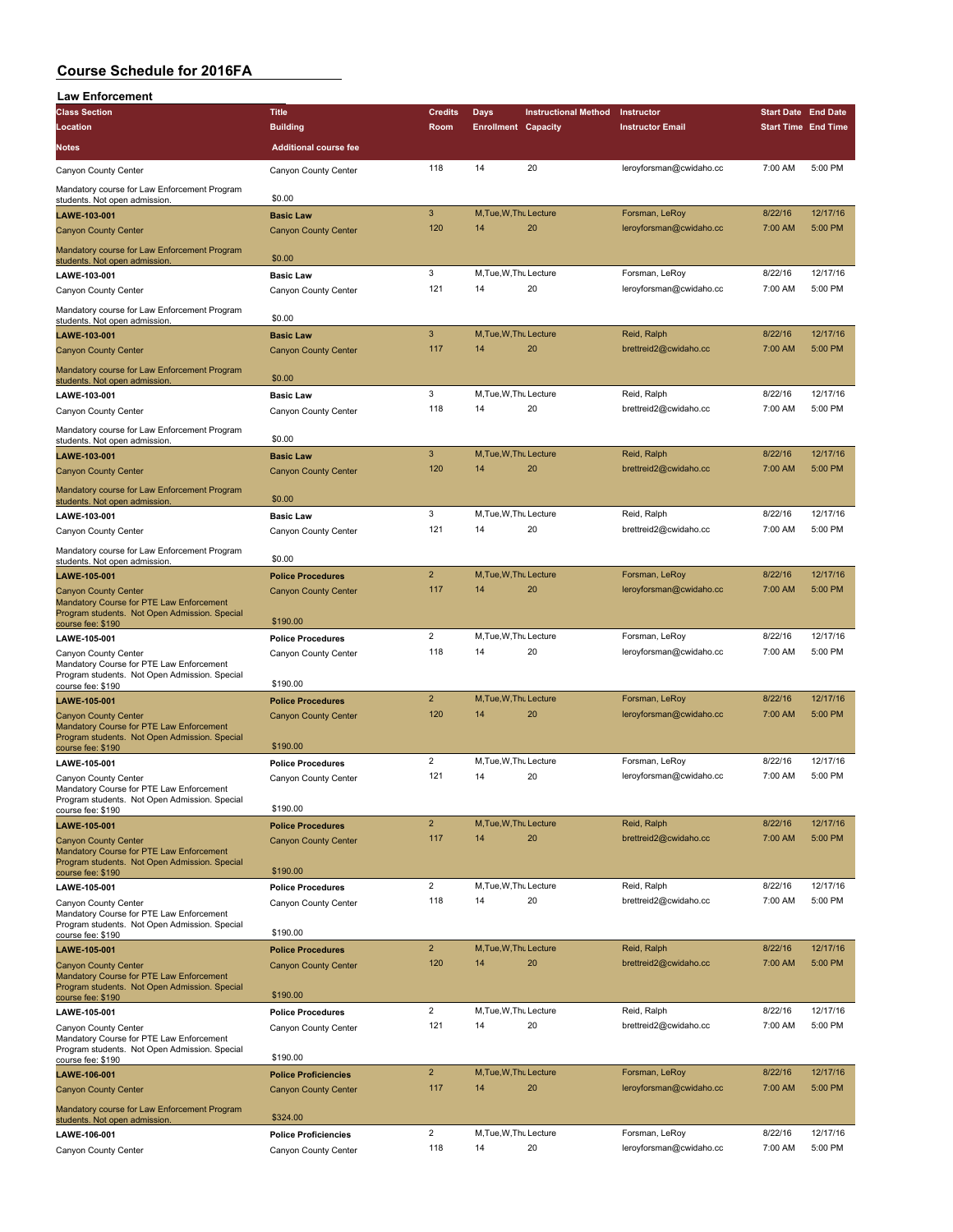| <b>Law Enforcement</b>                                                                                                                 |                                  |                |                            |                             |                                      |                            |          |
|----------------------------------------------------------------------------------------------------------------------------------------|----------------------------------|----------------|----------------------------|-----------------------------|--------------------------------------|----------------------------|----------|
| <b>Class Section</b>                                                                                                                   | <b>Title</b>                     | <b>Credits</b> | <b>Days</b>                | <b>Instructional Method</b> | Instructor                           | <b>Start Date End Date</b> |          |
| Location                                                                                                                               | <b>Building</b>                  | Room           | <b>Enrollment Capacity</b> |                             | <b>Instructor Email</b>              | <b>Start Time End Time</b> |          |
| Notes                                                                                                                                  | <b>Additional course fee</b>     |                |                            |                             |                                      |                            |          |
| Canyon County Center                                                                                                                   | Canyon County Center             | 118            | 14                         | 20                          | leroyforsman@cwidaho.cc              | 7:00 AM                    | 5:00 PM  |
| Mandatory course for Law Enforcement Program<br>students. Not open admission.                                                          | \$0.00                           |                |                            |                             |                                      |                            |          |
| LAWE-103-001                                                                                                                           | <b>Basic Law</b>                 | $\overline{3}$ | M, Tue, W, Thu Lecture     |                             | Forsman, LeRoy                       | 8/22/16                    | 12/17/16 |
| <b>Canyon County Center</b>                                                                                                            | <b>Canyon County Center</b>      | 120            | 14                         | 20                          | leroyforsman@cwidaho.cc              | 7:00 AM                    | 5:00 PM  |
| Mandatory course for Law Enforcement Program<br>students. Not open admission                                                           | \$0.00                           |                |                            |                             |                                      |                            |          |
| LAWE-103-001                                                                                                                           | <b>Basic Law</b>                 | 3              | M, Tue, W, Thu Lecture     |                             | Forsman, LeRoy                       | 8/22/16                    | 12/17/16 |
| Canyon County Center                                                                                                                   | Canyon County Center             | 121            | 14                         | 20                          | leroyforsman@cwidaho.cc              | 7:00 AM                    | 5:00 PM  |
| Mandatory course for Law Enforcement Program<br>students. Not open admission.                                                          | \$0.00                           |                |                            |                             |                                      |                            |          |
| LAWE-103-001                                                                                                                           | <b>Basic Law</b>                 | 3              | M, Tue, W, Thu Lecture     |                             | Reid, Ralph                          | 8/22/16                    | 12/17/16 |
| <b>Canyon County Center</b>                                                                                                            | <b>Canyon County Center</b>      | 117            | 14                         | 20                          | brettreid2@cwidaho.cc                | 7:00 AM                    | 5:00 PM  |
| Mandatory course for Law Enforcement Program<br>students. Not open admission.                                                          | \$0.00                           |                |                            |                             |                                      |                            |          |
| LAWE-103-001                                                                                                                           | <b>Basic Law</b>                 | 3              | M, Tue, W, Thu Lecture     |                             | Reid, Ralph                          | 8/22/16                    | 12/17/16 |
| Canyon County Center                                                                                                                   | Canyon County Center             | 118            | 14                         | 20                          | brettreid2@cwidaho.cc                | 7:00 AM                    | 5:00 PM  |
| Mandatory course for Law Enforcement Program<br>students. Not open admission.                                                          | \$0.00                           |                |                            |                             |                                      |                            |          |
| LAWE-103-001                                                                                                                           | <b>Basic Law</b>                 | 3              | M, Tue, W, Thu Lecture     |                             | Reid, Ralph                          | 8/22/16                    | 12/17/16 |
| <b>Canyon County Center</b>                                                                                                            | <b>Canyon County Center</b>      | 120            | 14                         | 20                          | brettreid2@cwidaho.cc                | 7:00 AM                    | 5:00 PM  |
| Mandatory course for Law Enforcement Program<br>students. Not open admission                                                           | \$0.00                           |                |                            |                             |                                      |                            |          |
| LAWE-103-001                                                                                                                           | <b>Basic Law</b>                 | 3              | M, Tue, W, Thu Lecture     |                             | Reid, Ralph                          | 8/22/16                    | 12/17/16 |
| Canyon County Center                                                                                                                   | Canyon County Center             | 121            | 14                         | 20                          | brettreid2@cwidaho.cc                | 7:00 AM                    | 5:00 PM  |
| Mandatory course for Law Enforcement Program<br>students. Not open admission                                                           | \$0.00                           |                |                            |                             |                                      |                            |          |
| LAWE-105-001                                                                                                                           | <b>Police Procedures</b>         | $\overline{2}$ | M.Tue.W.Thu Lecture        |                             | Forsman, LeRoy                       | 8/22/16                    | 12/17/16 |
| <b>Canyon County Center</b><br>Mandatory Course for PTE Law Enforcement<br>Program students. Not Open Admission. Special               | <b>Canyon County Center</b>      | 117            | 14                         | 20                          | leroyforsman@cwidaho.cc              | 7:00 AM                    | 5:00 PM  |
| course fee: \$190                                                                                                                      | \$190.00                         |                |                            |                             |                                      |                            |          |
| LAWE-105-001                                                                                                                           | <b>Police Procedures</b>         | $\overline{2}$ | M, Tue, W, Thu Lecture     |                             | Forsman, LeRoy                       | 8/22/16                    | 12/17/16 |
| Canyon County Center<br>Mandatory Course for PTE Law Enforcement<br>Program students. Not Open Admission. Special<br>course fee: \$190 | Canyon County Center<br>\$190.00 | 118            | 14                         | 20                          | leroyforsman@cwidaho.cc              | 7:00 AM                    | 5:00 PM  |
| LAWE-105-001                                                                                                                           | <b>Police Procedures</b>         | $\overline{2}$ | M, Tue, W, Thu Lecture     |                             | Forsman, LeRoy                       | 8/22/16                    | 12/17/16 |
| <b>Canyon County Center</b><br>Mandatory Course for PTE Law Enforcement<br>Program students. Not Open Admission. Special               | <b>Canyon County Center</b>      | 120            | 14                         | 20                          | leroyforsman@cwidaho.cc              | 7:00 AM                    | 5:00 PM  |
| course fee: \$190                                                                                                                      | \$190.00                         |                |                            |                             |                                      |                            |          |
| LAWE-105-001                                                                                                                           | <b>Police Procedures</b>         | $\overline{2}$ | M, Tue, W, Thu Lecture     |                             | Forsman, LeRoy                       | 8/22/16                    | 12/17/16 |
| Canyon County Center<br>Mandatory Course for PTE Law Enforcement<br>Program students. Not Open Admission. Special                      | Canyon County Center             | 121            | 14                         | 20                          | leroyforsman@cwidaho.cc              | 7:00 AM                    | 5:00 PM  |
| course fee: \$190                                                                                                                      | \$190.00                         | $\overline{c}$ | M, Tue, W, Thu Lecture     |                             |                                      | 8/22/16                    | 12/17/16 |
| LAWE-105-001                                                                                                                           | <b>Police Procedures</b>         | 117            | 14                         | 20                          | Reid, Ralph<br>brettreid2@cwidaho.cc | 7:00 AM                    | 5:00 PM  |
| <b>Canyon County Center</b><br>Mandatory Course for PTE Law Enforcement<br>Program students. Not Open Admission. Special               | <b>Canyon County Center</b>      |                |                            |                             |                                      |                            |          |
| course fee: \$190                                                                                                                      | \$190.00                         |                |                            |                             |                                      |                            |          |
| LAWE-105-001                                                                                                                           | <b>Police Procedures</b>         | $\overline{c}$ | M, Tue, W, Thu Lecture     |                             | Reid, Ralph                          | 8/22/16                    | 12/17/16 |
| Canyon County Center<br>Mandatory Course for PTE Law Enforcement<br>Program students. Not Open Admission. Special<br>course fee: \$190 | Canyon County Center<br>\$190.00 | 118            | 14                         | 20                          | brettreid2@cwidaho.cc                | 7:00 AM                    | 5:00 PM  |
| LAWE-105-001                                                                                                                           | <b>Police Procedures</b>         | $\overline{2}$ | M, Tue, W, Thu Lecture     |                             | Reid, Ralph                          | 8/22/16                    | 12/17/16 |
| <b>Canyon County Center</b>                                                                                                            | <b>Canyon County Center</b>      | 120            | 14                         | 20                          | brettreid2@cwidaho.cc                | 7:00 AM                    | 5:00 PM  |
| Mandatory Course for PTE Law Enforcement<br>Program students. Not Open Admission. Special                                              | \$190.00                         |                |                            |                             |                                      |                            |          |
| course fee: \$190<br>LAWE-105-001                                                                                                      | <b>Police Procedures</b>         | $\overline{c}$ | M, Tue, W, Thu Lecture     |                             | Reid, Ralph                          | 8/22/16                    | 12/17/16 |
| Canyon County Center<br>Mandatory Course for PTE Law Enforcement                                                                       | Canyon County Center             | 121            | 14                         | 20                          | brettreid2@cwidaho.cc                | 7:00 AM                    | 5:00 PM  |
| Program students. Not Open Admission. Special<br>course fee: \$190                                                                     | \$190.00                         |                |                            |                             |                                      |                            |          |
| LAWE-106-001                                                                                                                           | <b>Police Proficiencies</b>      | $\overline{2}$ | M.Tue.W.Thu Lecture        |                             | Forsman, LeRoy                       | 8/22/16                    | 12/17/16 |
| <b>Canyon County Center</b><br>Mandatory course for Law Enforcement Program                                                            | <b>Canyon County Center</b>      | 117            | 14                         | 20                          | leroyforsman@cwidaho.cc              | 7:00 AM                    | 5:00 PM  |
| students. Not open admission.                                                                                                          | \$324.00                         |                |                            |                             |                                      |                            |          |
| LAWE-106-001                                                                                                                           | <b>Police Proficiencies</b>      | $\overline{c}$ | M, Tue, W, Thu Lecture     |                             | Forsman, LeRoy                       | 8/22/16                    | 12/17/16 |
| Canyon County Center                                                                                                                   | Canyon County Center             | 118            | 14                         | 20                          | leroyforsman@cwidaho.cc              | 7:00 AM                    | 5:00 PM  |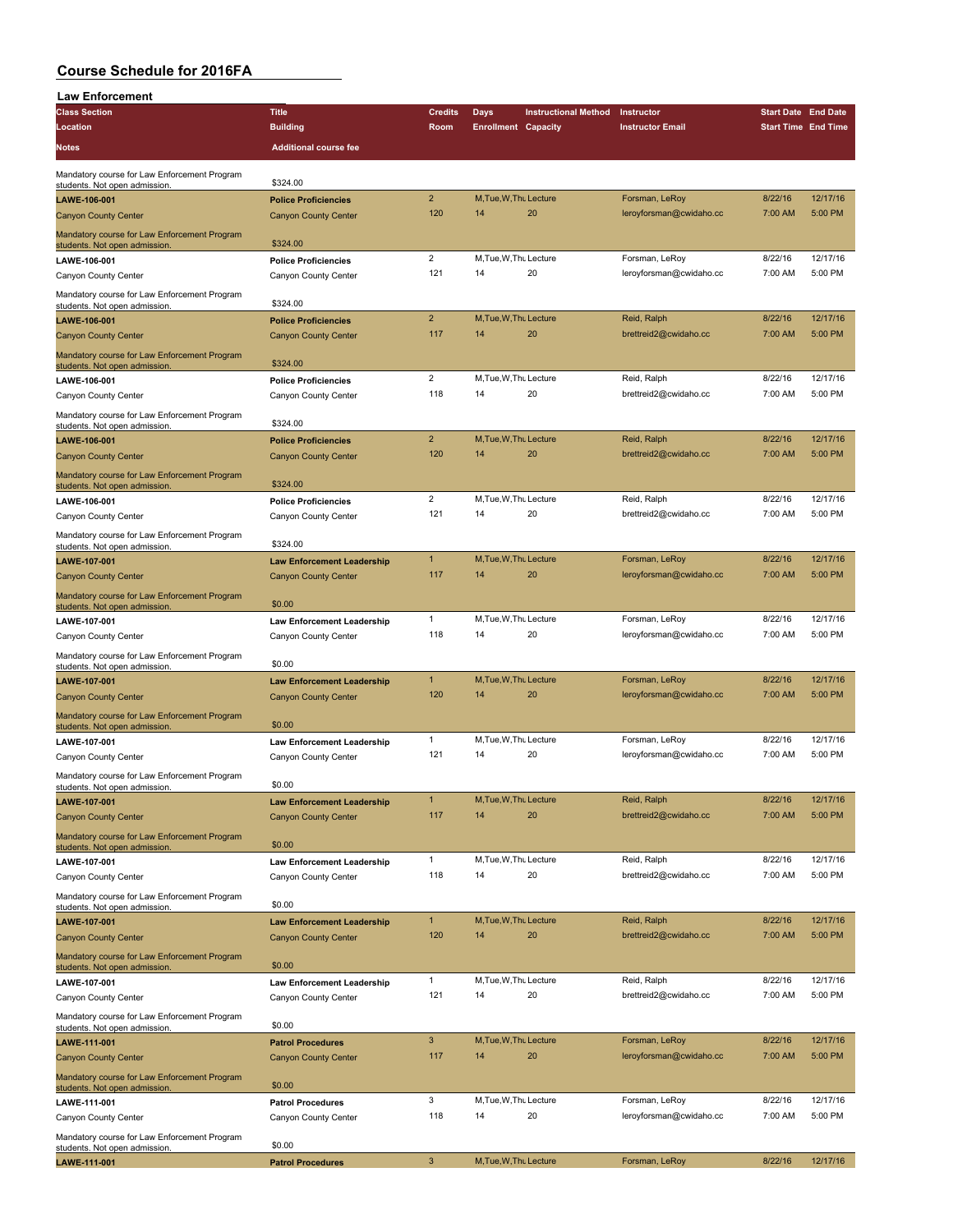| <b>Law Enforcement</b>                                                        |                                                                  |                     |                              |                             |                                      |                            |          |
|-------------------------------------------------------------------------------|------------------------------------------------------------------|---------------------|------------------------------|-----------------------------|--------------------------------------|----------------------------|----------|
| <b>Class Section</b>                                                          | <b>Title</b>                                                     | <b>Credits</b>      | Days                         | <b>Instructional Method</b> | Instructor                           | <b>Start Date End Date</b> |          |
| Location                                                                      | <b>Building</b>                                                  | Room                | <b>Enrollment Capacity</b>   |                             | <b>Instructor Email</b>              | <b>Start Time End Time</b> |          |
| <b>Notes</b>                                                                  | <b>Additional course fee</b>                                     |                     |                              |                             |                                      |                            |          |
|                                                                               |                                                                  |                     |                              |                             |                                      |                            |          |
| Mandatory course for Law Enforcement Program<br>students. Not open admission. | \$324.00                                                         |                     |                              |                             |                                      |                            |          |
| LAWE-106-001                                                                  | <b>Police Proficiencies</b>                                      | $\overline{2}$      | M, Tue, W, Thu Lecture       |                             | Forsman, LeRoy                       | 8/22/16                    | 12/17/16 |
| <b>Canyon County Center</b>                                                   | <b>Canyon County Center</b>                                      | 120                 | 14                           | 20                          | leroyforsman@cwidaho.cc              | 7:00 AM                    | 5:00 PM  |
| Mandatory course for Law Enforcement Program                                  |                                                                  |                     |                              |                             |                                      |                            |          |
| students. Not open admission.                                                 | \$324.00                                                         | $\overline{2}$      | M, Tue, W, Thu Lecture       |                             | Forsman, LeRoy                       | 8/22/16                    | 12/17/16 |
| LAWE-106-001<br>Canyon County Center                                          | <b>Police Proficiencies</b><br>Canyon County Center              | 121                 | 14                           | 20                          | leroyforsman@cwidaho.cc              | 7:00 AM                    | 5:00 PM  |
|                                                                               |                                                                  |                     |                              |                             |                                      |                            |          |
| Mandatory course for Law Enforcement Program<br>students. Not open admission. | \$324.00                                                         |                     |                              |                             |                                      |                            |          |
| LAWE-106-001                                                                  | <b>Police Proficiencies</b>                                      | $\overline{2}$      | M, Tue, W, Thu Lecture       |                             | Reid, Ralph                          | 8/22/16                    | 12/17/16 |
| <b>Canyon County Center</b>                                                   | <b>Canyon County Center</b>                                      | 117                 | 14                           | 20                          | brettreid2@cwidaho.cc                | 7:00 AM                    | 5:00 PM  |
| Mandatory course for Law Enforcement Program                                  |                                                                  |                     |                              |                             |                                      |                            |          |
| students. Not open admission.                                                 | \$324.00                                                         | $\overline{2}$      | M, Tue, W, Thu Lecture       |                             |                                      | 8/22/16                    | 12/17/16 |
| LAWE-106-001                                                                  | <b>Police Proficiencies</b>                                      | 118                 | 14                           | 20                          | Reid, Ralph<br>brettreid2@cwidaho.cc | 7:00 AM                    | 5:00 PM  |
| Canyon County Center                                                          | Canyon County Center                                             |                     |                              |                             |                                      |                            |          |
| Mandatory course for Law Enforcement Program<br>students. Not open admission. | \$324.00                                                         |                     |                              |                             |                                      |                            |          |
| LAWE-106-001                                                                  | <b>Police Proficiencies</b>                                      | $\overline{2}$      | M, Tue, W, Thu Lecture       |                             | Reid, Ralph                          | 8/22/16                    | 12/17/16 |
| <b>Canyon County Center</b>                                                   | <b>Canyon County Center</b>                                      | 120                 | 14                           | 20                          | brettreid2@cwidaho.cc                | 7:00 AM                    | 5:00 PM  |
| Mandatory course for Law Enforcement Program                                  |                                                                  |                     |                              |                             |                                      |                            |          |
| students. Not open admission                                                  | \$324.00                                                         |                     |                              |                             |                                      |                            |          |
| LAWE-106-001                                                                  | <b>Police Proficiencies</b>                                      | $\overline{2}$      | M.Tue, W.Thu Lecture         |                             | Reid, Ralph                          | 8/22/16                    | 12/17/16 |
| Canyon County Center                                                          | Canyon County Center                                             | 121                 | 14                           | 20                          | brettreid2@cwidaho.cc                | 7:00 AM                    | 5:00 PM  |
| Mandatory course for Law Enforcement Program                                  | \$324.00                                                         |                     |                              |                             |                                      |                            |          |
| students. Not open admission.<br>LAWE-107-001                                 | <b>Law Enforcement Leadership</b>                                | $\mathbf{1}$        | M.Tue.W.Thu Lecture          |                             | Forsman, LeRoy                       | 8/22/16                    | 12/17/16 |
| <b>Canyon County Center</b>                                                   | <b>Canyon County Center</b>                                      | 117                 | 14                           | 20                          | leroyforsman@cwidaho.cc              | 7:00 AM                    | 5:00 PM  |
| Mandatory course for Law Enforcement Program                                  |                                                                  |                     |                              |                             |                                      |                            |          |
| students. Not open admission                                                  | \$0.00                                                           |                     |                              |                             |                                      |                            |          |
| LAWE-107-001                                                                  | <b>Law Enforcement Leadership</b>                                | $\mathbf{1}$        | M, Tue, W, Thu Lecture       |                             | Forsman, LeRoy                       | 8/22/16                    | 12/17/16 |
| Canyon County Center                                                          | Canyon County Center                                             | 118                 | 14                           | 20                          | leroyforsman@cwidaho.cc              | 7:00 AM                    | 5:00 PM  |
| Mandatory course for Law Enforcement Program                                  | \$0.00                                                           |                     |                              |                             |                                      |                            |          |
| students. Not open admission.                                                 |                                                                  | $\mathbf{1}$        | M, Tue, W, Thu Lecture       |                             | Forsman, LeRoy                       | 8/22/16                    | 12/17/16 |
| LAWE-107-001<br><b>Canyon County Center</b>                                   | <b>Law Enforcement Leadership</b><br><b>Canyon County Center</b> | 120                 | 14                           | 20                          | leroyforsman@cwidaho.cc              | 7:00 AM                    | 5:00 PM  |
|                                                                               |                                                                  |                     |                              |                             |                                      |                            |          |
| Mandatory course for Law Enforcement Program<br>students. Not open admission  | \$0.00                                                           |                     |                              |                             |                                      |                            |          |
| LAWE-107-001                                                                  | <b>Law Enforcement Leadership</b>                                | 1                   | M, Tue, W, Thu Lecture       |                             | Forsman, LeRoy                       | 8/22/16                    | 12/17/16 |
| Canyon County Center                                                          | Canyon County Center                                             | 121                 | 14                           | 20                          | leroyforsman@cwidaho.cc              | 7:00 AM                    | 5:00 PM  |
| Mandatory course for Law Enforcement Program                                  |                                                                  |                     |                              |                             |                                      |                            |          |
| students. Not open admission.                                                 | \$0.00                                                           |                     |                              |                             |                                      |                            | 12/17/16 |
| LAWE-107-001                                                                  | <b>Law Enforcement Leadership</b>                                | $\mathbf{1}$<br>117 | M, Tue, W, Thu Lecture<br>14 | 20                          | Reid, Ralph<br>brettreid2@cwidaho.cc | 8/22/16<br>7:00 AM         | 5:00 PM  |
| <b>Canyon County Center</b>                                                   | <b>Canyon County Center</b>                                      |                     |                              |                             |                                      |                            |          |
| Mandatory course for Law Enforcement Program<br>students. Not open admission. | \$0.00                                                           |                     |                              |                             |                                      |                            |          |
| LAWE-107-001                                                                  | <b>Law Enforcement Leadership</b>                                | 1                   | M, Tue, W, Thu Lecture       |                             | Reid, Ralph                          | 8/22/16                    | 12/17/16 |
| Canyon County Center                                                          | Canyon County Center                                             | 118                 | 14                           | 20                          | brettreid2@cwidaho.cc                | 7:00 AM                    | 5:00 PM  |
| Mandatory course for Law Enforcement Program                                  |                                                                  |                     |                              |                             |                                      |                            |          |
| students. Not open admission.                                                 | \$0.00                                                           |                     |                              |                             |                                      |                            |          |
| LAWE-107-001                                                                  | <b>Law Enforcement Leadership</b>                                | $\mathbf{1}$        | M, Tue, W, Thu Lecture       |                             | Reid, Ralph                          | 8/22/16                    | 12/17/16 |
| <b>Canyon County Center</b>                                                   | <b>Canyon County Center</b>                                      | 120                 | 14                           | 20                          | brettreid2@cwidaho.cc                | 7:00 AM                    | 5:00 PM  |
| Mandatory course for Law Enforcement Program                                  | \$0.00                                                           |                     |                              |                             |                                      |                            |          |
| students. Not open admission.<br>LAWE-107-001                                 | <b>Law Enforcement Leadership</b>                                | 1                   | M, Tue, W, Thu Lecture       |                             | Reid, Ralph                          | 8/22/16                    | 12/17/16 |
| Canyon County Center                                                          | Canyon County Center                                             | 121                 | 14                           | 20                          | brettreid2@cwidaho.cc                | 7:00 AM                    | 5:00 PM  |
|                                                                               |                                                                  |                     |                              |                             |                                      |                            |          |
| Mandatory course for Law Enforcement Program<br>students. Not open admission. | \$0.00                                                           |                     |                              |                             |                                      |                            |          |
| LAWE-111-001                                                                  | <b>Patrol Procedures</b>                                         | 3                   | M, Tue, W, Thu Lecture       |                             | Forsman, LeRoy                       | 8/22/16                    | 12/17/16 |
| <b>Canyon County Center</b>                                                   | <b>Canyon County Center</b>                                      | 117                 | 14                           | 20                          | leroyforsman@cwidaho.cc              | 7:00 AM                    | 5:00 PM  |
| Mandatory course for Law Enforcement Program                                  |                                                                  |                     |                              |                             |                                      |                            |          |
| students. Not open admission.                                                 | \$0.00                                                           | 3                   | M, Tue, W, Thu Lecture       |                             | Forsman, LeRoy                       | 8/22/16                    | 12/17/16 |
| LAWE-111-001<br>Canyon County Center                                          | <b>Patrol Procedures</b><br>Canyon County Center                 | 118                 | 14                           | 20                          | leroyforsman@cwidaho.cc              | 7:00 AM                    | 5:00 PM  |
|                                                                               |                                                                  |                     |                              |                             |                                      |                            |          |
| Mandatory course for Law Enforcement Program<br>students. Not open admission. | \$0.00                                                           |                     |                              |                             |                                      |                            |          |
| LAWE-111-001                                                                  | <b>Patrol Procedures</b>                                         | 3                   | M, Tue, W, Thu Lecture       |                             | Forsman, LeRoy                       | 8/22/16                    | 12/17/16 |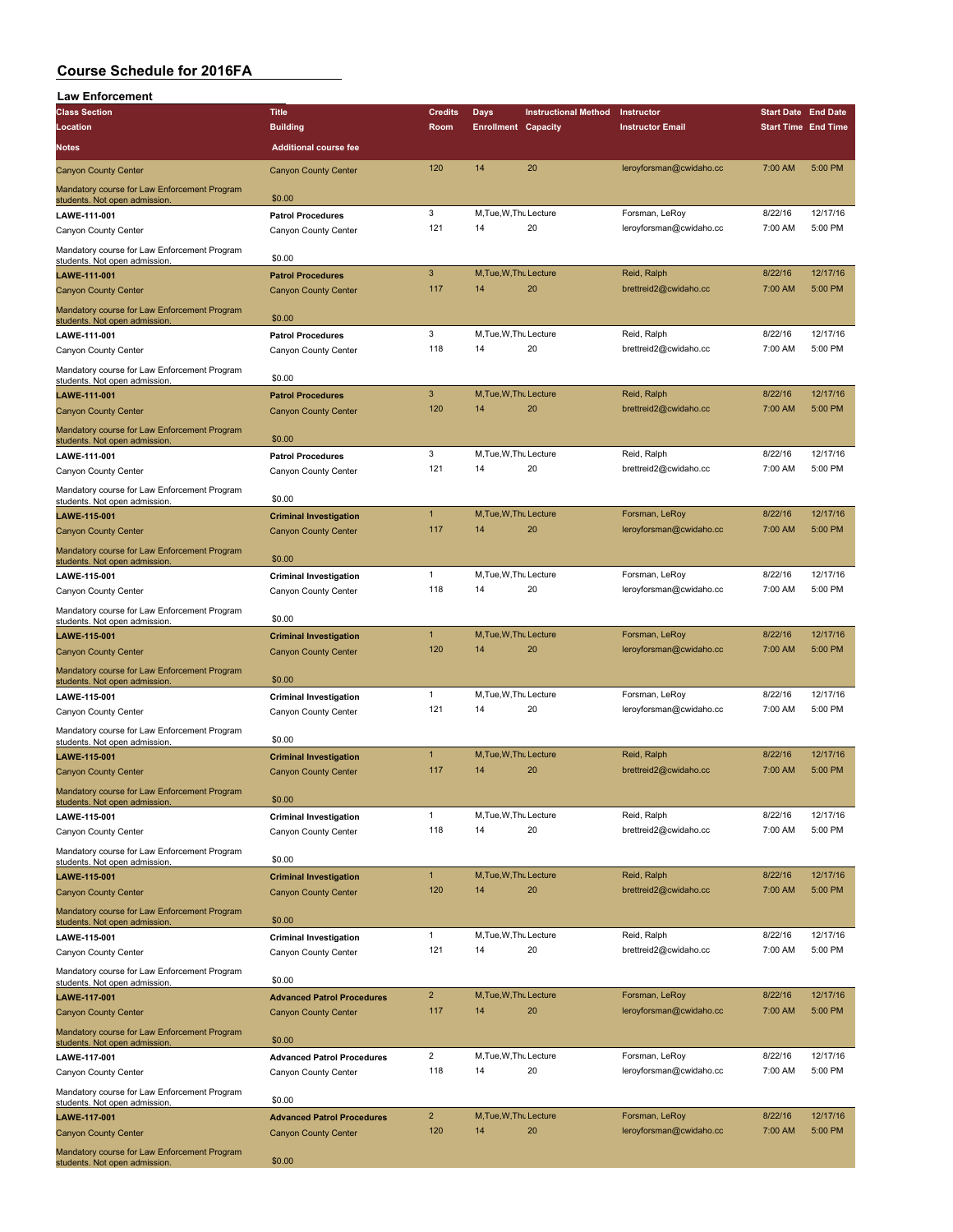| <b>Law Enforcement</b>                                                        |                                   |                |                            |                             |                                      |                            |                     |
|-------------------------------------------------------------------------------|-----------------------------------|----------------|----------------------------|-----------------------------|--------------------------------------|----------------------------|---------------------|
| <b>Class Section</b>                                                          | <b>Title</b>                      | <b>Credits</b> | <b>Days</b>                | <b>Instructional Method</b> | Instructor                           | <b>Start Date End Date</b> |                     |
| Location                                                                      | <b>Building</b>                   | Room           | <b>Enrollment Capacity</b> |                             | <b>Instructor Email</b>              | <b>Start Time End Time</b> |                     |
| Notes                                                                         | <b>Additional course fee</b>      |                |                            |                             |                                      |                            |                     |
| <b>Canyon County Center</b>                                                   | <b>Canyon County Center</b>       | 120            | 14                         | 20                          | leroyforsman@cwidaho.cc              | 7:00 AM                    | 5:00 PM             |
| Mandatory course for Law Enforcement Program<br>students. Not open admission. | \$0.00                            |                |                            |                             |                                      |                            |                     |
| LAWE-111-001                                                                  | <b>Patrol Procedures</b>          | 3              | M, Tue, W, Thu Lecture     |                             | Forsman, LeRoy                       | 8/22/16                    | 12/17/16            |
| Canyon County Center                                                          | Canyon County Center              | 121            | 14                         | 20                          | leroyforsman@cwidaho.cc              | 7:00 AM                    | 5:00 PM             |
| Mandatory course for Law Enforcement Program                                  |                                   |                |                            |                             |                                      |                            |                     |
| students. Not open admission.                                                 | \$0.00                            |                |                            |                             |                                      |                            |                     |
| LAWE-111-001                                                                  | <b>Patrol Procedures</b>          | 3              | M, Tue, W, Thu Lecture     |                             | Reid, Ralph                          | 8/22/16                    | 12/17/16            |
| <b>Canyon County Center</b>                                                   | <b>Canyon County Center</b>       | 117            | 14                         | 20                          | brettreid2@cwidaho.cc                | 7:00 AM                    | 5:00 PM             |
| Mandatory course for Law Enforcement Program<br>students. Not open admission. | \$0.00                            |                |                            |                             |                                      |                            |                     |
| LAWE-111-001                                                                  | <b>Patrol Procedures</b>          | 3              | M, Tue, W, Thu Lecture     |                             | Reid, Ralph                          | 8/22/16                    | 12/17/16            |
| Canyon County Center                                                          | Canyon County Center              | 118            | 14                         | 20                          | brettreid2@cwidaho.cc                | 7:00 AM                    | 5:00 PM             |
| Mandatory course for Law Enforcement Program                                  |                                   |                |                            |                             |                                      |                            |                     |
| students. Not open admission.                                                 | \$0.00                            | 3              |                            |                             |                                      |                            |                     |
| LAWE-111-001                                                                  | <b>Patrol Procedures</b>          | 120            | M.Tue.W.Thu Lecture<br>14  | 20                          | Reid, Ralph<br>brettreid2@cwidaho.cc | 8/22/16<br>7:00 AM         | 12/17/16<br>5:00 PM |
| <b>Canyon County Center</b>                                                   | <b>Canyon County Center</b>       |                |                            |                             |                                      |                            |                     |
| Mandatory course for Law Enforcement Program<br>students. Not open admission  | \$0.00                            |                |                            |                             |                                      |                            |                     |
| LAWE-111-001                                                                  | <b>Patrol Procedures</b>          | 3              | M, Tue, W, Thu Lecture     |                             | Reid, Ralph                          | 8/22/16                    | 12/17/16            |
| Canyon County Center                                                          | Canyon County Center              | 121            | 14                         | 20                          | brettreid2@cwidaho.cc                | 7:00 AM                    | 5:00 PM             |
| Mandatory course for Law Enforcement Program                                  | \$0.00                            |                |                            |                             |                                      |                            |                     |
| students. Not open admission.                                                 |                                   | $\mathbf{1}$   | M, Tue, W, Thu Lecture     |                             | Forsman, LeRoy                       | 8/22/16                    | 12/17/16            |
| LAWE-115-001                                                                  | <b>Criminal Investigation</b>     | 117            | 14                         | 20                          | leroyforsman@cwidaho.cc              | 7:00 AM                    | 5:00 PM             |
| <b>Canyon County Center</b>                                                   | <b>Canyon County Center</b>       |                |                            |                             |                                      |                            |                     |
| Mandatory course for Law Enforcement Program<br>students. Not open admission. | \$0.00                            |                |                            |                             |                                      |                            |                     |
| LAWE-115-001                                                                  | <b>Criminal Investigation</b>     | $\mathbf{1}$   | M.Tue, W.Th. Lecture       |                             | Forsman, LeRoy                       | 8/22/16                    | 12/17/16            |
| Canyon County Center                                                          | Canyon County Center              | 118            | 14                         | 20                          | leroyforsman@cwidaho.cc              | 7:00 AM                    | 5:00 PM             |
| Mandatory course for Law Enforcement Program                                  |                                   |                |                            |                             |                                      |                            |                     |
| students. Not open admission.                                                 | \$0.00                            |                |                            |                             |                                      |                            |                     |
| LAWE-115-001                                                                  | <b>Criminal Investigation</b>     | $\overline{1}$ | M.Tue.W.Tht Lecture        |                             | Forsman, LeRoy                       | 8/22/16                    | 12/17/16            |
| <b>Canyon County Center</b>                                                   | <b>Canyon County Center</b>       | 120            | 14                         | 20                          | leroyforsman@cwidaho.cc              | 7:00 AM                    | 5:00 PM             |
| Mandatory course for Law Enforcement Program<br>students. Not open admission. | \$0.00                            |                |                            |                             |                                      |                            |                     |
| LAWE-115-001                                                                  | <b>Criminal Investigation</b>     | $\mathbf{1}$   | M, Tue, W, Thu Lecture     |                             | Forsman, LeRoy                       | 8/22/16                    | 12/17/16            |
| Canyon County Center                                                          | Canyon County Center              | 121            | 14                         | 20                          | leroyforsman@cwidaho.cc              | 7:00 AM                    | 5:00 PM             |
| Mandatory course for Law Enforcement Program                                  |                                   |                |                            |                             |                                      |                            |                     |
| students. Not open admission.                                                 | \$0.00                            |                |                            |                             |                                      |                            |                     |
| LAWE-115-001                                                                  | <b>Criminal Investigation</b>     | $\mathbf{1}$   | M, Tue, W, Thu Lecture     |                             | Reid, Ralph                          | 8/22/16                    | 12/17/16            |
| <b>Canyon County Center</b>                                                   | <b>Canyon County Center</b>       | 117            | 14                         | 20                          | brettreid2@cwidaho.cc                | 7:00 AM                    | 5:00 PM             |
| Mandatory course for Law Enforcement Program<br>students. Not open admission. | \$0.00                            |                |                            |                             |                                      |                            |                     |
| LAWE-115-001                                                                  | <b>Criminal Investigation</b>     | 1              | M, Tue, W, Thu Lecture     |                             | Reid, Ralph                          | 8/22/16                    | 12/17/16            |
| Canyon County Center                                                          | Canyon County Center              | 118            | 14                         | 20                          | brettreid2@cwidaho.cc                | 7:00 AM                    | 5:00 PM             |
| Mandatory course for Law Enforcement Program                                  |                                   |                |                            |                             |                                      |                            |                     |
| students. Not open admission.                                                 | \$0.00                            |                |                            |                             |                                      |                            |                     |
| LAWE-115-001                                                                  | <b>Criminal Investigation</b>     | $\mathbf{1}$   | M, Tue, W, Thu Lecture     |                             | Reid, Ralph                          | 8/22/16                    | 12/17/16            |
| <b>Canyon County Center</b>                                                   | <b>Canyon County Center</b>       | 120            | 14                         | 20                          | brettreid2@cwidaho.cc                | 7:00 AM                    | 5:00 PM             |
| Mandatory course for Law Enforcement Program<br>students. Not open admission. | \$0.00                            |                |                            |                             |                                      |                            |                     |
| LAWE-115-001                                                                  | <b>Criminal Investigation</b>     | $\mathbf{1}$   | M, Tue, W, Thu Lecture     |                             | Reid, Ralph                          | 8/22/16                    | 12/17/16            |
| Canyon County Center                                                          | Canyon County Center              | 121            | 14                         | 20                          | brettreid2@cwidaho.cc                | 7:00 AM                    | 5:00 PM             |
| Mandatory course for Law Enforcement Program                                  |                                   |                |                            |                             |                                      |                            |                     |
| students. Not open admission.                                                 | \$0.00                            |                |                            |                             |                                      |                            |                     |
| LAWE-117-001                                                                  | <b>Advanced Patrol Procedures</b> | $\overline{2}$ | M, Tue, W, Thu Lecture     |                             | Forsman, LeRoy                       | 8/22/16                    | 12/17/16            |
| <b>Canyon County Center</b>                                                   | <b>Canyon County Center</b>       | 117            | 14                         | 20                          | leroyforsman@cwidaho.cc              | 7:00 AM                    | 5:00 PM             |
| Mandatory course for Law Enforcement Program<br>students. Not open admission. | \$0.00                            |                |                            |                             |                                      |                            |                     |
| LAWE-117-001                                                                  | <b>Advanced Patrol Procedures</b> | $\overline{c}$ | M, Tue, W, Thu Lecture     |                             | Forsman, LeRoy                       | 8/22/16                    | 12/17/16            |
| Canyon County Center                                                          | Canyon County Center              | 118            | 14                         | 20                          | leroyforsman@cwidaho.cc              | 7:00 AM                    | 5:00 PM             |
| Mandatory course for Law Enforcement Program                                  |                                   |                |                            |                             |                                      |                            |                     |
| students. Not open admission.                                                 | \$0.00                            |                |                            |                             |                                      |                            |                     |
| LAWE-117-001                                                                  | <b>Advanced Patrol Procedures</b> | $\overline{2}$ | M, Tue, W, Thu Lecture     |                             | Forsman, LeRoy                       | 8/22/16                    | 12/17/16            |
| <b>Canyon County Center</b>                                                   | <b>Canyon County Center</b>       | 120            | 14                         | 20                          | leroyforsman@cwidaho.cc              | 7:00 AM                    | 5:00 PM             |
| Mandatory course for Law Enforcement Program<br>students. Not open admission. | \$0.00                            |                |                            |                             |                                      |                            |                     |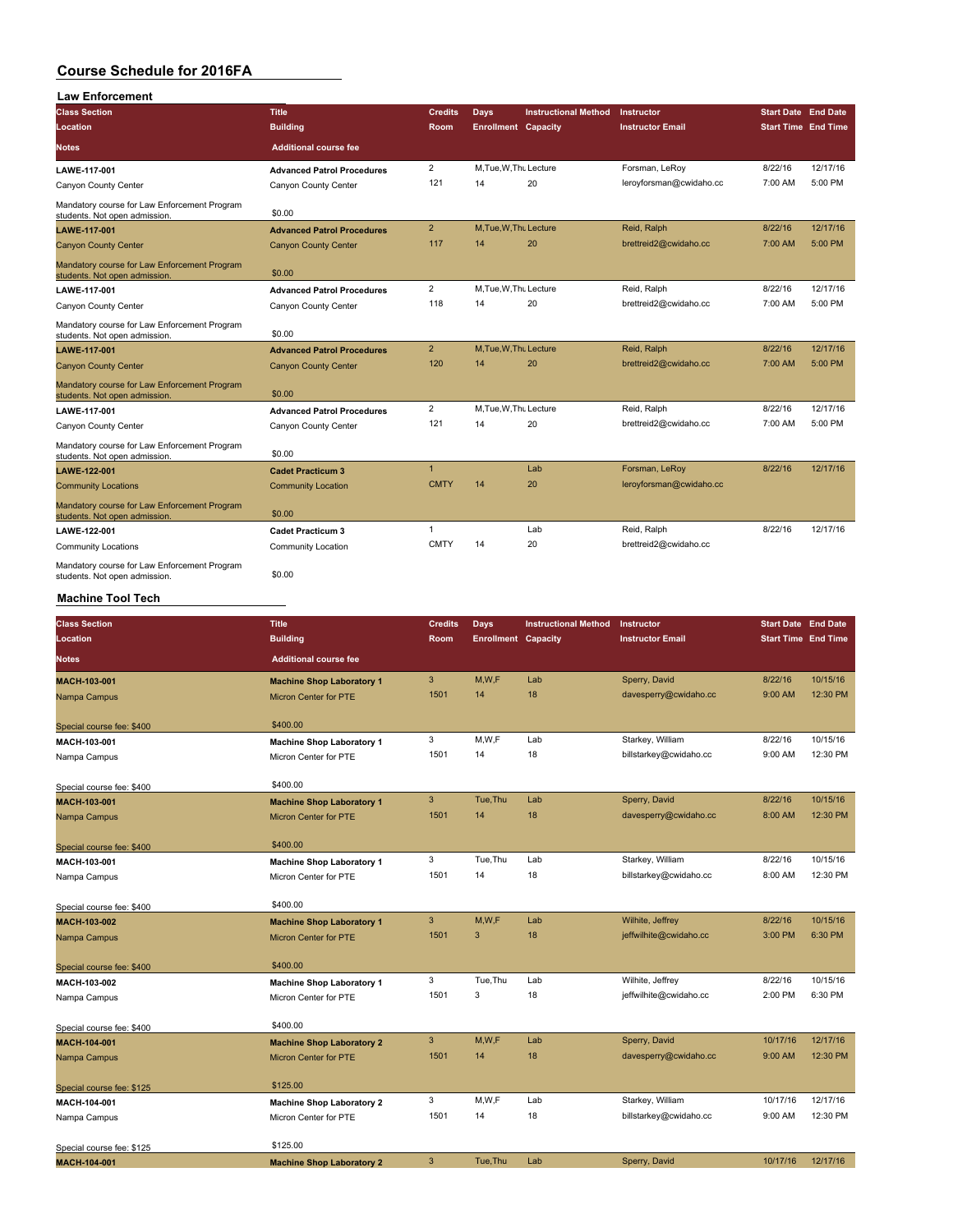| <b>Law Enforcement</b>                                                        |                                   |                     |                            |                             |                                        |                            |          |
|-------------------------------------------------------------------------------|-----------------------------------|---------------------|----------------------------|-----------------------------|----------------------------------------|----------------------------|----------|
| <b>Class Section</b>                                                          | <b>Title</b>                      | <b>Credits</b>      | <b>Days</b>                | <b>Instructional Method</b> | Instructor                             | <b>Start Date End Date</b> |          |
| Location                                                                      | <b>Building</b>                   | Room                | <b>Enrollment Capacity</b> |                             | <b>Instructor Email</b>                | <b>Start Time End Time</b> |          |
| Notes                                                                         | <b>Additional course fee</b>      |                     |                            |                             |                                        |                            |          |
| LAWE-117-001                                                                  | <b>Advanced Patrol Procedures</b> | $\overline{c}$      | M, Tue, W, Thu Lecture     |                             | Forsman, LeRoy                         | 8/22/16                    | 12/17/16 |
| Canyon County Center                                                          | Canyon County Center              | 121                 | 14                         | 20                          | leroyforsman@cwidaho.cc                | 7:00 AM                    | 5:00 PM  |
|                                                                               |                                   |                     |                            |                             |                                        |                            |          |
| Mandatory course for Law Enforcement Program<br>students. Not open admission. | \$0.00                            |                     |                            |                             |                                        |                            |          |
| <b>LAWE-117-001</b>                                                           | <b>Advanced Patrol Procedures</b> | $\overline{2}$      | M, Tue, W, Thu Lecture     |                             | Reid, Ralph                            | 8/22/16                    | 12/17/16 |
| <b>Canyon County Center</b>                                                   | <b>Canyon County Center</b>       | 117                 | 14                         | 20                          | brettreid2@cwidaho.cc                  | 7:00 AM                    | 5:00 PM  |
| Mandatory course for Law Enforcement Program                                  |                                   |                     |                            |                             |                                        |                            |          |
| students. Not open admission.                                                 | \$0.00                            |                     |                            |                             |                                        |                            |          |
| LAWE-117-001                                                                  | <b>Advanced Patrol Procedures</b> | $\overline{2}$      | M, Tue, W, Thu Lecture     |                             | Reid, Ralph                            | 8/22/16                    | 12/17/16 |
| Canyon County Center                                                          | Canyon County Center              | 118                 | 14                         | 20                          | brettreid2@cwidaho.cc                  | 7:00 AM                    | 5:00 PM  |
| Mandatory course for Law Enforcement Program<br>students. Not open admission. | \$0.00                            |                     |                            |                             |                                        |                            |          |
| <b>LAWE-117-001</b>                                                           | <b>Advanced Patrol Procedures</b> | $\overline{2}$      | M, Tue, W, Thu Lecture     |                             | Reid, Ralph                            | 8/22/16                    | 12/17/16 |
| <b>Canyon County Center</b>                                                   | <b>Canyon County Center</b>       | 120                 | 14                         | 20                          | brettreid2@cwidaho.cc                  | 7:00 AM                    | 5:00 PM  |
| Mandatory course for Law Enforcement Program                                  |                                   |                     |                            |                             |                                        |                            |          |
| students. Not open admission.                                                 | \$0.00                            |                     |                            |                             |                                        |                            |          |
| <b>LAWE-117-001</b>                                                           | <b>Advanced Patrol Procedures</b> | $\overline{2}$      | M, Tue, W, Thu Lecture     |                             | Reid, Ralph                            | 8/22/16                    | 12/17/16 |
| Canyon County Center                                                          | Canyon County Center              | 121                 | 14                         | 20                          | brettreid2@cwidaho.cc                  | 7:00 AM                    | 5:00 PM  |
| Mandatory course for Law Enforcement Program                                  |                                   |                     |                            |                             |                                        |                            |          |
| students. Not open admission.                                                 | \$0.00                            |                     |                            |                             |                                        |                            |          |
| <b>LAWE-122-001</b>                                                           | <b>Cadet Practicum 3</b>          | $\mathbf{1}$        |                            | Lab                         | Forsman, LeRoy                         | 8/22/16                    | 12/17/16 |
| <b>Community Locations</b>                                                    | <b>Community Location</b>         | <b>CMTY</b>         | 14                         | 20                          | leroyforsman@cwidaho.cc                |                            |          |
| Mandatory course for Law Enforcement Program<br>students. Not open admission. | \$0.00                            |                     |                            |                             |                                        |                            |          |
| <b>LAWE-122-001</b>                                                           | <b>Cadet Practicum 3</b>          | 1                   |                            | Lab                         | Reid, Ralph                            | 8/22/16                    | 12/17/16 |
| <b>Community Locations</b>                                                    | Community Location                | <b>CMTY</b>         | 14                         | 20                          | brettreid2@cwidaho.cc                  |                            |          |
| Mandatory course for Law Enforcement Program                                  |                                   |                     |                            |                             |                                        |                            |          |
| students. Not open admission.                                                 | \$0.00                            |                     |                            |                             |                                        |                            |          |
| <b>Machine Tool Tech</b>                                                      |                                   |                     |                            |                             |                                        |                            |          |
|                                                                               |                                   |                     |                            |                             |                                        |                            |          |
| <b>Class Section</b>                                                          | <b>Title</b>                      | <b>Credits</b>      | <b>Days</b>                | <b>Instructional Method</b> | Instructor                             | <b>Start Date End Date</b> |          |
| Location                                                                      | <b>Building</b>                   | Room                | <b>Enrollment Capacity</b> |                             | <b>Instructor Email</b>                | <b>Start Time End Time</b> |          |
|                                                                               |                                   |                     |                            |                             |                                        |                            |          |
| Notes                                                                         | <b>Additional course fee</b>      |                     |                            |                             |                                        |                            |          |
| MACH-103-001                                                                  | <b>Machine Shop Laboratory 1</b>  | $\mathbf{3}$        | M,W,F                      | Lab                         | Sperry, David                          | 8/22/16                    | 10/15/16 |
| Nampa Campus                                                                  | Micron Center for PTE             | 1501                | 14                         | 18                          | davesperry@cwidaho.cc                  | 9:00 AM                    | 12:30 PM |
|                                                                               |                                   |                     |                            |                             |                                        |                            |          |
| Special course fee: \$400                                                     | \$400.00                          |                     |                            |                             |                                        |                            |          |
| MACH-103-001                                                                  | <b>Machine Shop Laboratory 1</b>  | 3                   | M, W, F                    | Lab                         | Starkey, William                       | 8/22/16                    | 10/15/16 |
| Nampa Campus                                                                  | Micron Center for PTE             | 1501                | 14                         | 18                          | billstarkey@cwidaho.cc                 | 9:00 AM                    | 12:30 PM |
|                                                                               | \$400.00                          |                     |                            |                             |                                        |                            |          |
|                                                                               |                                   |                     |                            |                             |                                        |                            | 10/15/16 |
| Special course fee: \$400<br>MACH-103-001                                     | <b>Machine Shop Laboratory 1</b>  | 3<br>1501           | Tue, Thu<br>14             | Lab<br>18                   | Sperry, David<br>davesperry@cwidaho.cc | 8/22/16<br>8:00 AM         | 12:30 PM |
| Nampa Campus                                                                  | Micron Center for PTE             |                     |                            |                             |                                        |                            |          |
| Special course fee: \$400                                                     | \$400.00                          |                     |                            |                             |                                        |                            |          |
| MACH-103-001                                                                  | <b>Machine Shop Laboratory 1</b>  | 3                   | Tue, Thu                   | Lab                         | Starkey, William                       | 8/22/16                    | 10/15/16 |
| Nampa Campus                                                                  | Micron Center for PTE             | 1501                | 14                         | 18                          | billstarkey@cwidaho.cc                 | 8:00 AM                    | 12:30 PM |
|                                                                               |                                   |                     |                            |                             |                                        |                            |          |
| Special course fee: \$400                                                     | \$400.00                          |                     |                            |                             |                                        |                            |          |
| MACH-103-002                                                                  | <b>Machine Shop Laboratory 1</b>  | 3                   | M,W,F                      | Lab                         | Wilhite, Jeffrey                       | 8/22/16                    | 10/15/16 |
| Nampa Campus                                                                  | Micron Center for PTE             | 1501                | 3                          | 18                          | jeffwilhite@cwidaho.cc                 | 3:00 PM                    | 6:30 PM  |
|                                                                               |                                   |                     |                            |                             |                                        |                            |          |
| Special course fee: \$400                                                     | \$400.00                          |                     |                            |                             |                                        |                            |          |
| MACH-103-002                                                                  | <b>Machine Shop Laboratory 1</b>  | 3                   | Tue, Thu                   | Lab                         | Wilhite, Jeffrey                       | 8/22/16                    | 10/15/16 |
| Nampa Campus                                                                  | Micron Center for PTE             | 1501                | 3                          | 18                          | jeffwilhite@cwidaho.cc                 | 2:00 PM                    | 6:30 PM  |
|                                                                               |                                   |                     |                            |                             |                                        |                            |          |
| Special course fee: \$400                                                     | \$400.00                          |                     |                            | Lab                         |                                        | 10/17/16                   | 12/17/16 |
| MACH-104-001                                                                  | <b>Machine Shop Laboratory 2</b>  | $\mathsf 3$<br>1501 | M,W,F<br>14                | 18                          | Sperry, David<br>davesperry@cwidaho.cc | 9:00 AM                    | 12:30 PM |
| Nampa Campus                                                                  | Micron Center for PTE             |                     |                            |                             |                                        |                            |          |
|                                                                               | \$125.00                          |                     |                            |                             |                                        |                            |          |
| Special course fee: \$125<br>MACH-104-001                                     | <b>Machine Shop Laboratory 2</b>  | 3                   | M,W,F                      | Lab                         | Starkey, William                       | 10/17/16                   | 12/17/16 |
| Nampa Campus                                                                  | Micron Center for PTE             | 1501                | 14                         | 18                          | billstarkey@cwidaho.cc                 | 9:00 AM                    | 12:30 PM |
|                                                                               |                                   |                     |                            |                             |                                        |                            |          |

**MACH-104-001 Machine Shop Laboratory 2** 3 Tue,Thu Lab Sperry, David 10/17/16 12/17/16 12/17/16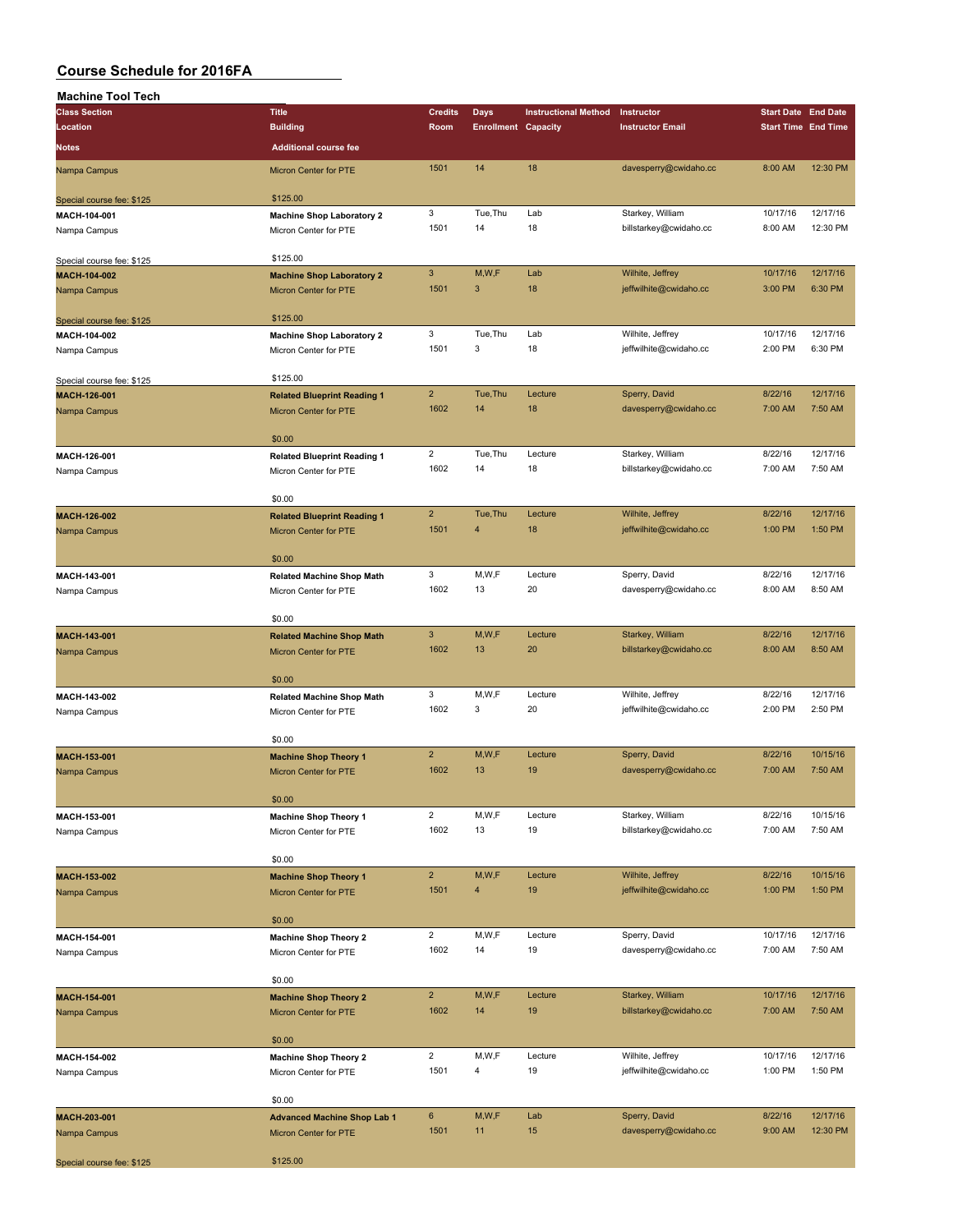| <b>Machine Tool Tech</b>  |                                    |                |                            |                             |                         |                            |          |
|---------------------------|------------------------------------|----------------|----------------------------|-----------------------------|-------------------------|----------------------------|----------|
| <b>Class Section</b>      | <b>Title</b>                       | <b>Credits</b> | <b>Days</b>                | <b>Instructional Method</b> | Instructor              | <b>Start Date End Date</b> |          |
| Location                  | <b>Building</b>                    | Room           | <b>Enrollment Capacity</b> |                             | <b>Instructor Email</b> | <b>Start Time End Time</b> |          |
| Notes                     | <b>Additional course fee</b>       |                |                            |                             |                         |                            |          |
|                           |                                    |                |                            |                             |                         |                            |          |
| Nampa Campus              | Micron Center for PTE              | 1501           | 14                         | 18                          | davesperry@cwidaho.cc   | 8:00 AM                    | 12:30 PM |
|                           | \$125.00                           |                |                            |                             |                         |                            |          |
| Special course fee: \$125 |                                    |                |                            |                             |                         |                            |          |
| MACH-104-001              | <b>Machine Shop Laboratory 2</b>   | 3              | Tue, Thu                   | Lab                         | Starkey, William        | 10/17/16                   | 12/17/16 |
| Nampa Campus              | Micron Center for PTE              | 1501           | 14                         | 18                          | billstarkey@cwidaho.cc  | 8:00 AM                    | 12:30 PM |
|                           |                                    |                |                            |                             |                         |                            |          |
| Special course fee: \$125 | \$125.00                           |                |                            |                             |                         |                            |          |
| MACH-104-002              | <b>Machine Shop Laboratory 2</b>   | 3              | M,W,F                      | Lab                         | Wilhite, Jeffrey        | 10/17/16                   | 12/17/16 |
| Nampa Campus              | Micron Center for PTE              | 1501           | 3                          | 18                          | jeffwilhite@cwidaho.cc  | 3:00 PM                    | 6:30 PM  |
|                           |                                    |                |                            |                             |                         |                            |          |
| Special course fee: \$125 | \$125.00                           |                |                            |                             |                         |                            |          |
| MACH-104-002              | <b>Machine Shop Laboratory 2</b>   | 3              | Tue, Thu                   | Lab                         | Wilhite, Jeffrey        | 10/17/16                   | 12/17/16 |
| Nampa Campus              | Micron Center for PTE              | 1501           | 3                          | 18                          | jeffwilhite@cwidaho.cc  | 2:00 PM                    | 6:30 PM  |
|                           |                                    |                |                            |                             |                         |                            |          |
| Special course fee: \$125 | \$125.00                           |                |                            |                             |                         |                            |          |
| MACH-126-001              | <b>Related Blueprint Reading 1</b> | $\overline{2}$ | Tue, Thu                   | Lecture                     | Sperry, David           | 8/22/16                    | 12/17/16 |
| Nampa Campus              | <b>Micron Center for PTE</b>       | 1602           | 14                         | 18                          | davesperry@cwidaho.cc   | 7:00 AM                    | 7:50 AM  |
|                           |                                    |                |                            |                             |                         |                            |          |
|                           | \$0.00                             |                |                            |                             |                         |                            |          |
| MACH-126-001              | <b>Related Blueprint Reading 1</b> | $\overline{2}$ | Tue, Thu                   | Lecture                     | Starkey, William        | 8/22/16                    | 12/17/16 |
| Nampa Campus              | Micron Center for PTE              | 1602           | 14                         | 18                          | billstarkey@cwidaho.cc  | 7:00 AM                    | 7:50 AM  |
|                           |                                    |                |                            |                             |                         |                            |          |
|                           | \$0.00                             |                |                            |                             |                         |                            |          |
| MACH-126-002              | <b>Related Blueprint Reading 1</b> | $\overline{2}$ | Tue, Thu                   | Lecture                     | Wilhite, Jeffrey        | 8/22/16                    | 12/17/16 |
| Nampa Campus              | <b>Micron Center for PTE</b>       | 1501           | $\overline{4}$             | 18                          | jeffwilhite@cwidaho.cc  | 1:00 PM                    | 1:50 PM  |
|                           |                                    |                |                            |                             |                         |                            |          |
|                           | \$0.00                             |                |                            |                             |                         |                            |          |
| MACH-143-001              | <b>Related Machine Shop Math</b>   | 3              | M,W,F                      | Lecture                     | Sperry, David           | 8/22/16                    | 12/17/16 |
| Nampa Campus              | Micron Center for PTE              | 1602           | 13                         | 20                          | davesperry@cwidaho.cc   | 8:00 AM                    | 8:50 AM  |
|                           |                                    |                |                            |                             |                         |                            |          |
|                           | \$0.00                             |                |                            |                             |                         |                            |          |
| MACH-143-001              | <b>Related Machine Shop Math</b>   | 3              | M, W, F                    | Lecture                     | Starkey, William        | 8/22/16                    | 12/17/16 |
|                           | Micron Center for PTE              | 1602           | 13                         | 20                          | billstarkey@cwidaho.cc  | 8:00 AM                    | 8:50 AM  |
| Nampa Campus              |                                    |                |                            |                             |                         |                            |          |
|                           | \$0.00                             |                |                            |                             |                         |                            |          |
|                           |                                    | 3              | M,W,F                      | Lecture                     | Wilhite, Jeffrey        | 8/22/16                    | 12/17/16 |
| MACH-143-002              | <b>Related Machine Shop Math</b>   | 1602           | 3                          | 20                          | jeffwilhite@cwidaho.cc  | 2:00 PM                    | 2:50 PM  |
| Nampa Campus              | Micron Center for PTE              |                |                            |                             |                         |                            |          |
|                           |                                    |                |                            |                             |                         |                            |          |
|                           | \$0.00                             |                |                            |                             |                         |                            |          |
| MACH-153-001              | <b>Machine Shop Theory 1</b>       | $\overline{2}$ | M, W, F                    | Lecture                     | Sperry, David           | 8/22/16                    | 10/15/16 |
| Nampa Campus              | <b>Micron Center for PTE</b>       | 1602           | 13                         | 19                          | davesperry@cwidaho.cc   | 7:00 AM                    | 7:50 AM  |
|                           |                                    |                |                            |                             |                         |                            |          |
|                           | \$0.00                             |                |                            |                             |                         |                            |          |
| MACH-153-001              | <b>Machine Shop Theory 1</b>       | $\overline{2}$ | M,W,F                      | Lecture                     | Starkey, William        | 8/22/16                    | 10/15/16 |
| Nampa Campus              | Micron Center for PTE              | 1602           | 13                         | 19                          | billstarkey@cwidaho.cc  | 7:00 AM                    | 7:50 AM  |
|                           |                                    |                |                            |                             |                         |                            |          |
|                           | \$0.00                             |                |                            |                             |                         |                            |          |
| MACH-153-002              | <b>Machine Shop Theory 1</b>       | $\overline{2}$ | M,W,F                      | Lecture                     | Wilhite, Jeffrey        | 8/22/16                    | 10/15/16 |
| Nampa Campus              | Micron Center for PTE              | 1501           | 4                          | 19                          | jeffwilhite@cwidaho.cc  | 1:00 PM                    | 1:50 PM  |
|                           |                                    |                |                            |                             |                         |                            |          |
|                           | \$0.00                             |                |                            |                             |                         |                            |          |
| MACH-154-001              | <b>Machine Shop Theory 2</b>       | $\overline{2}$ | M,W,F                      | Lecture                     | Sperry, David           | 10/17/16                   | 12/17/16 |
| Nampa Campus              | Micron Center for PTE              | 1602           | 14                         | 19                          | davesperry@cwidaho.cc   | 7:00 AM                    | 7:50 AM  |
|                           |                                    |                |                            |                             |                         |                            |          |
|                           | \$0.00                             |                |                            |                             |                         |                            |          |
| MACH-154-001              | <b>Machine Shop Theory 2</b>       | $\overline{2}$ | M,W,F                      | Lecture                     | Starkey, William        | 10/17/16                   | 12/17/16 |
| Nampa Campus              | Micron Center for PTE              | 1602           | 14                         | 19                          | billstarkey@cwidaho.cc  | 7:00 AM                    | 7:50 AM  |
|                           |                                    |                |                            |                             |                         |                            |          |
|                           | \$0.00                             |                |                            |                             |                         |                            |          |
| MACH-154-002              | <b>Machine Shop Theory 2</b>       | $\overline{2}$ | M,W,F                      | Lecture                     | Wilhite, Jeffrey        | 10/17/16                   | 12/17/16 |
| Nampa Campus              | Micron Center for PTE              | 1501           | $\overline{\mathbf{4}}$    | 19                          | jeffwilhite@cwidaho.cc  | 1:00 PM                    | 1:50 PM  |
|                           |                                    |                |                            |                             |                         |                            |          |
|                           | \$0.00                             |                |                            |                             |                         |                            |          |
| MACH-203-001              | <b>Advanced Machine Shop Lab 1</b> | 6              | M, W, F                    | Lab                         | Sperry, David           | 8/22/16                    | 12/17/16 |
|                           |                                    | 1501           | 11                         | 15                          | davesperry@cwidaho.cc   | 9:00 AM                    | 12:30 PM |
| Nampa Campus              | Micron Center for PTE              |                |                            |                             |                         |                            |          |
|                           | \$125.00                           |                |                            |                             |                         |                            |          |
| Special course fee: \$125 |                                    |                |                            |                             |                         |                            |          |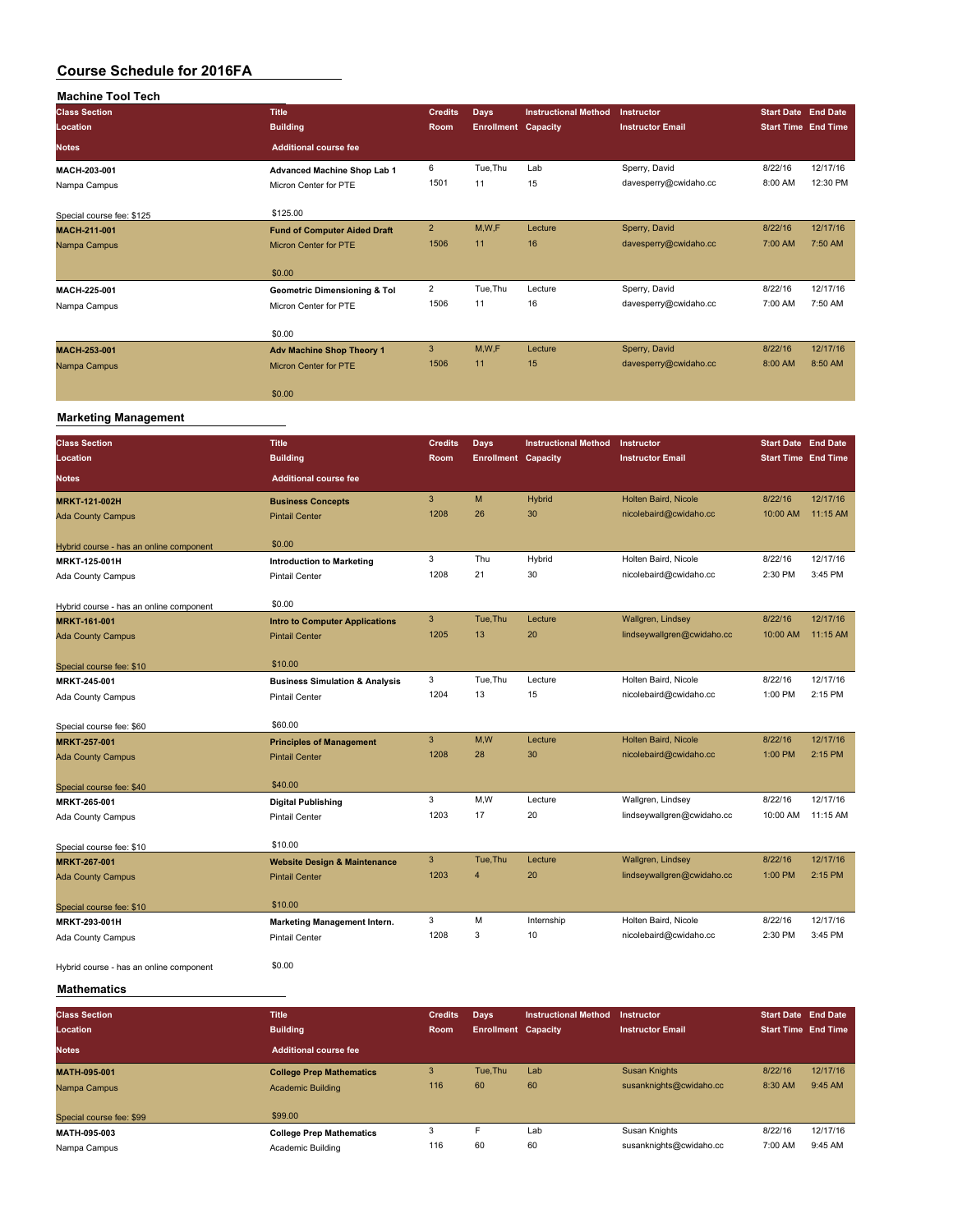| <b>Machine Tool Tech</b>  |                                         |                |                            |                             |                         |                            |          |
|---------------------------|-----------------------------------------|----------------|----------------------------|-----------------------------|-------------------------|----------------------------|----------|
| <b>Class Section</b>      | <b>Title</b>                            | <b>Credits</b> | <b>Days</b>                | <b>Instructional Method</b> | Instructor              | <b>Start Date End Date</b> |          |
| Location                  | <b>Building</b>                         | <b>Room</b>    | <b>Enrollment Capacity</b> |                             | <b>Instructor Email</b> | <b>Start Time End Time</b> |          |
| <b>Notes</b>              | <b>Additional course fee</b>            |                |                            |                             |                         |                            |          |
| MACH-203-001              | Advanced Machine Shop Lab 1             | 6              | Tue, Thu                   | Lab                         | Sperry, David           | 8/22/16                    | 12/17/16 |
| Nampa Campus              | Micron Center for PTE                   | 1501           | 11                         | 15                          | davesperry@cwidaho.cc   | 8:00 AM                    | 12:30 PM |
| Special course fee: \$125 | \$125.00                                |                |                            |                             |                         |                            |          |
| <b>MACH-211-001</b>       | <b>Fund of Computer Aided Draft</b>     | $\overline{2}$ | M, W, F                    | Lecture                     | Sperry, David           | 8/22/16                    | 12/17/16 |
| Nampa Campus              | <b>Micron Center for PTE</b>            | 1506           | 11                         | 16                          | davesperry@cwidaho.cc   | 7:00 AM                    | 7:50 AM  |
|                           | \$0.00                                  |                |                            |                             |                         |                            |          |
| MACH-225-001              | <b>Geometric Dimensioning &amp; Tol</b> | $\overline{2}$ | Tue, Thu                   | Lecture                     | Sperry, David           | 8/22/16                    | 12/17/16 |
| Nampa Campus              | Micron Center for PTE                   | 1506           | 11                         | 16                          | davesperry@cwidaho.cc   | 7:00 AM                    | 7:50 AM  |
|                           | \$0.00                                  |                |                            |                             |                         |                            |          |
| <b>MACH-253-001</b>       | Adv Machine Shop Theory 1               | 3              | M,W,F                      | Lecture                     | Sperry, David           | 8/22/16                    | 12/17/16 |
| Nampa Campus              | <b>Micron Center for PTE</b>            | 1506           | 11                         | 15                          | davesperry@cwidaho.cc   | 8:00 AM                    | 8:50 AM  |
|                           | \$0.00                                  |                |                            |                             |                         |                            |          |

#### **Marketing Management**

| <b>Class Section</b>                    | <b>Title</b>                              | <b>Credits</b> | <b>Days</b>                | <b>Instructional Method</b> | Instructor                 | <b>Start Date End Date</b> |          |
|-----------------------------------------|-------------------------------------------|----------------|----------------------------|-----------------------------|----------------------------|----------------------------|----------|
| Location                                | <b>Building</b>                           | Room           | <b>Enrollment Capacity</b> |                             | <b>Instructor Email</b>    | <b>Start Time End Time</b> |          |
| <b>Notes</b>                            | <b>Additional course fee</b>              |                |                            |                             |                            |                            |          |
| <b>MRKT-121-002H</b>                    | <b>Business Concepts</b>                  | 3              | M                          | <b>Hybrid</b>               | Holten Baird, Nicole       | 8/22/16                    | 12/17/16 |
| <b>Ada County Campus</b>                | <b>Pintail Center</b>                     | 1208           | 26                         | 30                          | nicolebaird@cwidaho.cc     | 10:00 AM                   | 11:15 AM |
| Hybrid course - has an online component | \$0.00                                    |                |                            |                             |                            |                            |          |
| MRKT-125-001H                           | <b>Introduction to Marketing</b>          | 3              | Thu                        | Hybrid                      | Holten Baird, Nicole       | 8/22/16                    | 12/17/16 |
| <b>Ada County Campus</b>                | <b>Pintail Center</b>                     | 1208           | 21                         | 30                          | nicolebaird@cwidaho.cc     | 2:30 PM                    | 3:45 PM  |
| Hybrid course - has an online component | \$0.00                                    |                |                            |                             |                            |                            |          |
| <b>MRKT-161-001</b>                     | <b>Intro to Computer Applications</b>     | 3              | Tue, Thu                   | Lecture                     | Wallgren, Lindsey          | 8/22/16                    | 12/17/16 |
| <b>Ada County Campus</b>                | <b>Pintail Center</b>                     | 1205           | 13                         | 20                          | lindseywallgren@cwidaho.cc | 10:00 AM                   | 11:15 AM |
| Special course fee: \$10                | \$10.00                                   |                |                            |                             |                            |                            |          |
| MRKT-245-001                            | <b>Business Simulation &amp; Analysis</b> | 3              | Tue.Thu                    | Lecture                     | Holten Baird, Nicole       | 8/22/16                    | 12/17/16 |
| Ada County Campus                       | <b>Pintail Center</b>                     | 1204           | 13                         | 15                          | nicolebaird@cwidaho.cc     | 1:00 PM                    | 2:15 PM  |
| Special course fee: \$60                | \$60.00                                   |                |                            |                             |                            |                            |          |
| <b>MRKT-257-001</b>                     | <b>Principles of Management</b>           | 3              | M,W                        | Lecture                     | Holten Baird, Nicole       | 8/22/16                    | 12/17/16 |
| <b>Ada County Campus</b>                | <b>Pintail Center</b>                     | 1208           | 28                         | 30                          | nicolebaird@cwidaho.cc     | 1:00 PM                    | 2:15 PM  |
| Special course fee: \$40                | \$40.00                                   |                |                            |                             |                            |                            |          |
| MRKT-265-001                            | <b>Digital Publishing</b>                 | 3              | M,W                        | Lecture                     | Wallgren, Lindsey          | 8/22/16                    | 12/17/16 |
| Ada County Campus                       | <b>Pintail Center</b>                     | 1203           | 17                         | 20                          | lindseywallgren@cwidaho.cc | 10:00 AM                   | 11:15 AM |
| Special course fee: \$10                | \$10.00                                   |                |                            |                             |                            |                            |          |
| <b>MRKT-267-001</b>                     | <b>Website Design &amp; Maintenance</b>   | 3              | Tue, Thu                   | Lecture                     | Wallgren, Lindsey          | 8/22/16                    | 12/17/16 |
| <b>Ada County Campus</b>                | <b>Pintail Center</b>                     | 1203           | $\overline{4}$             | 20                          | lindseywallgren@cwidaho.cc | 1:00 PM                    | 2:15 PM  |
| Special course fee: \$10                | \$10.00                                   |                |                            |                             |                            |                            |          |
| MRKT-293-001H                           | Marketing Management Intern.              | 3              | M                          | Internship                  | Holten Baird, Nicole       | 8/22/16                    | 12/17/16 |
| <b>Ada County Campus</b>                | <b>Pintail Center</b>                     | 1208           | 3                          | 10                          | nicolebaird@cwidaho.cc     | 2:30 PM                    | 3:45 PM  |
| Hybrid course - has an online component | \$0.00                                    |                |                            |                             |                            |                            |          |

#### **Mathematics**

 $\overline{\phantom{a}}$ 

| <b>Class Section</b><br>Location | <b>Title</b><br><b>Building</b> | <b>Credits</b><br><b>Room</b> | Days<br><b>Enrollment Capacity</b> | <b>Instructional Method</b> | Instructor<br><b>Instructor Email</b> | <b>Start Date End Date</b><br><b>Start Time End Time</b> |          |
|----------------------------------|---------------------------------|-------------------------------|------------------------------------|-----------------------------|---------------------------------------|----------------------------------------------------------|----------|
| <b>Notes</b>                     | Additional course fee           |                               |                                    |                             |                                       |                                                          |          |
| <b>MATH-095-001</b>              | <b>College Prep Mathematics</b> | 3                             | Tue.Thu                            | Lab                         | <b>Susan Knights</b>                  | 8/22/16                                                  | 12/17/16 |
| Nampa Campus                     | <b>Academic Building</b>        | 116                           | 60                                 | 60                          | susanknights@cwidaho.cc               | 8:30 AM                                                  | 9:45 AM  |
| Special course fee: \$99         | \$99.00                         |                               |                                    |                             |                                       |                                                          |          |
| MATH-095-003                     | <b>College Prep Mathematics</b> | 3                             | E                                  | Lab                         | Susan Knights                         | 8/22/16                                                  | 12/17/16 |
| Nampa Campus                     | Academic Building               | 116                           | 60                                 | 60                          | susanknights@cwidaho.cc               | 7:00 AM                                                  | 9:45 AM  |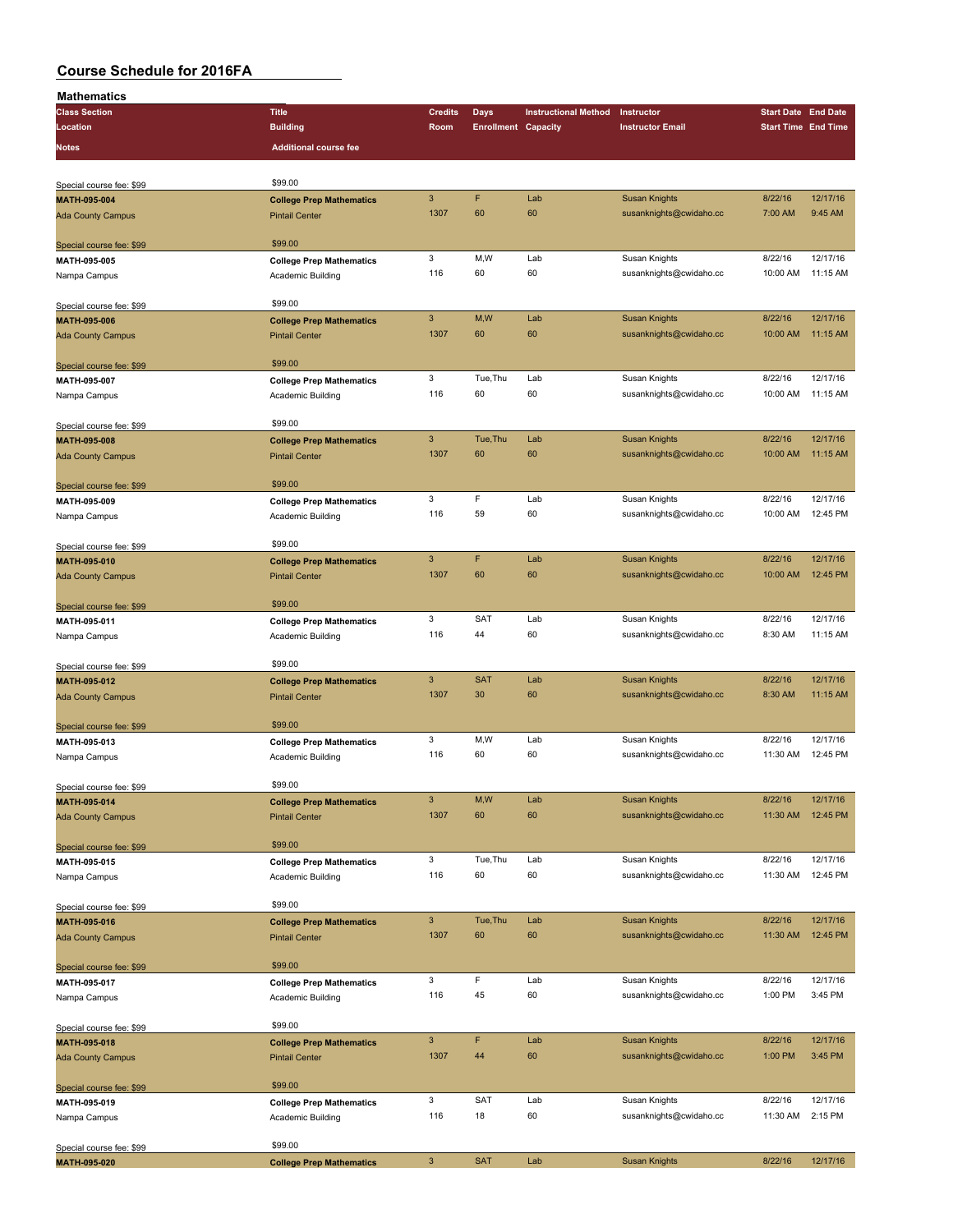| <b>Mathematics</b>       |                                 |                           |                            |                             |                         |                            |          |
|--------------------------|---------------------------------|---------------------------|----------------------------|-----------------------------|-------------------------|----------------------------|----------|
| <b>Class Section</b>     | <b>Title</b>                    | <b>Credits</b>            | <b>Days</b>                | <b>Instructional Method</b> | Instructor              | <b>Start Date End Date</b> |          |
| Location                 | <b>Building</b>                 | Room                      | <b>Enrollment Capacity</b> |                             | <b>Instructor Email</b> | <b>Start Time End Time</b> |          |
|                          |                                 |                           |                            |                             |                         |                            |          |
| Notes                    | <b>Additional course fee</b>    |                           |                            |                             |                         |                            |          |
|                          |                                 |                           |                            |                             |                         |                            |          |
|                          |                                 |                           |                            |                             |                         |                            |          |
| Special course fee: \$99 | \$99.00                         |                           |                            |                             |                         |                            |          |
| MATH-095-004             | <b>College Prep Mathematics</b> | $\sqrt{3}$                | F                          | Lab                         | <b>Susan Knights</b>    | 8/22/16                    | 12/17/16 |
| <b>Ada County Campus</b> | <b>Pintail Center</b>           | 1307                      | 60                         | 60                          | susanknights@cwidaho.cc | 7:00 AM                    | 9:45 AM  |
|                          |                                 |                           |                            |                             |                         |                            |          |
|                          | \$99.00                         |                           |                            |                             |                         |                            |          |
| Special course fee: \$99 |                                 | 3                         | M, W                       | Lab                         |                         | 8/22/16                    | 12/17/16 |
| MATH-095-005             | <b>College Prep Mathematics</b> |                           |                            |                             | Susan Knights           |                            |          |
| Nampa Campus             | Academic Building               | 116                       | 60                         | 60                          | susanknights@cwidaho.cc | 10:00 AM                   | 11:15 AM |
|                          |                                 |                           |                            |                             |                         |                            |          |
| Special course fee: \$99 | \$99.00                         |                           |                            |                             |                         |                            |          |
| <b>MATH-095-006</b>      | <b>College Prep Mathematics</b> | $\ensuremath{\mathsf{3}}$ | M,W                        | Lab                         | <b>Susan Knights</b>    | 8/22/16                    | 12/17/16 |
|                          |                                 | 1307                      | 60                         | 60                          | susanknights@cwidaho.cc | 10:00 AM                   | 11:15 AM |
| <b>Ada County Campus</b> | <b>Pintail Center</b>           |                           |                            |                             |                         |                            |          |
|                          |                                 |                           |                            |                             |                         |                            |          |
| Special course fee: \$99 | \$99.00                         |                           |                            |                             |                         |                            |          |
| MATH-095-007             | <b>College Prep Mathematics</b> | 3                         | Tue, Thu                   | Lab                         | Susan Knights           | 8/22/16                    | 12/17/16 |
| Nampa Campus             | Academic Building               | 116                       | 60                         | 60                          | susanknights@cwidaho.cc | 10:00 AM                   | 11:15 AM |
|                          |                                 |                           |                            |                             |                         |                            |          |
|                          | \$99.00                         |                           |                            |                             |                         |                            |          |
| Special course fee: \$99 |                                 |                           |                            |                             |                         |                            |          |
| MATH-095-008             | <b>College Prep Mathematics</b> | $\ensuremath{\mathsf{3}}$ | Tue, Thu                   | Lab                         | <b>Susan Knights</b>    | 8/22/16                    | 12/17/16 |
| <b>Ada County Campus</b> | <b>Pintail Center</b>           | 1307                      | 60                         | 60                          | susanknights@cwidaho.cc | 10:00 AM                   | 11:15 AM |
|                          |                                 |                           |                            |                             |                         |                            |          |
| Special course fee: \$99 | \$99.00                         |                           |                            |                             |                         |                            |          |
|                          |                                 | 3                         | F                          | Lab                         | Susan Knights           | 8/22/16                    | 12/17/16 |
| MATH-095-009             | <b>College Prep Mathematics</b> |                           |                            |                             |                         |                            |          |
| Nampa Campus             | Academic Building               | 116                       | 59                         | 60                          | susanknights@cwidaho.cc | 10:00 AM                   | 12:45 PM |
|                          |                                 |                           |                            |                             |                         |                            |          |
| Special course fee: \$99 | \$99.00                         |                           |                            |                             |                         |                            |          |
| MATH-095-010             | <b>College Prep Mathematics</b> | $\overline{3}$            | F                          | Lab                         | <b>Susan Knights</b>    | 8/22/16                    | 12/17/16 |
|                          |                                 | 1307                      | 60                         | 60                          | susanknights@cwidaho.cc | 10:00 AM                   | 12:45 PM |
| <b>Ada County Campus</b> | <b>Pintail Center</b>           |                           |                            |                             |                         |                            |          |
|                          |                                 |                           |                            |                             |                         |                            |          |
| Special course fee: \$99 | \$99.00                         |                           |                            |                             |                         |                            |          |
| MATH-095-011             | <b>College Prep Mathematics</b> | 3                         | <b>SAT</b>                 | Lab                         | Susan Knights           | 8/22/16                    | 12/17/16 |
| Nampa Campus             | Academic Building               | 116                       | 44                         | 60                          | susanknights@cwidaho.cc | 8:30 AM                    | 11:15 AM |
|                          |                                 |                           |                            |                             |                         |                            |          |
|                          | \$99.00                         |                           |                            |                             |                         |                            |          |
| Special course fee: \$99 |                                 |                           |                            |                             |                         |                            |          |
| MATH-095-012             | <b>College Prep Mathematics</b> | $\sqrt{3}$                | <b>SAT</b>                 | Lab                         | <b>Susan Knights</b>    | 8/22/16                    | 12/17/16 |
| <b>Ada County Campus</b> | <b>Pintail Center</b>           | 1307                      | 30                         | 60                          | susanknights@cwidaho.cc | 8:30 AM                    | 11:15 AM |
|                          |                                 |                           |                            |                             |                         |                            |          |
| Special course fee: \$99 | \$99.00                         |                           |                            |                             |                         |                            |          |
|                          |                                 | 3                         | M,W                        | Lab                         | Susan Knights           | 8/22/16                    | 12/17/16 |
| MATH-095-013             | <b>College Prep Mathematics</b> |                           |                            | 60                          |                         |                            |          |
| Nampa Campus             | Academic Building               | 116                       | 60                         |                             | susanknights@cwidaho.cc | 11:30 AM                   | 12:45 PM |
|                          |                                 |                           |                            |                             |                         |                            |          |
| Special course fee: \$99 | \$99.00                         |                           |                            |                             |                         |                            |          |
| MATH-095-014             | <b>College Prep Mathematics</b> | $\ensuremath{\mathsf{3}}$ | M, W                       | Lab                         | <b>Susan Knights</b>    | 8/22/16                    | 12/17/16 |
| <b>Ada County Campus</b> | <b>Pintail Center</b>           | 1307                      | 60                         | 60                          | susanknights@cwidaho.cc | 11:30 AM                   | 12:45 PM |
|                          |                                 |                           |                            |                             |                         |                            |          |
|                          |                                 |                           |                            |                             |                         |                            |          |
| Special course fee: \$99 | \$99.00                         |                           |                            |                             |                         |                            |          |
| MATH-095-015             | <b>College Prep Mathematics</b> | 3                         | Tue, Thu                   | Lab                         | Susan Knights           | 8/22/16                    | 12/17/16 |
| Nampa Campus             | Academic Building               | 116                       | 60                         | 60                          | susanknights@cwidaho.cc | 11:30 AM                   | 12:45 PM |
|                          |                                 |                           |                            |                             |                         |                            |          |
|                          | \$99.00                         |                           |                            |                             |                         |                            |          |
| Special course fee: \$99 |                                 | $\ensuremath{\mathsf{3}}$ | Tue, Thu                   | Lab                         | <b>Susan Knights</b>    | 8/22/16                    | 12/17/16 |
| MATH-095-016             | <b>College Prep Mathematics</b> |                           |                            |                             |                         |                            |          |
| <b>Ada County Campus</b> | <b>Pintail Center</b>           | 1307                      | 60                         | 60                          | susanknights@cwidaho.cc | 11:30 AM                   | 12:45 PM |
|                          |                                 |                           |                            |                             |                         |                            |          |
| Special course fee: \$99 | \$99.00                         |                           |                            |                             |                         |                            |          |
| MATH-095-017             | <b>College Prep Mathematics</b> | 3                         | F                          | Lab                         | Susan Knights           | 8/22/16                    | 12/17/16 |
|                          |                                 | 116                       | 45                         | 60                          | susanknights@cwidaho.cc | 1:00 PM                    | 3:45 PM  |
| Nampa Campus             | Academic Building               |                           |                            |                             |                         |                            |          |
|                          |                                 |                           |                            |                             |                         |                            |          |
| Special course fee: \$99 | \$99.00                         |                           |                            |                             |                         |                            |          |
| MATH-095-018             | <b>College Prep Mathematics</b> | $\ensuremath{\mathsf{3}}$ | F                          | Lab                         | <b>Susan Knights</b>    | 8/22/16                    | 12/17/16 |
| <b>Ada County Campus</b> | <b>Pintail Center</b>           | 1307                      | 44                         | 60                          | susanknights@cwidaho.cc | 1:00 PM                    | 3:45 PM  |
|                          |                                 |                           |                            |                             |                         |                            |          |
|                          |                                 |                           |                            |                             |                         |                            |          |
| Special course fee: \$99 | \$99.00                         |                           |                            |                             |                         |                            |          |
| MATH-095-019             | <b>College Prep Mathematics</b> | 3                         | SAT                        | Lab                         | Susan Knights           | 8/22/16                    | 12/17/16 |
| Nampa Campus             | Academic Building               | 116                       | 18                         | 60                          | susanknights@cwidaho.cc | 11:30 AM                   | 2:15 PM  |
|                          |                                 |                           |                            |                             |                         |                            |          |
|                          | \$99.00                         |                           |                            |                             |                         |                            |          |
| Special course fee: \$99 |                                 |                           |                            |                             |                         |                            |          |
| MATH-095-020             | <b>College Prep Mathematics</b> | $\ensuremath{\mathsf{3}}$ | <b>SAT</b>                 | Lab                         | <b>Susan Knights</b>    | 8/22/16                    | 12/17/16 |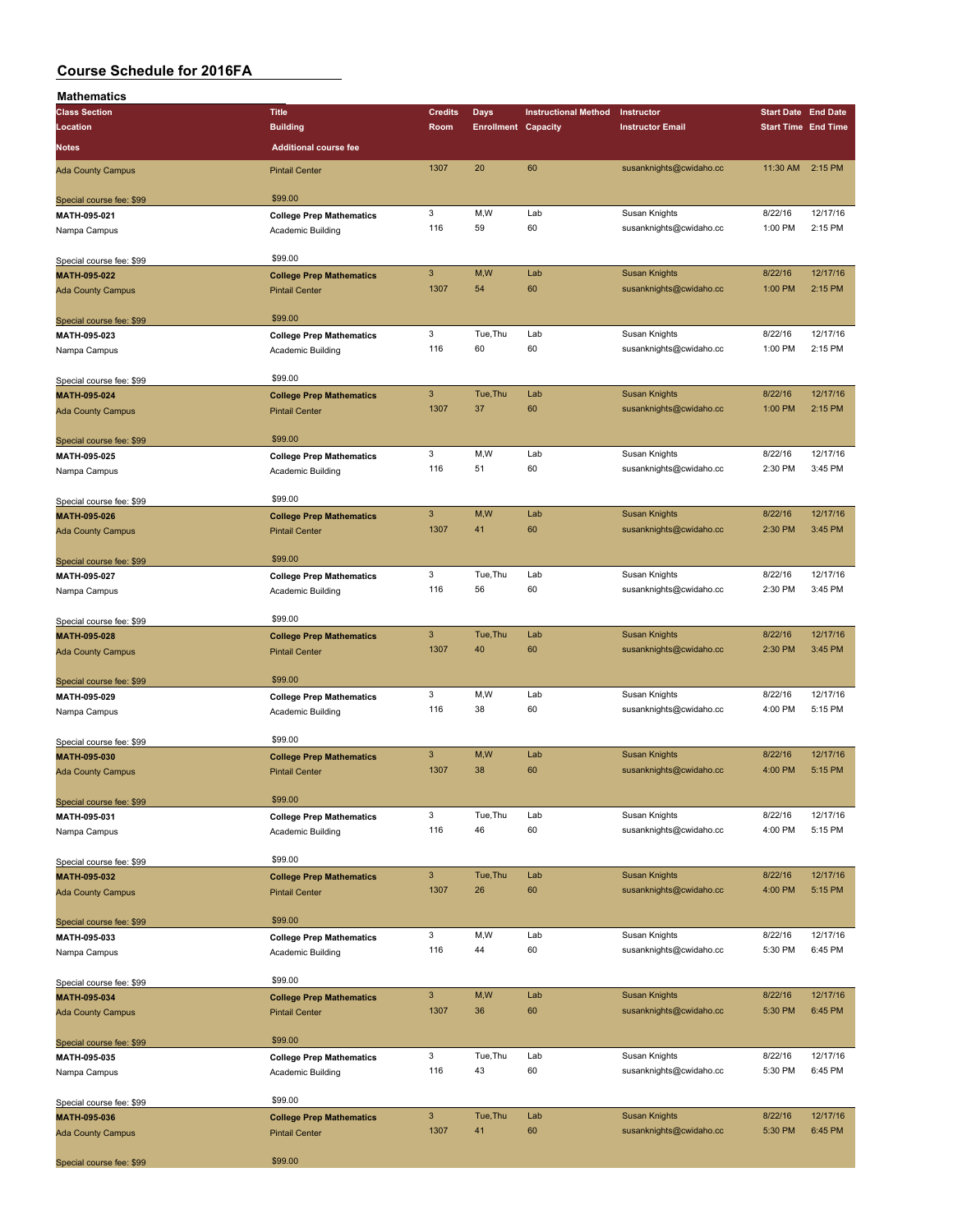| <b>Mathematics</b>                       |                                                          |                           |                            |                             |                                          |                            |                     |
|------------------------------------------|----------------------------------------------------------|---------------------------|----------------------------|-----------------------------|------------------------------------------|----------------------------|---------------------|
| <b>Class Section</b>                     | <b>Title</b>                                             | <b>Credits</b>            | <b>Days</b>                | <b>Instructional Method</b> | Instructor                               | <b>Start Date End Date</b> |                     |
| Location                                 | <b>Building</b>                                          | Room                      | <b>Enrollment Capacity</b> |                             | <b>Instructor Email</b>                  | <b>Start Time End Time</b> |                     |
| <b>Notes</b>                             | <b>Additional course fee</b>                             |                           |                            |                             |                                          |                            |                     |
|                                          |                                                          | 1307                      | 20                         | 60                          | susanknights@cwidaho.cc                  | 11:30 AM                   | 2:15 PM             |
| <b>Ada County Campus</b>                 | <b>Pintail Center</b>                                    |                           |                            |                             |                                          |                            |                     |
| Special course fee: \$99                 | \$99.00                                                  |                           |                            |                             |                                          |                            |                     |
| MATH-095-021                             | <b>College Prep Mathematics</b>                          | 3                         | M,W                        | Lab                         | Susan Knights                            | 8/22/16                    | 12/17/16            |
| Nampa Campus                             | Academic Building                                        | 116                       | 59                         | 60                          | susanknights@cwidaho.cc                  | 1:00 PM                    | 2:15 PM             |
|                                          | \$99.00                                                  |                           |                            |                             |                                          |                            |                     |
| Special course fee: \$99<br>MATH-095-022 | <b>College Prep Mathematics</b>                          | $\mathbf{3}$              | M,W                        | Lab                         | <b>Susan Knights</b>                     | 8/22/16                    | 12/17/16            |
| <b>Ada County Campus</b>                 | <b>Pintail Center</b>                                    | 1307                      | 54                         | 60                          | susanknights@cwidaho.cc                  | 1:00 PM                    | 2:15 PM             |
|                                          |                                                          |                           |                            |                             |                                          |                            |                     |
| Special course fee: \$99                 | \$99.00                                                  |                           |                            |                             |                                          |                            |                     |
| MATH-095-023                             | <b>College Prep Mathematics</b>                          | 3                         | Tue, Thu                   | Lab                         | Susan Knights                            | 8/22/16                    | 12/17/16            |
| Nampa Campus                             | Academic Building                                        | 116                       | 60                         | 60                          | susanknights@cwidaho.cc                  | 1:00 PM                    | 2:15 PM             |
| Special course fee: \$99                 | \$99.00                                                  |                           |                            |                             |                                          |                            |                     |
| MATH-095-024                             | <b>College Prep Mathematics</b>                          | $\ensuremath{\mathsf{3}}$ | Tue, Thu                   | Lab                         | <b>Susan Knights</b>                     | 8/22/16                    | 12/17/16            |
| <b>Ada County Campus</b>                 | <b>Pintail Center</b>                                    | 1307                      | 37                         | 60                          | susanknights@cwidaho.cc                  | 1:00 PM                    | 2:15 PM             |
|                                          |                                                          |                           |                            |                             |                                          |                            |                     |
| Special course fee: \$99                 | \$99.00                                                  |                           |                            |                             |                                          |                            | 12/17/16            |
| MATH-095-025<br>Nampa Campus             | <b>College Prep Mathematics</b>                          | 3<br>116                  | M, W<br>51                 | Lab<br>60                   | Susan Knights<br>susanknights@cwidaho.cc | 8/22/16<br>2:30 PM         | 3:45 PM             |
|                                          | Academic Building                                        |                           |                            |                             |                                          |                            |                     |
| Special course fee: \$99                 | \$99.00                                                  |                           |                            |                             |                                          |                            |                     |
| MATH-095-026                             | <b>College Prep Mathematics</b>                          | $\mathbf{3}$              | M,W                        | Lab                         | <b>Susan Knights</b>                     | 8/22/16                    | 12/17/16            |
| <b>Ada County Campus</b>                 | <b>Pintail Center</b>                                    | 1307                      | 41                         | 60                          | susanknights@cwidaho.cc                  | 2:30 PM                    | 3:45 PM             |
|                                          | \$99.00                                                  |                           |                            |                             |                                          |                            |                     |
| Special course fee: \$99<br>MATH-095-027 | <b>College Prep Mathematics</b>                          | 3                         | Tue, Thu                   | Lab                         | Susan Knights                            | 8/22/16                    | 12/17/16            |
| Nampa Campus                             | Academic Building                                        | 116                       | 56                         | 60                          | susanknights@cwidaho.cc                  | 2:30 PM                    | 3:45 PM             |
|                                          |                                                          |                           |                            |                             |                                          |                            |                     |
| Special course fee: \$99                 | \$99.00                                                  |                           |                            |                             |                                          |                            |                     |
| MATH-095-028                             | <b>College Prep Mathematics</b>                          | $\ensuremath{\mathsf{3}}$ | Tue, Thu                   | Lab                         | <b>Susan Knights</b>                     | 8/22/16                    | 12/17/16            |
| <b>Ada County Campus</b>                 | <b>Pintail Center</b>                                    | 1307                      | 40                         | 60                          | susanknights@cwidaho.cc                  | 2:30 PM                    | 3:45 PM             |
| Special course fee: \$99                 | \$99.00                                                  |                           |                            |                             |                                          |                            |                     |
| MATH-095-029                             | <b>College Prep Mathematics</b>                          | 3                         | M,W                        | Lab                         | Susan Knights                            | 8/22/16                    | 12/17/16            |
| Nampa Campus                             | Academic Building                                        | 116                       | 38                         | 60                          | susanknights@cwidaho.cc                  | 4:00 PM                    | 5:15 PM             |
|                                          |                                                          |                           |                            |                             |                                          |                            |                     |
| Special course fee: \$99                 | \$99.00                                                  | $\mathbf{3}$              | M, W                       | Lab                         | <b>Susan Knights</b>                     | 8/22/16                    | 12/17/16            |
| MATH-095-030<br><b>Ada County Campus</b> | <b>College Prep Mathematics</b><br><b>Pintail Center</b> | 1307                      | 38                         | 60                          | susanknights@cwidaho.cc                  | 4:00 PM                    | 5:15 PM             |
|                                          |                                                          |                           |                            |                             |                                          |                            |                     |
| Special course fee: \$99                 | \$99.00                                                  |                           |                            |                             |                                          |                            |                     |
| MATH-095-031                             | <b>College Prep Mathematics</b>                          | 3                         | Tue, Thu                   | Lab                         | Susan Knights                            | 8/22/16                    | 12/17/16            |
| Nampa Campus                             | Academic Building                                        | 116                       | 46                         | 60                          | susanknights@cwidaho.cc                  | 4:00 PM                    | 5:15 PM             |
|                                          | \$99.00                                                  |                           |                            |                             |                                          |                            |                     |
| Special course fee: \$99<br>MATH-095-032 | <b>College Prep Mathematics</b>                          | $\mathsf 3$               | Tue, Thu                   | Lab                         | <b>Susan Knights</b>                     | 8/22/16                    | 12/17/16            |
| <b>Ada County Campus</b>                 | <b>Pintail Center</b>                                    | 1307                      | 26                         | 60                          | susanknights@cwidaho.cc                  | 4:00 PM                    | 5:15 PM             |
|                                          |                                                          |                           |                            |                             |                                          |                            |                     |
| Special course fee: \$99                 | \$99.00                                                  |                           |                            |                             |                                          |                            |                     |
| MATH-095-033                             | <b>College Prep Mathematics</b>                          | 3<br>116                  | M, W<br>44                 | Lab<br>60                   | Susan Knights<br>susanknights@cwidaho.cc | 8/22/16<br>5:30 PM         | 12/17/16<br>6:45 PM |
| Nampa Campus                             | Academic Building                                        |                           |                            |                             |                                          |                            |                     |
| Special course fee: \$99                 | \$99.00                                                  |                           |                            |                             |                                          |                            |                     |
| MATH-095-034                             | <b>College Prep Mathematics</b>                          | $\mathbf{3}$              | M,W                        | Lab                         | <b>Susan Knights</b>                     | 8/22/16                    | 12/17/16            |
| <b>Ada County Campus</b>                 | <b>Pintail Center</b>                                    | 1307                      | 36                         | 60                          | susanknights@cwidaho.cc                  | 5:30 PM                    | 6:45 PM             |
|                                          |                                                          |                           |                            |                             |                                          |                            |                     |
| Special course fee: \$99<br>MATH-095-035 | \$99.00                                                  | 3                         | Tue, Thu                   | Lab                         | Susan Knights                            | 8/22/16                    | 12/17/16            |
| Nampa Campus                             | <b>College Prep Mathematics</b><br>Academic Building     | 116                       | 43                         | 60                          | susanknights@cwidaho.cc                  | 5:30 PM                    | 6:45 PM             |
|                                          |                                                          |                           |                            |                             |                                          |                            |                     |
| Special course fee: \$99                 | \$99.00                                                  |                           |                            |                             |                                          |                            |                     |
| MATH-095-036                             | <b>College Prep Mathematics</b>                          | $\mathbf{3}$              | Tue, Thu                   | Lab                         | <b>Susan Knights</b>                     | 8/22/16                    | 12/17/16            |
| <b>Ada County Campus</b>                 | <b>Pintail Center</b>                                    | 1307                      | 41                         | 60                          | susanknights@cwidaho.cc                  | 5:30 PM                    | 6:45 PM             |
| Special course fee: \$99                 | \$99.00                                                  |                           |                            |                             |                                          |                            |                     |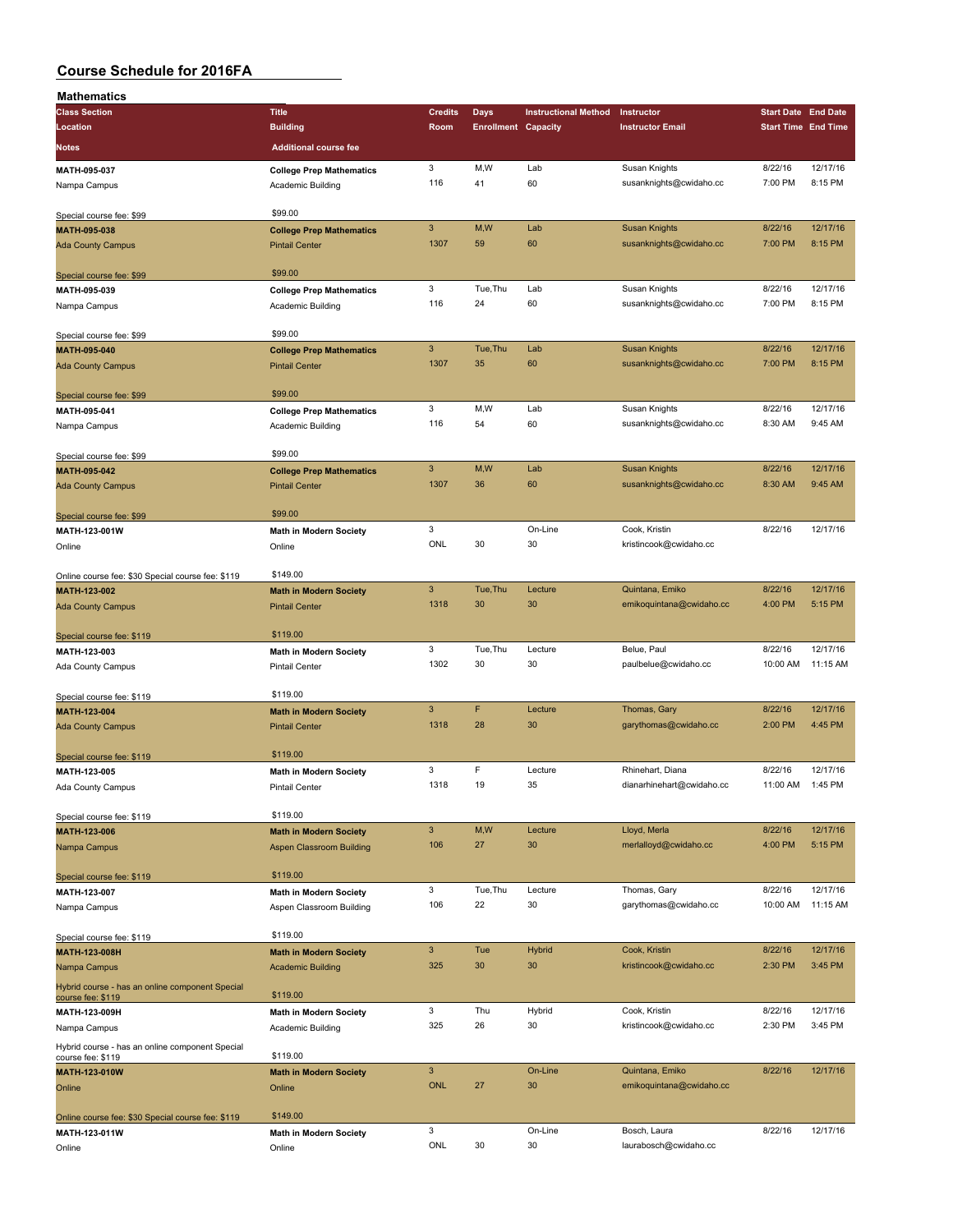| Mathematics                                       |                                                      |                |                            |                             |                           |                            |          |
|---------------------------------------------------|------------------------------------------------------|----------------|----------------------------|-----------------------------|---------------------------|----------------------------|----------|
| <b>Class Section</b>                              | <b>Title</b>                                         | <b>Credits</b> | Days                       | <b>Instructional Method</b> | Instructor                | <b>Start Date End Date</b> |          |
| Location                                          | <b>Building</b>                                      | Room           | <b>Enrollment Capacity</b> |                             | <b>Instructor Email</b>   | <b>Start Time End Time</b> |          |
| Notes                                             | <b>Additional course fee</b>                         |                |                            |                             |                           |                            |          |
|                                                   |                                                      | 3              | M, W                       | Lab                         | Susan Knights             | 8/22/16                    | 12/17/16 |
| MATH-095-037                                      | <b>College Prep Mathematics</b><br>Academic Building | 116            | 41                         | 60                          | susanknights@cwidaho.cc   | 7:00 PM                    | 8:15 PM  |
| Nampa Campus                                      |                                                      |                |                            |                             |                           |                            |          |
| Special course fee: \$99                          | \$99.00                                              |                |                            |                             |                           |                            |          |
| MATH-095-038                                      | <b>College Prep Mathematics</b>                      | $\mathbf{3}$   | M,W                        | Lab                         | <b>Susan Knights</b>      | 8/22/16                    | 12/17/16 |
| <b>Ada County Campus</b>                          | <b>Pintail Center</b>                                | 1307           | 59                         | 60                          | susanknights@cwidaho.cc   | 7:00 PM                    | 8:15 PM  |
|                                                   |                                                      |                |                            |                             |                           |                            |          |
| Special course fee: \$99                          | \$99.00                                              |                |                            |                             |                           |                            |          |
| MATH-095-039                                      | <b>College Prep Mathematics</b>                      | 3              | Tue, Thu                   | Lab                         | Susan Knights             | 8/22/16                    | 12/17/16 |
| Nampa Campus                                      | Academic Building                                    | 116            | 24                         | 60                          | susanknights@cwidaho.cc   | 7:00 PM                    | 8:15 PM  |
|                                                   |                                                      |                |                            |                             |                           |                            |          |
| Special course fee: \$99                          | \$99.00                                              |                |                            |                             |                           |                            |          |
| MATH-095-040                                      | <b>College Prep Mathematics</b>                      | $\mathbf{3}$   | Tue, Thu                   | Lab                         | <b>Susan Knights</b>      | 8/22/16                    | 12/17/16 |
| <b>Ada County Campus</b>                          | <b>Pintail Center</b>                                | 1307           | 35                         | 60                          | susanknights@cwidaho.cc   | 7:00 PM                    | 8:15 PM  |
|                                                   | \$99.00                                              |                |                            |                             |                           |                            |          |
| Special course fee: \$99<br>MATH-095-041          | <b>College Prep Mathematics</b>                      | 3              | M,W                        | Lab                         | Susan Knights             | 8/22/16                    | 12/17/16 |
| Nampa Campus                                      | Academic Building                                    | 116            | 54                         | 60                          | susanknights@cwidaho.cc   | 8:30 AM                    | 9:45 AM  |
|                                                   |                                                      |                |                            |                             |                           |                            |          |
| Special course fee: \$99                          | \$99.00                                              |                |                            |                             |                           |                            |          |
| MATH-095-042                                      | <b>College Prep Mathematics</b>                      | $\mathbf{3}$   | M,W                        | Lab                         | <b>Susan Knights</b>      | 8/22/16                    | 12/17/16 |
| <b>Ada County Campus</b>                          | <b>Pintail Center</b>                                | 1307           | 36                         | 60                          | susanknights@cwidaho.cc   | 8:30 AM                    | 9:45 AM  |
|                                                   |                                                      |                |                            |                             |                           |                            |          |
| Special course fee: \$99                          | \$99.00                                              |                |                            |                             |                           |                            |          |
| MATH-123-001W                                     | Math in Modern Society                               | 3              |                            | On-Line                     | Cook, Kristin             | 8/22/16                    | 12/17/16 |
| Online                                            | Online                                               | ONL            | 30                         | 30                          | kristincook@cwidaho.cc    |                            |          |
|                                                   |                                                      |                |                            |                             |                           |                            |          |
| Online course fee: \$30 Special course fee: \$119 | \$149.00                                             |                |                            |                             |                           |                            |          |
| MATH-123-002                                      | <b>Math in Modern Society</b>                        | $\mathbf{3}$   | Tue, Thu                   | Lecture                     | Quintana, Emiko           | 8/22/16                    | 12/17/16 |
| <b>Ada County Campus</b>                          | <b>Pintail Center</b>                                | 1318           | 30                         | 30                          | emikoquintana@cwidaho.cc  | 4:00 PM                    | 5:15 PM  |
|                                                   | \$119.00                                             |                |                            |                             |                           |                            |          |
| Special course fee: \$119<br>MATH-123-003         | <b>Math in Modern Society</b>                        | 3              | Tue, Thu                   | Lecture                     | Belue, Paul               | 8/22/16                    | 12/17/16 |
| Ada County Campus                                 | <b>Pintail Center</b>                                | 1302           | 30                         | 30                          | paulbelue@cwidaho.cc      | 10:00 AM                   | 11:15 AM |
|                                                   |                                                      |                |                            |                             |                           |                            |          |
| Special course fee: \$119                         | \$119.00                                             |                |                            |                             |                           |                            |          |
| MATH-123-004                                      | <b>Math in Modern Society</b>                        | $\overline{3}$ | F                          | Lecture                     | Thomas, Gary              | 8/22/16                    | 12/17/16 |
| <b>Ada County Campus</b>                          | <b>Pintail Center</b>                                | 1318           | 28                         | 30                          | garythomas@cwidaho.cc     | 2:00 PM                    | 4:45 PM  |
|                                                   |                                                      |                |                            |                             |                           |                            |          |
| Special course fee: \$119                         | \$119.00                                             |                |                            |                             |                           |                            |          |
| MATH-123-005                                      | <b>Math in Modern Society</b>                        | 3              | F                          | Lecture                     | Rhinehart, Diana          | 8/22/16                    | 12/17/16 |
| Ada County Campus                                 | <b>Pintail Center</b>                                | 1318           | 19                         | 35                          | dianarhinehart@cwidaho.cc | 11:00 AM                   | 1:45 PM  |
|                                                   |                                                      |                |                            |                             |                           |                            |          |
| Special course fee: \$119                         | \$119.00                                             | $\mathbf{3}$   | M,W                        | Lecture                     | Lloyd, Merla              | 8/22/16                    | 12/17/16 |
| MATH-123-006                                      | <b>Math in Modern Society</b>                        | 106            | 27                         | 30                          | merlalloyd@cwidaho.cc     | 4:00 PM                    | 5:15 PM  |
| Nampa Campus                                      | Aspen Classroom Building                             |                |                            |                             |                           |                            |          |
| Special course fee: \$119                         | \$119.00                                             |                |                            |                             |                           |                            |          |
| MATH-123-007                                      | <b>Math in Modern Society</b>                        | 3              | Tue, Thu                   | Lecture                     | Thomas, Gary              | 8/22/16                    | 12/17/16 |
| Nampa Campus                                      | Aspen Classroom Building                             | 106            | 22                         | 30                          | garythomas@cwidaho.cc     | 10:00 AM                   | 11:15 AM |
|                                                   |                                                      |                |                            |                             |                           |                            |          |
| Special course fee: \$119                         | \$119.00                                             |                |                            |                             |                           |                            |          |
| MATH-123-008H                                     | <b>Math in Modern Society</b>                        | $\mathbf{3}$   | Tue                        | <b>Hybrid</b>               | Cook, Kristin             | 8/22/16                    | 12/17/16 |
| Nampa Campus                                      | <b>Academic Building</b>                             | 325            | 30                         | 30                          | kristincook@cwidaho.cc    | 2:30 PM                    | 3:45 PM  |
| Hybrid course - has an online component Special   |                                                      |                |                            |                             |                           |                            |          |
| course fee: \$119                                 | \$119.00                                             |                |                            |                             |                           |                            |          |
| MATH-123-009H                                     | <b>Math in Modern Society</b>                        | 3              | Thu                        | Hybrid                      | Cook, Kristin             | 8/22/16                    | 12/17/16 |
| Nampa Campus                                      | Academic Building                                    | 325            | 26                         | 30                          | kristincook@cwidaho.cc    | 2:30 PM                    | 3:45 PM  |
| Hybrid course - has an online component Special   | \$119.00                                             |                |                            |                             |                           |                            |          |
| course fee: \$119                                 |                                                      | $\mathbf{3}$   |                            | On-Line                     | Quintana, Emiko           | 8/22/16                    | 12/17/16 |
| MATH-123-010W<br>Online                           | <b>Math in Modern Society</b>                        | <b>ONL</b>     | 27                         | 30                          | emikoquintana@cwidaho.cc  |                            |          |
|                                                   | Online                                               |                |                            |                             |                           |                            |          |
| Online course fee: \$30 Special course fee: \$119 | \$149.00                                             |                |                            |                             |                           |                            |          |
| MATH-123-011W                                     | <b>Math in Modern Society</b>                        | 3              |                            | On-Line                     | Bosch, Laura              | 8/22/16                    | 12/17/16 |
| Online                                            | Online                                               | ONL            | 30                         | 30                          | laurabosch@cwidaho.cc     |                            |          |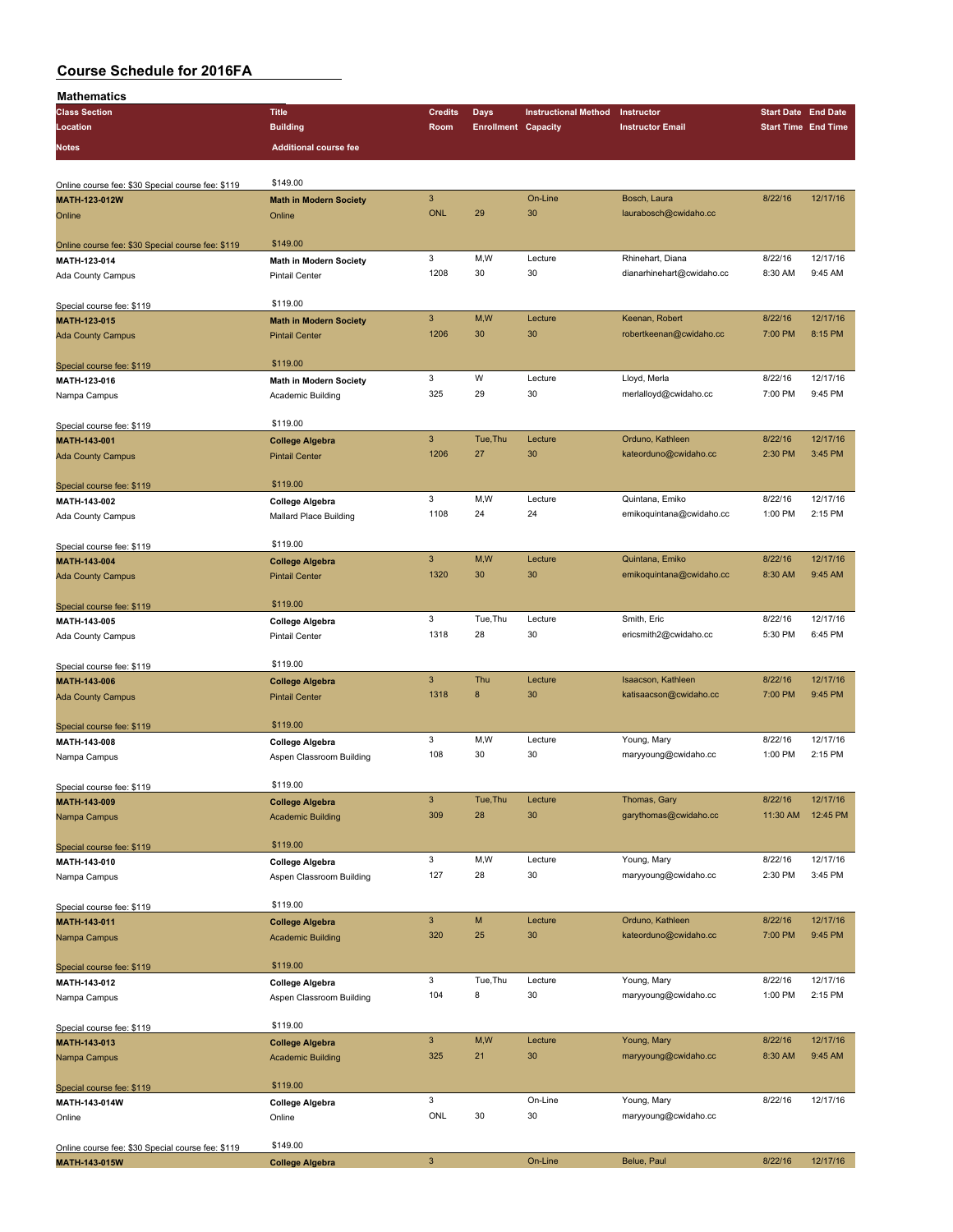| Mathematics                                       |                                                    |                |                            |                             |                           |                            |          |
|---------------------------------------------------|----------------------------------------------------|----------------|----------------------------|-----------------------------|---------------------------|----------------------------|----------|
| <b>Class Section</b>                              | <b>Title</b>                                       | <b>Credits</b> | <b>Days</b>                | <b>Instructional Method</b> | Instructor                | <b>Start Date End Date</b> |          |
| Location                                          | <b>Building</b>                                    | Room           | <b>Enrollment Capacity</b> |                             | <b>Instructor Email</b>   | <b>Start Time End Time</b> |          |
| Notes                                             | <b>Additional course fee</b>                       |                |                            |                             |                           |                            |          |
|                                                   |                                                    |                |                            |                             |                           |                            |          |
|                                                   | \$149.00                                           |                |                            |                             |                           |                            |          |
| Online course fee: \$30 Special course fee: \$119 |                                                    | 3              |                            | On-Line                     | Bosch, Laura              | 8/22/16                    | 12/17/16 |
| MATH-123-012W<br>Online                           | <b>Math in Modern Society</b>                      | <b>ONL</b>     | 29                         | 30                          | laurabosch@cwidaho.cc     |                            |          |
|                                                   | Online                                             |                |                            |                             |                           |                            |          |
| Online course fee: \$30 Special course fee: \$119 | \$149.00                                           |                |                            |                             |                           |                            |          |
| MATH-123-014                                      | <b>Math in Modern Society</b>                      | 3              | M,W                        | Lecture                     | Rhinehart, Diana          | 8/22/16                    | 12/17/16 |
| Ada County Campus                                 | <b>Pintail Center</b>                              | 1208           | 30                         | 30                          | dianarhinehart@cwidaho.cc | 8:30 AM                    | 9:45 AM  |
|                                                   |                                                    |                |                            |                             |                           |                            |          |
| Special course fee: \$119                         | \$119.00                                           |                |                            |                             |                           |                            |          |
| MATH-123-015                                      | <b>Math in Modern Society</b>                      | 3              | M,W                        | Lecture                     | Keenan, Robert            | 8/22/16                    | 12/17/16 |
| <b>Ada County Campus</b>                          | <b>Pintail Center</b>                              | 1206           | 30                         | 30                          | robertkeenan@cwidaho.cc   | 7:00 PM                    | 8:15 PM  |
|                                                   |                                                    |                |                            |                             |                           |                            |          |
| Special course fee: \$119                         | \$119.00                                           |                |                            |                             |                           |                            |          |
| MATH-123-016                                      | Math in Modern Society                             | 3              | W                          | Lecture                     | Lloyd, Merla              | 8/22/16                    | 12/17/16 |
| Nampa Campus                                      | Academic Building                                  | 325            | 29                         | 30                          | merlalloyd@cwidaho.cc     | 7:00 PM                    | 9:45 PM  |
|                                                   |                                                    |                |                            |                             |                           |                            |          |
| Special course fee: \$119                         | \$119.00                                           |                |                            |                             |                           |                            |          |
| MATH-143-001                                      | <b>College Algebra</b>                             | 3              | Tue, Thu                   | Lecture                     | Orduno, Kathleen          | 8/22/16                    | 12/17/16 |
| <b>Ada County Campus</b>                          | <b>Pintail Center</b>                              | 1206           | 27                         | 30                          | kateorduno@cwidaho.cc     | 2:30 PM                    | 3:45 PM  |
|                                                   |                                                    |                |                            |                             |                           |                            |          |
| Special course fee: \$119                         | \$119.00                                           |                |                            |                             |                           |                            |          |
| MATH-143-002                                      | <b>College Algebra</b>                             | 3              | M,W                        | Lecture                     | Quintana, Emiko           | 8/22/16                    | 12/17/16 |
| Ada County Campus                                 | Mallard Place Building                             | 1108           | 24                         | 24                          | emikoquintana@cwidaho.cc  | 1:00 PM                    | 2:15 PM  |
|                                                   |                                                    |                |                            |                             |                           |                            |          |
| Special course fee: \$119                         | \$119.00                                           |                |                            |                             |                           |                            |          |
| MATH-143-004                                      | <b>College Algebra</b>                             | 3              | M,W                        | Lecture                     | Quintana, Emiko           | 8/22/16                    | 12/17/16 |
| <b>Ada County Campus</b>                          | <b>Pintail Center</b>                              | 1320           | 30                         | 30                          | emikoquintana@cwidaho.cc  | 8:30 AM                    | 9:45 AM  |
|                                                   |                                                    |                |                            |                             |                           |                            |          |
| Special course fee: \$119                         | \$119.00                                           |                |                            |                             |                           |                            |          |
| MATH-143-005                                      | College Algebra                                    | 3              | Tue, Thu                   | Lecture                     | Smith, Eric               | 8/22/16                    | 12/17/16 |
| Ada County Campus                                 | <b>Pintail Center</b>                              | 1318           | 28                         | 30                          | ericsmith2@cwidaho.cc     | 5:30 PM                    | 6:45 PM  |
|                                                   |                                                    |                |                            |                             |                           |                            |          |
| Special course fee: \$119                         | \$119.00                                           |                |                            |                             |                           |                            |          |
| MATH-143-006                                      | <b>College Algebra</b>                             | $\mathbf{3}$   | Thu                        | Lecture                     | Isaacson, Kathleen        | 8/22/16                    | 12/17/16 |
| <b>Ada County Campus</b>                          | <b>Pintail Center</b>                              | 1318           | 8                          | 30                          | katisaacson@cwidaho.cc    | 7:00 PM                    | 9:45 PM  |
|                                                   | \$119.00                                           |                |                            |                             |                           |                            |          |
| Special course fee: \$119                         |                                                    | 3              | M,W                        | Lecture                     | Young, Mary               | 8/22/16                    | 12/17/16 |
| MATH-143-008                                      | <b>College Algebra</b><br>Aspen Classroom Building | 108            | 30                         | 30                          | maryyoung@cwidaho.cc      | 1:00 PM                    | 2:15 PM  |
| Nampa Campus                                      |                                                    |                |                            |                             |                           |                            |          |
| Special course fee: \$119                         | \$119.00                                           |                |                            |                             |                           |                            |          |
| MATH-143-009                                      | <b>College Algebra</b>                             | 3              | Tue, Thu                   | Lecture                     | Thomas, Gary              | 8/22/16                    | 12/17/16 |
| Nampa Campus                                      | <b>Academic Building</b>                           | 309            | 28                         | 30                          | garythomas@cwidaho.cc     | 11:30 AM                   | 12:45 PM |
|                                                   |                                                    |                |                            |                             |                           |                            |          |
| Special course fee: \$119                         | \$119.00                                           |                |                            |                             |                           |                            |          |
| MATH-143-010                                      | <b>College Algebra</b>                             | 3              | M,W                        | Lecture                     | Young, Mary               | 8/22/16                    | 12/17/16 |
| Nampa Campus                                      | Aspen Classroom Building                           | 127            | 28                         | 30                          | maryyoung@cwidaho.cc      | 2:30 PM                    | 3:45 PM  |
|                                                   |                                                    |                |                            |                             |                           |                            |          |
| Special course fee: \$119                         | \$119.00                                           |                |                            |                             |                           |                            |          |
| MATH-143-011                                      | <b>College Algebra</b>                             | $\mathbf{3}$   | M                          | Lecture                     | Orduno, Kathleen          | 8/22/16                    | 12/17/16 |
| Nampa Campus                                      | <b>Academic Building</b>                           | 320            | 25                         | 30                          | kateorduno@cwidaho.cc     | 7:00 PM                    | 9:45 PM  |
|                                                   |                                                    |                |                            |                             |                           |                            |          |
| Special course fee: \$119                         | \$119.00                                           |                |                            |                             |                           |                            |          |
| MATH-143-012                                      | College Algebra                                    | 3              | Tue, Thu                   | Lecture                     | Young, Mary               | 8/22/16                    | 12/17/16 |
| Nampa Campus                                      | Aspen Classroom Building                           | 104            | 8                          | 30                          | maryyoung@cwidaho.cc      | 1:00 PM                    | 2:15 PM  |
|                                                   |                                                    |                |                            |                             |                           |                            |          |
| Special course fee: \$119                         | \$119.00                                           |                |                            |                             |                           |                            |          |
| MATH-143-013                                      | <b>College Algebra</b>                             | $\mathbf{3}$   | M,W                        | Lecture                     | Young, Mary               | 8/22/16                    | 12/17/16 |
| Nampa Campus                                      | <b>Academic Building</b>                           | 325            | 21                         | 30                          | maryyoung@cwidaho.cc      | 8:30 AM                    | 9:45 AM  |
|                                                   |                                                    |                |                            |                             |                           |                            |          |
| Special course fee: \$119                         | \$119.00                                           |                |                            |                             |                           |                            |          |
| MATH-143-014W                                     | College Algebra                                    | 3              |                            | On-Line                     | Young, Mary               | 8/22/16                    | 12/17/16 |
| Online                                            | Online                                             | ONL            | 30                         | 30                          | maryyoung@cwidaho.cc      |                            |          |
|                                                   |                                                    |                |                            |                             |                           |                            |          |
| Online course fee: \$30 Special course fee: \$119 | \$149.00                                           |                |                            |                             |                           |                            |          |
| MATH-143-015W                                     | <b>College Algebra</b>                             | $\mathbf{3}$   |                            | On-Line                     | Belue, Paul               | 8/22/16                    | 12/17/16 |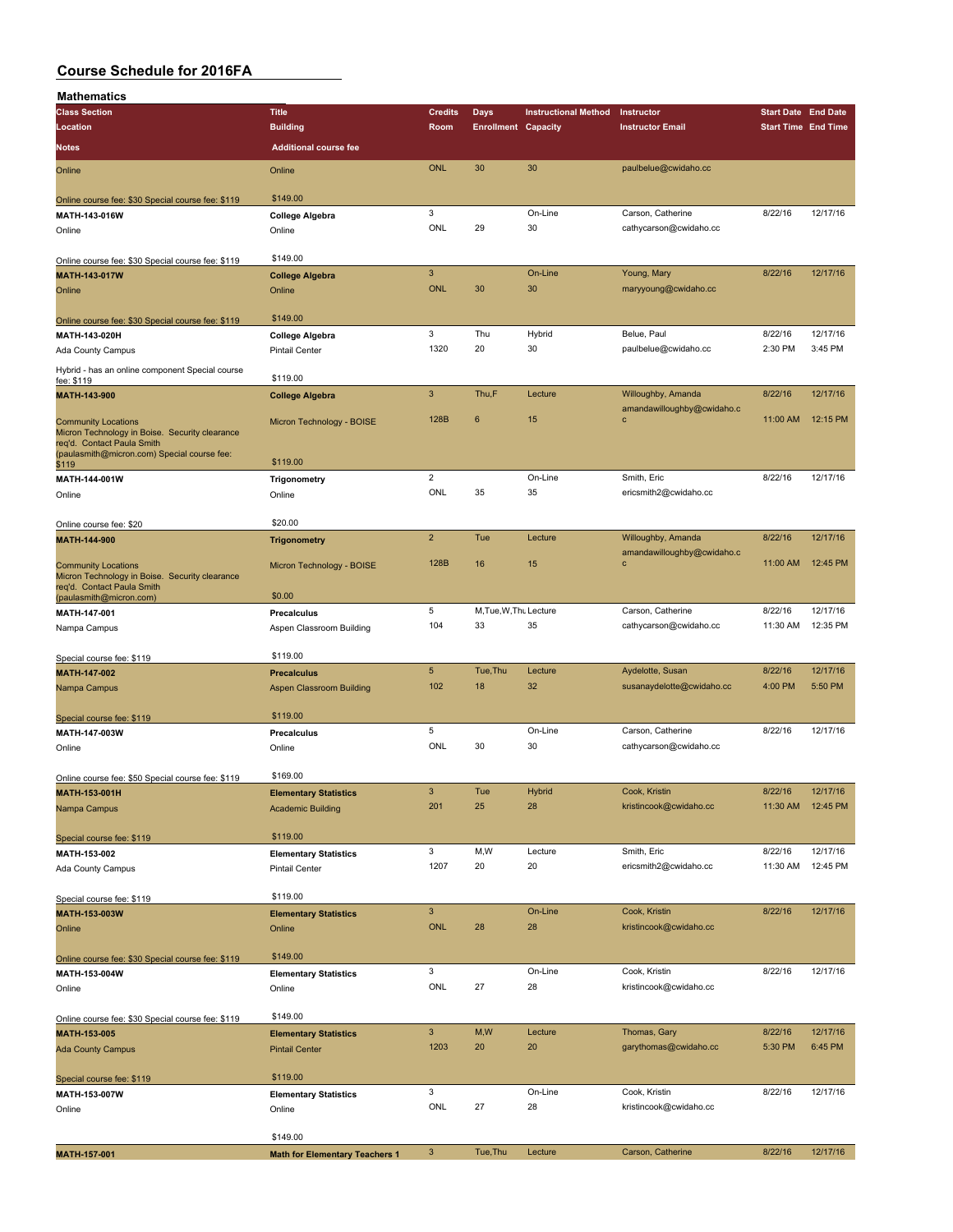| <b>Mathematics</b>                                                           |                                       |                            |                            |                             |                                             |                            |          |
|------------------------------------------------------------------------------|---------------------------------------|----------------------------|----------------------------|-----------------------------|---------------------------------------------|----------------------------|----------|
| <b>Class Section</b>                                                         | <b>Title</b>                          | <b>Credits</b>             | Days                       | <b>Instructional Method</b> | Instructor                                  | <b>Start Date End Date</b> |          |
| Location                                                                     | <b>Building</b>                       | Room                       | <b>Enrollment Capacity</b> |                             | <b>Instructor Email</b>                     | <b>Start Time End Time</b> |          |
| <b>Notes</b>                                                                 | <b>Additional course fee</b>          |                            |                            |                             |                                             |                            |          |
| Online                                                                       | Online                                | <b>ONL</b>                 | 30                         | 30                          | paulbelue@cwidaho.cc                        |                            |          |
|                                                                              |                                       |                            |                            |                             |                                             |                            |          |
| Online course fee: \$30 Special course fee: \$119                            | \$149.00                              |                            |                            |                             |                                             |                            |          |
| MATH-143-016W                                                                | College Algebra                       | 3                          |                            | On-Line                     | Carson, Catherine                           | 8/22/16                    | 12/17/16 |
| Online                                                                       | Online                                | ONL                        | 29                         | 30                          | cathycarson@cwidaho.cc                      |                            |          |
|                                                                              |                                       |                            |                            |                             |                                             |                            |          |
| Online course fee: \$30 Special course fee: \$119                            | \$149.00                              |                            |                            |                             |                                             |                            |          |
| MATH-143-017W                                                                | <b>College Algebra</b>                | $\mathbf{3}$<br><b>ONL</b> | 30                         | On-Line<br>30               | Young, Mary                                 | 8/22/16                    | 12/17/16 |
| Online                                                                       | Online                                |                            |                            |                             | maryyoung@cwidaho.cc                        |                            |          |
| Online course fee: \$30 Special course fee: \$119                            | \$149.00                              |                            |                            |                             |                                             |                            |          |
| MATH-143-020H                                                                | College Algebra                       | 3                          | Thu                        | Hybrid                      | Belue, Paul                                 | 8/22/16                    | 12/17/16 |
| Ada County Campus                                                            | <b>Pintail Center</b>                 | 1320                       | 20                         | 30                          | paulbelue@cwidaho.cc                        | 2:30 PM                    | 3:45 PM  |
|                                                                              |                                       |                            |                            |                             |                                             |                            |          |
| Hybrid - has an online component Special course<br>fee: \$119                | \$119.00                              |                            |                            |                             |                                             |                            |          |
| MATH-143-900                                                                 | <b>College Algebra</b>                | $\sqrt{3}$                 | Thu,F                      | Lecture                     | Willoughby, Amanda                          | 8/22/16                    | 12/17/16 |
|                                                                              |                                       |                            |                            |                             | amandawilloughby@cwidaho.c                  |                            |          |
| <b>Community Locations</b><br>Micron Technology in Boise. Security clearance | Micron Technology - BOISE             | 128B                       | $6\phantom{1}$             | 15                          | с                                           | 11:00 AM                   | 12:15 PM |
| req'd. Contact Paula Smith                                                   |                                       |                            |                            |                             |                                             |                            |          |
| (paulasmith@micron.com) Special course fee:<br>\$119                         | \$119.00                              |                            |                            |                             |                                             |                            |          |
| MATH-144-001W                                                                | Trigonometry                          | $\mathbf 2$                |                            | On-Line                     | Smith, Eric                                 | 8/22/16                    | 12/17/16 |
| Online                                                                       | Online                                | ONL                        | 35                         | 35                          | ericsmith2@cwidaho.cc                       |                            |          |
|                                                                              |                                       |                            |                            |                             |                                             |                            |          |
| Online course fee: \$20                                                      | \$20.00                               |                            |                            |                             |                                             |                            |          |
| MATH-144-900                                                                 | <b>Trigonometry</b>                   | $\overline{2}$             | Tue                        | Lecture                     | Willoughby, Amanda                          | 8/22/16                    | 12/17/16 |
|                                                                              |                                       |                            |                            |                             | amandawilloughby@cwidaho.c                  |                            |          |
| <b>Community Locations</b><br>Micron Technology in Boise. Security clearance | Micron Technology - BOISE             | 128B                       | 16                         | 15                          | $\overline{c}$                              | 11:00 AM                   | 12:45 PM |
| req'd. Contact Paula Smith                                                   |                                       |                            |                            |                             |                                             |                            |          |
| (paulasmith@micron.com)                                                      | \$0.00                                | 5                          | M, Tue, W, Thu Lecture     |                             |                                             | 8/22/16                    | 12/17/16 |
| MATH-147-001                                                                 | Precalculus                           | 104                        | 33                         | 35                          | Carson, Catherine<br>cathycarson@cwidaho.cc | 11:30 AM                   | 12:35 PM |
| Nampa Campus                                                                 | Aspen Classroom Building              |                            |                            |                             |                                             |                            |          |
| Special course fee: \$119                                                    | \$119.00                              |                            |                            |                             |                                             |                            |          |
| MATH-147-002                                                                 | <b>Precalculus</b>                    | $5\phantom{.0}$            | Tue, Thu                   | Lecture                     | Aydelotte, Susan                            | 8/22/16                    | 12/17/16 |
| Nampa Campus                                                                 | Aspen Classroom Building              | 102                        | 18                         | 32                          | susanaydelotte@cwidaho.cc                   | 4:00 PM                    | 5:50 PM  |
|                                                                              |                                       |                            |                            |                             |                                             |                            |          |
| Special course fee: \$119                                                    | \$119.00                              |                            |                            |                             |                                             |                            |          |
| MATH-147-003W                                                                | Precalculus                           | 5                          |                            | On-Line                     | Carson, Catherine                           | 8/22/16                    | 12/17/16 |
| Online                                                                       | Online                                | ONL                        | 30                         | 30                          | cathycarson@cwidaho.cc                      |                            |          |
|                                                                              |                                       |                            |                            |                             |                                             |                            |          |
| Online course fee: \$50 Special course fee: \$119                            | \$169.00                              |                            |                            |                             |                                             |                            |          |
| MATH-153-001H                                                                | <b>Elementary Statistics</b>          | 3                          | Tue                        | Hybrid                      | Cook, Kristin                               | 8/22/16                    | 12/17/16 |
| Nampa Campus                                                                 | <b>Academic Building</b>              | 201                        | 25                         | 28                          | kristincook@cwidaho.cc                      | 11:30 AM  12:45 PM         |          |
|                                                                              | \$119.00                              |                            |                            |                             |                                             |                            |          |
| Special course fee: \$119<br>MATH-153-002                                    | <b>Elementary Statistics</b>          | 3                          | M,W                        | Lecture                     | Smith, Eric                                 | 8/22/16                    | 12/17/16 |
| Ada County Campus                                                            | Pintail Center                        | 1207                       | 20                         | 20                          | ericsmith2@cwidaho.cc                       | 11:30 AM                   | 12:45 PM |
|                                                                              |                                       |                            |                            |                             |                                             |                            |          |
| Special course fee: \$119                                                    | \$119.00                              |                            |                            |                             |                                             |                            |          |
| MATH-153-003W                                                                | <b>Elementary Statistics</b>          | $\mathbf{3}$               |                            | On-Line                     | Cook, Kristin                               | 8/22/16                    | 12/17/16 |
| Online                                                                       | Online                                | <b>ONL</b>                 | 28                         | 28                          | kristincook@cwidaho.cc                      |                            |          |
|                                                                              |                                       |                            |                            |                             |                                             |                            |          |
| Online course fee: \$30 Special course fee: \$119                            | \$149.00                              |                            |                            |                             |                                             |                            |          |
| MATH-153-004W                                                                | <b>Elementary Statistics</b>          | 3                          |                            | On-Line                     | Cook, Kristin                               | 8/22/16                    | 12/17/16 |
| Online                                                                       | Online                                | ONL                        | 27                         | 28                          | kristincook@cwidaho.cc                      |                            |          |
|                                                                              |                                       |                            |                            |                             |                                             |                            |          |
| Online course fee: \$30 Special course fee: \$119                            | \$149.00                              | $\mathbf{3}$               | M,W                        |                             |                                             | 8/22/16                    | 12/17/16 |
| MATH-153-005                                                                 | <b>Elementary Statistics</b>          | 1203                       | 20                         | Lecture<br>20               | Thomas, Gary<br>garythomas@cwidaho.cc       | 5:30 PM                    | 6:45 PM  |
| <b>Ada County Campus</b>                                                     | <b>Pintail Center</b>                 |                            |                            |                             |                                             |                            |          |
| Special course fee: \$119                                                    | \$119.00                              |                            |                            |                             |                                             |                            |          |
| MATH-153-007W                                                                | <b>Elementary Statistics</b>          | 3                          |                            | On-Line                     | Cook, Kristin                               | 8/22/16                    | 12/17/16 |
| Online                                                                       | Online                                | ONL                        | 27                         | 28                          | kristincook@cwidaho.cc                      |                            |          |
|                                                                              |                                       |                            |                            |                             |                                             |                            |          |
|                                                                              | \$149.00                              |                            |                            |                             |                                             |                            |          |
| <b>MATH-157-001</b>                                                          | <b>Math for Elementary Teachers 1</b> | $\mathbf{3}$               | Tue, Thu                   | Lecture                     | Carson, Catherine                           | 8/22/16                    | 12/17/16 |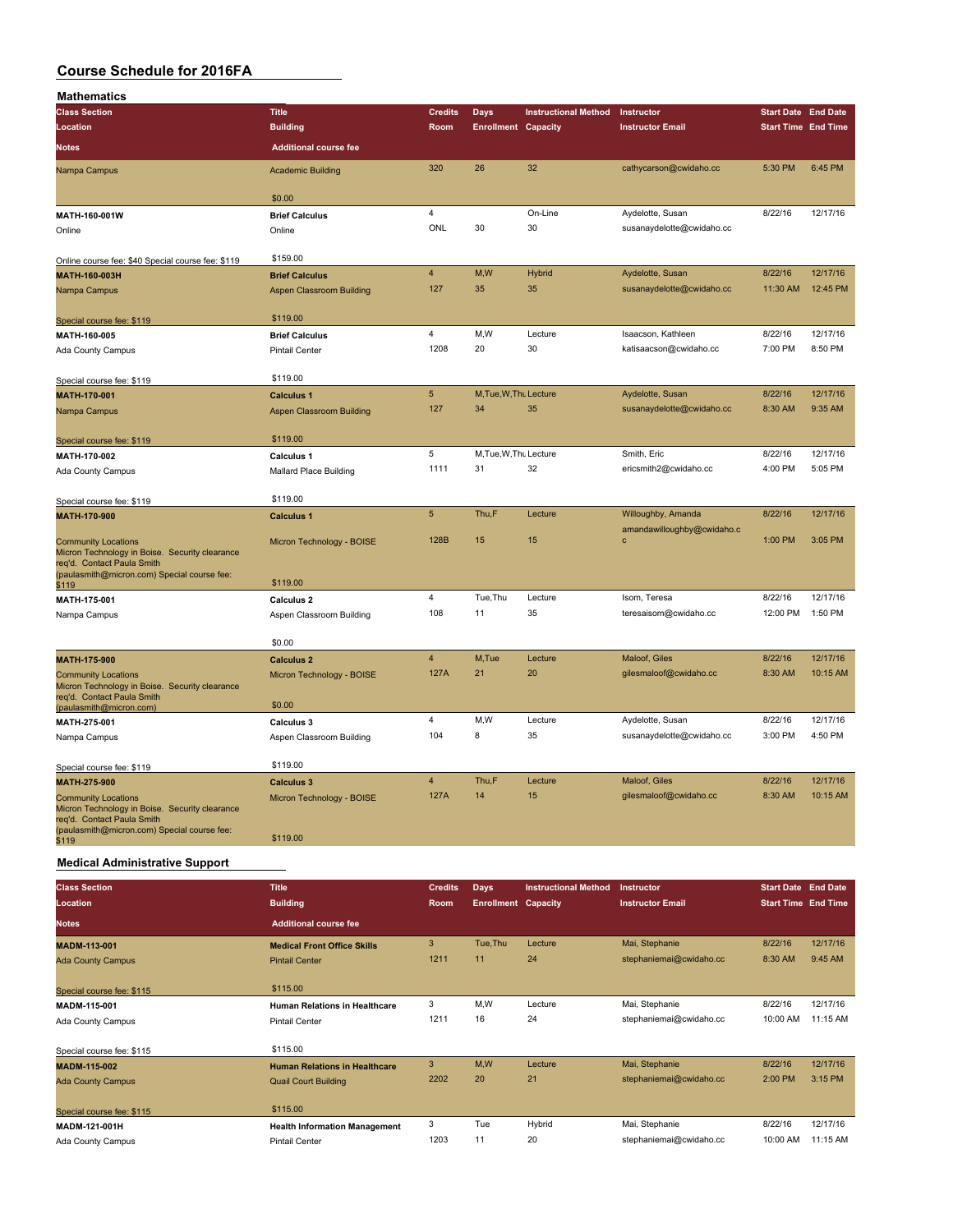| <b>Mathematics</b>                                                                                                                                        |                                 |                         |                            |                             |                                                  |                            |          |
|-----------------------------------------------------------------------------------------------------------------------------------------------------------|---------------------------------|-------------------------|----------------------------|-----------------------------|--------------------------------------------------|----------------------------|----------|
| <b>Class Section</b>                                                                                                                                      | <b>Title</b>                    | <b>Credits</b>          | Days                       | <b>Instructional Method</b> | Instructor                                       | <b>Start Date End Date</b> |          |
| Location                                                                                                                                                  | <b>Building</b>                 | Room                    | <b>Enrollment Capacity</b> |                             | <b>Instructor Email</b>                          | <b>Start Time End Time</b> |          |
| Notes                                                                                                                                                     | <b>Additional course fee</b>    |                         |                            |                             |                                                  |                            |          |
| Nampa Campus                                                                                                                                              | <b>Academic Building</b>        | 320                     | 26                         | 32                          | cathycarson@cwidaho.cc                           | 5:30 PM                    | 6:45 PM  |
|                                                                                                                                                           | \$0.00                          |                         |                            |                             |                                                  |                            |          |
| MATH-160-001W                                                                                                                                             | <b>Brief Calculus</b>           | $\overline{4}$          |                            | On-Line                     | Aydelotte, Susan                                 | 8/22/16                    | 12/17/16 |
| Online                                                                                                                                                    | Online                          | ONL                     | 30                         | 30                          | susanaydelotte@cwidaho.cc                        |                            |          |
| Online course fee: \$40 Special course fee: \$119                                                                                                         | \$159.00                        |                         |                            |                             |                                                  |                            |          |
| <b>MATH-160-003H</b>                                                                                                                                      | <b>Brief Calculus</b>           | $\overline{4}$          | M,W                        | <b>Hybrid</b>               | Aydelotte, Susan                                 | 8/22/16                    | 12/17/16 |
| Nampa Campus                                                                                                                                              | Aspen Classroom Building        | 127                     | 35                         | 35                          | susanaydelotte@cwidaho.cc                        | 11:30 AM                   | 12:45 PM |
| Special course fee: \$119                                                                                                                                 | \$119.00                        |                         |                            |                             |                                                  |                            |          |
| MATH-160-005                                                                                                                                              | <b>Brief Calculus</b>           | $\overline{\mathbf{4}}$ | M,W                        | Lecture                     | Isaacson, Kathleen                               | 8/22/16                    | 12/17/16 |
| Ada County Campus                                                                                                                                         | <b>Pintail Center</b>           | 1208                    | 20                         | 30                          | katisaacson@cwidaho.cc                           | 7:00 PM                    | 8:50 PM  |
| Special course fee: \$119                                                                                                                                 | \$119.00                        |                         |                            |                             |                                                  |                            |          |
| MATH-170-001                                                                                                                                              | <b>Calculus 1</b>               | $\overline{5}$          | M, Tue, W, Thu Lecture     |                             | Aydelotte, Susan                                 | 8/22/16                    | 12/17/16 |
| Nampa Campus                                                                                                                                              | <b>Aspen Classroom Building</b> | 127                     | 34                         | 35                          | susanaydelotte@cwidaho.cc                        | 8:30 AM                    | 9:35 AM  |
| Special course fee: \$119                                                                                                                                 | \$119.00                        |                         |                            |                             |                                                  |                            |          |
| MATH-170-002                                                                                                                                              | Calculus 1                      | 5                       | M, Tue, W, Thu Lecture     |                             | Smith, Eric                                      | 8/22/16                    | 12/17/16 |
| Ada County Campus                                                                                                                                         | Mallard Place Building          | 1111                    | 31                         | 32                          | ericsmith2@cwidaho.cc                            | 4:00 PM                    | 5:05 PM  |
| Special course fee: \$119                                                                                                                                 | \$119.00                        |                         |                            |                             |                                                  |                            |          |
| MATH-170-900                                                                                                                                              | <b>Calculus 1</b>               | $\sqrt{5}$              | Thu,F                      | Lecture                     | Willoughby, Amanda<br>amandawilloughby@cwidaho.c | 8/22/16                    | 12/17/16 |
| <b>Community Locations</b><br>Micron Technology in Boise. Security clearance<br>req'd. Contact Paula Smith                                                | Micron Technology - BOISE       | 128B                    | 15                         | 15                          | $\mathbf c$                                      | 1:00 PM                    | 3:05 PM  |
| (paulasmith@micron.com) Special course fee:<br>\$119                                                                                                      | \$119.00                        |                         |                            |                             |                                                  |                            |          |
| MATH-175-001                                                                                                                                              | Calculus <sub>2</sub>           | 4                       | Tue, Thu                   | Lecture                     | Isom, Teresa                                     | 8/22/16                    | 12/17/16 |
| Nampa Campus                                                                                                                                              | Aspen Classroom Building        | 108                     | 11                         | 35                          | teresaisom@cwidaho.cc                            | 12:00 PM                   | 1:50 PM  |
|                                                                                                                                                           | \$0.00                          |                         |                            |                             |                                                  |                            |          |
| MATH-175-900                                                                                                                                              | <b>Calculus 2</b>               | $\overline{4}$          | M,Tue                      | Lecture                     | Maloof, Giles                                    | 8/22/16                    | 12/17/16 |
| <b>Community Locations</b><br>Micron Technology in Boise. Security clearance<br>req'd. Contact Paula Smith                                                | Micron Technology - BOISE       | 127A                    | 21                         | 20                          | gilesmaloof@cwidaho.cc                           | 8:30 AM                    | 10:15 AM |
| (paulasmith@micron.com)                                                                                                                                   | \$0.00                          |                         |                            |                             |                                                  |                            |          |
| MATH-275-001                                                                                                                                              | Calculus 3                      | $\overline{\mathbf{4}}$ | M,W                        | Lecture                     | Aydelotte, Susan                                 | 8/22/16                    | 12/17/16 |
| Nampa Campus                                                                                                                                              | Aspen Classroom Building        | 104                     | 8                          | 35                          | susanaydelotte@cwidaho.cc                        | 3:00 PM                    | 4:50 PM  |
| Special course fee: \$119                                                                                                                                 | \$119.00                        |                         |                            |                             |                                                  |                            |          |
| MATH-275-900                                                                                                                                              | <b>Calculus 3</b>               | $\overline{4}$          | Thu.F                      | Lecture                     | Maloof, Giles                                    | 8/22/16                    | 12/17/16 |
| <b>Community Locations</b><br>Micron Technology in Boise. Security clearance<br>req'd. Contact Paula Smith<br>(paulasmith@micron.com) Special course fee: | Micron Technology - BOISE       | 127A                    | 14                         | 15                          | gilesmaloof@cwidaho.cc                           | 8:30 AM                    | 10:15 AM |
| \$119                                                                                                                                                     | \$119.00                        |                         |                            |                             |                                                  |                            |          |

### **Medical Administrative Support**

| <b>Class Section</b>      | <b>Title</b>                         | <b>Credits</b> | Days                       | <b>Instructional Method</b> | Instructor              | <b>Start Date End Date</b> |          |
|---------------------------|--------------------------------------|----------------|----------------------------|-----------------------------|-------------------------|----------------------------|----------|
| Location                  | <b>Building</b>                      | Room           | <b>Enrollment Capacity</b> |                             | <b>Instructor Email</b> | <b>Start Time End Time</b> |          |
| <b>Notes</b>              | <b>Additional course fee</b>         |                |                            |                             |                         |                            |          |
| <b>MADM-113-001</b>       | <b>Medical Front Office Skills</b>   | 3              | Tue, Thu                   | Lecture                     | Mai, Stephanie          | 8/22/16                    | 12/17/16 |
| <b>Ada County Campus</b>  | <b>Pintail Center</b>                | 1211           | 11                         | 24                          | stephaniemai@cwidaho.cc | 8:30 AM                    | 9:45 AM  |
| Special course fee: \$115 | \$115.00                             |                |                            |                             |                         |                            |          |
| MADM-115-001              | <b>Human Relations in Healthcare</b> | 3              | M,W                        | Lecture                     | Mai, Stephanie          | 8/22/16                    | 12/17/16 |
| Ada County Campus         | <b>Pintail Center</b>                | 1211           | 16                         | 24                          | stephaniemai@cwidaho.cc | 10:00 AM                   | 11:15 AM |
| Special course fee: \$115 | \$115.00                             |                |                            |                             |                         |                            |          |
| <b>MADM-115-002</b>       | <b>Human Relations in Healthcare</b> | 3              | M,W                        | Lecture                     | Mai, Stephanie          | 8/22/16                    | 12/17/16 |
| <b>Ada County Campus</b>  | <b>Quail Court Building</b>          | 2202           | 20                         | 21                          | stephaniemai@cwidaho.cc | 2:00 PM                    | 3:15 PM  |
| Special course fee: \$115 | \$115.00                             |                |                            |                             |                         |                            |          |
| MADM-121-001H             | <b>Health Information Management</b> | 3              | Tue                        | Hybrid                      | Mai, Stephanie          | 8/22/16                    | 12/17/16 |
| Ada County Campus         | <b>Pintail Center</b>                | 1203           | 11                         | 20                          | stephaniemai@cwidaho.cc | 10:00 AM                   | 11:15 AM |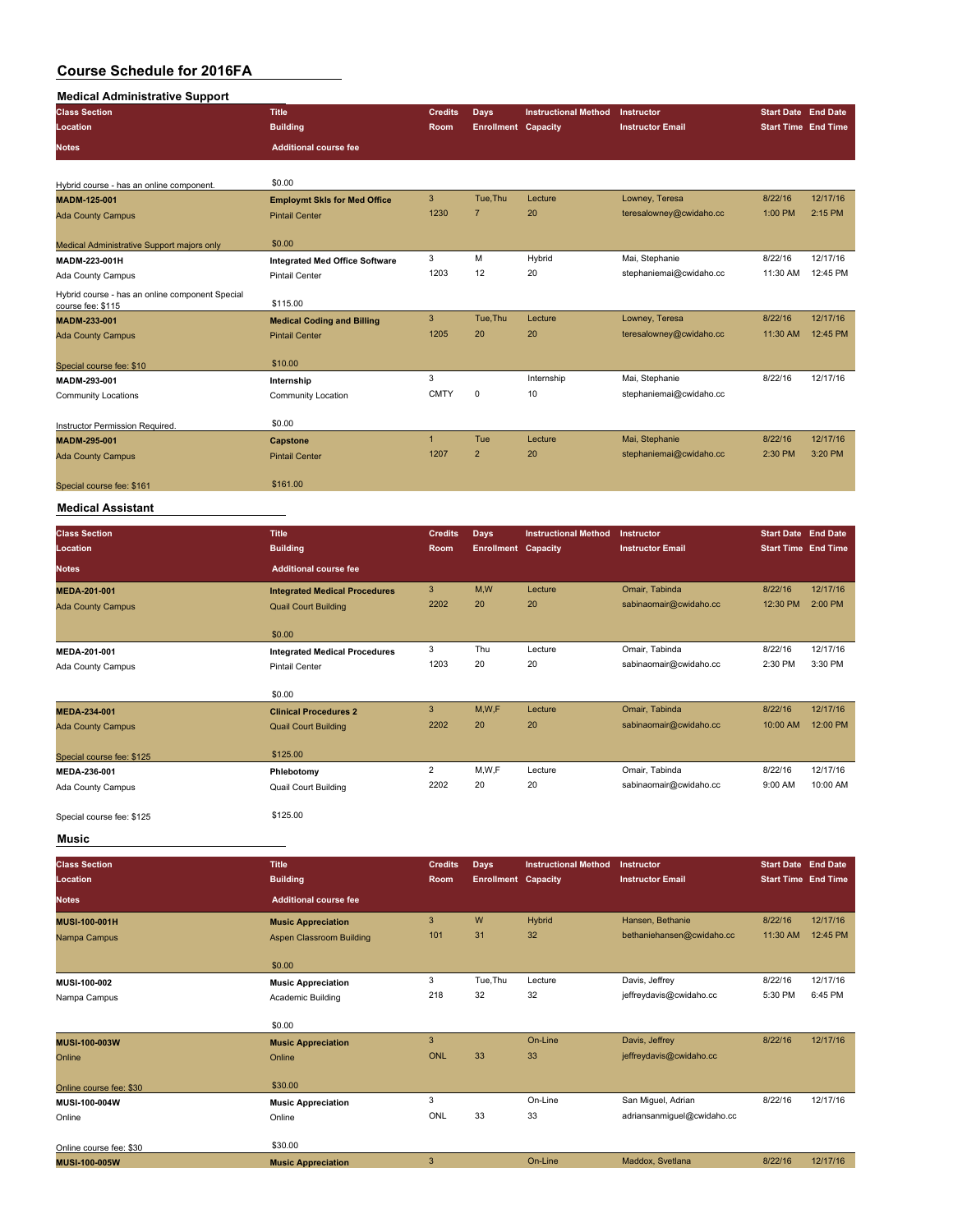### **Medical Administrative Support**

| Class Section                                                        | Title                                 | <b>Credits</b> | Days                       | Instructional Method            | Instructor              | <b>Start Date End Date</b> |          |
|----------------------------------------------------------------------|---------------------------------------|----------------|----------------------------|---------------------------------|-------------------------|----------------------------|----------|
| Location                                                             | <b>Building</b>                       | Room           | <b>Enrollment</b> Capacity |                                 | <b>Instructor Email</b> | <b>Start Time End Time</b> |          |
| <b>Notes</b>                                                         | <b>Additional course fee</b>          |                |                            |                                 |                         |                            |          |
|                                                                      |                                       |                |                            |                                 |                         |                            |          |
| Hybrid course - has an online component.                             | \$0.00                                |                |                            |                                 |                         |                            |          |
| MADM-125-001                                                         | <b>Employmt Skis for Med Office</b>   | 3              | Tue, Thu                   | Lecture                         | Lowney, Teresa          | 8/22/16                    | 12/17/16 |
| <b>Ada County Campus</b>                                             | <b>Pintail Center</b>                 | 1230           | $\overline{7}$             | 20                              | teresalowney@cwidaho.cc | 1:00 PM                    | 2:15 PM  |
| Medical Administrative Support majors only                           | \$0.00                                |                |                            |                                 |                         |                            |          |
| MADM-223-001H                                                        | <b>Integrated Med Office Software</b> | 3              | M                          | Hybrid                          | Mai, Stephanie          | 8/22/16                    | 12/17/16 |
| Ada County Campus                                                    | <b>Pintail Center</b>                 | 1203           | 12                         | 20                              | stephaniemai@cwidaho.cc | 11:30 AM                   | 12:45 PM |
| Hybrid course - has an online component Special<br>course fee: \$115 | \$115.00                              |                |                            |                                 |                         |                            |          |
| MADM-233-001                                                         | <b>Medical Coding and Billing</b>     | 3              | Tue, Thu                   | Lecture                         | Lowney, Teresa          | 8/22/16                    | 12/17/16 |
| <b>Ada County Campus</b>                                             | <b>Pintail Center</b>                 | 1205           | 20                         | 20                              | teresalowney@cwidaho.cc | 11:30 AM                   | 12:45 PM |
| Special course fee: \$10                                             | \$10.00                               |                |                            |                                 |                         |                            |          |
| MADM-293-001                                                         | Internship                            | 3              |                            | Internship                      | Mai, Stephanie          | 8/22/16                    | 12/17/16 |
| <b>Community Locations</b>                                           | Community Location                    | <b>CMTY</b>    | $\mathbf 0$                | 10                              | stephaniemai@cwidaho.cc |                            |          |
| Instructor Permission Required.                                      | \$0.00                                |                |                            |                                 |                         |                            |          |
| MADM-295-001                                                         | Capstone                              | $\overline{1}$ | Tue                        | Lecture                         | Mai, Stephanie          | 8/22/16                    | 12/17/16 |
| <b>Ada County Campus</b>                                             | <b>Pintail Center</b>                 | 1207           | $\overline{2}$             | 20                              | stephaniemai@cwidaho.cc | 2:30 PM                    | 3:20 PM  |
| Special course fee: \$161                                            | \$161.00                              |                |                            |                                 |                         |                            |          |
| <b>Medical Assistant</b>                                             |                                       |                |                            |                                 |                         |                            |          |
| Clase Section                                                        | Title                                 | Cradite        | <b>Dave</b>                | Inetructional Mothod Inetructor |                         | Start Date End Date        |          |

| <b>Class Section</b><br>Location | <b>Title</b><br><b>Building</b>      | <b>Credits</b><br>Room | Days<br><b>Enrollment Capacity</b> | <b>Instructional Method</b> | Instructor<br><b>Instructor Email</b> | <b>Start Date End Date</b><br><b>Start Time End Time</b> |          |
|----------------------------------|--------------------------------------|------------------------|------------------------------------|-----------------------------|---------------------------------------|----------------------------------------------------------|----------|
| <b>Notes</b>                     | Additional course fee                |                        |                                    |                             |                                       |                                                          |          |
| MEDA-201-001                     | <b>Integrated Medical Procedures</b> | 3                      | M,W                                | Lecture                     | Omair, Tabinda                        | 8/22/16                                                  | 12/17/16 |
| <b>Ada County Campus</b>         | Quail Court Building                 | 2202                   | 20                                 | 20                          | sabinaomair@cwidaho.cc                | 12:30 PM                                                 | 2:00 PM  |
|                                  | \$0.00                               |                        |                                    |                             |                                       |                                                          |          |
| MEDA-201-001                     | <b>Integrated Medical Procedures</b> | 3                      | Thu                                | Lecture                     | Omair, Tabinda                        | 8/22/16                                                  | 12/17/16 |
| Ada County Campus                | <b>Pintail Center</b>                | 1203                   | 20                                 | 20                          | sabinaomair@cwidaho.cc                | 2:30 PM                                                  | 3:30 PM  |
|                                  |                                      |                        |                                    |                             |                                       |                                                          |          |

|                           | \$0.00                       |      |       |         |                        |          |          |
|---------------------------|------------------------------|------|-------|---------|------------------------|----------|----------|
| <b>MEDA-234-001</b>       | <b>Clinical Procedures 2</b> | 3    | M.W.F | Lecture | Omair, Tabinda         | 8/22/16  | 12/17/16 |
| <b>Ada County Campus</b>  | <b>Quail Court Building</b>  | 2202 | 20    | 20      | sabinaomair@cwidaho.cc | 10:00 AM | 12:00 PM |
| Special course fee: \$125 | \$125.00                     |      |       |         |                        |          |          |
| MEDA-236-001              | Phlebotomy                   |      | M,W,F | Lecture | Omair, Tabinda         | 8/22/16  | 12/17/16 |
| Ada County Campus         | <b>Quail Court Building</b>  | 2202 | 20    | 20      | sabinaomair@cwidaho.cc | 9:00 AM  | 10:00 AM |

Special course fee: \$125 \$125.00

**Music**

| <b>Class Section</b><br>Location | <b>Title</b><br><b>Building</b> | <b>Credits</b><br>Room | <b>Days</b><br><b>Enrollment Capacity</b> | <b>Instructional Method</b> | Instructor<br><b>Instructor Email</b> | <b>Start Date End Date</b><br><b>Start Time End Time</b> |          |
|----------------------------------|---------------------------------|------------------------|-------------------------------------------|-----------------------------|---------------------------------------|----------------------------------------------------------|----------|
| <b>Notes</b>                     | <b>Additional course fee</b>    |                        |                                           |                             |                                       |                                                          |          |
| <b>MUSI-100-001H</b>             | <b>Music Appreciation</b>       | 3                      | W                                         | <b>Hybrid</b>               | Hansen, Bethanie                      | 8/22/16                                                  | 12/17/16 |
| Nampa Campus                     | Aspen Classroom Building        | 101                    | 31                                        | 32                          | bethaniehansen@cwidaho.cc             | 11:30 AM                                                 | 12:45 PM |
|                                  | \$0.00                          |                        |                                           |                             |                                       |                                                          |          |
| MUSI-100-002                     | <b>Music Appreciation</b>       | 3                      | Tue, Thu                                  | Lecture                     | Davis, Jeffrey                        | 8/22/16                                                  | 12/17/16 |
| Nampa Campus                     | Academic Building               | 218                    | 32                                        | 32                          | jeffreydavis@cwidaho.cc               | 5:30 PM                                                  | 6:45 PM  |
|                                  | \$0.00                          |                        |                                           |                             |                                       |                                                          |          |
| MUSI-100-003W                    | <b>Music Appreciation</b>       | 3                      |                                           | On-Line                     | Davis, Jeffrey                        | 8/22/16                                                  | 12/17/16 |
| Online                           | Online                          | <b>ONL</b>             | 33                                        | 33                          | jeffreydavis@cwidaho.cc               |                                                          |          |
| Online course fee: \$30          | \$30.00                         |                        |                                           |                             |                                       |                                                          |          |
| MUSI-100-004W                    | <b>Music Appreciation</b>       | 3                      |                                           | On-Line                     | San Miguel, Adrian                    | 8/22/16                                                  | 12/17/16 |
| Online                           | Online                          | ONL                    | 33                                        | 33                          | adriansanmiguel@cwidaho.cc            |                                                          |          |
| Online course fee: \$30          | \$30.00                         |                        |                                           |                             |                                       |                                                          |          |
| <b>MUSI-100-005W</b>             | <b>Music Appreciation</b>       | 3                      |                                           | On-Line                     | Maddox, Svetlana                      | 8/22/16                                                  | 12/17/16 |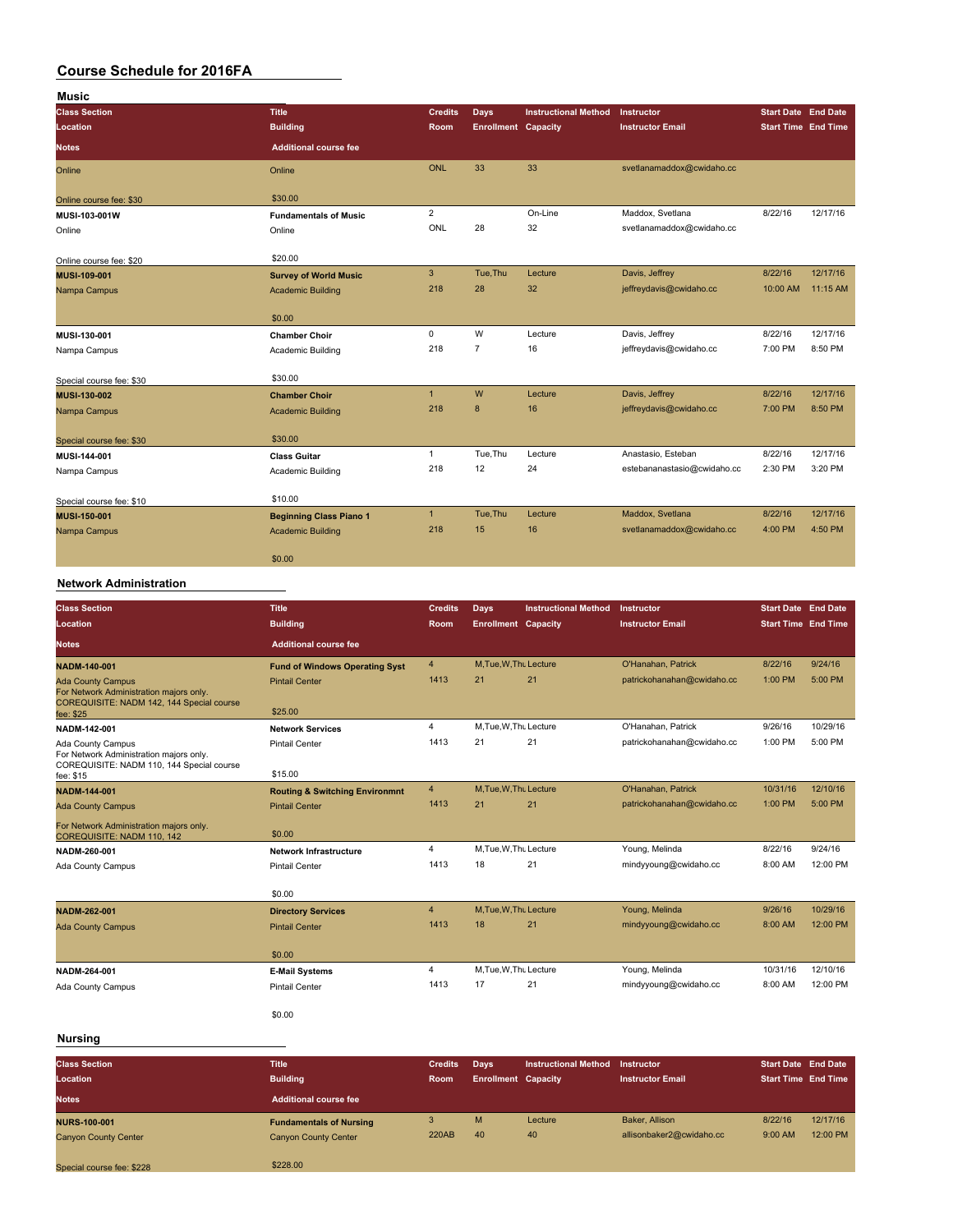| <b>Music</b>             |                                |                |                            |                             |                             |                            |          |
|--------------------------|--------------------------------|----------------|----------------------------|-----------------------------|-----------------------------|----------------------------|----------|
| <b>Class Section</b>     | <b>Title</b>                   | <b>Credits</b> | Days                       | <b>Instructional Method</b> | <b>Instructor</b>           | <b>Start Date End Date</b> |          |
| Location                 | <b>Building</b>                | <b>Room</b>    | <b>Enrollment Capacity</b> |                             | <b>Instructor Email</b>     | <b>Start Time End Time</b> |          |
| Notes                    | <b>Additional course fee</b>   |                |                            |                             |                             |                            |          |
| Online                   | Online                         | ONL            | 33                         | 33                          | svetlanamaddox@cwidaho.cc   |                            |          |
| Online course fee: \$30  | \$30.00                        |                |                            |                             |                             |                            |          |
| MUSI-103-001W            | <b>Fundamentals of Music</b>   | $\overline{2}$ |                            | On-Line                     | Maddox, Svetlana            | 8/22/16                    | 12/17/16 |
| Online                   | Online                         | ONL            | 28                         | 32                          | svetlanamaddox@cwidaho.cc   |                            |          |
| Online course fee: \$20  | \$20.00                        |                |                            |                             |                             |                            |          |
| MUSI-109-001             | <b>Survey of World Music</b>   | $\mathbf{3}$   | Tue, Thu                   | Lecture                     | Davis, Jeffrey              | 8/22/16                    | 12/17/16 |
| Nampa Campus             | <b>Academic Building</b>       | 218            | 28                         | 32                          | jeffreydavis@cwidaho.cc     | 10:00 AM                   | 11:15 AM |
|                          | \$0.00                         |                |                            |                             |                             |                            |          |
| MUSI-130-001             | <b>Chamber Choir</b>           | $\mathbf 0$    | W                          | Lecture                     | Davis, Jeffrey              | 8/22/16                    | 12/17/16 |
| Nampa Campus             | Academic Building              | 218            | $\overline{7}$             | 16                          | jeffreydavis@cwidaho.cc     | 7:00 PM                    | 8:50 PM  |
| Special course fee: \$30 | \$30.00                        |                |                            |                             |                             |                            |          |
| MUSI-130-002             | <b>Chamber Choir</b>           | $\overline{1}$ | W                          | Lecture                     | Davis, Jeffrey              | 8/22/16                    | 12/17/16 |
| Nampa Campus             | <b>Academic Building</b>       | 218            | 8                          | 16                          | jeffreydavis@cwidaho.cc     | 7:00 PM                    | 8:50 PM  |
| Special course fee: \$30 | \$30.00                        |                |                            |                             |                             |                            |          |
| MUSI-144-001             | <b>Class Guitar</b>            | $\mathbf{1}$   | Tue, Thu                   | Lecture                     | Anastasio, Esteban          | 8/22/16                    | 12/17/16 |
| Nampa Campus             | Academic Building              | 218            | 12                         | 24                          | estebananastasio@cwidaho.cc | 2:30 PM                    | 3:20 PM  |
| Special course fee: \$10 | \$10.00                        |                |                            |                             |                             |                            |          |
| <b>MUSI-150-001</b>      | <b>Beginning Class Piano 1</b> | $\mathbf{1}$   | Tue.Thu                    | Lecture                     | Maddox, Svetlana            | 8/22/16                    | 12/17/16 |
| Nampa Campus             | <b>Academic Building</b>       | 218            | 15                         | 16                          | svetlanamaddox@cwidaho.cc   | 4:00 PM                    | 4:50 PM  |
|                          | \$0.00                         |                |                            |                             |                             |                            |          |

#### **Network Administration**

| <b>Class Section</b>                                                                                                          | <b>Title</b>                              | <b>Credits</b> | Days                       | <b>Instructional Method</b> | Instructor                 | <b>Start Date End Date</b> |           |
|-------------------------------------------------------------------------------------------------------------------------------|-------------------------------------------|----------------|----------------------------|-----------------------------|----------------------------|----------------------------|-----------|
| Location                                                                                                                      | <b>Building</b>                           | Room           | <b>Enrollment Capacity</b> |                             | <b>Instructor Email</b>    | <b>Start Time End Time</b> |           |
| <b>Notes</b>                                                                                                                  | <b>Additional course fee</b>              |                |                            |                             |                            |                            |           |
| <b>NADM-140-001</b>                                                                                                           | <b>Fund of Windows Operating Syst</b>     | $\overline{4}$ | M.Tue.W.Thu Lecture        |                             | O'Hanahan, Patrick         | 8/22/16                    | 9/24/16   |
| <b>Ada County Campus</b><br>For Network Administration majors only.<br>COREQUISITE: NADM 142, 144 Special course<br>fee: \$25 | <b>Pintail Center</b><br>\$25.00          | 1413           | 21                         | 21                          | patrickohanahan@cwidaho.cc | 1:00 PM                    | 5:00 PM   |
| NADM-142-001                                                                                                                  | <b>Network Services</b>                   | $\overline{4}$ | M, Tue, W, Thu Lecture     |                             | O'Hanahan, Patrick         | 9/26/16                    | 10/29/16  |
| Ada County Campus<br>For Network Administration majors only.                                                                  | <b>Pintail Center</b>                     | 1413           | 21                         | 21                          | patrickohanahan@cwidaho.cc | 1:00 PM                    | $5:00$ PM |
| COREQUISITE: NADM 110, 144 Special course<br>fee: \$15                                                                        | \$15.00                                   |                |                            |                             |                            |                            |           |
| <b>NADM-144-001</b>                                                                                                           | <b>Routing &amp; Switching Environmnt</b> | $\overline{4}$ | M, Tue, W, Thu Lecture     |                             | O'Hanahan, Patrick         | 10/31/16                   | 12/10/16  |
| <b>Ada County Campus</b>                                                                                                      | <b>Pintail Center</b>                     | 1413           | 21                         | 21                          | patrickohanahan@cwidaho.cc | 1:00 PM                    | 5:00 PM   |
| For Network Administration majors only.<br>COREQUISITE: NADM 110, 142                                                         | \$0.00                                    |                |                            |                             |                            |                            |           |
| NADM-260-001                                                                                                                  | <b>Network Infrastructure</b>             | $\overline{4}$ | M, Tue, W, Thu Lecture     |                             | Young, Melinda             | 8/22/16                    | 9/24/16   |
| Ada County Campus                                                                                                             | <b>Pintail Center</b>                     | 1413           | 18                         | 21                          | mindyyoung@cwidaho.cc      | 8:00 AM                    | 12:00 PM  |
|                                                                                                                               | \$0.00                                    |                |                            |                             |                            |                            |           |
| NADM-262-001                                                                                                                  | <b>Directory Services</b>                 | $\overline{4}$ | M, Tue, W, Thu Lecture     |                             | Young, Melinda             | 9/26/16                    | 10/29/16  |
| <b>Ada County Campus</b>                                                                                                      | <b>Pintail Center</b>                     | 1413           | 18                         | 21                          | mindyyoung@cwidaho.cc      | 8:00 AM                    | 12:00 PM  |
|                                                                                                                               | \$0.00                                    |                |                            |                             |                            |                            |           |
| NADM-264-001                                                                                                                  | <b>E-Mail Systems</b>                     | $\overline{4}$ | M, Tue, W, Thu Lecture     |                             | Young, Melinda             | 10/31/16                   | 12/10/16  |
| Ada County Campus                                                                                                             | <b>Pintail Center</b>                     | 1413           | 17                         | 21                          | mindyyoung@cwidaho.cc      | 8:00 AM                    | 12:00 PM  |
|                                                                                                                               | \$0.00                                    |                |                            |                             |                            |                            |           |

#### **Nursing**

| <b>Class Section</b><br>Location<br><b>Notes</b>   | <b>Title</b><br><b>Building</b><br><b>Additional course fee</b> | <b>Credits</b><br><b>Room</b> | Days<br><b>Enrollment Capacity</b> | Instructional Method | Instructor<br><b>Instructor Email</b>      | <b>Start Date End Date</b><br><b>Start Time End Time</b> |                      |
|----------------------------------------------------|-----------------------------------------------------------------|-------------------------------|------------------------------------|----------------------|--------------------------------------------|----------------------------------------------------------|----------------------|
| <b>NURS-100-001</b><br><b>Canyon County Center</b> | <b>Fundamentals of Nursing</b><br><b>Canyon County Center</b>   | 3<br>220AB                    | M<br>40                            | Lecture<br>40        | Baker, Allison<br>allisonbaker2@cwidaho.cc | 8/22/16<br>9:00 AM                                       | 12/17/16<br>12:00 PM |
| Special course fee: \$228                          | \$228.00                                                        |                               |                                    |                      |                                            |                                                          |                      |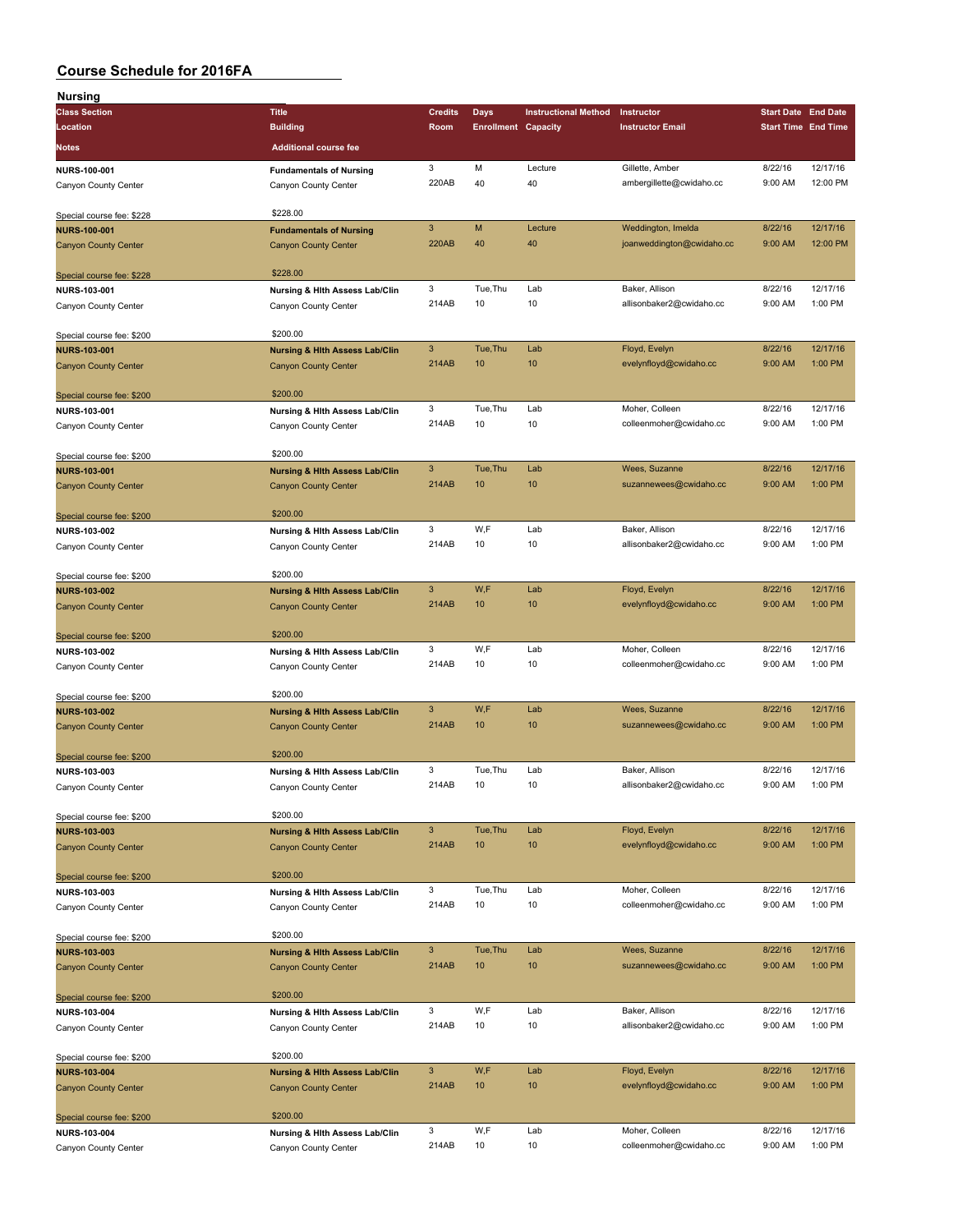| Nursing                                          |                                                                          |                       |                            |                             |                                         |                    |                            |
|--------------------------------------------------|--------------------------------------------------------------------------|-----------------------|----------------------------|-----------------------------|-----------------------------------------|--------------------|----------------------------|
| <b>Class Section</b>                             | <b>Title</b>                                                             | <b>Credits</b>        | Days                       | <b>Instructional Method</b> | Instructor                              |                    | <b>Start Date End Date</b> |
| Location                                         | <b>Building</b>                                                          | Room                  | <b>Enrollment Capacity</b> |                             | <b>Instructor Email</b>                 |                    | <b>Start Time End Time</b> |
| Notes                                            | <b>Additional course fee</b>                                             |                       |                            |                             |                                         |                    |                            |
|                                                  |                                                                          | 3                     | M                          | Lecture                     | Gillette, Amber                         | 8/22/16            | 12/17/16                   |
| NURS-100-001                                     | <b>Fundamentals of Nursing</b>                                           | 220AB                 | 40                         | 40                          | ambergillette@cwidaho.cc                | 9:00 AM            | 12:00 PM                   |
| Canyon County Center                             | Canyon County Center                                                     |                       |                            |                             |                                         |                    |                            |
| Special course fee: \$228                        | \$228.00                                                                 |                       |                            |                             |                                         |                    |                            |
| <b>NURS-100-001</b>                              | <b>Fundamentals of Nursing</b>                                           | $\mathbf{3}$          | M                          | Lecture                     | Weddington, Imelda                      | 8/22/16            | 12/17/16                   |
| <b>Canyon County Center</b>                      | <b>Canyon County Center</b>                                              | 220AB                 | 40                         | 40                          | joanweddington@cwidaho.cc               | 9:00 AM            | 12:00 PM                   |
|                                                  |                                                                          |                       |                            |                             |                                         |                    |                            |
| Special course fee: \$228                        | \$228.00                                                                 |                       |                            |                             |                                         |                    |                            |
| NURS-103-001                                     | Nursing & Hith Assess Lab/Clin                                           | 3                     | Tue, Thu                   | Lab                         | Baker, Allison                          | 8/22/16            | 12/17/16                   |
| Canyon County Center                             | Canyon County Center                                                     | 214AB                 | 10                         | 10                          | allisonbaker2@cwidaho.cc                | 9:00 AM            | 1:00 PM                    |
|                                                  |                                                                          |                       |                            |                             |                                         |                    |                            |
| Special course fee: \$200                        | \$200.00                                                                 |                       |                            |                             |                                         |                    |                            |
| <b>NURS-103-001</b>                              | <b>Nursing &amp; Hith Assess Lab/Clin</b>                                | 3                     | Tue, Thu                   | Lab                         | Floyd, Evelyn                           | 8/22/16            | 12/17/16                   |
| <b>Canyon County Center</b>                      | <b>Canyon County Center</b>                                              | 214AB                 | 10                         | 10                          | evelynfloyd@cwidaho.cc                  | 9:00 AM            | 1:00 PM                    |
|                                                  |                                                                          |                       |                            |                             |                                         |                    |                            |
| Special course fee: \$200                        | \$200.00                                                                 |                       |                            |                             |                                         |                    |                            |
| NURS-103-001                                     | Nursing & Hith Assess Lab/Clin                                           | 3                     | Tue, Thu                   | Lab                         | Moher, Colleen                          | 8/22/16            | 12/17/16                   |
| Canyon County Center                             | Canyon County Center                                                     | 214AB                 | 10                         | 10                          | colleenmoher@cwidaho.cc                 | 9:00 AM            | 1:00 PM                    |
|                                                  | \$200.00                                                                 |                       |                            |                             |                                         |                    |                            |
| Special course fee: \$200<br><b>NURS-103-001</b> |                                                                          | $\mathbf{3}$          | Tue, Thu                   | Lab                         | Wees, Suzanne                           | 8/22/16            | 12/17/16                   |
| <b>Canyon County Center</b>                      | <b>Nursing &amp; Hith Assess Lab/Clin</b><br><b>Canyon County Center</b> | 214AB                 | 10                         | 10                          | suzannewees@cwidaho.cc                  | 9:00 AM            | 1:00 PM                    |
|                                                  |                                                                          |                       |                            |                             |                                         |                    |                            |
| Special course fee: \$200                        | \$200.00                                                                 |                       |                            |                             |                                         |                    |                            |
| NURS-103-002                                     | Nursing & Hith Assess Lab/Clin                                           | 3                     | W,F                        | Lab                         | Baker, Allison                          | 8/22/16            | 12/17/16                   |
| Canyon County Center                             | Canyon County Center                                                     | 214AB                 | 10                         | 10                          | allisonbaker2@cwidaho.cc                | 9:00 AM            | 1:00 PM                    |
|                                                  |                                                                          |                       |                            |                             |                                         |                    |                            |
| Special course fee: \$200                        | \$200.00                                                                 |                       |                            |                             |                                         |                    |                            |
| <b>NURS-103-002</b>                              | <b>Nursing &amp; Hith Assess Lab/Clin</b>                                | 3                     | W,F                        | Lab                         | Floyd, Evelyn                           | 8/22/16            | 12/17/16                   |
| <b>Canyon County Center</b>                      | <b>Canyon County Center</b>                                              | 214AB                 | 10                         | 10                          | evelynfloyd@cwidaho.cc                  | 9:00 AM            | 1:00 PM                    |
|                                                  |                                                                          |                       |                            |                             |                                         |                    |                            |
| Special course fee: \$200                        | \$200.00                                                                 |                       |                            |                             |                                         |                    |                            |
| NURS-103-002                                     | <b>Nursing &amp; Hith Assess Lab/Clin</b>                                | 3                     | W,F                        | Lab                         | Moher, Colleen                          | 8/22/16            | 12/17/16                   |
| Canyon County Center                             | Canyon County Center                                                     | 214AB                 | 10                         | 10                          | colleenmoher@cwidaho.cc                 | 9:00 AM            | 1:00 PM                    |
|                                                  |                                                                          |                       |                            |                             |                                         |                    |                            |
| Special course fee: \$200                        | \$200.00                                                                 |                       |                            |                             |                                         |                    | 12/17/16                   |
| <b>NURS-103-002</b>                              | <b>Nursing &amp; Hith Assess Lab/Clin</b>                                | 3                     | W,F                        | Lab<br>10                   | Wees, Suzanne                           | 8/22/16            |                            |
| <b>Canyon County Center</b>                      | <b>Canyon County Center</b>                                              | 214AB                 | 10                         |                             | suzannewees@cwidaho.cc                  | 9:00 AM            | 1:00 PM                    |
|                                                  | \$200.00                                                                 |                       |                            |                             |                                         |                    |                            |
| Special course fee: \$200<br>NURS-103-003        | <b>Nursing &amp; Hith Assess Lab/Clin</b>                                | 3                     | Tue, Thu                   | Lab                         | Baker, Allison                          | 8/22/16            | 12/17/16                   |
| Canyon County Center                             | Canyon County Center                                                     | 214AB                 | 10                         | 10                          | allisonbaker2@cwidaho.cc                | 9:00 AM            | 1:00 PM                    |
|                                                  |                                                                          |                       |                            |                             |                                         |                    |                            |
| Special course fee: \$200                        | \$200.00                                                                 |                       |                            |                             |                                         |                    |                            |
| <b>NURS-103-003</b>                              | <b>Nursing &amp; Hith Assess Lab/Clin</b>                                | $\mathbf{3}$          | Tue, Thu                   | Lab                         | Floyd, Evelyn                           | 8/22/16            | 12/17/16                   |
| <b>Canyon County Center</b>                      | <b>Canyon County Center</b>                                              | 214AB                 | 10                         | 10                          | evelynfloyd@cwidaho.cc                  | 9:00 AM            | 1:00 PM                    |
|                                                  |                                                                          |                       |                            |                             |                                         |                    |                            |
| Special course fee: \$200                        | \$200.00                                                                 |                       |                            |                             |                                         |                    |                            |
| <b>NURS-103-003</b>                              | Nursing & Hith Assess Lab/Clin                                           | 3                     | Tue.Thu                    | Lab                         | Moher, Colleen                          | 8/22/16            | 12/17/16                   |
| Canyon County Center                             | Canyon County Center                                                     | 214AB                 | 10                         | 10                          | colleenmoher@cwidaho.cc                 | 9:00 AM            | 1:00 PM                    |
|                                                  |                                                                          |                       |                            |                             |                                         |                    |                            |
| Special course fee: \$200                        | \$200.00                                                                 |                       |                            |                             |                                         |                    |                            |
| <b>NURS-103-003</b>                              | <b>Nursing &amp; Hith Assess Lab/Clin</b>                                | $\mathbf{3}$<br>214AB | Tue, Thu<br>10             | Lab<br>10                   | Wees, Suzanne<br>suzannewees@cwidaho.cc | 8/22/16<br>9:00 AM | 12/17/16<br>1:00 PM        |
| <b>Canyon County Center</b>                      | <b>Canyon County Center</b>                                              |                       |                            |                             |                                         |                    |                            |
|                                                  | \$200.00                                                                 |                       |                            |                             |                                         |                    |                            |
| Special course fee: \$200<br>NURS-103-004        | Nursing & Hlth Assess Lab/Clin                                           | 3                     | W,F                        | Lab                         | Baker, Allison                          | 8/22/16            | 12/17/16                   |
| Canyon County Center                             | Canyon County Center                                                     | 214AB                 | 10                         | 10                          | allisonbaker2@cwidaho.cc                | 9:00 AM            | 1:00 PM                    |
|                                                  |                                                                          |                       |                            |                             |                                         |                    |                            |
| Special course fee: \$200                        | \$200.00                                                                 |                       |                            |                             |                                         |                    |                            |
| <b>NURS-103-004</b>                              | <b>Nursing &amp; Hith Assess Lab/Clin</b>                                | $\mathsf 3$           | W,F                        | Lab                         | Floyd, Evelyn                           | 8/22/16            | 12/17/16                   |
| <b>Canyon County Center</b>                      | <b>Canyon County Center</b>                                              | 214AB                 | 10                         | 10                          | evelynfloyd@cwidaho.cc                  | 9:00 AM            | 1:00 PM                    |
|                                                  |                                                                          |                       |                            |                             |                                         |                    |                            |
| Special course fee: \$200                        | \$200.00                                                                 |                       |                            |                             |                                         |                    |                            |
| NURS-103-004                                     | Nursing & Hith Assess Lab/Clin                                           | 3                     | W,F                        | Lab                         | Moher, Colleen                          | 8/22/16            | 12/17/16                   |
| Canyon County Center                             | Canyon County Center                                                     | 214AB                 | 10                         | 10                          | colleenmoher@cwidaho.cc                 | 9:00 AM            | 1:00 PM                    |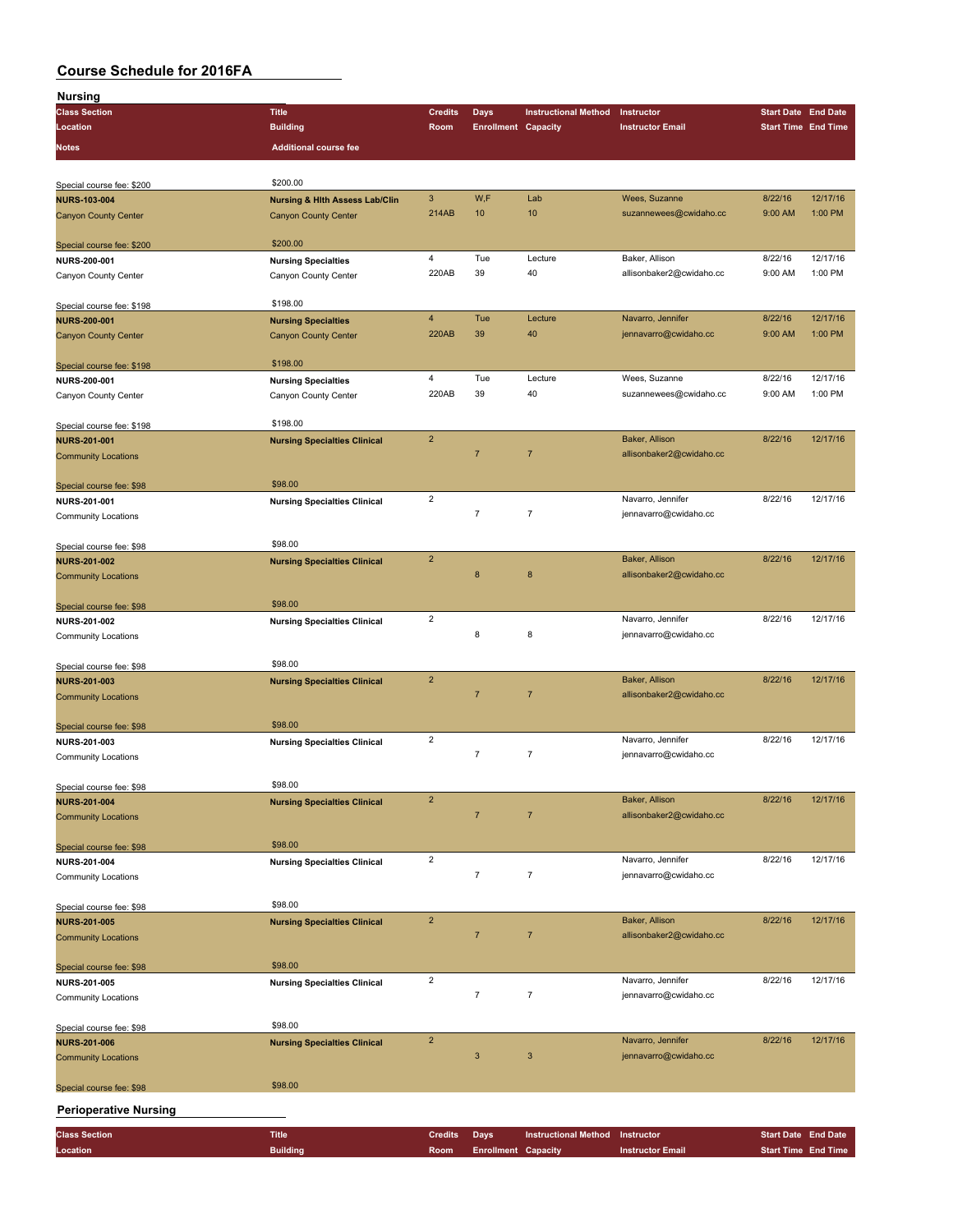| Nursing                      |                                           |                         |                            |                             |                          |                            |          |
|------------------------------|-------------------------------------------|-------------------------|----------------------------|-----------------------------|--------------------------|----------------------------|----------|
| <b>Class Section</b>         | <b>Title</b>                              | <b>Credits</b>          | <b>Days</b>                | <b>Instructional Method</b> | Instructor               | <b>Start Date End Date</b> |          |
| Location                     | <b>Building</b>                           | Room                    | <b>Enrollment Capacity</b> |                             | <b>Instructor Email</b>  | <b>Start Time End Time</b> |          |
| <b>Notes</b>                 | <b>Additional course fee</b>              |                         |                            |                             |                          |                            |          |
|                              |                                           |                         |                            |                             |                          |                            |          |
|                              |                                           |                         |                            |                             |                          |                            |          |
| Special course fee: \$200    | \$200.00                                  |                         |                            |                             |                          |                            |          |
| <b>NURS-103-004</b>          | <b>Nursing &amp; Hith Assess Lab/Clin</b> | 3                       | W,F                        | Lab                         | Wees, Suzanne            | 8/22/16                    | 12/17/16 |
|                              |                                           | 214AB                   | 10                         | 10                          | suzannewees@cwidaho.cc   | 9:00 AM                    | 1:00 PM  |
| <b>Canyon County Center</b>  | <b>Canyon County Center</b>               |                         |                            |                             |                          |                            |          |
|                              |                                           |                         |                            |                             |                          |                            |          |
| Special course fee: \$200    | \$200.00                                  |                         |                            |                             |                          |                            |          |
| NURS-200-001                 | <b>Nursing Specialties</b>                | 4                       | Tue                        | Lecture                     | Baker, Allison           | 8/22/16                    | 12/17/16 |
| Canyon County Center         | Canyon County Center                      | 220AB                   | 39                         | 40                          | allisonbaker2@cwidaho.cc | 9:00 AM                    | 1:00 PM  |
|                              |                                           |                         |                            |                             |                          |                            |          |
| Special course fee: \$198    | \$198.00                                  |                         |                            |                             |                          |                            |          |
| <b>NURS-200-001</b>          | <b>Nursing Specialties</b>                | $\overline{\mathbf{4}}$ | Tue                        | Lecture                     | Navarro, Jennifer        | 8/22/16                    | 12/17/16 |
|                              | <b>Canyon County Center</b>               | <b>220AB</b>            | 39                         | 40                          | jennavarro@cwidaho.cc    | 9:00 AM                    | 1:00 PM  |
| <b>Canyon County Center</b>  |                                           |                         |                            |                             |                          |                            |          |
|                              |                                           |                         |                            |                             |                          |                            |          |
| Special course fee: \$198    | \$198.00                                  |                         |                            |                             |                          |                            |          |
| NURS-200-001                 | <b>Nursing Specialties</b>                | 4                       | Tue                        | Lecture                     | Wees, Suzanne            | 8/22/16                    | 12/17/16 |
| Canyon County Center         | Canyon County Center                      | 220AB                   | 39                         | 40                          | suzannewees@cwidaho.cc   | 9:00 AM                    | 1:00 PM  |
|                              |                                           |                         |                            |                             |                          |                            |          |
| Special course fee: \$198    | \$198.00                                  |                         |                            |                             |                          |                            |          |
|                              |                                           | $\overline{\mathbf{c}}$ |                            |                             | Baker, Allison           | 8/22/16                    | 12/17/16 |
| <b>NURS-201-001</b>          | <b>Nursing Specialties Clinical</b>       |                         |                            |                             |                          |                            |          |
| <b>Community Locations</b>   |                                           |                         | $\overline{7}$             | $\overline{7}$              | allisonbaker2@cwidaho.cc |                            |          |
|                              |                                           |                         |                            |                             |                          |                            |          |
| Special course fee: \$98     | \$98.00                                   |                         |                            |                             |                          |                            |          |
| NURS-201-001                 | <b>Nursing Specialties Clinical</b>       | $\overline{c}$          |                            |                             | Navarro, Jennifer        | 8/22/16                    | 12/17/16 |
| <b>Community Locations</b>   |                                           |                         | $\overline{7}$             | $\overline{7}$              | jennavarro@cwidaho.cc    |                            |          |
|                              |                                           |                         |                            |                             |                          |                            |          |
|                              | \$98.00                                   |                         |                            |                             |                          |                            |          |
| Special course fee: \$98     |                                           |                         |                            |                             |                          |                            |          |
| <b>NURS-201-002</b>          | <b>Nursing Specialties Clinical</b>       | $\overline{2}$          |                            |                             | Baker, Allison           | 8/22/16                    | 12/17/16 |
| <b>Community Locations</b>   |                                           |                         | $\bf 8$                    | 8                           | allisonbaker2@cwidaho.cc |                            |          |
|                              |                                           |                         |                            |                             |                          |                            |          |
| Special course fee: \$98     | \$98.00                                   |                         |                            |                             |                          |                            |          |
| NURS-201-002                 |                                           | $\overline{2}$          |                            |                             | Navarro, Jennifer        | 8/22/16                    | 12/17/16 |
|                              | <b>Nursing Specialties Clinical</b>       |                         |                            |                             |                          |                            |          |
| <b>Community Locations</b>   |                                           |                         | 8                          | 8                           | jennavarro@cwidaho.cc    |                            |          |
|                              |                                           |                         |                            |                             |                          |                            |          |
| Special course fee: \$98     | \$98.00                                   |                         |                            |                             |                          |                            |          |
| <b>NURS-201-003</b>          | <b>Nursing Specialties Clinical</b>       | $\overline{2}$          |                            |                             | Baker, Allison           | 8/22/16                    | 12/17/16 |
| <b>Community Locations</b>   |                                           |                         | $\overline{7}$             | $\overline{7}$              | allisonbaker2@cwidaho.cc |                            |          |
|                              |                                           |                         |                            |                             |                          |                            |          |
|                              | \$98.00                                   |                         |                            |                             |                          |                            |          |
| Special course fee: \$98     |                                           |                         |                            |                             |                          |                            |          |
| NURS-201-003                 | <b>Nursing Specialties Clinical</b>       | $\overline{c}$          |                            |                             | Navarro, Jennifer        | 8/22/16                    | 12/17/16 |
| <b>Community Locations</b>   |                                           |                         | $\overline{7}$             | $\overline{7}$              | jennavarro@cwidaho.cc    |                            |          |
|                              |                                           |                         |                            |                             |                          |                            |          |
| Special course fee: \$98     | \$98.00                                   |                         |                            |                             |                          |                            |          |
| <b>NURS-201-004</b>          | <b>Nursing Specialties Clinical</b>       | $\overline{2}$          |                            |                             | Baker, Allison           | 8/22/16                    | 12/17/16 |
|                              |                                           |                         | $\overline{7}$             | $\overline{7}$              | allisonbaker2@cwidaho.cc |                            |          |
| <b>Community Locations</b>   |                                           |                         |                            |                             |                          |                            |          |
|                              |                                           |                         |                            |                             |                          |                            |          |
| Special course fee: \$98     | \$98.00                                   |                         |                            |                             |                          |                            |          |
| NURS-201-004                 | <b>Nursing Specialties Clinical</b>       | $\mathbf 2$             |                            |                             | Navarro, Jennifer        | 8/22/16                    | 12/17/16 |
| <b>Community Locations</b>   |                                           |                         | $\overline{7}$             | $\overline{7}$              | jennavarro@cwidaho.cc    |                            |          |
|                              |                                           |                         |                            |                             |                          |                            |          |
|                              | \$98.00                                   |                         |                            |                             |                          |                            |          |
| Special course fee: \$98     |                                           | $\mathbf 2$             |                            |                             | Baker, Allison           | 8/22/16                    | 12/17/16 |
| <b>NURS-201-005</b>          | <b>Nursing Specialties Clinical</b>       |                         |                            |                             |                          |                            |          |
| <b>Community Locations</b>   |                                           |                         | $\overline{7}$             | $\overline{7}$              | allisonbaker2@cwidaho.cc |                            |          |
|                              |                                           |                         |                            |                             |                          |                            |          |
| Special course fee: \$98     | \$98.00                                   |                         |                            |                             |                          |                            |          |
| <b>NURS-201-005</b>          | <b>Nursing Specialties Clinical</b>       | $\overline{c}$          |                            |                             | Navarro, Jennifer        | 8/22/16                    | 12/17/16 |
| <b>Community Locations</b>   |                                           |                         | $\overline{7}$             | $\overline{7}$              | jennavarro@cwidaho.cc    |                            |          |
|                              |                                           |                         |                            |                             |                          |                            |          |
|                              |                                           |                         |                            |                             |                          |                            |          |
| Special course fee: \$98     | \$98.00                                   |                         |                            |                             |                          |                            |          |
| <b>NURS-201-006</b>          | <b>Nursing Specialties Clinical</b>       | $\overline{\mathbf{c}}$ |                            |                             | Navarro, Jennifer        | 8/22/16                    | 12/17/16 |
| <b>Community Locations</b>   |                                           |                         | $\mathbf{3}$               | 3                           | jennavarro@cwidaho.cc    |                            |          |
|                              |                                           |                         |                            |                             |                          |                            |          |
| Special course fee: \$98     | \$98.00                                   |                         |                            |                             |                          |                            |          |
|                              |                                           |                         |                            |                             |                          |                            |          |
| <b>Perioperative Nursing</b> |                                           |                         |                            |                             |                          |                            |          |
|                              |                                           |                         |                            |                             |                          |                            |          |
| <b>Class Section</b>         | <b>Title</b>                              | <b>Credits</b>          | <b>Days</b>                | <b>Instructional Method</b> | Instructor               | Start Date End Date        |          |
| Location                     | <b>Building</b>                           | Room                    | <b>Enrollment Capacity</b> |                             | <b>Instructor Email</b>  | <b>Start Time End Time</b> |          |
|                              |                                           |                         |                            |                             |                          |                            |          |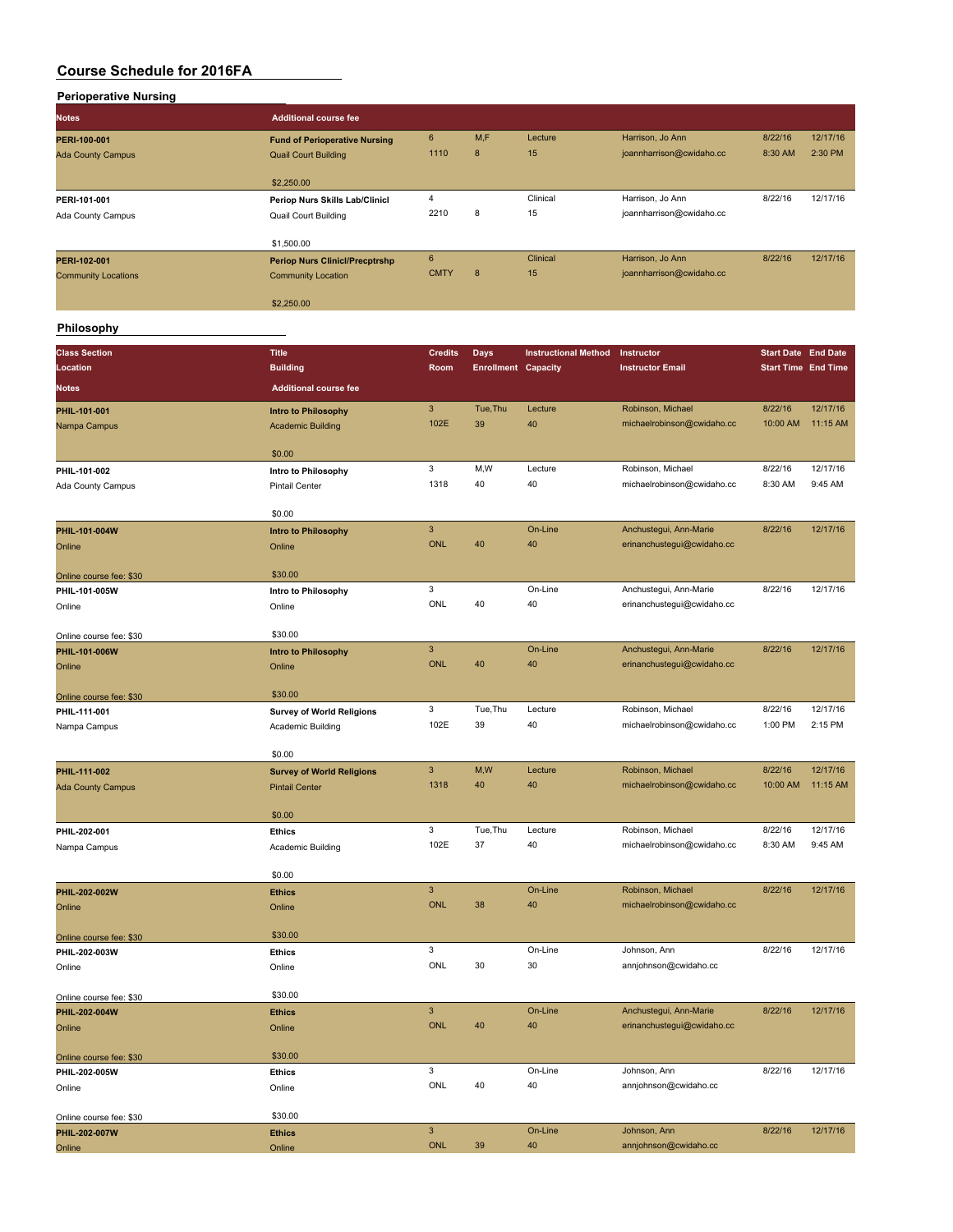| <b>Perioperative Nursing</b> |                                       |             |     |          |                          |         |          |
|------------------------------|---------------------------------------|-------------|-----|----------|--------------------------|---------|----------|
| <b>Notes</b>                 | <b>Additional course fee</b>          |             |     |          |                          |         |          |
| PERI-100-001                 | <b>Fund of Perioperative Nursing</b>  | 6           | M.F | Lecture  | Harrison, Jo Ann         | 8/22/16 | 12/17/16 |
| <b>Ada County Campus</b>     | <b>Quail Court Building</b>           | 1110        | 8   | 15       | joannharrison@cwidaho.cc | 8:30 AM | 2:30 PM  |
|                              | \$2,250.00                            |             |     |          |                          |         |          |
| PERI-101-001                 | Periop Nurs Skills Lab/Clinicl        | 4           |     | Clinical | Harrison, Jo Ann         | 8/22/16 | 12/17/16 |
| Ada County Campus            | Quail Court Building                  | 2210        | 8   | 15       | joannharrison@cwidaho.cc |         |          |
|                              | \$1,500.00                            |             |     |          |                          |         |          |
| PERI-102-001                 | <b>Periop Nurs Clinicl/Precptrshp</b> | 6           |     | Clinical | Harrison, Jo Ann         | 8/22/16 | 12/17/16 |
| <b>Community Locations</b>   | <b>Community Location</b>             | <b>CMTY</b> | 8   | 15       | joannharrison@cwidaho.cc |         |          |
|                              | \$2,250.00                            |             |     |          |                          |         |          |

**Philosophy**

| <b>Class Section</b>                     | <b>Title</b>                          | <b>Credits</b>             | <b>Days</b>       | <b>Instructional Method</b> | Instructor                 | <b>Start Date End Date</b> |          |
|------------------------------------------|---------------------------------------|----------------------------|-------------------|-----------------------------|----------------------------|----------------------------|----------|
| Location                                 | <b>Building</b>                       | Room                       | <b>Enrollment</b> | Capacity                    | <b>Instructor Email</b>    | <b>Start Time End Time</b> |          |
|                                          |                                       |                            |                   |                             |                            |                            |          |
| <b>Notes</b>                             | <b>Additional course fee</b>          |                            |                   |                             |                            |                            |          |
| PHIL-101-001                             | <b>Intro to Philosophy</b>            | $\mathsf 3$                | Tue, Thu          | Lecture                     | Robinson, Michael          | 8/22/16                    | 12/17/16 |
| Nampa Campus                             | <b>Academic Building</b>              | 102E                       | 39                | 40                          | michaelrobinson@cwidaho.cc | 10:00 AM                   | 11:15 AM |
|                                          |                                       |                            |                   |                             |                            |                            |          |
|                                          | \$0.00                                | 3                          | M,W               | Lecture                     | Robinson, Michael          | 8/22/16                    | 12/17/16 |
| PHIL-101-002                             | Intro to Philosophy<br>Pintail Center | 1318                       | 40                | 40                          | michaelrobinson@cwidaho.cc | 8:30 AM                    | 9:45 AM  |
| Ada County Campus                        |                                       |                            |                   |                             |                            |                            |          |
|                                          | \$0.00                                |                            |                   |                             |                            |                            |          |
| PHIL-101-004W                            | <b>Intro to Philosophy</b>            | $\overline{3}$             |                   | On-Line                     | Anchustegui, Ann-Marie     | 8/22/16                    | 12/17/16 |
| Online                                   | Online                                | <b>ONL</b>                 | 40                | 40                          | erinanchustegui@cwidaho.cc |                            |          |
|                                          |                                       |                            |                   |                             |                            |                            |          |
| Online course fee: \$30                  | \$30.00                               |                            |                   |                             |                            |                            |          |
| PHIL-101-005W                            | Intro to Philosophy                   | 3                          |                   | On-Line                     | Anchustegui, Ann-Marie     | 8/22/16                    | 12/17/16 |
| Online                                   | Online                                | ONL                        | 40                | 40                          | erinanchustegui@cwidaho.cc |                            |          |
|                                          | \$30.00                               |                            |                   |                             |                            |                            |          |
| Online course fee: \$30<br>PHIL-101-006W |                                       | $\mathbf{3}$               |                   | On-Line                     | Anchustegui, Ann-Marie     | 8/22/16                    | 12/17/16 |
| Online                                   | <b>Intro to Philosophy</b><br>Online  | ONL                        | 40                | 40                          | erinanchustegui@cwidaho.cc |                            |          |
|                                          |                                       |                            |                   |                             |                            |                            |          |
| Online course fee: \$30                  | \$30.00                               |                            |                   |                             |                            |                            |          |
| PHIL-111-001                             | <b>Survey of World Religions</b>      | 3                          | Tue, Thu          | Lecture                     | Robinson, Michael          | 8/22/16                    | 12/17/16 |
| Nampa Campus                             | Academic Building                     | 102E                       | 39                | 40                          | michaelrobinson@cwidaho.cc | 1:00 PM                    | 2:15 PM  |
|                                          |                                       |                            |                   |                             |                            |                            |          |
|                                          | \$0.00                                |                            |                   |                             |                            |                            |          |
| PHIL-111-002                             | <b>Survey of World Religions</b>      | $\mathbf{3}$               | M,W               | Lecture                     | Robinson, Michael          | 8/22/16                    | 12/17/16 |
| <b>Ada County Campus</b>                 | <b>Pintail Center</b>                 | 1318                       | 40                | 40                          | michaelrobinson@cwidaho.cc | 10:00 AM                   | 11:15 AM |
|                                          | \$0.00                                |                            |                   |                             |                            |                            |          |
| PHIL-202-001                             | <b>Ethics</b>                         | 3                          | Tue, Thu          | Lecture                     | Robinson, Michael          | 8/22/16                    | 12/17/16 |
| Nampa Campus                             | Academic Building                     | 102E                       | 37                | 40                          | michaelrobinson@cwidaho.cc | 8:30 AM                    | 9:45 AM  |
|                                          |                                       |                            |                   |                             |                            |                            |          |
|                                          | \$0.00                                |                            |                   |                             |                            |                            |          |
| PHIL-202-002W                            | <b>Ethics</b>                         | $\mathbf{3}$               |                   | On-Line                     | Robinson, Michael          | 8/22/16                    | 12/17/16 |
| Online                                   | Online                                | <b>ONL</b>                 | 38                | 40                          | michaelrobinson@cwidaho.cc |                            |          |
|                                          |                                       |                            |                   |                             |                            |                            |          |
| Online course fee: \$30                  | \$30.00                               |                            |                   |                             |                            |                            |          |
| PHIL-202-003W                            | <b>Ethics</b>                         | 3<br>ONL                   |                   | On-Line                     | Johnson, Ann               | 8/22/16                    | 12/17/16 |
| Online                                   | Online                                |                            | 30                | 30                          | annjohnson@cwidaho.cc      |                            |          |
| Online course fee: \$30                  | \$30.00                               |                            |                   |                             |                            |                            |          |
| PHIL-202-004W                            | <b>Ethics</b>                         | $\mathbf{3}$               |                   | On-Line                     | Anchustegui, Ann-Marie     | 8/22/16                    | 12/17/16 |
| Online                                   | Online                                | <b>ONL</b>                 | 40                | 40                          | erinanchustegui@cwidaho.cc |                            |          |
|                                          |                                       |                            |                   |                             |                            |                            |          |
| Online course fee: \$30                  | \$30.00                               |                            |                   |                             |                            |                            |          |
| PHIL-202-005W                            | <b>Ethics</b>                         | 3                          |                   | On-Line                     | Johnson, Ann               | 8/22/16                    | 12/17/16 |
| Online                                   | Online                                | ONL                        | 40                | 40                          | annjohnson@cwidaho.cc      |                            |          |
|                                          |                                       |                            |                   |                             |                            |                            |          |
| Online course fee: \$30                  | \$30.00                               |                            |                   |                             |                            |                            |          |
| PHIL-202-007W                            | <b>Ethics</b>                         | $\mathbf{3}$<br><b>ONL</b> | 39                | On-Line<br>40               | Johnson, Ann               | 8/22/16                    | 12/17/16 |
| Online                                   | Online                                |                            |                   |                             | annjohnson@cwidaho.cc      |                            |          |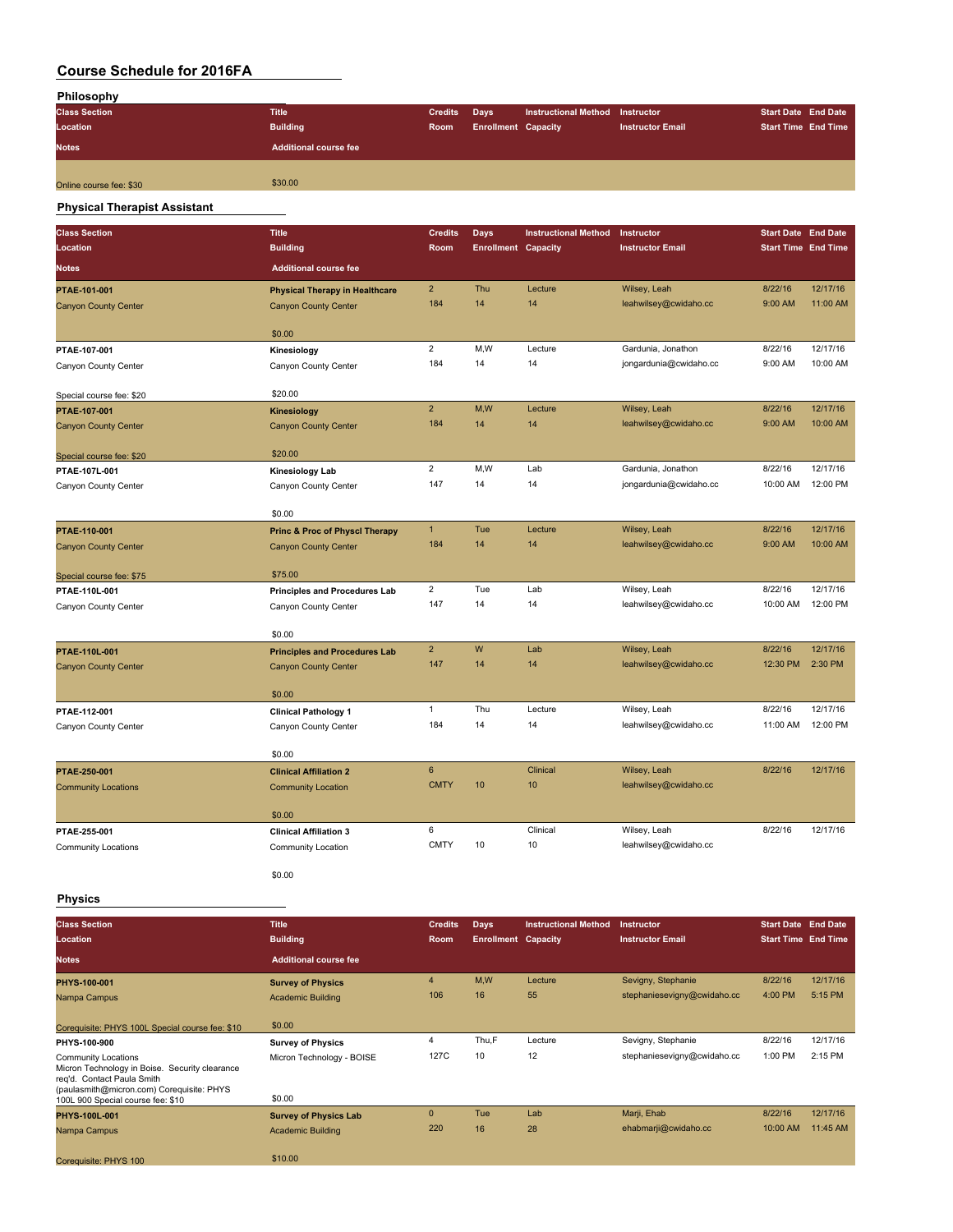| Philosophy           |                              |                |                            |                                 |                         |                            |  |
|----------------------|------------------------------|----------------|----------------------------|---------------------------------|-------------------------|----------------------------|--|
| <b>Class Section</b> | <b>Title</b>                 | <b>Credits</b> | <b>Days</b>                | Instructional Method Instructor |                         | <b>Start Date End Date</b> |  |
| Location             | <b>Building</b>              | Room           | <b>Enrollment Capacity</b> |                                 | <b>Instructor Email</b> | <b>Start Time End Time</b> |  |
| <b>Notes</b>         | <b>Additional course fee</b> |                |                            |                                 |                         |                            |  |
|                      |                              |                |                            |                                 |                         |                            |  |
|                      |                              |                |                            |                                 |                         |                            |  |

### **Physical Therapist Assistant**

| <b>Class Section</b>                                                                                       | <b>Title</b>                              | <b>Credits</b> | <b>Days</b>                | <b>Instructional Method</b> | Instructor                  | <b>Start Date End Date</b> |                     |
|------------------------------------------------------------------------------------------------------------|-------------------------------------------|----------------|----------------------------|-----------------------------|-----------------------------|----------------------------|---------------------|
| Location                                                                                                   | <b>Building</b>                           | Room           | <b>Enrollment Capacity</b> |                             | <b>Instructor Email</b>     | <b>Start Time End Time</b> |                     |
| <b>Notes</b>                                                                                               | <b>Additional course fee</b>              |                |                            |                             |                             |                            |                     |
| PTAE-101-001                                                                                               | <b>Physical Therapy in Healthcare</b>     | $\overline{2}$ | Thu                        | Lecture                     | Wilsey, Leah                | 8/22/16                    | 12/17/16            |
| <b>Canyon County Center</b>                                                                                | <b>Canyon County Center</b>               | 184            | 14                         | 14                          | leahwilsey@cwidaho.cc       | 9:00 AM                    | 11:00 AM            |
|                                                                                                            | \$0.00                                    |                |                            |                             |                             |                            |                     |
| PTAE-107-001                                                                                               | Kinesiology                               | $\overline{2}$ | M,W                        | Lecture                     | Gardunia, Jonathon          | 8/22/16                    | 12/17/16            |
| Canyon County Center                                                                                       | Canyon County Center                      | 184            | 14                         | 14                          | jongardunia@cwidaho.cc      | 9:00 AM                    | 10:00 AM            |
| Special course fee: \$20                                                                                   | \$20.00                                   |                |                            |                             |                             |                            |                     |
| PTAE-107-001                                                                                               | Kinesiology                               | $\overline{2}$ | M,W                        | Lecture                     | Wilsey, Leah                | 8/22/16                    | 12/17/16            |
| <b>Canyon County Center</b>                                                                                | <b>Canyon County Center</b>               | 184            | 14                         | 14                          | leahwilsey@cwidaho.cc       | 9:00 AM                    | 10:00 AM            |
|                                                                                                            |                                           |                |                            |                             |                             |                            |                     |
| Special course fee: \$20                                                                                   | \$20.00                                   |                |                            |                             |                             |                            |                     |
| PTAE-107L-001                                                                                              | Kinesiology Lab                           | $\overline{2}$ | M,W                        | Lab                         | Gardunia, Jonathon          | 8/22/16                    | 12/17/16            |
| Canyon County Center                                                                                       | Canyon County Center                      | 147            | 14                         | 14                          | jongardunia@cwidaho.cc      | 10:00 AM                   | 12:00 PM            |
|                                                                                                            | \$0.00                                    |                |                            |                             |                             |                            |                     |
| PTAE-110-001                                                                                               | <b>Princ &amp; Proc of Physcl Therapy</b> | $\mathbf{1}$   | Tue                        | Lecture                     | Wilsey, Leah                | 8/22/16                    | 12/17/16            |
| <b>Canyon County Center</b>                                                                                | <b>Canyon County Center</b>               | 184            | 14                         | 14                          | leahwilsey@cwidaho.cc       | 9:00 AM                    | 10:00 AM            |
|                                                                                                            |                                           |                |                            |                             |                             |                            |                     |
| Special course fee: \$75                                                                                   | \$75.00                                   |                |                            |                             |                             |                            |                     |
| PTAE-110L-001                                                                                              | <b>Principles and Procedures Lab</b>      | $\overline{2}$ | Tue                        | Lab                         | Wilsey, Leah                | 8/22/16                    | 12/17/16            |
| Canyon County Center                                                                                       | Canyon County Center                      | 147            | 14                         | 14                          | leahwilsey@cwidaho.cc       | 10:00 AM                   | 12:00 PM            |
|                                                                                                            | \$0.00                                    |                |                            |                             |                             |                            |                     |
| PTAE-110L-001                                                                                              | <b>Principles and Procedures Lab</b>      | $\overline{2}$ | W                          | Lab                         | Wilsey, Leah                | 8/22/16                    | 12/17/16            |
| <b>Canyon County Center</b>                                                                                | <b>Canyon County Center</b>               | 147            | 14                         | 14                          | leahwilsey@cwidaho.cc       | 12:30 PM                   | 2:30 PM             |
|                                                                                                            | \$0.00                                    |                |                            |                             |                             |                            |                     |
| PTAE-112-001                                                                                               | <b>Clinical Pathology 1</b>               | $\mathbf{1}$   | Thu                        | Lecture                     | Wilsey, Leah                | 8/22/16                    | 12/17/16            |
| Canyon County Center                                                                                       | Canyon County Center                      | 184            | 14                         | 14                          | leahwilsey@cwidaho.cc       | 11:00 AM                   | 12:00 PM            |
|                                                                                                            |                                           |                |                            |                             |                             |                            |                     |
| PTAE-250-001                                                                                               | \$0.00<br><b>Clinical Affiliation 2</b>   | 6              |                            | Clinical                    | Wilsey, Leah                | 8/22/16                    | 12/17/16            |
| <b>Community Locations</b>                                                                                 | <b>Community Location</b>                 | <b>CMTY</b>    | 10                         | 10                          | leahwilsey@cwidaho.cc       |                            |                     |
|                                                                                                            |                                           |                |                            |                             |                             |                            |                     |
|                                                                                                            | \$0.00                                    |                |                            |                             |                             |                            |                     |
| PTAE-255-001                                                                                               | <b>Clinical Affiliation 3</b>             | 6              |                            | Clinical                    | Wilsey, Leah                | 8/22/16                    | 12/17/16            |
| Community Locations                                                                                        | Community Location                        | <b>CMTY</b>    | 10                         | 10                          | leahwilsey@cwidaho.cc       |                            |                     |
|                                                                                                            | \$0.00                                    |                |                            |                             |                             |                            |                     |
| <b>Physics</b>                                                                                             |                                           |                |                            |                             |                             |                            |                     |
| <b>Class Section</b>                                                                                       | <b>Title</b>                              | <b>Credits</b> | <b>Days</b>                | <b>Instructional Method</b> | Instructor                  | <b>Start Date End Date</b> |                     |
| Location                                                                                                   | <b>Building</b>                           | Room           | <b>Enrollment Capacity</b> |                             | <b>Instructor Email</b>     | <b>Start Time End Time</b> |                     |
| <b>Notes</b>                                                                                               | <b>Additional course fee</b>              |                |                            |                             |                             |                            |                     |
| PHYS-100-001                                                                                               | <b>Survey of Physics</b>                  | $\overline{4}$ | M,W                        | Lecture                     | Sevigny, Stephanie          | 8/22/16                    | 12/17/16            |
| Nampa Campus                                                                                               | <b>Academic Building</b>                  | 106            | 16                         | 55                          | stephaniesevigny@cwidaho.cc | 4:00 PM                    | 5:15 PM             |
|                                                                                                            |                                           |                |                            |                             |                             |                            |                     |
| Corequisite: PHYS 100L Special course fee: \$10                                                            | \$0.00                                    |                |                            |                             | Sevigny, Stephanie          |                            |                     |
| PHYS-100-900                                                                                               | <b>Survey of Physics</b>                  | 4<br>127C      | Thu,F<br>10                | Lecture<br>12               | stephaniesevigny@cwidaho.cc | 8/22/16<br>1:00 PM         | 12/17/16<br>2:15 PM |
| <b>Community Locations</b><br>Micron Technology in Boise. Security clearance<br>reg'd. Contact Paula Smith | Micron Technology - BOISE                 |                |                            |                             |                             |                            |                     |
| (paulasmith@micron.com) Corequisite: PHYS<br>100L 900 Special course fee: \$10                             | \$0.00                                    |                |                            |                             |                             |                            |                     |

| 100L 900 Special course fee: \$10 | <b>JU.UU</b>                 |     |     |     |                      |          |          |
|-----------------------------------|------------------------------|-----|-----|-----|----------------------|----------|----------|
| PHYS-100L-001                     | <b>Survey of Physics Lab</b> |     | Tue | Lab | Marji, Ehab          | 8/22/16  | 12/17/16 |
| Nampa Campus                      | <b>Academic Building</b>     | 220 | 16  | 28  | ehabmarji@cwidaho.cc | 10:00 AM | 11:45 AM |
| Corequisite: PHYS 100             | \$10.00                      |     |     |     |                      |          |          |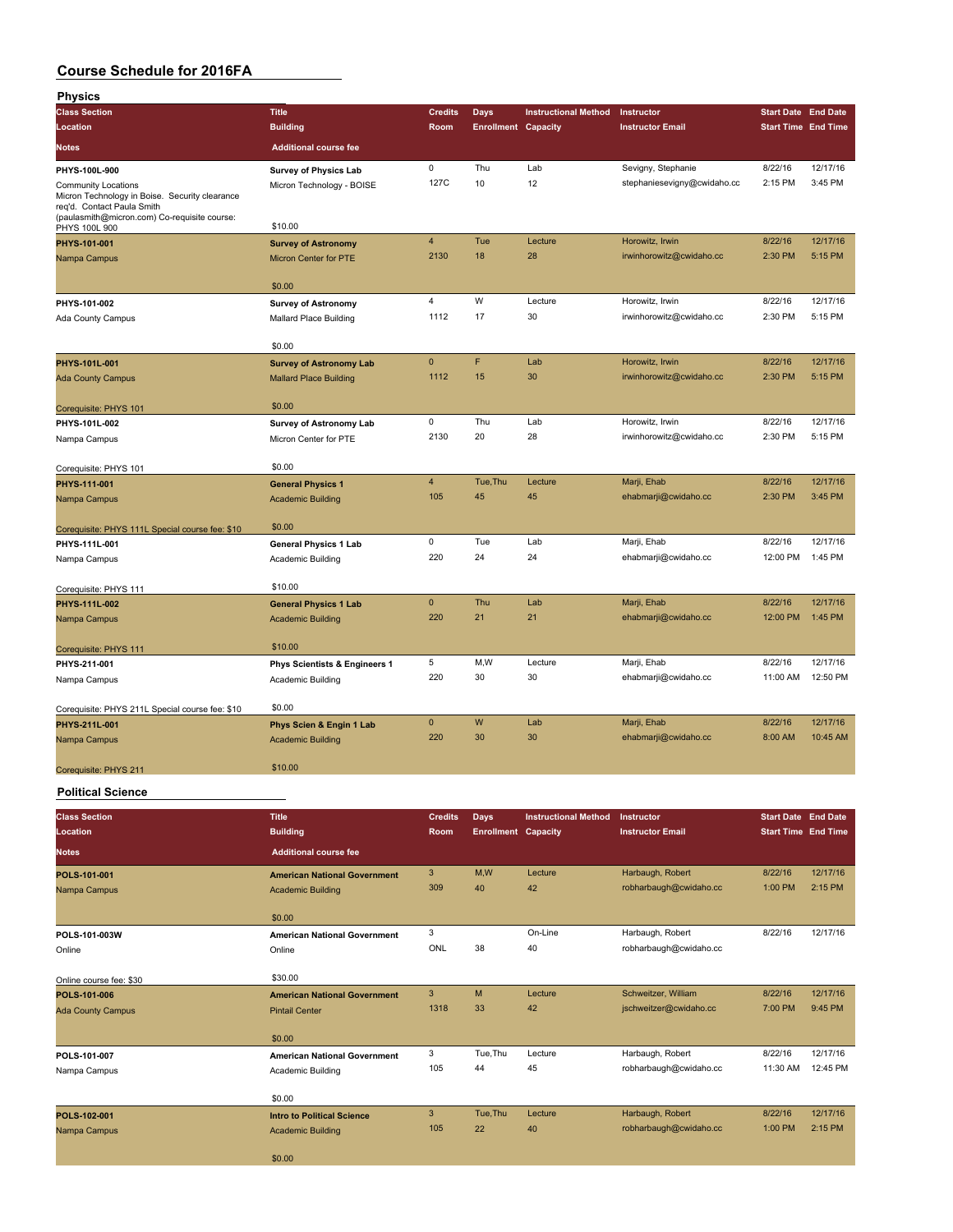| <b>Physics</b>                                                                                                                                      |                                                                 |                        |                                           |                             |                                             |                                                          |                     |
|-----------------------------------------------------------------------------------------------------------------------------------------------------|-----------------------------------------------------------------|------------------------|-------------------------------------------|-----------------------------|---------------------------------------------|----------------------------------------------------------|---------------------|
| <b>Class Section</b>                                                                                                                                | <b>Title</b>                                                    | <b>Credits</b>         | Days                                      | <b>Instructional Method</b> | Instructor                                  | <b>Start Date End Date</b>                               |                     |
| Location                                                                                                                                            | <b>Building</b>                                                 | Room                   | <b>Enrollment Capacity</b>                |                             | <b>Instructor Email</b>                     | <b>Start Time End Time</b>                               |                     |
| <b>Notes</b>                                                                                                                                        | <b>Additional course fee</b>                                    |                        |                                           |                             |                                             |                                                          |                     |
| PHYS-100L-900                                                                                                                                       | <b>Survey of Physics Lab</b>                                    | 0                      | Thu                                       | Lab                         | Sevigny, Stephanie                          | 8/22/16                                                  | 12/17/16            |
| Community Locations<br>Micron Technology in Boise. Security clearance<br>req'd. Contact Paula Smith<br>(paulasmith@micron.com) Co-requisite course: | Micron Technology - BOISE                                       | 127C                   | 10                                        | 12                          | stephaniesevigny@cwidaho.cc                 | 2:15 PM                                                  | 3:45 PM             |
| PHYS 100L 900                                                                                                                                       | \$10.00                                                         |                        |                                           |                             |                                             |                                                          |                     |
| PHYS-101-001                                                                                                                                        | <b>Survey of Astronomy</b>                                      | 4                      | Tue                                       | Lecture                     | Horowitz, Irwin                             | 8/22/16                                                  | 12/17/16            |
| Nampa Campus                                                                                                                                        | Micron Center for PTE                                           | 2130                   | 18                                        | 28                          | irwinhorowitz@cwidaho.cc                    | 2:30 PM                                                  | 5:15 PM             |
|                                                                                                                                                     | \$0.00                                                          |                        |                                           |                             |                                             |                                                          |                     |
| PHYS-101-002<br>Ada County Campus                                                                                                                   | <b>Survey of Astronomy</b><br>Mallard Place Building            | 4<br>1112              | W<br>17                                   | Lecture<br>30               | Horowitz, Irwin<br>irwinhorowitz@cwidaho.cc | 8/22/16<br>2:30 PM                                       | 12/17/16<br>5:15 PM |
|                                                                                                                                                     | \$0.00                                                          |                        |                                           |                             |                                             |                                                          |                     |
| PHYS-101L-001<br><b>Ada County Campus</b>                                                                                                           | <b>Survey of Astronomy Lab</b><br><b>Mallard Place Building</b> | $\mathbf 0$<br>1112    | F<br>15                                   | Lab<br>30                   | Horowitz, Irwin<br>irwinhorowitz@cwidaho.cc | 8/22/16<br>2:30 PM                                       | 12/17/16<br>5:15 PM |
| Corequisite: PHYS 101                                                                                                                               | \$0.00                                                          |                        |                                           |                             |                                             |                                                          |                     |
| PHYS-101L-002                                                                                                                                       | <b>Survey of Astronomy Lab</b>                                  | 0                      | Thu                                       | Lab                         | Horowitz, Irwin                             | 8/22/16                                                  | 12/17/16            |
| Nampa Campus                                                                                                                                        | Micron Center for PTE                                           | 2130                   | 20                                        | 28                          | irwinhorowitz@cwidaho.cc                    | 2:30 PM                                                  | 5:15 PM             |
| Corequisite: PHYS 101                                                                                                                               | \$0.00                                                          |                        |                                           |                             |                                             |                                                          |                     |
| PHYS-111-001                                                                                                                                        | <b>General Physics 1</b>                                        | $\overline{4}$         | Tue, Thu                                  | Lecture                     | Marji, Ehab                                 | 8/22/16                                                  | 12/17/16            |
| Nampa Campus                                                                                                                                        | <b>Academic Building</b>                                        | 105                    | 45                                        | 45                          | ehabmarji@cwidaho.cc                        | 2:30 PM                                                  | 3:45 PM             |
| Corequisite: PHYS 111L Special course fee: \$10                                                                                                     | \$0.00                                                          |                        |                                           |                             |                                             |                                                          |                     |
| PHYS-111L-001                                                                                                                                       | <b>General Physics 1 Lab</b>                                    | 0                      | Tue                                       | Lab                         | Marji, Ehab                                 | 8/22/16                                                  | 12/17/16            |
| Nampa Campus                                                                                                                                        | Academic Building                                               | 220                    | 24                                        | 24                          | ehabmarji@cwidaho.cc                        | 12:00 PM                                                 | 1:45 PM             |
| Corequisite: PHYS 111                                                                                                                               | \$10.00                                                         |                        |                                           |                             |                                             |                                                          |                     |
| PHYS-111L-002                                                                                                                                       | <b>General Physics 1 Lab</b>                                    | $\mathbf 0$            | Thu                                       | Lab                         | Marji, Ehab                                 | 8/22/16                                                  | 12/17/16            |
| Nampa Campus                                                                                                                                        | <b>Academic Building</b>                                        | 220                    | 21                                        | 21                          | ehabmarji@cwidaho.cc                        | 12:00 PM                                                 | 1:45 PM             |
| Corequisite: PHYS 111                                                                                                                               | \$10.00                                                         |                        |                                           |                             |                                             |                                                          |                     |
| PHYS-211-001                                                                                                                                        | <b>Phys Scientists &amp; Engineers 1</b>                        | 5                      | M, W                                      | Lecture                     | Marji, Ehab                                 | 8/22/16                                                  | 12/17/16            |
| Nampa Campus                                                                                                                                        | Academic Building                                               | 220                    | 30                                        | 30                          | ehabmarji@cwidaho.cc                        | 11:00 AM                                                 | 12:50 PM            |
| Corequisite: PHYS 211L Special course fee: \$10                                                                                                     | \$0.00                                                          |                        |                                           |                             |                                             |                                                          |                     |
| PHYS-211L-001                                                                                                                                       | Phys Scien & Engin 1 Lab                                        | 0                      | W                                         | Lab                         | Marji, Ehab                                 | 8/22/16                                                  | 12/17/16            |
| Nampa Campus                                                                                                                                        | <b>Academic Building</b>                                        | 220                    | 30                                        | 30                          | ehabmarji@cwidaho.cc                        | 8:00 AM                                                  | 10:45 AM            |
| Corequisite: PHYS 211                                                                                                                               | \$10.00                                                         |                        |                                           |                             |                                             |                                                          |                     |
| <b>Political Science</b>                                                                                                                            |                                                                 |                        |                                           |                             |                                             |                                                          |                     |
| <b>Class Section</b><br>Location                                                                                                                    | <b>Title</b><br><b>Building</b>                                 | <b>Credits</b><br>Room | <b>Days</b><br><b>Enrollment Capacity</b> | <b>Instructional Method</b> | Instructor<br><b>Instructor Email</b>       | <b>Start Date End Date</b><br><b>Start Time End Time</b> |                     |
| <b>Notes</b>                                                                                                                                        | <b>Additional course fee</b>                                    |                        |                                           |                             |                                             |                                                          |                     |
| POLS-101-001                                                                                                                                        | <b>American National Government</b>                             | 3                      | M, W                                      | Lecture                     | Harbaugh, Robert                            | 8/22/16                                                  | 12/17/16            |
| Nampa Campus                                                                                                                                        | <b>Academic Building</b>                                        | 309                    | 40                                        | 42                          | robharbaugh@cwidaho.cc                      | 1:00 PM                                                  | 2:15 PM             |
|                                                                                                                                                     | \$0.00                                                          |                        |                                           |                             |                                             |                                                          |                     |
| POLS-101-003W<br>Online                                                                                                                             | <b>American National Government</b><br>Online                   | 3<br>ONL               | 38                                        | On-Line<br>40               | Harbaugh, Robert<br>robharbaugh@cwidaho.cc  | 8/22/16                                                  | 12/17/16            |
|                                                                                                                                                     |                                                                 |                        |                                           |                             |                                             |                                                          |                     |
| Online course fee: \$30                                                                                                                             | \$30.00                                                         | 3                      | M                                         |                             | Schweitzer, William                         | 8/22/16                                                  | 12/17/16            |
| POLS-101-006                                                                                                                                        | <b>American National Government</b>                             |                        |                                           | Lecture                     |                                             |                                                          |                     |

| <b>POLS-101-006</b>      | <b>American National Government</b> | O.   | -IVII   | Leciule | <b>SCIIWEILZEI, VVIIIIEIII</b> | O(ZZ/10) | 12/1110  |
|--------------------------|-------------------------------------|------|---------|---------|--------------------------------|----------|----------|
| <b>Ada County Campus</b> | <b>Pintail Center</b>               | 1318 | 33      | 42      | jschweitzer@cwidaho.cc         | 7:00 PM  | 9:45 PM  |
|                          |                                     |      |         |         |                                |          |          |
|                          | \$0.00                              |      |         |         |                                |          |          |
| POLS-101-007             | <b>American National Government</b> | 3    | Tue.Thu | Lecture | Harbaugh, Robert               | 8/22/16  | 12/17/16 |
| Nampa Campus             | Academic Building                   | 105  | 44      | 45      | robharbaugh@cwidaho.cc         | 11:30 AM | 12:45 PM |
|                          |                                     |      |         |         |                                |          |          |
|                          | \$0.00                              |      |         |         |                                |          |          |
| POLS-102-001             | <b>Intro to Political Science</b>   | 3    | Tue.Thu | Lecture | Harbaugh, Robert               | 8/22/16  | 12/17/16 |
| Nampa Campus             | <b>Academic Building</b>            | 105  | 22      | 40      | robharbaugh@cwidaho.cc         | 1:00 PM  | 2:15 PM  |
|                          |                                     |      |         |         |                                |          |          |

\$0.00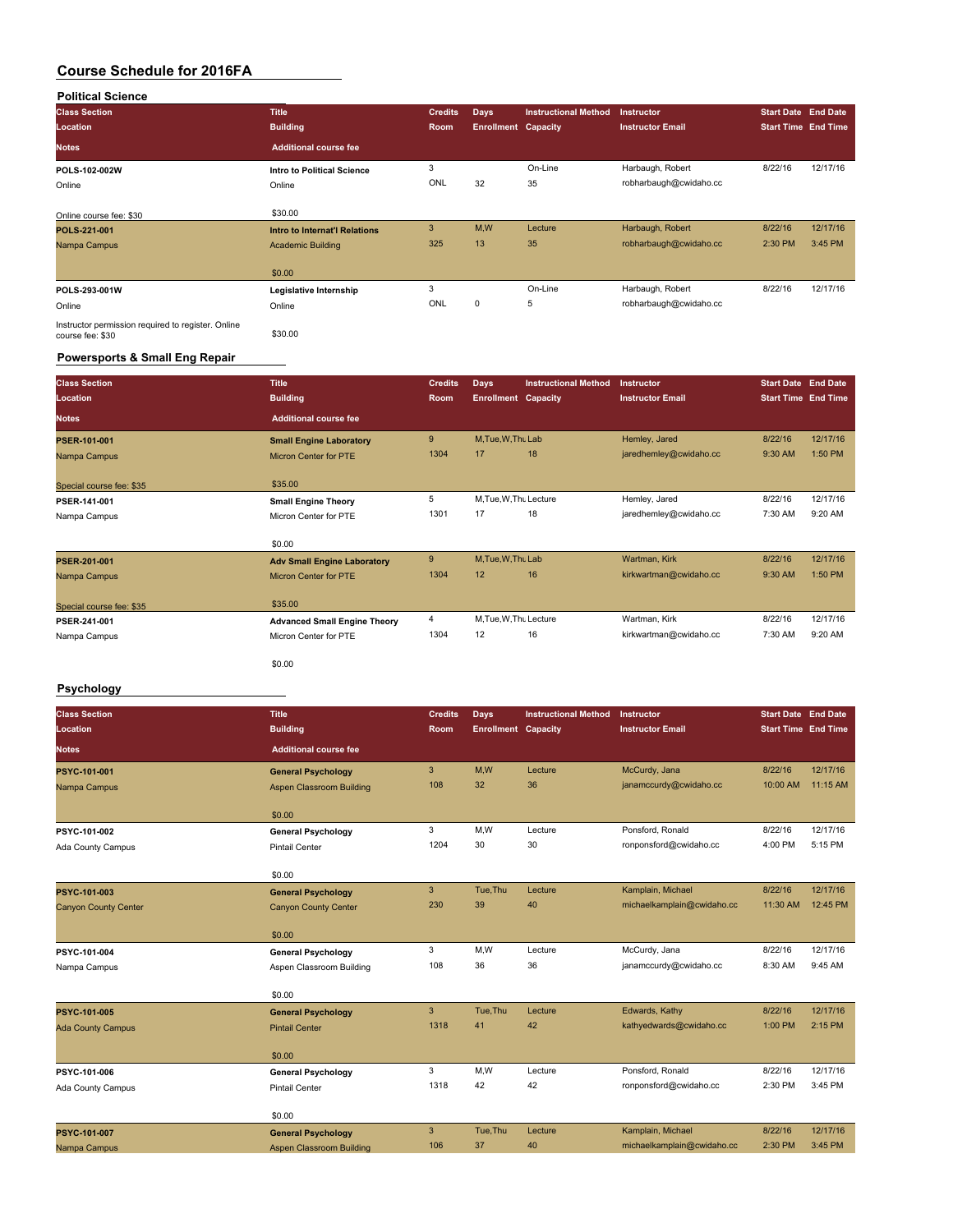| <b>Political Science</b>                                               |                                   |                |                            |                             |                         |                            |          |
|------------------------------------------------------------------------|-----------------------------------|----------------|----------------------------|-----------------------------|-------------------------|----------------------------|----------|
| <b>Class Section</b>                                                   | <b>Title</b>                      | <b>Credits</b> | <b>Days</b>                | <b>Instructional Method</b> | Instructor              | <b>Start Date End Date</b> |          |
| <b>Location</b>                                                        | <b>Building</b>                   | Room           | <b>Enrollment Capacity</b> |                             | <b>Instructor Email</b> | <b>Start Time End Time</b> |          |
| <b>Notes</b>                                                           | <b>Additional course fee</b>      |                |                            |                             |                         |                            |          |
| POLS-102-002W                                                          | <b>Intro to Political Science</b> | 3              |                            | On-Line                     | Harbaugh, Robert        | 8/22/16                    | 12/17/16 |
| Online                                                                 | Online                            | ONL            | 32                         | 35                          | robharbaugh@cwidaho.cc  |                            |          |
| Online course fee: \$30                                                | \$30.00                           |                |                            |                             |                         |                            |          |
| POLS-221-001                                                           | Intro to Internat'l Relations     | 3              | M,W                        | Lecture                     | Harbaugh, Robert        | 8/22/16                    | 12/17/16 |
| Nampa Campus                                                           | <b>Academic Building</b>          | 325            | 13                         | 35                          | robharbaugh@cwidaho.cc  | 2:30 PM                    | 3:45 PM  |
|                                                                        | \$0.00                            |                |                            |                             |                         |                            |          |
| POLS-293-001W                                                          | Legislative Internship            | 3              |                            | On-Line                     | Harbaugh, Robert        | 8/22/16                    | 12/17/16 |
| Online                                                                 | Online                            | ONL            | $\mathbf 0$                | 5                           | robharbaugh@cwidaho.cc  |                            |          |
| Instructor permission required to register. Online<br>course fee: \$30 | \$30.00                           |                |                            |                             |                         |                            |          |

### **Powersports & Small Eng Repair**

| <b>Class Section</b><br>Location | <b>Title</b><br><b>Building</b>     | <b>Credits</b><br>Room | <b>Days</b><br><b>Enrollment Capacity</b> | <b>Instructional Method</b> | Instructor<br><b>Instructor Email</b> | <b>Start Date End Date</b><br><b>Start Time End Time</b> |          |
|----------------------------------|-------------------------------------|------------------------|-------------------------------------------|-----------------------------|---------------------------------------|----------------------------------------------------------|----------|
| <b>Notes</b>                     | <b>Additional course fee</b>        |                        |                                           |                             |                                       |                                                          |          |
| PSER-101-001                     | <b>Small Engine Laboratory</b>      | 9                      | M.Tue.W.Thu Lab                           |                             | Hemley, Jared                         | 8/22/16                                                  | 12/17/16 |
| Nampa Campus                     | <b>Micron Center for PTE</b>        | 1304                   | 17                                        | 18                          | jaredhemley@cwidaho.cc                | 9:30 AM                                                  | 1:50 PM  |
| Special course fee: \$35         | \$35.00                             |                        |                                           |                             |                                       |                                                          |          |
| PSER-141-001                     | <b>Small Engine Theory</b>          | 5                      | M, Tue, W, Thu Lecture                    |                             | Hemley, Jared                         | 8/22/16                                                  | 12/17/16 |
| Nampa Campus                     | Micron Center for PTE               | 1301                   | 17                                        | 18                          | jaredhemley@cwidaho.cc                | 7:30 AM                                                  | 9:20 AM  |
|                                  | \$0.00                              |                        |                                           |                             |                                       |                                                          |          |
| PSER-201-001                     | <b>Adv Small Engine Laboratory</b>  | 9                      | M, Tue, W, Thu Lab                        |                             | Wartman, Kirk                         | 8/22/16                                                  | 12/17/16 |
| Nampa Campus                     | <b>Micron Center for PTE</b>        | 1304                   | 12                                        | 16                          | kirkwartman@cwidaho.cc                | 9:30 AM                                                  | 1:50 PM  |
| Special course fee: \$35         | \$35.00                             |                        |                                           |                             |                                       |                                                          |          |
| PSER-241-001                     | <b>Advanced Small Engine Theory</b> | 4                      | M, Tue, W, Thu Lecture                    |                             | Wartman, Kirk                         | 8/22/16                                                  | 12/17/16 |
| Nampa Campus                     | Micron Center for PTE               | 1304                   | 12                                        | 16                          | kirkwartman@cwidaho.cc                | 7:30 AM                                                  | 9:20 AM  |
|                                  | \$0.00                              |                        |                                           |                             |                                       |                                                          |          |

#### **Psychology**

| <b>Class Section</b><br>Location | <b>Title</b><br><b>Building</b> | <b>Credits</b><br>Room | <b>Days</b><br><b>Enrollment Capacity</b> | <b>Instructional Method</b> | Instructor<br><b>Instructor Email</b> | <b>Start Date End Date</b><br><b>Start Time End Time</b> |          |
|----------------------------------|---------------------------------|------------------------|-------------------------------------------|-----------------------------|---------------------------------------|----------------------------------------------------------|----------|
| <b>Notes</b>                     | <b>Additional course fee</b>    |                        |                                           |                             |                                       |                                                          |          |
| PSYC-101-001                     | <b>General Psychology</b>       | 3                      | M,W                                       | Lecture                     | McCurdy, Jana                         | 8/22/16                                                  | 12/17/16 |
| Nampa Campus                     | Aspen Classroom Building        | 108                    | 32                                        | 36                          | janamccurdy@cwidaho.cc                | 10:00 AM                                                 | 11:15 AM |
|                                  | \$0.00                          |                        |                                           |                             |                                       |                                                          |          |
| PSYC-101-002                     | <b>General Psychology</b>       | 3                      | M,W                                       | Lecture                     | Ponsford, Ronald                      | 8/22/16                                                  | 12/17/16 |
| Ada County Campus                | <b>Pintail Center</b>           | 1204                   | 30                                        | 30                          | ronponsford@cwidaho.cc                | 4:00 PM                                                  | 5:15 PM  |
|                                  | \$0.00                          |                        |                                           |                             |                                       |                                                          |          |
| PSYC-101-003                     | <b>General Psychology</b>       | 3                      | Tue, Thu                                  | Lecture                     | Kamplain, Michael                     | 8/22/16                                                  | 12/17/16 |
| <b>Canyon County Center</b>      | <b>Canyon County Center</b>     | 230                    | 39                                        | 40                          | michaelkamplain@cwidaho.cc            | 11:30 AM                                                 | 12:45 PM |
|                                  | \$0.00                          |                        |                                           |                             |                                       |                                                          |          |
| PSYC-101-004                     | <b>General Psychology</b>       | 3                      | M,W                                       | Lecture                     | McCurdy, Jana                         | 8/22/16                                                  | 12/17/16 |
| Nampa Campus                     | Aspen Classroom Building        | 108                    | 36                                        | 36                          | janamccurdy@cwidaho.cc                | 8:30 AM                                                  | 9:45 AM  |
|                                  | \$0.00                          |                        |                                           |                             |                                       |                                                          |          |
| PSYC-101-005                     | <b>General Psychology</b>       | 3                      | Tue, Thu                                  | Lecture                     | Edwards, Kathy                        | 8/22/16                                                  | 12/17/16 |
| <b>Ada County Campus</b>         | <b>Pintail Center</b>           | 1318                   | 41                                        | 42                          | kathyedwards@cwidaho.cc               | 1:00 PM                                                  | 2:15 PM  |
|                                  | \$0.00                          |                        |                                           |                             |                                       |                                                          |          |
| PSYC-101-006                     | <b>General Psychology</b>       | 3                      | M,W                                       | Lecture                     | Ponsford, Ronald                      | 8/22/16                                                  | 12/17/16 |
| Ada County Campus                | Pintail Center                  | 1318                   | 42                                        | 42                          | ronponsford@cwidaho.cc                | 2:30 PM                                                  | 3:45 PM  |
|                                  | \$0.00                          |                        |                                           |                             |                                       |                                                          |          |
| PSYC-101-007                     | <b>General Psychology</b>       | 3                      | Tue, Thu                                  | Lecture                     | Kamplain, Michael                     | 8/22/16                                                  | 12/17/16 |
| Nampa Campus                     | Aspen Classroom Building        | 106                    | 37                                        | 40                          | michaelkamplain@cwidaho.cc            | 2:30 PM                                                  | 3:45 PM  |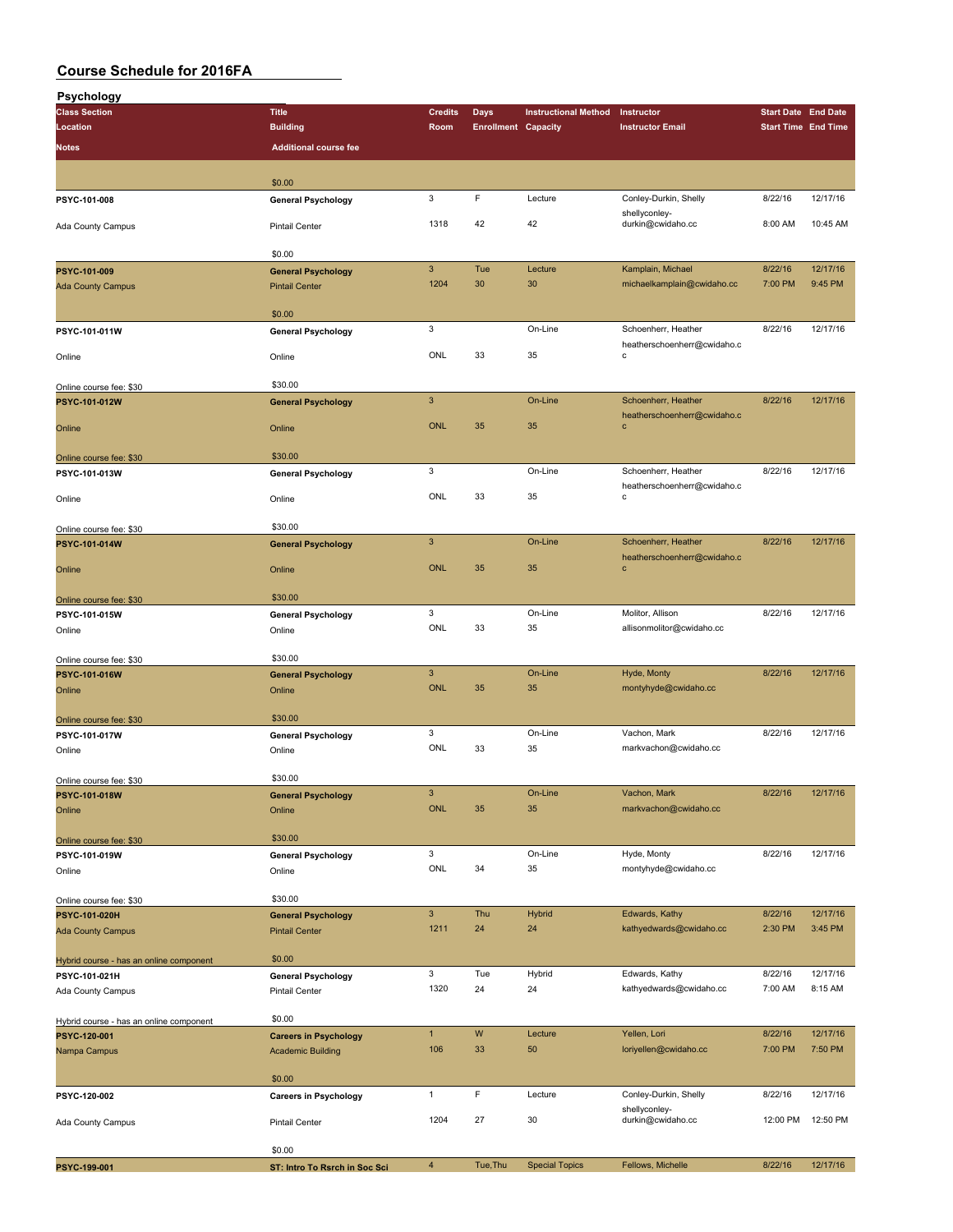| <b>Psychology</b>                                        |                                                          |                           |                            |                             |                                                    |                            |          |
|----------------------------------------------------------|----------------------------------------------------------|---------------------------|----------------------------|-----------------------------|----------------------------------------------------|----------------------------|----------|
| <b>Class Section</b>                                     | <b>Title</b>                                             | <b>Credits</b>            | <b>Days</b>                | <b>Instructional Method</b> | Instructor                                         | <b>Start Date End Date</b> |          |
| Location                                                 | <b>Building</b>                                          | Room                      | <b>Enrollment Capacity</b> |                             | <b>Instructor Email</b>                            | <b>Start Time End Time</b> |          |
| <b>Notes</b>                                             | <b>Additional course fee</b>                             |                           |                            |                             |                                                    |                            |          |
|                                                          |                                                          |                           |                            |                             |                                                    |                            |          |
|                                                          | \$0.00                                                   | 3                         | F                          | Lecture                     | Conley-Durkin, Shelly                              | 8/22/16                    | 12/17/16 |
| PSYC-101-008                                             | <b>General Psychology</b>                                |                           |                            |                             | shellyconley-                                      |                            |          |
| Ada County Campus                                        | <b>Pintail Center</b>                                    | 1318                      | 42                         | 42                          | durkin@cwidaho.cc                                  | 8:00 AM                    | 10:45 AM |
|                                                          | \$0.00                                                   |                           |                            |                             |                                                    |                            |          |
| PSYC-101-009                                             | <b>General Psychology</b>                                | $\mathbf{3}$              | Tue                        | Lecture                     | Kamplain, Michael                                  | 8/22/16                    | 12/17/16 |
| <b>Ada County Campus</b>                                 | <b>Pintail Center</b>                                    | 1204                      | 30                         | 30                          | michaelkamplain@cwidaho.cc                         | 7:00 PM                    | 9:45 PM  |
|                                                          | \$0.00                                                   |                           |                            |                             |                                                    |                            |          |
| PSYC-101-011W                                            | <b>General Psychology</b>                                | 3                         |                            | On-Line                     | Schoenherr, Heather                                | 8/22/16                    | 12/17/16 |
|                                                          |                                                          | ONL                       | 33                         | 35                          | heatherschoenherr@cwidaho.c                        |                            |          |
| Online                                                   | Online                                                   |                           |                            |                             | с                                                  |                            |          |
| Online course fee: \$30                                  | \$30.00                                                  |                           |                            |                             |                                                    |                            |          |
| PSYC-101-012W                                            | <b>General Psychology</b>                                | $\ensuremath{\mathsf{3}}$ |                            | On-Line                     | Schoenherr, Heather                                | 8/22/16                    | 12/17/16 |
| Online                                                   | Online                                                   | <b>ONL</b>                | 35                         | 35                          | heatherschoenherr@cwidaho.c<br>$\mathbf c$         |                            |          |
|                                                          |                                                          |                           |                            |                             |                                                    |                            |          |
| Online course fee: \$30                                  | \$30.00                                                  |                           |                            |                             |                                                    |                            |          |
| PSYC-101-013W                                            | <b>General Psychology</b>                                | $\mathbf 3$               |                            | On-Line                     | Schoenherr, Heather<br>heatherschoenherr@cwidaho.c | 8/22/16                    | 12/17/16 |
| Online                                                   | Online                                                   | ONL                       | 33                         | 35                          | C                                                  |                            |          |
|                                                          | \$30.00                                                  |                           |                            |                             |                                                    |                            |          |
| Online course fee: \$30<br>PSYC-101-014W                 | <b>General Psychology</b>                                | $\mathbf{3}$              |                            | On-Line                     | Schoenherr, Heather                                | 8/22/16                    | 12/17/16 |
|                                                          |                                                          | <b>ONL</b>                | 35                         | 35                          | heatherschoenherr@cwidaho.c<br>$\mathbf{c}$        |                            |          |
| Online                                                   | Online                                                   |                           |                            |                             |                                                    |                            |          |
| Online course fee: \$30                                  | \$30.00                                                  |                           |                            |                             |                                                    |                            |          |
| PSYC-101-015W                                            | <b>General Psychology</b>                                | 3                         |                            | On-Line                     | Molitor, Allison                                   | 8/22/16                    | 12/17/16 |
| Online                                                   | Online                                                   | ONL                       | 33                         | 35                          | allisonmolitor@cwidaho.cc                          |                            |          |
| Online course fee: \$30                                  | \$30.00                                                  |                           |                            |                             |                                                    |                            |          |
| PSYC-101-016W                                            | <b>General Psychology</b>                                | $\mathbf{3}$              |                            | On-Line                     | Hyde, Monty                                        | 8/22/16                    | 12/17/16 |
| Online                                                   | Online                                                   | ONL                       | 35                         | 35                          | montyhyde@cwidaho.cc                               |                            |          |
| Online course fee: \$30                                  | \$30.00                                                  |                           |                            |                             |                                                    |                            |          |
| PSYC-101-017W                                            | <b>General Psychology</b>                                | 3                         |                            | On-Line                     | Vachon, Mark                                       | 8/22/16                    | 12/17/16 |
| Online                                                   | Online                                                   | ONL                       | 33                         | 35                          | markvachon@cwidaho.cc                              |                            |          |
| Online course fee: \$30                                  | \$30.00                                                  |                           |                            |                             |                                                    |                            |          |
| PSYC-101-018W                                            | <b>General Psychology</b>                                | $\mathbf{3}$              |                            | On-Line                     | Vachon, Mark                                       | 8/22/16                    | 12/17/16 |
| Online                                                   | Online                                                   | ONL                       | 35                         | 35                          | markvachon@cwidaho.cc                              |                            |          |
|                                                          | \$30.00                                                  |                           |                            |                             |                                                    |                            |          |
| Online course fee: \$30<br>PSYC-101-019W                 | <b>General Psychology</b>                                | 3                         |                            | On-Line                     | Hyde, Monty                                        | 8/22/16                    | 12/17/16 |
| Online                                                   | Online                                                   | ONL                       | 34                         | 35                          | montyhyde@cwidaho.cc                               |                            |          |
|                                                          | \$30.00                                                  |                           |                            |                             |                                                    |                            |          |
| Online course fee: \$30<br><b>PSYC-101-020H</b>          | <b>General Psychology</b>                                | $\ensuremath{\mathsf{3}}$ | Thu                        | <b>Hybrid</b>               | Edwards, Kathy                                     | 8/22/16                    | 12/17/16 |
| <b>Ada County Campus</b>                                 | <b>Pintail Center</b>                                    | 1211                      | 24                         | 24                          | kathyedwards@cwidaho.cc                            | 2:30 PM                    | 3:45 PM  |
|                                                          |                                                          |                           |                            |                             |                                                    |                            |          |
| Hybrid course - has an online component<br>PSYC-101-021H | \$0.00<br><b>General Psychology</b>                      | $\mathbf 3$               | Tue                        | Hybrid                      | Edwards, Kathy                                     | 8/22/16                    | 12/17/16 |
| Ada County Campus                                        | Pintail Center                                           | 1320                      | 24                         | 24                          | kathyedwards@cwidaho.cc                            | 7:00 AM                    | 8:15 AM  |
|                                                          |                                                          |                           |                            |                             |                                                    |                            |          |
| Hybrid course - has an online component                  | \$0.00                                                   | $\mathbf{1}$              | ${\sf W}$                  | Lecture                     | Yellen, Lori                                       | 8/22/16                    | 12/17/16 |
| PSYC-120-001<br>Nampa Campus                             | <b>Careers in Psychology</b><br><b>Academic Building</b> | 106                       | 33                         | 50                          | loriyellen@cwidaho.cc                              | 7:00 PM                    | 7:50 PM  |
|                                                          |                                                          |                           |                            |                             |                                                    |                            |          |
|                                                          | \$0.00                                                   |                           |                            |                             |                                                    |                            |          |
| PSYC-120-002                                             | <b>Careers in Psychology</b>                             | $\mathbf{1}$              | F                          | Lecture                     | Conley-Durkin, Shelly<br>shellyconley-             | 8/22/16                    | 12/17/16 |
| Ada County Campus                                        | <b>Pintail Center</b>                                    | 1204                      | 27                         | 30                          | durkin@cwidaho.cc                                  | 12:00 PM                   | 12:50 PM |
|                                                          | \$0.00                                                   |                           |                            |                             |                                                    |                            |          |
| PSYC-199-001                                             | ST: Intro To Rsrch in Soc Sci                            | $\overline{4}$            | Tue, Thu                   | <b>Special Topics</b>       | Fellows, Michelle                                  | 8/22/16                    | 12/17/16 |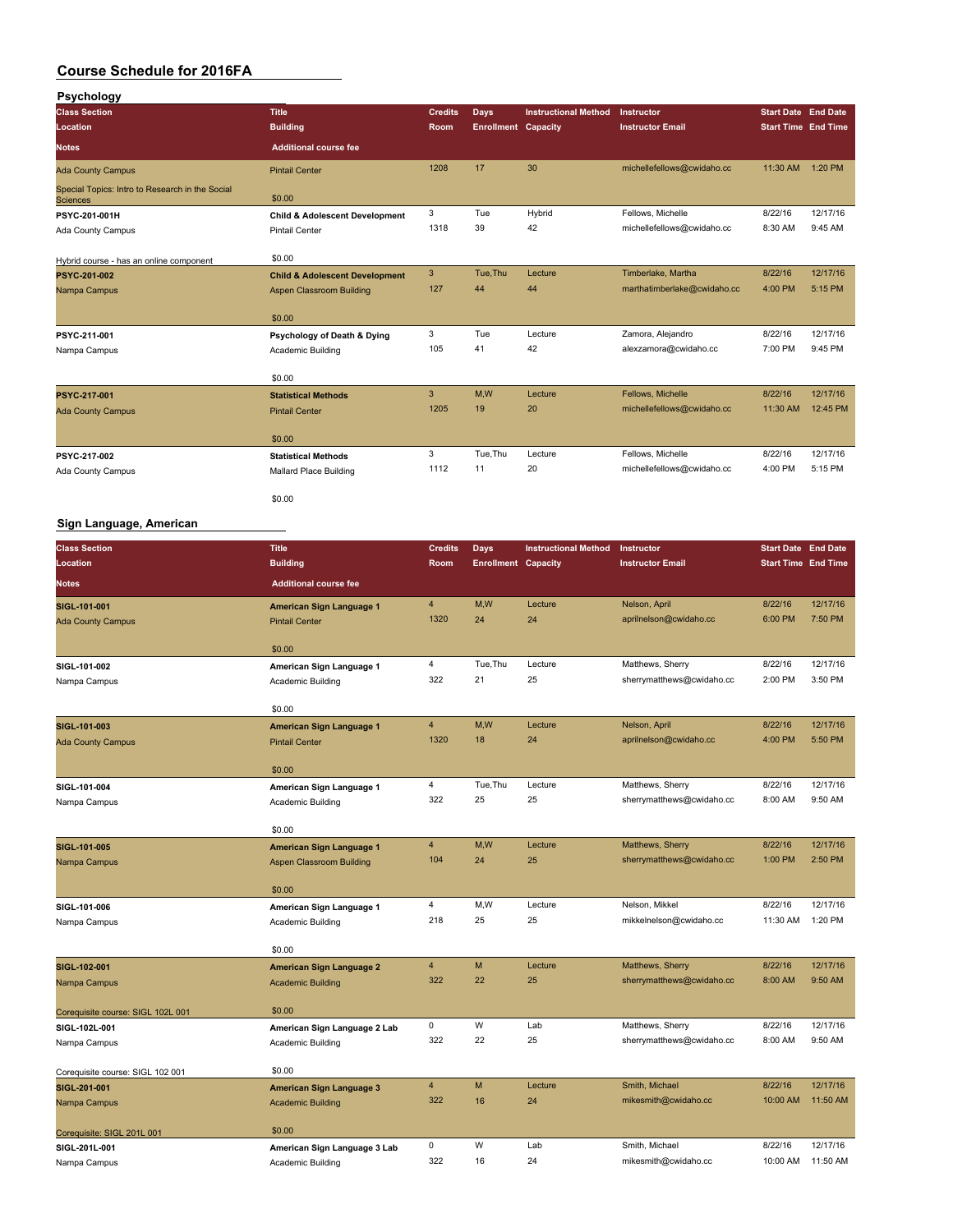| Psychology                                                         |                                           |                |                            |                             |                             |                            |          |
|--------------------------------------------------------------------|-------------------------------------------|----------------|----------------------------|-----------------------------|-----------------------------|----------------------------|----------|
| <b>Class Section</b>                                               | <b>Title</b>                              | <b>Credits</b> | Days                       | <b>Instructional Method</b> | <b>Instructor</b>           | <b>Start Date End Date</b> |          |
| Location                                                           | <b>Building</b>                           | Room           | <b>Enrollment Capacity</b> |                             | <b>Instructor Email</b>     | <b>Start Time End Time</b> |          |
| <b>Notes</b>                                                       | <b>Additional course fee</b>              |                |                            |                             |                             |                            |          |
| <b>Ada County Campus</b>                                           | <b>Pintail Center</b>                     | 1208           | 17                         | 30                          | michellefellows@cwidaho.cc  | 11:30 AM                   | 1:20 PM  |
| Special Topics: Intro to Research in the Social<br><b>Sciences</b> | \$0.00                                    |                |                            |                             |                             |                            |          |
| PSYC-201-001H                                                      | <b>Child &amp; Adolescent Development</b> | 3              | Tue                        | Hybrid                      | Fellows, Michelle           | 8/22/16                    | 12/17/16 |
| Ada County Campus                                                  | <b>Pintail Center</b>                     | 1318           | 39                         | 42                          | michellefellows@cwidaho.cc  | 8:30 AM                    | 9:45 AM  |
| Hybrid course - has an online component                            | \$0.00                                    |                |                            |                             |                             |                            |          |
| PSYC-201-002                                                       | <b>Child &amp; Adolescent Development</b> | 3              | Tue, Thu                   | Lecture                     | Timberlake, Martha          | 8/22/16                    | 12/17/16 |
| Nampa Campus                                                       | Aspen Classroom Building                  | 127            | 44                         | 44                          | marthatimberlake@cwidaho.cc | 4:00 PM                    | 5:15 PM  |
|                                                                    | \$0.00                                    |                |                            |                             |                             |                            |          |
| PSYC-211-001                                                       | Psychology of Death & Dying               | 3              | Tue                        | Lecture                     | Zamora, Alejandro           | 8/22/16                    | 12/17/16 |
| Nampa Campus                                                       | Academic Building                         | 105            | 41                         | 42                          | alexzamora@cwidaho.cc       | 7:00 PM                    | 9:45 PM  |
|                                                                    | \$0.00                                    |                |                            |                             |                             |                            |          |
| PSYC-217-001                                                       | <b>Statistical Methods</b>                | 3              | M,W                        | Lecture                     | Fellows, Michelle           | 8/22/16                    | 12/17/16 |
| <b>Ada County Campus</b>                                           | <b>Pintail Center</b>                     | 1205           | 19                         | 20                          | michellefellows@cwidaho.cc  | 11:30 AM                   | 12:45 PM |
|                                                                    | \$0.00                                    |                |                            |                             |                             |                            |          |
| PSYC-217-002                                                       | <b>Statistical Methods</b>                | 3              | Tue, Thu                   | Lecture                     | Fellows, Michelle           | 8/22/16                    | 12/17/16 |
| Ada County Campus                                                  | Mallard Place Building                    | 1112           | 11                         | 20                          | michellefellows@cwidaho.cc  | 4:00 PM                    | 5:15 PM  |
|                                                                    | \$0.00                                    |                |                            |                             |                             |                            |          |

### **Sign Language, American**

|                                                                                                                 |                            | <b>Start Date End Date</b> |
|-----------------------------------------------------------------------------------------------------------------|----------------------------|----------------------------|
| <b>Building</b><br>Location<br>Room<br><b>Enrollment Capacity</b><br><b>Instructor Email</b>                    | <b>Start Time End Time</b> |                            |
| <b>Additional course fee</b><br><b>Notes</b>                                                                    |                            |                            |
| $\overline{4}$<br>M,W<br>Lecture<br>Nelson, April<br>SIGL-101-001<br>American Sign Language 1                   | 8/22/16                    | 12/17/16                   |
| 1320<br>24<br>24<br>aprilnelson@cwidaho.cc<br><b>Pintail Center</b><br><b>Ada County Campus</b>                 | 6:00 PM                    | 7:50 PM                    |
| \$0.00                                                                                                          |                            |                            |
| Tue, Thu<br>4<br>Lecture<br>Matthews, Sherry<br>SIGL-101-002<br>American Sign Language 1                        | 8/22/16                    | 12/17/16                   |
| 322<br>25<br>21<br>sherrymatthews@cwidaho.cc<br>Academic Building<br>Nampa Campus                               | 2:00 PM                    | 3:50 PM                    |
| \$0.00                                                                                                          |                            |                            |
| 4<br>M,W<br>Nelson, April<br>Lecture<br>SIGL-101-003<br>American Sign Language 1                                | 8/22/16                    | 12/17/16                   |
| 24<br>1320<br>18<br>aprilnelson@cwidaho.cc<br><b>Pintail Center</b><br><b>Ada County Campus</b>                 | 4:00 PM                    | 5:50 PM                    |
| \$0.00                                                                                                          |                            |                            |
| 4<br>Tue, Thu<br>Matthews, Sherry<br>Lecture<br>SIGL-101-004<br>American Sign Language 1                        | 8/22/16                    | 12/17/16                   |
| 322<br>25<br>25<br>sherrymatthews@cwidaho.cc<br>Nampa Campus<br>Academic Building                               | 8:00 AM                    | 9:50 AM                    |
| \$0.00                                                                                                          |                            |                            |
| 4<br>M,W<br>Lecture<br>Matthews, Sherry<br>SIGL-101-005<br>American Sign Language 1                             | 8/22/16                    | 12/17/16                   |
| 104<br>24<br>25<br>sherrymatthews@cwidaho.cc<br>Aspen Classroom Building<br>Nampa Campus                        | 1:00 PM                    | 2:50 PM                    |
|                                                                                                                 |                            |                            |
| \$0.00<br>4<br>Lecture                                                                                          | 8/22/16                    | 12/17/16                   |
| M,W<br>Nelson, Mikkel<br>SIGL-101-006<br>American Sign Language 1<br>218<br>25<br>25<br>mikkelnelson@cwidaho.cc | 11:30 AM                   | 1:20 PM                    |
| Nampa Campus<br>Academic Building                                                                               |                            |                            |
| \$0.00                                                                                                          |                            |                            |
| M<br>$\overline{\mathbf{4}}$<br>Lecture<br>Matthews, Sherry<br>SIGL-102-001<br><b>American Sign Language 2</b>  | 8/22/16                    | 12/17/16                   |
| 322<br>22<br>25<br>sherrymatthews@cwidaho.cc<br>Nampa Campus<br><b>Academic Building</b>                        | 8:00 AM                    | 9:50 AM                    |
| \$0.00<br>Corequisite course: SIGL 102L 001                                                                     |                            |                            |
| 0<br>W<br>Matthews, Sherry<br>Lab<br>SIGL-102L-001<br>American Sign Language 2 Lab                              | 8/22/16                    | 12/17/16                   |
| 25<br>322<br>22<br>sherrymatthews@cwidaho.cc<br>Nampa Campus<br>Academic Building                               | 8:00 AM                    | 9:50 AM                    |
| \$0.00<br>Corequisite course: SIGL 102 001                                                                      |                            |                            |
| $\overline{4}$<br>M<br>Lecture<br>Smith, Michael<br>SIGL-201-001<br><b>American Sign Language 3</b>             | 8/22/16                    | 12/17/16                   |
| 322<br>16<br>24<br>mikesmith@cwidaho.cc<br>Nampa Campus<br><b>Academic Building</b>                             | 10:00 AM                   | 11:50 AM                   |
| \$0.00                                                                                                          |                            |                            |
| Corequisite: SIGL 201L 001<br>0<br>W<br>Lab<br>Smith, Michael<br>SIGL-201L-001<br>American Sign Language 3 Lab  | 8/22/16                    | 12/17/16                   |
| 322<br>mikesmith@cwidaho.cc<br>16<br>24<br>Nampa Campus<br>Academic Building                                    | 10:00 AM                   | 11:50 AM                   |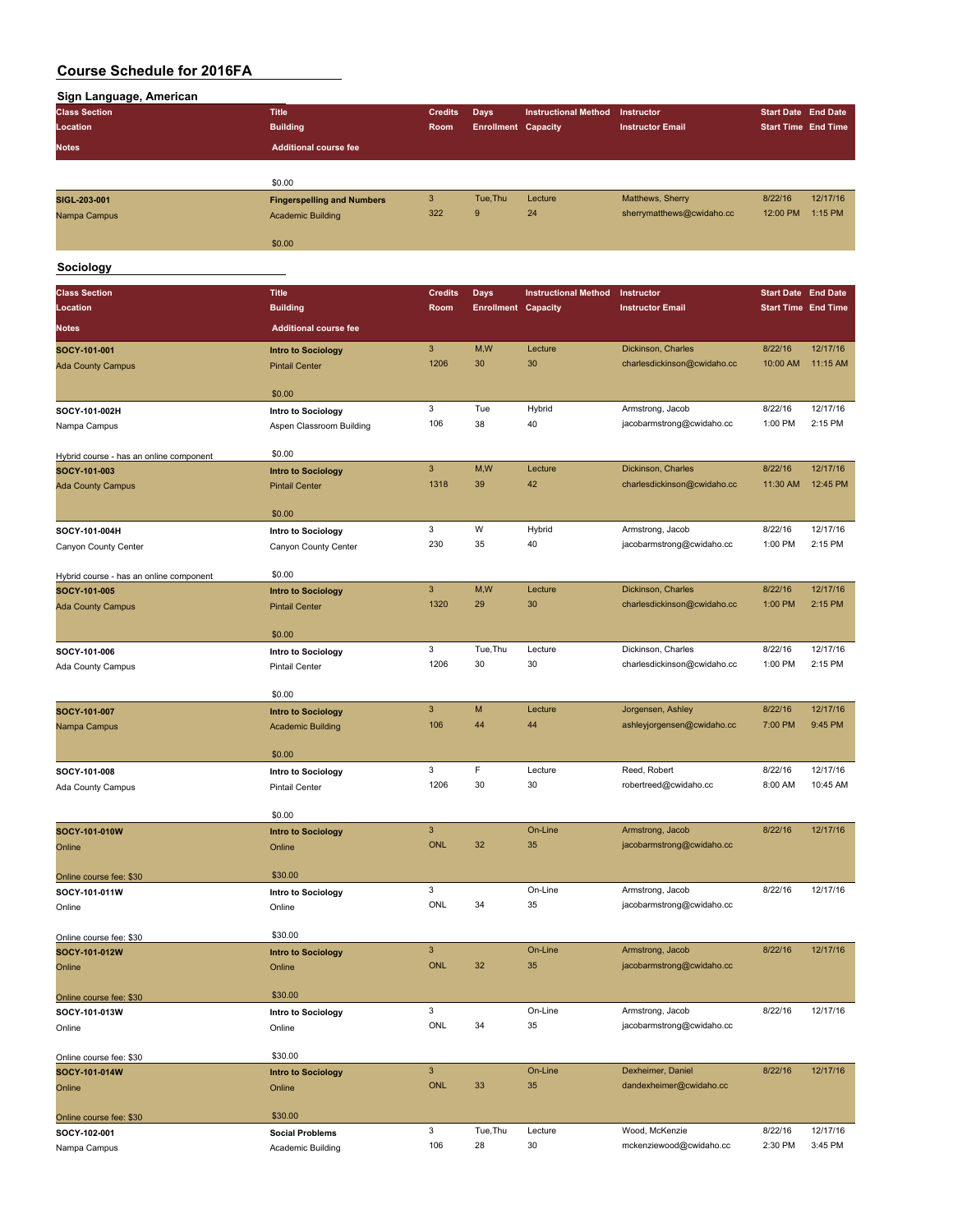| Sign Language, American                  |                                   |                           |                            |                             |                             |                            |                            |
|------------------------------------------|-----------------------------------|---------------------------|----------------------------|-----------------------------|-----------------------------|----------------------------|----------------------------|
| <b>Class Section</b>                     | <b>Title</b>                      | <b>Credits</b>            | Days                       | <b>Instructional Method</b> | Instructor                  | <b>Start Date End Date</b> |                            |
| Location                                 | <b>Building</b>                   | Room                      | <b>Enrollment Capacity</b> |                             | <b>Instructor Email</b>     |                            | <b>Start Time End Time</b> |
|                                          | <b>Additional course fee</b>      |                           |                            |                             |                             |                            |                            |
| Notes                                    |                                   |                           |                            |                             |                             |                            |                            |
|                                          |                                   |                           |                            |                             |                             |                            |                            |
|                                          | \$0.00                            |                           |                            |                             |                             |                            |                            |
| SIGL-203-001                             | <b>Fingerspelling and Numbers</b> | $\mathbf{3}$              | Tue, Thu                   | Lecture                     | Matthews, Sherry            | 8/22/16                    | 12/17/16                   |
| Nampa Campus                             | <b>Academic Building</b>          | 322                       | 9                          | 24                          | sherrymatthews@cwidaho.cc   | 12:00 PM                   | 1:15 PM                    |
|                                          | \$0.00                            |                           |                            |                             |                             |                            |                            |
|                                          |                                   |                           |                            |                             |                             |                            |                            |
| Sociology                                |                                   |                           |                            |                             |                             |                            |                            |
| <b>Class Section</b>                     | <b>Title</b>                      | <b>Credits</b>            | <b>Days</b>                | <b>Instructional Method</b> | Instructor                  |                            | <b>Start Date End Date</b> |
| Location                                 | <b>Building</b>                   | Room                      | <b>Enrollment Capacity</b> |                             | <b>Instructor Email</b>     |                            | <b>Start Time End Time</b> |
|                                          |                                   |                           |                            |                             |                             |                            |                            |
| Notes                                    | <b>Additional course fee</b>      |                           |                            |                             |                             |                            |                            |
| SOCY-101-001                             | <b>Intro to Sociology</b>         | $\mathbf{3}$              | M,W                        | Lecture                     | Dickinson, Charles          | 8/22/16                    | 12/17/16                   |
| <b>Ada County Campus</b>                 | <b>Pintail Center</b>             | 1206                      | 30                         | 30                          | charlesdickinson@cwidaho.cc | 10:00 AM                   | 11:15 AM                   |
|                                          |                                   |                           |                            |                             |                             |                            |                            |
|                                          | \$0.00                            |                           |                            |                             |                             |                            |                            |
| SOCY-101-002H                            | Intro to Sociology                | $\mathbf 3$               | Tue                        | Hybrid                      | Armstrong, Jacob            | 8/22/16                    | 12/17/16                   |
| Nampa Campus                             | Aspen Classroom Building          | 106                       | 38                         | 40                          | jacobarmstrong@cwidaho.cc   | 1:00 PM                    | 2:15 PM                    |
|                                          |                                   |                           |                            |                             |                             |                            |                            |
| Hybrid course - has an online component  | \$0.00                            |                           |                            |                             |                             |                            |                            |
| SOCY-101-003                             | <b>Intro to Sociology</b>         | $\mathbf{3}$              | M,W                        | Lecture                     | Dickinson, Charles          | 8/22/16                    | 12/17/16                   |
| <b>Ada County Campus</b>                 | <b>Pintail Center</b>             | 1318                      | 39                         | 42                          | charlesdickinson@cwidaho.cc | 11:30 AM                   | 12:45 PM                   |
|                                          | \$0.00                            |                           |                            |                             |                             |                            |                            |
|                                          |                                   | $\mathbf 3$               | W                          | Hybrid                      | Armstrong, Jacob            | 8/22/16                    | 12/17/16                   |
| SOCY-101-004H                            | Intro to Sociology                | 230                       | 35                         | 40                          | jacobarmstrong@cwidaho.cc   | 1:00 PM                    | 2:15 PM                    |
| Canyon County Center                     | Canyon County Center              |                           |                            |                             |                             |                            |                            |
| Hybrid course - has an online component  | \$0.00                            |                           |                            |                             |                             |                            |                            |
| SOCY-101-005                             | <b>Intro to Sociology</b>         | $\mathbf{3}$              | M,W                        | Lecture                     | Dickinson, Charles          | 8/22/16                    | 12/17/16                   |
| <b>Ada County Campus</b>                 | <b>Pintail Center</b>             | 1320                      | 29                         | 30                          | charlesdickinson@cwidaho.cc | 1:00 PM                    | 2:15 PM                    |
|                                          |                                   |                           |                            |                             |                             |                            |                            |
|                                          | \$0.00                            |                           |                            |                             |                             |                            |                            |
| SOCY-101-006                             | Intro to Sociology                | 3                         | Tue, Thu                   | Lecture                     | Dickinson, Charles          | 8/22/16                    | 12/17/16                   |
| Ada County Campus                        | <b>Pintail Center</b>             | 1206                      | 30                         | 30                          | charlesdickinson@cwidaho.cc | 1:00 PM                    | 2:15 PM                    |
|                                          |                                   |                           |                            |                             |                             |                            |                            |
|                                          | \$0.00                            |                           |                            |                             |                             |                            |                            |
| SOCY-101-007                             | <b>Intro to Sociology</b>         | $\ensuremath{\mathsf{3}}$ | ${\sf M}$                  | Lecture                     | Jorgensen, Ashley           | 8/22/16                    | 12/17/16                   |
| Nampa Campus                             | <b>Academic Building</b>          | 106                       | 44                         | 44                          | ashleyjorgensen@cwidaho.cc  | 7:00 PM                    | 9:45 PM                    |
|                                          |                                   |                           |                            |                             |                             |                            |                            |
|                                          | \$0.00                            |                           |                            |                             |                             |                            |                            |
| SOCY-101-008                             | Intro to Sociology                | 3                         | F                          | Lecture                     | Reed, Robert                | 8/22/16                    | 12/17/16                   |
| Ada County Campus                        | <b>Pintail Center</b>             | 1206                      | 30                         | 30                          | robertreed@cwidaho.cc       | 8:00 AM                    | 10:45 AM                   |
|                                          |                                   |                           |                            |                             |                             |                            |                            |
|                                          | \$0.00                            |                           |                            |                             |                             |                            |                            |
| SOCY-101-010W                            | <b>Intro to Sociology</b>         | $\mathbf{3}$              |                            | On-Line                     | Armstrong, Jacob            | 8/22/16                    | 12/17/16                   |
| Online                                   | Online                            | <b>ONL</b>                | 32                         | 35                          | jacobarmstrong@cwidaho.cc   |                            |                            |
|                                          | \$30.00                           |                           |                            |                             |                             |                            |                            |
| Online course fee: \$30<br>SOCY-101-011W |                                   | 3                         |                            | On-Line                     | Armstrong, Jacob            | 8/22/16                    | 12/17/16                   |
|                                          | Intro to Sociology                | ONL                       | 34                         | 35                          | jacobarmstrong@cwidaho.cc   |                            |                            |
| Online                                   | Online                            |                           |                            |                             |                             |                            |                            |
| Online course fee: \$30                  | \$30.00                           |                           |                            |                             |                             |                            |                            |
| SOCY-101-012W                            | <b>Intro to Sociology</b>         | $\mathbf{3}$              |                            | On-Line                     | Armstrong, Jacob            | 8/22/16                    | 12/17/16                   |
| Online                                   | Online                            | ONL                       | 32                         | 35                          | jacobarmstrong@cwidaho.cc   |                            |                            |
|                                          |                                   |                           |                            |                             |                             |                            |                            |
| Online course fee: \$30                  | \$30.00                           |                           |                            |                             |                             |                            |                            |
| SOCY-101-013W                            | Intro to Sociology                | 3                         |                            | On-Line                     | Armstrong, Jacob            | 8/22/16                    | 12/17/16                   |
| Online                                   | Online                            | ONL                       | 34                         | 35                          | jacobarmstrong@cwidaho.cc   |                            |                            |
|                                          |                                   |                           |                            |                             |                             |                            |                            |
| Online course fee: \$30                  | \$30.00                           |                           |                            |                             |                             |                            |                            |
| SOCY-101-014W                            | <b>Intro to Sociology</b>         | $\mathbf{3}$              |                            | On-Line                     | Dexheimer, Daniel           | 8/22/16                    | 12/17/16                   |
| Online                                   | Online                            | ONL                       | 33                         | 35                          | dandexheimer@cwidaho.cc     |                            |                            |
|                                          |                                   |                           |                            |                             |                             |                            |                            |
| Online course fee: \$30                  | \$30.00                           |                           |                            |                             |                             |                            |                            |
| SOCY-102-001                             | <b>Social Problems</b>            | 3                         | Tue, Thu                   | Lecture                     | Wood, McKenzie              | 8/22/16                    | 12/17/16                   |
| Nampa Campus                             | Academic Building                 | 106                       | 28                         | 30                          | mckenziewood@cwidaho.cc     | 2:30 PM                    | 3:45 PM                    |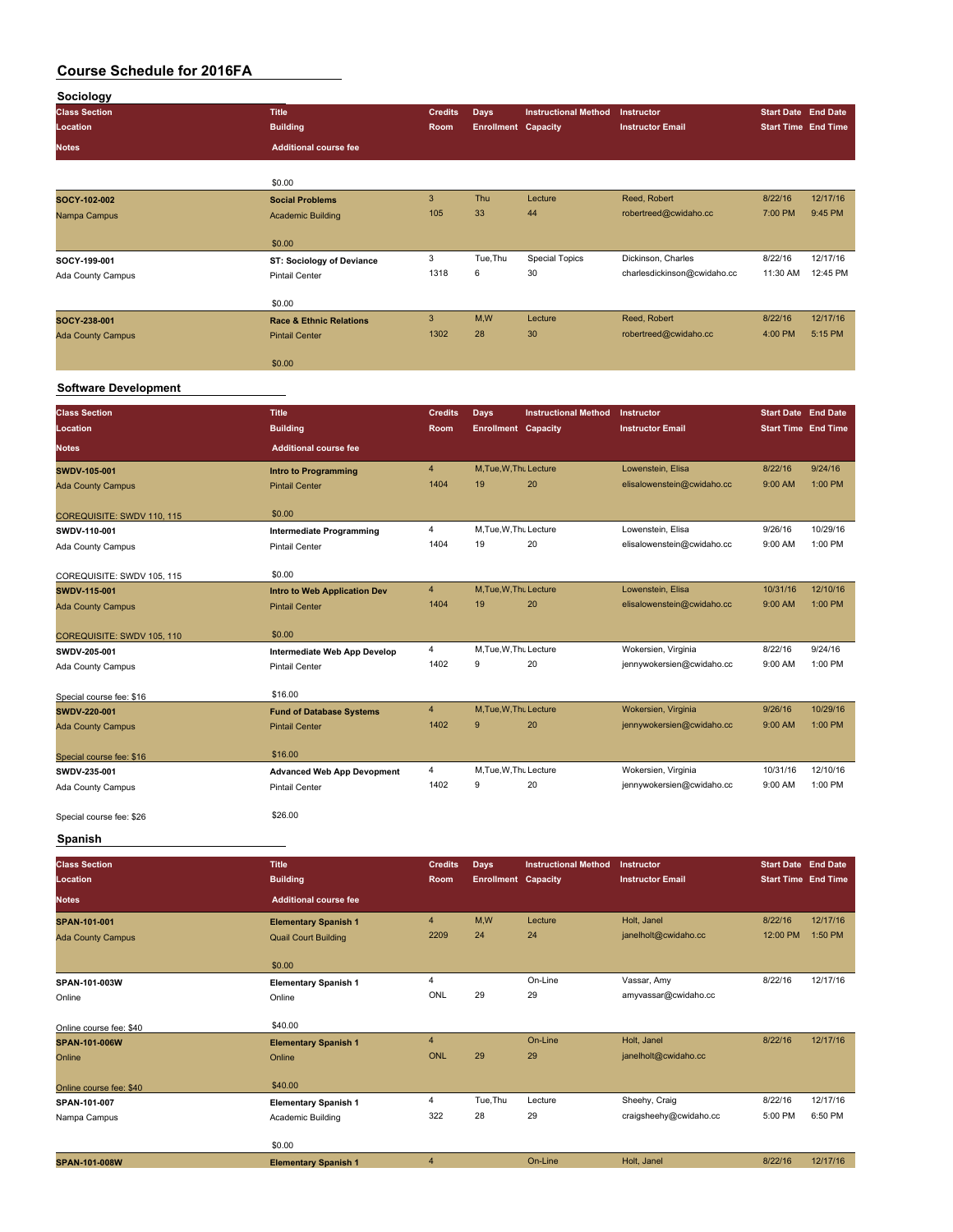| Sociology                   |                                    |                |                            |                             |                             |                            |          |
|-----------------------------|------------------------------------|----------------|----------------------------|-----------------------------|-----------------------------|----------------------------|----------|
| <b>Class Section</b>        | <b>Title</b>                       | <b>Credits</b> | <b>Days</b>                | <b>Instructional Method</b> | Instructor                  | <b>Start Date End Date</b> |          |
| Location                    | <b>Building</b>                    | Room           | <b>Enrollment Capacity</b> |                             | <b>Instructor Email</b>     | <b>Start Time End Time</b> |          |
| <b>Notes</b>                | <b>Additional course fee</b>       |                |                            |                             |                             |                            |          |
|                             |                                    |                |                            |                             |                             |                            |          |
|                             |                                    |                |                            |                             |                             |                            |          |
|                             | \$0.00                             |                |                            |                             | Reed, Robert                |                            | 12/17/16 |
| SOCY-102-002                | <b>Social Problems</b>             | 3              | Thu                        | Lecture                     |                             | 8/22/16                    |          |
| Nampa Campus                | <b>Academic Building</b>           | 105            | 33                         | 44                          | robertreed@cwidaho.cc       | 7:00 PM                    | 9:45 PM  |
|                             | \$0.00                             |                |                            |                             |                             |                            |          |
|                             |                                    | 3              | Tue, Thu                   |                             | Dickinson, Charles          | 8/22/16                    | 12/17/16 |
| SOCY-199-001                | <b>ST: Sociology of Deviance</b>   | 1318           | 6                          | <b>Special Topics</b><br>30 | charlesdickinson@cwidaho.cc | 11:30 AM                   | 12:45 PM |
| Ada County Campus           | <b>Pintail Center</b>              |                |                            |                             |                             |                            |          |
|                             | \$0.00                             |                |                            |                             |                             |                            |          |
|                             |                                    | $\mathbf{3}$   | M,W                        | Lecture                     | Reed, Robert                | 8/22/16                    | 12/17/16 |
| SOCY-238-001                | <b>Race &amp; Ethnic Relations</b> | 1302           | 28                         | 30                          | robertreed@cwidaho.cc       | 4:00 PM                    | 5:15 PM  |
| <b>Ada County Campus</b>    | <b>Pintail Center</b>              |                |                            |                             |                             |                            |          |
|                             | \$0.00                             |                |                            |                             |                             |                            |          |
|                             |                                    |                |                            |                             |                             |                            |          |
| <b>Software Development</b> |                                    |                |                            |                             |                             |                            |          |
| <b>Class Section</b>        | <b>Title</b>                       | <b>Credits</b> |                            | <b>Instructional Method</b> | Instructor                  | <b>Start Date End Date</b> |          |
| <b>Location</b>             |                                    | Room           | Days                       |                             | <b>Instructor Email</b>     | <b>Start Time End Time</b> |          |
|                             | <b>Building</b>                    |                | <b>Enrollment Capacity</b> |                             |                             |                            |          |
| Notes                       | <b>Additional course fee</b>       |                |                            |                             |                             |                            |          |
| SWDV-105-001                | Intro to Programming               | $\overline{4}$ | M, Tue, W, Thu Lecture     |                             | Lowenstein, Elisa           | 8/22/16                    | 9/24/16  |
| <b>Ada County Campus</b>    | <b>Pintail Center</b>              | 1404           | 19                         | 20                          | elisalowenstein@cwidaho.cc  | 9:00 AM                    | 1:00 PM  |
|                             |                                    |                |                            |                             |                             |                            |          |
| COREQUISITE: SWDV 110, 115  | \$0.00                             |                |                            |                             |                             |                            |          |
| SWDV-110-001                | <b>Intermediate Programming</b>    | 4              | M, Tue, W, Thu Lecture     |                             | Lowenstein, Elisa           | 9/26/16                    | 10/29/16 |
| Ada County Campus           | <b>Pintail Center</b>              | 1404           | 19                         | 20                          | elisalowenstein@cwidaho.cc  | 9:00 AM                    | 1:00 PM  |
|                             |                                    |                |                            |                             |                             |                            |          |
| COREQUISITE: SWDV 105, 115  | \$0.00                             |                |                            |                             |                             |                            |          |
| SWDV-115-001                | Intro to Web Application Dev       | $\overline{4}$ | M, Tue, W, Thu Lecture     |                             | Lowenstein, Elisa           | 10/31/16                   | 12/10/16 |
| <b>Ada County Campus</b>    | <b>Pintail Center</b>              | 1404           | 19                         | 20                          | elisalowenstein@cwidaho.cc  | 9:00 AM                    | 1:00 PM  |
|                             |                                    |                |                            |                             |                             |                            |          |
| COREQUISITE: SWDV 105, 110  | \$0.00                             |                |                            |                             |                             |                            |          |
| SWDV-205-001                | Intermediate Web App Develop       | 4              | M, Tue, W, Thu Lecture     |                             | Wokersien, Virginia         | 8/22/16                    | 9/24/16  |
| Ada County Campus           | <b>Pintail Center</b>              | 1402           | 9                          | 20                          | jennywokersien@cwidaho.cc   | 9:00 AM                    | 1:00 PM  |
|                             |                                    |                |                            |                             |                             |                            |          |
| Special course fee: \$16    | \$16.00                            |                |                            |                             |                             |                            |          |
| SWDV-220-001                | <b>Fund of Database Systems</b>    | $\overline{4}$ | M, Tue, W, Thu Lecture     |                             | Wokersien, Virginia         | 9/26/16                    | 10/29/16 |
| <b>Ada County Campus</b>    | <b>Pintail Center</b>              | 1402           | $9$                        | 20                          | jennywokersien@cwidaho.cc   | 9:00 AM                    | 1:00 PM  |
|                             |                                    |                |                            |                             |                             |                            |          |
| Special course fee: \$16    | \$16.00                            |                |                            |                             |                             |                            |          |
| SWDV-235-001                | <b>Advanced Web App Devopment</b>  | 4              | M, Tue, W, Thu Lecture     |                             | Wokersien, Virginia         | 10/31/16                   | 12/10/16 |
| Ada County Campus           | <b>Pintail Center</b>              | 1402           | 9                          | 20                          | jennywokersien@cwidaho.cc   | 9:00 AM                    | 1:00 PM  |
|                             |                                    |                |                            |                             |                             |                            |          |
| Special course fee: \$26    | \$26.00                            |                |                            |                             |                             |                            |          |
| Spanish                     |                                    |                |                            |                             |                             |                            |          |
|                             |                                    |                |                            |                             |                             |                            |          |
| <b>Class Section</b>        | <b>Title</b>                       | <b>Credits</b> | <b>Days</b>                | <b>Instructional Method</b> | Instructor                  | <b>Start Date End Date</b> |          |
| Location                    | <b>Building</b>                    | Room           | <b>Enrollment Capacity</b> |                             | <b>Instructor Email</b>     | <b>Start Time End Time</b> |          |
| Notes                       | <b>Additional course fee</b>       |                |                            |                             |                             |                            |          |
|                             |                                    |                |                            |                             |                             |                            |          |
| SPAN-101-001                | <b>Elementary Spanish 1</b>        | 4              | M, W                       | Lecture                     | Holt, Janel                 | 8/22/16                    | 12/17/16 |
| <b>Ada County Campus</b>    | <b>Quail Court Building</b>        | 2209           | 24                         | 24                          | janelholt@cwidaho.cc        | 12:00 PM                   | 1:50 PM  |
|                             |                                    |                |                            |                             |                             |                            |          |
|                             | \$0.00                             |                |                            |                             |                             |                            |          |
| SPAN-101-003W               | <b>Elementary Spanish 1</b>        | 4              |                            | On-Line                     | Vassar, Amy                 | 8/22/16                    | 12/17/16 |
| Online                      | Online                             | ONL            | 29                         | 29                          | amyvassar@cwidaho.cc        |                            |          |
|                             |                                    |                |                            |                             |                             |                            |          |
| Online course fee: \$40     | \$40.00                            |                |                            |                             |                             | 8/22/16                    | 12/17/16 |
| SPAN-101-006W               | <b>Elementary Spanish 1</b>        | 4              | 29                         | On-Line                     | Holt, Janel                 |                            |          |
| Online                      | Online                             | <b>ONL</b>     |                            | 29                          | janelholt@cwidaho.cc        |                            |          |
|                             | \$40.00                            |                |                            |                             |                             |                            |          |
| Online course fee: \$40     |                                    | 4              | Tue, Thu                   | Lecture                     | Sheehy, Craig               | 8/22/16                    | 12/17/16 |
| SPAN-101-007                | <b>Elementary Spanish 1</b>        | 322            | 28                         | 29                          | craigsheehy@cwidaho.cc      | 5:00 PM                    | 6:50 PM  |
| Nampa Campus                | Academic Building                  |                |                            |                             |                             |                            |          |
|                             | \$0.00                             |                |                            |                             |                             |                            |          |
| SPAN-101-008W               | <b>Elementary Spanish 1</b>        | $\overline{4}$ |                            | On-Line                     | Holt, Janel                 | 8/22/16                    | 12/17/16 |
|                             |                                    |                |                            |                             |                             |                            |          |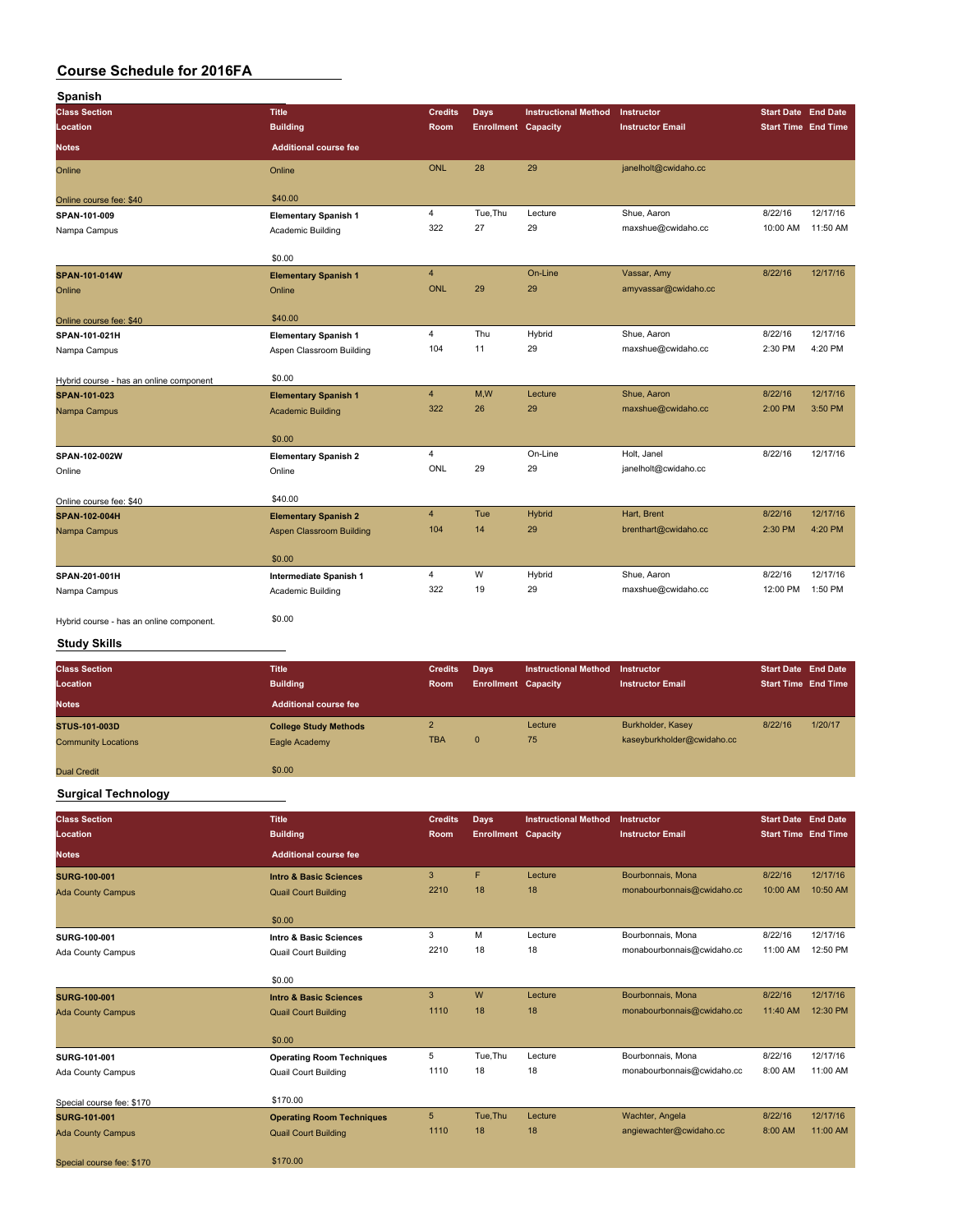| Spanish                                            |                                                          |                |                                           |                             |                            |                            |                     |
|----------------------------------------------------|----------------------------------------------------------|----------------|-------------------------------------------|-----------------------------|----------------------------|----------------------------|---------------------|
| <b>Class Section</b>                               | <b>Title</b>                                             | <b>Credits</b> | Days                                      | <b>Instructional Method</b> | Instructor                 | <b>Start Date End Date</b> |                     |
| Location                                           | <b>Building</b>                                          | Room           | <b>Enrollment Capacity</b>                |                             | <b>Instructor Email</b>    | <b>Start Time End Time</b> |                     |
| <b>Notes</b>                                       | <b>Additional course fee</b>                             |                |                                           |                             |                            |                            |                     |
| Online                                             | Online                                                   | <b>ONL</b>     | 28                                        | 29                          | janelholt@cwidaho.cc       |                            |                     |
| Online course fee: \$40                            | \$40.00                                                  |                |                                           |                             |                            |                            |                     |
| SPAN-101-009                                       | <b>Elementary Spanish 1</b>                              | 4              | Tue, Thu                                  | Lecture                     | Shue, Aaron                | 8/22/16                    | 12/17/16            |
| Nampa Campus                                       | Academic Building                                        | 322            | 27                                        | 29                          | maxshue@cwidaho.cc         | 10:00 AM                   | 11:50 AM            |
|                                                    | \$0.00                                                   |                |                                           |                             |                            |                            |                     |
| SPAN-101-014W                                      | <b>Elementary Spanish 1</b>                              | 4              |                                           | On-Line                     | Vassar, Amy                | 8/22/16                    | 12/17/16            |
| Online                                             | Online                                                   | <b>ONL</b>     | 29                                        | 29                          | amyvassar@cwidaho.cc       |                            |                     |
|                                                    | \$40.00                                                  |                |                                           |                             |                            |                            |                     |
| Online course fee: \$40<br>SPAN-101-021H           |                                                          | 4              | Thu                                       | Hybrid                      | Shue, Aaron                | 8/22/16                    | 12/17/16            |
| Nampa Campus                                       | <b>Elementary Spanish 1</b><br>Aspen Classroom Building  | 104            | 11                                        | 29                          | maxshue@cwidaho.cc         | 2:30 PM                    | 4:20 PM             |
|                                                    |                                                          |                |                                           |                             |                            |                            |                     |
| Hybrid course - has an online component            | \$0.00                                                   |                |                                           |                             |                            |                            |                     |
| SPAN-101-023                                       | <b>Elementary Spanish 1</b>                              | 4<br>322       | M,W                                       | Lecture                     | Shue, Aaron                | 8/22/16                    | 12/17/16            |
| Nampa Campus                                       | <b>Academic Building</b>                                 |                | 26                                        | 29                          | maxshue@cwidaho.cc         | 2:00 PM                    | 3:50 PM             |
|                                                    | \$0.00                                                   |                |                                           |                             |                            |                            |                     |
| SPAN-102-002W                                      | <b>Elementary Spanish 2</b>                              | 4              |                                           | On-Line                     | Holt, Janel                | 8/22/16                    | 12/17/16            |
| Online                                             | Online                                                   | <b>ONL</b>     | 29                                        | 29                          | janelholt@cwidaho.cc       |                            |                     |
|                                                    | \$40.00                                                  |                |                                           |                             |                            |                            |                     |
| Online course fee: \$40<br>SPAN-102-004H           | <b>Elementary Spanish 2</b>                              | $\overline{4}$ | Tue                                       | Hybrid                      | Hart, Brent                | 8/22/16                    | 12/17/16            |
| Nampa Campus                                       | <b>Aspen Classroom Building</b>                          | 104            | 14                                        | 29                          | brenthart@cwidaho.cc       | 2:30 PM                    | 4:20 PM             |
|                                                    |                                                          |                |                                           |                             |                            |                            |                     |
|                                                    | \$0.00                                                   |                |                                           |                             |                            |                            |                     |
| SPAN-201-001H                                      | Intermediate Spanish 1                                   | 4<br>322       | W<br>19                                   | Hybrid<br>29                | Shue, Aaron                | 8/22/16<br>12:00 PM        | 12/17/16<br>1:50 PM |
| Nampa Campus                                       | <b>Academic Building</b>                                 |                |                                           |                             | maxshue@cwidaho.cc         |                            |                     |
| Hybrid course - has an online component.           | \$0.00                                                   |                |                                           |                             |                            |                            |                     |
| <b>Study Skills</b>                                |                                                          |                |                                           |                             |                            |                            |                     |
| <b>Class Section</b>                               | <b>Title</b>                                             | <b>Credits</b> |                                           | <b>Instructional Method</b> | Instructor                 | <b>Start Date End Date</b> |                     |
| Location                                           | <b>Building</b>                                          | Room           | <b>Days</b><br><b>Enrollment Capacity</b> |                             | <b>Instructor Email</b>    | <b>Start Time End Time</b> |                     |
| <b>Notes</b>                                       | <b>Additional course fee</b>                             |                |                                           |                             |                            |                            |                     |
|                                                    |                                                          | $\overline{2}$ |                                           | Lecture                     | Burkholder, Kasey          | 8/22/16                    | 1/20/17             |
| <b>STUS-101-003D</b><br><b>Community Locations</b> | <b>College Study Methods</b><br>Eagle Academy            | <b>TBA</b>     | $\mathbf{0}$                              | 75                          | kaseyburkholder@cwidaho.cc |                            |                     |
|                                                    |                                                          |                |                                           |                             |                            |                            |                     |
| <b>Dual Credit</b>                                 | \$0.00                                                   |                |                                           |                             |                            |                            |                     |
| <b>Surgical Technology</b>                         |                                                          |                |                                           |                             |                            |                            |                     |
| <b>Class Section</b>                               | <b>Title</b>                                             | <b>Credits</b> | Days                                      | <b>Instructional Method</b> | Instructor                 | <b>Start Date End Date</b> |                     |
| Location                                           | <b>Building</b>                                          | Room           | <b>Enrollment Capacity</b>                |                             | <b>Instructor Email</b>    | <b>Start Time End Time</b> |                     |
| <b>Notes</b>                                       | <b>Additional course fee</b>                             |                |                                           |                             |                            |                            |                     |
| <b>SURG-100-001</b>                                | <b>Intro &amp; Basic Sciences</b>                        | $\mathbf{3}$   | F                                         | Lecture                     | Bourbonnais, Mona          | 8/22/16                    | 12/17/16            |
| <b>Ada County Campus</b>                           | <b>Quail Court Building</b>                              | 2210           | 18                                        | 18                          | monabourbonnais@cwidaho.cc | 10:00 AM                   | 10:50 AM            |
|                                                    |                                                          |                |                                           |                             |                            |                            |                     |
|                                                    | \$0.00                                                   |                |                                           |                             |                            |                            |                     |
| SURG-100-001                                       | Intro & Basic Sciences                                   | 3              | М                                         | Lecture                     | Bourbonnais, Mona          | 8/22/16                    | 12/17/16            |
| Ada County Campus                                  | Quail Court Building                                     | 2210           | 18                                        | 18                          | monabourbonnais@cwidaho.cc | 11:00 AM                   | 12:50 PM            |
|                                                    | \$0.00                                                   |                |                                           |                             |                            |                            |                     |
| <b>SURG-100-001</b>                                | <b>Intro &amp; Basic Sciences</b>                        | $\mathbf{3}$   | W                                         | Lecture                     | Bourbonnais, Mona          | 8/22/16                    | 12/17/16            |
| <b>Ada County Campus</b>                           | <b>Quail Court Building</b>                              | 1110           | 18                                        | 18                          | monabourbonnais@cwidaho.cc | 11:40 AM                   | 12:30 PM            |
|                                                    |                                                          |                |                                           |                             |                            |                            |                     |
|                                                    | \$0.00                                                   | 5              | Tue, Thu                                  | Lecture                     | Bourbonnais, Mona          | 8/22/16                    | 12/17/16            |
| SURG-101-001<br>Ada County Campus                  | <b>Operating Room Techniques</b><br>Quail Court Building | 1110           | 18                                        | 18                          | monabourbonnais@cwidaho.cc | 8:00 AM                    | 11:00 AM            |
|                                                    |                                                          |                |                                           |                             |                            |                            |                     |
| Special course fee: \$170                          | \$170.00                                                 |                |                                           |                             |                            |                            |                     |
| SURG-101-001                                       | <b>Operating Room Techniques</b>                         | 5              | Tue, Thu                                  | Lecture                     | Wachter, Angela            | 8/22/16                    | 12/17/16            |
| <b>Ada County Campus</b>                           | <b>Quail Court Building</b>                              | 1110           | 18                                        | 18                          | angiewachter@cwidaho.cc    | 8:00 AM                    | 11:00 AM            |
| Special course fee: \$170                          | \$170.00                                                 |                |                                           |                             |                            |                            |                     |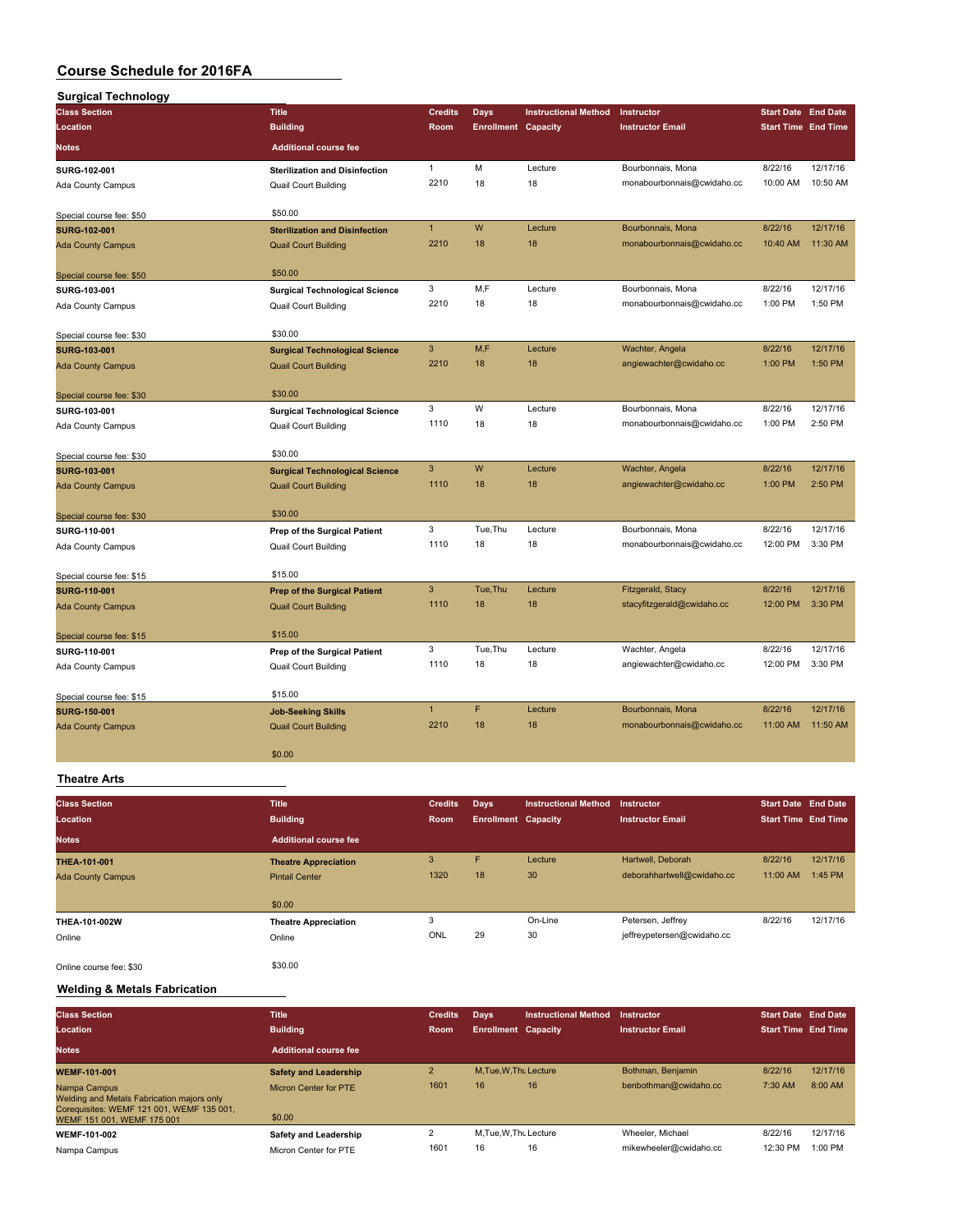| <b>Surgical Technology</b>                      |                                                                      |                      |                            |                             |                                                 |                            |                      |
|-------------------------------------------------|----------------------------------------------------------------------|----------------------|----------------------------|-----------------------------|-------------------------------------------------|----------------------------|----------------------|
| <b>Class Section</b>                            | <b>Title</b>                                                         | <b>Credits</b>       | <b>Days</b>                | <b>Instructional Method</b> | Instructor                                      | <b>Start Date End Date</b> |                      |
| Location                                        | <b>Building</b>                                                      | Room                 | <b>Enrollment Capacity</b> |                             | <b>Instructor Email</b>                         | <b>Start Time End Time</b> |                      |
| <b>Notes</b>                                    | <b>Additional course fee</b>                                         |                      |                            |                             |                                                 |                            |                      |
| SURG-102-001                                    | <b>Sterilization and Disinfection</b>                                | $\mathbf{1}$         | M                          | Lecture                     | Bourbonnais, Mona                               | 8/22/16                    | 12/17/16             |
| Ada County Campus                               | <b>Quail Court Building</b>                                          | 2210                 | 18                         | 18                          | monabourbonnais@cwidaho.cc                      | 10:00 AM                   | 10:50 AM             |
|                                                 |                                                                      |                      |                            |                             |                                                 |                            |                      |
| Special course fee: \$50                        | \$50.00                                                              |                      |                            |                             |                                                 |                            |                      |
| <b>SURG-102-001</b>                             | <b>Sterilization and Disinfection</b>                                | $\mathbf{1}$<br>2210 | W                          | Lecture                     | Bourbonnais, Mona<br>monabourbonnais@cwidaho.cc | 8/22/16                    | 12/17/16<br>11:30 AM |
| <b>Ada County Campus</b>                        | <b>Quail Court Building</b>                                          |                      | 18                         | 18                          |                                                 | 10:40 AM                   |                      |
| Special course fee: \$50                        | \$50.00                                                              |                      |                            |                             |                                                 |                            |                      |
| SURG-103-001                                    | <b>Surgical Technological Science</b>                                | 3                    | M,F                        | Lecture                     | Bourbonnais, Mona                               | 8/22/16                    | 12/17/16             |
| Ada County Campus                               | <b>Quail Court Building</b>                                          | 2210                 | 18                         | 18                          | monabourbonnais@cwidaho.cc                      | 1:00 PM                    | 1:50 PM              |
| Special course fee: \$30                        | \$30.00                                                              |                      |                            |                             |                                                 |                            |                      |
| <b>SURG-103-001</b>                             | <b>Surgical Technological Science</b>                                | 3                    | M,F                        | Lecture                     | Wachter, Angela                                 | 8/22/16                    | 12/17/16             |
| <b>Ada County Campus</b>                        | <b>Quail Court Building</b>                                          | 2210                 | 18                         | 18                          | angiewachter@cwidaho.cc                         | 1:00 PM                    | 1:50 PM              |
|                                                 | \$30.00                                                              |                      |                            |                             |                                                 |                            |                      |
| Special course fee: \$30                        |                                                                      | 3                    | W                          | Lecture                     | Bourbonnais, Mona                               | 8/22/16                    | 12/17/16             |
| SURG-103-001                                    | <b>Surgical Technological Science</b><br><b>Quail Court Building</b> | 1110                 | 18                         | 18                          | monabourbonnais@cwidaho.cc                      | 1:00 PM                    | 2:50 PM              |
| Ada County Campus                               |                                                                      |                      |                            |                             |                                                 |                            |                      |
| Special course fee: \$30                        | \$30.00                                                              |                      |                            |                             |                                                 |                            |                      |
| <b>SURG-103-001</b>                             | <b>Surgical Technological Science</b>                                | 3                    | W                          | Lecture                     | Wachter, Angela                                 | 8/22/16                    | 12/17/16             |
| <b>Ada County Campus</b>                        | <b>Quail Court Building</b>                                          | 1110                 | 18                         | 18                          | angiewachter@cwidaho.cc                         | 1:00 PM                    | 2:50 PM              |
| Special course fee: \$30                        | \$30.00                                                              |                      |                            |                             |                                                 |                            |                      |
| SURG-110-001                                    | Prep of the Surgical Patient                                         | 3                    | Tue, Thu                   | Lecture                     | Bourbonnais, Mona                               | 8/22/16                    | 12/17/16             |
| Ada County Campus                               | <b>Quail Court Building</b>                                          | 1110                 | 18                         | 18                          | monabourbonnais@cwidaho.cc                      | 12:00 PM                   | 3:30 PM              |
|                                                 | \$15.00                                                              |                      |                            |                             |                                                 |                            |                      |
| Special course fee: \$15<br><b>SURG-110-001</b> | <b>Prep of the Surgical Patient</b>                                  | 3                    | Tue, Thu                   | Lecture                     | Fitzgerald, Stacy                               | 8/22/16                    | 12/17/16             |
| <b>Ada County Campus</b>                        | <b>Quail Court Building</b>                                          | 1110                 | 18                         | 18                          | stacyfitzgerald@cwidaho.cc                      | 12:00 PM                   | 3:30 PM              |
|                                                 |                                                                      |                      |                            |                             |                                                 |                            |                      |
| Special course fee: \$15                        | \$15.00                                                              |                      |                            |                             |                                                 |                            |                      |
| SURG-110-001                                    | Prep of the Surgical Patient                                         | 3                    | Tue, Thu                   | Lecture                     | Wachter, Angela                                 | 8/22/16                    | 12/17/16             |
| Ada County Campus                               | <b>Quail Court Building</b>                                          | 1110                 | 18                         | 18                          | angiewachter@cwidaho.cc                         | 12:00 PM                   | 3:30 PM              |
| Special course fee: \$15                        | \$15.00                                                              |                      |                            |                             |                                                 |                            |                      |
| <b>SURG-150-001</b>                             | <b>Job-Seeking Skills</b>                                            | $\mathbf{1}$         | F                          | Lecture                     | Bourbonnais, Mona                               | 8/22/16                    | 12/17/16             |
| <b>Ada County Campus</b>                        | <b>Quail Court Building</b>                                          | 2210                 | 18                         | 18                          | monabourbonnais@cwidaho.cc                      | 11:00 AM                   | 11:50 AM             |
|                                                 | \$0.00                                                               |                      |                            |                             |                                                 |                            |                      |
|                                                 |                                                                      |                      |                            |                             |                                                 |                            |                      |
| <b>Theatre Arts</b>                             |                                                                      |                      |                            |                             |                                                 |                            |                      |
| <b>Class Section</b>                            | <b>Title</b>                                                         | <b>Credits</b>       | <b>Days</b>                | <b>Instructional Method</b> | Instructor                                      | <b>Start Date End Date</b> |                      |
| Location                                        | <b>Building</b>                                                      | Room                 | <b>Enrollment Capacity</b> |                             | <b>Instructor Email</b>                         | <b>Start Time End Time</b> |                      |
| <b>Notes</b>                                    | <b>Additional course fee</b>                                         |                      |                            |                             |                                                 |                            |                      |
| THEA-101-001                                    | <b>Theatre Appreciation</b>                                          | 3                    | F                          | Lecture                     | Hartwell, Deborah                               | 8/22/16                    | 12/17/16             |
| <b>Ada County Campus</b>                        | <b>Pintail Center</b>                                                | 1320                 | 18                         | 30                          | deborahhartwell@cwidaho.cc                      | 11:00 AM                   | 1:45 PM              |
|                                                 | \$0.00                                                               |                      |                            |                             |                                                 |                            |                      |
| THEA-101-002W                                   | <b>Theatre Appreciation</b>                                          | 3                    |                            | On-Line                     | Petersen, Jeffrey                               | 8/22/16                    | 12/17/16             |

Online Online ONL 29 30 jeffreypetersen@cwidaho.cc

Online course fee: \$30 \$30.00

### **Welding & Metals Fabrication**

÷.

| <b>Class Section</b><br>Location                                                                        | <b>Title</b><br><b>Building</b> | <b>Credits</b><br><b>Room</b> | Days<br><b>Enrollment Capacity</b> | <b>Instructional Method</b> | Instructor<br><b>Instructor Email</b> | <b>Start Date End Date</b><br><b>Start Time End Time</b> |           |
|---------------------------------------------------------------------------------------------------------|---------------------------------|-------------------------------|------------------------------------|-----------------------------|---------------------------------------|----------------------------------------------------------|-----------|
| <b>Notes</b>                                                                                            | <b>Additional course fee</b>    |                               |                                    |                             |                                       |                                                          |           |
| <b>WEMF-101-001</b>                                                                                     | <b>Safety and Leadership</b>    | $\overline{2}$                | M.Tue.W.Thu Lecture                |                             | Bothman, Benjamin                     | 8/22/16                                                  | 12/17/16  |
| Nampa Campus<br>Welding and Metals Fabrication majors only<br>Corequisites: WEMF 121 001, WEMF 135 001, | <b>Micron Center for PTE</b>    | 1601                          | 16                                 | 16                          | benbothman@cwidaho.cc                 | 7:30 AM                                                  | $8:00$ AM |
| WEMF 151 001, WEMF 175 001                                                                              | \$0.00                          |                               |                                    |                             |                                       |                                                          |           |
| <b>WEMF-101-002</b>                                                                                     | Safety and Leadership           | $\Omega$                      | M.Tue, W.Thu Lecture               |                             | Wheeler, Michael                      | 8/22/16                                                  | 12/17/16  |
| Nampa Campus                                                                                            | Micron Center for PTE           | 1601                          | 16                                 | 16                          | mikewheeler@cwidaho.cc                | 12:30 PM                                                 | $1:00$ PM |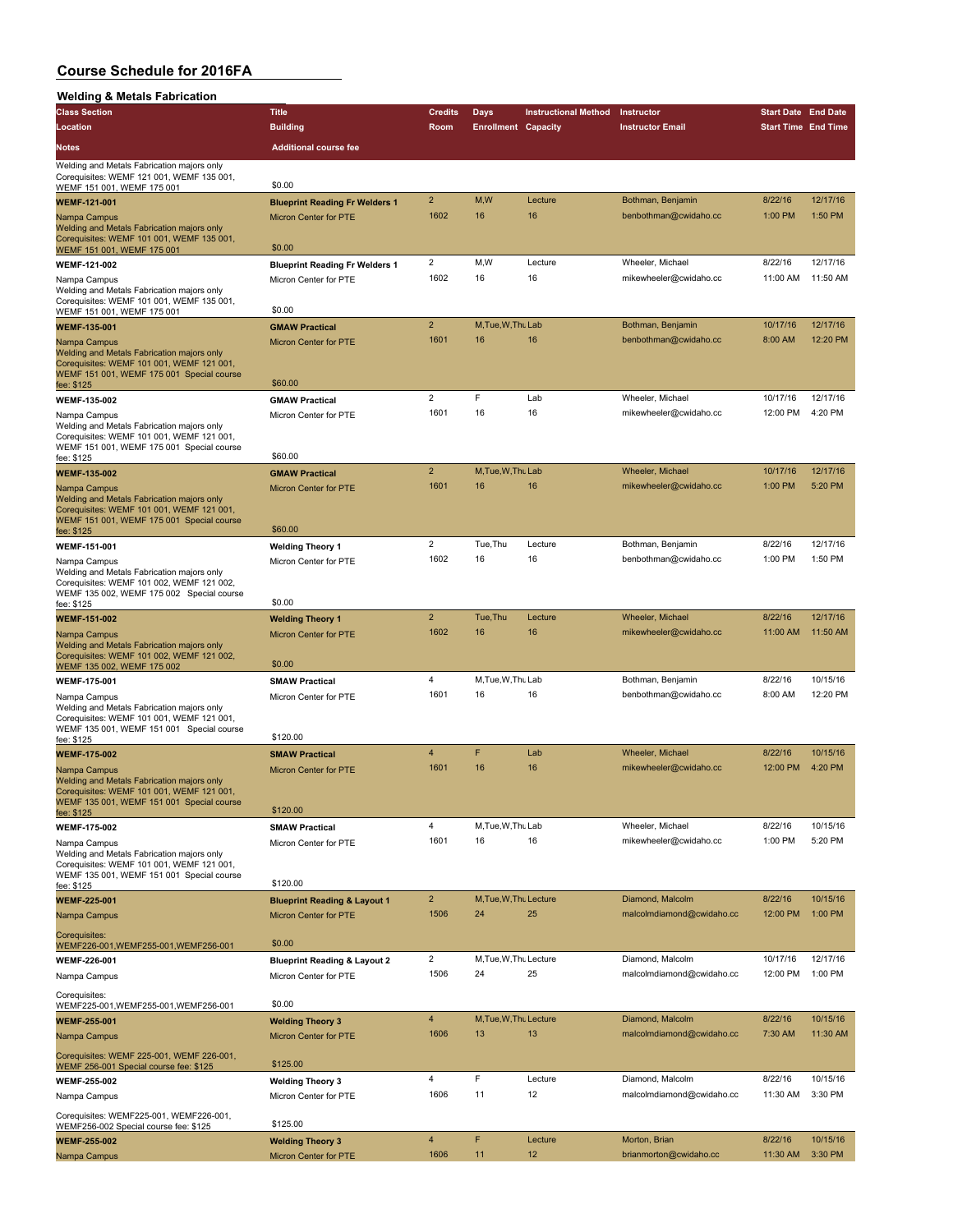| <b>Welding &amp; Metals Fabrication</b>                                                                                                                            |                                                       |                         |                            |                             |                           |                            |          |
|--------------------------------------------------------------------------------------------------------------------------------------------------------------------|-------------------------------------------------------|-------------------------|----------------------------|-----------------------------|---------------------------|----------------------------|----------|
| <b>Class Section</b>                                                                                                                                               | <b>Title</b>                                          | <b>Credits</b>          | <b>Days</b>                | <b>Instructional Method</b> | Instructor                | <b>Start Date End Date</b> |          |
| Location                                                                                                                                                           | <b>Building</b>                                       | Room                    | <b>Enrollment Capacity</b> |                             | <b>Instructor Email</b>   | <b>Start Time End Time</b> |          |
| Notes                                                                                                                                                              | <b>Additional course fee</b>                          |                         |                            |                             |                           |                            |          |
| Welding and Metals Fabrication majors only<br>Corequisites: WEMF 121 001, WEMF 135 001,<br>WEMF 151 001, WEMF 175 001                                              | \$0.00                                                |                         |                            |                             |                           |                            |          |
| <b>WEMF-121-001</b>                                                                                                                                                | <b>Blueprint Reading Fr Welders 1</b>                 | $\overline{\mathbf{c}}$ | M,W                        | Lecture                     | Bothman, Benjamin         | 8/22/16                    | 12/17/16 |
| Nampa Campus                                                                                                                                                       | Micron Center for PTE                                 | 1602                    | 16                         | 16                          | benbothman@cwidaho.cc     | 1:00 PM                    | 1:50 PM  |
| Welding and Metals Fabrication majors only                                                                                                                         |                                                       |                         |                            |                             |                           |                            |          |
| Corequisites: WEMF 101 001, WEMF 135 001,<br>WEMF 151 001, WEMF 175 001                                                                                            | \$0.00                                                |                         |                            |                             |                           |                            |          |
| WEMF-121-002                                                                                                                                                       | <b>Blueprint Reading Fr Welders 1</b>                 | $\overline{2}$          | M,W                        | Lecture                     | Wheeler, Michael          | 8/22/16                    | 12/17/16 |
| Nampa Campus                                                                                                                                                       | Micron Center for PTE                                 | 1602                    | 16                         | 16                          | mikewheeler@cwidaho.cc    | 11:00 AM                   | 11:50 AM |
| Welding and Metals Fabrication majors only<br>Corequisites: WEMF 101 001, WEMF 135 001,                                                                            |                                                       |                         |                            |                             |                           |                            |          |
| WEMF 151 001, WEMF 175 001                                                                                                                                         | \$0.00                                                |                         |                            |                             |                           |                            |          |
| <b>WEMF-135-001</b>                                                                                                                                                | <b>GMAW Practical</b>                                 | $\overline{2}$          | M, Tue, W, Thu Lab         |                             | Bothman, Benjamin         | 10/17/16                   | 12/17/16 |
| Nampa Campus<br>Welding and Metals Fabrication majors only<br>Corequisites: WEMF 101 001, WEMF 121 001,<br>WEMF 151 001, WEMF 175 001 Special course               | <b>Micron Center for PTE</b>                          | 1601                    | 16                         | 16                          | benbothman@cwidaho.cc     | 8:00 AM                    | 12:20 PM |
| fee: \$125                                                                                                                                                         | \$60.00                                               |                         |                            |                             |                           |                            |          |
| WEMF-135-002                                                                                                                                                       | <b>GMAW Practical</b>                                 | $\overline{2}$          | F                          | Lab                         | Wheeler, Michael          | 10/17/16                   | 12/17/16 |
| Nampa Campus<br>Welding and Metals Fabrication majors only                                                                                                         | Micron Center for PTE                                 | 1601                    | 16                         | 16                          | mikewheeler@cwidaho.cc    | 12:00 PM                   | 4:20 PM  |
| Corequisites: WEMF 101 001, WEMF 121 001,<br>WEMF 151 001, WEMF 175 001 Special course                                                                             | \$60.00                                               |                         |                            |                             |                           |                            |          |
| fee: \$125<br><b>WEMF-135-002</b>                                                                                                                                  |                                                       | $\overline{\mathbf{c}}$ | M, Tue, W, Thu Lab         |                             | Wheeler, Michael          | 10/17/16                   | 12/17/16 |
| Nampa Campus                                                                                                                                                       | <b>GMAW Practical</b><br>Micron Center for PTE        | 1601                    | 16                         | 16                          | mikewheeler@cwidaho.cc    | 1:00 PM                    | 5:20 PM  |
| Welding and Metals Fabrication majors only<br>Corequisites: WEMF 101 001, WEMF 121 001,<br>WEMF 151 001, WEMF 175 001 Special course                               |                                                       |                         |                            |                             |                           |                            |          |
| fee: \$125                                                                                                                                                         | \$60.00                                               |                         |                            |                             |                           |                            |          |
| WEMF-151-001                                                                                                                                                       | <b>Welding Theory 1</b>                               | $\overline{c}$          | Tue, Thu                   | Lecture                     | Bothman, Benjamin         | 8/22/16                    | 12/17/16 |
| Nampa Campus<br>Welding and Metals Fabrication majors only<br>Corequisites: WEMF 101 002, WEMF 121 002,<br>WEMF 135 002, WEMF 175 002 Special course               | Micron Center for PTE                                 | 1602                    | 16                         | 16                          | benbothman@cwidaho.cc     | 1:00 PM                    | 1:50 PM  |
| fee: \$125                                                                                                                                                         | \$0.00                                                |                         |                            |                             |                           |                            |          |
| <b>WEMF-151-002</b>                                                                                                                                                | <b>Welding Theory 1</b>                               | $\overline{2}$          | Tue, Thu                   | Lecture                     | Wheeler, Michael          | 8/22/16                    | 12/17/16 |
| Nampa Campus<br>Welding and Metals Fabrication majors only<br>Corequisites: WEMF 101 002, WEMF 121 002,                                                            | Micron Center for PTE                                 | 1602                    | 16                         | 16                          | mikewheeler@cwidaho.cc    | 11:00 AM                   | 11:50 AM |
| WEMF 135 002, WEMF 175 002                                                                                                                                         | \$0.00                                                |                         |                            |                             |                           |                            |          |
| <b>WEMF-175-001</b>                                                                                                                                                | <b>SMAW Practical</b>                                 | 4                       | M, Tue, W, Thu Lab         |                             | Bothman, Benjamin         | 8/22/16                    | 10/15/16 |
| Nampa Campus<br>Welding and Metals Fabrication majors only<br>Corequisites: WEMF 101 001, WEMF 121 001,<br>WEMF 135 001, WEMF 151 001 Special course               | Micron Center for PTE<br>\$120.00                     | 1601                    | 16                         | 16                          | benbothman@cwidaho.cc     | 8:00 AM                    | 12:20 PM |
| fee: \$125                                                                                                                                                         |                                                       | $\overline{4}$          | F                          | Lab                         | Wheeler, Michael          | 8/22/16                    | 10/15/16 |
| <b>WEMF-175-002</b>                                                                                                                                                | <b>SMAW Practical</b><br><b>Micron Center for PTE</b> | 1601                    | 16                         | 16                          | mikewheeler@cwidaho.cc    | 12:00 PM                   | 4:20 PM  |
| Nampa Campus<br>Welding and Metals Fabrication majors only<br>Corequisites: WEMF 101 001, WEMF 121 001,<br>WEMF 135 001, WEMF 151 001 Special course<br>fee: \$125 | \$120.00                                              |                         |                            |                             |                           |                            |          |
| <b>WEMF-175-002</b>                                                                                                                                                | <b>SMAW Practical</b>                                 | 4                       | M, Tue, W, Thu Lab         |                             | Wheeler, Michael          | 8/22/16                    | 10/15/16 |
| Nampa Campus                                                                                                                                                       | Micron Center for PTE                                 | 1601                    | 16                         | 16                          | mikewheeler@cwidaho.cc    | 1:00 PM                    | 5:20 PM  |
| Welding and Metals Fabrication majors only<br>Corequisites: WEMF 101 001, WEMF 121 001,<br>WEMF 135 001, WEMF 151 001 Special course                               |                                                       |                         |                            |                             |                           |                            |          |
| fee: \$125                                                                                                                                                         | \$120.00                                              |                         |                            |                             |                           |                            |          |
| <b>WEMF-225-001</b>                                                                                                                                                | <b>Blueprint Reading &amp; Layout 1</b>               | $\overline{\mathbf{c}}$ | M, Tue, W, Thu Lecture     |                             | Diamond, Malcolm          | 8/22/16                    | 10/15/16 |
| Nampa Campus                                                                                                                                                       | Micron Center for PTE                                 | 1506                    | 24                         | 25                          | malcolmdiamond@cwidaho.cc | 12:00 PM                   | 1:00 PM  |
| Corequisites:<br>WEMF226-001, WEMF255-001, WEMF256-001                                                                                                             | \$0.00                                                |                         |                            |                             |                           |                            |          |
| <b>WEMF-226-001</b>                                                                                                                                                | <b>Blueprint Reading &amp; Layout 2</b>               | $\overline{c}$          | M, Tue, W, Thu Lecture     |                             | Diamond, Malcolm          | 10/17/16                   | 12/17/16 |
| Nampa Campus                                                                                                                                                       | Micron Center for PTE                                 | 1506                    | 24                         | 25                          | malcolmdiamond@cwidaho.cc | 12:00 PM                   | 1:00 PM  |
| Corequisites:                                                                                                                                                      | \$0.00                                                |                         |                            |                             |                           |                            |          |
| WEMF225-001, WEMF255-001, WEMF256-001                                                                                                                              | <b>Welding Theory 3</b>                               | $\overline{4}$          | M, Tue, W, Thu Lecture     |                             | Diamond, Malcolm          | 8/22/16                    | 10/15/16 |
| WEMF-255-001<br>Nampa Campus                                                                                                                                       | Micron Center for PTE                                 | 1606                    | 13                         | 13                          | malcolmdiamond@cwidaho.cc | 7:30 AM                    | 11:30 AM |
| Corequisites: WEMF 225-001, WEMF 226-001,<br>WEMF 256-001 Special course fee: \$125                                                                                | \$125.00                                              |                         |                            |                             |                           |                            |          |
| <b>WEMF-255-002</b>                                                                                                                                                | <b>Welding Theory 3</b>                               | 4                       | F                          | Lecture                     | Diamond, Malcolm          | 8/22/16                    | 10/15/16 |
| Nampa Campus                                                                                                                                                       | Micron Center for PTE                                 | 1606                    | 11                         | 12                          | malcolmdiamond@cwidaho.cc | 11:30 AM                   | 3:30 PM  |
| Corequisites: WEMF225-001, WEMF226-001,<br>WEMF256-002 Special course fee: \$125                                                                                   | \$125.00                                              |                         |                            |                             |                           |                            |          |
| <b>WEMF-255-002</b>                                                                                                                                                | <b>Welding Theory 3</b>                               | 4                       | F.                         | Lecture                     | Morton, Brian             | 8/22/16                    | 10/15/16 |
| Nampa Campus                                                                                                                                                       | Micron Center for PTE                                 | 1606                    | 11                         | 12                          | brianmorton@cwidaho.cc    | 11:30 AM                   | 3:30 PM  |